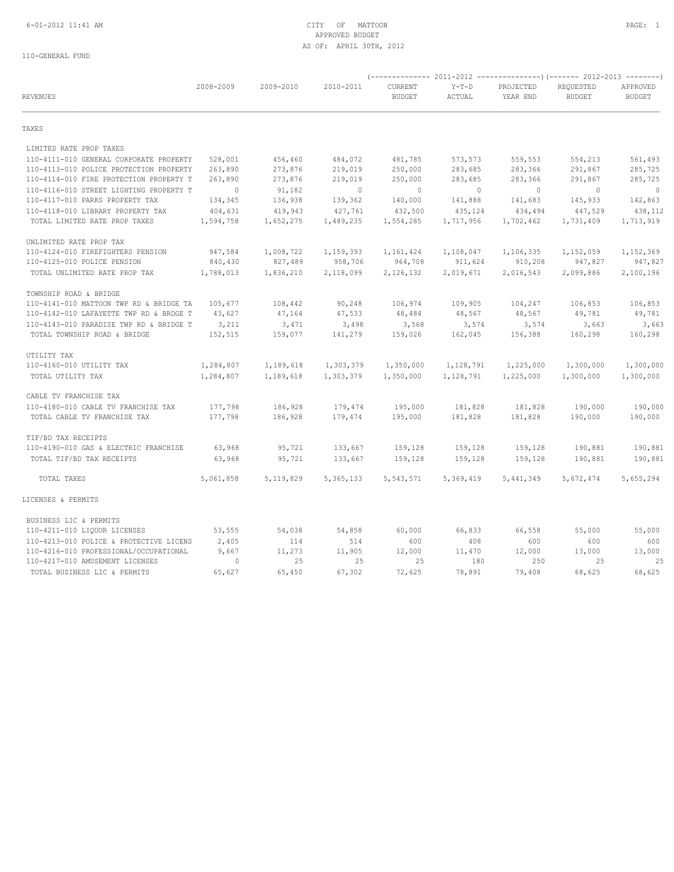## 6-01-2012 11:41 AM CITY OF MATTOON PAGE: 1 APPROVED BUDGET AS OF: APRIL 30TH, 2012

| <b>REVENUES</b>                         | 2008-2009      | 2009-2010   | 2010-2011   | CURRENT<br><b>BUDGET</b> | $Y-T-D$<br>ACTUAL | PROJECTED<br>YEAR END | REQUESTED<br><b>BUDGET</b> | APPROVED<br><b>BUDGET</b> |
|-----------------------------------------|----------------|-------------|-------------|--------------------------|-------------------|-----------------------|----------------------------|---------------------------|
| TAXES                                   |                |             |             |                          |                   |                       |                            |                           |
| LIMITED RATE PROP TAXES                 |                |             |             |                          |                   |                       |                            |                           |
| 110-4111-010 GENERAL CORPORATE PROPERTY | 528,001        | 456,460     | 484,072     | 481,785                  | 573,573           | 559,553               | 554,213                    | 561,493                   |
| 110-4113-010 POLICE PROTECTION PROPERTY | 263,890        | 273,876     | 219,019     | 250,000                  | 283,685           | 283,366               | 291,867                    | 285,725                   |
| 110-4114-010 FIRE PROTECTION PROPERTY T | 263,890        | 273,876     | 219,019     | 250,000                  | 283,685           | 283,366               | 291,867                    | 285,725                   |
| 110-4116-010 STREET LIGHTING PROPERTY T | $\overline{0}$ | 91,182      | $\circ$     | $\circ$                  | $\circ$           | $\circ$               | $\circ$                    | $\circ$                   |
| 110-4117-010 PARKS PROPERTY TAX         | 134,345        | 136,938     | 139,362     | 140,000                  | 141,888           | 141,683               | 145,933                    | 142,863                   |
| 110-4118-010 LIBRARY PROPERTY TAX       | 404,631        | 419,943     | 427,761     | 432,500                  | 435,124           | 434,494               | 447,529                    | 438,112                   |
| TOTAL LIMITED RATE PROP TAXES           | 1,594,758      | 1,652,275   | 1,489,235   | 1,554,285                | 1,717,956         | 1,702,462             | 1,731,409                  | 1,713,919                 |
| UNLIMITED RATE PROP TAX                 |                |             |             |                          |                   |                       |                            |                           |
| 110-4124-010 FIREFIGHTERS PENSION       | 947,584        | 1,008,722   | 1,159,393   | 1,161,424                | 1,108,047         | 1,106,335             | 1,152,059                  | 1,152,369                 |
| 110-4125-010 POLICE PENSION             | 840,430        | 827,489     | 958,706     | 964,708                  | 911,624           | 910,208               | 947,827                    | 947,827                   |
| TOTAL UNLIMITED RATE PROP TAX           | 1,788,013      | 1,836,210   | 2,118,099   | 2,126,132                | 2,019,671         | 2,016,543             | 2,099,886                  | 2,100,196                 |
| TOWNSHIP ROAD & BRIDGE                  |                |             |             |                          |                   |                       |                            |                           |
| 110-4141-010 MATTOON TWP RD & BRIDGE TA | 105,677        | 108,442     | 90,248      | 106,974                  | 109,905           | 104,247               | 106,853                    | 106,853                   |
| 110-4142-010 LAFAYETTE TWP RD & BRDGE T | 43,627         | 47,164      | 47,533      | 48,484                   | 48,567            | 48,567                | 49,781                     | 49,781                    |
| 110-4143-010 PARADISE TWP RD & BRIDGE T | 3,211          | 3,471       | 3,498       | 3,568                    | 3,574             | 3,574                 | 3,663                      | 3,663                     |
| TOTAL TOWNSHIP ROAD & BRIDGE            | 152,515        | 159,077     | 141,279     | 159,026                  | 162,045           | 156,388               | 160,298                    | 160,298                   |
| UTILITY TAX                             |                |             |             |                          |                   |                       |                            |                           |
| 110-4160-010 UTILITY TAX                | 1,284,807      | 1,189,618   | 1,303,379   | 1,350,000                | 1,128,791         | 1,225,000             | 1,300,000                  | 1,300,000                 |
| TOTAL UTILITY TAX                       | 1,284,807      | 1,189,618   | 1,303,379   | 1,350,000                | 1,128,791         | 1,225,000             | 1,300,000                  | 1,300,000                 |
| CABLE TV FRANCHISE TAX                  |                |             |             |                          |                   |                       |                            |                           |
| 110-4180-010 CABLE TV FRANCHISE TAX     | 177,798        | 186,928     | 179,474     | 195,000                  | 181,828           | 181,828               | 190,000                    | 190,000                   |
| TOTAL CABLE TV FRANCHISE TAX            | 177,798        | 186,928     | 179,474     | 195,000                  | 181,828           | 181,828               | 190,000                    | 190,000                   |
| TIF/BD TAX RECEIPTS                     |                |             |             |                          |                   |                       |                            |                           |
| 110-4190-010 GAS & ELECTRIC FRANCHISE   | 63,968         | 95,721      | 133,667     | 159,128                  | 159,128           | 159,128               | 190,881                    | 190,881                   |
| TOTAL TIF/BD TAX RECEIPTS               | 63,968         | 95,721      | 133,667     | 159,128                  | 159,128           | 159,128               | 190,881                    | 190,881                   |
| TOTAL TAXES                             | 5,061,858      | 5, 119, 829 | 5, 365, 133 | 5,543,571                | 5,369,419         | 5,441,349             | 5,672,474                  | 5,655,294                 |
| LICENSES & PERMITS                      |                |             |             |                          |                   |                       |                            |                           |
| BUSINESS LIC & PERMITS                  |                |             |             |                          |                   |                       |                            |                           |
| 110-4211-010 LIQUOR LICENSES            | 53,555         | 54,038      | 54,858      | 60,000                   | 66,833            | 66,558                | 55,000                     | 55,000                    |
| 110-4213-010 POLICE & PROTECTIVE LICENS | 2,405          | 114         | 514         | 600                      | 408               | 600                   | 600                        | 600                       |
| 110-4216-010 PROFESSIONAL/OCCUPATIONAL  | 9,667          | 11,273      | 11,905      | 12,000                   | 11,470            | 12,000                | 13,000                     | 13,000                    |
| 110-4217-010 AMUSEMENT LICENSES         | $\circ$        | 25          | 25          | 25                       | 180               | 250                   | 25                         | 25                        |
| TOTAL BUSINESS LIC & PERMITS            | 65,627         | 65,450      | 67,302      | 72,625                   | 78,891            | 79,408                | 68,625                     | 68,625                    |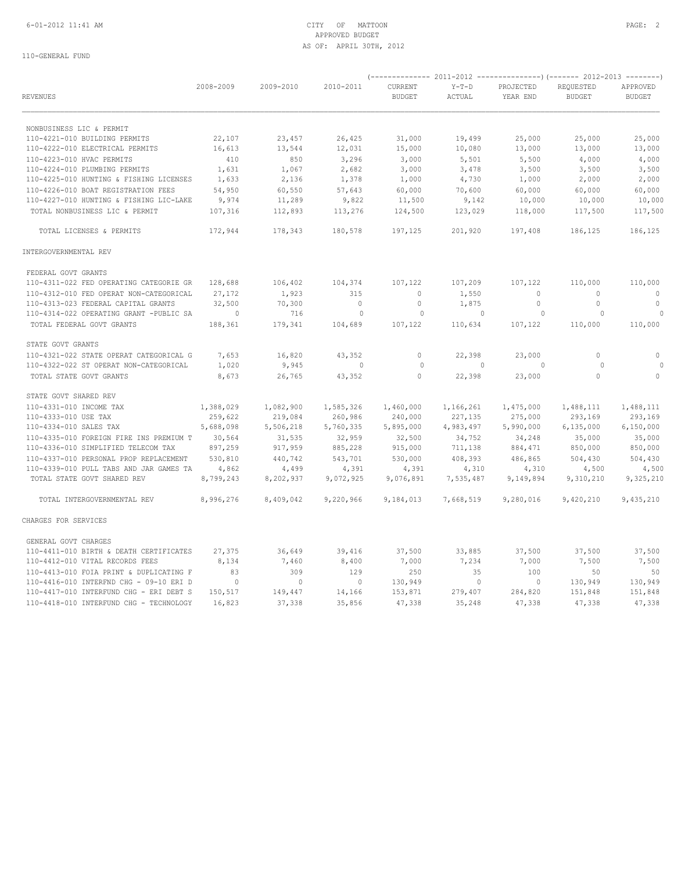## 6-01-2012 11:41 AM CITY OF MATTOON PAGE: 2 APPROVED BUDGET AS OF: APRIL 30TH, 2012

|                                         | 2008-2009      | 2009-2010      | 2010-2011                | CURRENT       | $Y-T-D$        | PROJECTED      | REQUESTED      | APPROVED       |  |
|-----------------------------------------|----------------|----------------|--------------------------|---------------|----------------|----------------|----------------|----------------|--|
| <b>REVENUES</b>                         |                |                |                          | <b>BUDGET</b> | ACTUAL         | YEAR END       | <b>BUDGET</b>  | <b>BUDGET</b>  |  |
| NONBUSINESS LIC & PERMIT                |                |                |                          |               |                |                |                |                |  |
| 110-4221-010 BUILDING PERMITS           | 22,107         | 23,457         | 26,425                   | 31,000        | 19,499         | 25,000         | 25,000         | 25,000         |  |
| 110-4222-010 ELECTRICAL PERMITS         | 16,613         | 13,544         | 12,031                   | 15,000        | 10,080         | 13,000         | 13,000         | 13,000         |  |
| 110-4223-010 HVAC PERMITS               | 410            | 850            | 3,296                    | 3,000         | 5,501          | 5,500          | 4,000          | 4,000          |  |
| 110-4224-010 PLUMBING PERMITS           | 1,631          | 1,067          | 2,682                    | 3,000         | 3,478          | 3,500          | 3,500          | 3,500          |  |
| 110-4225-010 HUNTING & FISHING LICENSES | 1,633          | 2,136          | 1,378                    | 1,000         | 4,730          | 1,000          | 2,000          | 2,000          |  |
| 110-4226-010 BOAT REGISTRATION FEES     | 54,950         | 60,550         | 57,643                   | 60,000        | 70,600         | 60,000         | 60,000         | 60,000         |  |
| 110-4227-010 HUNTING & FISHING LIC-LAKE | 9,974          | 11,289         | 9,822                    | 11,500        | 9,142          | 10,000         | 10,000         | 10,000         |  |
| TOTAL NONBUSINESS LIC & PERMIT          | 107,316        | 112,893        | 113,276                  | 124,500       | 123,029        | 118,000        | 117,500        | 117,500        |  |
| TOTAL LICENSES & PERMITS                | 172,944        | 178,343        | 180,578                  | 197,125       | 201,920        | 197,408        | 186,125        | 186,125        |  |
| INTERGOVERNMENTAL REV                   |                |                |                          |               |                |                |                |                |  |
| FEDERAL GOVT GRANTS                     |                |                |                          |               |                |                |                |                |  |
| 110-4311-022 FED OPERATING CATEGORIE GR | 128,688        | 106,402        | 104,374                  | 107,122       | 107,209        | 107,122        | 110,000        | 110,000        |  |
| 110-4312-010 FED OPERAT NON-CATEGORICAL | 27,172         | 1,923          | 315                      | $\circ$       | 1,550          | $\circ$        | $\circ$        | $\overline{0}$ |  |
| 110-4313-023 FEDERAL CAPITAL GRANTS     | 32,500         | 70,300         | $\overline{0}$           | 0             | 1,875          | $\mathbf{0}$   | $\circ$        | $\overline{0}$ |  |
| 110-4314-022 OPERATING GRANT -PUBLIC SA | $\overline{0}$ | 716            | $\overline{\phantom{0}}$ | $\circ$       | $\overline{0}$ | $\overline{0}$ | $\overline{0}$ | $\circ$        |  |
| TOTAL FEDERAL GOVT GRANTS               | 188,361        | 179,341        | 104,689                  | 107,122       | 110,634        | 107,122        | 110,000        | 110,000        |  |
| STATE GOVT GRANTS                       |                |                |                          |               |                |                |                |                |  |
| 110-4321-022 STATE OPERAT CATEGORICAL G | 7,653          | 16,820         | 43,352                   | 0             | 22,398         | 23,000         | $\circ$        | 0              |  |
| 110-4322-022 ST OPERAT NON-CATEGORICAL  | 1,020          | 9,945          | $\overline{0}$           | $\circ$       | $\sim$ 0       | $\Omega$       | $\overline{0}$ | $\Omega$       |  |
| TOTAL STATE GOVT GRANTS                 | 8,673          | 26,765         | 43,352                   | $\circ$       | 22,398         | 23,000         | $\circ$        | $\circ$        |  |
| STATE GOVT SHARED REV                   |                |                |                          |               |                |                |                |                |  |
| 110-4331-010 INCOME TAX                 | 1,388,029      | 1,082,900      | 1,585,326                | 1,460,000     | 1,166,261      | 1,475,000      | 1,488,111      | 1,488,111      |  |
| 110-4333-010 USE TAX                    | 259,622        | 219,084        | 260,986                  | 240,000       | 227,135        | 275,000        | 293,169        | 293,169        |  |
| 110-4334-010 SALES TAX                  | 5,688,098      | 5,506,218      | 5,760,335                | 5,895,000     | 4,983,497      | 5,990,000      | 6, 135, 000    | 6, 150, 000    |  |
| 110-4335-010 FOREIGN FIRE INS PREMIUM T | 30,564         | 31,535         | 32,959                   | 32,500        | 34,752         | 34,248         | 35,000         | 35,000         |  |
| 110-4336-010 SIMPLIFIED TELECOM TAX     | 897,259        | 917,959        | 885,228                  | 915,000       | 711,138        | 884,471        | 850,000        | 850,000        |  |
| 110-4337-010 PERSONAL PROP REPLACEMENT  | 530,810        | 440,742        | 543,701                  | 530,000       | 408,393        | 486,865        | 504,430        | 504,430        |  |
| 110-4339-010 PULL TABS AND JAR GAMES TA | 4,862          | 4,499          | 4,391                    | 4,391         | 4,310          | 4,310          | 4,500          | 4,500          |  |
| TOTAL STATE GOVT SHARED REV             | 8,799,243      | 8,202,937      | 9,072,925                | 9,076,891     | 7,535,487      | 9,149,894      | 9,310,210      | 9,325,210      |  |
| TOTAL INTERGOVERNMENTAL REV             | 8,996,276      | 8,409,042      | 9,220,966                | 9,184,013     | 7,668,519      | 9,280,016      | 9,420,210      | 9,435,210      |  |
| CHARGES FOR SERVICES                    |                |                |                          |               |                |                |                |                |  |
| GENERAL GOVT CHARGES                    |                |                |                          |               |                |                |                |                |  |
| 110-4411-010 BIRTH & DEATH CERTIFICATES | 27,375         | 36,649         | 39,416                   | 37,500        | 33,885         | 37,500         | 37,500         | 37,500         |  |
| 110-4412-010 VITAL RECORDS FEES         | 8,134          | 7,460          | 8,400                    | 7,000         | 7,234          | 7,000          | 7,500          | 7,500          |  |
| 110-4413-010 FOIA PRINT & DUPLICATING F | 83             | 309            | 129                      | 250           | 35             | 100            | 50             | 50             |  |
| 110-4416-010 INTERFND CHG - 09-10 ERI D | $\sim$ 0       | $\overline{0}$ | $\circ$                  | 130,949       | $\overline{0}$ | $\overline{0}$ | 130,949        | 130,949        |  |
| 110-4417-010 INTERFUND CHG - ERI DEBT S | 150,517        | 149,447        | 14,166                   | 153,871       | 279,407        | 284,820        | 151,848        | 151,848        |  |
| 110-4418-010 INTERFUND CHG - TECHNOLOGY | 16,823         | 37,338         | 35,856                   | 47,338        | 35,248         | 47,338         | 47,338         | 47,338         |  |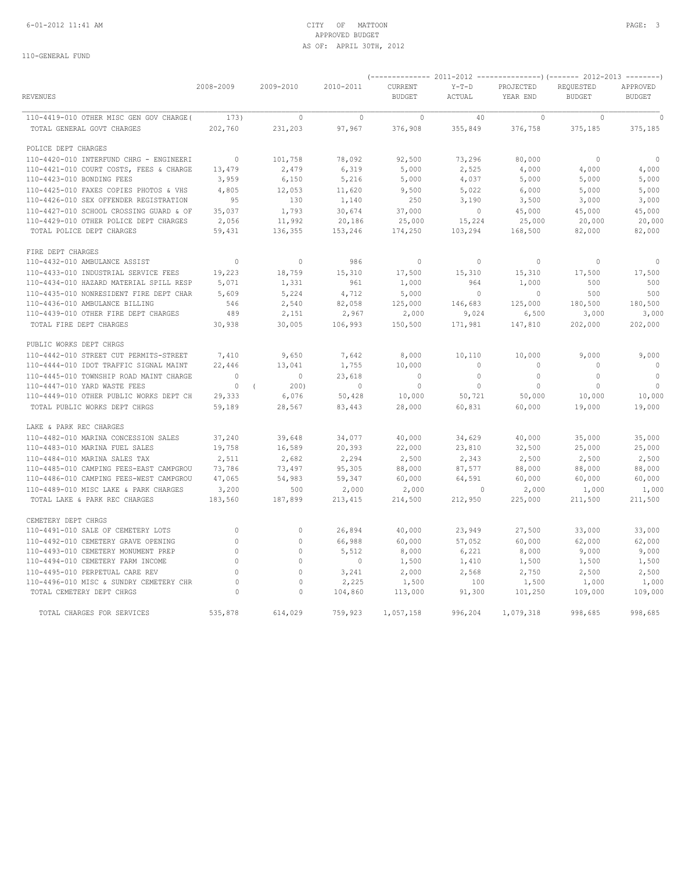## 6-01-2012 11:41 AM CITY OF MATTOON PAGE: 3 APPROVED BUDGET AS OF: APRIL 30TH, 2012

| <b>REVENUES</b>                                                        | 2008-2009        | 2009-2010          | 2010-2011        | CURRENT<br>BUDGET | $Y-T-D$<br>ACTUAL         | PROJECTED<br>YEAR END | REQUESTED<br><b>BUDGET</b> | APPROVED<br><b>BUDGET</b> |
|------------------------------------------------------------------------|------------------|--------------------|------------------|-------------------|---------------------------|-----------------------|----------------------------|---------------------------|
| 110-4419-010 OTHER MISC GEN GOV CHARGE (173)                           |                  | $\circ$            | $\sim$ 0         | $\sim$ 0          | 40                        | $\overline{0}$        | $\circ$                    | $\circ$                   |
| TOTAL GENERAL GOVT CHARGES                                             | 202,760          | 231,203            | 97,967           | 376,908           | 355,849                   | 376,758               | 375,185                    | 375,185                   |
| POLICE DEPT CHARGES                                                    |                  |                    |                  |                   |                           |                       |                            |                           |
| 110-4420-010 INTERFUND CHRG - ENGINEERI                                | $\overline{0}$   | 101,758            | 78,092           | 92,500            | 73,296                    | 80,000                | $\overline{0}$             | $\circ$                   |
| 110-4421-010 COURT COSTS, FEES & CHARGE                                | 13,479           | 2,479              | 6,319            | 5,000             | 2,525                     | 4,000                 | 4,000                      | 4,000                     |
| 110-4423-010 BONDING FEES                                              | 3,959            | 6,150              | 5,216            | 5,000             | 4,037                     | 5,000                 | 5,000                      | 5,000                     |
| 110-4425-010 FAXES COPIES PHOTOS & VHS                                 | 4,805            | 12,053             | 11,620           | 9,500             | 5,022                     | 6,000                 | 5,000                      | 5,000                     |
| 110-4426-010 SEX OFFENDER REGISTRATION                                 | 95               | 130                | 1,140            | 250               | 3,190                     | 3,500                 | 3,000                      | 3,000                     |
| 110-4427-010 SCHOOL CROSSING GUARD & OF                                | 35,037           | 1,793              | 30,674           | 37,000            | $\circ$                   | 45,000                | 45,000                     | 45,000                    |
| 110-4429-010 OTHER POLICE DEPT CHARGES                                 | 2,056            | 11,992             | 20,186           | 25,000            | 15,224                    | 25,000                | 20,000                     | 20,000                    |
| TOTAL POLICE DEPT CHARGES                                              | 59,431           | 136,355            | 153,246          | 174,250           | 103,294                   | 168,500               | 82,000                     | 82,000                    |
| FIRE DEPT CHARGES                                                      |                  |                    |                  |                   |                           |                       |                            |                           |
| 110-4432-010 AMBULANCE ASSIST                                          | $\overline{0}$   | $\mathbf{0}$       | 986              | $\overline{0}$    | $\overline{0}$            | $\overline{0}$        | $\circ$                    | $\circ$                   |
| 110-4433-010 INDUSTRIAL SERVICE FEES                                   | 19,223           | 18,759             | 15,310           | 17,500            | 15,310                    | 15,310                | 17,500                     | 17,500                    |
| 110-4434-010 HAZARD MATERIAL SPILL RESP                                | 5,071            | 1,331              | 961              | 1,000             | 964                       | 1,000                 | 500                        | 500                       |
| 110-4435-010 NONRESIDENT FIRE DEPT CHAR                                | 5,609            | 5,224              | 4,712            | 5,000             | $\overline{0}$            | $\overline{0}$        | 500                        | 500                       |
| 110-4436-010 AMBULANCE BILLING                                         | 546              | 2,540              | 82,058           | 125,000           | 146,683                   | 125,000               | 180,500                    | 180,500                   |
| 110-4439-010 OTHER FIRE DEPT CHARGES                                   | 489              | 2,151              | 2,967            | 2,000             | 9,024                     | 6,500                 | 3,000                      | 3,000                     |
| TOTAL FIRE DEPT CHARGES                                                | 30,938           | 30,005             | 106,993          | 150,500           | 171,981                   | 147,810               | 202,000                    | 202,000                   |
| PUBLIC WORKS DEPT CHRGS                                                |                  |                    |                  |                   |                           |                       |                            |                           |
| 110-4442-010 STREET CUT PERMITS-STREET                                 | 7,410            | 9,650              | 7,642            | 8,000             | 10,110                    | 10,000                | 9,000                      | 9,000                     |
| 110-4444-010 IDOT TRAFFIC SIGNAL MAINT                                 | 22,446           | 13,041             | 1,755            | 10,000            | $\circ$                   | $\mathbf{0}$          | $\overline{0}$             | $\overline{0}$            |
| 110-4445-010 TOWNSHIP ROAD MAINT CHARGE                                | $\overline{0}$   | $\overline{0}$     | 23,618           | $\overline{0}$    | $\overline{0}$            | $\overline{0}$        | $\overline{0}$             | $\overline{0}$            |
| 110-4447-010 YARD WASTE FEES                                           | $\overline{0}$   | 200)<br>$\sqrt{2}$ | $\sim$ 0         | $\circ$           | $\overline{0}$            | $\circ$               | $\overline{0}$             | $\circ$                   |
| 110-4449-010 OTHER PUBLIC WORKS DEPT CH                                | 29,333           | 6,076              | 50,428           | 10,000            | 50,721                    | 50,000                | 10,000                     | 10,000                    |
| TOTAL PUBLIC WORKS DEPT CHRGS                                          | 59,189           | 28,567             | 83,443           | 28,000            | 60,831                    | 60,000                | 19,000                     | 19,000                    |
| LAKE & PARK REC CHARGES                                                |                  |                    |                  |                   |                           |                       |                            |                           |
| 110-4482-010 MARINA CONCESSION SALES                                   | 37,240           | 39,648             | 34,077           | 40,000            | 34,629                    | 40,000                | 35,000                     | 35,000                    |
| 110-4483-010 MARINA FUEL SALES                                         | 19,758           | 16,589             | 20,393           | 22,000            | 23,810                    | 32,500                | 25,000                     | 25,000                    |
| 110-4484-010 MARINA SALES TAX                                          | 2,511            | 2,682              | 2,294            | 2,500             | 2,343                     | 2,500                 | 2,500                      | 2,500                     |
| 110-4485-010 CAMPING FEES-EAST CAMPGROU                                | 73,786           | 73,497             | 95,305           | 88,000            | 87,577                    | 88,000                | 88,000                     | 88,000                    |
| 110-4486-010 CAMPING FEES-WEST CAMPGROU                                | 47,065           | 54,983             | 59,347           | 60,000            | 64,591                    | 60,000                | 60,000                     | 60,000                    |
| 110-4489-010 MISC LAKE & PARK CHARGES<br>TOTAL LAKE & PARK REC CHARGES | 3,200<br>183,560 | 500<br>187,899     | 2,000<br>213,415 | 2,000<br>214,500  | $\overline{0}$<br>212,950 | 2,000<br>225,000      | 1,000<br>211,500           | 1,000<br>211,500          |
| CEMETERY DEPT CHRGS                                                    |                  |                    |                  |                   |                           |                       |                            |                           |
| 110-4491-010 SALE OF CEMETERY LOTS                                     | $\circ$          | $\mathbb O$        | 26,894           | 40,000            | 23,949                    | 27,500                | 33,000                     | 33,000                    |
| 110-4492-010 CEMETERY GRAVE OPENING                                    | $\circ$          | $\mathbb O$        | 66,988           | 60,000            | 57,052                    | 60,000                | 62,000                     | 62,000                    |
| 110-4493-010 CEMETERY MONUMENT PREP                                    | $\circ$          | $\mathbf{0}$       | 5,512            | 8,000             | 6,221                     | 8,000                 | 9,000                      | 9,000                     |
| 110-4494-010 CEMETERY FARM INCOME                                      | $\circ$          | $\mathbb O$        | $\sim$ 0         | 1,500             | 1,410                     | 1,500                 | 1,500                      | 1,500                     |
| 110-4495-010 PERPETUAL CARE REV                                        | $\Omega$         | $\mathbf{0}$       | 3,241            | 2,000             | 2,568                     | 2,750                 | 2,500                      | 2,500                     |
| 110-4496-010 MISC & SUNDRY CEMETERY CHR                                | $\circ$          | 0                  | 2,225            | 1,500             | 100                       | 1,500                 | 1,000                      | 1,000                     |
| TOTAL CEMETERY DEPT CHRGS                                              | $\circ$          | $\Omega$           | 104,860          | 113,000           | 91,300                    | 101,250               | 109,000                    | 109,000                   |
| TOTAL CHARGES FOR SERVICES                                             | 535,878          | 614,029            | 759,923          | 1,057,158         | 996,204                   | 1,079,318             | 998,685                    | 998,685                   |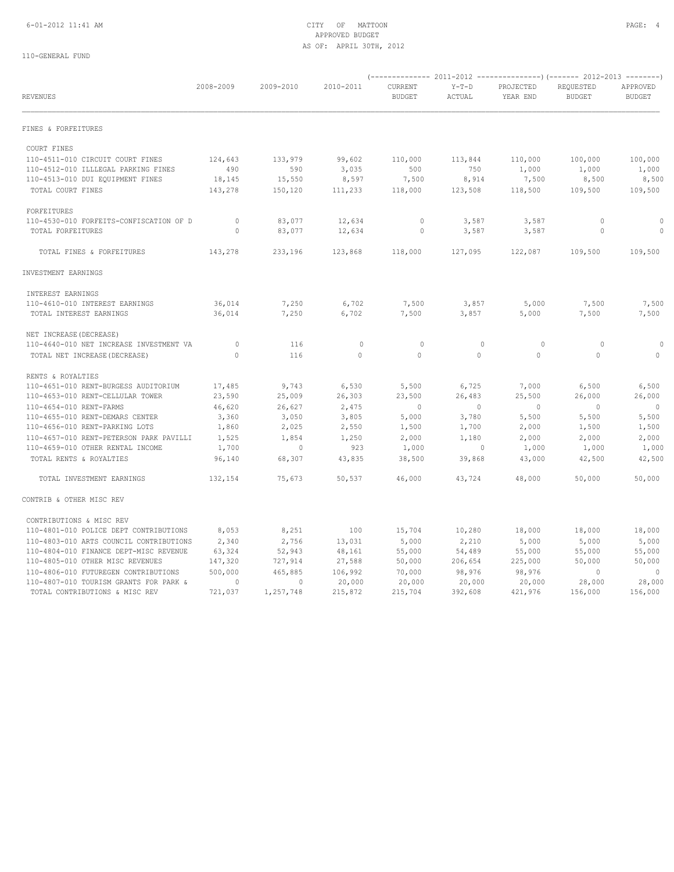| <b>REVENUES</b>                         | 2008-2009      | 2009-2010 | 2010-2011    | CURRENT<br><b>BUDGET</b> | $Y-T-D$<br>ACTUAL        | PROJECTED<br>YEAR END | REQUESTED<br><b>BUDGET</b> | APPROVED<br><b>BUDGET</b> |
|-----------------------------------------|----------------|-----------|--------------|--------------------------|--------------------------|-----------------------|----------------------------|---------------------------|
| FINES & FORFEITURES                     |                |           |              |                          |                          |                       |                            |                           |
| COURT FINES                             |                |           |              |                          |                          |                       |                            |                           |
| 110-4511-010 CIRCUIT COURT FINES        | 124,643        | 133,979   | 99,602       | 110,000                  | 113,844                  | 110,000               | 100,000                    | 100,000                   |
| 110-4512-010 ILLLEGAL PARKING FINES     | 490            | 590       | 3,035        | 500                      | 750                      | 1,000                 | 1,000                      | 1,000                     |
| 110-4513-010 DUI EQUIPMENT FINES        | 18,145         | 15,550    | 8,597        | 7,500                    | 8,914                    | 7,500                 | 8,500                      | 8,500                     |
| TOTAL COURT FINES                       | 143,278        | 150,120   | 111,233      | 118,000                  | 123,508                  | 118,500               | 109,500                    | 109,500                   |
| FORFEITURES                             |                |           |              |                          |                          |                       |                            |                           |
| 110-4530-010 FORFEITS-CONFISCATION OF D | $\overline{0}$ | 83,077    | 12,634       | $\circ$                  | 3,587                    | 3,587                 | 0                          |                           |
| TOTAL FORFEITURES                       | $\Omega$       | 83,077    | 12,634       | $\circ$                  | 3,587                    | 3,587                 | $\circ$                    | $\circ$                   |
|                                         |                |           |              |                          |                          |                       |                            |                           |
| TOTAL FINES & FORFEITURES               | 143,278        | 233,196   | 123,868      | 118,000                  | 127,095                  | 122,087               | 109,500                    | 109,500                   |
| INVESTMENT EARNINGS                     |                |           |              |                          |                          |                       |                            |                           |
| INTEREST EARNINGS                       |                |           |              |                          |                          |                       |                            |                           |
| 110-4610-010 INTEREST EARNINGS          | 36,014         | 7,250     | 6,702        | 7,500                    | 3,857                    | 5,000                 | 7,500                      | 7,500                     |
| TOTAL INTEREST EARNINGS                 | 36,014         | 7,250     | 6,702        | 7,500                    | 3,857                    | 5,000                 | 7,500                      | 7,500                     |
| NET INCREASE (DECREASE)                 |                |           |              |                          |                          |                       |                            |                           |
| 110-4640-010 NET INCREASE INVESTMENT VA | $\overline{0}$ | 116       | $\mathbf{0}$ | $\mathbf{0}$             | $\circ$                  | $\circ$               | $\circ$                    | $\Omega$                  |
| TOTAL NET INCREASE (DECREASE)           | $\Omega$       | 116       | $\Omega$     | $\Omega$                 | $\Omega$                 | $\Omega$              | $\Omega$                   | $\circ$                   |
| RENTS & ROYALTIES                       |                |           |              |                          |                          |                       |                            |                           |
| 110-4651-010 RENT-BURGESS AUDITORIUM    | 17,485         | 9,743     | 6,530        | 5,500                    | 6,725                    | 7,000                 | 6,500                      | 6,500                     |
| 110-4653-010 RENT-CELLULAR TOWER        | 23,590         | 25,009    | 26,303       | 23,500                   | 26,483                   | 25,500                | 26,000                     | 26,000                    |
| 110-4654-010 RENT-FARMS                 | 46,620         | 26,627    | 2,475        | $\overline{0}$           | $\overline{\phantom{0}}$ | $\sim$ 0              | $\overline{0}$             | $\overline{0}$            |
| 110-4655-010 RENT-DEMARS CENTER         | 3,360          | 3,050     | 3,805        | 5,000                    | 3,780                    | 5,500                 | 5,500                      | 5,500                     |
| 110-4656-010 RENT-PARKING LOTS          | 1,860          | 2,025     | 2,550        | 1,500                    | 1,700                    | 2,000                 | 1,500                      | 1,500                     |
| 110-4657-010 RENT-PETERSON PARK PAVILLI | 1,525          | 1,854     | 1,250        | 2,000                    | 1,180                    | 2,000                 | 2,000                      | 2,000                     |
| 110-4659-010 OTHER RENTAL INCOME        | 1,700          | $\sim$ 0  | 923          | 1,000                    | $\overline{0}$           | 1,000                 | 1,000                      | 1,000                     |
| TOTAL RENTS & ROYALTIES                 | 96,140         | 68,307    | 43,835       | 38,500                   | 39,868                   | 43,000                | 42,500                     | 42,500                    |
| TOTAL INVESTMENT EARNINGS               | 132,154        | 75,673    | 50,537       | 46,000                   | 43,724                   | 48,000                | 50,000                     | 50,000                    |
| CONTRIB & OTHER MISC REV                |                |           |              |                          |                          |                       |                            |                           |
| CONTRIBUTIONS & MISC REV                |                |           |              |                          |                          |                       |                            |                           |
| 110-4801-010 POLICE DEPT CONTRIBUTIONS  | 8,053          | 8,251     | 100          | 15,704                   | 10,280                   | 18,000                | 18,000                     | 18,000                    |
| 110-4803-010 ARTS COUNCIL CONTRIBUTIONS | 2,340          | 2,756     | 13,031       | 5,000                    | 2,210                    | 5,000                 | 5,000                      | 5,000                     |
| 110-4804-010 FINANCE DEPT-MISC REVENUE  | 63,324         | 52,943    | 48,161       | 55,000                   | 54,489                   | 55,000                | 55,000                     | 55,000                    |
| 110-4805-010 OTHER MISC REVENUES        | 147,320        | 727,914   | 27,588       | 50,000                   | 206,654                  | 225,000               | 50,000                     | 50,000                    |
| 110-4806-010 FUTUREGEN CONTRIBUTIONS    | 500,000        | 465,885   | 106,992      | 70,000                   | 98,976                   | 98,976                | $\overline{0}$             | $\overline{0}$            |
| 110-4807-010 TOURISM GRANTS FOR PARK &  | $\sim$ 0       | $\circ$   | 20,000       | 20,000                   | 20,000                   | 20,000                | 28,000                     | 28,000                    |
| TOTAL CONTRIBUTIONS & MISC REV          | 721,037        | 1,257,748 | 215,872      | 215,704                  | 392,608                  | 421,976               | 156,000                    | 156,000                   |
|                                         |                |           |              |                          |                          |                       |                            |                           |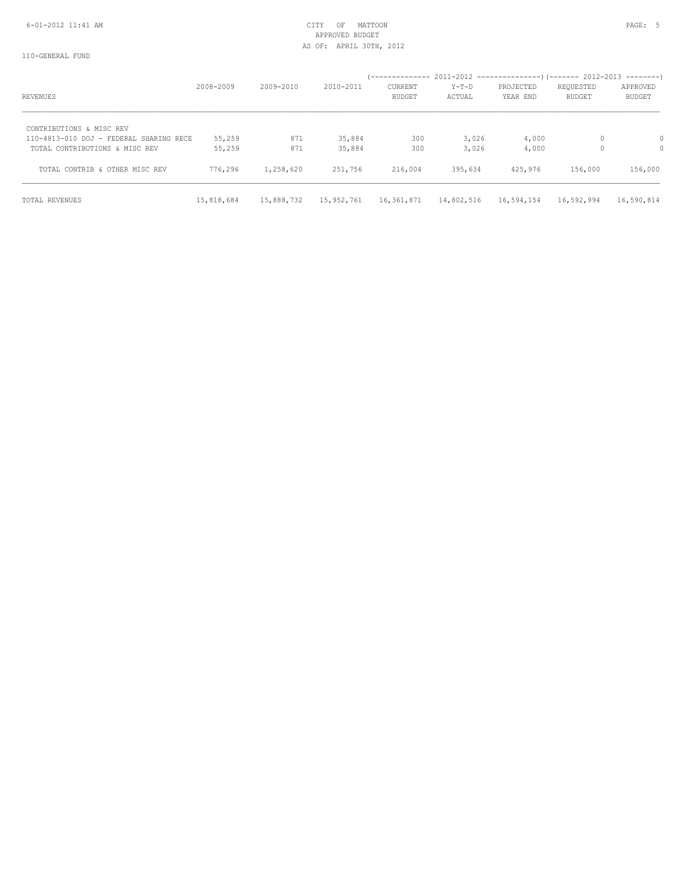## 6-01-2012 11:41 AM CITY OF MATTOON PAGE: 5 APPROVED BUDGET AS OF: APRIL 30TH, 2012

| REVENUES                                                                  | 2008-2009        | $2009 - 2010$ | $2010 - 2011$    | CURRENT<br><b>BUDGET</b> | Y-T-D<br>ACTUAL | PROJECTED<br>YEAR END | REQUESTED<br>BUDGET | APPROVED<br><b>BUDGET</b> |
|---------------------------------------------------------------------------|------------------|---------------|------------------|--------------------------|-----------------|-----------------------|---------------------|---------------------------|
| CONTRIBUTIONS & MISC REV                                                  |                  |               |                  |                          |                 |                       |                     |                           |
| 110-4813-010 DOJ - FEDERAL SHARING RECE<br>TOTAL CONTRIBUTIONS & MISC REV | 55,259<br>55,259 | 871<br>871    | 35,884<br>35,884 | 300<br>300               | 3,026<br>3,026  | 4,000<br>4,000        | 0<br>0              | 0<br>0                    |
| TOTAL CONTRIB & OTHER MISC REV                                            | 776,296          | 1,258,620     | 251,756          | 216,004                  | 395,634         | 425,976               | 156,000             | 156,000                   |
| TOTAL REVENUES                                                            | 15,818,684       | 15,888,732    | 15,952,761       | 16,361,871               | 14,802,516      | 16,594,154            | 16,592,994          | 16,590,814                |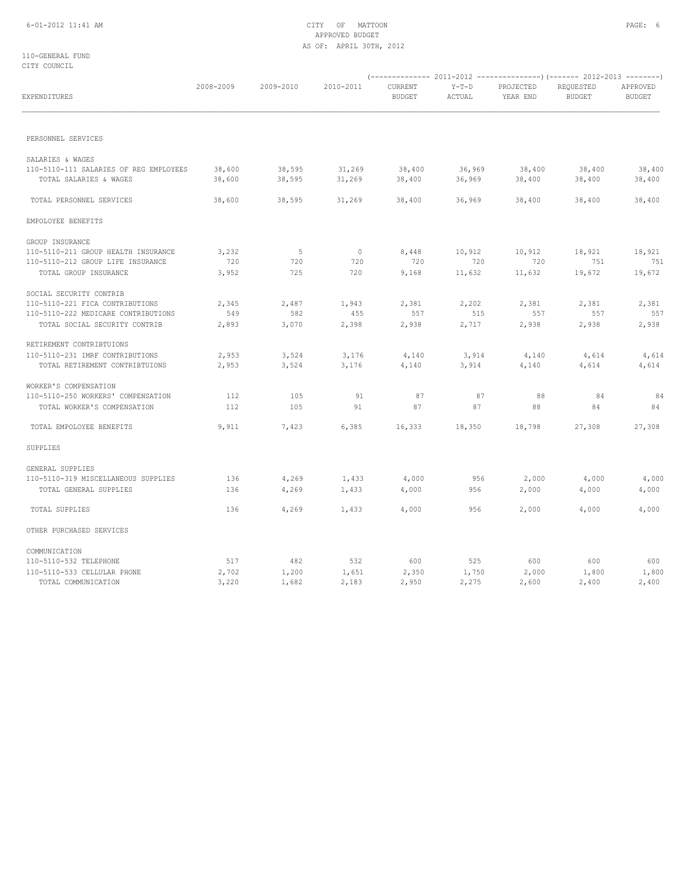## 6-01-2012 11:41 AM CITY OF MATTOON PAGE: 6 APPROVED BUDGET AS OF: APRIL 30TH, 2012

110-GENERAL FUND CITY COUNCIL

| EXPENDITURES                           | 2008-2009 | 2009-2010 | 2010-2011 | CURRENT<br><b>BUDGET</b> | $Y-T-D$<br>ACTUAL | PROJECTED<br>YEAR END | REQUESTED<br><b>BUDGET</b> | APPROVED<br><b>BUDGET</b> |
|----------------------------------------|-----------|-----------|-----------|--------------------------|-------------------|-----------------------|----------------------------|---------------------------|
|                                        |           |           |           |                          |                   |                       |                            |                           |
| PERSONNEL SERVICES                     |           |           |           |                          |                   |                       |                            |                           |
| SALARIES & WAGES                       |           |           |           |                          |                   |                       |                            |                           |
| 110-5110-111 SALARIES OF REG EMPLOYEES | 38,600    | 38,595    | 31,269    | 38,400                   | 36,969            | 38,400                | 38,400                     | 38,400                    |
| TOTAL SALARIES & WAGES                 | 38,600    | 38,595    | 31,269    | 38,400                   | 36,969            | 38,400                | 38,400                     | 38,400                    |
| TOTAL PERSONNEL SERVICES               | 38,600    | 38,595    | 31,269    | 38,400                   | 36,969            | 38,400                | 38,400                     | 38,400                    |
| EMPOLOYEE BENEFITS                     |           |           |           |                          |                   |                       |                            |                           |
| GROUP INSURANCE                        |           |           |           |                          |                   |                       |                            |                           |
| 110-5110-211 GROUP HEALTH INSURANCE    | 3,232     | 5         | $\circ$   | 8,448                    | 10,912            | 10,912                | 18,921                     | 18,921                    |
| 110-5110-212 GROUP LIFE INSURANCE      | 720       | 720       | 720       | 720                      | 720               | 720                   | 751                        | 751                       |
| TOTAL GROUP INSURANCE                  | 3,952     | 725       | 720       | 9,168                    | 11,632            | 11,632                | 19,672                     | 19,672                    |
| SOCIAL SECURITY CONTRIB                |           |           |           |                          |                   |                       |                            |                           |
| 110-5110-221 FICA CONTRIBUTIONS        | 2,345     | 2,487     | 1,943     | 2,381                    | 2,202             | 2,381                 | 2,381                      | 2,381                     |
| 110-5110-222 MEDICARE CONTRIBUTIONS    | 549       | 582       | 455       | 557                      | 515               | 557                   | 557                        | 557                       |
| TOTAL SOCIAL SECURITY CONTRIB          | 2,893     | 3,070     | 2,398     | 2,938                    | 2,717             | 2,938                 | 2,938                      | 2,938                     |
| RETIREMENT CONTRIBTUIONS               |           |           |           |                          |                   |                       |                            |                           |
| 110-5110-231 IMRF CONTRIBUTIONS        | 2,953     | 3,524     | 3,176     | 4,140                    | 3,914             | 4,140                 | 4,614                      | 4,614                     |
| TOTAL RETIREMENT CONTRIBTUIONS         | 2,953     | 3,524     | 3,176     | 4,140                    | 3,914             | 4,140                 | 4,614                      | 4,614                     |
| WORKER'S COMPENSATION                  |           |           |           |                          |                   |                       |                            |                           |
| 110-5110-250 WORKERS' COMPENSATION     | 112       | 105       | 91        | 87                       | 87                | 88                    | 84                         | 84                        |
| TOTAL WORKER'S COMPENSATION            | 112       | 105       | 91        | 87                       | 87                | 88                    | 84                         | 84                        |
| TOTAL EMPOLOYEE BENEFITS               | 9,911     | 7,423     | 6,385     | 16,333                   | 18,350            | 18,798                | 27,308                     | 27,308                    |
| SUPPLIES                               |           |           |           |                          |                   |                       |                            |                           |
| GENERAL SUPPLIES                       |           |           |           |                          |                   |                       |                            |                           |
| 110-5110-319 MISCELLANEOUS SUPPLIES    | 136       | 4,269     | 1,433     | 4,000                    | 956               | 2,000                 | 4,000                      | 4,000                     |
| TOTAL GENERAL SUPPLIES                 | 136       | 4,269     | 1,433     | 4,000                    | 956               | 2,000                 | 4,000                      | 4,000                     |
| TOTAL SUPPLIES                         | 136       | 4,269     | 1,433     | 4,000                    | 956               | 2,000                 | 4,000                      | 4,000                     |
| OTHER PURCHASED SERVICES               |           |           |           |                          |                   |                       |                            |                           |
| COMMUNICATION                          |           |           |           |                          |                   |                       |                            |                           |
| 110-5110-532 TELEPHONE                 | 517       | 482       | 532       | 600                      | 525               | 600                   | 600                        | 600                       |
| 110-5110-533 CELLULAR PHONE            | 2,702     | 1,200     | 1,651     | 2,350                    | 1,750             | 2,000                 | 1,800                      | 1,800                     |
| TOTAL COMMUNICATION                    | 3,220     | 1,682     | 2,183     | 2,950                    | 2,275             | 2,600                 | 2,400                      | 2,400                     |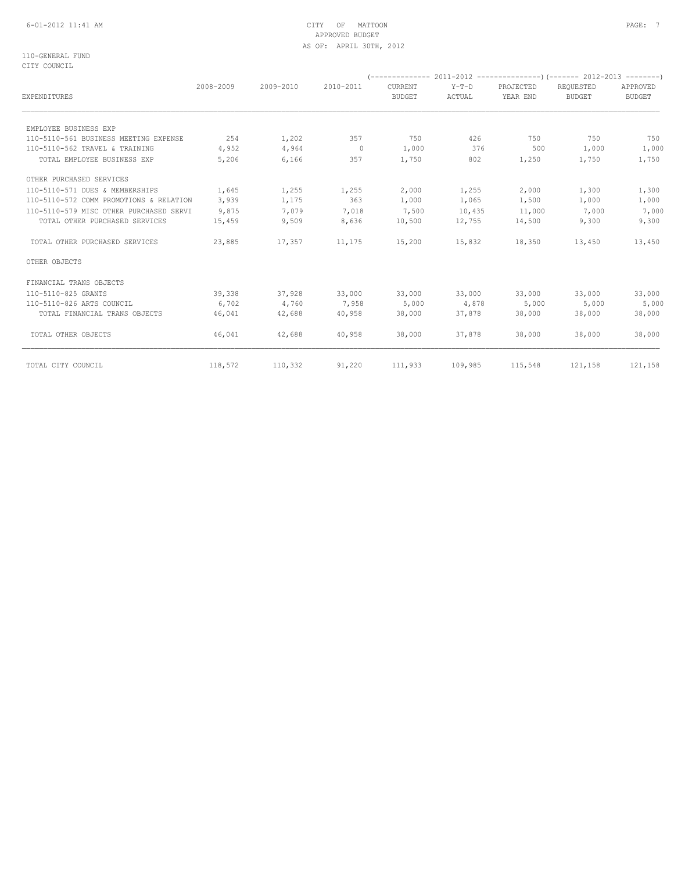## 6-01-2012 11:41 AM CITY OF MATTOON PAGE: 7 APPROVED BUDGET AS OF: APRIL 30TH, 2012

110-GENERAL FUND CITY COUNCIL

| EXPENDITURES                            | 2008-2009 | 2009-2010 | 2010-2011                | CURRENT<br><b>BUDGET</b> | $Y-T-D$<br>ACTUAL | PROJECTED<br>YEAR END | REOUESTED<br><b>BUDGET</b> | APPROVED<br><b>BUDGET</b> |
|-----------------------------------------|-----------|-----------|--------------------------|--------------------------|-------------------|-----------------------|----------------------------|---------------------------|
|                                         |           |           |                          |                          |                   |                       |                            |                           |
| EMPLOYEE BUSINESS EXP                   |           |           |                          |                          |                   |                       |                            |                           |
| 110-5110-561 BUSINESS MEETING EXPENSE   | 254       | 1,202     | 357                      | 750                      | 426               | 750                   | 750                        | 750                       |
| 110-5110-562 TRAVEL & TRAINING          | 4,952     | 4,964     | $\overline{\phantom{0}}$ | 1,000                    | 376               | 500                   | 1,000                      | 1,000                     |
| TOTAL EMPLOYEE BUSINESS EXP             | 5,206     | 6,166     | 357                      | 1,750                    | 802               | 1,250                 | 1,750                      | 1,750                     |
| OTHER PURCHASED SERVICES                |           |           |                          |                          |                   |                       |                            |                           |
| 110-5110-571 DUES & MEMBERSHIPS         | 1,645     | 1,255     | 1,255                    | 2,000                    | 1,255             | 2,000                 | 1,300                      | 1,300                     |
| 110-5110-572 COMM PROMOTIONS & RELATION | 3,939     | 1,175     | 363                      | 1,000                    | 1,065             | 1,500                 | 1,000                      | 1,000                     |
| 110-5110-579 MISC OTHER PURCHASED SERVI | 9,875     | 7,079     | 7,018                    | 7,500                    | 10,435            | 11,000                | 7,000                      | 7,000                     |
| TOTAL OTHER PURCHASED SERVICES          | 15,459    | 9,509     | 8,636                    | 10,500                   | 12,755            | 14,500                | 9,300                      | 9,300                     |
| TOTAL OTHER PURCHASED SERVICES          | 23,885    | 17,357    | 11,175                   | 15,200                   | 15,832            | 18,350                | 13,450                     | 13,450                    |
| OTHER OBJECTS                           |           |           |                          |                          |                   |                       |                            |                           |
| FINANCIAL TRANS OBJECTS                 |           |           |                          |                          |                   |                       |                            |                           |
| 110-5110-825 GRANTS                     | 39,338    | 37,928    | 33,000                   | 33,000                   | 33,000            | 33,000                | 33,000                     | 33,000                    |
| 110-5110-826 ARTS COUNCIL               | 6,702     | 4,760     | 7,958                    | 5,000                    | 4,878             | 5,000                 | 5,000                      | 5,000                     |
| TOTAL FINANCIAL TRANS OBJECTS           | 46,041    | 42,688    | 40,958                   | 38,000                   | 37,878            | 38,000                | 38,000                     | 38,000                    |
| TOTAL OTHER OBJECTS                     | 46,041    | 42,688    | 40,958                   | 38,000                   | 37,878            | 38,000                | 38,000                     | 38,000                    |
| TOTAL CITY COUNCIL                      | 118,572   | 110,332   | 91,220                   | 111,933                  | 109,985           | 115,548               | 121,158                    | 121,158                   |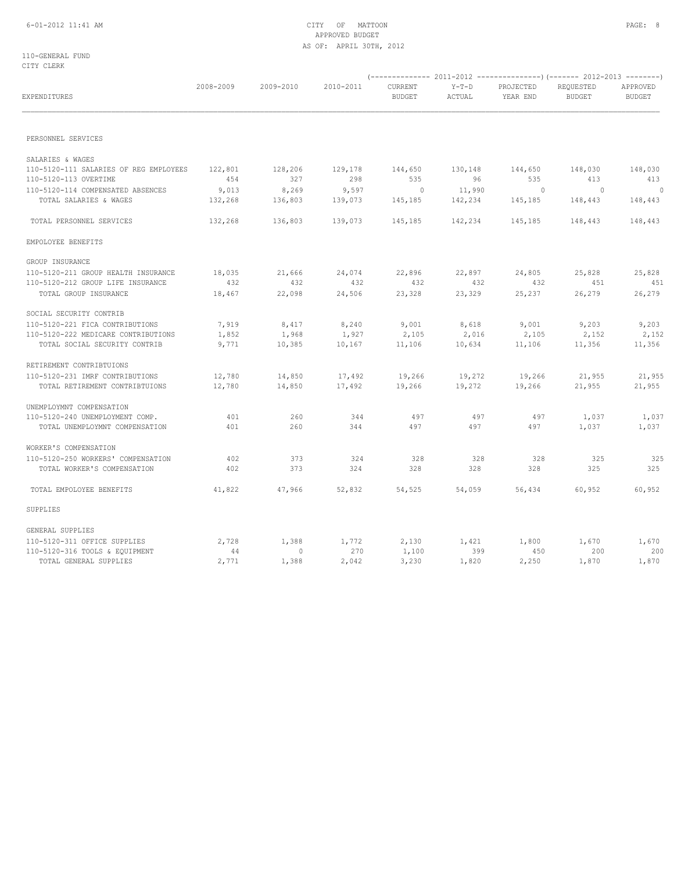110-GENERAL FUND CITY CLERK

| EXPENDITURES                           | 2008-2009 | 2009-2010 | 2010-2011 | CURRENT<br><b>BUDGET</b> | $Y-T-D$<br>ACTUAL | PROJECTED<br>YEAR END | REQUESTED<br>BUDGET | APPROVED<br><b>BUDGET</b> |
|----------------------------------------|-----------|-----------|-----------|--------------------------|-------------------|-----------------------|---------------------|---------------------------|
|                                        |           |           |           |                          |                   |                       |                     |                           |
| PERSONNEL SERVICES                     |           |           |           |                          |                   |                       |                     |                           |
| SALARIES & WAGES                       |           |           |           |                          |                   |                       |                     |                           |
| 110-5120-111 SALARIES OF REG EMPLOYEES | 122,801   | 128,206   | 129,178   | 144,650                  | 130,148           | 144,650               | 148,030             | 148,030                   |
| 110-5120-113 OVERTIME                  | 454       | 327       | 298       | 535                      | 96                | 535                   | 413                 | 413                       |
| 110-5120-114 COMPENSATED ABSENCES      | 9,013     | 8,269     | 9,597     | $\sim$ 0                 | 11,990            | $\overline{0}$        | $\sim$ 0            | $\bigcirc$                |
| TOTAL SALARIES & WAGES                 | 132,268   | 136,803   | 139,073   | 145,185                  | 142,234           | 145,185               | 148,443             | 148,443                   |
| TOTAL PERSONNEL SERVICES               | 132,268   | 136,803   | 139,073   | 145,185                  | 142,234           | 145,185               | 148,443             | 148,443                   |
| EMPOLOYEE BENEFITS                     |           |           |           |                          |                   |                       |                     |                           |
| GROUP INSURANCE                        |           |           |           |                          |                   |                       |                     |                           |
| 110-5120-211 GROUP HEALTH INSURANCE    | 18,035    | 21,666    | 24,074    | 22,896                   | 22,897            | 24,805                | 25,828              | 25,828                    |
| 110-5120-212 GROUP LIFE INSURANCE      | 432       | 432       | 432       | 432                      | 432               | 432                   | 451                 | 451                       |
| TOTAL GROUP INSURANCE                  | 18,467    | 22,098    | 24,506    | 23,328                   | 23,329            | 25,237                | 26,279              | 26,279                    |
| SOCIAL SECURITY CONTRIB                |           |           |           |                          |                   |                       |                     |                           |
| 110-5120-221 FICA CONTRIBUTIONS        | 7,919     | 8,417     | 8,240     | 9,001                    | 8,618             | 9,001                 | 9,203               | 9,203                     |
| 110-5120-222 MEDICARE CONTRIBUTIONS    | 1,852     | 1,968     | 1,927     | 2,105                    | 2,016             | 2,105                 | 2,152               | 2,152                     |
| TOTAL SOCIAL SECURITY CONTRIB          | 9,771     | 10,385    | 10,167    | 11,106                   | 10,634            | 11,106                | 11,356              | 11,356                    |
| RETIREMENT CONTRIBTUIONS               |           |           |           |                          |                   |                       |                     |                           |
| 110-5120-231 IMRF CONTRIBUTIONS        | 12,780    | 14,850    | 17,492    | 19,266                   | 19,272            | 19,266                | 21,955              | 21,955                    |
| TOTAL RETIREMENT CONTRIBTUIONS         | 12,780    | 14,850    | 17,492    | 19,266                   | 19,272            | 19,266                | 21,955              | 21,955                    |
| UNEMPLOYMNT COMPENSATION               |           |           |           |                          |                   |                       |                     |                           |
| 110-5120-240 UNEMPLOYMENT COMP.        | 401       | 260       | 344       | 497                      | 497               | 497                   | 1,037               | 1,037                     |
| TOTAL UNEMPLOYMNT COMPENSATION         | 401       | 260       | 344       | 497                      | 497               | 497                   | 1,037               | 1,037                     |
| WORKER'S COMPENSATION                  |           |           |           |                          |                   |                       |                     |                           |
| 110-5120-250 WORKERS' COMPENSATION     | 402       | 373       | 324       | 328                      | 328               | 328                   | 325                 | 325                       |
| TOTAL WORKER'S COMPENSATION            | 402       | 373       | 324       | 328                      | 328               | 328                   | 325                 | 325                       |
| TOTAL EMPOLOYEE BENEFITS               | 41,822    | 47,966    | 52,832    | 54,525                   | 54,059            | 56,434                | 60,952              | 60,952                    |
| SUPPLIES                               |           |           |           |                          |                   |                       |                     |                           |
| GENERAL SUPPLIES                       |           |           |           |                          |                   |                       |                     |                           |
| 110-5120-311 OFFICE SUPPLIES           | 2,728     | 1,388     | 1,772     | 2,130                    | 1,421             | 1,800                 | 1,670               | 1,670                     |
| 110-5120-316 TOOLS & EQUIPMENT         | 44        | $\Omega$  | 270       | 1,100                    | 399               | 450                   | 200                 | 200                       |
| TOTAL GENERAL SUPPLIES                 | 2,771     | 1,388     | 2,042     | 3,230                    | 1,820             | 2,250                 | 1,870               | 1,870                     |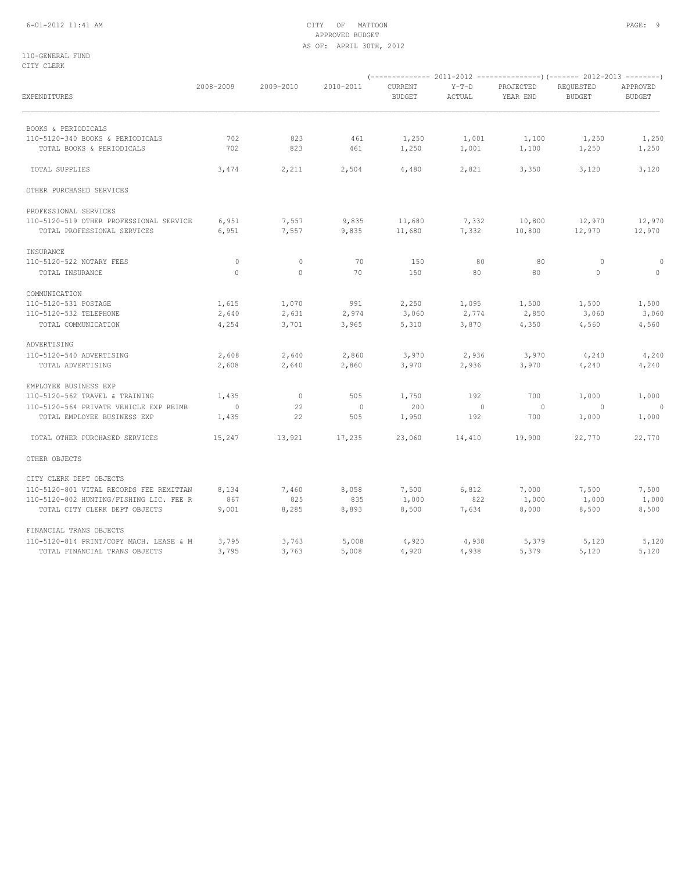## 6-01-2012 11:41 AM CITY OF MATTOON PAGE: 9 APPROVED BUDGET AS OF: APRIL 30TH, 2012

110-GENERAL FUND CITY CLERK

| EXPENDITURES                                  | 2008-2009      | 2009-2010      | 2010-2011      | <b>CURRENT</b><br><b>BUDGET</b> | $Y-T-D$<br>ACTUAL | PROJECTED<br>YEAR END | REQUESTED<br><b>BUDGET</b> | APPROVED<br><b>BUDGET</b> |
|-----------------------------------------------|----------------|----------------|----------------|---------------------------------|-------------------|-----------------------|----------------------------|---------------------------|
| BOOKS & PERIODICALS                           |                |                |                |                                 |                   |                       |                            |                           |
| 110-5120-340 BOOKS & PERIODICALS              | 702            | 823            | 461            | 1,250                           | 1,001             | 1,100                 | 1,250                      | 1,250                     |
| TOTAL BOOKS & PERIODICALS                     | 702            | 823            | 461            | 1,250                           | 1,001             | 1,100                 | 1,250                      | 1,250                     |
| <b>TOTAL SUPPLIES</b>                         | 3,474          | 2,211          | 2,504          | 4,480                           | 2,821             | 3,350                 | 3,120                      | 3,120                     |
| OTHER PURCHASED SERVICES                      |                |                |                |                                 |                   |                       |                            |                           |
| PROFESSIONAL SERVICES                         |                |                |                |                                 |                   |                       |                            |                           |
| 110-5120-519 OTHER PROFESSIONAL SERVICE       | 6,951          | 7,557          | 9,835          | 11,680                          | 7,332             | 10,800                | 12,970                     | 12,970                    |
| TOTAL PROFESSIONAL SERVICES                   | 6,951          | 7,557          | 9,835          | 11,680                          | 7,332             | 10,800                | 12,970                     | 12,970                    |
| INSURANCE                                     |                |                |                |                                 |                   |                       |                            |                           |
| 110-5120-522 NOTARY FEES                      | $\circ$        | $\circ$        | 70             | 150                             | 80                | 80                    | $\circ$                    | $\circ$                   |
| TOTAL INSURANCE                               | $\circ$        | $\circ$        | 70             | 150                             | 80                | 80                    | $\circ$                    | $\circ$                   |
| COMMUNICATION                                 |                |                |                |                                 |                   |                       |                            |                           |
| 110-5120-531 POSTAGE                          | 1,615          | 1,070          | 991            | 2,250                           | 1,095             | 1,500                 | 1,500                      | 1,500                     |
| 110-5120-532 TELEPHONE<br>TOTAL COMMUNICATION | 2,640<br>4,254 | 2,631<br>3,701 | 2,974<br>3,965 | 3,060<br>5,310                  | 2,774<br>3,870    | 2,850<br>4,350        | 3,060<br>4,560             | 3,060<br>4,560            |
| ADVERTISING                                   |                |                |                |                                 |                   |                       |                            |                           |
| 110-5120-540 ADVERTISING                      | 2,608          | 2,640          | 2,860          | 3,970                           | 2,936             | 3,970                 | 4,240                      | 4,240                     |
| TOTAL ADVERTISING                             | 2,608          | 2,640          | 2,860          | 3,970                           | 2,936             | 3,970                 | 4,240                      | 4,240                     |
| EMPLOYEE BUSINESS EXP                         |                |                |                |                                 |                   |                       |                            |                           |
| 110-5120-562 TRAVEL & TRAINING                | 1,435          | $\mathbb{O}$   | 505            | 1,750                           | 192               | 700                   | 1,000                      | 1,000                     |
| 110-5120-564 PRIVATE VEHICLE EXP REIMB        | $\overline{0}$ | 22             | $\mathbf 0$    | 200                             | $\circ$           | $\circ$               | $\overline{0}$             | $\Omega$                  |
| TOTAL EMPLOYEE BUSINESS EXP                   | 1,435          | 22             | 505            | 1,950                           | 192               | 700                   | 1,000                      | 1,000                     |
| TOTAL OTHER PURCHASED SERVICES                | 15,247         | 13,921         | 17,235         | 23,060                          | 14,410            | 19,900                | 22,770                     | 22,770                    |
| OTHER OBJECTS                                 |                |                |                |                                 |                   |                       |                            |                           |
| CITY CLERK DEPT OBJECTS                       |                |                |                |                                 |                   |                       |                            |                           |
| 110-5120-801 VITAL RECORDS FEE REMITTAN       | 8,134          | 7,460          | 8,058          | 7,500                           | 6,812             | 7,000                 | 7,500                      | 7,500                     |
| 110-5120-802 HUNTING/FISHING LIC. FEE R       | 867            | 825            | 835            | 1,000                           | 822               | 1,000                 | 1,000                      | 1,000                     |
| TOTAL CITY CLERK DEPT OBJECTS                 | 9,001          | 8,285          | 8,893          | 8,500                           | 7,634             | 8,000                 | 8,500                      | 8,500                     |
| FINANCIAL TRANS OBJECTS                       |                |                |                |                                 |                   |                       |                            |                           |
| 110-5120-814 PRINT/COPY MACH. LEASE & M       | 3,795          | 3,763          | 5,008          | 4,920                           | 4,938             | 5,379                 | 5,120                      | 5,120                     |
| TOTAL FINANCIAL TRANS OBJECTS                 | 3,795          | 3,763          | 5,008          | 4,920                           | 4,938             | 5,379                 | 5,120                      | 5,120                     |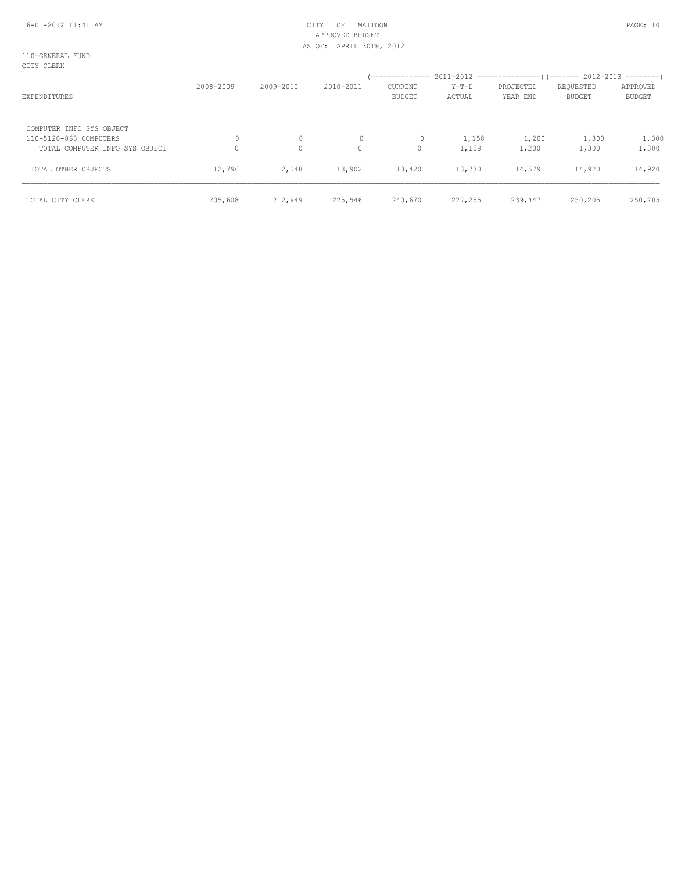## 6-01-2012 11:41 AM CITY OF MATTOON PAGE: 10 APPROVED BUDGET AS OF: APRIL 30TH, 2012

110-GENERAL FUND CITY CLERK

| viit vaatt                     | 2008-2009 | 2009-2010 | 2010-2011    | CURRENT       | Y-T-D   | PROJECTED | REQUESTED     | APPROVED      |
|--------------------------------|-----------|-----------|--------------|---------------|---------|-----------|---------------|---------------|
| EXPENDITURES                   |           |           |              | <b>BUDGET</b> | ACTUAL  | YEAR END  | <b>BUDGET</b> | <b>BUDGET</b> |
| COMPUTER INFO SYS OBJECT       |           |           |              |               |         |           |               |               |
| 110-5120-863 COMPUTERS         | $\Omega$  | 0         | $\mathbf{0}$ | 0             | 1,158   | 1,200     | 1,300         | 1,300         |
| TOTAL COMPUTER INFO SYS OBJECT |           | $\circ$   | $\circ$      | 0             | 1,158   | 1,200     | 1,300         | 1,300         |
| TOTAL OTHER OBJECTS            | 12,796    | 12,048    | 13,902       | 13,420        | 13,730  | 14,579    | 14,920        | 14,920        |
| TOTAL CITY CLERK               | 205,608   | 212,949   | 225,546      | 240,670       | 227,255 | 239,447   | 250,205       | 250,205       |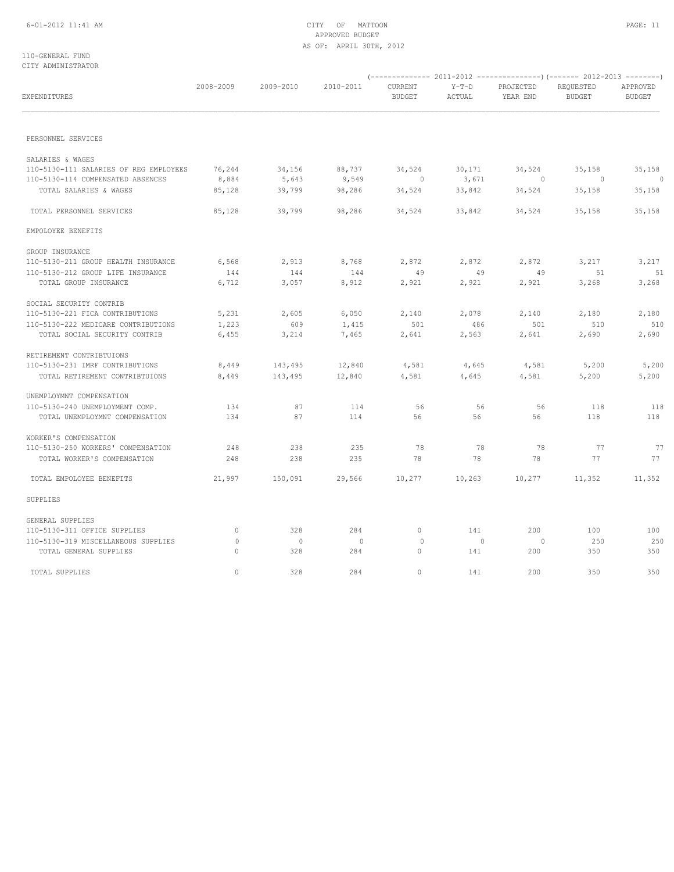### 110-GENERAL FUND CITY ADMINISTRATOR

| EXPENDITURES                                               | 2008-2009 | 2009-2010      | 2010-2011      | CURRENT<br><b>BUDGET</b> | $Y-T-D$<br>ACTUAL | PROJECTED<br>YEAR END | REQUESTED<br><b>BUDGET</b> | APPROVED<br><b>BUDGET</b> |
|------------------------------------------------------------|-----------|----------------|----------------|--------------------------|-------------------|-----------------------|----------------------------|---------------------------|
| PERSONNEL SERVICES                                         |           |                |                |                          |                   |                       |                            |                           |
|                                                            |           |                |                |                          |                   |                       |                            |                           |
| SALARIES & WAGES<br>110-5130-111 SALARIES OF REG EMPLOYEES | 76,244    | 34,156         | 88,737         | 34,524                   | 30,171            | 34,524                | 35,158                     | 35,158                    |
| 110-5130-114 COMPENSATED ABSENCES                          | 8,884     | 5,643          | 9,549          | $\circ$                  | 3,671             | $\overline{0}$        | $\overline{0}$             | $\circ$                   |
| TOTAL SALARIES & WAGES                                     | 85,128    | 39,799         | 98,286         | 34,524                   | 33,842            | 34,524                | 35,158                     | 35,158                    |
| TOTAL PERSONNEL SERVICES                                   | 85,128    | 39,799         | 98,286         | 34,524                   | 33,842            | 34,524                | 35,158                     | 35,158                    |
| EMPOLOYEE BENEFITS                                         |           |                |                |                          |                   |                       |                            |                           |
| GROUP INSURANCE                                            |           |                |                |                          |                   |                       |                            |                           |
| 110-5130-211 GROUP HEALTH INSURANCE                        | 6,568     | 2,913          | 8,768          | 2,872                    | 2,872             | 2,872                 | 3,217                      | 3,217                     |
| 110-5130-212 GROUP LIFE INSURANCE                          | 144       | 144            | 144            | 49                       | 49                | 49                    | 51                         | 51                        |
| TOTAL GROUP INSURANCE                                      | 6,712     | 3,057          | 8,912          | 2,921                    | 2,921             | 2,921                 | 3,268                      | 3,268                     |
| SOCIAL SECURITY CONTRIB                                    |           |                |                |                          |                   |                       |                            |                           |
| 110-5130-221 FICA CONTRIBUTIONS                            | 5,231     | 2,605          | 6,050          | 2,140                    | 2,078             | 2,140                 | 2,180                      | 2,180                     |
| 110-5130-222 MEDICARE CONTRIBUTIONS                        | 1,223     | 609            | 1,415          | 501                      | 486               | 501                   | 510                        | 510                       |
| TOTAL SOCIAL SECURITY CONTRIB                              | 6,455     | 3,214          | 7,465          | 2,641                    | 2,563             | 2,641                 | 2,690                      | 2,690                     |
| RETIREMENT CONTRIBTUIONS                                   |           |                |                |                          |                   |                       |                            |                           |
| 110-5130-231 IMRF CONTRIBUTIONS                            | 8,449     | 143,495        | 12,840         | 4,581                    | 4,645             | 4,581                 | 5,200                      | 5,200                     |
| TOTAL RETIREMENT CONTRIBTUIONS                             | 8,449     | 143,495        | 12,840         | 4,581                    | 4,645             | 4,581                 | 5,200                      | 5,200                     |
| UNEMPLOYMNT COMPENSATION                                   |           |                |                |                          |                   |                       |                            |                           |
| 110-5130-240 UNEMPLOYMENT COMP.                            | 134       | 87             | 114            | 56                       | 56                | 56                    | 118                        | 118                       |
| TOTAL UNEMPLOYMNT COMPENSATION                             | 134       | 87             | 114            | 56                       | 56                | 56                    | 118                        | 118                       |
| WORKER'S COMPENSATION                                      |           |                |                |                          |                   |                       |                            |                           |
| 110-5130-250 WORKERS' COMPENSATION                         | 248       | 238            | 235            | 78                       | 78                | 78                    | 77                         | 77                        |
| TOTAL WORKER'S COMPENSATION                                | 248       | 238            | 235            | 78                       | 78                | 78                    | 77                         | 77                        |
| TOTAL EMPOLOYEE BENEFITS                                   | 21,997    | 150,091        | 29,566         | 10,277                   | 10,263            | 10,277                | 11,352                     | 11,352                    |
| SUPPLIES                                                   |           |                |                |                          |                   |                       |                            |                           |
| GENERAL SUPPLIES                                           |           |                |                |                          |                   |                       |                            |                           |
| 110-5130-311 OFFICE SUPPLIES                               | $\circ$   | 328            | 284            | $\circ$                  | 141               | 200                   | 100                        | 100                       |
| 110-5130-319 MISCELLANEOUS SUPPLIES                        | $\circ$   | $\overline{0}$ | $\overline{0}$ | $\circ$                  | $\circ$           | $\overline{0}$        | 250                        | 250                       |
| TOTAL GENERAL SUPPLIES                                     | $\Omega$  | 328            | 284            | $\circ$                  | 141               | 200                   | 350                        | 350                       |
| TOTAL SUPPLIES                                             | $\Omega$  | 328            | 284            | $\Omega$                 | 141               | 200                   | 350                        | 350                       |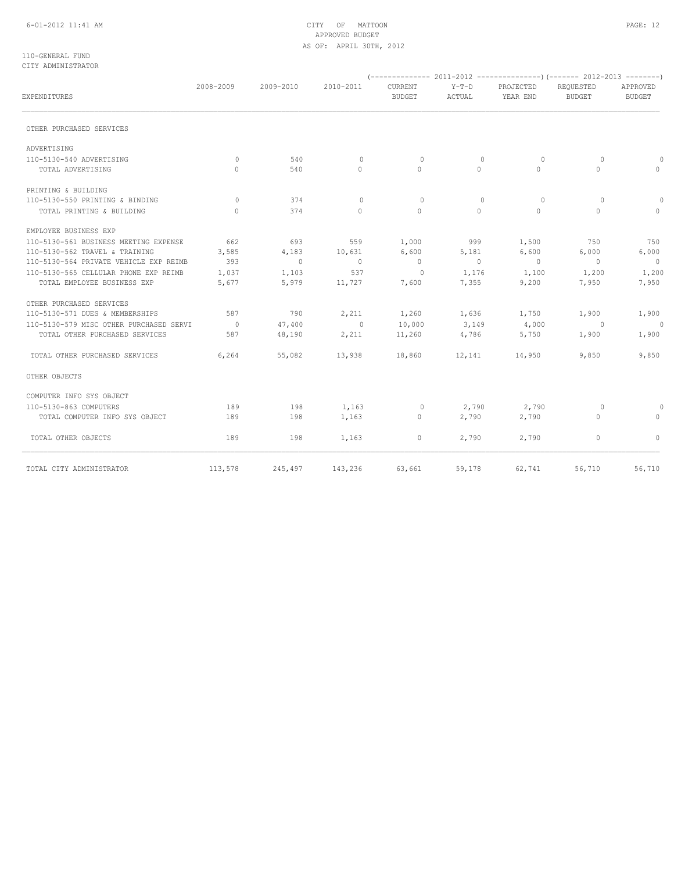## 6-01-2012 11:41 AM CITY OF MATTOON PAGE: 12 APPROVED BUDGET AS OF: APRIL 30TH, 2012

### 110-GENERAL FUND CITY ADMINISTRATOR

|                                         | 2008-2009 | 2009-2010 | 2010-2011    | CURRENT        | $Y-T-D$  | PROJECTED      | REQUESTED     | APPROVED       |
|-----------------------------------------|-----------|-----------|--------------|----------------|----------|----------------|---------------|----------------|
| EXPENDITURES                            |           |           |              | BUDGET         | ACTUAL   | YEAR END       | <b>BUDGET</b> | <b>BUDGET</b>  |
| OTHER PURCHASED SERVICES                |           |           |              |                |          |                |               |                |
| ADVERTISING                             |           |           |              |                |          |                |               |                |
| 110-5130-540 ADVERTISING                | $\Omega$  | 540       | $\mathbf{0}$ | $\mathbf{0}$   | $\Omega$ | 0              | $\Omega$      | $\circ$        |
| TOTAL ADVERTISING                       | $\Omega$  | 540       | $\circ$      | $\Omega$       | $\Omega$ | $\Omega$       | $\Omega$      | $\circ$        |
| PRINTING & BUILDING                     |           |           |              |                |          |                |               |                |
| 110-5130-550 PRINTING & BINDING         | $\Omega$  | 374       | $\mathbf{0}$ | $\Omega$       | $\Omega$ | $\Omega$       | $\Omega$      | $\Omega$       |
| TOTAL PRINTING & BUILDING               | $\Omega$  | 374       | $\Omega$     | $\circ$        | $\Omega$ | $\Omega$       | $\Omega$      | $\circ$        |
| EMPLOYEE BUSINESS EXP                   |           |           |              |                |          |                |               |                |
| 110-5130-561 BUSINESS MEETING EXPENSE   | 662       | 693       | 559          | 1,000          | 999      | 1,500          | 750           | 750            |
| 110-5130-562 TRAVEL & TRAINING          | 3,585     | 4,183     | 10,631       | 6,600          | 5,181    | 6,600          | 6,000         | 6,000          |
| 110-5130-564 PRIVATE VEHICLE EXP REIMB  | 393       | $\sim$ 0  | $\sim$ 0     | $\overline{0}$ | $\sim$ 0 | $\overline{0}$ | $\sim$ 0      | $\overline{0}$ |
| 110-5130-565 CELLULAR PHONE EXP REIMB   | 1,037     | 1,103     | 537          | $\sim$ 0       | 1,176    | 1,100          | 1,200         | 1,200          |
| TOTAL EMPLOYEE BUSINESS EXP             | 5,677     | 5,979     | 11,727       | 7,600          | 7,355    | 9,200          | 7,950         | 7,950          |
| OTHER PURCHASED SERVICES                |           |           |              |                |          |                |               |                |
| 110-5130-571 DUES & MEMBERSHIPS         | 587       | 790       | 2,211        | 1,260          | 1,636    | 1,750          | 1,900         | 1,900          |
| 110-5130-579 MISC OTHER PURCHASED SERVI | $\sim$ 0  | 47,400    | $\sim$ 0     | 10,000         | 3,149    | 4,000          | $\sim$ 0      | $\overline{0}$ |
| TOTAL OTHER PURCHASED SERVICES          | 587       | 48,190    | 2,211        | 11,260         | 4,786    | 5,750          | 1,900         | 1,900          |
| TOTAL OTHER PURCHASED SERVICES          | 6,264     | 55,082    | 13,938       | 18,860         | 12,141   | 14,950         | 9,850         | 9,850          |
| OTHER OBJECTS                           |           |           |              |                |          |                |               |                |
| COMPUTER INFO SYS OBJECT                |           |           |              |                |          |                |               |                |
| 110-5130-863 COMPUTERS                  | 189       | 198       | 1,163        | $\circ$        | 2,790    | 2,790          | $\circ$       | $\circ$        |
| TOTAL COMPUTER INFO SYS OBJECT          | 189       | 198       | 1,163        | $\circ$        | 2,790    | 2,790          | $\circ$       | $\circ$        |
| TOTAL OTHER OBJECTS                     | 189       | 198       | 1,163        | $\circ$        | 2,790    | 2,790          | $\circ$       | $\Omega$       |
| TOTAL CITY ADMINISTRATOR                | 113,578   | 245,497   |              | 143,236 63,661 | 59,178   | 62,741         | 56,710        | 56,710         |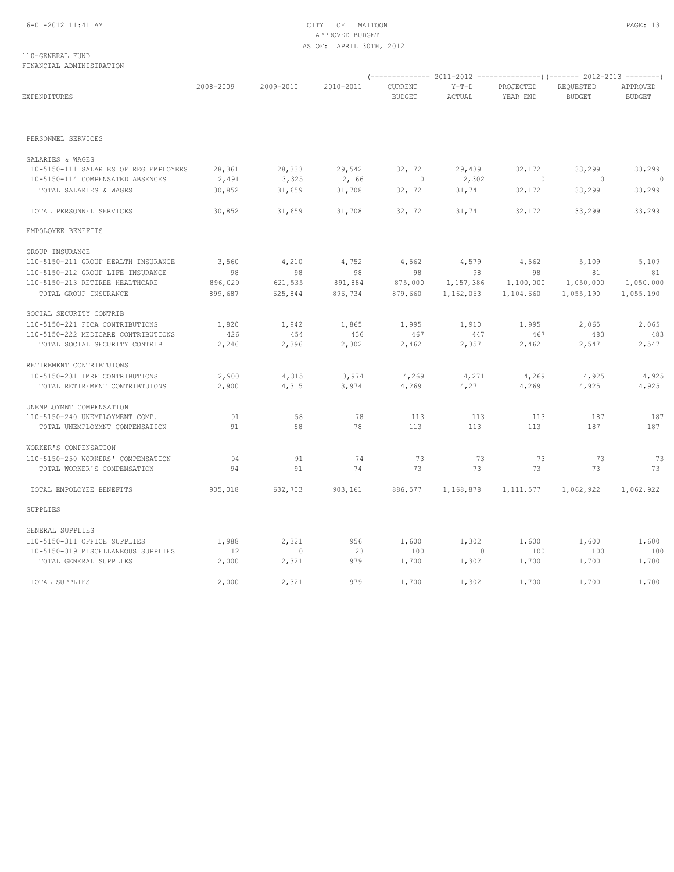## 6-01-2012 11:41 AM CITY OF MATTOON PAGE: 13 APPROVED BUDGET AS OF: APRIL 30TH, 2012

### 110-GENERAL FUND FINANCIAL ADMINISTRATION

| EXPENDITURES                           | 2008-2009 | 2009-2010 | 2010-2011 | CURRENT<br><b>BUDGET</b> | $Y-T-D$<br>ACTUAL | PROJECTED<br>YEAR END | REQUESTED<br><b>BUDGET</b> | APPROVED<br><b>BUDGET</b> |  |
|----------------------------------------|-----------|-----------|-----------|--------------------------|-------------------|-----------------------|----------------------------|---------------------------|--|
|                                        |           |           |           |                          |                   |                       |                            |                           |  |
| PERSONNEL SERVICES                     |           |           |           |                          |                   |                       |                            |                           |  |
| SALARIES & WAGES                       |           |           |           |                          |                   |                       |                            |                           |  |
| 110-5150-111 SALARIES OF REG EMPLOYEES | 28,361    | 28,333    | 29,542    | 32,172                   | 29,439            | 32,172                | 33,299                     | 33,299                    |  |
| 110-5150-114 COMPENSATED ABSENCES      | 2,491     | 3,325     | 2,166     | $\sim$ 0                 | 2,302             | $\sim$ 0              | $\sim$ 0                   | $\sim$ 0                  |  |
| TOTAL SALARIES & WAGES                 | 30,852    | 31,659    | 31,708    | 32,172                   | 31,741            | 32,172                | 33,299                     | 33,299                    |  |
| TOTAL PERSONNEL SERVICES               | 30,852    | 31,659    | 31,708    | 32,172                   | 31,741            | 32,172                | 33,299                     | 33,299                    |  |
| EMPOLOYEE BENEFITS                     |           |           |           |                          |                   |                       |                            |                           |  |
| GROUP INSURANCE                        |           |           |           |                          |                   |                       |                            |                           |  |
| 110-5150-211 GROUP HEALTH INSURANCE    | 3,560     | 4,210     | 4,752     | 4,562                    | 4,579             | 4,562                 | 5,109                      | 5,109                     |  |
| 110-5150-212 GROUP LIFE INSURANCE      | 98        | 98        | 98        | 98                       | 98                | 98                    | 81                         | 81                        |  |
| 110-5150-213 RETIREE HEALTHCARE        | 896,029   | 621,535   | 891,884   | 875,000                  | 1,157,386         | 1,100,000             | 1,050,000                  | 1,050,000                 |  |
| TOTAL GROUP INSURANCE                  | 899,687   | 625,844   | 896,734   | 879,660                  | 1,162,063         | 1,104,660             | 1,055,190                  | 1,055,190                 |  |
| SOCIAL SECURITY CONTRIB                |           |           |           |                          |                   |                       |                            |                           |  |
| 110-5150-221 FICA CONTRIBUTIONS        | 1,820     | 1,942     | 1,865     | 1,995                    | 1,910             | 1,995                 | 2,065                      | 2,065                     |  |
| 110-5150-222 MEDICARE CONTRIBUTIONS    | 426       | 454       | 436       | 467                      | 447               | 467                   | 483                        | 483                       |  |
| TOTAL SOCIAL SECURITY CONTRIB          | 2,246     | 2,396     | 2,302     | 2,462                    | 2,357             | 2,462                 | 2,547                      | 2,547                     |  |
| RETIREMENT CONTRIBTUIONS               |           |           |           |                          |                   |                       |                            |                           |  |
| 110-5150-231 IMRF CONTRIBUTIONS        | 2,900     | 4,315     | 3,974     | 4,269                    | 4,271             | 4,269                 | 4,925                      | 4,925                     |  |
| TOTAL RETIREMENT CONTRIBTUIONS         | 2,900     | 4,315     | 3,974     | 4,269                    | 4,271             | 4,269                 | 4,925                      | 4,925                     |  |
| UNEMPLOYMNT COMPENSATION               |           |           |           |                          |                   |                       |                            |                           |  |
| 110-5150-240 UNEMPLOYMENT COMP.        | 91        | 58        | 78        | 113                      | 113               | 113                   | 187                        | 187                       |  |
| TOTAL UNEMPLOYMNT COMPENSATION         | 91        | 58        | 78        | 113                      | 113               | 113                   | 187                        | 187                       |  |
| WORKER'S COMPENSATION                  |           |           |           |                          |                   |                       |                            |                           |  |
| 110-5150-250 WORKERS' COMPENSATION     | 94        | 91        | 74        | 73                       | 73                | 73                    | 73                         | 73                        |  |
| TOTAL WORKER'S COMPENSATION            | 94        | 91        | 74        | 73                       | 73                | 73                    | 73                         | 73                        |  |
| TOTAL EMPOLOYEE BENEFITS               | 905,018   | 632,703   | 903,161   | 886,577                  | 1,168,878         |                       | 1, 111, 577 1, 062, 922    | 1,062,922                 |  |
| SUPPLIES                               |           |           |           |                          |                   |                       |                            |                           |  |
| GENERAL SUPPLIES                       |           |           |           |                          |                   |                       |                            |                           |  |
| 110-5150-311 OFFICE SUPPLIES           | 1,988     | 2,321     | 956       | 1,600                    | 1,302             | 1,600                 | 1,600                      | 1,600                     |  |
| 110-5150-319 MISCELLANEOUS SUPPLIES    | 12        | $\sim$ 0  | 23        | 100                      | $\sim$ 0          | 100                   | 100                        | 100                       |  |
| TOTAL GENERAL SUPPLIES                 | 2,000     | 2,321     | 979       | 1,700                    | 1,302             | 1,700                 | 1,700                      | 1,700                     |  |
| TOTAL SUPPLIES                         | 2,000     | 2,321     | 979       | 1,700                    | 1,302             | 1,700                 | 1,700                      | 1,700                     |  |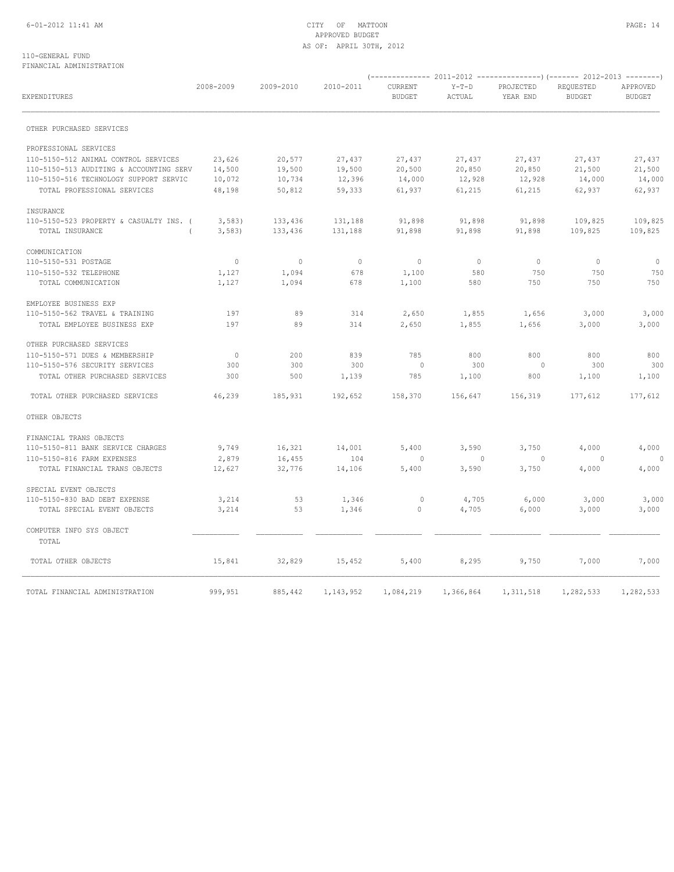### 110-GENERAL FUND FINANCIAL ADMINISTRATION

| EXPENDITURES                            | 2008-2009      | 2009-2010    | 2010-2011      | CURRENT<br><b>BUDGET</b> | $Y-T-D$<br>ACTUAL | PROJECTED<br>YEAR END | REQUESTED<br><b>BUDGET</b> | APPROVED<br><b>BUDGET</b> |
|-----------------------------------------|----------------|--------------|----------------|--------------------------|-------------------|-----------------------|----------------------------|---------------------------|
|                                         |                |              |                |                          |                   |                       |                            |                           |
| OTHER PURCHASED SERVICES                |                |              |                |                          |                   |                       |                            |                           |
| PROFESSIONAL SERVICES                   |                |              |                |                          |                   |                       |                            |                           |
| 110-5150-512 ANIMAL CONTROL SERVICES    | 23,626         | 20,577       | 27,437         | 27,437                   | 27,437            | 27,437                | 27,437                     | 27,437                    |
| 110-5150-513 AUDITING & ACCOUNTING SERV | 14,500         | 19,500       | 19,500         | 20,500                   | 20,850            | 20,850                | 21,500                     | 21,500                    |
| 110-5150-516 TECHNOLOGY SUPPORT SERVIC  | 10,072         | 10,734       | 12,396         | 14,000                   | 12,928            | 12,928                | 14,000                     | 14,000                    |
| TOTAL PROFESSIONAL SERVICES             | 48,198         | 50,812       | 59,333         | 61,937                   | 61,215            | 61,215                | 62,937                     | 62,937                    |
| INSURANCE                               |                |              |                |                          |                   |                       |                            |                           |
| 110-5150-523 PROPERTY & CASUALTY INS. ( | 3,583          | 133,436      | 131,188        | 91,898                   | 91,898            | 91,898                | 109,825                    | 109,825                   |
| TOTAL INSURANCE                         | 3,583)         | 133,436      | 131,188        | 91,898                   | 91,898            | 91,898                | 109,825                    | 109,825                   |
| COMMUNICATION                           |                |              |                |                          |                   |                       |                            |                           |
| 110-5150-531 POSTAGE                    | $\circ$        | $\mathbf{0}$ | $\overline{0}$ | $\circ$                  | $\overline{0}$    | $\mathbf{0}$          | $\circ$                    | $\circ$                   |
| 110-5150-532 TELEPHONE                  | 1,127          | 1,094        | 678            | 1,100                    | 580               | 750                   | 750                        | 750                       |
| TOTAL COMMUNICATION                     | 1,127          | 1,094        | 678            | 1,100                    | 580               | 750                   | 750                        | 750                       |
| EMPLOYEE BUSINESS EXP                   |                |              |                |                          |                   |                       |                            |                           |
| 110-5150-562 TRAVEL & TRAINING          | 197            | 89           | 314            | 2,650                    | 1,855             | 1,656                 | 3,000                      | 3,000                     |
| TOTAL EMPLOYEE BUSINESS EXP             | 197            | 89           | 314            | 2,650                    | 1,855             | 1,656                 | 3,000                      | 3,000                     |
| OTHER PURCHASED SERVICES                |                |              |                |                          |                   |                       |                            |                           |
| 110-5150-571 DUES & MEMBERSHIP          | $\overline{0}$ | 200          | 839            | 785                      | 800               | 800                   | 800                        | 800                       |
| 110-5150-576 SECURITY SERVICES          | 300            | 300          | 300            | $\overline{0}$           | 300               | $\circ$               | 300                        | 300                       |
| TOTAL OTHER PURCHASED SERVICES          | 300            | 500          | 1,139          | 785                      | 1,100             | 800                   | 1,100                      | 1,100                     |
| TOTAL OTHER PURCHASED SERVICES          | 46,239         | 185,931      | 192,652        | 158,370                  | 156,647           | 156,319               | 177,612                    | 177,612                   |
| OTHER OBJECTS                           |                |              |                |                          |                   |                       |                            |                           |
| FINANCIAL TRANS OBJECTS                 |                |              |                |                          |                   |                       |                            |                           |
| 110-5150-811 BANK SERVICE CHARGES       | 9,749          | 16,321       | 14,001         | 5,400                    | 3,590             | 3,750                 | 4,000                      | 4,000                     |
| 110-5150-816 FARM EXPENSES              | 2,879          | 16,455       | 104            | $\circ$                  | $\circ$           | $\circ$               | $\circ$                    | $\circ$                   |
| TOTAL FINANCIAL TRANS OBJECTS           | 12,627         | 32,776       | 14,106         | 5,400                    | 3,590             | 3,750                 | 4,000                      | 4,000                     |
| SPECIAL EVENT OBJECTS                   |                |              |                |                          |                   |                       |                            |                           |
| 110-5150-830 BAD DEBT EXPENSE           | 3,214          | 53           | 1,346          | $\circ$                  | 4,705             | 6,000                 | 3,000                      | 3,000                     |
| TOTAL SPECIAL EVENT OBJECTS             | 3,214          | 53           | 1,346          | $\circ$                  | 4,705             | 6,000                 | 3,000                      | 3,000                     |
| COMPUTER INFO SYS OBJECT                |                |              |                |                          |                   |                       |                            |                           |
| TOTAL                                   |                |              |                |                          |                   |                       |                            |                           |
| TOTAL OTHER OBJECTS                     | 15,841         | 32,829       | 15,452         | 5,400                    | 8,295             | 9,750                 | 7,000                      | 7,000                     |
| TOTAL FINANCIAL ADMINISTRATION          | 999,951        | 885,442      | 1,143,952      | 1,084,219                | 1,366,864         | 1, 311, 518           | 1,282,533                  | 1,282,533                 |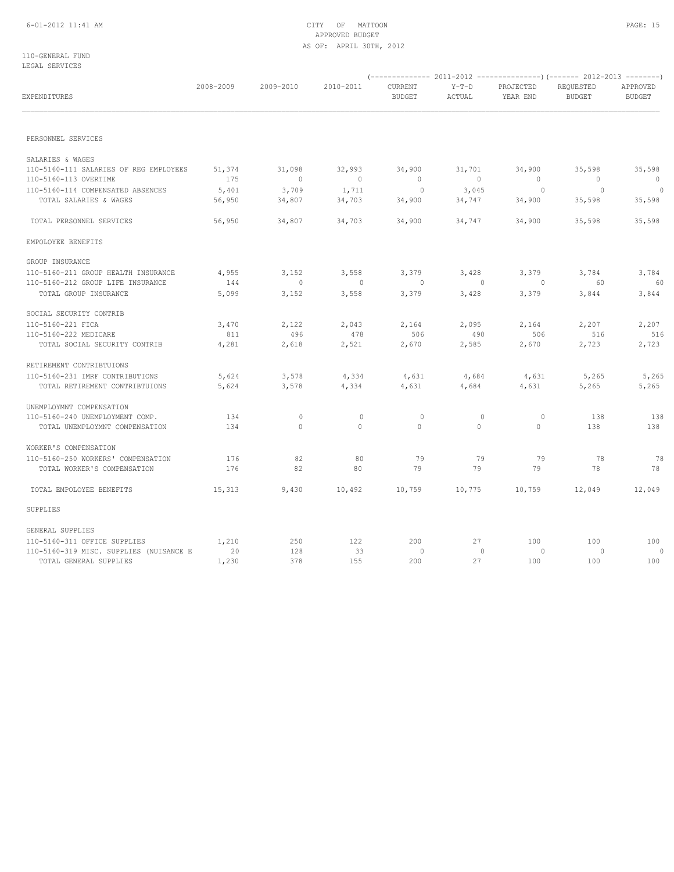110-GENERAL FUND LEGAL SERVICES

| טשטואראשה חשמשת                         |           |             |                |                          |                   |                       |                            |                           |
|-----------------------------------------|-----------|-------------|----------------|--------------------------|-------------------|-----------------------|----------------------------|---------------------------|
| <b>EXPENDITURES</b>                     | 2008-2009 | 2009-2010   | 2010-2011      | CURRENT<br><b>BUDGET</b> | $Y-T-D$<br>ACTUAL | PROJECTED<br>YEAR END | REQUESTED<br><b>BUDGET</b> | APPROVED<br><b>BUDGET</b> |
| PERSONNEL SERVICES                      |           |             |                |                          |                   |                       |                            |                           |
|                                         |           |             |                |                          |                   |                       |                            |                           |
| SALARIES & WAGES                        |           |             |                |                          |                   |                       |                            |                           |
| 110-5160-111 SALARIES OF REG EMPLOYEES  | 51,374    | 31,098      | 32,993         | 34,900                   | 31,701            | 34,900                | 35,598                     | 35,598                    |
| 110-5160-113 OVERTIME                   | 175       | $\mathbb O$ | $\overline{0}$ | $\circ$                  | $\circ$           | $\mathbf{0}$          | $\overline{0}$             | $\circ$                   |
| 110-5160-114 COMPENSATED ABSENCES       | 5,401     | 3,709       | 1,711          | $\circ$                  | 3,045             | $\circ$               | $\sim$ 0                   | $\sim$ 0                  |
| TOTAL SALARIES & WAGES                  | 56,950    | 34,807      | 34,703         | 34,900                   | 34,747            | 34,900                | 35,598                     | 35,598                    |
| TOTAL PERSONNEL SERVICES                | 56,950    | 34,807      | 34,703         | 34,900                   | 34,747            | 34,900                | 35,598                     | 35,598                    |
| EMPOLOYEE BENEFITS                      |           |             |                |                          |                   |                       |                            |                           |
| GROUP INSURANCE                         |           |             |                |                          |                   |                       |                            |                           |
| 110-5160-211 GROUP HEALTH INSURANCE     | 4,955     | 3,152       | 3,558          | 3,379                    | 3,428             | 3,379                 | 3,784                      | 3,784                     |
| 110-5160-212 GROUP LIFE INSURANCE       | 144       | $\circ$     | $\mathbf{0}$   | $\circ$                  | 0                 | $\circ$               | - 60                       | -60                       |
| TOTAL GROUP INSURANCE                   | 5,099     | 3,152       | 3,558          | 3,379                    | 3,428             | 3,379                 | 3,844                      | 3,844                     |
| SOCIAL SECURITY CONTRIB                 |           |             |                |                          |                   |                       |                            |                           |
| 110-5160-221 FICA                       | 3,470     | 2,122       | 2,043          | 2,164                    | 2,095             | 2,164                 | 2,207                      | 2,207                     |
| 110-5160-222 MEDICARE                   | 811       | 496         | 478            | 506                      | 490               | 506                   | 516                        | 516                       |
| TOTAL SOCIAL SECURITY CONTRIB           | 4,281     | 2,618       | 2,521          | 2,670                    | 2,585             | 2,670                 | 2,723                      | 2,723                     |
| RETIREMENT CONTRIBTUIONS                |           |             |                |                          |                   |                       |                            |                           |
| 110-5160-231 IMRF CONTRIBUTIONS         | 5,624     | 3,578       | 4,334          | 4,631                    | 4,684             | 4,631                 | 5,265                      | 5,265                     |
| TOTAL RETIREMENT CONTRIBTUIONS          | 5,624     | 3,578       | 4,334          | 4,631                    | 4,684             | 4,631                 | 5,265                      | 5,265                     |
| UNEMPLOYMNT COMPENSATION                |           |             |                |                          |                   |                       |                            |                           |
| 110-5160-240 UNEMPLOYMENT COMP.         | 134       | 0           | $\mathbf 0$    | 0                        | 0                 | 0                     | 138                        | 138                       |
| TOTAL UNEMPLOYMNT COMPENSATION          | 134       | $\circ$     | $\circ$        | $\circ$                  | $\circ$           | $\mathbf{0}$          | 138                        | 138                       |
|                                         |           |             |                |                          |                   |                       |                            |                           |
| WORKER'S COMPENSATION                   |           |             |                |                          |                   |                       |                            |                           |
| 110-5160-250 WORKERS' COMPENSATION      | 176       | 82          | 80             | 79                       | 79                | 79                    | 78                         | 78                        |
| TOTAL WORKER'S COMPENSATION             | 176       | 82          | 80             | 79                       | 79                | 79                    | 78                         | 78                        |
| TOTAL EMPOLOYEE BENEFITS                | 15,313    | 9,430       | 10,492         | 10,759                   | 10,775            | 10,759                | 12,049                     | 12,049                    |
| SUPPLIES                                |           |             |                |                          |                   |                       |                            |                           |
| GENERAL SUPPLIES                        |           |             |                |                          |                   |                       |                            |                           |
| 110-5160-311 OFFICE SUPPLIES            | 1,210     | 250         | 122            | 200                      | 27                | 100                   | 100                        | 100                       |
| 110-5160-319 MISC. SUPPLIES (NUISANCE E | 20        | 128         | 33             | $\circ$                  | $\circ$           | $\circ$               | $\circ$                    | $\circ$                   |
| TOTAL GENERAL SUPPLIES                  | 1,230     | 378         | 155            | 200                      | 27                | 100                   | 100                        | 100                       |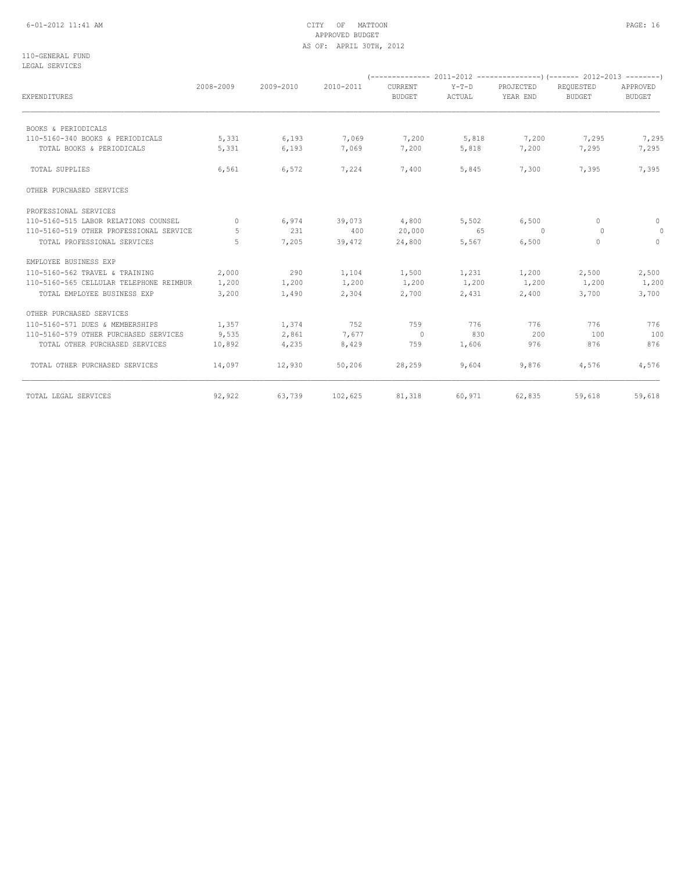## 6-01-2012 11:41 AM CITY OF MATTOON PAGE: 16 APPROVED BUDGET AS OF: APRIL 30TH, 2012

110-GENERAL FUND LEGAL SERVICES

|                                         | 2008-2009 | 2009-2010 | 2010-2011 | CURRENT       | $Y-T-D$ | PROJECTED | REOUESTED     | APPROVED      |
|-----------------------------------------|-----------|-----------|-----------|---------------|---------|-----------|---------------|---------------|
| EXPENDITURES                            |           |           |           | <b>BUDGET</b> | ACTUAL  | YEAR END  | <b>BUDGET</b> | <b>BUDGET</b> |
| BOOKS & PERIODICALS                     |           |           |           |               |         |           |               |               |
| 110-5160-340 BOOKS & PERIODICALS        | 5,331     | 6,193     | 7,069     | 7,200         | 5,818   | 7,200     | 7,295         | 7,295         |
| TOTAL BOOKS & PERIODICALS               | 5,331     | 6,193     | 7,069     | 7,200         | 5,818   | 7,200     | 7,295         | 7,295         |
| TOTAL SUPPLIES                          | 6,561     | 6,572     | 7,224     | 7,400         | 5,845   | 7,300     | 7,395         | 7,395         |
| OTHER PURCHASED SERVICES                |           |           |           |               |         |           |               |               |
| PROFESSIONAL SERVICES                   |           |           |           |               |         |           |               |               |
| 110-5160-515 LABOR RELATIONS COUNSEL    | $\Omega$  | 6,974     | 39,073    | 4,800         | 5,502   | 6,500     | $\Omega$      | $\circ$       |
| 110-5160-519 OTHER PROFESSIONAL SERVICE | 5         | 231       | 400       | 20,000        | 65      | $\sim$ 0  | $\Omega$      | $\circ$       |
| TOTAL PROFESSIONAL SERVICES             | 5         | 7,205     | 39,472    | 24,800        | 5,567   | 6,500     | $\Omega$      | $\Omega$      |
| EMPLOYEE BUSINESS EXP                   |           |           |           |               |         |           |               |               |
| 110-5160-562 TRAVEL & TRAINING          | 2,000     | 290       | 1,104     | 1,500         | 1,231   | 1,200     | 2,500         | 2,500         |
| 110-5160-565 CELLULAR TELEPHONE REIMBUR | 1,200     | 1,200     | 1,200     | 1,200         | 1,200   | 1,200     | 1,200         | 1,200         |
| TOTAL EMPLOYEE BUSINESS EXP             | 3,200     | 1,490     | 2,304     | 2,700         | 2,431   | 2,400     | 3,700         | 3,700         |
| OTHER PURCHASED SERVICES                |           |           |           |               |         |           |               |               |
| 110-5160-571 DUES & MEMBERSHIPS         | 1,357     | 1,374     | 752       | 759           | 776     | 776       | 776           | 776           |
| 110-5160-579 OTHER PURCHASED SERVICES   | 9,535     | 2,861     | 7,677     | $\sim$ 0      | 830     | 200       | 100           | 100           |
| TOTAL OTHER PURCHASED SERVICES          | 10,892    | 4,235     | 8,429     | 759           | 1,606   | 976       | 876           | 876           |
| TOTAL OTHER PURCHASED SERVICES          | 14,097    | 12,930    | 50,206    | 28,259        | 9,604   | 9,876     | 4,576         | 4,576         |
| TOTAL LEGAL SERVICES                    | 92,922    | 63,739    | 102,625   | 81,318        | 60,971  | 62,835    | 59,618        | 59,618        |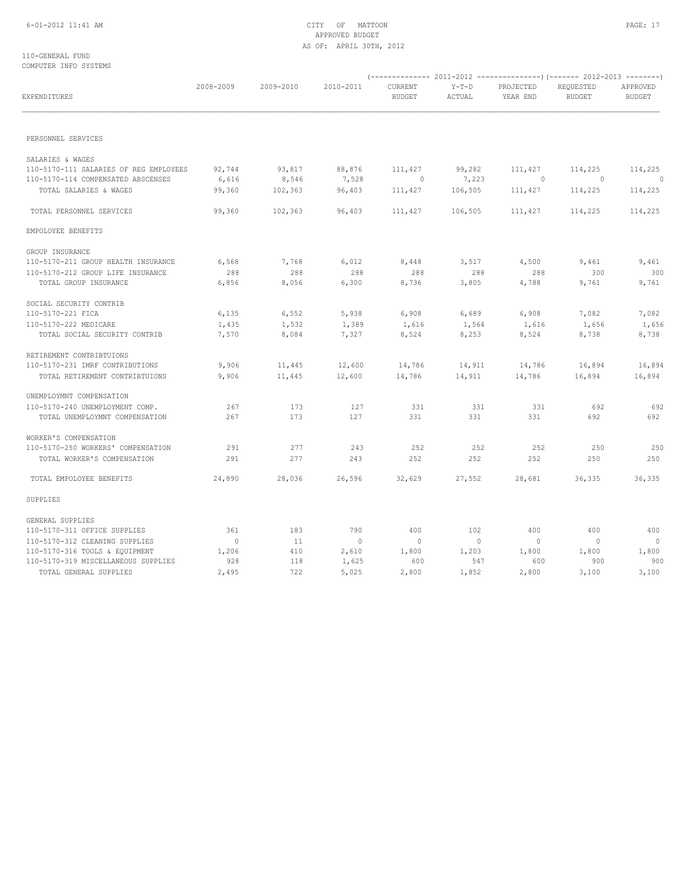## 6-01-2012 11:41 AM CITY OF MATTOON PAGE: 17 APPROVED BUDGET AS OF: APRIL 30TH, 2012

### 110-GENERAL FUND COMPUTER INFO SYSTEMS

| EXPENDITURES                           | 2008-2009      | 2009-2010 | 2010-2011      | CURRENT<br><b>BUDGET</b> | $Y-T-D$<br>ACTUAL | PROJECTED<br>YEAR END | REQUESTED<br><b>BUDGET</b> | APPROVED<br><b>BUDGET</b> |  |
|----------------------------------------|----------------|-----------|----------------|--------------------------|-------------------|-----------------------|----------------------------|---------------------------|--|
| PERSONNEL SERVICES                     |                |           |                |                          |                   |                       |                            |                           |  |
| SALARIES & WAGES                       |                |           |                |                          |                   |                       |                            |                           |  |
| 110-5170-111 SALARIES OF REG EMPLOYEES | 92,744         | 93,817    | 88,876         | 111,427                  | 99,282            | 111,427               | 114,225                    | 114,225                   |  |
| 110-5170-114 COMPENSATED ABSCENSES     | 6,616          | 8,546     | 7,528          | $\mathbb O$              | 7,223             | $\circ$               | $\overline{0}$             | $\circ$                   |  |
| TOTAL SALARIES & WAGES                 | 99,360         | 102,363   | 96,403         | 111,427                  | 106,505           | 111,427               | 114,225                    | 114,225                   |  |
| TOTAL PERSONNEL SERVICES               | 99,360         | 102,363   | 96,403         | 111,427                  | 106,505           | 111,427               | 114,225                    | 114,225                   |  |
| EMPOLOYEE BENEFITS                     |                |           |                |                          |                   |                       |                            |                           |  |
| GROUP INSURANCE                        |                |           |                |                          |                   |                       |                            |                           |  |
| 110-5170-211 GROUP HEALTH INSURANCE    | 6,568          | 7,768     | 6,012          | 8,448                    | 3,517             | 4,500                 | 9,461                      | 9,461                     |  |
| 110-5170-212 GROUP LIFE INSURANCE      | 288            | 288       | 288            | 288                      | 288               | 288                   | 300                        | 300                       |  |
| TOTAL GROUP INSURANCE                  | 6,856          | 8,056     | 6,300          | 8,736                    | 3,805             | 4,788                 | 9,761                      | 9,761                     |  |
| SOCIAL SECURITY CONTRIB                |                |           |                |                          |                   |                       |                            |                           |  |
| 110-5170-221 FICA                      | 6,135          | 6,552     | 5,938          | 6,908                    | 6,689             | 6,908                 | 7,082                      | 7,082                     |  |
| 110-5170-222 MEDICARE                  | 1,435          | 1,532     | 1,389          | 1,616                    | 1,564             | 1,616                 | 1,656                      | 1,656                     |  |
| TOTAL SOCIAL SECURITY CONTRIB          | 7,570          | 8,084     | 7,327          | 8,524                    | 8,253             | 8,524                 | 8,738                      | 8,738                     |  |
| RETIREMENT CONTRIBTUIONS               |                |           |                |                          |                   |                       |                            |                           |  |
| 110-5170-231 IMRF CONTRIBUTIONS        | 9,906          | 11,445    | 12,600         | 14,786                   | 14,911            | 14,786                | 16,894                     | 16,894                    |  |
| TOTAL RETIREMENT CONTRIBTUIONS         | 9,906          | 11,445    | 12,600         | 14,786                   | 14,911            | 14,786                | 16,894                     | 16,894                    |  |
| UNEMPLOYMNT COMPENSATION               |                |           |                |                          |                   |                       |                            |                           |  |
| 110-5170-240 UNEMPLOYMENT COMP.        | 267            | 173       | 127            | 331                      | 331               | 331                   | 692                        | 692                       |  |
| TOTAL UNEMPLOYMNT COMPENSATION         | 267            | 173       | 127            | 331                      | 331               | 331                   | 692                        | 692                       |  |
| WORKER'S COMPENSATION                  |                |           |                |                          |                   |                       |                            |                           |  |
| 110-5170-250 WORKERS' COMPENSATION     | 291            | 277       | 243            | 252                      | 252               | 252                   | 250                        | 250                       |  |
| TOTAL WORKER'S COMPENSATION            | 291            | 277       | 243            | 252                      | 252               | 252                   | 250                        | 250                       |  |
| TOTAL EMPOLOYEE BENEFITS               | 24,890         | 28,036    | 26,596         | 32,629                   | 27,552            | 28,681                | 36,335                     | 36,335                    |  |
| SUPPLIES                               |                |           |                |                          |                   |                       |                            |                           |  |
| GENERAL SUPPLIES                       |                |           |                |                          |                   |                       |                            |                           |  |
| 110-5170-311 OFFICE SUPPLIES           | 361            | 183       | 790            | 400                      | 102               | 400                   | 400                        | 400                       |  |
| 110-5170-312 CLEANING SUPPLIES         | $\overline{0}$ | 11        | $\overline{0}$ | $\overline{0}$           | $\overline{0}$    | $\overline{0}$        | $\overline{0}$             | $\overline{0}$            |  |
| 110-5170-316 TOOLS & EQUIPMENT         | 1,206          | 410       | 2,610          | 1,800                    | 1,203             | 1,800                 | 1,800                      | 1,800                     |  |
| 110-5170-319 MISCELLANEOUS SUPPLIES    | 928            | 118       | 1,625          | 600                      | 547               | 600                   | 900                        | 900                       |  |
| TOTAL GENERAL SUPPLIES                 | 2,495          | 722       | 5,025          | 2,800                    | 1,852             | 2,800                 | 3,100                      | 3,100                     |  |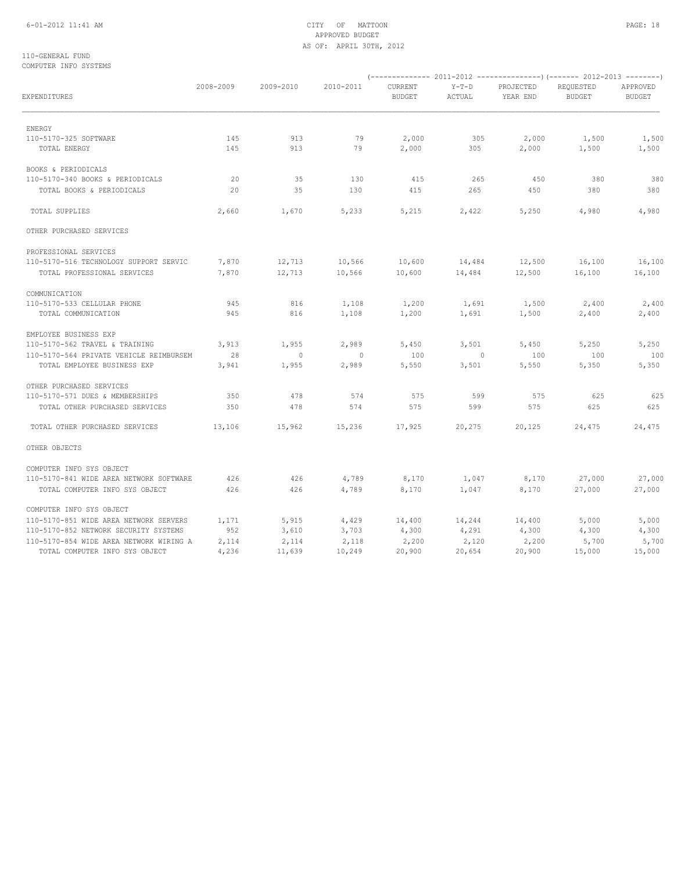## 6-01-2012 11:41 AM CITY OF MATTOON PAGE: 18 APPROVED BUDGET AS OF: APRIL 30TH, 2012

### 110-GENERAL FUND COMPUTER INFO SYSTEMS

| EXPENDITURES                            | 2008-2009 | 2009-2010      | 2010-2011      | CURRENT<br><b>BUDGET</b> | $Y-T-D$<br>ACTUAL | PROJECTED<br>YEAR END | REQUESTED<br><b>BUDGET</b> | APPROVED<br><b>BUDGET</b> |
|-----------------------------------------|-----------|----------------|----------------|--------------------------|-------------------|-----------------------|----------------------------|---------------------------|
| ENERGY                                  |           |                |                |                          |                   |                       |                            |                           |
| 110-5170-325 SOFTWARE                   | 145       | 913            | 79             | 2,000                    | 305               | 2,000                 | 1,500                      | 1,500                     |
| TOTAL ENERGY                            | 145       | 913            | 79             | 2,000                    | 305               | 2,000                 | 1,500                      | 1,500                     |
| BOOKS & PERIODICALS                     |           |                |                |                          |                   |                       |                            |                           |
| 110-5170-340 BOOKS & PERIODICALS        | 20        | 35             | 130            | 415                      | 265               | 450                   | 380                        | 380                       |
| TOTAL BOOKS & PERIODICALS               | 20        | 35             | 130            | 415                      | 265               | 450                   | 380                        | 380                       |
| TOTAL SUPPLIES                          | 2,660     | 1,670          | 5,233          | 5,215                    | 2,422             | 5,250                 | 4,980                      | 4,980                     |
| OTHER PURCHASED SERVICES                |           |                |                |                          |                   |                       |                            |                           |
| PROFESSIONAL SERVICES                   |           |                |                |                          |                   |                       |                            |                           |
| 110-5170-516 TECHNOLOGY SUPPORT SERVIC  | 7,870     | 12,713         | 10,566         | 10,600                   | 14,484            | 12,500                | 16,100                     | 16,100                    |
| TOTAL PROFESSIONAL SERVICES             | 7,870     | 12,713         | 10,566         | 10,600                   | 14,484            | 12,500                | 16,100                     | 16,100                    |
| COMMUNICATION                           |           |                |                |                          |                   |                       |                            |                           |
| 110-5170-533 CELLULAR PHONE             | 945       | 816            | 1,108          | 1,200                    | 1,691             | 1,500                 | 2,400                      | 2,400                     |
| TOTAL COMMUNICATION                     | 945       | 816            | 1,108          | 1,200                    | 1,691             | 1,500                 | 2,400                      | 2,400                     |
| EMPLOYEE BUSINESS EXP                   |           |                |                |                          |                   |                       |                            |                           |
| 110-5170-562 TRAVEL & TRAINING          | 3,913     | 1,955          | 2,989          | 5,450                    | 3,501             | 5,450                 | 5,250                      | 5,250                     |
| 110-5170-564 PRIVATE VEHICLE REIMBURSEM | 28        | $\overline{0}$ | $\overline{0}$ | 100                      | $\overline{0}$    | 100                   | 100                        | 100                       |
| TOTAL EMPLOYEE BUSINESS EXP             | 3,941     | 1,955          | 2,989          | 5,550                    | 3,501             | 5,550                 | 5,350                      | 5,350                     |
| OTHER PURCHASED SERVICES                |           |                |                |                          |                   |                       |                            |                           |
| 110-5170-571 DUES & MEMBERSHIPS         | 350       | 478            | 574            | 575                      | 599               | 575                   | 625                        | 625                       |
| TOTAL OTHER PURCHASED SERVICES          | 350       | 478            | 574            | 575                      | 599               | 575                   | 625                        | 625                       |
| TOTAL OTHER PURCHASED SERVICES          | 13,106    | 15,962         | 15,236         | 17,925                   | 20,275            | 20,125                | 24,475                     | 24,475                    |
| OTHER OBJECTS                           |           |                |                |                          |                   |                       |                            |                           |
| COMPUTER INFO SYS OBJECT                |           |                |                |                          |                   |                       |                            |                           |
| 110-5170-841 WIDE AREA NETWORK SOFTWARE | 426       | 426            | 4,789          | 8,170                    | 1,047             | 8,170                 | 27,000                     | 27,000                    |
| TOTAL COMPUTER INFO SYS OBJECT          | 426       | 426            | 4,789          | 8,170                    | 1,047             | 8,170                 | 27,000                     | 27,000                    |
| COMPUTER INFO SYS OBJECT                |           |                |                |                          |                   |                       |                            |                           |
| 110-5170-851 WIDE AREA NETWORK SERVERS  | 1,171     | 5,915          | 4,429          | 14,400                   | 14,244            | 14,400                | 5,000                      | 5,000                     |
| 110-5170-852 NETWORK SECURITY SYSTEMS   | 952       | 3,610          | 3,703          | 4,300                    | 4,291             | 4,300                 | 4,300                      | 4,300                     |
| 110-5170-854 WIDE AREA NETWORK WIRING A | 2,114     | 2,114          | 2,118          | 2,200                    | 2,120             | 2,200                 | 5,700                      | 5,700                     |
| TOTAL COMPUTER INFO SYS OBJECT          | 4,236     | 11,639         | 10,249         | 20,900                   | 20,654            | 20,900                | 15,000                     | 15,000                    |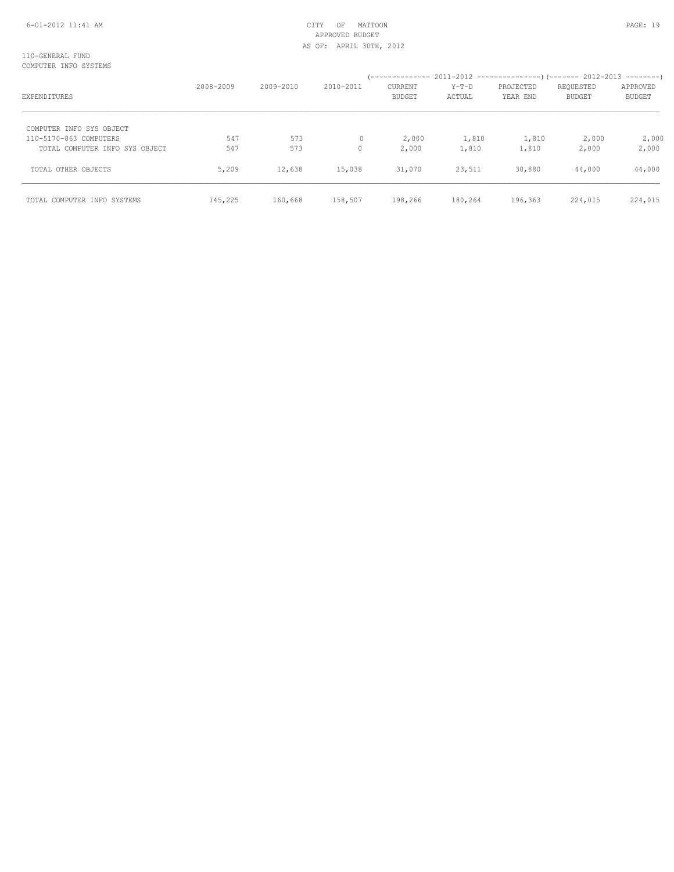| EXPENDITURES                   | 2008-2009 | 2009-2010 | 2010-2011 | CURRENT<br><b>BUDGET</b> | $Y-T-D$<br>ACTUAL | PROJECTED<br>YEAR END | REQUESTED<br><b>BUDGET</b> | APPROVED<br><b>BUDGET</b> |
|--------------------------------|-----------|-----------|-----------|--------------------------|-------------------|-----------------------|----------------------------|---------------------------|
| COMPUTER INFO SYS OBJECT       |           |           |           |                          |                   |                       |                            |                           |
| 110-5170-863 COMPUTERS         | 547       | 573       | 0         | 2,000                    | 1,810             | 1,810                 | 2,000                      | 2,000                     |
| TOTAL COMPUTER INFO SYS OBJECT | 547       | 573       | $\Omega$  | 2,000                    | 1,810             | 1,810                 | 2,000                      | 2,000                     |
| TOTAL OTHER OBJECTS            | 5,209     | 12,638    | 15,038    | 31,070                   | 23,511            | 30,880                | 44,000                     | 44,000                    |
| TOTAL COMPUTER INFO SYSTEMS    | 145,225   | 160,668   | 158,507   | 198,266                  | 180,264           | 196,363               | 224,015                    | 224,015                   |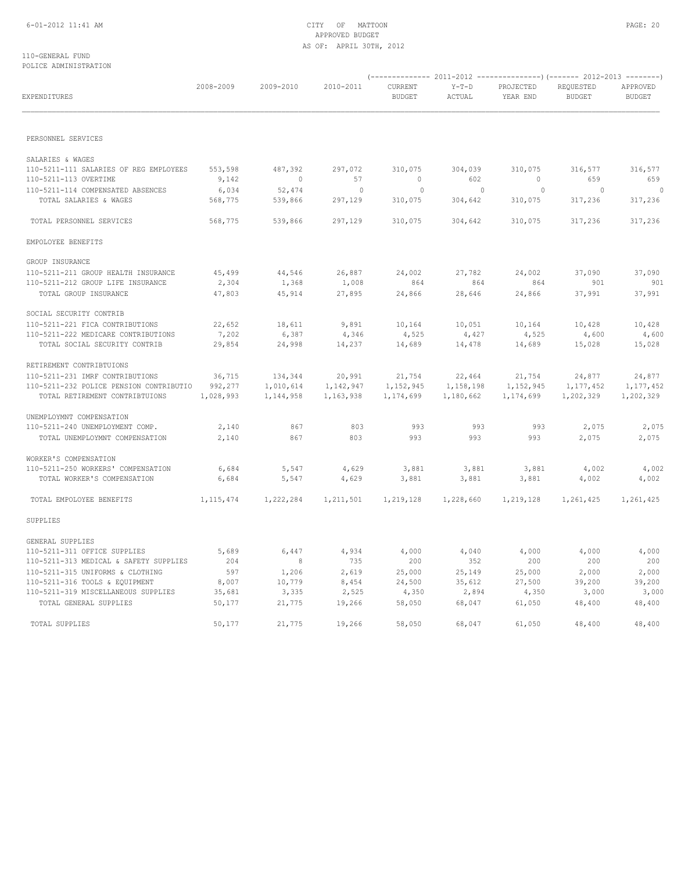## 6-01-2012 11:41 AM CITY OF MATTOON PAGE: 20 APPROVED BUDGET AS OF: APRIL 30TH, 2012

### 110-GENERAL FUND POLICE ADMINISTRATION

| EXPENDITURES                                               | 2008-2009        | 2009-2010         | 2010-2011            | CURRENT<br><b>BUDGET</b>  | $Y-T-D$<br>ACTUAL     | PROJECTED<br>YEAR END            | REQUESTED<br><b>BUDGET</b> | APPROVED<br><b>BUDGET</b> |
|------------------------------------------------------------|------------------|-------------------|----------------------|---------------------------|-----------------------|----------------------------------|----------------------------|---------------------------|
| PERSONNEL SERVICES                                         |                  |                   |                      |                           |                       |                                  |                            |                           |
|                                                            |                  |                   |                      |                           |                       |                                  |                            |                           |
| SALARIES & WAGES                                           |                  |                   |                      |                           |                       |                                  |                            |                           |
| 110-5211-111 SALARIES OF REG EMPLOYEES                     | 553,598          | 487,392           | 297,072              | 310,075                   | 304,039               | 310,075                          | 316,577                    | 316,577                   |
| 110-5211-113 OVERTIME<br>110-5211-114 COMPENSATED ABSENCES | 9,142            | $\sim$ 0          | 57<br>$\overline{0}$ | $\overline{0}$<br>$\circ$ | 602<br>$\overline{0}$ | $\overline{0}$<br>$\overline{0}$ | 659<br>$\overline{0}$      | 659<br>$\overline{0}$     |
| TOTAL SALARIES & WAGES                                     | 6,034<br>568,775 | 52,474<br>539,866 | 297,129              | 310,075                   | 304,642               | 310,075                          | 317,236                    | 317,236                   |
|                                                            |                  |                   |                      |                           |                       |                                  |                            |                           |
| TOTAL PERSONNEL SERVICES                                   | 568,775          | 539,866           | 297,129              | 310,075                   | 304,642               | 310,075                          | 317,236                    | 317,236                   |
| EMPOLOYEE BENEFITS                                         |                  |                   |                      |                           |                       |                                  |                            |                           |
| GROUP INSURANCE                                            |                  |                   |                      |                           |                       |                                  |                            |                           |
| 110-5211-211 GROUP HEALTH INSURANCE                        | 45,499           | 44,546            | 26,887               | 24,002                    | 27,782                | 24,002                           | 37,090                     | 37,090                    |
| 110-5211-212 GROUP LIFE INSURANCE                          | 2,304            | 1,368             | 1,008                | 864                       | 864                   | 864                              | 901                        | 901                       |
| TOTAL GROUP INSURANCE                                      | 47,803           | 45,914            | 27,895               | 24,866                    | 28,646                | 24,866                           | 37,991                     | 37,991                    |
| SOCIAL SECURITY CONTRIB                                    |                  |                   |                      |                           |                       |                                  |                            |                           |
| 110-5211-221 FICA CONTRIBUTIONS                            | 22,652           | 18,611            | 9,891                | 10,164                    | 10,051                | 10,164                           | 10,428                     | 10,428                    |
| 110-5211-222 MEDICARE CONTRIBUTIONS                        | 7,202            | 6,387             | 4,346                | 4,525                     | 4,427                 | 4,525                            | 4,600                      | 4,600                     |
| TOTAL SOCIAL SECURITY CONTRIB                              | 29,854           | 24,998            | 14,237               | 14,689                    | 14,478                | 14,689                           | 15,028                     | 15,028                    |
| RETIREMENT CONTRIBTUIONS                                   |                  |                   |                      |                           |                       |                                  |                            |                           |
| 110-5211-231 IMRF CONTRIBUTIONS                            | 36,715           | 134,344           | 20,991               | 21,754                    | 22,464                | 21,754                           | 24,877                     | 24,877                    |
| 110-5211-232 POLICE PENSION CONTRIBUTIO 992,277            |                  | 1,010,614         | 1,142,947            | 1,152,945                 | 1,158,198             | 1,152,945                        | 1,177,452                  | 1,177,452                 |
| TOTAL RETIREMENT CONTRIBTUIONS                             | 1,028,993        | 1,144,958         | 1,163,938            | 1,174,699                 | 1,180,662             | 1,174,699                        | 1,202,329                  | 1,202,329                 |
| UNEMPLOYMNT COMPENSATION                                   |                  |                   |                      |                           |                       |                                  |                            |                           |
| 110-5211-240 UNEMPLOYMENT COMP.                            | 2,140            | 867               | 803                  | 993                       | 993                   | 993                              | 2,075                      | 2,075                     |
| TOTAL UNEMPLOYMNT COMPENSATION                             | 2,140            | 867               | 803                  | 993                       | 993                   | 993                              | 2,075                      | 2,075                     |
| WORKER'S COMPENSATION                                      |                  |                   |                      |                           |                       |                                  |                            |                           |
| 110-5211-250 WORKERS' COMPENSATION                         | 6,684            | 5,547             | 4,629                | 3,881                     | 3,881                 | 3,881                            | 4,002                      | 4,002                     |
| TOTAL WORKER'S COMPENSATION                                | 6,684            | 5,547             | 4,629                | 3,881                     | 3,881                 | 3,881                            | 4,002                      | 4,002                     |
| TOTAL EMPOLOYEE BENEFITS                                   | 1, 115, 474      | 1,222,284         | 1,211,501            | 1,219,128                 | 1,228,660             | 1,219,128                        | 1,261,425                  | 1,261,425                 |
| SUPPLIES                                                   |                  |                   |                      |                           |                       |                                  |                            |                           |
| GENERAL SUPPLIES                                           |                  |                   |                      |                           |                       |                                  |                            |                           |
| 110-5211-311 OFFICE SUPPLIES                               | 5,689            | 6,447             | 4,934                | 4,000                     | 4,040                 | 4,000                            | 4,000                      | 4,000                     |
| 110-5211-313 MEDICAL & SAFETY SUPPLIES                     | 204              | 8 <sup>8</sup>    | 735                  | 200                       | 352                   | 200                              | 200                        | 200                       |
| 110-5211-315 UNIFORMS & CLOTHING                           | 597              | 1,206             | 2,619                | 25,000                    | 25,149                | 25,000                           | 2,000                      | 2,000                     |
| 110-5211-316 TOOLS & EQUIPMENT                             | 8,007            | 10,779            | 8,454                | 24,500                    | 35,612                | 27,500                           | 39,200                     | 39,200                    |
| 110-5211-319 MISCELLANEOUS SUPPLIES                        | 35,681           | 3,335             | 2,525                | 4,350                     | 2,894                 | 4,350                            | 3,000                      | 3,000                     |
| TOTAL GENERAL SUPPLIES                                     | 50,177           | 21,775            | 19,266               | 58,050                    | 68,047                | 61,050                           | 48,400                     | 48,400                    |
| TOTAL SUPPLIES                                             | 50,177           | 21,775            | 19,266               | 58,050                    | 68,047                | 61,050                           | 48,400                     | 48,400                    |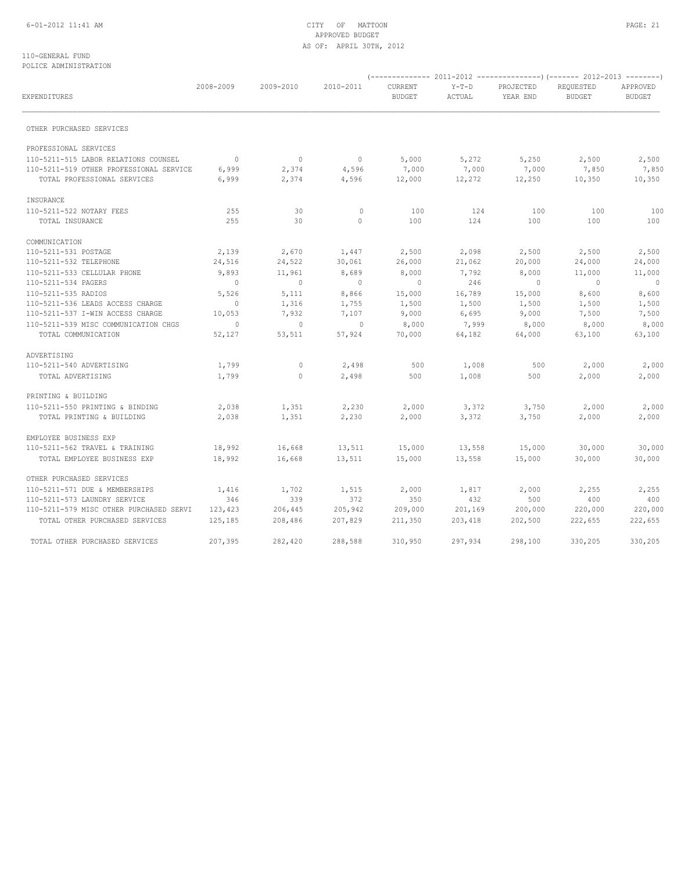## 6-01-2012 11:41 AM CITY OF MATTOON PAGE: 21 APPROVED BUDGET AS OF: APRIL 30TH, 2012

### 110-GENERAL FUND POLICE ADMINISTRATION

| EXPENDITURES                            | 2008-2009      | 2009-2010   | 2010-2011      | CURRENT<br><b>BUDGET</b> | $Y-T-D$<br>ACTUAL | PROJECTED<br>YEAR END | REQUESTED<br><b>BUDGET</b> | APPROVED<br><b>BUDGET</b> |
|-----------------------------------------|----------------|-------------|----------------|--------------------------|-------------------|-----------------------|----------------------------|---------------------------|
| OTHER PURCHASED SERVICES                |                |             |                |                          |                   |                       |                            |                           |
| PROFESSIONAL SERVICES                   |                |             |                |                          |                   |                       |                            |                           |
| 110-5211-515 LABOR RELATIONS COUNSEL    | $\overline{0}$ | $\mathbb O$ | $\overline{0}$ | 5,000                    | 5,272             | 5,250                 | 2,500                      | 2,500                     |
| 110-5211-519 OTHER PROFESSIONAL SERVICE | 6,999          | 2,374       | 4,596          | 7,000                    | 7,000             | 7,000                 | 7,850                      | 7,850                     |
| TOTAL PROFESSIONAL SERVICES             | 6,999          | 2,374       | 4,596          | 12,000                   | 12,272            | 12,250                | 10,350                     | 10,350                    |
| INSURANCE                               |                |             |                |                          |                   |                       |                            |                           |
| 110-5211-522 NOTARY FEES                | 255            | 30          | $\mathbb O$    | 100                      | 124               | 100                   | 100                        | 100                       |
| TOTAL INSURANCE                         | 255            | 30          | $\circ$        | 100                      | 124               | 100                   | 100                        | 100                       |
| COMMUNICATION                           |                |             |                |                          |                   |                       |                            |                           |
| 110-5211-531 POSTAGE                    | 2,139          | 2,670       | 1,447          | 2,500                    | 2,098             | 2,500                 | 2,500                      | 2,500                     |
| 110-5211-532 TELEPHONE                  | 24,516         | 24,522      | 30,061         | 26,000                   | 21,062            | 20,000                | 24,000                     | 24,000                    |
| 110-5211-533 CELLULAR PHONE             | 9,893          | 11,961      | 8,689          | 8,000                    | 7,792             | 8,000                 | 11,000                     | 11,000                    |
| 110-5211-534 PAGERS                     | $\overline{0}$ | $\circ$     | $\overline{0}$ | $\circ$                  | 246               | $\overline{0}$        | $\sim$ 0                   | $\overline{0}$            |
| 110-5211-535 RADIOS                     | 5,526          | 5,111       | 8,866          | 15,000                   | 16,789            | 15,000                | 8,600                      | 8,600                     |
| 110-5211-536 LEADS ACCESS CHARGE        | $\overline{0}$ | 1,316       | 1,755          | 1,500                    | 1,500             | 1,500                 | 1,500                      | 1,500                     |
| 110-5211-537 I-WIN ACCESS CHARGE        | 10,053         | 7,932       | 7,107          | 9,000                    | 6,695             | 9,000                 | 7,500                      | 7,500                     |
| 110-5211-539 MISC COMMUNICATION CHGS    | $\overline{0}$ | $\circ$     | $\sim$ 0       | 8,000                    | 7,999             | 8,000                 | 8,000                      | 8,000                     |
| TOTAL COMMUNICATION                     | 52,127         | 53,511      | 57,924         | 70,000                   | 64,182            | 64,000                | 63,100                     | 63,100                    |
| ADVERTISING                             |                |             |                |                          |                   |                       |                            |                           |
| 110-5211-540 ADVERTISING                | 1,799          | $\circ$     | 2,498          | 500                      | 1,008             | 500                   | 2,000                      | 2,000                     |
| TOTAL ADVERTISING                       | 1,799          | $\circ$     | 2,498          | 500                      | 1,008             | 500                   | 2,000                      | 2,000                     |
| PRINTING & BUILDING                     |                |             |                |                          |                   |                       |                            |                           |
| 110-5211-550 PRINTING & BINDING         | 2,038          | 1,351       | 2,230          | 2,000                    | 3,372             | 3,750                 | 2,000                      | 2,000                     |
| TOTAL PRINTING & BUILDING               | 2,038          | 1,351       | 2,230          | 2,000                    | 3,372             | 3,750                 | 2,000                      | 2,000                     |
| EMPLOYEE BUSINESS EXP                   |                |             |                |                          |                   |                       |                            |                           |
| 110-5211-562 TRAVEL & TRAINING          | 18,992         | 16,668      | 13,511         | 15,000                   | 13,558            | 15,000                | 30,000                     | 30,000                    |
| TOTAL EMPLOYEE BUSINESS EXP             | 18,992         | 16,668      | 13,511         | 15,000                   | 13,558            | 15,000                | 30,000                     | 30,000                    |
| OTHER PURCHASED SERVICES                |                |             |                |                          |                   |                       |                            |                           |
| 110-5211-571 DUE & MEMBERSHIPS          | 1,416          | 1,702       | 1,515          | 2,000                    | 1,817             | 2,000                 | 2,255                      | 2,255                     |
| 110-5211-573 LAUNDRY SERVICE            | 346            | 339         | 372            | 350                      | 432               | 500                   | 400                        | 400                       |
| 110-5211-579 MISC OTHER PURCHASED SERVI | 123,423        | 206,445     | 205,942        | 209,000                  | 201,169           | 200,000               | 220,000                    | 220,000                   |
| TOTAL OTHER PURCHASED SERVICES          | 125,185        | 208,486     | 207,829        | 211,350                  | 203,418           | 202,500               | 222,655                    | 222,655                   |
| TOTAL OTHER PURCHASED SERVICES          | 207,395        | 282,420     | 288,588        | 310,950                  | 297,934           | 298,100               | 330,205                    | 330,205                   |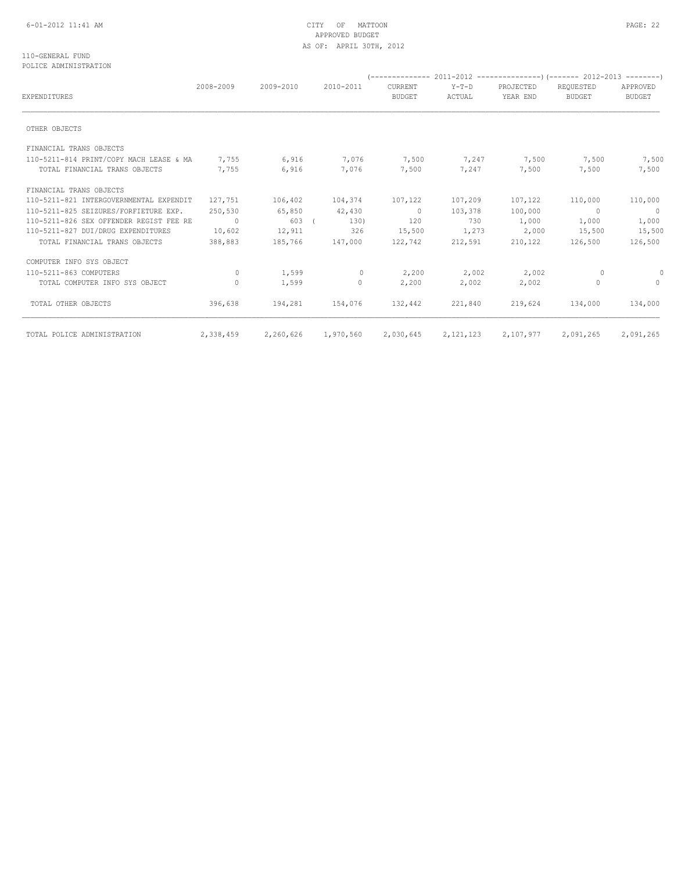## 6-01-2012 11:41 AM CITY OF MATTOON PAGE: 22 APPROVED BUDGET AS OF: APRIL 30TH, 2012

### 110-GENERAL FUND POLICE ADMINISTRATION

|                                         | 2008-2009 | 2009-2010 | 2010-2011 | <b>CURRENT</b> | $Y-T-D$     | PROJECTED | REQUESTED     | APPROVED       |
|-----------------------------------------|-----------|-----------|-----------|----------------|-------------|-----------|---------------|----------------|
| <b>EXPENDITURES</b>                     |           |           |           | <b>BUDGET</b>  | ACTUAL      | YEAR END  | <b>BUDGET</b> | <b>BUDGET</b>  |
| OTHER OBJECTS                           |           |           |           |                |             |           |               |                |
| FINANCIAL TRANS OBJECTS                 |           |           |           |                |             |           |               |                |
| 110-5211-814 PRINT/COPY MACH LEASE & MA | 7,755     | 6,916     | 7,076     | 7,500          | 7,247       | 7,500     | 7,500         | 7,500          |
| TOTAL FINANCIAL TRANS OBJECTS           | 7,755     | 6,916     | 7,076     | 7,500          | 7,247       | 7,500     | 7,500         | 7,500          |
| FINANCIAL TRANS OBJECTS                 |           |           |           |                |             |           |               |                |
| 110-5211-821 INTERGOVERNMENTAL EXPENDIT | 127,751   | 106,402   | 104,374   | 107,122        | 107,209     | 107,122   | 110,000       | 110,000        |
| 110-5211-825 SEIZURES/FORFIETURE EXP.   | 250,530   | 65,850    | 42,430    | $\sim$ 0       | 103,378     | 100,000   | $\Omega$      | $\overline{0}$ |
| 110-5211-826 SEX OFFENDER REGIST FEE RE | $\sim$ 0  | 603 (     | 130)      | 120            | 730         | 1,000     | 1,000         | 1,000          |
| 110-5211-827 DUI/DRUG EXPENDITURES      | 10,602    | 12,911    | 326       | 15,500         | 1,273       | 2,000     | 15,500        | 15,500         |
| TOTAL FINANCIAL TRANS OBJECTS           | 388,883   | 185,766   | 147,000   | 122,742        | 212,591     | 210,122   | 126,500       | 126,500        |
| COMPUTER INFO SYS OBJECT                |           |           |           |                |             |           |               |                |
| 110-5211-863 COMPUTERS                  | $\Omega$  | 1,599     | $\circ$   | 2,200          | 2,002       | 2,002     | 0             | 0              |
| TOTAL COMPUTER INFO SYS OBJECT          | $\Omega$  | 1,599     | 0         | 2,200          | 2,002       | 2,002     | $\Omega$      | $\Omega$       |
| TOTAL OTHER OBJECTS                     | 396,638   | 194,281   | 154,076   | 132,442        | 221,840     | 219,624   | 134,000       | 134,000        |
| TOTAL POLICE ADMINISTRATION             | 2,338,459 | 2,260,626 | 1,970,560 | 2,030,645      | 2, 121, 123 | 2,107,977 | 2,091,265     | 2,091,265      |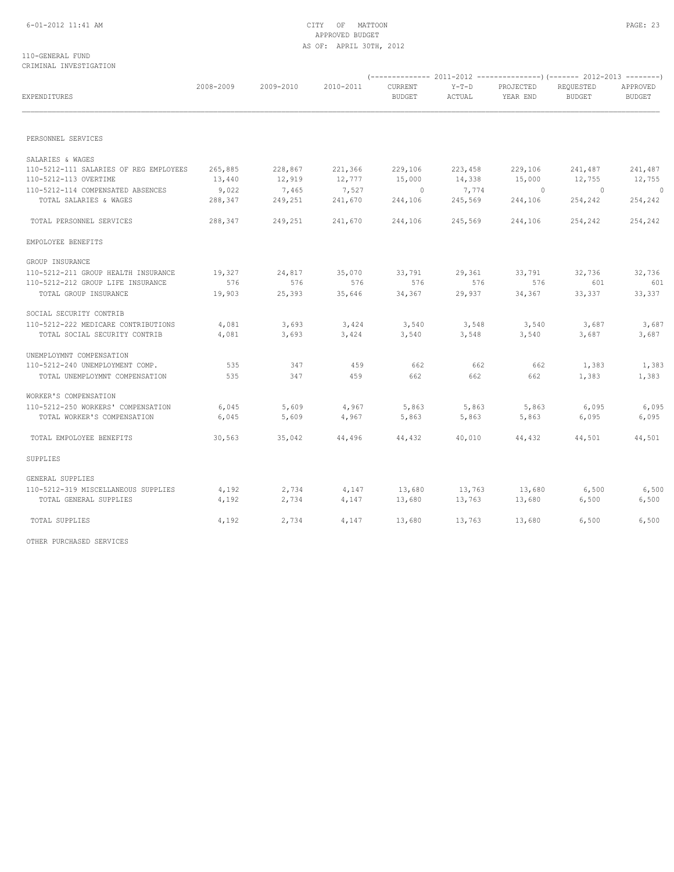### 110-GENERAL FUND CRIMINAL INVESTIGATION

| EXPENDITURES                           | 2008-2009 | 2009-2010 | 2010-2011 | CURRENT<br><b>BUDGET</b> | $Y-T-D$<br>ACTUAL | PROJECTED<br>YEAR END | REQUESTED<br><b>BUDGET</b> | APPROVED<br><b>BUDGET</b> |
|----------------------------------------|-----------|-----------|-----------|--------------------------|-------------------|-----------------------|----------------------------|---------------------------|
|                                        |           |           |           |                          |                   |                       |                            |                           |
| PERSONNEL SERVICES                     |           |           |           |                          |                   |                       |                            |                           |
| SALARIES & WAGES                       |           |           |           |                          |                   |                       |                            |                           |
| 110-5212-111 SALARIES OF REG EMPLOYEES | 265,885   | 228,867   | 221,366   | 229,106                  | 223,458           | 229,106               | 241,487                    | 241,487                   |
| 110-5212-113 OVERTIME                  | 13,440    | 12,919    | 12,777    | 15,000                   | 14,338            | 15,000                | 12,755                     | 12,755                    |
| 110-5212-114 COMPENSATED ABSENCES      | 9,022     | 7,465     | 7,527     | $\bigcirc$               | 7,774             | $\Omega$              | $\overline{0}$             | $\Omega$                  |
| TOTAL SALARIES & WAGES                 | 288,347   | 249,251   | 241,670   | 244,106                  | 245,569           | 244,106               | 254,242                    | 254,242                   |
| TOTAL PERSONNEL SERVICES               | 288,347   | 249,251   | 241,670   | 244,106                  | 245,569           | 244,106               | 254,242                    | 254,242                   |
| EMPOLOYEE BENEFITS                     |           |           |           |                          |                   |                       |                            |                           |
| GROUP INSURANCE                        |           |           |           |                          |                   |                       |                            |                           |
| 110-5212-211 GROUP HEALTH INSURANCE    | 19,327    | 24,817    | 35,070    | 33,791                   | 29,361            | 33,791                | 32,736                     | 32,736                    |
| 110-5212-212 GROUP LIFE INSURANCE      | 576       | 576       | 576       | 576                      | 576               | 576                   | 601                        | 601                       |
| TOTAL GROUP INSURANCE                  | 19,903    | 25,393    | 35,646    | 34,367                   | 29,937            | 34,367                | 33,337                     | 33,337                    |
| SOCIAL SECURITY CONTRIB                |           |           |           |                          |                   |                       |                            |                           |
| 110-5212-222 MEDICARE CONTRIBUTIONS    | 4,081     | 3,693     | 3,424     | 3,540                    | 3,548             | 3,540                 | 3,687                      | 3,687                     |
| TOTAL SOCIAL SECURITY CONTRIB          | 4,081     | 3,693     | 3,424     | 3,540                    | 3,548             | 3,540                 | 3,687                      | 3,687                     |
| UNEMPLOYMNT COMPENSATION               |           |           |           |                          |                   |                       |                            |                           |
| 110-5212-240 UNEMPLOYMENT COMP.        | 535       | 347       | 459       | 662                      | 662               | 662                   | 1,383                      | 1,383                     |
| TOTAL UNEMPLOYMNT COMPENSATION         | 535       | 347       | 459       | 662                      | 662               | 662                   | 1,383                      | 1,383                     |
| WORKER'S COMPENSATION                  |           |           |           |                          |                   |                       |                            |                           |
| 110-5212-250 WORKERS' COMPENSATION     | 6,045     | 5,609     | 4,967     | 5,863                    | 5,863             | 5,863                 | 6,095                      | 6,095                     |
| TOTAL WORKER'S COMPENSATION            | 6,045     | 5,609     | 4,967     | 5,863                    | 5,863             | 5,863                 | 6,095                      | 6,095                     |
| TOTAL EMPOLOYEE BENEFITS               | 30,563    | 35,042    | 44,496    | 44,432                   | 40,010            | 44,432                | 44,501                     | 44,501                    |
| SUPPLIES                               |           |           |           |                          |                   |                       |                            |                           |
| GENERAL SUPPLIES                       |           |           |           |                          |                   |                       |                            |                           |
| 110-5212-319 MISCELLANEOUS SUPPLIES    | 4,192     | 2,734     | 4,147     | 13,680                   | 13,763            | 13,680                | 6,500                      | 6,500                     |
| TOTAL GENERAL SUPPLIES                 | 4,192     | 2,734     | 4,147     | 13,680                   | 13,763            | 13,680                | 6,500                      | 6,500                     |
| TOTAL SUPPLIES                         | 4,192     | 2,734     | 4,147     | 13,680                   | 13,763            | 13,680                | 6,500                      | 6,500                     |

OTHER PURCHASED SERVICES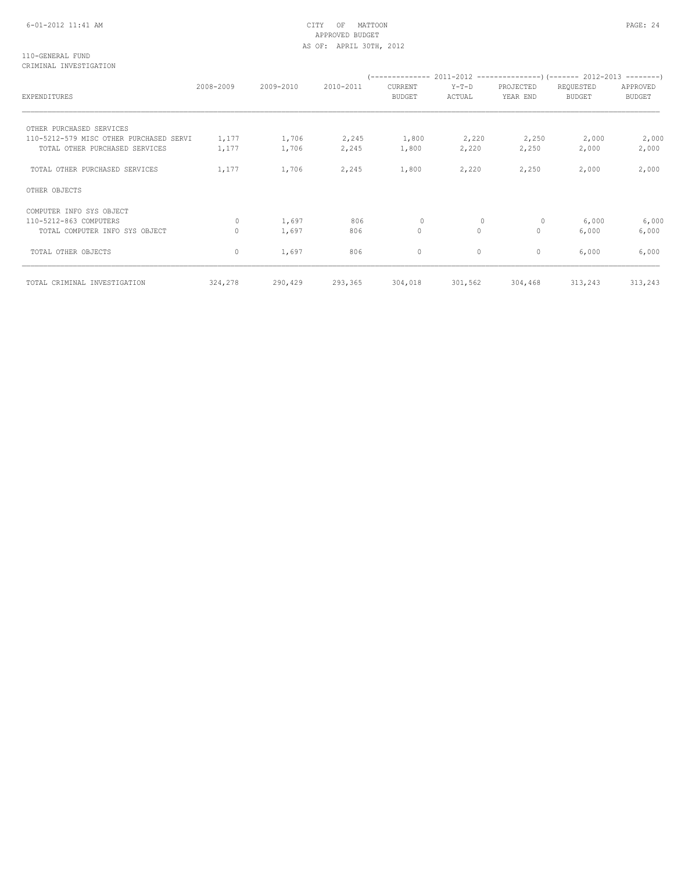## 6-01-2012 11:41 AM CITY OF MATTOON PAGE: 24 APPROVED BUDGET AS OF: APRIL 30TH, 2012

110-GENERAL FUND CRIMINAL INVESTIGATION

| EXPENDITURES                            | 2008-2009 | 2009-2010 | 2010-2011 | CURRENT<br><b>BUDGET</b> | $Y-T-D$<br>ACTUAL | PROJECTED<br>YEAR END | REQUESTED<br><b>BUDGET</b> | APPROVED<br><b>BUDGET</b> |
|-----------------------------------------|-----------|-----------|-----------|--------------------------|-------------------|-----------------------|----------------------------|---------------------------|
| OTHER PURCHASED SERVICES                |           |           |           |                          |                   |                       |                            |                           |
| 110-5212-579 MISC OTHER PURCHASED SERVI | 1,177     | 1,706     | 2,245     | 1,800                    | 2,220             | 2,250                 | 2,000                      | 2,000                     |
| TOTAL OTHER PURCHASED SERVICES          | 1,177     | 1,706     | 2,245     | 1,800                    | 2,220             | 2,250                 | 2,000                      | 2,000                     |
| TOTAL OTHER PURCHASED SERVICES          | 1,177     | 1,706     | 2,245     | 1,800                    | 2,220             | 2,250                 | 2,000                      | 2,000                     |
| OTHER OBJECTS                           |           |           |           |                          |                   |                       |                            |                           |
| COMPUTER INFO SYS OBJECT                |           |           |           |                          |                   |                       |                            |                           |
| 110-5212-863 COMPUTERS                  | 0         | 1,697     | 806       | $\Omega$                 | 0                 | 0                     | 6,000                      | 6,000                     |
| TOTAL COMPUTER INFO SYS OBJECT          |           | 1,697     | 806       | $\circ$                  | $\Omega$          | $\mathbf{0}$          | 6,000                      | 6,000                     |
| TOTAL OTHER OBJECTS                     | 0         | 1,697     | 806       | $\circ$                  | $\circ$           | $\circ$               | 6,000                      | 6,000                     |
| TOTAL CRIMINAL INVESTIGATION            | 324,278   | 290,429   | 293,365   | 304,018                  | 301,562           | 304,468               | 313,243                    | 313,243                   |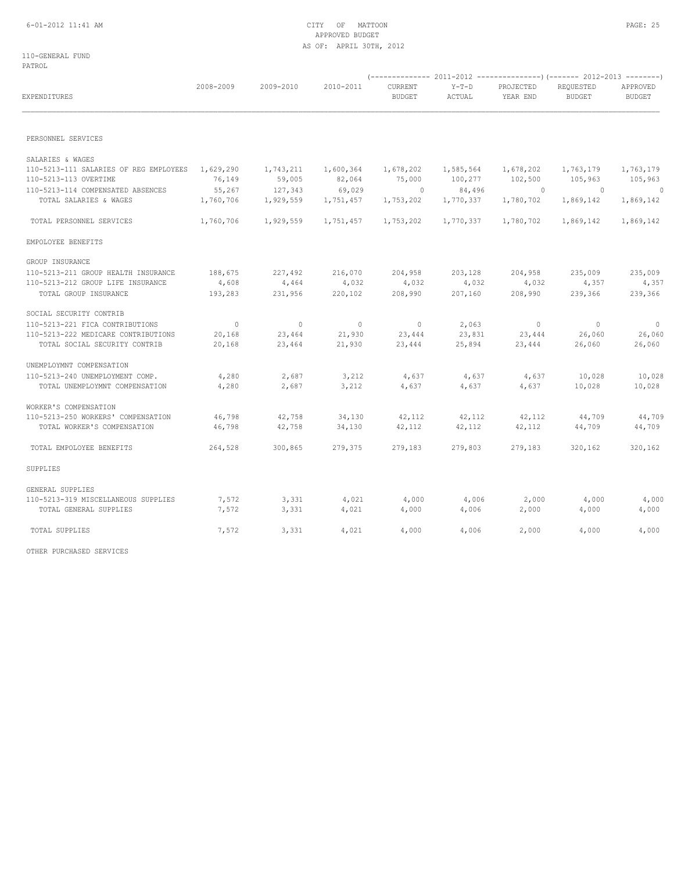## 6-01-2012 11:41 AM CITY OF MATTOON PAGE: 25 APPROVED BUDGET AS OF: APRIL 30TH, 2012

110-GENERAL FUND PATROL

| EXPENDITURES                           | 2008-2009      | 2009-2010 | 2010-2011 | CURRENT<br><b>BUDGET</b> | $Y-T-D$<br>ACTUAL | PROJECTED<br>YEAR END | REQUESTED<br><b>BUDGET</b> | APPROVED<br><b>BUDGET</b> |
|----------------------------------------|----------------|-----------|-----------|--------------------------|-------------------|-----------------------|----------------------------|---------------------------|
| PERSONNEL SERVICES                     |                |           |           |                          |                   |                       |                            |                           |
| SALARIES & WAGES                       |                |           |           |                          |                   |                       |                            |                           |
| 110-5213-111 SALARIES OF REG EMPLOYEES | 1,629,290      | 1,743,211 | 1,600,364 | 1,678,202                | 1,585,564         | 1,678,202             | 1,763,179                  | 1,763,179                 |
| 110-5213-113 OVERTIME                  | 76,149         | 59,005    | 82,064    | 75,000                   | 100,277           | 102,500               | 105,963                    | 105,963                   |
| 110-5213-114 COMPENSATED ABSENCES      | 55,267         | 127,343   | 69,029    | $\Omega$                 | 84,496            | $\Omega$              | $\Omega$                   | $\overline{0}$            |
| TOTAL SALARIES & WAGES                 | 1,760,706      | 1,929,559 | 1,751,457 | 1,753,202                | 1,770,337         | 1,780,702             | 1,869,142                  | 1,869,142                 |
| TOTAL PERSONNEL SERVICES               | 1,760,706      | 1,929,559 | 1,751,457 | 1,753,202                | 1,770,337         | 1,780,702             | 1,869,142                  | 1,869,142                 |
| EMPOLOYEE BENEFITS                     |                |           |           |                          |                   |                       |                            |                           |
| GROUP INSURANCE                        |                |           |           |                          |                   |                       |                            |                           |
| 110-5213-211 GROUP HEALTH INSURANCE    | 188,675        | 227,492   | 216,070   | 204,958                  | 203,128           | 204,958               | 235,009                    | 235,009                   |
| 110-5213-212 GROUP LIFE INSURANCE      | 4,608          | 4,464     | 4,032     | 4,032                    | 4,032             | 4,032                 | 4,357                      | 4,357                     |
| TOTAL GROUP INSURANCE                  | 193,283        | 231,956   | 220,102   | 208,990                  | 207,160           | 208,990               | 239,366                    | 239,366                   |
| SOCIAL SECURITY CONTRIB                |                |           |           |                          |                   |                       |                            |                           |
| 110-5213-221 FICA CONTRIBUTIONS        | $\overline{0}$ | $\circ$   | $\circ$   | 0                        | 2,063             | $\overline{0}$        | $\overline{0}$             | $\mathbf{0}$              |
| 110-5213-222 MEDICARE CONTRIBUTIONS    | 20,168         | 23,464    | 21,930    | 23,444                   | 23,831            | 23,444                | 26,060                     | 26,060                    |
| TOTAL SOCIAL SECURITY CONTRIB          | 20,168         | 23,464    | 21,930    | 23,444                   | 25,894            | 23,444                | 26,060                     | 26,060                    |
| UNEMPLOYMNT COMPENSATION               |                |           |           |                          |                   |                       |                            |                           |
| 110-5213-240 UNEMPLOYMENT COMP.        | 4,280          | 2,687     | 3,212     | 4,637                    | 4,637             | 4,637                 | 10,028                     | 10,028                    |
| TOTAL UNEMPLOYMNT COMPENSATION         | 4,280          | 2,687     | 3,212     | 4,637                    | 4,637             | 4,637                 | 10,028                     | 10,028                    |
| WORKER'S COMPENSATION                  |                |           |           |                          |                   |                       |                            |                           |
| 110-5213-250 WORKERS' COMPENSATION     | 46,798         | 42,758    | 34,130    | 42,112                   | 42,112            | 42,112                | 44,709                     | 44,709                    |
| TOTAL WORKER'S COMPENSATION            | 46,798         | 42,758    | 34,130    | 42,112                   | 42,112            | 42,112                | 44,709                     | 44,709                    |
| TOTAL EMPOLOYEE BENEFITS               | 264,528        | 300,865   | 279,375   | 279,183                  | 279,803           | 279,183               | 320,162                    | 320,162                   |
| SUPPLIES                               |                |           |           |                          |                   |                       |                            |                           |
| GENERAL SUPPLIES                       |                |           |           |                          |                   |                       |                            |                           |
| 110-5213-319 MISCELLANEOUS SUPPLIES    | 7,572          | 3,331     | 4,021     | 4,000                    | 4,006             | 2,000                 | 4,000                      | 4,000                     |
| TOTAL GENERAL SUPPLIES                 | 7,572          | 3,331     | 4,021     | 4,000                    | 4,006             | 2,000                 | 4,000                      | 4,000                     |
| TOTAL SUPPLIES                         | 7,572          | 3,331     | 4,021     | 4,000                    | 4,006             | 2,000                 | 4,000                      | 4,000                     |
|                                        |                |           |           |                          |                   |                       |                            |                           |

OTHER PURCHASED SERVICES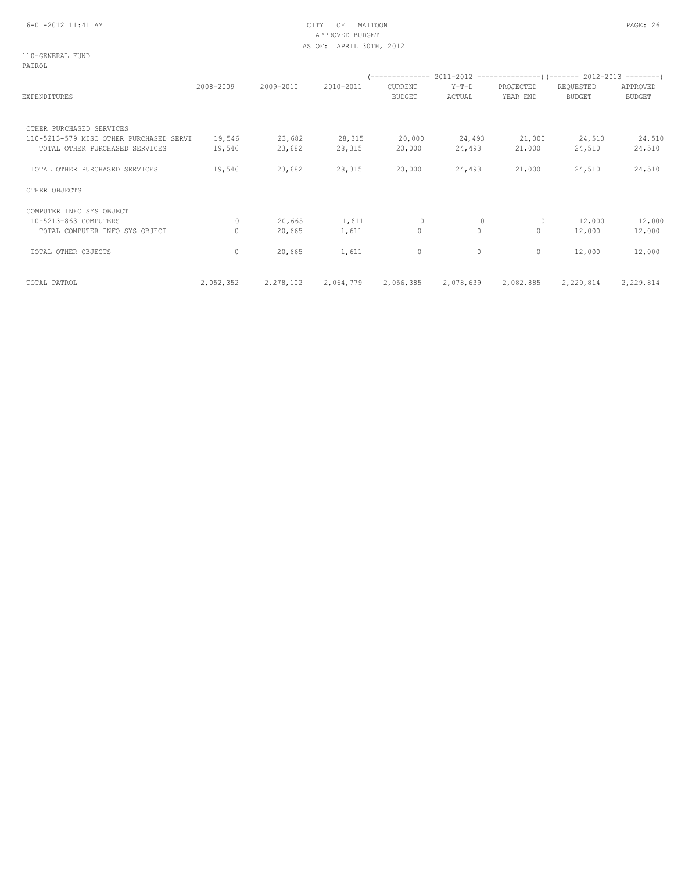#### 6-01-2012 11:41 AM CITY OF MATTOON PAGE: 26 APPROVED BUDGET AS OF: APRIL 30TH, 2012

110-GENERAL FUND PATROL

| EXPENDITURES                            | 2008-2009 | 2009-2010 | 2010-2011 | CURRENT<br><b>BUDGET</b> | $Y-T-D$<br>ACTUAL | PROJECTED<br>YEAR END | REQUESTED<br><b>BUDGET</b> | APPROVED<br><b>BUDGET</b> |
|-----------------------------------------|-----------|-----------|-----------|--------------------------|-------------------|-----------------------|----------------------------|---------------------------|
| OTHER PURCHASED SERVICES                |           |           |           |                          |                   |                       |                            |                           |
| 110-5213-579 MISC OTHER PURCHASED SERVI | 19,546    | 23,682    | 28,315    | 20,000                   | 24,493            | 21,000                | 24,510                     | 24,510                    |
| TOTAL OTHER PURCHASED SERVICES          | 19,546    | 23,682    | 28,315    | 20,000                   | 24,493            | 21,000                | 24,510                     | 24,510                    |
| TOTAL OTHER PURCHASED SERVICES          | 19,546    | 23,682    | 28,315    | 20,000                   | 24,493            | 21,000                | 24,510                     | 24,510                    |
| OTHER OBJECTS                           |           |           |           |                          |                   |                       |                            |                           |
| COMPUTER INFO SYS OBJECT                |           |           |           |                          |                   |                       |                            |                           |
| 110-5213-863 COMPUTERS                  | $\Omega$  | 20,665    | 1,611     | $\Omega$                 | 0                 | $\circ$               | 12,000                     | 12,000                    |
| TOTAL COMPUTER INFO SYS OBJECT          | 0         | 20,665    | 1,611     | 0                        | $\circ$           | $\circ$               | 12,000                     | 12,000                    |
| TOTAL OTHER OBJECTS                     | 0         | 20,665    | 1,611     | 0                        | $\circ$           | 0                     | 12,000                     | 12,000                    |
| TOTAL PATROL                            | 2,052,352 | 2,278,102 | 2,064,779 | 2,056,385                | 2,078,639         | 2,082,885             | 2,229,814                  | 2,229,814                 |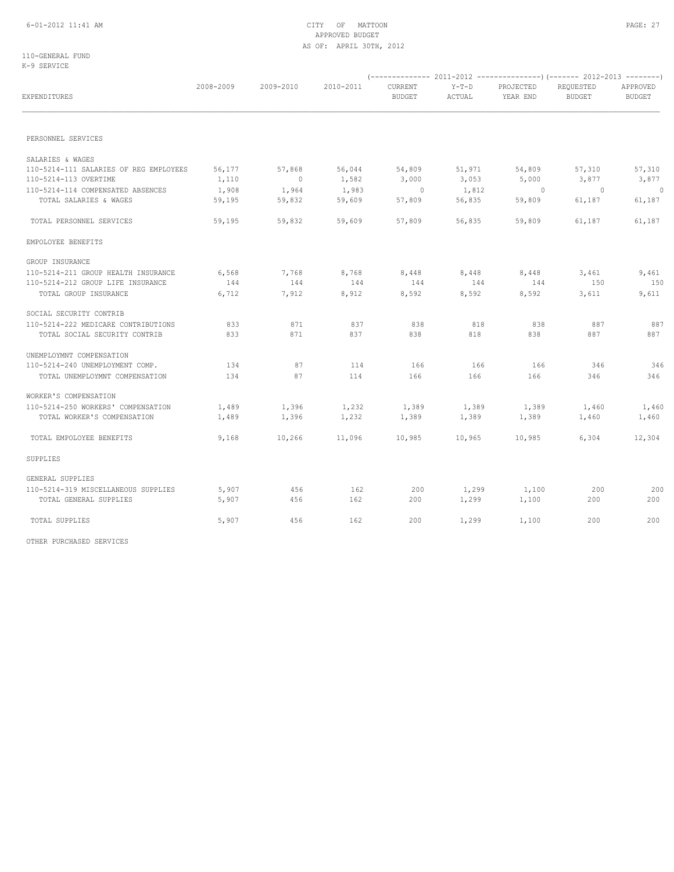110-GENERAL FUND K-9 SERVICE

| EXPENDITURES                                                    | 2008-2009       | 2009-2010          | 2010-2011       | CURRENT<br><b>BUDGET</b> | $Y-T-D$<br>ACTUAL | PROJECTED<br>YEAR END | REQUESTED<br><b>BUDGET</b> | APPROVED<br><b>BUDGET</b> |
|-----------------------------------------------------------------|-----------------|--------------------|-----------------|--------------------------|-------------------|-----------------------|----------------------------|---------------------------|
| PERSONNEL SERVICES                                              |                 |                    |                 |                          |                   |                       |                            |                           |
|                                                                 |                 |                    |                 |                          |                   |                       |                            |                           |
| SALARIES & WAGES                                                |                 |                    |                 |                          |                   |                       |                            |                           |
| 110-5214-111 SALARIES OF REG EMPLOYEES<br>110-5214-113 OVERTIME | 56,177<br>1,110 | 57,868<br>$\sim$ 0 | 56,044<br>1,582 | 54,809<br>3,000          | 51,971<br>3,053   | 54,809<br>5,000       | 57,310<br>3,877            | 57,310<br>3,877           |
| 110-5214-114 COMPENSATED ABSENCES                               | 1,908           | 1,964              | 1,983           | $\sim$ 0                 | 1,812             | $\circ$               | $\overline{0}$             | $\overline{0}$            |
| TOTAL SALARIES & WAGES                                          | 59,195          | 59,832             | 59,609          | 57,809                   | 56,835            | 59,809                | 61,187                     | 61,187                    |
| TOTAL PERSONNEL SERVICES                                        | 59,195          | 59,832             | 59,609          | 57,809                   | 56,835            | 59,809                | 61,187                     | 61,187                    |
| EMPOLOYEE BENEFITS                                              |                 |                    |                 |                          |                   |                       |                            |                           |
| GROUP INSURANCE                                                 |                 |                    |                 |                          |                   |                       |                            |                           |
| 110-5214-211 GROUP HEALTH INSURANCE                             | 6,568           | 7,768              | 8,768           | 8,448                    | 8,448             | 8,448                 | 3,461                      | 9,461                     |
| 110-5214-212 GROUP LIFE INSURANCE                               | 144             | 144                | 144             | 144                      | 144               | 144                   | 150                        | 150                       |
| TOTAL GROUP INSURANCE                                           | 6,712           | 7,912              | 8,912           | 8,592                    | 8,592             | 8,592                 | 3,611                      | 9,611                     |
| SOCIAL SECURITY CONTRIB                                         |                 |                    |                 |                          |                   |                       |                            |                           |
| 110-5214-222 MEDICARE CONTRIBUTIONS                             | 833             | 871                | 837             | 838                      | 818               | 838                   | 887                        | 887                       |
| TOTAL SOCIAL SECURITY CONTRIB                                   | 833             | 871                | 837             | 838                      | 818               | 838                   | 887                        | 887                       |
| UNEMPLOYMNT COMPENSATION                                        |                 |                    |                 |                          |                   |                       |                            |                           |
| 110-5214-240 UNEMPLOYMENT COMP.                                 | 134             | 87                 | 114             | 166                      | 166               | 166                   | 346                        | 346                       |
| TOTAL UNEMPLOYMNT COMPENSATION                                  | 134             | 87                 | 114             | 166                      | 166               | 166                   | 346                        | 346                       |
| WORKER'S COMPENSATION                                           |                 |                    |                 |                          |                   |                       |                            |                           |
| 110-5214-250 WORKERS' COMPENSATION                              | 1,489           | 1,396              | 1,232           | 1,389                    | 1,389             | 1,389                 | 1,460                      | 1,460                     |
| TOTAL WORKER'S COMPENSATION                                     | 1,489           | 1,396              | 1,232           | 1,389                    | 1,389             | 1,389                 | 1,460                      | 1,460                     |
| TOTAL EMPOLOYEE BENEFITS                                        | 9,168           | 10,266             | 11,096          | 10,985                   | 10,965            | 10,985                | 6,304                      | 12,304                    |
| SUPPLIES                                                        |                 |                    |                 |                          |                   |                       |                            |                           |
| GENERAL SUPPLIES                                                |                 |                    |                 |                          |                   |                       |                            |                           |
| 110-5214-319 MISCELLANEOUS SUPPLIES                             | 5,907           | 456                | 162             | 200                      | 1,299             | 1,100                 | 200                        | 200                       |
| TOTAL GENERAL SUPPLIES                                          | 5,907           | 456                | 162             | 200                      | 1,299             | 1,100                 | 200                        | 200                       |
| TOTAL SUPPLIES                                                  | 5,907           | 456                | 162             | 200                      | 1,299             | 1,100                 | 200                        | 200                       |

OTHER PURCHASED SERVICES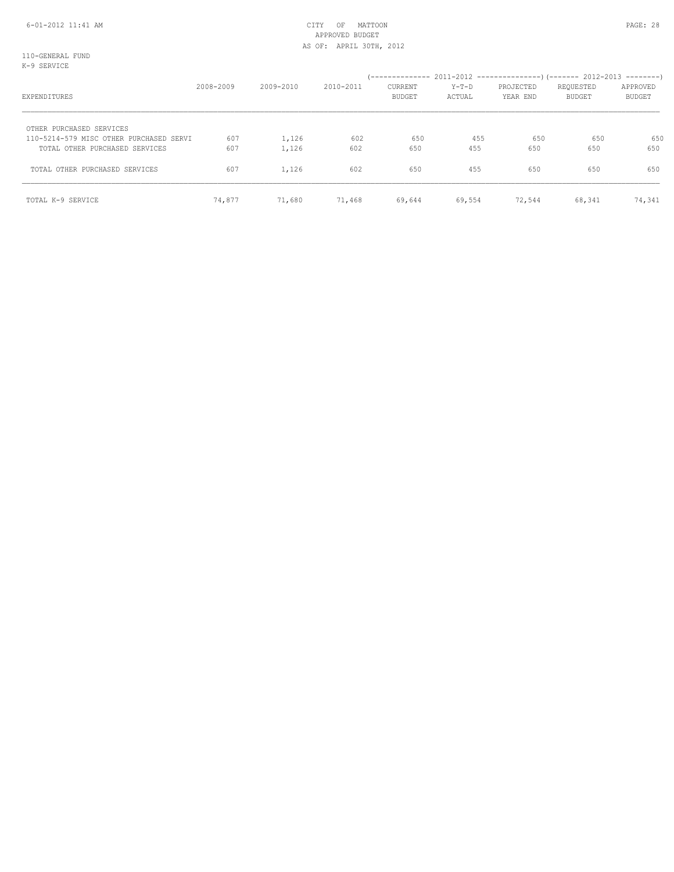## 6-01-2012 11:41 AM CITY OF MATTOON PAGE: 28 APPROVED BUDGET AS OF: APRIL 30TH, 2012

110-GENERAL FUND K-9 SERVICE

| EXPENDITURES                                                        | 2008-2009 | 2009-2010 | 2010-2011 | <b>CURRENT</b><br>BUDGET | Y-T-D<br>ACTUAL | PROJECTED<br>YEAR END | REQUESTED<br>BUDGET | APPROVED<br>BUDGET |
|---------------------------------------------------------------------|-----------|-----------|-----------|--------------------------|-----------------|-----------------------|---------------------|--------------------|
| OTHER PURCHASED SERVICES<br>110-5214-579 MISC OTHER PURCHASED SERVI | 607       | 1,126     | 602       | 650                      | 455             | 650                   | 650                 | 650                |
| TOTAL OTHER PURCHASED SERVICES                                      | 607       | 1,126     | 602       | 650                      | 455             | 650                   | 650                 | 650                |
| TOTAL OTHER PURCHASED SERVICES                                      | 607       | 1,126     | 602       | 650                      | 455             | 650                   | 650                 | 650                |
| TOTAL K-9 SERVICE                                                   | 74,877    | 71,680    | 71,468    | 69,644                   | 69,554          | 72,544                | 68,341              | 74,341             |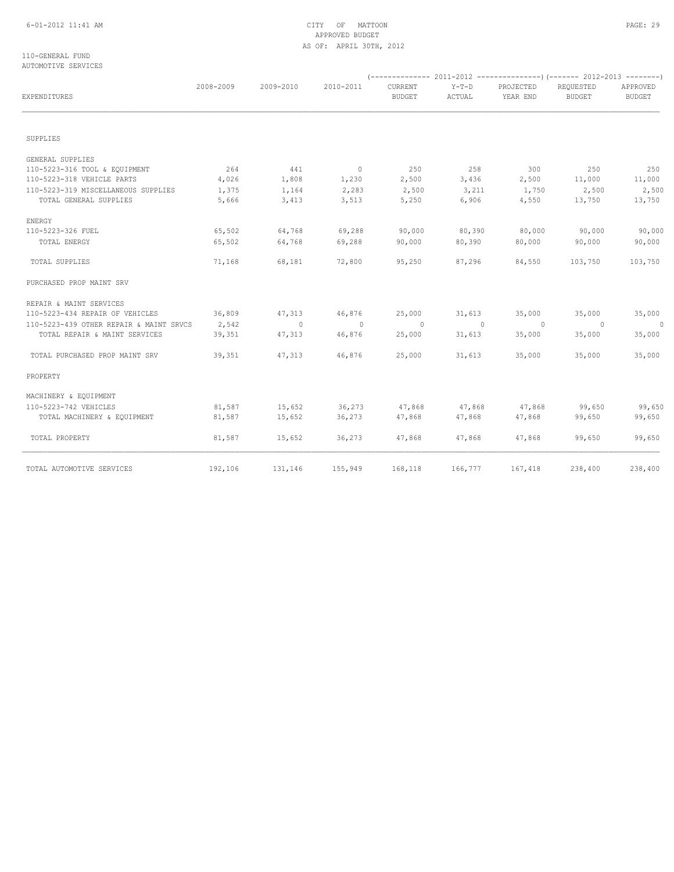## 6-01-2012 11:41 AM CITY OF MATTOON PAGE: 29 APPROVED BUDGET AS OF: APRIL 30TH, 2012

### 110-GENERAL FUND AUTOMOTIVE SERVICES

| EXPENDITURES                            | 2008-2009 | 2009-2010      | 2010-2011      | CURRENT<br><b>BUDGET</b> | $Y-T-D$<br>ACTUAL | PROJECTED<br>YEAR END | REQUESTED<br><b>BUDGET</b> | APPROVED<br><b>BUDGET</b> |
|-----------------------------------------|-----------|----------------|----------------|--------------------------|-------------------|-----------------------|----------------------------|---------------------------|
| SUPPLIES                                |           |                |                |                          |                   |                       |                            |                           |
|                                         |           |                |                |                          |                   |                       |                            |                           |
| GENERAL SUPPLIES                        |           |                |                |                          |                   |                       |                            |                           |
| 110-5223-316 TOOL & EQUIPMENT           | 264       | 441            | $\sim$ 0       | 250                      | 258               | 300                   | 250                        | 250                       |
| 110-5223-318 VEHICLE PARTS              | 4,026     | 1,808          | 1,230          | 2,500                    | 3,436             | 2,500                 | 11,000                     | 11,000                    |
| 110-5223-319 MISCELLANEOUS SUPPLIES     | 1,375     | 1,164          | 2,283          | 2,500                    | 3,211             | 1,750                 | 2,500                      | 2,500                     |
| TOTAL GENERAL SUPPLIES                  | 5,666     | 3,413          | 3,513          | 5,250                    | 6,906             | 4,550                 | 13,750                     | 13,750                    |
| ENERGY                                  |           |                |                |                          |                   |                       |                            |                           |
| 110-5223-326 FUEL                       | 65,502    | 64,768         | 69,288         | 90,000                   | 80,390            | 80,000                | 90,000                     | 90,000                    |
| TOTAL ENERGY                            | 65,502    | 64,768         | 69,288         | 90,000                   | 80,390            | 80,000                | 90,000                     | 90,000                    |
| TOTAL SUPPLIES                          | 71,168    | 68,181         | 72,800         | 95,250                   | 87,296            | 84,550                | 103,750                    | 103,750                   |
| PURCHASED PROP MAINT SRV                |           |                |                |                          |                   |                       |                            |                           |
| REPAIR & MAINT SERVICES                 |           |                |                |                          |                   |                       |                            |                           |
| 110-5223-434 REPAIR OF VEHICLES         | 36,809    | 47,313         | 46,876         | 25,000                   | 31,613            | 35,000                | 35,000                     | 35,000                    |
| 110-5223-439 OTHER REPAIR & MAINT SRVCS | 2,542     | $\overline{0}$ | $\overline{0}$ | $\overline{0}$           | $\overline{0}$    | $\circ$               | $\overline{0}$             | $\Omega$                  |
| TOTAL REPAIR & MAINT SERVICES           | 39,351    | 47,313         | 46,876         | 25,000                   | 31,613            | 35,000                | 35,000                     | 35,000                    |
| TOTAL PURCHASED PROP MAINT SRV          | 39,351    | 47,313         | 46,876         | 25,000                   | 31,613            | 35,000                | 35,000                     | 35,000                    |
| PROPERTY                                |           |                |                |                          |                   |                       |                            |                           |
| MACHINERY & EQUIPMENT                   |           |                |                |                          |                   |                       |                            |                           |
| 110-5223-742 VEHICLES                   | 81,587    | 15,652         | 36,273         | 47,868                   | 47,868            | 47,868                | 99,650                     | 99,650                    |
| TOTAL MACHINERY & EQUIPMENT             | 81,587    | 15,652         | 36,273         | 47,868                   | 47,868            | 47,868                | 99,650                     | 99,650                    |
| TOTAL PROPERTY                          | 81,587    | 15,652         | 36,273         | 47,868                   | 47,868            | 47,868                | 99,650                     | 99,650                    |
| TOTAL AUTOMOTIVE SERVICES               | 192,106   | 131,146        | 155,949        | 168,118                  | 166,777           | 167,418               | 238,400                    | 238,400                   |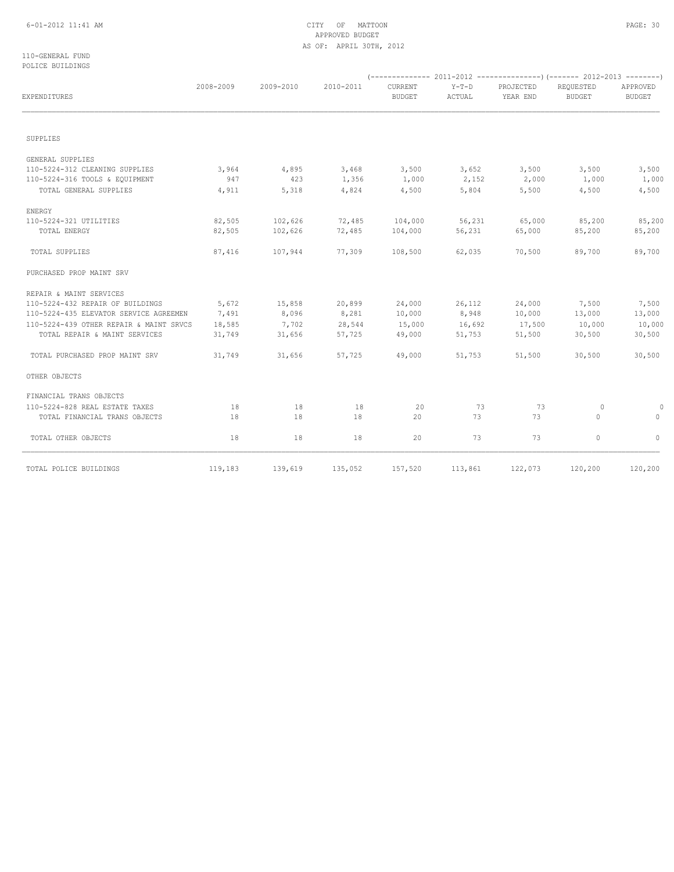## 6-01-2012 11:41 AM CITY OF MATTOON PAGE: 30 APPROVED BUDGET AS OF: APRIL 30TH, 2012

110-GENERAL FUND POLICE BUILDINGS

| EXPENDITURES                            | 2008-2009 | 2009-2010 | 2010-2011 | CURRENT<br><b>BUDGET</b> | $Y-T-D$<br>ACTUAL | PROJECTED<br>YEAR END | REQUESTED<br><b>BUDGET</b> | APPROVED<br><b>BUDGET</b> |
|-----------------------------------------|-----------|-----------|-----------|--------------------------|-------------------|-----------------------|----------------------------|---------------------------|
|                                         |           |           |           |                          |                   |                       |                            |                           |
| SUPPLIES                                |           |           |           |                          |                   |                       |                            |                           |
| GENERAL SUPPLIES                        |           |           |           |                          |                   |                       |                            |                           |
| 110-5224-312 CLEANING SUPPLIES          | 3,964     | 4,895     | 3,468     | 3,500                    | 3,652             | 3,500                 | 3,500                      | 3,500                     |
| 110-5224-316 TOOLS & EQUIPMENT          | 947       | 423       | 1,356     | 1,000                    | 2,152             | 2,000                 | 1,000                      | 1,000                     |
| TOTAL GENERAL SUPPLIES                  | 4,911     | 5,318     | 4,824     | 4,500                    | 5,804             | 5,500                 | 4,500                      | 4,500                     |
| ENERGY                                  |           |           |           |                          |                   |                       |                            |                           |
| 110-5224-321 UTILITIES                  | 82,505    | 102,626   | 72,485    | 104,000                  | 56,231            | 65,000                | 85,200                     | 85,200                    |
| TOTAL ENERGY                            | 82,505    | 102,626   | 72,485    | 104,000                  | 56,231            | 65,000                | 85,200                     | 85,200                    |
| TOTAL SUPPLIES                          | 87,416    | 107,944   | 77,309    | 108,500                  | 62,035            | 70,500                | 89,700                     | 89,700                    |
| PURCHASED PROP MAINT SRV                |           |           |           |                          |                   |                       |                            |                           |
| REPAIR & MAINT SERVICES                 |           |           |           |                          |                   |                       |                            |                           |
| 110-5224-432 REPAIR OF BUILDINGS        | 5,672     | 15,858    | 20,899    | 24,000                   | 26,112            | 24,000                | 7,500                      | 7,500                     |
| 110-5224-435 ELEVATOR SERVICE AGREEMEN  | 7,491     | 8,096     | 8,281     | 10,000                   | 8,948             | 10,000                | 13,000                     | 13,000                    |
| 110-5224-439 OTHER REPAIR & MAINT SRVCS | 18,585    | 7,702     | 28,544    | 15,000                   | 16,692            | 17,500                | 10,000                     | 10,000                    |
| TOTAL REPAIR & MAINT SERVICES           | 31,749    | 31,656    | 57,725    | 49,000                   | 51,753            | 51,500                | 30,500                     | 30,500                    |
| TOTAL PURCHASED PROP MAINT SRV          | 31,749    | 31,656    | 57,725    | 49,000                   | 51,753            | 51,500                | 30,500                     | 30,500                    |
| OTHER OBJECTS                           |           |           |           |                          |                   |                       |                            |                           |
| FINANCIAL TRANS OBJECTS                 |           |           |           |                          |                   |                       |                            |                           |
| 110-5224-828 REAL ESTATE TAXES          | 18        | 18        | 18        | 20                       | 73                | 73                    | 0                          |                           |
| TOTAL FINANCIAL TRANS OBJECTS           | 18        | 18        | 18        | 20                       | 73                | 73                    | $\circ$                    | $\circ$                   |
| TOTAL OTHER OBJECTS                     | 18        | 18        | 18        | 20                       | 73                | 73                    | $\circ$                    | $\circ$                   |
| TOTAL POLICE BUILDINGS                  | 119,183   | 139,619   | 135,052   | 157,520                  |                   | 113,861 122,073       | 120,200                    | 120,200                   |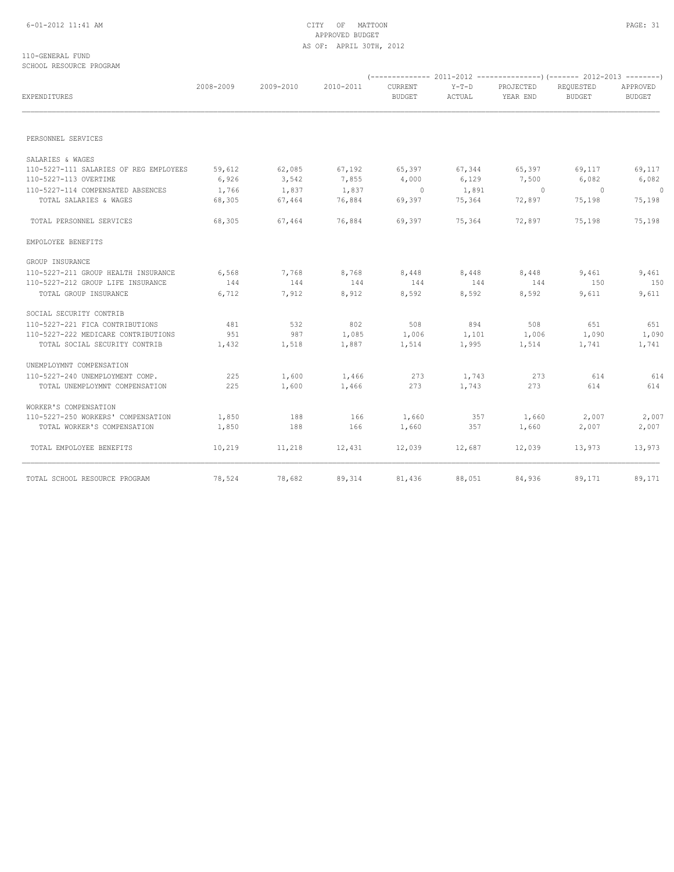### 110-GENERAL FUND SCHOOL RESOURCE PROGRAM

| EXPENDITURES                           | 2008-2009 | 2009-2010 | 2010-2011 | <b>CURRENT</b><br><b>BUDGET</b> | $Y-T-D$<br>ACTUAL | PROJECTED<br>YEAR END | REQUESTED<br><b>BUDGET</b> | APPROVED<br><b>BUDGET</b> |
|----------------------------------------|-----------|-----------|-----------|---------------------------------|-------------------|-----------------------|----------------------------|---------------------------|
|                                        |           |           |           |                                 |                   |                       |                            |                           |
| PERSONNEL SERVICES                     |           |           |           |                                 |                   |                       |                            |                           |
| SALARIES & WAGES                       |           |           |           |                                 |                   |                       |                            |                           |
| 110-5227-111 SALARIES OF REG EMPLOYEES | 59,612    | 62,085    | 67,192    | 65,397                          | 67,344            | 65,397                | 69,117                     | 69,117                    |
| 110-5227-113 OVERTIME                  | 6,926     | 3,542     | 7,855     | 4,000                           | 6,129             | 7,500                 | 6,082                      | 6,082                     |
| 110-5227-114 COMPENSATED ABSENCES      | 1,766     | 1,837     | 1,837     | $\sim$ 0                        | 1,891             | $\sim$ 0              | $\sim$ 0                   | $\overline{\phantom{0}}$  |
| TOTAL SALARIES & WAGES                 | 68,305    | 67,464    | 76,884    | 69,397                          | 75,364            | 72,897                | 75,198                     | 75,198                    |
| TOTAL PERSONNEL SERVICES               | 68,305    | 67,464    | 76,884    | 69,397                          | 75,364            | 72,897                | 75,198                     | 75,198                    |
| EMPOLOYEE BENEFITS                     |           |           |           |                                 |                   |                       |                            |                           |
| GROUP INSURANCE                        |           |           |           |                                 |                   |                       |                            |                           |
| 110-5227-211 GROUP HEALTH INSURANCE    | 6,568     | 7,768     | 8,768     | 8,448                           | 8,448             | 8,448                 | 9,461                      | 9,461                     |
| 110-5227-212 GROUP LIFE INSURANCE      | 144       | 144       | 144       | 144                             | 144               | 144                   | 150                        | 150                       |
| TOTAL GROUP INSURANCE                  | 6,712     | 7,912     | 8,912     | 8,592                           | 8,592             | 8,592                 | 9,611                      | 9,611                     |
| SOCIAL SECURITY CONTRIB                |           |           |           |                                 |                   |                       |                            |                           |
| 110-5227-221 FICA CONTRIBUTIONS        | 481       | 532       | 802       | 508                             | 894               | 508                   | 651                        | 651                       |
| 110-5227-222 MEDICARE CONTRIBUTIONS    | 951       | 987       | 1,085     | 1,006                           | 1,101             | 1,006                 | 1,090                      | 1,090                     |
| TOTAL SOCIAL SECURITY CONTRIB          | 1,432     | 1,518     | 1,887     | 1,514                           | 1,995             | 1,514                 | 1,741                      | 1,741                     |
| UNEMPLOYMNT COMPENSATION               |           |           |           |                                 |                   |                       |                            |                           |
| 110-5227-240 UNEMPLOYMENT COMP.        | 225       | 1,600     | 1,466     | 273                             | 1,743             | 273                   | 614                        | 614                       |
| TOTAL UNEMPLOYMNT COMPENSATION         | 225       | 1,600     | 1,466     | 273                             | 1,743             | 273                   | 614                        | 614                       |
| WORKER'S COMPENSATION                  |           |           |           |                                 |                   |                       |                            |                           |
| 110-5227-250 WORKERS' COMPENSATION     | 1,850     | 188       | 166       | 1,660                           | 357               | 1,660                 | 2,007                      | 2,007                     |
| TOTAL WORKER'S COMPENSATION            | 1,850     | 188       | 166       | 1,660                           | 357               | 1,660                 | 2,007                      | 2,007                     |
| TOTAL EMPOLOYEE BENEFITS               | 10,219    | 11,218    | 12,431    | 12,039                          | 12,687            | 12,039                | 13,973                     | 13,973                    |
| TOTAL SCHOOL RESOURCE PROGRAM          | 78,524    | 78,682    | 89,314    | 81,436                          | 88,051            | 84,936                | 89,171                     | 89,171                    |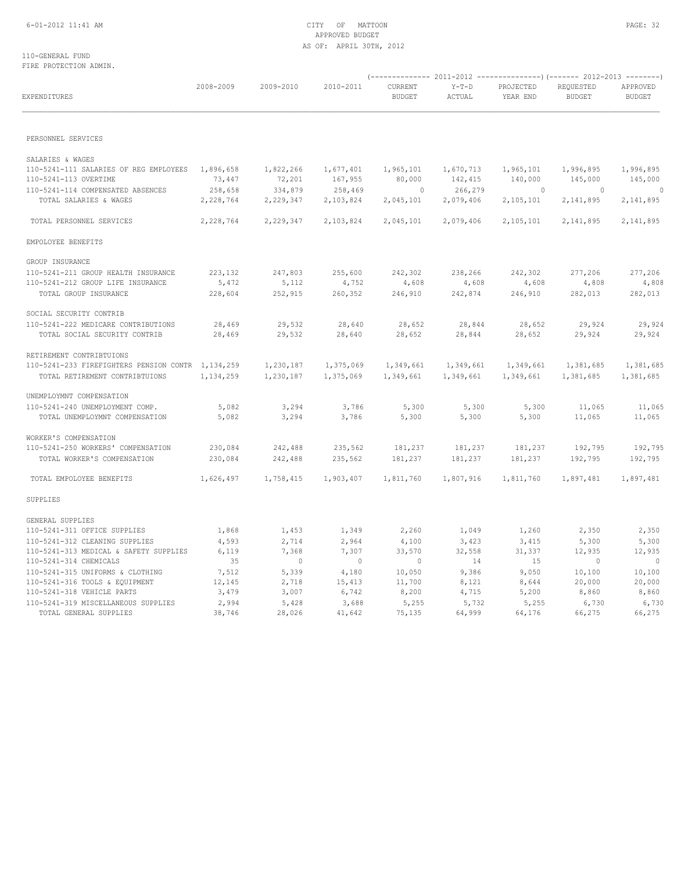### 110-GENERAL FUND FIRE PROTECTION ADMIN.

| EXPENDITURES                                                      | 2008-2009            | 2009-2010                | 2010-2011            | CURRENT<br><b>BUDGET</b> | $Y-T-D$<br>ACTUAL    | PROJECTED<br>YEAR END | REQUESTED<br><b>BUDGET</b> | APPROVED<br><b>BUDGET</b>   |
|-------------------------------------------------------------------|----------------------|--------------------------|----------------------|--------------------------|----------------------|-----------------------|----------------------------|-----------------------------|
| PERSONNEL SERVICES                                                |                      |                          |                      |                          |                      |                       |                            |                             |
|                                                                   |                      |                          |                      |                          |                      |                       |                            |                             |
| SALARIES & WAGES                                                  |                      |                          |                      |                          |                      |                       |                            |                             |
| 110-5241-111 SALARIES OF REG EMPLOYEES                            | 1,896,658            | 1,822,266                | 1,677,401            | 1,965,101                | 1,670,713            | 1,965,101             | 1,996,895                  | 1,996,895                   |
| 110-5241-113 OVERTIME                                             | 73,447               | 72,201                   | 167,955              | 80,000                   | 142,415              | 140,000               | 145,000                    | 145,000                     |
| 110-5241-114 COMPENSATED ABSENCES<br>TOTAL SALARIES & WAGES       | 258,658<br>2,228,764 | 334,879<br>2,229,347     | 258,469<br>2,103,824 | $\sim$ 0<br>2,045,101    | 266,279<br>2,079,406 | $\sim$ 0<br>2,105,101 | $\sim$ 0<br>2,141,895      | $\overline{0}$<br>2,141,895 |
|                                                                   |                      |                          |                      |                          |                      |                       |                            |                             |
| TOTAL PERSONNEL SERVICES                                          | 2,228,764            | 2,229,347                | 2,103,824            | 2,045,101                | 2,079,406            | 2,105,101             | 2,141,895                  | 2,141,895                   |
| EMPOLOYEE BENEFITS                                                |                      |                          |                      |                          |                      |                       |                            |                             |
| GROUP INSURANCE                                                   |                      |                          |                      |                          |                      |                       |                            |                             |
| 110-5241-211 GROUP HEALTH INSURANCE                               | 223,132              | 247,803                  | 255,600              | 242,302                  | 238,266              | 242,302               | 277,206                    | 277,206                     |
| 110-5241-212 GROUP LIFE INSURANCE                                 | 5,472                | 5,112                    | 4,752                | 4,608                    | 4,608                | 4,608                 | 4,808                      | 4,808                       |
| TOTAL GROUP INSURANCE                                             | 228,604              | 252,915                  | 260,352              | 246,910                  | 242,874              | 246,910               | 282,013                    | 282,013                     |
| SOCIAL SECURITY CONTRIB                                           |                      |                          |                      |                          |                      |                       |                            |                             |
| 110-5241-222 MEDICARE CONTRIBUTIONS                               | 28,469               | 29,532                   | 28,640               | 28,652                   | 28,844               | 28,652                | 29,924                     | 29,924                      |
| TOTAL SOCIAL SECURITY CONTRIB                                     | 28,469               | 29,532                   | 28,640               | 28,652                   | 28,844               | 28,652                | 29,924                     | 29,924                      |
|                                                                   |                      |                          |                      |                          |                      |                       |                            |                             |
| RETIREMENT CONTRIBTUIONS                                          |                      |                          |                      |                          |                      |                       |                            |                             |
| 110-5241-233 FIREFIGHTERS PENSION CONTR 1, 134, 259               |                      | 1,230,187                | 1,375,069            | 1,349,661                | 1,349,661            | 1,349,661             | 1,381,685                  | 1,381,685                   |
| TOTAL RETIREMENT CONTRIBTUIONS                                    | 1,134,259            | 1,230,187                | 1,375,069            | 1,349,661                | 1,349,661            | 1,349,661             | 1,381,685                  | 1,381,685                   |
| UNEMPLOYMNT COMPENSATION                                          |                      |                          |                      |                          |                      |                       |                            |                             |
| 110-5241-240 UNEMPLOYMENT COMP.                                   | 5,082                | 3,294                    | 3,786                | 5,300                    | 5,300                | 5,300                 | 11,065                     | 11,065                      |
| TOTAL UNEMPLOYMNT COMPENSATION                                    | 5,082                | 3,294                    | 3,786                | 5,300                    | 5,300                | 5,300                 | 11,065                     | 11,065                      |
|                                                                   |                      |                          |                      |                          |                      |                       |                            |                             |
| WORKER'S COMPENSATION                                             |                      |                          |                      |                          |                      |                       |                            |                             |
| 110-5241-250 WORKERS' COMPENSATION<br>TOTAL WORKER'S COMPENSATION | 230,084<br>230,084   | 242,488<br>242,488       | 235,562<br>235,562   | 181,237<br>181,237       | 181,237<br>181,237   | 181,237<br>181,237    | 192,795<br>192,795         | 192,795<br>192,795          |
|                                                                   |                      |                          |                      |                          |                      |                       |                            |                             |
| TOTAL EMPOLOYEE BENEFITS                                          | 1,626,497            | 1,758,415                | 1,903,407            | 1,811,760                | 1,807,916            | 1,811,760             | 1,897,481                  | 1,897,481                   |
| SUPPLIES                                                          |                      |                          |                      |                          |                      |                       |                            |                             |
| GENERAL SUPPLIES                                                  |                      |                          |                      |                          |                      |                       |                            |                             |
| 110-5241-311 OFFICE SUPPLIES                                      | 1,868                | 1,453                    | 1,349                | 2,260                    | 1,049                | 1,260                 | 2,350                      | 2,350                       |
| 110-5241-312 CLEANING SUPPLIES                                    | 4,593                | 2,714                    | 2,964                | 4,100                    | 3,423                | 3,415                 | 5,300                      | 5,300                       |
| 110-5241-313 MEDICAL & SAFETY SUPPLIES                            | 6,119                | 7,368                    | 7,307                | 33,570                   | 32,558               | 31,337                | 12,935                     | 12,935                      |
| 110-5241-314 CHEMICALS                                            | 35                   | $\overline{\phantom{0}}$ | $\sim$ 0             | $\overline{0}$           | 14                   | 15                    | $\overline{\phantom{0}}$   | $\overline{0}$              |
| 110-5241-315 UNIFORMS & CLOTHING                                  | 7,512                | 5,339                    | 4,180                | 10,050                   | 9,386                | 9,050                 | 10,100                     | 10,100                      |
| 110-5241-316 TOOLS & EQUIPMENT                                    | 12,145               | 2,718                    | 15,413               | 11,700                   | 8,121                | 8,644                 | 20,000                     | 20,000                      |
| 110-5241-318 VEHICLE PARTS                                        | 3,479                | 3,007                    | 6,742                | 8,200                    | 4,715                | 5,200                 | 8,860                      | 8,860                       |
| 110-5241-319 MISCELLANEOUS SUPPLIES                               | 2,994                | 5,428                    | 3,688                | 5,255                    | 5,732                | 5,255                 | 6,730                      | 6,730                       |
| TOTAL GENERAL SUPPLIES                                            | 38,746               | 28,026                   | 41,642               | 75,135                   | 64,999               | 64,176                | 66,275                     | 66,275                      |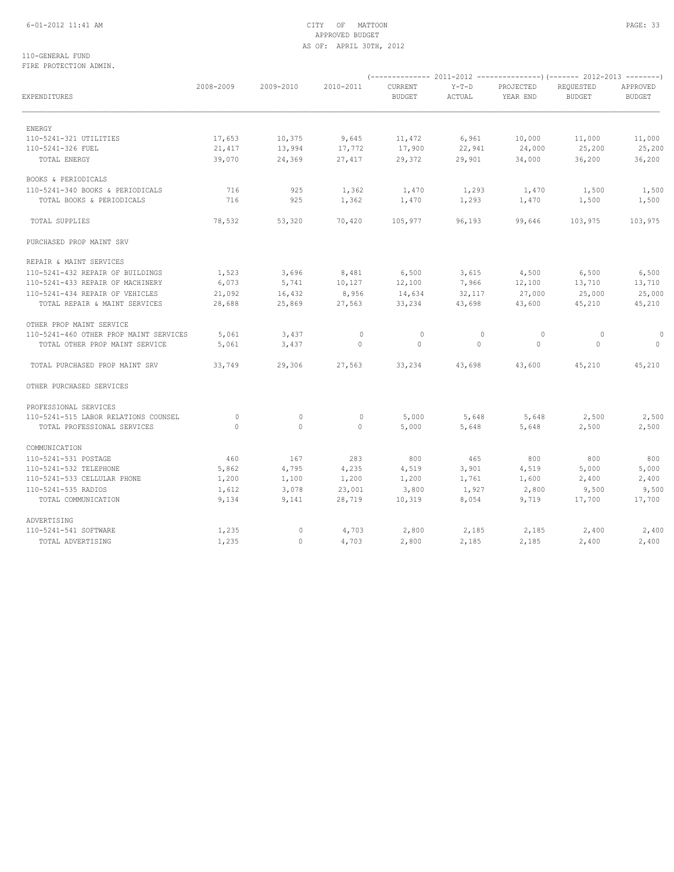## 6-01-2012 11:41 AM CITY OF MATTOON PAGE: 33 APPROVED BUDGET AS OF: APRIL 30TH, 2012

### 110-GENERAL FUND FIRE PROTECTION ADMIN.

| EXPENDITURES                           | 2008-2009 | 2009-2010    | 2010-2011   | CURRENT<br><b>BUDGET</b> | $Y-T-D$<br>ACTUAL | PROJECTED<br>YEAR END | REQUESTED<br><b>BUDGET</b> | APPROVED<br><b>BUDGET</b> |
|----------------------------------------|-----------|--------------|-------------|--------------------------|-------------------|-----------------------|----------------------------|---------------------------|
|                                        |           |              |             |                          |                   |                       |                            |                           |
| ENERGY                                 |           |              |             |                          |                   |                       |                            |                           |
| 110-5241-321 UTILITIES                 | 17,653    | 10,375       | 9,645       | 11,472                   | 6,961             | 10,000                | 11,000                     | 11,000                    |
| 110-5241-326 FUEL                      | 21,417    | 13,994       | 17,772      | 17,900                   | 22,941            | 24,000                | 25,200                     | 25,200                    |
| TOTAL ENERGY                           | 39,070    | 24,369       | 27,417      | 29,372                   | 29,901            | 34,000                | 36,200                     | 36,200                    |
| BOOKS & PERIODICALS                    |           |              |             |                          |                   |                       |                            |                           |
| 110-5241-340 BOOKS & PERIODICALS       | 716       | 925          | 1,362       | 1,470                    | 1,293             | 1,470                 | 1,500                      | 1,500                     |
| TOTAL BOOKS & PERIODICALS              | 716       | 925          | 1,362       | 1,470                    | 1,293             | 1,470                 | 1,500                      | 1,500                     |
| TOTAL SUPPLIES                         | 78,532    | 53,320       | 70,420      | 105,977                  | 96,193            | 99,646                | 103,975                    | 103,975                   |
| PURCHASED PROP MAINT SRV               |           |              |             |                          |                   |                       |                            |                           |
| REPAIR & MAINT SERVICES                |           |              |             |                          |                   |                       |                            |                           |
| 110-5241-432 REPAIR OF BUILDINGS       | 1,523     | 3,696        | 8,481       | 6,500                    | 3,615             | 4,500                 | 6,500                      | 6,500                     |
| 110-5241-433 REPAIR OF MACHINERY       | 6,073     | 5,741        | 10,127      | 12,100                   | 7,966             | 12,100                | 13,710                     | 13,710                    |
| 110-5241-434 REPAIR OF VEHICLES        | 21,092    | 16,432       | 8,956       | 14,634                   | 32,117            | 27,000                | 25,000                     | 25,000                    |
| TOTAL REPAIR & MAINT SERVICES          | 28,688    | 25,869       | 27,563      | 33,234                   | 43,698            | 43,600                | 45,210                     | 45,210                    |
| OTHER PROP MAINT SERVICE               |           |              |             |                          |                   |                       |                            |                           |
| 110-5241-460 OTHER PROP MAINT SERVICES | 5,061     | 3,437        | $\mathbf 0$ | $\circ$                  | $\circ$           | $\circ$               | 0                          | 0                         |
| TOTAL OTHER PROP MAINT SERVICE         | 5,061     | 3,437        | $\circ$     | 0                        | $\mathbf{0}$      | $\mathbf{0}$          | $\circ$                    | $\circ$                   |
| TOTAL PURCHASED PROP MAINT SRV         | 33,749    | 29,306       | 27,563      | 33,234                   | 43,698            | 43,600                | 45,210                     | 45,210                    |
| OTHER PURCHASED SERVICES               |           |              |             |                          |                   |                       |                            |                           |
| PROFESSIONAL SERVICES                  |           |              |             |                          |                   |                       |                            |                           |
| 110-5241-515 LABOR RELATIONS COUNSEL   | $\circ$   | $\circ$      | $\mathbf 0$ | 5,000                    | 5,648             | 5,648                 | 2,500                      | 2,500                     |
| TOTAL PROFESSIONAL SERVICES            | $\Omega$  | $\mathbf{0}$ | $\circ$     | 5,000                    | 5,648             | 5,648                 | 2,500                      | 2,500                     |
| COMMUNICATION                          |           |              |             |                          |                   |                       |                            |                           |
| 110-5241-531 POSTAGE                   | 460       | 167          | 283         | 800                      | 465               | 800                   | 800                        | 800                       |
| 110-5241-532 TELEPHONE                 | 5,862     | 4,795        | 4,235       | 4,519                    | 3,901             | 4,519                 | 5,000                      | 5,000                     |
| 110-5241-533 CELLULAR PHONE            | 1,200     | 1,100        | 1,200       | 1,200                    | 1,761             | 1,600                 | 2,400                      | 2,400                     |
| 110-5241-535 RADIOS                    | 1,612     | 3,078        | 23,001      | 3,800                    | 1,927             | 2,800                 | 9,500                      | 9,500                     |
| TOTAL COMMUNICATION                    | 9,134     | 9,141        | 28,719      | 10,319                   | 8,054             | 9,719                 | 17,700                     | 17,700                    |
| ADVERTISING                            |           |              |             |                          |                   |                       |                            |                           |
| 110-5241-541 SOFTWARE                  | 1,235     | $\circ$      | 4,703       | 2,800                    | 2,185             | 2,185                 | 2,400                      | 2,400                     |
| TOTAL ADVERTISING                      | 1,235     | $\mathbf{0}$ | 4,703       | 2,800                    | 2,185             | 2,185                 | 2,400                      | 2,400                     |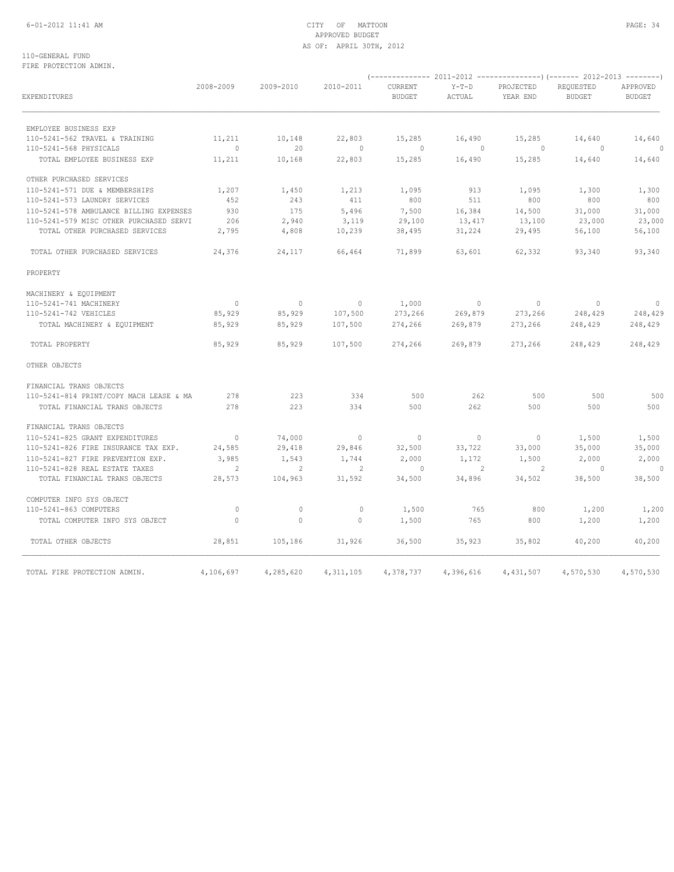## 6-01-2012 11:41 AM CITY OF MATTOON PAGE: 34 APPROVED BUDGET AS OF: APRIL 30TH, 2012

110-GENERAL FUND FIRE PROTECTION ADMIN.

| EXPENDITURES                            | 2008-2009      | 2009-2010 | 2010-2011                | <b>CURRENT</b><br><b>BUDGET</b> | Y-T-D<br>ACTUAL          | PROJECTED<br>YEAR END | REQUESTED<br><b>BUDGET</b> | APPROVED<br><b>BUDGET</b> |
|-----------------------------------------|----------------|-----------|--------------------------|---------------------------------|--------------------------|-----------------------|----------------------------|---------------------------|
| EMPLOYEE BUSINESS EXP                   |                |           |                          |                                 |                          |                       |                            |                           |
| 110-5241-562 TRAVEL & TRAINING          | 11,211         | 10,148    | 22,803                   | 15,285                          | 16,490                   | 15,285                | 14,640                     | 14,640                    |
| 110-5241-568 PHYSICALS                  | $\overline{0}$ | 20        | $\sim$ 0                 | $\sim$ 0                        | $\overline{0}$           | $\sim$ 0              | $\sim$ 0                   | $\overline{0}$            |
| TOTAL EMPLOYEE BUSINESS EXP             | 11,211         | 10,168    | 22,803                   | 15,285                          | 16,490                   | 15,285                | 14,640                     | 14,640                    |
| OTHER PURCHASED SERVICES                |                |           |                          |                                 |                          |                       |                            |                           |
| 110-5241-571 DUE & MEMBERSHIPS          | 1,207          | 1,450     | 1,213                    | 1,095                           | 913                      | 1,095                 | 1,300                      | 1,300                     |
| 110-5241-573 LAUNDRY SERVICES           | 452            | 243       | 411                      | 800                             | 511                      | 800                   | 800                        | 800                       |
| 110-5241-578 AMBULANCE BILLING EXPENSES | 930            | 175       | 5,496                    | 7,500                           | 16,384                   | 14,500                | 31,000                     | 31,000                    |
| 110-5241-579 MISC OTHER PURCHASED SERVI | 206            | 2,940     | 3,119                    | 29,100                          | 13,417                   | 13,100                | 23,000                     | 23,000                    |
| TOTAL OTHER PURCHASED SERVICES          | 2,795          | 4,808     | 10,239                   | 38,495                          | 31,224                   | 29,495                | 56,100                     | 56,100                    |
| TOTAL OTHER PURCHASED SERVICES          | 24,376         | 24,117    | 66,464                   | 71,899                          |                          | 63,601 62,332         | 93,340                     | 93,340                    |
| PROPERTY                                |                |           |                          |                                 |                          |                       |                            |                           |
| MACHINERY & EQUIPMENT                   |                |           |                          |                                 |                          |                       |                            |                           |
| 110-5241-741 MACHINERY                  | $\overline{0}$ | $\sim$ 0  | $\sim$ 0                 | 1,000                           | $\sim$ 0                 | $\sim$ 0              | $\sim$ 0                   | $\overline{\phantom{0}}$  |
| 110-5241-742 VEHICLES                   | 85,929         | 85,929    | 107,500                  | 273,266                         | 269,879                  | 273,266               | 248,429                    | 248,429                   |
| TOTAL MACHINERY & EQUIPMENT             | 85,929         | 85,929    | 107,500                  | 274,266                         | 269,879                  | 273,266               | 248,429                    | 248,429                   |
| TOTAL PROPERTY                          | 85,929         | 85,929    | 107,500                  | 274,266                         | 269,879                  | 273,266               | 248,429                    | 248,429                   |
| OTHER OBJECTS                           |                |           |                          |                                 |                          |                       |                            |                           |
| FINANCIAL TRANS OBJECTS                 |                |           |                          |                                 |                          |                       |                            |                           |
| 110-5241-814 PRINT/COPY MACH LEASE & MA | 278            | 223       | 334                      | 500                             | 262                      | 500                   | 500                        | 500                       |
| TOTAL FINANCIAL TRANS OBJECTS           | 278            | 223       | 334                      | 500                             | 262                      | 500                   | 500                        | 500                       |
| FINANCIAL TRANS OBJECTS                 |                |           |                          |                                 |                          |                       |                            |                           |
| 110-5241-825 GRANT EXPENDITURES         | $\overline{0}$ | 74,000    | $\sim$ 0                 | $\overline{0}$                  | $\overline{\phantom{0}}$ | $\overline{0}$        | 1,500                      | 1,500                     |
| 110-5241-826 FIRE INSURANCE TAX EXP.    | 24,585         | 29,418    | 29,846                   | 32,500                          | 33,722                   | 33,000                | 35,000                     | 35,000                    |
| 110-5241-827 FIRE PREVENTION EXP.       | 3,985          | 1,543     | 1,744                    | 2,000                           | 1,172                    | 1,500                 | 2,000                      | 2,000                     |
| 110-5241-828 REAL ESTATE TAXES          | $\overline{2}$ | 2         | $\overline{\phantom{a}}$ | $\circ$                         | $\sim$ 2                 | 2                     | $\sim$ 0                   |                           |
| TOTAL FINANCIAL TRANS OBJECTS           | 28,573         | 104,963   | 31,592                   | 34,500                          | 34,896                   | 34,502                | 38,500                     | 38,500                    |
| COMPUTER INFO SYS OBJECT                |                |           |                          |                                 |                          |                       |                            |                           |
| 110-5241-863 COMPUTERS                  | $\overline{0}$ | $\circ$   | $\circ$                  | 1,500                           | 765                      | 800                   | 1,200                      | 1,200                     |
| TOTAL COMPUTER INFO SYS OBJECT          | $\bigcirc$     | $\Omega$  | $\bigcirc$               | 1,500                           | 765                      | 800                   | 1,200                      | 1,200                     |
| TOTAL OTHER OBJECTS                     | 28,851         | 105,186   | 31,926                   | 36,500                          | 35,923                   | 35,802                | 40,200                     | 40,200                    |
| TOTAL FIRE PROTECTION ADMIN.            | 4,106,697      | 4,285,620 | 4, 311, 105              | 4,378,737                       | 4,396,616                | 4,431,507             | 4,570,530                  | 4,570,530                 |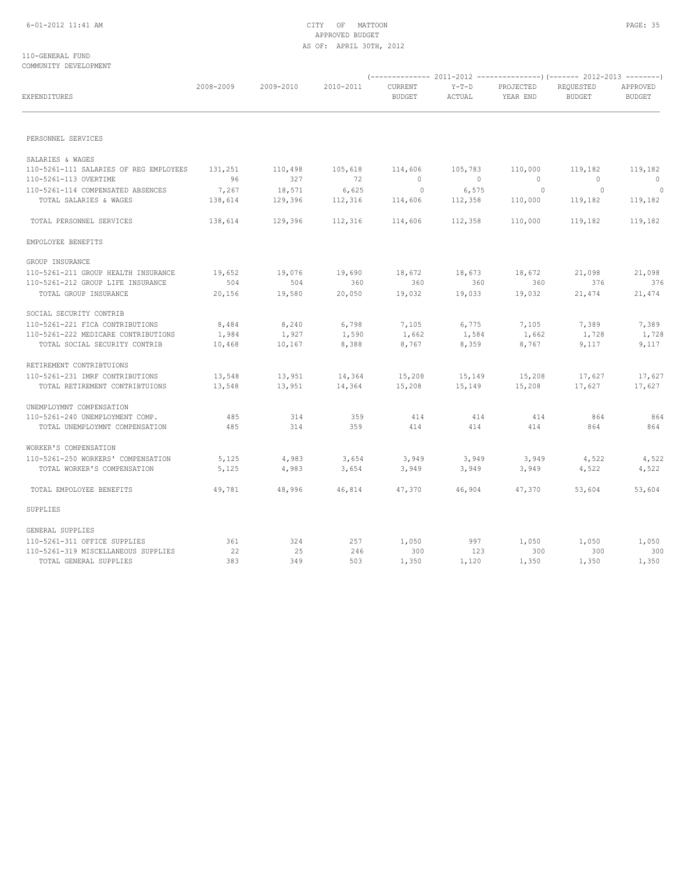## 6-01-2012 11:41 AM CITY OF MATTOON PAGE: 35 APPROVED BUDGET AS OF: APRIL 30TH, 2012

### 110-GENERAL FUND COMMUNITY DEVELOPMENT

| EXPENDITURES                           | 2008-2009 | 2009-2010 | 2010-2011 | CURRENT<br><b>BUDGET</b> | $Y-T-D$<br>ACTUAL | PROJECTED<br>YEAR END | REQUESTED<br><b>BUDGET</b> | APPROVED<br><b>BUDGET</b> |
|----------------------------------------|-----------|-----------|-----------|--------------------------|-------------------|-----------------------|----------------------------|---------------------------|
|                                        |           |           |           |                          |                   |                       |                            |                           |
| PERSONNEL SERVICES                     |           |           |           |                          |                   |                       |                            |                           |
| SALARIES & WAGES                       |           |           |           |                          |                   |                       |                            |                           |
| 110-5261-111 SALARIES OF REG EMPLOYEES | 131,251   | 110,498   | 105,618   | 114,606                  | 105,783           | 110,000               | 119,182                    | 119,182                   |
| 110-5261-113 OVERTIME                  | 96        | 327       | 72        | $\overline{0}$           | $\sim$ 0          | $\bigcirc$            | $\sim$ 0                   | $\bigcirc$                |
| 110-5261-114 COMPENSATED ABSENCES      | 7,267     | 18,571    | 6,625     | $\overline{0}$           | 6,575             | $\sim$ 0              | $\overline{0}$             | $\Omega$                  |
| TOTAL SALARIES & WAGES                 | 138,614   | 129,396   | 112,316   | 114,606                  | 112,358           | 110,000               | 119,182                    | 119,182                   |
| TOTAL PERSONNEL SERVICES               | 138,614   | 129,396   | 112,316   | 114,606                  | 112,358           | 110,000               | 119,182                    | 119,182                   |
| EMPOLOYEE BENEFITS                     |           |           |           |                          |                   |                       |                            |                           |
| GROUP INSURANCE                        |           |           |           |                          |                   |                       |                            |                           |
| 110-5261-211 GROUP HEALTH INSURANCE    | 19,652    | 19,076    | 19,690    | 18,672                   | 18,673            | 18,672                | 21,098                     | 21,098                    |
| 110-5261-212 GROUP LIFE INSURANCE      | 504       | 504       | 360       | 360                      | 360               | 360                   | 376                        | 376                       |
| TOTAL GROUP INSURANCE                  | 20,156    | 19,580    | 20,050    | 19,032                   | 19,033            | 19,032                | 21,474                     | 21,474                    |
| SOCIAL SECURITY CONTRIB                |           |           |           |                          |                   |                       |                            |                           |
| 110-5261-221 FICA CONTRIBUTIONS        | 8,484     | 8,240     | 6,798     | 7,105                    | 6,775             | 7,105                 | 7,389                      | 7,389                     |
| 110-5261-222 MEDICARE CONTRIBUTIONS    | 1,984     | 1,927     | 1,590     | 1,662                    | 1,584             | 1,662                 | 1,728                      | 1,728                     |
| TOTAL SOCIAL SECURITY CONTRIB          | 10,468    | 10,167    | 8,388     | 8,767                    | 8,359             | 8,767                 | 9,117                      | 9,117                     |
| RETIREMENT CONTRIBTUIONS               |           |           |           |                          |                   |                       |                            |                           |
| 110-5261-231 IMRF CONTRIBUTIONS        | 13,548    | 13,951    | 14,364    | 15,208                   | 15,149            | 15,208                | 17,627                     | 17,627                    |
| TOTAL RETIREMENT CONTRIBTUIONS         | 13,548    | 13,951    | 14,364    | 15,208                   | 15,149            | 15,208                | 17,627                     | 17,627                    |
| UNEMPLOYMNT COMPENSATION               |           |           |           |                          |                   |                       |                            |                           |
| 110-5261-240 UNEMPLOYMENT COMP.        | 485       | 314       | 359       | 414                      | 414               | 414                   | 864                        | 864                       |
| TOTAL UNEMPLOYMNT COMPENSATION         | 485       | 314       | 359       | 414                      | 414               | 414                   | 864                        | 864                       |
| WORKER'S COMPENSATION                  |           |           |           |                          |                   |                       |                            |                           |
| 110-5261-250 WORKERS' COMPENSATION     | 5,125     | 4,983     | 3,654     | 3,949                    | 3,949             | 3,949                 | 4,522                      | 4,522                     |
| TOTAL WORKER'S COMPENSATION            | 5,125     | 4,983     | 3,654     | 3,949                    | 3,949             | 3,949                 | 4,522                      | 4,522                     |
| TOTAL EMPOLOYEE BENEFITS               | 49,781    | 48,996    | 46,814    | 47,370                   | 46,904            | 47,370                | 53,604                     | 53,604                    |
| SUPPLIES                               |           |           |           |                          |                   |                       |                            |                           |
| GENERAL SUPPLIES                       |           |           |           |                          |                   |                       |                            |                           |
| 110-5261-311 OFFICE SUPPLIES           | 361       | 324       | 257       | 1,050                    | 997               | 1,050                 | 1,050                      | 1,050                     |
| 110-5261-319 MISCELLANEOUS SUPPLIES    | 22        | 25        | 246       | 300                      | 123               | 300                   | 300                        | 300                       |
| TOTAL GENERAL SUPPLIES                 | 383       | 349       | 503       | 1,350                    | 1,120             | 1,350                 | 1,350                      | 1,350                     |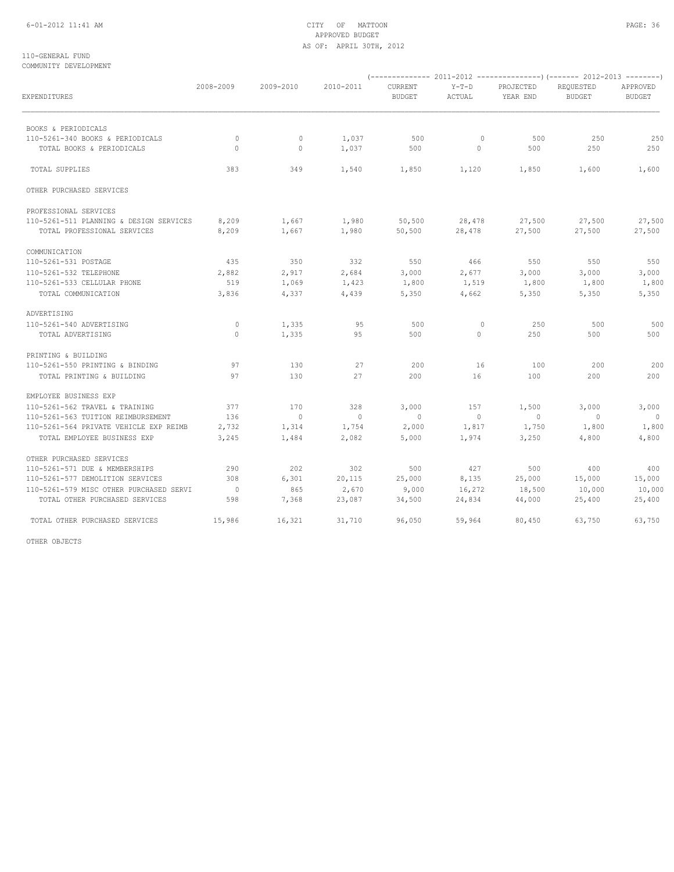## 6-01-2012 11:41 AM CITY OF MATTOON PAGE: 36 APPROVED BUDGET AS OF: APRIL 30TH, 2012

### 110-GENERAL FUND COMMUNITY DEVELOPMENT

| EXPENDITURES                                                              | 2008-2009             | 2009-2010      | 2010-2011       | CURRENT<br><b>BUDGET</b> | $Y-T-D$<br>ACTUAL | PROJECTED<br>YEAR END | REOUESTED<br><b>BUDGET</b> | APPROVED<br><b>BUDGET</b> |
|---------------------------------------------------------------------------|-----------------------|----------------|-----------------|--------------------------|-------------------|-----------------------|----------------------------|---------------------------|
| BOOKS & PERIODICALS                                                       |                       |                |                 |                          |                   |                       |                            |                           |
| 110-5261-340 BOOKS & PERIODICALS                                          | $\circ$               | $\circ$        | 1,037           | 500                      | $\circ$           | 500                   | 250                        | 250                       |
| TOTAL BOOKS & PERIODICALS                                                 | $\Omega$              | $\mathbf{0}$   | 1,037           | 500                      | $\circ$           | 500                   | 250                        | 250                       |
| <b>TOTAL SUPPLIES</b>                                                     | 383                   | 349            | 1,540           | 1,850                    | 1,120             | 1,850                 | 1,600                      | 1,600                     |
| OTHER PURCHASED SERVICES                                                  |                       |                |                 |                          |                   |                       |                            |                           |
| PROFESSIONAL SERVICES                                                     |                       |                |                 |                          |                   |                       |                            |                           |
| 110-5261-511 PLANNING & DESIGN SERVICES                                   | 8,209                 | 1,667          | 1,980           | 50,500                   | 28,478            | 27,500                | 27,500                     | 27,500                    |
| TOTAL PROFESSIONAL SERVICES                                               | 8,209                 | 1,667          | 1,980           | 50,500                   | 28,478            | 27,500                | 27,500                     | 27,500                    |
| COMMUNICATION                                                             |                       |                |                 |                          |                   |                       |                            |                           |
| 110-5261-531 POSTAGE                                                      | 435                   | 350            | 332             | 550                      | 466               | 550                   | 550                        | 550                       |
| 110-5261-532 TELEPHONE                                                    | 2,882                 | 2,917          | 2,684           | 3,000                    | 2,677             | 3,000                 | 3,000                      | 3,000                     |
| 110-5261-533 CELLULAR PHONE                                               | 519                   | 1,069          | 1,423           | 1,800                    | 1,519             | 1,800                 | 1,800                      | 1,800                     |
| TOTAL COMMUNICATION                                                       | 3,836                 | 4,337          | 4,439           | 5,350                    | 4,662             | 5,350                 | 5,350                      | 5,350                     |
| ADVERTISING                                                               |                       |                |                 |                          |                   |                       |                            |                           |
| 110-5261-540 ADVERTISING                                                  | $\circ$               | 1,335          | 95              | 500                      | $\circ$           | 250                   | 500                        | 500                       |
| TOTAL ADVERTISING                                                         | 0                     | 1,335          | 95              | 500                      | $\circ$           | 250                   | 500                        | 500                       |
| PRINTING & BUILDING                                                       |                       |                |                 |                          |                   |                       |                            |                           |
| 110-5261-550 PRINTING & BINDING                                           | 97                    | 130            | 27              | 200                      | 16                | 100                   | 200                        | 200                       |
| TOTAL PRINTING & BUILDING                                                 | 97                    | 130            | 27              | 200                      | 16                | 100                   | 200                        | 200                       |
| EMPLOYEE BUSINESS EXP                                                     |                       |                |                 |                          |                   |                       |                            |                           |
| 110-5261-562 TRAVEL & TRAINING                                            | 377                   | 170            | 328             | 3,000                    | 157               | 1,500                 | 3,000                      | 3,000                     |
| 110-5261-563 TUITION REIMBURSEMENT                                        | 136                   | $\overline{0}$ | $\sim$ 0        | $\sim$ 0                 | $\overline{0}$    | $\overline{0}$        | $\sim$ 0                   | $\sim$ 0                  |
| 110-5261-564 PRIVATE VEHICLE EXP REIMB                                    | 2,732                 | 1,314          | 1,754           | 2,000                    | 1,817             | 1,750                 | 1,800                      | 1,800                     |
| TOTAL EMPLOYEE BUSINESS EXP                                               | 3,245                 | 1,484          | 2,082           | 5,000                    | 1,974             | 3,250                 | 4,800                      | 4,800                     |
| OTHER PURCHASED SERVICES                                                  |                       |                |                 |                          |                   |                       |                            |                           |
| 110-5261-571 DUE & MEMBERSHIPS                                            | 290                   | 202            | 302             | 500                      | 427               | 500                   | 400                        | 400                       |
| 110-5261-577 DEMOLITION SERVICES                                          | 308                   | 6,301          | 20,115          | 25,000                   | 8,135             | 25,000                | 15,000                     | 15,000                    |
| 110-5261-579 MISC OTHER PURCHASED SERVI<br>TOTAL OTHER PURCHASED SERVICES | $\overline{0}$<br>598 | 865<br>7,368   | 2,670<br>23,087 | 9,000                    | 16,272<br>24,834  | 18,500                | 10,000<br>25,400           | 10,000                    |
|                                                                           |                       |                |                 | 34,500                   |                   | 44,000                |                            | 25,400                    |
| TOTAL OTHER PURCHASED SERVICES                                            | 15,986                | 16,321         | 31,710          | 96,050                   | 59,964            | 80,450                | 63,750                     | 63,750                    |

OTHER OBJECTS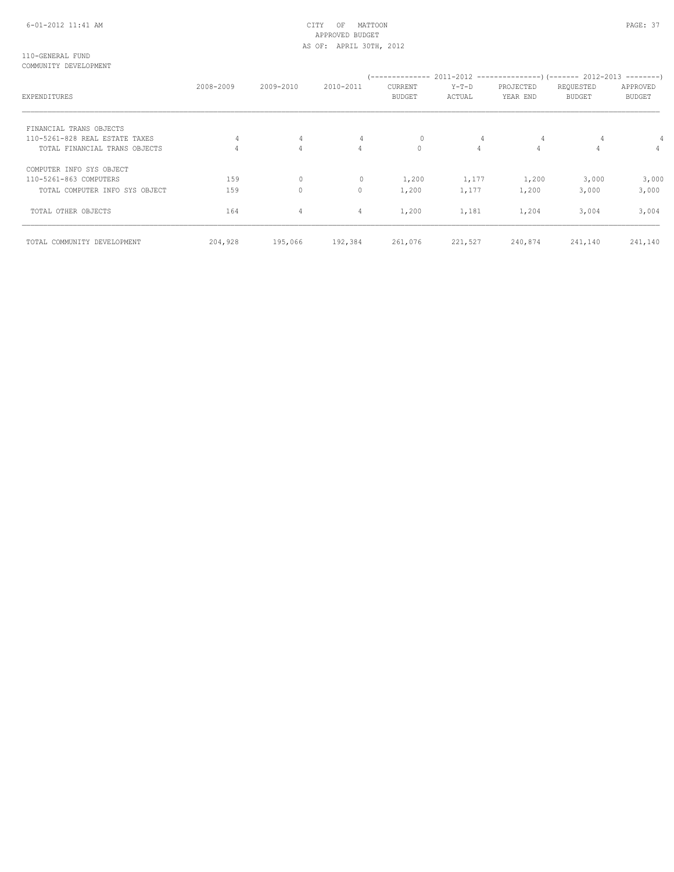# 6-01-2012 11:41 AM CITY OF MATTOON PAGE: 37 APPROVED BUDGET AS OF: APRIL 30TH, 2012

#### 110-GENERAL FUND COMMUNITY DEVELOPMENT

| EXPENDITURES                   | 2008-2009 | 2009-2010      | 2010-2011      | CURRENT<br><b>BUDGET</b> | $Y-T-D$<br>ACTUAL | PROJECTED<br>YEAR END | REQUESTED<br>BUDGET | APPROVED<br><b>BUDGET</b> |
|--------------------------------|-----------|----------------|----------------|--------------------------|-------------------|-----------------------|---------------------|---------------------------|
| FINANCIAL TRANS OBJECTS        |           |                |                |                          |                   |                       |                     |                           |
| 110-5261-828 REAL ESTATE TAXES |           | 4              | 4              | $\mathbf{0}$             | 4                 |                       |                     |                           |
| TOTAL FINANCIAL TRANS OBJECTS  |           | $\overline{4}$ | $\overline{4}$ | 0                        | 4                 | $\overline{4}$        | 4                   | $\overline{4}$            |
| COMPUTER INFO SYS OBJECT       |           |                |                |                          |                   |                       |                     |                           |
| 110-5261-863 COMPUTERS         | 159       | 0              | $\mathbf{0}$   | 1,200                    | 1,177             | 1,200                 | 3,000               | 3,000                     |
| TOTAL COMPUTER INFO SYS OBJECT | 159       | $\Omega$       | 0              | 1,200                    | 1,177             | 1,200                 | 3,000               | 3,000                     |
| TOTAL OTHER OBJECTS            | 164       | 4              | 4              | 1,200                    | 1,181             | 1,204                 | 3,004               | 3,004                     |
| TOTAL COMMUNITY DEVELOPMENT    | 204,928   | 195,066        | 192,384        | 261,076                  | 221,527           | 240,874               | 241,140             | 241,140                   |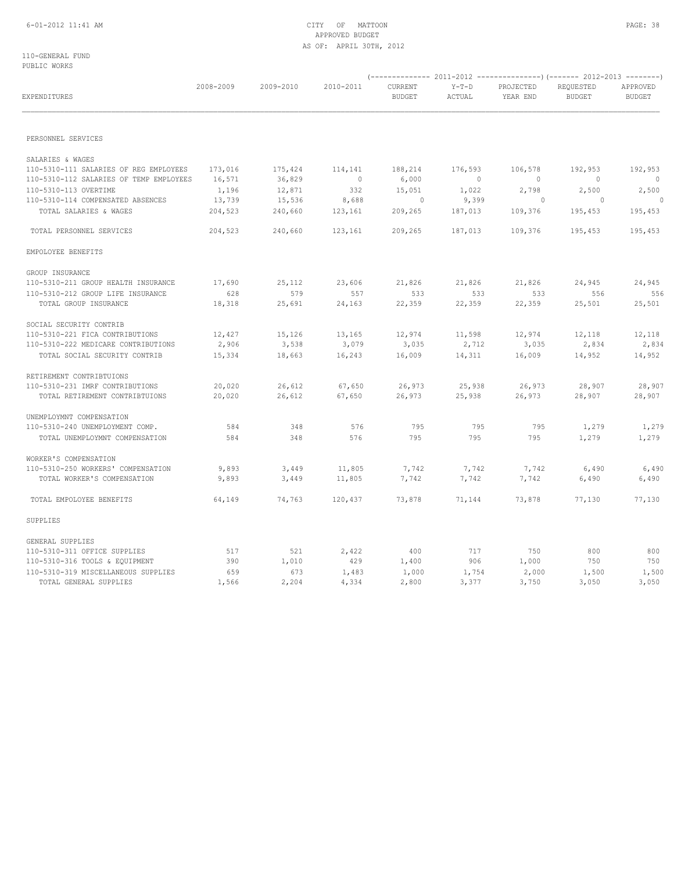# 6-01-2012 11:41 AM CITY OF MATTOON PAGE: 38 APPROVED BUDGET AS OF: APRIL 30TH, 2012

110-GENERAL FUND PUBLIC WORKS

|                                         |           |           |           |                          |                   | (------------- 2011-2012 ---------------) (------- 2012-2013 --------) |                            |                           |
|-----------------------------------------|-----------|-----------|-----------|--------------------------|-------------------|------------------------------------------------------------------------|----------------------------|---------------------------|
| EXPENDITURES                            | 2008-2009 | 2009-2010 | 2010-2011 | CURRENT<br><b>BUDGET</b> | $Y-T-D$<br>ACTUAL | PROJECTED<br>YEAR END                                                  | REQUESTED<br><b>BUDGET</b> | APPROVED<br><b>BUDGET</b> |
|                                         |           |           |           |                          |                   |                                                                        |                            |                           |
| PERSONNEL SERVICES                      |           |           |           |                          |                   |                                                                        |                            |                           |
| SALARIES & WAGES                        |           |           |           |                          |                   |                                                                        |                            |                           |
| 110-5310-111 SALARIES OF REG EMPLOYEES  | 173,016   | 175,424   | 114,141   | 188,214                  | 176,593           | 106,578                                                                | 192,953                    | 192,953                   |
| 110-5310-112 SALARIES OF TEMP EMPLOYEES | 16,571    | 36,829    | $\sim$ 0  | 6,000                    | $\sim$ 0          | $\overline{0}$                                                         | $\sim$ 0                   | $\circ$                   |
| 110-5310-113 OVERTIME                   | 1,196     | 12,871    | 332       | 15,051                   | 1,022             | 2,798                                                                  | 2,500                      | 2,500                     |
| 110-5310-114 COMPENSATED ABSENCES       | 13,739    | 15,536    | 8,688     | $\circ$                  | 9,399             | $\circ$                                                                | $\overline{\phantom{0}}$   | $\overline{0}$            |
| TOTAL SALARIES & WAGES                  | 204,523   | 240,660   | 123,161   | 209,265                  | 187,013           | 109,376                                                                | 195,453                    | 195,453                   |
| TOTAL PERSONNEL SERVICES                | 204,523   | 240,660   | 123,161   | 209,265                  | 187,013           | 109,376                                                                | 195,453                    | 195,453                   |
| EMPOLOYEE BENEFITS                      |           |           |           |                          |                   |                                                                        |                            |                           |
| GROUP INSURANCE                         |           |           |           |                          |                   |                                                                        |                            |                           |
| 110-5310-211 GROUP HEALTH INSURANCE     | 17,690    | 25,112    | 23,606    | 21,826                   | 21,826            | 21,826                                                                 | 24,945                     | 24,945                    |
| 110-5310-212 GROUP LIFE INSURANCE       | 628       | 579       | 557       | 533                      | 533               | 533                                                                    | 556                        | 556                       |
| TOTAL GROUP INSURANCE                   | 18,318    | 25,691    | 24,163    | 22,359                   | 22,359            | 22,359                                                                 | 25,501                     | 25,501                    |
| SOCIAL SECURITY CONTRIB                 |           |           |           |                          |                   |                                                                        |                            |                           |
| 110-5310-221 FICA CONTRIBUTIONS         | 12,427    | 15,126    | 13,165    | 12,974                   | 11,598            | 12,974                                                                 | 12,118                     | 12,118                    |
| 110-5310-222 MEDICARE CONTRIBUTIONS     | 2,906     | 3,538     | 3,079     | 3,035                    | 2,712             | 3,035                                                                  | 2,834                      | 2,834                     |
| TOTAL SOCIAL SECURITY CONTRIB           | 15,334    | 18,663    | 16,243    | 16,009                   | 14,311            | 16,009                                                                 | 14,952                     | 14,952                    |
| RETIREMENT CONTRIBTUIONS                |           |           |           |                          |                   |                                                                        |                            |                           |
| 110-5310-231 IMRF CONTRIBUTIONS         | 20,020    | 26,612    | 67,650    | 26,973                   | 25,938            | 26,973                                                                 | 28,907                     | 28,907                    |
| TOTAL RETIREMENT CONTRIBTUIONS          | 20,020    | 26,612    | 67,650    | 26,973                   | 25,938            | 26,973                                                                 | 28,907                     | 28,907                    |
| UNEMPLOYMNT COMPENSATION                |           |           |           |                          |                   |                                                                        |                            |                           |
| 110-5310-240 UNEMPLOYMENT COMP.         | 584       | 348       | 576       | 795                      | 795               | 795                                                                    | 1,279                      | 1,279                     |
| TOTAL UNEMPLOYMNT COMPENSATION          | 584       | 348       | 576       | 795                      | 795               | 795                                                                    | 1,279                      | 1,279                     |
| WORKER'S COMPENSATION                   |           |           |           |                          |                   |                                                                        |                            |                           |
| 110-5310-250 WORKERS' COMPENSATION      | 9,893     | 3,449     | 11,805    | 7,742                    | 7,742             | 7,742                                                                  | 6,490                      | 6,490                     |
| TOTAL WORKER'S COMPENSATION             | 9,893     | 3,449     | 11,805    | 7,742                    | 7,742             | 7,742                                                                  | 6,490                      | 6,490                     |
| TOTAL EMPOLOYEE BENEFITS                | 64,149    | 74,763    | 120,437   | 73,878                   | 71,144            | 73,878                                                                 | 77,130                     | 77,130                    |
| SUPPLIES                                |           |           |           |                          |                   |                                                                        |                            |                           |
| GENERAL SUPPLIES                        |           |           |           |                          |                   |                                                                        |                            |                           |
| 110-5310-311 OFFICE SUPPLIES            | 517       | 521       | 2,422     | 400                      | 717               | 750                                                                    | 800                        | 800                       |
| 110-5310-316 TOOLS & EQUIPMENT          | 390       | 1,010     | 429       | 1,400                    | 906               | 1,000                                                                  | 750                        | 750                       |
| 110-5310-319 MISCELLANEOUS SUPPLIES     | 659       | 673       | 1,483     | 1,000                    | 1,754             | 2,000                                                                  | 1,500                      | 1,500                     |
| TOTAL GENERAL SUPPLIES                  | 1,566     | 2,204     | 4,334     | 2,800                    | 3,377             | 3,750                                                                  | 3,050                      | 3,050                     |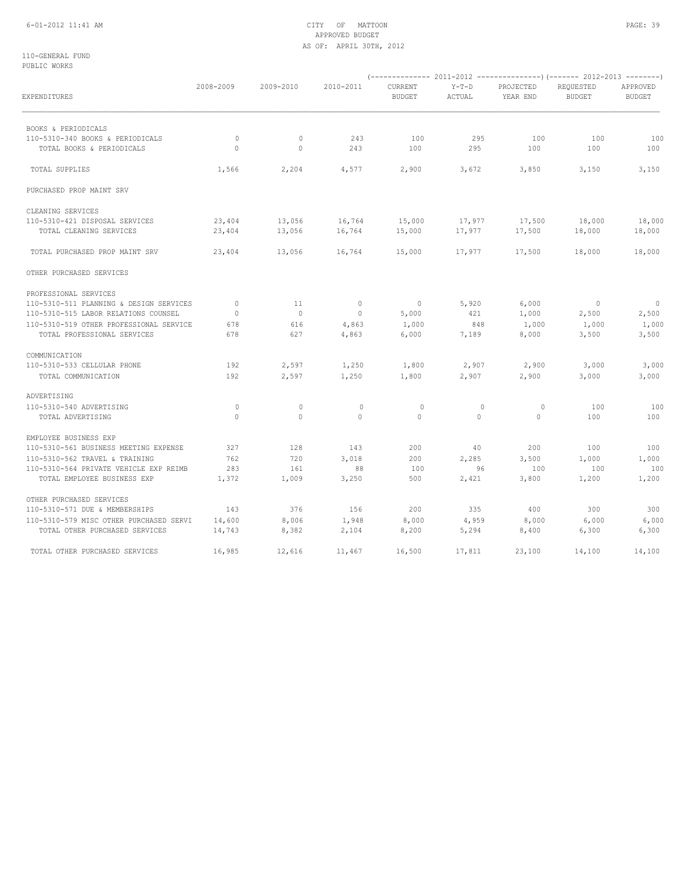# 6-01-2012 11:41 AM CITY OF MATTOON PAGE: 39 APPROVED BUDGET AS OF: APRIL 30TH, 2012

110-GENERAL FUND PUBLIC WORKS

| EXPENDITURES                            | 2008-2009    | 2009-2010      | 2010-2011      | CURRENT<br><b>BUDGET</b> | $Y-T-D$<br>ACTUAL | PROJECTED<br>YEAR END | REQUESTED<br><b>BUDGET</b> | APPROVED<br><b>BUDGET</b> |
|-----------------------------------------|--------------|----------------|----------------|--------------------------|-------------------|-----------------------|----------------------------|---------------------------|
| BOOKS & PERIODICALS                     |              |                |                |                          |                   |                       |                            |                           |
| 110-5310-340 BOOKS & PERIODICALS        | $\mathbf{0}$ | $\circ$        | 243            | 100                      | 295               | 100                   | 100                        | 100                       |
| TOTAL BOOKS & PERIODICALS               | $\Omega$     | $\circ$        | 243            | 100                      | 295               | 100                   | 100                        | 100                       |
| TOTAL SUPPLIES                          | 1,566        | 2,204          | 4,577          | 2,900                    | 3,672             | 3,850                 | 3,150                      | 3,150                     |
| PURCHASED PROP MAINT SRV                |              |                |                |                          |                   |                       |                            |                           |
| CLEANING SERVICES                       |              |                |                |                          |                   |                       |                            |                           |
| 110-5310-421 DISPOSAL SERVICES          | 23,404       | 13,056         | 16,764         | 15,000                   | 17,977            | 17,500                | 18,000                     | 18,000                    |
| TOTAL CLEANING SERVICES                 | 23,404       | 13,056         | 16,764         | 15,000                   | 17,977            | 17,500                | 18,000                     | 18,000                    |
| TOTAL PURCHASED PROP MAINT SRV          | 23,404       | 13,056         | 16,764         | 15,000                   | 17,977            | 17,500                | 18,000                     | 18,000                    |
| OTHER PURCHASED SERVICES                |              |                |                |                          |                   |                       |                            |                           |
| PROFESSIONAL SERVICES                   |              |                |                |                          |                   |                       |                            |                           |
| 110-5310-511 PLANNING & DESIGN SERVICES | $\circ$      | 11             | $\overline{0}$ | $\overline{\phantom{0}}$ | 5,920             | 6,000                 | $\overline{0}$             | $\overline{0}$            |
| 110-5310-515 LABOR RELATIONS COUNSEL    | $\circ$      | $\overline{0}$ | $\overline{0}$ | 5,000                    | 421               | 1,000                 | 2,500                      | 2,500                     |
| 110-5310-519 OTHER PROFESSIONAL SERVICE | 678          | 616            | 4,863          | 1,000                    | 848               | 1,000                 | 1,000                      | 1,000                     |
| TOTAL PROFESSIONAL SERVICES             | 678          | 627            | 4,863          | 6,000                    | 7,189             | 8,000                 | 3,500                      | 3,500                     |
| COMMUNICATION                           |              |                |                |                          |                   |                       |                            |                           |
| 110-5310-533 CELLULAR PHONE             | 192          | 2,597          | 1,250          | 1,800                    | 2,907             | 2,900                 | 3,000                      | 3,000                     |
| TOTAL COMMUNICATION                     | 192          | 2,597          | 1,250          | 1,800                    | 2,907             | 2,900                 | 3,000                      | 3,000                     |
| ADVERTISING                             |              |                |                |                          |                   |                       |                            |                           |
| 110-5310-540 ADVERTISING                | $\mathbf{0}$ | $\circ$        | $\mathbf 0$    | $\circ$                  | $\circ$           | $\circ$               | 100                        | 100                       |
| TOTAL ADVERTISING                       | $\circ$      | $\circ$        | $\circ$        | $\circ$                  | $\circ$           | $\mathbf{0}$          | 100                        | 100                       |
| EMPLOYEE BUSINESS EXP                   |              |                |                |                          |                   |                       |                            |                           |
| 110-5310-561 BUSINESS MEETING EXPENSE   | 327          | 128            | 143            | 200                      | 40                | 200                   | 100                        | 100                       |
| 110-5310-562 TRAVEL & TRAINING          | 762          | 720            | 3,018          | 200                      | 2,285             | 3,500                 | 1,000                      | 1,000                     |
| 110-5310-564 PRIVATE VEHICLE EXP REIMB  | 283          | 161            | 88             | 100                      | 96                | 100                   | 100                        | 100                       |
| TOTAL EMPLOYEE BUSINESS EXP             | 1,372        | 1,009          | 3,250          | 500                      | 2,421             | 3,800                 | 1,200                      | 1,200                     |
| OTHER PURCHASED SERVICES                |              |                |                |                          |                   |                       |                            |                           |
| 110-5310-571 DUE & MEMBERSHIPS          | 143          | 376            | 156            | 200                      | 335               | 400                   | 300                        | 300                       |
| 110-5310-579 MISC OTHER PURCHASED SERVI | 14,600       | 8,006          | 1,948          | 8,000                    | 4,959             | 8,000                 | 6,000                      | 6,000                     |
| TOTAL OTHER PURCHASED SERVICES          | 14,743       | 8,382          | 2,104          | 8,200                    | 5,294             | 8,400                 | 6,300                      | 6,300                     |
| TOTAL OTHER PURCHASED SERVICES          | 16,985       | 12,616         | 11,467         | 16,500                   | 17,811            | 23,100                | 14,100                     | 14,100                    |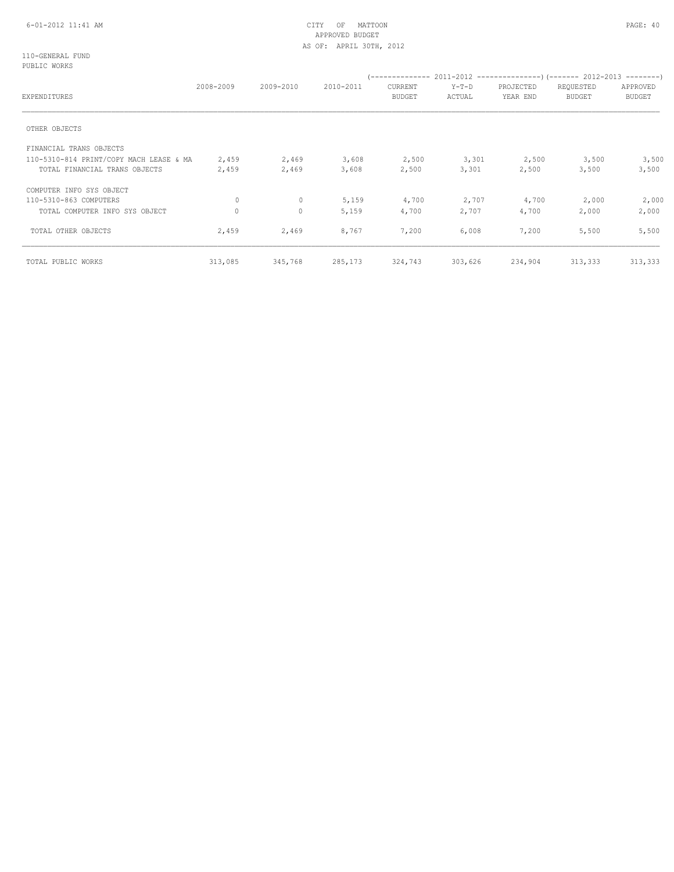# 6-01-2012 11:41 AM CITY OF MATTOON PAGE: 40 APPROVED BUDGET AS OF: APRIL 30TH, 2012

110-GENERAL FUND PUBLIC WORKS

|                                         | 2008-2009 | 2009-2010 | 2010-2011 | CURRENT       | $Y-T-D$ | PROJECTED | REQUESTED     | APPROVED      |
|-----------------------------------------|-----------|-----------|-----------|---------------|---------|-----------|---------------|---------------|
| EXPENDITURES                            |           |           |           | <b>BUDGET</b> | ACTUAL  | YEAR END  | <b>BUDGET</b> | <b>BUDGET</b> |
| OTHER OBJECTS                           |           |           |           |               |         |           |               |               |
| FINANCIAL TRANS OBJECTS                 |           |           |           |               |         |           |               |               |
| 110-5310-814 PRINT/COPY MACH LEASE & MA | 2,459     | 2,469     | 3,608     | 2,500         | 3,301   | 2,500     | 3,500         | 3,500         |
| TOTAL FINANCIAL TRANS OBJECTS           | 2,459     | 2,469     | 3,608     | 2,500         | 3,301   | 2,500     | 3,500         | 3,500         |
| COMPUTER INFO SYS OBJECT                |           |           |           |               |         |           |               |               |
| 110-5310-863 COMPUTERS                  | 0         | $\circ$   | 5,159     | 4,700         | 2,707   | 4,700     | 2,000         | 2,000         |
| TOTAL COMPUTER INFO SYS OBJECT          | 0         | 0         | 5,159     | 4,700         | 2,707   | 4,700     | 2,000         | 2,000         |
| TOTAL OTHER OBJECTS                     | 2,459     | 2,469     | 8,767     | 7,200         | 6,008   | 7,200     | 5,500         | 5,500         |
| TOTAL PUBLIC WORKS                      | 313,085   | 345,768   | 285,173   | 324,743       | 303,626 | 234,904   | 313,333       | 313,333       |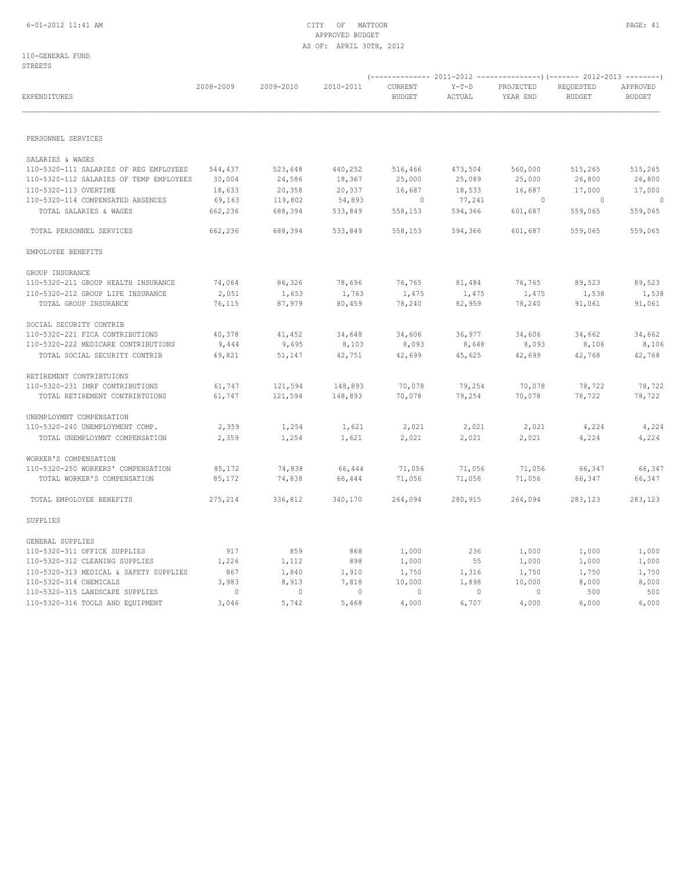# 6-01-2012 11:41 AM CITY OF MATTOON PAGE: 41 APPROVED BUDGET AS OF: APRIL 30TH, 2012

| EXPENDITURES                            | 2008-2009 | 2009-2010      | 2010-2011      | CURRENT<br><b>BUDGET</b> | $Y-T-D$<br>ACTUAL | PROJECTED<br>YEAR END | REQUESTED<br><b>BUDGET</b> | APPROVED<br><b>BUDGET</b> |
|-----------------------------------------|-----------|----------------|----------------|--------------------------|-------------------|-----------------------|----------------------------|---------------------------|
|                                         |           |                |                |                          |                   |                       |                            |                           |
| PERSONNEL SERVICES                      |           |                |                |                          |                   |                       |                            |                           |
| SALARIES & WAGES                        |           |                |                |                          |                   |                       |                            |                           |
| 110-5320-111 SALARIES OF REG EMPLOYEES  | 544,437   | 523,648        | 440,252        | 516,466                  | 473,504           | 560,000               | 515,265                    | 515,265                   |
| 110-5320-112 SALARIES OF TEMP EMPLOYEES | 30,004    | 24,586         | 18,367         | 25,000                   | 25,089            | 25,000                | 26,800                     | 26,800                    |
| 110-5320-113 OVERTIME                   | 18,633    | 20,358         | 20,337         | 16,687                   | 18,533            | 16,687                | 17,000                     | 17,000                    |
| 110-5320-114 COMPENSATED ABSENCES       | 69,163    | 119,802        | 54,893         | $\circ$                  | 77,241            | $\circ$               | $\sim$ 0                   | $\circ$                   |
| TOTAL SALARIES & WAGES                  | 662,236   | 688,394        | 533,849        | 558,153                  | 594,366           | 601,687               | 559,065                    | 559,065                   |
| TOTAL PERSONNEL SERVICES                | 662,236   | 688,394        | 533,849        | 558,153                  | 594,366           | 601,687               | 559,065                    | 559,065                   |
| EMPOLOYEE BENEFITS                      |           |                |                |                          |                   |                       |                            |                           |
| GROUP INSURANCE                         |           |                |                |                          |                   |                       |                            |                           |
| 110-5320-211 GROUP HEALTH INSURANCE     | 74,064    | 86,326         | 78,696         | 76,765                   | 81,484            | 76,765                | 89,523                     | 89,523                    |
| 110-5320-212 GROUP LIFE INSURANCE       | 2,051     | 1,653          | 1,763          | 1,475                    | 1,475             | 1,475                 | 1,538                      | 1,538                     |
| TOTAL GROUP INSURANCE                   | 76,115    | 87,979         | 80,459         | 78,240                   | 82,959            | 78,240                | 91,061                     | 91,061                    |
| SOCIAL SECURITY CONTRIB                 |           |                |                |                          |                   |                       |                            |                           |
| 110-5320-221 FICA CONTRIBUTIONS         | 40,378    | 41,452         | 34,648         | 34,606                   | 36,977            | 34,606                | 34,662                     | 34,662                    |
| 110-5320-222 MEDICARE CONTRIBUTIONS     | 9,444     | 9,695          | 8,103          | 8,093                    | 8,648             | 8,093                 | 8,106                      | 8,106                     |
| TOTAL SOCIAL SECURITY CONTRIB           | 49,821    | 51,147         | 42,751         | 42,699                   | 45,625            | 42,699                | 42,768                     | 42,768                    |
| RETIREMENT CONTRIBTUIONS                |           |                |                |                          |                   |                       |                            |                           |
| 110-5320-231 IMRF CONTRIBUTIONS         | 61,747    | 121,594        | 148,893        | 70,078                   | 79,254            | 70,078                | 78,722                     | 78,722                    |
| TOTAL RETIREMENT CONTRIBTUIONS          | 61,747    | 121,594        | 148,893        | 70,078                   | 79,254            | 70,078                | 78,722                     | 78,722                    |
| UNEMPLOYMNT COMPENSATION                |           |                |                |                          |                   |                       |                            |                           |
| 110-5320-240 UNEMPLOYMENT COMP.         | 2,359     | 1,254          | 1,621          | 2,021                    | 2,021             | 2,021                 | 4,224                      | 4,224                     |
| TOTAL UNEMPLOYMNT COMPENSATION          | 2,359     | 1,254          | 1,621          | 2,021                    | 2,021             | 2,021                 | 4,224                      | 4,224                     |
| WORKER'S COMPENSATION                   |           |                |                |                          |                   |                       |                            |                           |
| 110-5320-250 WORKERS' COMPENSATION      | 85,172    | 74,838         | 66,444         | 71,056                   | 71,056            | 71,056                | 66,347                     | 66,347                    |
| TOTAL WORKER'S COMPENSATION             | 85,172    | 74,838         | 66,444         | 71,056                   | 71,056            | 71,056                | 66,347                     | 66,347                    |
| TOTAL EMPOLOYEE BENEFITS                | 275,214   | 336,812        | 340,170        | 264,094                  | 280,915           | 264,094               | 283,123                    | 283,123                   |
| SUPPLIES                                |           |                |                |                          |                   |                       |                            |                           |
| GENERAL SUPPLIES                        |           |                |                |                          |                   |                       |                            |                           |
| 110-5320-311 OFFICE SUPPLIES            | 917       | 859            | 868            | 1,000                    | 236               | 1,000                 | 1,000                      | 1,000                     |
| 110-5320-312 CLEANING SUPPLIES          | 1,226     | 1,112          | 898            | 1,000                    | 55                | 1,000                 | 1,000                      | 1,000                     |
| 110-5320-313 MEDICAL & SAFETY SUPPLIES  | 867       | 1,840          | 1,910          | 1,750                    | 1,316             | 1,750                 | 1,750                      | 1,750                     |
| 110-5320-314 CHEMICALS                  | 3,983     | 8,913          | 7,818          | 10,000                   | 1,898             | 10,000                | 8,000                      | 8,000                     |
| 110-5320-315 LANDSCAPE SUPPLIES         | $\circ$   | $\overline{0}$ | $\overline{0}$ | $\circ$                  | $\circ$           | $\sim$ 0              | 500                        | 500                       |
| 110-5320-316 TOOLS AND EQUIPMENT        | 3,046     | 5,742          | 5,468          | 4,000                    | 6,707             | 4,000                 | 6,000                      | 6,000                     |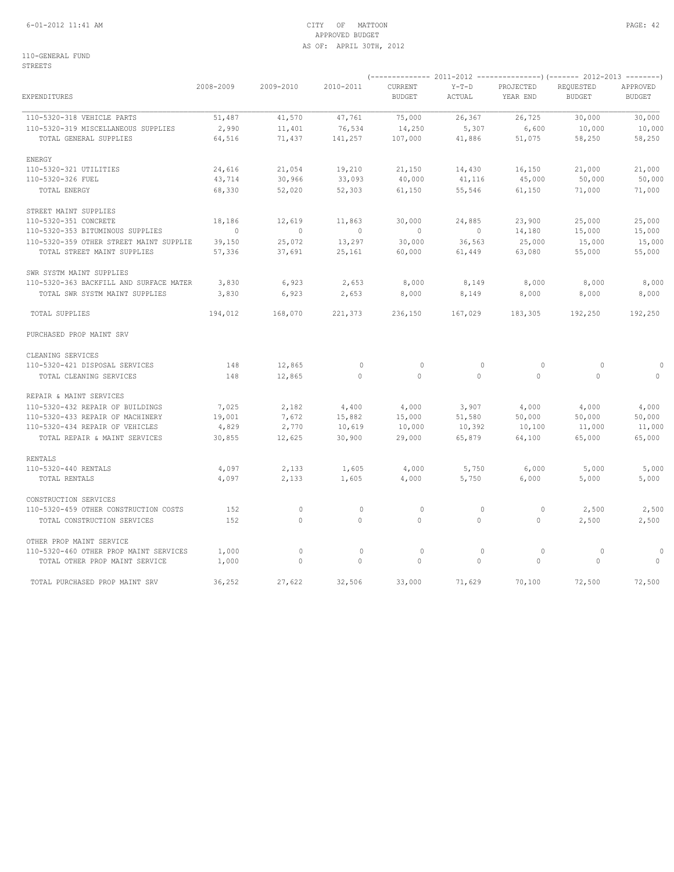# 6-01-2012 11:41 AM CITY OF MATTOON PAGE: 42 APPROVED BUDGET AS OF: APRIL 30TH, 2012

| EXPENDITURES                            | 2008-2009      | 2009-2010      | 2010-2011      | CURRENT<br><b>BUDGET</b> | $Y-T-D$<br>ACTUAL | PROJECTED<br>YEAR END | REQUESTED<br><b>BUDGET</b> | APPROVED<br><b>BUDGET</b> |
|-----------------------------------------|----------------|----------------|----------------|--------------------------|-------------------|-----------------------|----------------------------|---------------------------|
| 110-5320-318 VEHICLE PARTS              | 51,487         | 41,570         | 47,761         | 75,000                   | 26,367            | 26,725                | 30,000                     | 30,000                    |
| 110-5320-319 MISCELLANEOUS SUPPLIES     | 2,990          | 11,401         | 76,534         | 14,250                   | 5,307             | 6,600                 | 10,000                     | 10,000                    |
| TOTAL GENERAL SUPPLIES                  | 64,516         | 71,437         | 141,257        | 107,000                  | 41,886            | 51,075                | 58,250                     | 58,250                    |
| ENERGY                                  |                |                |                |                          |                   |                       |                            |                           |
| 110-5320-321 UTILITIES                  | 24,616         | 21,054         | 19,210         | 21,150                   | 14,430            | 16,150                | 21,000                     | 21,000                    |
| 110-5320-326 FUEL                       | 43,714         | 30,966         | 33,093         | 40,000                   | 41,116            | 45,000                | 50,000                     | 50,000                    |
| TOTAL ENERGY                            | 68,330         | 52,020         | 52,303         | 61,150                   | 55,546            | 61,150                | 71,000                     | 71,000                    |
| STREET MAINT SUPPLIES                   |                |                |                |                          |                   |                       |                            |                           |
| 110-5320-351 CONCRETE                   | 18,186         | 12,619         | 11,863         | 30,000                   | 24,885            | 23,900                | 25,000                     | 25,000                    |
| 110-5320-353 BITUMINOUS SUPPLIES        | $\overline{0}$ | $\overline{0}$ | $\overline{0}$ | $\circ$                  | $\circ$           | 14,180                | 15,000                     | 15,000                    |
| 110-5320-359 OTHER STREET MAINT SUPPLIE | 39,150         | 25,072         | 13,297         | 30,000                   | 36,563            | 25,000                | 15,000                     | 15,000                    |
| TOTAL STREET MAINT SUPPLIES             | 57,336         | 37,691         | 25,161         | 60,000                   | 61,449            | 63,080                | 55,000                     | 55,000                    |
| SWR SYSTM MAINT SUPPLIES                |                |                |                |                          |                   |                       |                            |                           |
| 110-5320-363 BACKFILL AND SURFACE MATER | 3,830          | 6,923          | 2,653          | 8,000                    | 8,149             | 8,000                 | 8,000                      | 8,000                     |
| TOTAL SWR SYSTM MAINT SUPPLIES          | 3,830          | 6,923          | 2,653          | 8,000                    | 8,149             | 8,000                 | 8,000                      | 8,000                     |
| TOTAL SUPPLIES                          | 194,012        | 168,070        | 221,373        | 236,150                  | 167,029           | 183,305               | 192,250                    | 192,250                   |
| PURCHASED PROP MAINT SRV                |                |                |                |                          |                   |                       |                            |                           |
| CLEANING SERVICES                       |                |                |                |                          |                   |                       |                            |                           |
| 110-5320-421 DISPOSAL SERVICES          | 148            | 12,865         | $\circ$        | $\circ$                  | $\circ$           | $\circ$               | $\circ$                    | $\Omega$                  |
| TOTAL CLEANING SERVICES                 | 148            | 12,865         | $\circ$        | $\circ$                  | $\circ$           | $\mathbb O$           | $\circ$                    | $\circ$                   |
| REPAIR & MAINT SERVICES                 |                |                |                |                          |                   |                       |                            |                           |
| 110-5320-432 REPAIR OF BUILDINGS        | 7,025          | 2,182          | 4,400          | 4,000                    | 3,907             | 4,000                 | 4,000                      | 4,000                     |
| 110-5320-433 REPAIR OF MACHINERY        | 19,001         | 7,672          | 15,882         | 15,000                   | 51,580            | 50,000                | 50,000                     | 50,000                    |
| 110-5320-434 REPAIR OF VEHICLES         | 4,829          | 2,770          | 10,619         | 10,000                   | 10,392            | 10,100                | 11,000                     | 11,000                    |
| TOTAL REPAIR & MAINT SERVICES           | 30,855         | 12,625         | 30,900         | 29,000                   | 65,879            | 64,100                | 65,000                     | 65,000                    |
| <b>RENTALS</b>                          |                |                |                |                          |                   |                       |                            |                           |
| 110-5320-440 RENTALS                    | 4,097          | 2,133          | 1,605          | 4,000                    | 5,750             | 6,000                 | 5,000                      | 5,000                     |
| TOTAL RENTALS                           | 4,097          | 2,133          | 1,605          | 4,000                    | 5,750             | 6,000                 | 5,000                      | 5,000                     |
| CONSTRUCTION SERVICES                   |                |                |                |                          |                   |                       |                            |                           |
| 110-5320-459 OTHER CONSTRUCTION COSTS   | 152            | 0              | $\mathbb O$    | $\circ$                  | $\circ$           | $\circ$               | 2,500                      | 2,500                     |
| TOTAL CONSTRUCTION SERVICES             | 152            | $\mathbf{0}$   | $\circ$        | $\circ$                  | $\circ$           | $\circ$               | 2,500                      | 2,500                     |
| OTHER PROP MAINT SERVICE                |                |                |                |                          |                   |                       |                            |                           |
| 110-5320-460 OTHER PROP MAINT SERVICES  | 1,000          | $\circ$        | $\mathbf 0$    | $\circ$                  | $\circ$           | $\circ$               | 0                          | $\circ$                   |
| TOTAL OTHER PROP MAINT SERVICE          | 1,000          | $\mathbf{0}$   | $\circ$        | 0                        | $\circ$           | $\mathbf{0}$          | $\circ$                    | $\circ$                   |
| TOTAL PURCHASED PROP MAINT SRV          | 36,252         | 27,622         | 32,506         | 33,000                   | 71,629            | 70,100                | 72,500                     | 72,500                    |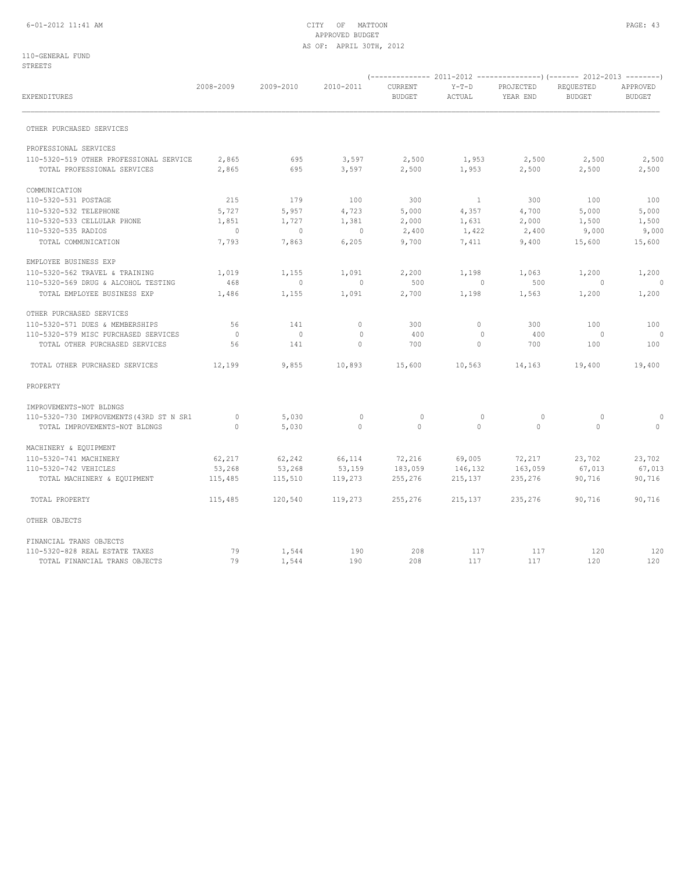# 6-01-2012 11:41 AM CITY OF MATTOON PAGE: 43 APPROVED BUDGET AS OF: APRIL 30TH, 2012

| EXPENDITURES                                                           | 2008-2009                | 2009-2010                | 2010-2011      | CURRENT<br><b>BUDGET</b> | $Y-T-D$<br>ACTUAL | PROJECTED<br>YEAR END | REQUESTED<br><b>BUDGET</b> | APPROVED<br><b>BUDGET</b> |
|------------------------------------------------------------------------|--------------------------|--------------------------|----------------|--------------------------|-------------------|-----------------------|----------------------------|---------------------------|
| OTHER PURCHASED SERVICES                                               |                          |                          |                |                          |                   |                       |                            |                           |
| PROFESSIONAL SERVICES                                                  |                          |                          |                |                          |                   |                       |                            |                           |
| 110-5320-519 OTHER PROFESSIONAL SERVICE<br>TOTAL PROFESSIONAL SERVICES | 2,865<br>2,865           | 695<br>695               | 3,597<br>3,597 | 2,500<br>2,500           | 1,953<br>1,953    | 2,500<br>2,500        | 2,500<br>2,500             | 2,500<br>2,500            |
| COMMUNICATION                                                          |                          |                          |                |                          |                   |                       |                            |                           |
| 110-5320-531 POSTAGE                                                   | 215                      | 179                      | 100            | 300                      | $\overline{1}$    | 300                   | 100                        | 100                       |
| 110-5320-532 TELEPHONE                                                 | 5,727                    | 5,957                    | 4,723          | 5,000                    | 4,357             | 4,700                 | 5,000                      | 5,000                     |
| 110-5320-533 CELLULAR PHONE                                            | 1,851                    | 1,727                    | 1,381          | 2,000                    | 1,631             | 2,000                 | 1,500                      | 1,500                     |
| 110-5320-535 RADIOS                                                    | $\sim$ 0                 | $\circ$                  | $\circ$        | 2,400                    | 1,422             | 2,400                 | 9,000                      | 9,000                     |
| TOTAL COMMUNICATION                                                    | 7,793                    | 7,863                    | 6,205          | 9,700                    | 7,411             | 9,400                 | 15,600                     | 15,600                    |
| EMPLOYEE BUSINESS EXP                                                  |                          |                          |                |                          |                   |                       |                            |                           |
| 110-5320-562 TRAVEL & TRAINING                                         | 1,019                    | 1,155                    | 1,091          | 2,200                    | 1,198             | 1,063                 | 1,200                      | 1,200                     |
| 110-5320-569 DRUG & ALCOHOL TESTING                                    | 468                      | $\circ$                  | $\circ$        | 500                      | $\overline{0}$    | 500                   | $\circ$                    | $\overline{0}$            |
| TOTAL EMPLOYEE BUSINESS EXP                                            | 1,486                    | 1,155                    | 1,091          | 2,700                    | 1,198             | 1,563                 | 1,200                      | 1,200                     |
| OTHER PURCHASED SERVICES                                               |                          |                          |                |                          |                   |                       |                            |                           |
| 110-5320-571 DUES & MEMBERSHIPS                                        | 56                       | 141                      | $\circ$        | 300                      | $\circ$           | 300                   | 100                        | 100                       |
| 110-5320-579 MISC PURCHASED SERVICES                                   | $\overline{\phantom{0}}$ | $\overline{\phantom{0}}$ | $\mathbf{0}$   | 400                      | 0                 | 400                   | $\overline{0}$             | $\overline{0}$            |
| TOTAL OTHER PURCHASED SERVICES                                         | 56                       | 141                      | $\Omega$       | 700                      | $\circ$           | 700                   | 100                        | 100                       |
| TOTAL OTHER PURCHASED SERVICES                                         | 12,199                   | 9,855                    | 10,893         | 15,600                   | 10,563            | 14,163                | 19,400                     | 19,400                    |
| PROPERTY                                                               |                          |                          |                |                          |                   |                       |                            |                           |
| IMPROVEMENTS-NOT BLDNGS                                                |                          |                          |                |                          |                   |                       |                            |                           |
| 110-5320-730 IMPROVEMENTS (43RD ST N SR1                               | $\overline{0}$           | 5,030                    | $\mathbb O$    | $\mathbf 0$              | $\circ$           | 0                     | 0                          |                           |
| TOTAL IMPROVEMENTS-NOT BLDNGS                                          | $\circ$                  | 5,030                    | $\circ$        | $\circ$                  | $\circ$           | $\mathbf{0}$          | $\Omega$                   | $\circ$                   |
| MACHINERY & EQUIPMENT                                                  |                          |                          |                |                          |                   |                       |                            |                           |
| 110-5320-741 MACHINERY                                                 | 62,217                   | 62,242                   | 66,114         | 72,216                   | 69,005            | 72,217                | 23,702                     | 23,702                    |
| 110-5320-742 VEHICLES                                                  | 53,268                   | 53,268                   | 53,159         | 183,059                  | 146,132           | 163,059               | 67,013                     | 67,013                    |
| TOTAL MACHINERY & EQUIPMENT                                            | 115,485                  | 115,510                  | 119,273        | 255,276                  | 215,137           | 235,276               | 90,716                     | 90,716                    |
| TOTAL PROPERTY                                                         | 115,485                  | 120,540                  | 119,273        | 255,276                  | 215,137           | 235,276               | 90,716                     | 90,716                    |
| OTHER OBJECTS                                                          |                          |                          |                |                          |                   |                       |                            |                           |
| FINANCIAL TRANS OBJECTS                                                |                          |                          |                |                          |                   |                       |                            |                           |
| 110-5320-828 REAL ESTATE TAXES                                         | 79                       | 1,544                    | 190            | 208                      | 117               | 117                   | 120                        | 120                       |
| TOTAL FINANCIAL TRANS OBJECTS                                          | 79                       | 1,544                    | 190            | 208                      | 117               | 117                   | 120                        | 120                       |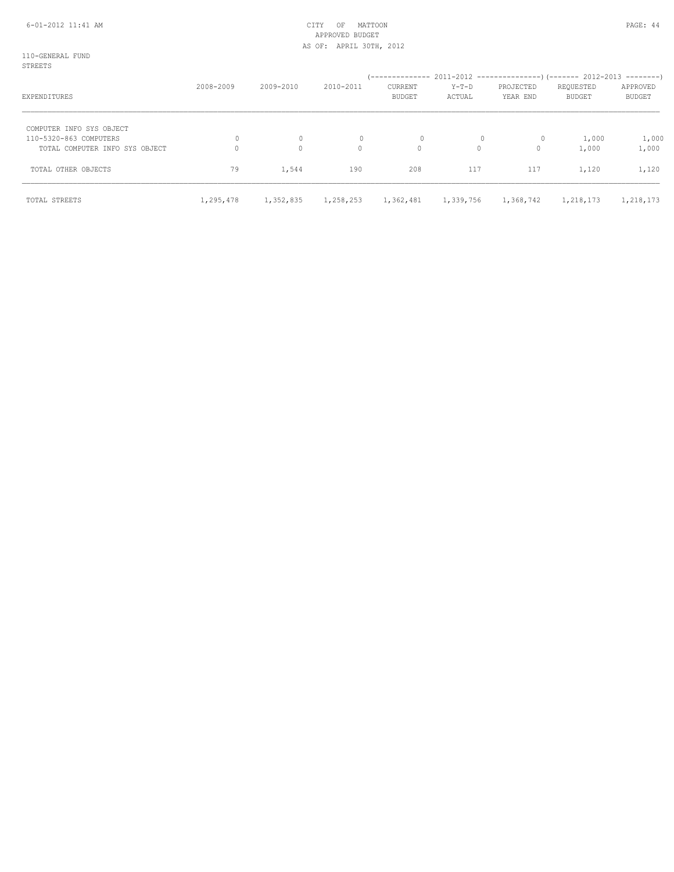# 6-01-2012 11:41 AM CITY OF MATTOON PAGE: 44 APPROVED BUDGET AS OF: APRIL 30TH, 2012

| STREETS                        |           |              |              |                                 |                 |                       |                            |                           |
|--------------------------------|-----------|--------------|--------------|---------------------------------|-----------------|-----------------------|----------------------------|---------------------------|
| EXPENDITURES                   | 2008-2009 | 2009-2010    | 2010-2011    | <b>CURRENT</b><br><b>BUDGET</b> | Y-T-D<br>ACTUAL | PROJECTED<br>YEAR END | REQUESTED<br><b>BUDGET</b> | APPROVED<br><b>BUDGET</b> |
| COMPUTER INFO SYS OBJECT       |           |              |              |                                 |                 |                       |                            |                           |
| 110-5320-863 COMPUTERS         | 0         | $\circ$      | $\mathbf{0}$ |                                 | 0               | $\circ$               | 1,000                      | 1,000                     |
| TOTAL COMPUTER INFO SYS OBJECT |           | $\mathbf{0}$ | $\circ$      | $\circ$                         | 0               | $\mathbf{0}$          | 1,000                      | 1,000                     |
| TOTAL OTHER OBJECTS            | 79        | 1,544        | 190          | 208                             | 117             | 117                   | 1,120                      | 1,120                     |
| TOTAL STREETS                  | 1,295,478 | 1,352,835    | 1,258,253    | 1,362,481                       | 1,339,756       | 1,368,742             | 1,218,173                  | 1,218,173                 |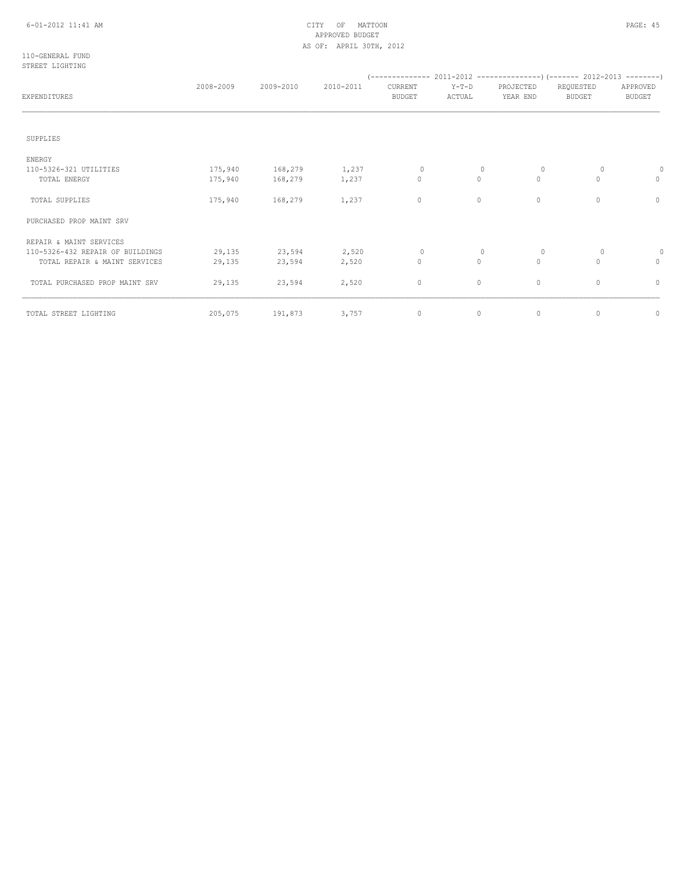# 6-01-2012 11:41 AM CITY OF MATTOON PAGE: 45 APPROVED BUDGET AS OF: APRIL 30TH, 2012

110-GENERAL FUND STREET LIGHTING

| <b>EXPENDITURES</b>              | 2008-2009 | 2009-2010 | 2010-2011 | CURRENT<br><b>BUDGET</b> | $Y-T-D$<br>ACTUAL | PROJECTED<br>YEAR END | REQUESTED<br><b>BUDGET</b> | APPROVED<br><b>BUDGET</b> |
|----------------------------------|-----------|-----------|-----------|--------------------------|-------------------|-----------------------|----------------------------|---------------------------|
|                                  |           |           |           |                          |                   |                       |                            |                           |
| SUPPLIES                         |           |           |           |                          |                   |                       |                            |                           |
| <b>ENERGY</b>                    |           |           |           |                          |                   |                       |                            |                           |
| 110-5326-321 UTILITIES           | 175,940   | 168,279   | 1,237     | 0                        | 0                 | $\circ$               | 0                          |                           |
| TOTAL ENERGY                     | 175,940   | 168,279   | 1,237     | $\circ$                  | $\circ$           | $\mathbf{0}$          | $\Omega$                   | 0                         |
| TOTAL SUPPLIES                   | 175,940   | 168,279   | 1,237     | 0                        | $\circ$           | $\mathbf 0$           | $\Omega$                   | 0                         |
| PURCHASED PROP MAINT SRV         |           |           |           |                          |                   |                       |                            |                           |
| REPAIR & MAINT SERVICES          |           |           |           |                          |                   |                       |                            |                           |
| 110-5326-432 REPAIR OF BUILDINGS | 29,135    | 23,594    | 2,520     | $\mathbf{0}$             | $\circ$           | $\circ$               | $\circ$                    |                           |
| TOTAL REPAIR & MAINT SERVICES    | 29,135    | 23,594    | 2,520     | $\circ$                  | $\circ$           | $\mathbf{0}$          | $\circ$                    | $\circ$                   |
| TOTAL PURCHASED PROP MAINT SRV   | 29,135    | 23,594    | 2,520     | 0                        | $\circ$           | $\circ$               | $\circ$                    | $\circ$                   |
| TOTAL STREET LIGHTING            | 205,075   | 191,873   | 3,757     | 0                        | $\circ$           | $\mathbf 0$           | $\circ$                    | $\circ$                   |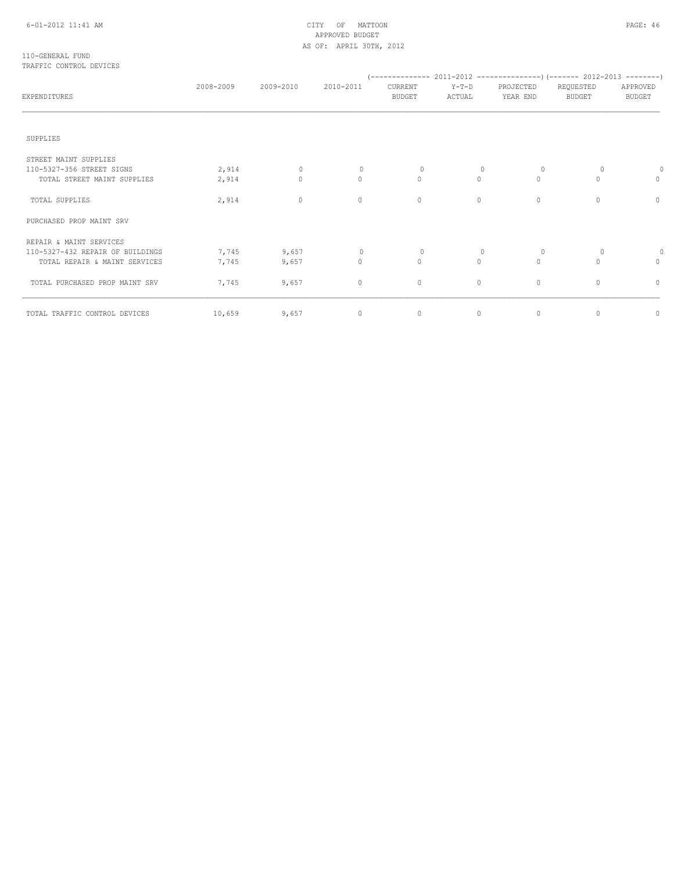# APPROVED BUDGET AS OF: APRIL 30TH, 2012

## 110-GENERAL FUND TRAFFIC CONTROL DEVICES

| EXPENDITURES                     | 2008-2009 | 2009-2010    | 2010-2011    | CURRENT<br><b>BUDGET</b>         | $Y-T-D$<br>ACTUAL | PROJECTED<br>YEAR END | REQUESTED<br><b>BUDGET</b> | APPROVED<br><b>BUDGET</b> |
|----------------------------------|-----------|--------------|--------------|----------------------------------|-------------------|-----------------------|----------------------------|---------------------------|
|                                  |           |              |              |                                  |                   |                       |                            |                           |
| SUPPLIES                         |           |              |              |                                  |                   |                       |                            |                           |
| STREET MAINT SUPPLIES            |           |              |              |                                  |                   |                       |                            |                           |
| 110-5327-356 STREET SIGNS        | 2,914     | $\Omega$     | $\Omega$     | $\begin{array}{c} \n\end{array}$ | $\Omega$          | $\Omega$              | $\Omega$                   | 0                         |
| TOTAL STREET MAINT SUPPLIES      | 2,914     | $\mathbf{0}$ | $\Omega$     | $\circ$                          | $\Omega$          | $\Omega$              | $\cap$                     | $\Omega$                  |
| TOTAL SUPPLIES                   | 2,914     | $\mathbf{0}$ | $\circ$      | $\circ$                          | $\circ$           | $\mathbf{0}$          | $\Omega$                   | $\Omega$                  |
| PURCHASED PROP MAINT SRV         |           |              |              |                                  |                   |                       |                            |                           |
| REPAIR & MAINT SERVICES          |           |              |              |                                  |                   |                       |                            |                           |
| 110-5327-432 REPAIR OF BUILDINGS | 7,745     | 9,657        | $\mathbf{0}$ | $\mathbf{0}$                     | 0                 | $\Omega$              | 0                          |                           |
| TOTAL REPAIR & MAINT SERVICES    | 7,745     | 9,657        | $\circ$      | $\circ$                          | $\circ$           | $\Omega$              | $\Omega$                   | 0                         |
| TOTAL PURCHASED PROP MAINT SRV   | 7,745     | 9,657        | $\circ$      | 0                                | $\circ$           | $\circ$               | $\circ$                    | $\circ$                   |
| TOTAL TRAFFIC CONTROL DEVICES    | 10,659    | 9,657        | 0            | 0                                | $\circ$           | $\mathbf 0$           | $\circ$                    | 0                         |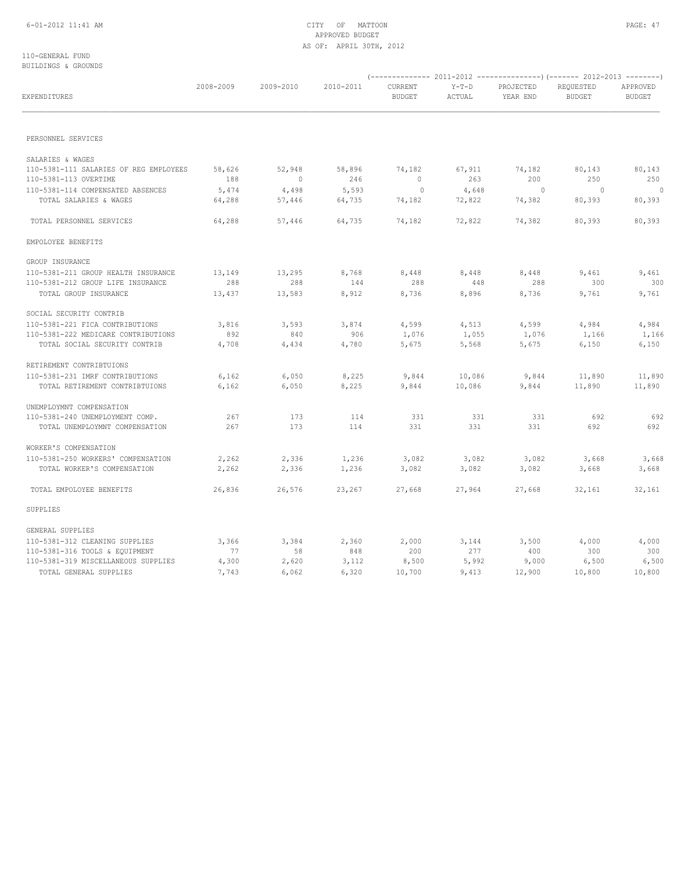# 6-01-2012 11:41 AM CITY OF MATTOON PAGE: 47 APPROVED BUDGET AS OF: APRIL 30TH, 2012

## 110-GENERAL FUND BUILDINGS & GROUNDS

| EXPENDITURES                                                | 2008-2009 | 2009-2010                | 2010-2011 | CURRENT<br><b>BUDGET</b> | $Y-T-D$<br>ACTUAL | PROJECTED<br>YEAR END | REQUESTED<br><b>BUDGET</b> | APPROVED<br><b>BUDGET</b><br>80,143<br>250<br>$\overline{0}$<br>80,393<br>4,984<br>1,166<br>11,890<br>692<br>3,668<br>32,161<br>4,000 |
|-------------------------------------------------------------|-----------|--------------------------|-----------|--------------------------|-------------------|-----------------------|----------------------------|---------------------------------------------------------------------------------------------------------------------------------------|
| PERSONNEL SERVICES                                          |           |                          |           |                          |                   |                       |                            |                                                                                                                                       |
|                                                             |           |                          |           |                          |                   |                       |                            |                                                                                                                                       |
| SALARIES & WAGES                                            |           |                          |           |                          |                   |                       |                            |                                                                                                                                       |
| 110-5381-111 SALARIES OF REG EMPLOYEES                      | 58,626    | 52,948                   | 58,896    | 74,182                   | 67,911            | 74,182                | 80,143                     |                                                                                                                                       |
| 110-5381-113 OVERTIME                                       | 188       | $\overline{\phantom{0}}$ | 246       | $\circ$                  | 263               | 200                   | 250                        |                                                                                                                                       |
| 110-5381-114 COMPENSATED ABSENCES                           | 5,474     | 4,498                    | 5,593     | $\sim$ 0                 | 4,648             | $\sim$ 0              | $\overline{0}$             |                                                                                                                                       |
| TOTAL SALARIES & WAGES                                      | 64,288    | 57,446                   | 64,735    | 74,182                   | 72,822            | 74,382                | 80,393                     |                                                                                                                                       |
| TOTAL PERSONNEL SERVICES                                    | 64,288    | 57,446                   | 64,735    | 74,182                   | 72,822            | 74,382                | 80,393                     | 80,393                                                                                                                                |
| EMPOLOYEE BENEFITS                                          |           |                          |           |                          |                   |                       |                            |                                                                                                                                       |
| GROUP INSURANCE                                             |           |                          |           |                          |                   |                       |                            |                                                                                                                                       |
| 110-5381-211 GROUP HEALTH INSURANCE                         | 13,149    | 13,295                   | 8,768     | 8,448                    | 8,448             | 8,448                 | 9,461                      | 9,461                                                                                                                                 |
| 110-5381-212 GROUP LIFE INSURANCE                           | 288       | 288                      | 144       | 288                      | 448               | 288                   | 300                        | 300                                                                                                                                   |
| TOTAL GROUP INSURANCE                                       | 13,437    | 13,583                   | 8,912     | 8,736                    | 8,896             | 8,736                 | 9,761                      | 9,761                                                                                                                                 |
| SOCIAL SECURITY CONTRIB                                     |           |                          |           |                          |                   |                       |                            |                                                                                                                                       |
| 110-5381-221 FICA CONTRIBUTIONS                             | 3,816     | 3,593                    | 3,874     | 4,599                    | 4,513             | 4,599                 | 4,984                      |                                                                                                                                       |
| 110-5381-222 MEDICARE CONTRIBUTIONS                         | 892       | 840                      | 906       | 1,076                    | 1,055             | 1,076                 | 1,166                      |                                                                                                                                       |
| TOTAL SOCIAL SECURITY CONTRIB                               | 4,708     | 4,434                    | 4,780     | 5,675                    | 5,568             | 5,675                 | 6,150                      | 6,150                                                                                                                                 |
| RETIREMENT CONTRIBTUIONS                                    |           |                          |           |                          |                   |                       |                            |                                                                                                                                       |
| 110-5381-231 IMRF CONTRIBUTIONS                             | 6,162     | 6,050                    | 8,225     | 9,844                    | 10,086            | 9,844                 | 11,890                     |                                                                                                                                       |
| TOTAL RETIREMENT CONTRIBTUIONS                              | 6,162     | 6,050                    | 8,225     | 9,844                    | 10,086            | 9,844                 | 11,890                     | 11,890                                                                                                                                |
|                                                             |           |                          |           |                          |                   |                       |                            |                                                                                                                                       |
| UNEMPLOYMNT COMPENSATION<br>110-5381-240 UNEMPLOYMENT COMP. | 267       | 173                      | 114       | 331                      | 331               | 331                   | 692                        |                                                                                                                                       |
| TOTAL UNEMPLOYMNT COMPENSATION                              | 267       | 173                      | 114       | 331                      | 331               | 331                   | 692                        | 692                                                                                                                                   |
| WORKER'S COMPENSATION                                       |           |                          |           |                          |                   |                       |                            |                                                                                                                                       |
| 110-5381-250 WORKERS' COMPENSATION                          | 2,262     | 2,336                    | 1,236     | 3,082                    | 3,082             | 3,082                 | 3,668                      |                                                                                                                                       |
| TOTAL WORKER'S COMPENSATION                                 | 2,262     | 2,336                    | 1,236     | 3,082                    | 3,082             | 3,082                 | 3,668                      | 3,668                                                                                                                                 |
| TOTAL EMPOLOYEE BENEFITS                                    | 26,836    | 26,576                   | 23,267    | 27,668                   | 27,964            | 27,668                | 32,161                     |                                                                                                                                       |
| SUPPLIES                                                    |           |                          |           |                          |                   |                       |                            |                                                                                                                                       |
| GENERAL SUPPLIES                                            |           |                          |           |                          |                   |                       |                            |                                                                                                                                       |
| 110-5381-312 CLEANING SUPPLIES                              | 3,366     | 3,384                    | 2,360     | 2,000                    | 3,144             | 3,500                 | 4,000                      |                                                                                                                                       |
| 110-5381-316 TOOLS & EQUIPMENT                              | 77        | 58                       | 848       | 200                      | 277               | 400                   | 300                        | 300                                                                                                                                   |
| 110-5381-319 MISCELLANEOUS SUPPLIES                         | 4,300     | 2,620                    | 3,112     | 8,500                    | 5,992             | 9,000                 | 6,500                      | 6,500                                                                                                                                 |
| TOTAL GENERAL SUPPLIES                                      | 7,743     | 6,062                    | 6,320     | 10,700                   | 9,413             | 12,900                | 10,800                     | 10,800                                                                                                                                |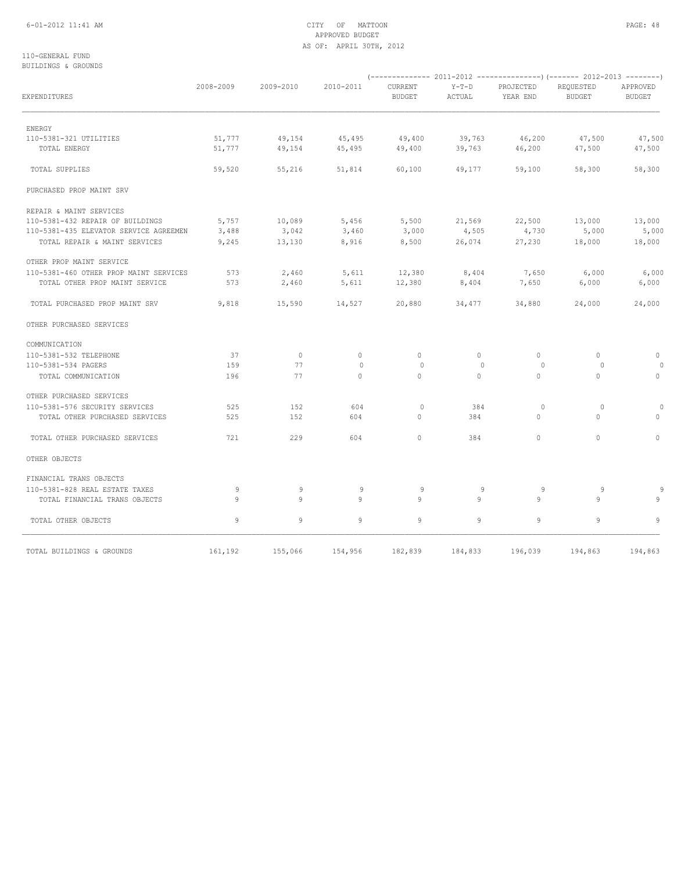# 6-01-2012 11:41 AM CITY OF MATTOON PAGE: 48 APPROVED BUDGET AS OF: APRIL 30TH, 2012

## 110-GENERAL FUND BUILDINGS & GROUNDS

| EXPENDITURES                           | 2008-2009 | 2009-2010 | 2010-2011 | CURRENT<br><b>BUDGET</b> | $Y-T-D$<br>ACTUAL | PROJECTED<br>YEAR END | REQUESTED<br><b>BUDGET</b> | APPROVED<br><b>BUDGET</b> |
|----------------------------------------|-----------|-----------|-----------|--------------------------|-------------------|-----------------------|----------------------------|---------------------------|
| ENERGY                                 |           |           |           |                          |                   |                       |                            |                           |
| 110-5381-321 UTILITIES                 | 51,777    | 49,154    | 45,495    | 49,400                   | 39,763            | 46,200                | 47,500                     | 47,500                    |
| TOTAL ENERGY                           | 51,777    | 49,154    | 45,495    | 49,400                   | 39,763            | 46,200                | 47,500                     | 47,500                    |
| TOTAL SUPPLIES                         | 59,520    | 55,216    | 51,814    | 60,100                   | 49,177            | 59,100                | 58,300                     | 58,300                    |
| PURCHASED PROP MAINT SRV               |           |           |           |                          |                   |                       |                            |                           |
| REPAIR & MAINT SERVICES                |           |           |           |                          |                   |                       |                            |                           |
| 110-5381-432 REPAIR OF BUILDINGS       | 5,757     | 10,089    | 5,456     | 5,500                    | 21,569            | 22,500                | 13,000                     | 13,000                    |
| 110-5381-435 ELEVATOR SERVICE AGREEMEN | 3,488     | 3,042     | 3,460     | 3,000                    | 4,505             | 4,730                 | 5,000                      | 5,000                     |
| TOTAL REPAIR & MAINT SERVICES          | 9,245     | 13,130    | 8,916     | 8,500                    | 26,074            | 27,230                | 18,000                     | 18,000                    |
| OTHER PROP MAINT SERVICE               |           |           |           |                          |                   |                       |                            |                           |
| 110-5381-460 OTHER PROP MAINT SERVICES | 573       | 2,460     | 5,611     | 12,380                   | 8,404             | 7,650                 | 6,000                      | 6,000                     |
| TOTAL OTHER PROP MAINT SERVICE         | 573       | 2,460     | 5,611     | 12,380                   | 8,404             | 7,650                 | 6,000                      | 6,000                     |
| TOTAL PURCHASED PROP MAINT SRV         | 9,818     | 15,590    | 14,527    | 20,880                   | 34,477            | 34,880                | 24,000                     | 24,000                    |
| OTHER PURCHASED SERVICES               |           |           |           |                          |                   |                       |                            |                           |
| COMMUNICATION                          |           |           |           |                          |                   |                       |                            |                           |
| 110-5381-532 TELEPHONE                 | 37        | $\circ$   | $\Omega$  | $\bigcap$                | $\Omega$          | $\Omega$              | $\Omega$                   | $\circ$                   |
| 110-5381-534 PAGERS                    | 159       | 77        | $\Omega$  | $\bigcirc$               | $\Omega$          | $\Omega$              | $\Omega$                   | $\Omega$                  |
| TOTAL COMMUNICATION                    | 196       | 77        | $\Omega$  | $\circ$                  | $\Omega$          | $\mathbf{0}$          | $\Omega$                   | $\circ$                   |
| OTHER PURCHASED SERVICES               |           |           |           |                          |                   |                       |                            |                           |
| 110-5381-576 SECURITY SERVICES         | 525       | 152       | 604       | $\circ$                  | 384               | $\circ$               | $\circ$                    | $\circ$                   |
| TOTAL OTHER PURCHASED SERVICES         | 525       | 152       | 604       | $\Omega$                 | 384               | $\Omega$              | $\bigcap$                  | $\Omega$                  |
| TOTAL OTHER PURCHASED SERVICES         | 721       | 229       | 604       | $\circ$                  | 384               | $\mathbf{0}$          | $\circ$                    | $\Omega$                  |
| OTHER OBJECTS                          |           |           |           |                          |                   |                       |                            |                           |
| FINANCIAL TRANS OBJECTS                |           |           |           |                          |                   |                       |                            |                           |
| 110-5381-828 REAL ESTATE TAXES         | 9         | 9         | 9         | 9                        | 9                 | 9                     | 9                          |                           |
| TOTAL FINANCIAL TRANS OBJECTS          | 9         | 9         | 9         | 9                        | 9                 | 9                     | 9                          | 9                         |
| TOTAL OTHER OBJECTS                    | 9         | 9         | 9         | 9                        | 9                 | 9                     | 9                          | 9                         |
| TOTAL BUILDINGS & GROUNDS              | 161,192   | 155,066   | 154,956   | 182,839                  | 184,833           | 196,039               | 194,863                    | 194,863                   |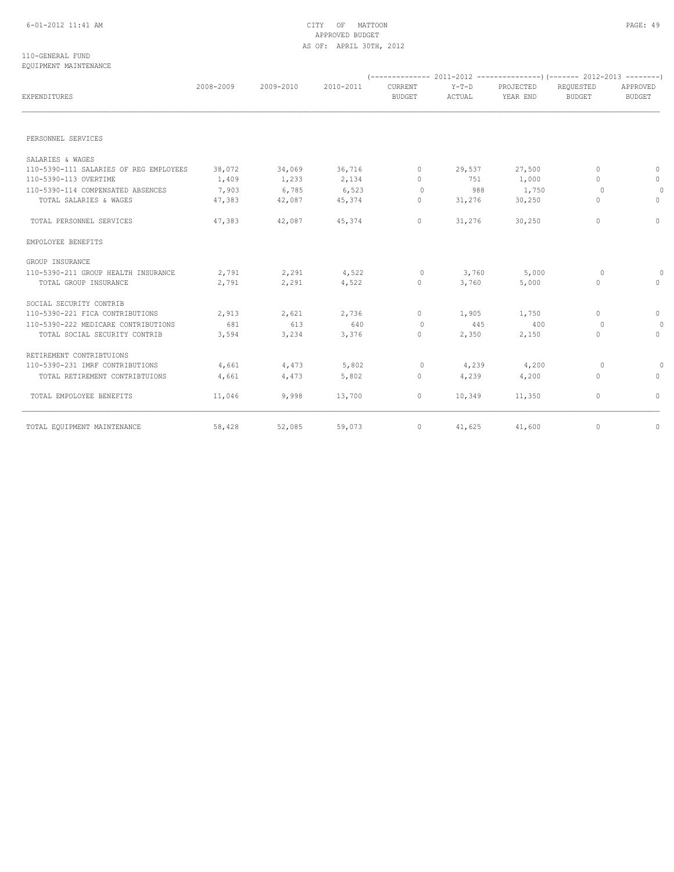# 6-01-2012 11:41 AM CITY OF MATTOON PAGE: 49 APPROVED BUDGET AS OF: APRIL 30TH, 2012

#### 110-GENERAL FUND EQUIPMENT MAINTENANCE

| EXPENDITURES                           | 2008-2009 | 2009-2010 | 2010-2011 | CURRENT<br><b>BUDGET</b> | $Y-T-D$<br>ACTUAL | PROJECTED<br>YEAR END | REQUESTED<br><b>BUDGET</b> | APPROVED<br>BUDGET |
|----------------------------------------|-----------|-----------|-----------|--------------------------|-------------------|-----------------------|----------------------------|--------------------|
|                                        |           |           |           |                          |                   |                       |                            |                    |
| PERSONNEL SERVICES                     |           |           |           |                          |                   |                       |                            |                    |
| SALARIES & WAGES                       |           |           |           |                          |                   |                       |                            |                    |
| 110-5390-111 SALARIES OF REG EMPLOYEES | 38,072    | 34,069    | 36,716    | $\circ$                  | 29,537            | 27,500                | $\circ$                    | $\circ$            |
| 110-5390-113 OVERTIME                  | 1,409     | 1,233     | 2,134     | $\Omega$                 | 751               | 1,000                 | $\Omega$                   | $\circ$            |
| 110-5390-114 COMPENSATED ABSENCES      | 7,903     | 6,785     | 6,523     | $\circ$                  | 988               | 1,750                 | $\circ$                    | $\circ$            |
| TOTAL SALARIES & WAGES                 | 47,383    | 42,087    | 45,374    | $\Omega$                 | 31,276            | 30,250                | $\Omega$                   | $\Omega$           |
| TOTAL PERSONNEL SERVICES               | 47,383    | 42,087    | 45,374    | 0                        | 31,276            | 30,250                | $\Omega$                   | $\circ$            |
| EMPOLOYEE BENEFITS                     |           |           |           |                          |                   |                       |                            |                    |
| GROUP INSURANCE                        |           |           |           |                          |                   |                       |                            |                    |
| 110-5390-211 GROUP HEALTH INSURANCE    | 2,791     | 2,291     | 4,522     | $\Omega$                 | 3,760             | 5,000                 | $\Omega$                   | $\Omega$           |
| TOTAL GROUP INSURANCE                  | 2,791     | 2,291     | 4,522     | 0                        | 3,760             | 5,000                 | $\Omega$                   | $\Omega$           |
| SOCIAL SECURITY CONTRIB                |           |           |           |                          |                   |                       |                            |                    |
| 110-5390-221 FICA CONTRIBUTIONS        | 2,913     | 2,621     | 2,736     | $\Omega$                 | 1,905             | 1,750                 | $\Omega$                   | $\circ$            |
| 110-5390-222 MEDICARE CONTRIBUTIONS    | 681       | 613       | 640       | $\circ$                  | 445               | 400                   | $\circ$                    | $\Omega$           |
| TOTAL SOCIAL SECURITY CONTRIB          | 3,594     | 3,234     | 3,376     | 0                        | 2,350             | 2,150                 | $\Omega$                   | $\Omega$           |
| RETIREMENT CONTRIBTUIONS               |           |           |           |                          |                   |                       |                            |                    |
| 110-5390-231 IMRF CONTRIBUTIONS        | 4,661     | 4,473     | 5,802     | $\circ$                  | 4,239             | 4,200                 | $\circ$                    | $\Omega$           |
| TOTAL RETIREMENT CONTRIBTUIONS         | 4,661     | 4,473     | 5,802     | 0                        | 4,239             | 4,200                 | 0                          | $\circ$            |
| TOTAL EMPOLOYEE BENEFITS               | 11,046    | 9,998     | 13,700    | 0                        | 10,349            | 11,350                | 0                          | $\circ$            |
| TOTAL EQUIPMENT MAINTENANCE            | 58,428    | 52,085    | 59,073    | 0                        | 41,625            | 41,600                | $\circ$                    | $\circ$            |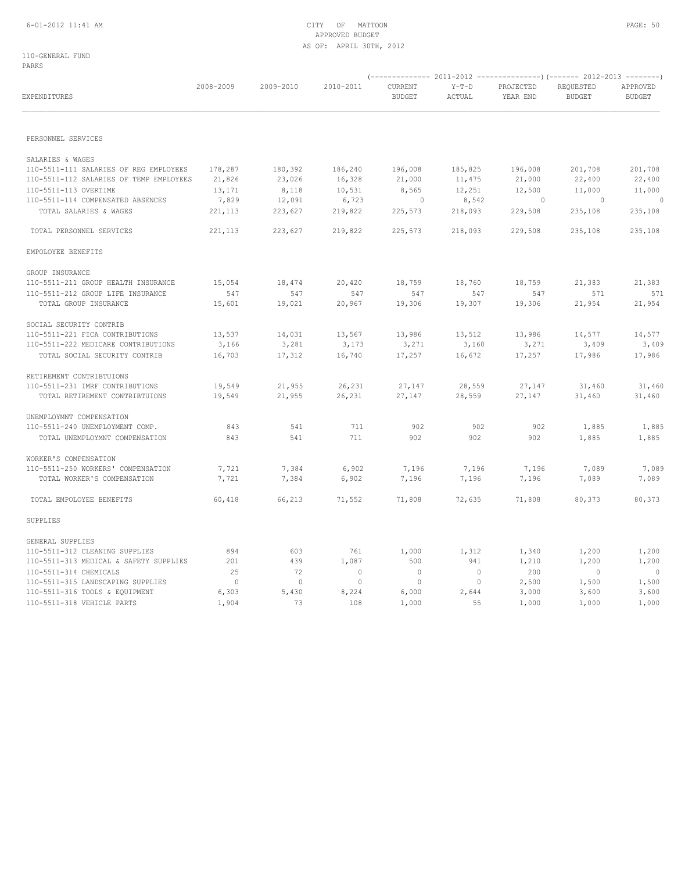# APPROVED BUDGET AS OF: APRIL 30TH, 2012

110-GENERAL FUND PARKS

|                                         | 2008-2009      | 2009-2010      | 2010-2011 | CURRENT       | $Y-T-D$ | PROJECTED | REQUESTED      | APPROVED       |
|-----------------------------------------|----------------|----------------|-----------|---------------|---------|-----------|----------------|----------------|
| EXPENDITURES                            |                |                |           | <b>BUDGET</b> | ACTUAL  | YEAR END  | <b>BUDGET</b>  | <b>BUDGET</b>  |
| PERSONNEL SERVICES                      |                |                |           |               |         |           |                |                |
| SALARIES & WAGES                        |                |                |           |               |         |           |                |                |
| 110-5511-111 SALARIES OF REG EMPLOYEES  | 178,287        | 180,392        | 186,240   | 196,008       | 185,825 | 196,008   | 201,708        | 201,708        |
| 110-5511-112 SALARIES OF TEMP EMPLOYEES | 21,826         | 23,026         | 16,328    | 21,000        | 11,475  | 21,000    | 22,400         | 22,400         |
| 110-5511-113 OVERTIME                   | 13,171         | 8,118          | 10,531    | 8,565         | 12,251  | 12,500    | 11,000         | 11,000         |
| 110-5511-114 COMPENSATED ABSENCES       | 7,829          | 12,091         | 6,723     | $\sim$ 0      | 8,542   | $\circ$   | $\sim$ 0       | $\sim$ 0       |
| TOTAL SALARIES & WAGES                  | 221, 113       | 223,627        | 219,822   | 225,573       | 218,093 | 229,508   | 235,108        | 235,108        |
| TOTAL PERSONNEL SERVICES                | 221, 113       | 223,627        | 219,822   | 225,573       | 218,093 | 229,508   | 235,108        | 235,108        |
| EMPOLOYEE BENEFITS                      |                |                |           |               |         |           |                |                |
| GROUP INSURANCE                         |                |                |           |               |         |           |                |                |
| 110-5511-211 GROUP HEALTH INSURANCE     | 15,054         | 18,474         | 20,420    | 18,759        | 18,760  | 18,759    | 21,383         | 21,383         |
| 110-5511-212 GROUP LIFE INSURANCE       | 547            | 547            | 547       | 547           | 547     | 547       | 571            | 571            |
| TOTAL GROUP INSURANCE                   | 15,601         | 19,021         | 20,967    | 19,306        | 19,307  | 19,306    | 21,954         | 21,954         |
| SOCIAL SECURITY CONTRIB                 |                |                |           |               |         |           |                |                |
| 110-5511-221 FICA CONTRIBUTIONS         | 13,537         | 14,031         | 13,567    | 13,986        | 13,512  | 13,986    | 14,577         | 14,577         |
| 110-5511-222 MEDICARE CONTRIBUTIONS     | 3,166          | 3,281          | 3,173     | 3,271         | 3,160   | 3,271     | 3,409          | 3,409          |
| TOTAL SOCIAL SECURITY CONTRIB           | 16,703         | 17,312         | 16,740    | 17,257        | 16,672  | 17,257    | 17,986         | 17,986         |
| RETIREMENT CONTRIBTUIONS                |                |                |           |               |         |           |                |                |
| 110-5511-231 IMRF CONTRIBUTIONS         | 19,549         | 21,955         | 26,231    | 27,147        | 28,559  | 27,147    | 31,460         | 31,460         |
| TOTAL RETIREMENT CONTRIBTUIONS          | 19,549         | 21,955         | 26,231    | 27,147        | 28,559  | 27,147    | 31,460         | 31,460         |
| UNEMPLOYMNT COMPENSATION                |                |                |           |               |         |           |                |                |
| 110-5511-240 UNEMPLOYMENT COMP.         | 843            | 541            | 711       | 902           | 902     | 902       | 1,885          | 1,885          |
| TOTAL UNEMPLOYMNT COMPENSATION          | 843            | 541            | 711       | 902           | 902     | 902       | 1,885          | 1,885          |
| WORKER'S COMPENSATION                   |                |                |           |               |         |           |                |                |
| 110-5511-250 WORKERS' COMPENSATION      | 7,721          | 7,384          | 6,902     | 7,196         | 7,196   | 7,196     | 7,089          | 7,089          |
| TOTAL WORKER'S COMPENSATION             | 7,721          | 7,384          | 6,902     | 7,196         | 7,196   | 7,196     | 7,089          | 7,089          |
| TOTAL EMPOLOYEE BENEFITS                | 60,418         | 66,213         | 71,552    | 71,808        | 72,635  | 71,808    | 80,373         | 80,373         |
| SUPPLIES                                |                |                |           |               |         |           |                |                |
| GENERAL SUPPLIES                        |                |                |           |               |         |           |                |                |
| 110-5511-312 CLEANING SUPPLIES          | 894            | 603            | 761       | 1,000         | 1,312   | 1,340     | 1,200          | 1,200          |
| 110-5511-313 MEDICAL & SAFETY SUPPLIES  | 201            | 439            | 1,087     | 500           | 941     | 1,210     | 1,200          | 1,200          |
| 110-5511-314 CHEMICALS                  | 25             | 72             | $\circ$   | $\circ$       | $\circ$ | 200       | $\overline{0}$ | $\overline{0}$ |
| 110-5511-315 LANDSCAPING SUPPLIES       | $\overline{0}$ | $\overline{0}$ | 0         | $\circ$       | $\circ$ | 2,500     | 1,500          | 1,500          |
| 110-5511-316 TOOLS & EQUIPMENT          | 6,303          | 5,430          | 8,224     | 6,000         | 2,644   | 3,000     | 3,600          | 3,600          |
| 110-5511-318 VEHICLE PARTS              | 1,904          | 73             | 108       | 1,000         | 55      | 1,000     | 1,000          | 1,000          |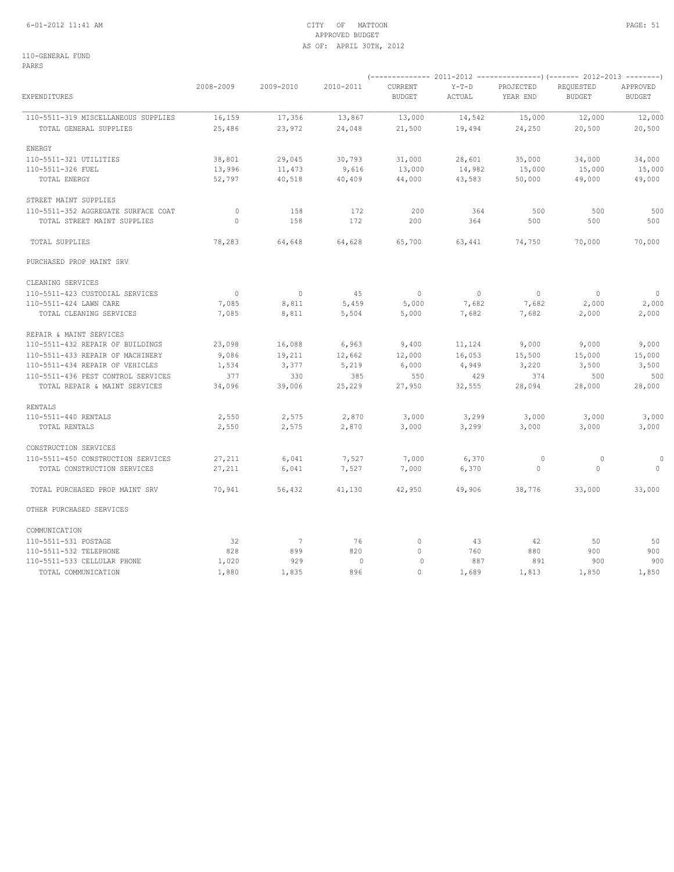# 6-01-2012 11:41 AM CITY OF MATTOON PAGE: 51 APPROVED BUDGET AS OF: APRIL 30TH, 2012

110-GENERAL FUND PARKS

| EXPENDITURES                        | 2008-2009 | 2009-2010 | 2010-2011    | CURRENT<br><b>BUDGET</b> | $Y-T-D$<br>ACTUAL | PROJECTED<br>YEAR END | REQUESTED<br><b>BUDGET</b> | APPROVED<br><b>BUDGET</b> |
|-------------------------------------|-----------|-----------|--------------|--------------------------|-------------------|-----------------------|----------------------------|---------------------------|
| 110-5511-319 MISCELLANEOUS SUPPLIES | 16,159    | 17,356    | 13,867       | 13,000                   | 14,542            | 15,000                | 12,000                     | 12,000                    |
| TOTAL GENERAL SUPPLIES              | 25,486    | 23,972    | 24,048       | 21,500                   | 19,494            | 24,250                | 20,500                     | 20,500                    |
| ENERGY                              |           |           |              |                          |                   |                       |                            |                           |
| 110-5511-321 UTILITIES              | 38,801    | 29,045    | 30,793       | 31,000                   | 28,601            | 35,000                | 34,000                     | 34,000                    |
| 110-5511-326 FUEL                   | 13,996    | 11,473    | 9,616        | 13,000                   | 14,982            | 15,000                | 15,000                     | 15,000                    |
| TOTAL ENERGY                        | 52,797    | 40,518    | 40,409       | 44,000                   | 43,583            | 50,000                | 49,000                     | 49,000                    |
| STREET MAINT SUPPLIES               |           |           |              |                          |                   |                       |                            |                           |
| 110-5511-352 AGGREGATE SURFACE COAT | $\circ$   | 158       | 172          | 200                      | 364               | 500                   | 500                        | 500                       |
| TOTAL STREET MAINT SUPPLIES         | $\Omega$  | 158       | 172          | 200                      | 364               | 500                   | 500                        | 500                       |
| TOTAL SUPPLIES                      | 78,283    | 64,648    | 64,628       | 65,700                   | 63,441            | 74,750                | 70,000                     | 70,000                    |
| PURCHASED PROP MAINT SRV            |           |           |              |                          |                   |                       |                            |                           |
| CLEANING SERVICES                   |           |           |              |                          |                   |                       |                            |                           |
| 110-5511-423 CUSTODIAL SERVICES     | $\circ$   | $\circ$   | 45           | $\circ$                  | $\circ$           | $\circ$               | $\circ$                    | $\circ$                   |
| 110-5511-424 LAWN CARE              | 7,085     | 8,811     | 5,459        | 5,000                    | 7,682             | 7,682                 | 2,000                      | 2,000                     |
| TOTAL CLEANING SERVICES             | 7,085     | 8,811     | 5,504        | 5,000                    | 7,682             | 7,682                 | 2,000                      | 2,000                     |
| REPAIR & MAINT SERVICES             |           |           |              |                          |                   |                       |                            |                           |
| 110-5511-432 REPAIR OF BUILDINGS    | 23,098    | 16,088    | 6,963        | 9,400                    | 11,124            | 9,000                 | 9,000                      | 9,000                     |
| 110-5511-433 REPAIR OF MACHINERY    | 9,086     | 19,211    | 12,662       | 12,000                   | 16,053            | 15,500                | 15,000                     | 15,000                    |
| 110-5511-434 REPAIR OF VEHICLES     | 1,534     | 3,377     | 5,219        | 6,000                    | 4,949             | 3,220                 | 3,500                      | 3,500                     |
| 110-5511-436 PEST CONTROL SERVICES  | 377       | 330       | 385          | 550                      | 429               | 374                   | 500                        | 500                       |
| TOTAL REPAIR & MAINT SERVICES       | 34,096    | 39,006    | 25,229       | 27,950                   | 32,555            | 28,094                | 28,000                     | 28,000                    |
| RENTALS                             |           |           |              |                          |                   |                       |                            |                           |
| 110-5511-440 RENTALS                | 2,550     | 2,575     | 2,870        | 3,000                    | 3,299             | 3,000                 | 3,000                      | 3,000                     |
| TOTAL RENTALS                       | 2,550     | 2,575     | 2,870        | 3,000                    | 3,299             | 3,000                 | 3,000                      | 3,000                     |
| CONSTRUCTION SERVICES               |           |           |              |                          |                   |                       |                            |                           |
| 110-5511-450 CONSTRUCTION SERVICES  | 27,211    | 6,041     | 7,527        | 7,000                    | 6,370             | $\circ$               | $\circ$                    | $\circ$                   |
| TOTAL CONSTRUCTION SERVICES         | 27,211    | 6,041     | 7,527        | 7,000                    | 6,370             | $\Omega$              | $\Omega$                   | $\Omega$                  |
| TOTAL PURCHASED PROP MAINT SRV      | 70,941    | 56,432    | 41,130       | 42,950                   | 49,906            | 38,776                | 33,000                     | 33,000                    |
| OTHER PURCHASED SERVICES            |           |           |              |                          |                   |                       |                            |                           |
| COMMUNICATION                       |           |           |              |                          |                   |                       |                            |                           |
| 110-5511-531 POSTAGE                | 32        | 7         | 76           | 0                        | 43                | 42                    | 50                         | 50                        |
| 110-5511-532 TELEPHONE              | 828       | 899       | 820          | $\circ$                  | 760               | 880                   | 900                        | 900                       |
| 110-5511-533 CELLULAR PHONE         | 1,020     | 929       | $\mathbf{0}$ | 0                        | 887               | 891                   | 900                        | 900                       |
| TOTAL COMMUNICATION                 | 1,880     | 1,835     | 896          | $\circ$                  | 1,689             | 1,813                 | 1,850                      | 1,850                     |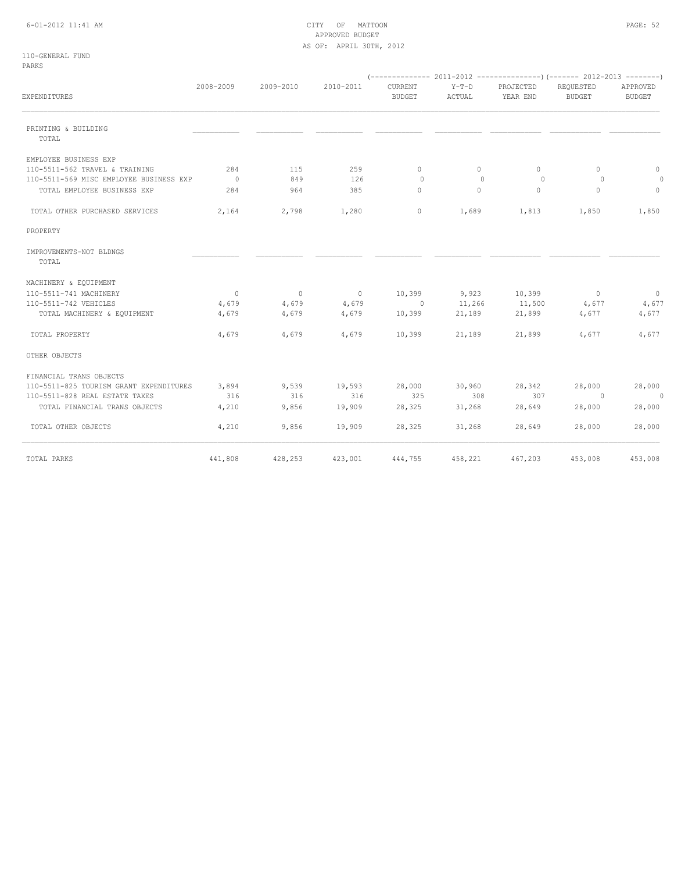# 6-01-2012 11:41 AM CITY OF MATTOON PAGE: 52 APPROVED BUDGET AS OF: APRIL 30TH, 2012

110-GENERAL FUND PARKS

|                                         | 2008-2009      | 2009-2010 | 2010-2011 | CURRENT       | $Y-T-D$  | PROJECTED    | REQUESTED | APPROVED       |  |
|-----------------------------------------|----------------|-----------|-----------|---------------|----------|--------------|-----------|----------------|--|
| EXPENDITURES                            |                |           |           | <b>BUDGET</b> | ACTUAL   | YEAR END     | BUDGET    | <b>BUDGET</b>  |  |
| PRINTING & BUILDING<br>TOTAL            |                |           |           |               |          |              |           |                |  |
| EMPLOYEE BUSINESS EXP                   |                |           |           |               |          |              |           |                |  |
| 110-5511-562 TRAVEL & TRAINING          | 284            | 115       | 259       | $\circ$       | $\circ$  | $\mathbf{0}$ | $\Omega$  | $\circ$        |  |
| 110-5511-569 MISC EMPLOYEE BUSINESS EXP | $\sim$ 0       | 849       | 126       | $\Omega$      | $\Omega$ | $\Omega$     | $\Omega$  | $\circ$        |  |
| TOTAL EMPLOYEE BUSINESS EXP             | 284            | 964       | 385       | $\circ$       | $\Omega$ | $\mathbf{0}$ | $\Omega$  | $\circ$        |  |
| TOTAL OTHER PURCHASED SERVICES          | 2,164          | 2,798     | 1,280     | 0             | 1,689    | 1,813        | 1,850     | 1,850          |  |
| PROPERTY                                |                |           |           |               |          |              |           |                |  |
| IMPROVEMENTS-NOT BLDNGS<br>TOTAL        |                |           |           |               |          |              |           |                |  |
| MACHINERY & EQUIPMENT                   |                |           |           |               |          |              |           |                |  |
| 110-5511-741 MACHINERY                  | $\overline{0}$ | $\sim$ 0  | $\sim$ 0  | 10,399        | 9,923    | 10,399       | $\sim$ 0  | $\overline{0}$ |  |
| 110-5511-742 VEHICLES                   | 4,679          | 4,679     | 4,679     | $\sim$ 0      | 11,266   | 11,500       | 4,677     | 4,677          |  |
| TOTAL MACHINERY & EQUIPMENT             | 4,679          | 4,679     | 4,679     | 10,399        | 21,189   | 21,899       | 4,677     | 4,677          |  |
| TOTAL PROPERTY                          | 4,679          | 4,679     | 4,679     | 10,399        | 21,189   | 21,899       | 4,677     | 4,677          |  |
| OTHER OBJECTS                           |                |           |           |               |          |              |           |                |  |
| FINANCIAL TRANS OBJECTS                 |                |           |           |               |          |              |           |                |  |
| 110-5511-825 TOURISM GRANT EXPENDITURES | 3,894          | 9,539     | 19,593    | 28,000        | 30,960   | 28,342       | 28,000    | 28,000         |  |
| 110-5511-828 REAL ESTATE TAXES          | 316            | 316       | 316       | 325           | 308      | 307          | $\sim$ 0  | $\circ$        |  |
| TOTAL FINANCIAL TRANS OBJECTS           | 4,210          | 9,856     | 19,909    | 28,325        | 31,268   | 28,649       | 28,000    | 28,000         |  |
| TOTAL OTHER OBJECTS                     | 4,210          | 9,856     | 19,909    | 28,325        | 31,268   | 28,649       | 28,000    | 28,000         |  |
| TOTAL PARKS                             | 441,808        | 428,253   | 423,001   | 444,755       | 458,221  | 467,203      | 453,008   | 453,008        |  |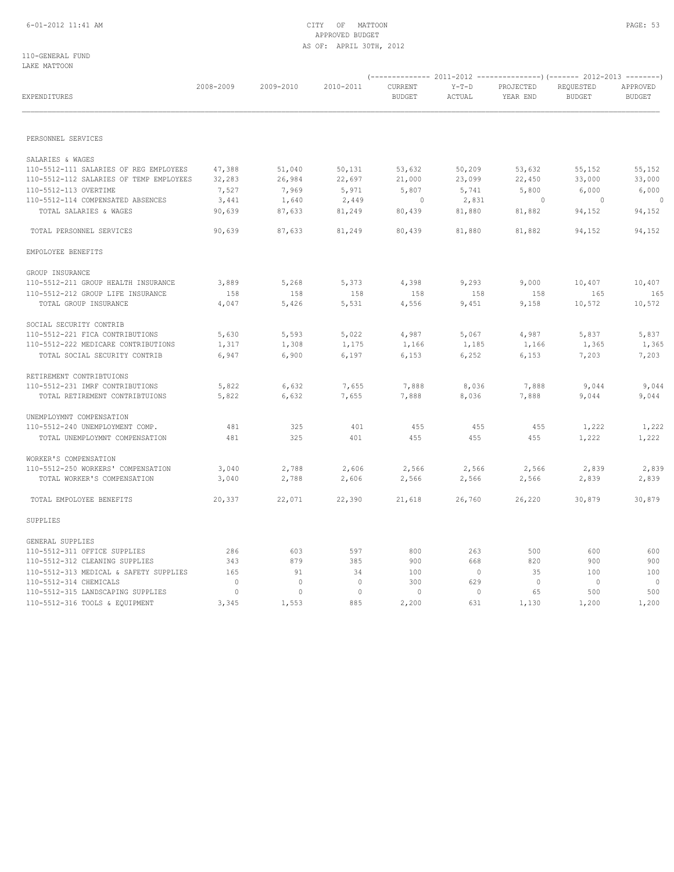# 6-01-2012 11:41 AM CITY OF MATTOON PAGE: 53 APPROVED BUDGET AS OF: APRIL 30TH, 2012

110-GENERAL FUND LAKE MATTOON

| EXPENDITURES                            | 2008-2009 | 2009-2010    | 2010-2011 | CURRENT<br><b>BUDGET</b> | $Y-T-D$<br>ACTUAL | PROJECTED<br>YEAR END | REQUESTED<br><b>BUDGET</b> | APPROVED<br><b>BUDGET</b> |
|-----------------------------------------|-----------|--------------|-----------|--------------------------|-------------------|-----------------------|----------------------------|---------------------------|
|                                         |           |              |           |                          |                   |                       |                            |                           |
| PERSONNEL SERVICES                      |           |              |           |                          |                   |                       |                            |                           |
| SALARIES & WAGES                        |           |              |           |                          |                   |                       |                            |                           |
| 110-5512-111 SALARIES OF REG EMPLOYEES  | 47,388    | 51,040       | 50,131    | 53,632                   | 50,209            | 53,632                | 55,152                     | 55,152                    |
| 110-5512-112 SALARIES OF TEMP EMPLOYEES | 32,283    | 26,984       | 22,697    | 21,000                   | 23,099            | 22,450                | 33,000                     | 33,000                    |
| 110-5512-113 OVERTIME                   | 7,527     | 7,969        | 5,971     | 5,807                    | 5,741             | 5,800                 | 6,000                      | 6,000                     |
| 110-5512-114 COMPENSATED ABSENCES       | 3,441     | 1,640        | 2,449     | $\circ$                  | 2,831             | $\circ$               | $\overline{\phantom{0}}$   | $\Omega$                  |
| TOTAL SALARIES & WAGES                  | 90,639    | 87,633       | 81,249    | 80,439                   | 81,880            | 81,882                | 94,152                     | 94,152                    |
| TOTAL PERSONNEL SERVICES                | 90,639    | 87,633       | 81,249    | 80,439                   | 81,880            | 81,882                | 94,152                     | 94,152                    |
| EMPOLOYEE BENEFITS                      |           |              |           |                          |                   |                       |                            |                           |
| GROUP INSURANCE                         |           |              |           |                          |                   |                       |                            |                           |
| 110-5512-211 GROUP HEALTH INSURANCE     | 3,889     | 5,268        | 5,373     | 4,398                    | 9,293             | 9,000                 | 10,407                     | 10,407                    |
| 110-5512-212 GROUP LIFE INSURANCE       | 158       | 158          | 158       | 158                      | 158               | 158                   | 165                        | 165                       |
| TOTAL GROUP INSURANCE                   | 4,047     | 5,426        | 5,531     | 4,556                    | 9,451             | 9,158                 | 10,572                     | 10,572                    |
| SOCIAL SECURITY CONTRIB                 |           |              |           |                          |                   |                       |                            |                           |
| 110-5512-221 FICA CONTRIBUTIONS         | 5,630     | 5,593        | 5,022     | 4,987                    | 5,067             | 4,987                 | 5,837                      | 5,837                     |
| 110-5512-222 MEDICARE CONTRIBUTIONS     | 1,317     | 1,308        | 1,175     | 1,166                    | 1,185             | 1,166                 | 1,365                      | 1,365                     |
| TOTAL SOCIAL SECURITY CONTRIB           | 6,947     | 6,900        | 6,197     | 6,153                    | 6,252             | 6,153                 | 7,203                      | 7,203                     |
| RETIREMENT CONTRIBTUIONS                |           |              |           |                          |                   |                       |                            |                           |
| 110-5512-231 IMRF CONTRIBUTIONS         | 5,822     | 6,632        | 7,655     | 7,888                    | 8,036             | 7,888                 | 9,044                      | 9,044                     |
| TOTAL RETIREMENT CONTRIBTUIONS          | 5,822     | 6,632        | 7,655     | 7,888                    | 8,036             | 7,888                 | 9,044                      | 9,044                     |
| UNEMPLOYMNT COMPENSATION                |           |              |           |                          |                   |                       |                            |                           |
| 110-5512-240 UNEMPLOYMENT COMP.         | 481       | 325          | 401       | 455                      | 455               | 455                   | 1,222                      | 1,222                     |
| TOTAL UNEMPLOYMNT COMPENSATION          | 481       | 325          | 401       | 455                      | 455               | 455                   | 1,222                      | 1,222                     |
| WORKER'S COMPENSATION                   |           |              |           |                          |                   |                       |                            |                           |
| 110-5512-250 WORKERS' COMPENSATION      | 3,040     | 2,788        | 2,606     | 2,566                    | 2,566             | 2,566                 | 2,839                      | 2,839                     |
| TOTAL WORKER'S COMPENSATION             | 3,040     | 2,788        | 2,606     | 2,566                    | 2,566             | 2,566                 | 2,839                      | 2,839                     |
| TOTAL EMPOLOYEE BENEFITS                | 20,337    | 22,071       | 22,390    | 21,618                   | 26,760            | 26,220                | 30,879                     | 30,879                    |
| SUPPLIES                                |           |              |           |                          |                   |                       |                            |                           |
| GENERAL SUPPLIES                        |           |              |           |                          |                   |                       |                            |                           |
| 110-5512-311 OFFICE SUPPLIES            | 286       | 603          | 597       | 800                      | 263               | 500                   | 600                        | 600                       |
| 110-5512-312 CLEANING SUPPLIES          | 343       | 879          | 385       | 900                      | 668               | 820                   | 900                        | 900                       |
| 110-5512-313 MEDICAL & SAFETY SUPPLIES  | 165       | 91           | 34        | 100                      | $\overline{0}$    | 35                    | 100                        | 100                       |
| 110-5512-314 CHEMICALS                  | $\circ$   | $\circ$      | $\circ$   | 300                      | 629               | $\overline{0}$        | $\overline{0}$             | $\overline{0}$            |
| 110-5512-315 LANDSCAPING SUPPLIES       | $\circ$   | $\mathbf{0}$ | $\circ$   | $\circ$                  | $\mathbf{0}$      | 65                    | 500                        | 500                       |
| 110-5512-316 TOOLS & EQUIPMENT          | 3,345     | 1,553        | 885       | 2,200                    | 631               | 1,130                 | 1,200                      | 1,200                     |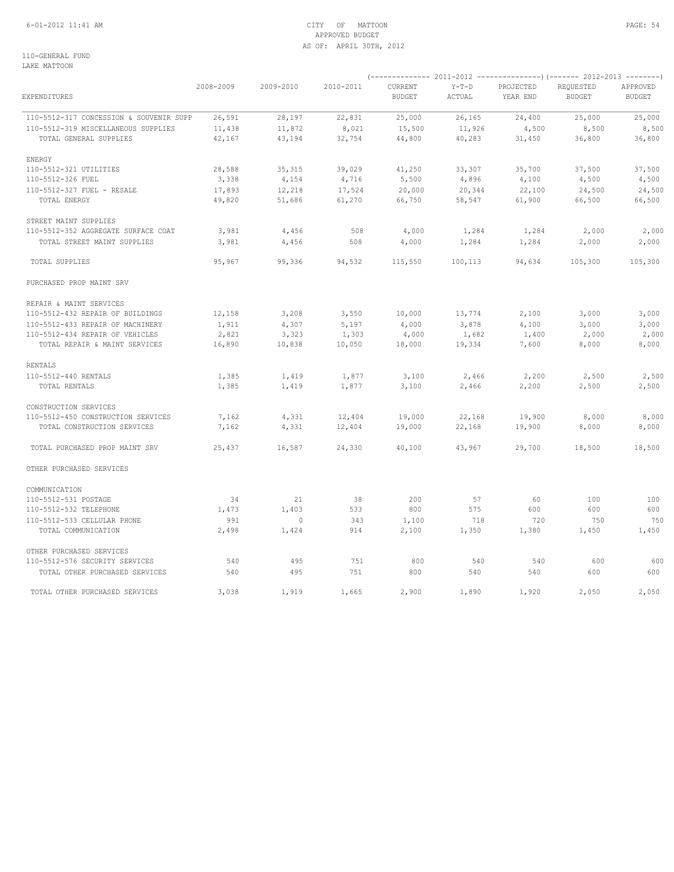# 6-01-2012 11:41 AM CITY OF MATTOON PAGE: 54 APPROVED BUDGET AS OF: APRIL 30TH, 2012

110-GENERAL FUND LAKE MATTOON

| <b>EXPENDITURES</b>                     | 2008-2009 | 2009-2010      | 2010-2011 | CURRENT<br><b>BUDGET</b> | $Y-T-D$<br>ACTUAL | PROJECTED<br>YEAR END | REQUESTED<br><b>BUDGET</b> | APPROVED<br><b>BUDGET</b> |
|-----------------------------------------|-----------|----------------|-----------|--------------------------|-------------------|-----------------------|----------------------------|---------------------------|
| 110-5512-317 CONCESSION & SOUVENIR SUPP | 26,591    | 28,197         | 22,831    | 25,000                   | 26, 165           | 24,400                | 25,000                     | 25,000                    |
| 110-5512-319 MISCELLANEOUS SUPPLIES     | 11,438    | 11,872         | 8,021     | 15,500                   | 11,926            | 4,500                 | 8,500                      | 8,500                     |
| TOTAL GENERAL SUPPLIES                  | 42,167    | 43,194         | 32,754    | 44,800                   | 40,283            | 31,450                | 36,800                     | 36,800                    |
| ENERGY                                  |           |                |           |                          |                   |                       |                            |                           |
| 110-5512-321 UTILITIES                  | 28,588    | 35, 315        | 39,029    | 41,250                   | 33,307            | 35,700                | 37,500                     | 37,500                    |
| 110-5512-326 FUEL                       | 3,338     | 4,154          | 4,716     | 5,500                    | 4,896             | 4,100                 | 4,500                      | 4,500                     |
| 110-5512-327 FUEL - RESALE              | 17,893    | 12,218         | 17,524    | 20,000                   | 20,344            | 22,100                | 24,500                     | 24,500                    |
| TOTAL ENERGY                            | 49,820    | 51,686         | 61,270    | 66,750                   | 58,547            | 61,900                | 66,500                     | 66,500                    |
| STREET MAINT SUPPLIES                   |           |                |           |                          |                   |                       |                            |                           |
| 110-5512-352 AGGREGATE SURFACE COAT     | 3,981     | 4,456          | 508       | 4,000                    | 1,284             | 1,284                 | 2,000                      | 2,000                     |
| TOTAL STREET MAINT SUPPLIES             | 3,981     | 4,456          | 508       | 4,000                    | 1,284             | 1,284                 | 2,000                      | 2,000                     |
| TOTAL SUPPLIES                          | 95,967    | 99,336         | 94,532    | 115,550                  | 100,113           | 94,634                | 105,300                    | 105,300                   |
| PURCHASED PROP MAINT SRV                |           |                |           |                          |                   |                       |                            |                           |
| REPAIR & MAINT SERVICES                 |           |                |           |                          |                   |                       |                            |                           |
| 110-5512-432 REPAIR OF BUILDINGS        | 12,158    | 3,208          | 3,550     | 10,000                   | 13,774            | 2,100                 | 3,000                      | 3,000                     |
| 110-5512-433 REPAIR OF MACHINERY        | 1,911     | 4,307          | 5,197     | 4,000                    | 3,878             | 4,100                 | 3,000                      | 3,000                     |
| 110-5512-434 REPAIR OF VEHICLES         | 2,821     | 3,323          | 1,303     | 4,000                    | 1,682             | 1,400                 | 2,000                      | 2,000                     |
| TOTAL REPAIR & MAINT SERVICES           | 16,890    | 10,838         | 10,050    | 18,000                   | 19,334            | 7,600                 | 8,000                      | 8,000                     |
| <b>RENTALS</b>                          |           |                |           |                          |                   |                       |                            |                           |
| 110-5512-440 RENTALS                    | 1,385     | 1,419          | 1,877     | 3,100                    | 2,466             | 2,200                 | 2,500                      | 2,500                     |
| TOTAL RENTALS                           | 1,385     | 1,419          | 1,877     | 3,100                    | 2,466             | 2,200                 | 2,500                      | 2,500                     |
| CONSTRUCTION SERVICES                   |           |                |           |                          |                   |                       |                            |                           |
| 110-5512-450 CONSTRUCTION SERVICES      | 7,162     | 4,331          | 12,404    | 19,000                   | 22,168            | 19,900                | 8,000                      | 8,000                     |
| TOTAL CONSTRUCTION SERVICES             | 7,162     | 4,331          | 12,404    | 19,000                   | 22,168            | 19,900                | 8,000                      | 8,000                     |
| TOTAL PURCHASED PROP MAINT SRV          | 25,437    | 16,587         | 24,330    | 40,100                   | 43,967            | 29,700                | 18,500                     | 18,500                    |
| OTHER PURCHASED SERVICES                |           |                |           |                          |                   |                       |                            |                           |
| COMMUNICATION                           |           |                |           |                          |                   |                       |                            |                           |
| 110-5512-531 POSTAGE                    | 34        | 21             | 38        | 200                      | 57                | 60                    | 100                        | 100                       |
| 110-5512-532 TELEPHONE                  | 1,473     | 1,403          | 533       | 800                      | 575               | 600                   | 600                        | 600                       |
| 110-5512-533 CELLULAR PHONE             | 991       | $\overline{0}$ | 343       | 1,100                    | 718               | 720                   | 750                        | 750                       |
| TOTAL COMMUNICATION                     | 2,498     | 1,424          | 914       | 2,100                    | 1,350             | 1,380                 | 1,450                      | 1,450                     |
| OTHER PURCHASED SERVICES                |           |                |           |                          |                   |                       |                            |                           |
| 110-5512-576 SECURITY SERVICES          | 540       | 495            | 751       | 800                      | 540               | 540                   | 600                        | 600                       |
| TOTAL OTHER PURCHASED SERVICES          | 540       | 495            | 751       | 800                      | 540               | 540                   | 600                        | 600                       |
| TOTAL OTHER PURCHASED SERVICES          | 3,038     | 1,919          | 1,665     | 2,900                    | 1,890             | 1,920                 | 2,050                      | 2,050                     |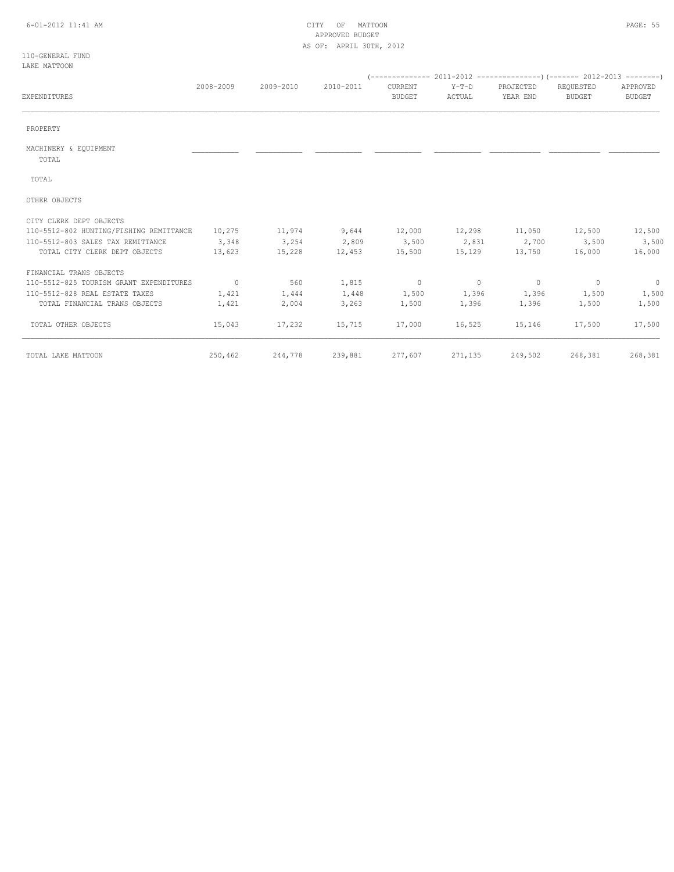# 6-01-2012 11:41 AM CITY OF MATTOON PAGE: 55 APPROVED BUDGET AS OF: APRIL 30TH, 2012

110-GENERAL FUND LAKE MATTOON

| <b>EXPENDITURES</b>                     | 2008-2009 | 2009-2010 | 2010-2011 | CURRENT<br><b>BUDGET</b> | $Y-T-D$<br>ACTUAL | PROJECTED<br>YEAR END               | REQUESTED<br><b>BUDGET</b> | APPROVED<br><b>BUDGET</b> |
|-----------------------------------------|-----------|-----------|-----------|--------------------------|-------------------|-------------------------------------|----------------------------|---------------------------|
| PROPERTY                                |           |           |           |                          |                   |                                     |                            |                           |
| MACHINERY & EQUIPMENT<br>TOTAL          |           |           |           |                          |                   |                                     |                            |                           |
| TOTAL                                   |           |           |           |                          |                   |                                     |                            |                           |
| OTHER OBJECTS                           |           |           |           |                          |                   |                                     |                            |                           |
| CITY CLERK DEPT OBJECTS                 |           |           |           |                          |                   |                                     |                            |                           |
| 110-5512-802 HUNTING/FISHING REMITTANCE | 10,275    | 11,974    | 9,644     |                          |                   | $12,000$ $12,298$ $11,050$ $12,500$ |                            | 12,500                    |
| 110-5512-803 SALES TAX REMITTANCE       | 3,348     | 3,254     | 2,809     | 3,500                    | 2,831             | 2,700                               | 3,500                      | 3,500                     |
| TOTAL CITY CLERK DEPT OBJECTS           | 13,623    | 15,228    | 12,453    | 15,500                   |                   | 15,129 13,750                       | 16,000                     | 16,000                    |
| FINANCIAL TRANS OBJECTS                 |           |           |           |                          |                   |                                     |                            |                           |
| 110-5512-825 TOURISM GRANT EXPENDITURES | $\sim$ 0  | 560       | 1,815     | $\sim$ 0                 | $\sim$ 0          | $\sim$ 0                            | $\sim$ 0                   | $\sim$ 0                  |
| 110-5512-828 REAL ESTATE TAXES          | 1,421     | 1,444     | 1,448     | 1,500                    | 1,396             | 1,396                               | 1,500                      | 1,500                     |
| TOTAL FINANCIAL TRANS OBJECTS           | 1,421     | 2,004     | 3,263     | 1,500                    | 1,396             |                                     | 1,396 1,500                | 1,500                     |
| TOTAL OTHER OBJECTS                     | 15,043    | 17,232    | 15,715    | 17,000                   |                   | 16,525 15,146                       | 17,500                     | 17,500                    |
| TOTAL LAKE MATTOON                      | 250,462   | 244,778   |           | 239,881 277,607          | 271,135           | 249,502                             |                            | 268,381 268,381           |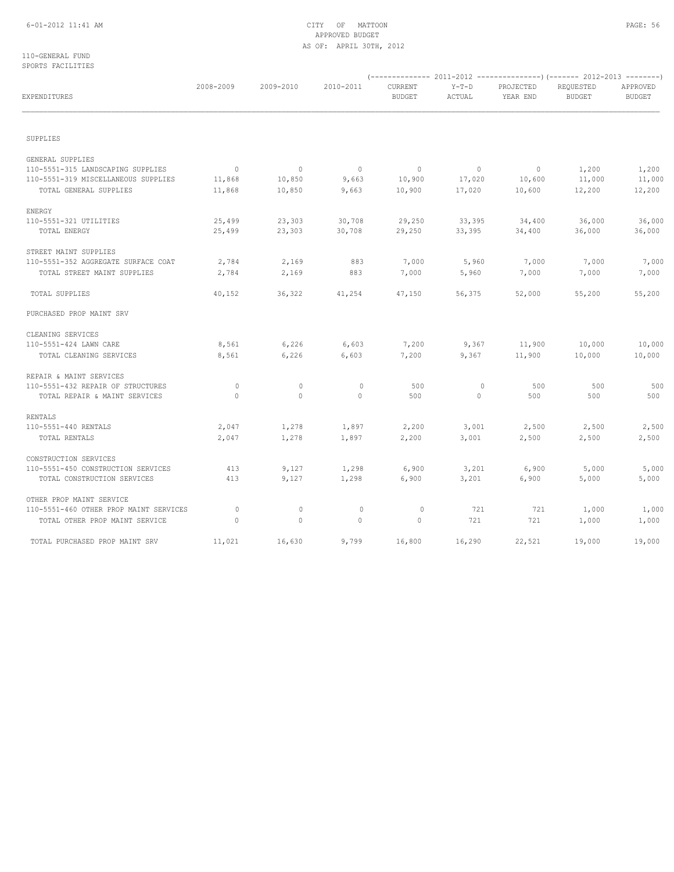# 6-01-2012 11:41 AM CITY OF MATTOON PAGE: 56 APPROVED BUDGET AS OF: APRIL 30TH, 2012

110-GENERAL FUND SPORTS FACILITIES

| EXPENDITURES                           | 2008-2009      | 2009-2010    | 2010-2011      | CURRENT<br><b>BUDGET</b> | $Y-T-D$<br>ACTUAL | PROJECTED<br>YEAR END | REQUESTED<br><b>BUDGET</b> | APPROVED<br><b>BUDGET</b> |
|----------------------------------------|----------------|--------------|----------------|--------------------------|-------------------|-----------------------|----------------------------|---------------------------|
| SUPPLIES                               |                |              |                |                          |                   |                       |                            |                           |
| GENERAL SUPPLIES                       |                |              |                |                          |                   |                       |                            |                           |
| 110-5551-315 LANDSCAPING SUPPLIES      | $\overline{0}$ | $\circ$      | $\overline{0}$ | $\circ$                  | $\overline{0}$    | $\circ$               | 1,200                      | 1,200                     |
| 110-5551-319 MISCELLANEOUS SUPPLIES    | 11,868         | 10,850       | 9,663          | 10,900                   | 17,020            | 10,600                | 11,000                     | 11,000                    |
| TOTAL GENERAL SUPPLIES                 | 11,868         | 10,850       | 9,663          | 10,900                   | 17,020            | 10,600                | 12,200                     | 12,200                    |
| ENERGY                                 |                |              |                |                          |                   |                       |                            |                           |
| 110-5551-321 UTILITIES                 | 25,499         | 23,303       | 30,708         | 29,250                   | 33,395            | 34,400                | 36,000                     | 36,000                    |
| TOTAL ENERGY                           | 25,499         | 23,303       | 30,708         | 29,250                   | 33,395            | 34,400                | 36,000                     | 36,000                    |
| STREET MAINT SUPPLIES                  |                |              |                |                          |                   |                       |                            |                           |
| 110-5551-352 AGGREGATE SURFACE COAT    | 2,784          | 2,169        | 883            | 7,000                    | 5,960             | 7,000                 | 7,000                      | 7,000                     |
| TOTAL STREET MAINT SUPPLIES            | 2,784          | 2,169        | 883            | 7,000                    | 5,960             | 7,000                 | 7,000                      | 7,000                     |
| TOTAL SUPPLIES                         | 40,152         | 36,322       | 41,254         | 47,150                   | 56,375            | 52,000                | 55,200                     | 55,200                    |
| PURCHASED PROP MAINT SRV               |                |              |                |                          |                   |                       |                            |                           |
| CLEANING SERVICES                      |                |              |                |                          |                   |                       |                            |                           |
| 110-5551-424 LAWN CARE                 | 8,561          | 6,226        | 6,603          | 7,200                    | 9,367             | 11,900                | 10,000                     | 10,000                    |
| TOTAL CLEANING SERVICES                | 8,561          | 6,226        | 6,603          | 7,200                    | 9,367             | 11,900                | 10,000                     | 10,000                    |
| REPAIR & MAINT SERVICES                |                |              |                |                          |                   |                       |                            |                           |
| 110-5551-432 REPAIR OF STRUCTURES      | $\circ$        | $\circ$      | $\circ$        | 500                      | $\circ$           | 500                   | 500                        | 500                       |
| TOTAL REPAIR & MAINT SERVICES          | $\Omega$       | $\mathbf{0}$ | $\Omega$       | 500                      | $\Omega$          | 500                   | 500                        | 500                       |
| RENTALS                                |                |              |                |                          |                   |                       |                            |                           |
| 110-5551-440 RENTALS                   | 2,047          | 1,278        | 1,897          | 2,200                    | 3,001             | 2,500                 | 2,500                      | 2,500                     |
| TOTAL RENTALS                          | 2,047          | 1,278        | 1,897          | 2,200                    | 3,001             | 2,500                 | 2,500                      | 2,500                     |
| CONSTRUCTION SERVICES                  |                |              |                |                          |                   |                       |                            |                           |
| 110-5551-450 CONSTRUCTION SERVICES     | 413            | 9,127        | 1,298          | 6,900                    | 3,201             | 6,900                 | 5,000                      | 5,000                     |
| TOTAL CONSTRUCTION SERVICES            | 413            | 9,127        | 1,298          | 6,900                    | 3,201             | 6,900                 | 5,000                      | 5,000                     |
| OTHER PROP MAINT SERVICE               |                |              |                |                          |                   |                       |                            |                           |
| 110-5551-460 OTHER PROP MAINT SERVICES | $\circ$        | $\circ$      | $\mathbf 0$    | $\mathbf 0$              | 721               | 721                   | 1,000                      | 1,000                     |
| TOTAL OTHER PROP MAINT SERVICE         | $\circ$        | $\circ$      | $\Omega$       | $\circ$                  | 721               | 721                   | 1,000                      | 1,000                     |
| TOTAL PURCHASED PROP MAINT SRV         | 11,021         | 16,630       | 9,799          | 16,800                   | 16,290            | 22,521                | 19,000                     | 19,000                    |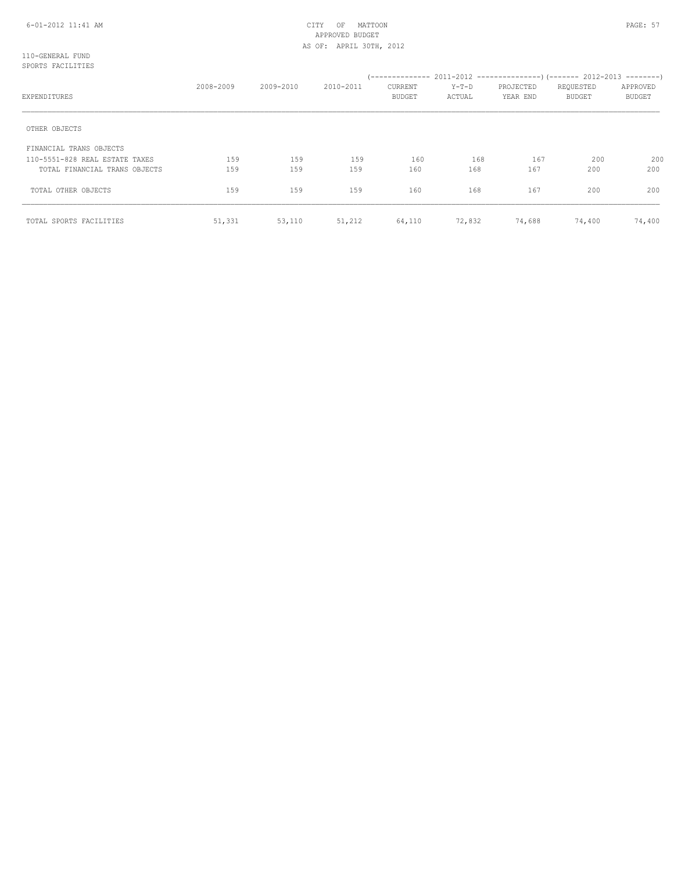# 6-01-2012 11:41 AM CITY OF MATTOON PAGE: 57 APPROVED BUDGET AS OF: APRIL 30TH, 2012

110-GENERAL FUND SPORTS FACILITIES

| EXPENDITURES                   | 2008-2009 | 2009-2010 | 2010-2011 | CURRENT<br><b>BUDGET</b> | Y-T-D<br>ACTUAL | PROJECTED<br>YEAR END | REQUESTED<br><b>BUDGET</b> | APPROVED<br><b>BUDGET</b> |
|--------------------------------|-----------|-----------|-----------|--------------------------|-----------------|-----------------------|----------------------------|---------------------------|
| OTHER OBJECTS                  |           |           |           |                          |                 |                       |                            |                           |
| FINANCIAL TRANS OBJECTS        |           |           |           |                          |                 |                       |                            |                           |
| 110-5551-828 REAL ESTATE TAXES | 159       | 159       | 159       | 160                      | 168             | 167                   | 200                        | 200                       |
| TOTAL FINANCIAL TRANS OBJECTS  | 159       | 159       | 159       | 160                      | 168             | 167                   | 200                        | 200                       |
| TOTAL OTHER OBJECTS            | 159       | 159       | 159       | 160                      | 168             | 167                   | 200                        | 200                       |
| TOTAL SPORTS FACILITIES        | 51,331    | 53,110    | 51,212    | 64,110                   | 72,832          | 74,688                | 74,400                     | 74,400                    |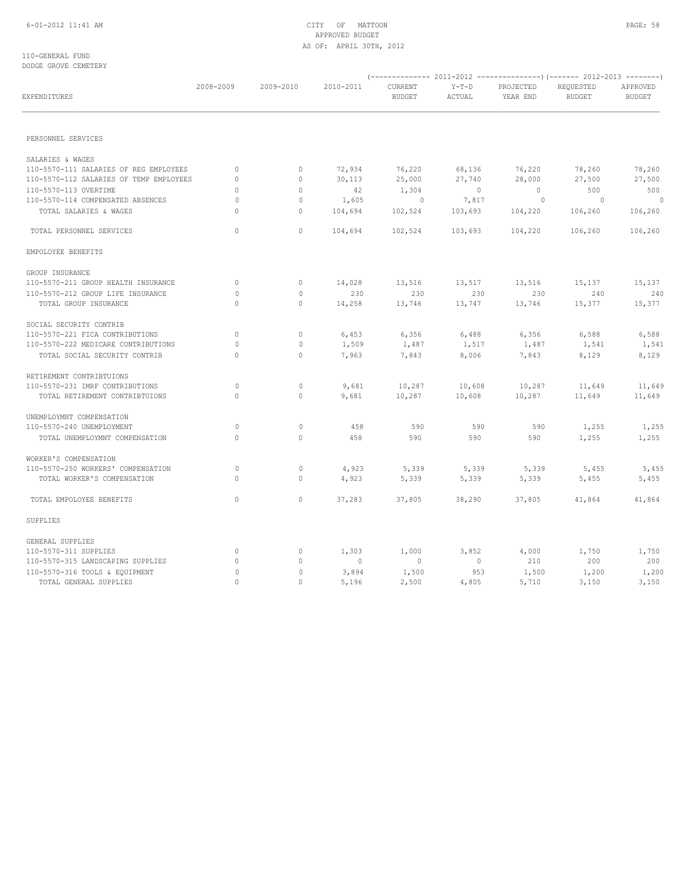# APPROVED BUDGET AS OF: APRIL 30TH, 2012

110-GENERAL FUND DODGE GROVE CEMETERY

| EXPENDITURES                            | 2008-2009    | 2009-2010    | 2010-2011 | CURRENT<br><b>BUDGET</b> | $Y-T-D$<br>ACTUAL | PROJECTED<br>YEAR END | REQUESTED<br><b>BUDGET</b> | APPROVED<br><b>BUDGET</b> |
|-----------------------------------------|--------------|--------------|-----------|--------------------------|-------------------|-----------------------|----------------------------|---------------------------|
| PERSONNEL SERVICES                      |              |              |           |                          |                   |                       |                            |                           |
|                                         |              |              |           |                          |                   |                       |                            |                           |
| SALARIES & WAGES                        |              |              |           |                          |                   |                       |                            |                           |
| 110-5570-111 SALARIES OF REG EMPLOYEES  | $\circ$      | $\circ$      | 72,934    | 76,220                   | 68,136            | 76,220                | 78,260                     | 78,260                    |
| 110-5570-112 SALARIES OF TEMP EMPLOYEES | $\circ$      | $\mathbf 0$  | 30,113    | 25,000                   | 27,740            | 28,000                | 27,500                     | 27,500                    |
| 110-5570-113 OVERTIME                   | $\circ$      | $\mathbf{0}$ | 42        | 1,304                    | $\overline{0}$    | $\overline{0}$        | 500                        | 500                       |
| 110-5570-114 COMPENSATED ABSENCES       | 0            | 0            | 1,605     | $\overline{0}$           | 7,817             | $\circ$               | $\sim$ 0                   | $\overline{0}$            |
| TOTAL SALARIES & WAGES                  | $\circ$      | 0            | 104,694   | 102,524                  | 103,693           | 104,220               | 106,260                    | 106,260                   |
| TOTAL PERSONNEL SERVICES                | $\circ$      | $\mathbf{0}$ | 104,694   | 102,524                  | 103,693           | 104,220               | 106,260                    | 106,260                   |
| EMPOLOYEE BENEFITS                      |              |              |           |                          |                   |                       |                            |                           |
| GROUP INSURANCE                         |              |              |           |                          |                   |                       |                            |                           |
| 110-5570-211 GROUP HEALTH INSURANCE     | $\circ$      | $\mathbf 0$  | 14,028    | 13,516                   | 13,517            | 13,516                | 15,137                     | 15,137                    |
| 110-5570-212 GROUP LIFE INSURANCE       | $\Omega$     | $\circ$      | 230       | 230                      | 230               | 230                   | 240                        | 240                       |
| TOTAL GROUP INSURANCE                   | $\circ$      | $\mathbf{0}$ | 14,258    | 13,746                   | 13,747            | 13,746                | 15,377                     | 15,377                    |
| SOCIAL SECURITY CONTRIB                 |              |              |           |                          |                   |                       |                            |                           |
| 110-5570-221 FICA CONTRIBUTIONS         | $\circ$      | $\mathbf 0$  | 6,453     | 6,356                    | 6,488             | 6,356                 | 6,588                      | 6,588                     |
| 110-5570-222 MEDICARE CONTRIBUTIONS     | 0            | 0            | 1,509     | 1,487                    | 1,517             | 1,487                 | 1,541                      | 1,541                     |
| TOTAL SOCIAL SECURITY CONTRIB           | $\Omega$     | $\Omega$     | 7,963     | 7,843                    | 8,006             | 7,843                 | 8,129                      | 8,129                     |
| RETIREMENT CONTRIBTUIONS                |              |              |           |                          |                   |                       |                            |                           |
| 110-5570-231 IMRF CONTRIBUTIONS         | 0            | $\circ$      | 9,681     | 10,287                   | 10,608            | 10,287                | 11,649                     | 11,649                    |
| TOTAL RETIREMENT CONTRIBTUIONS          | $\Omega$     | $\circ$      | 9,681     | 10,287                   | 10,608            | 10,287                | 11,649                     | 11,649                    |
| UNEMPLOYMNT COMPENSATION                |              |              |           |                          |                   |                       |                            |                           |
| 110-5570-240 UNEMPLOYMENT               | 0            | $\circ$      | 458       | 590                      | 590               | 590                   | 1,255                      | 1,255                     |
| TOTAL UNEMPLOYMNT COMPENSATION          | $\Omega$     | $\circ$      | 458       | 590                      | 590               | 590                   | 1,255                      | 1,255                     |
| WORKER'S COMPENSATION                   |              |              |           |                          |                   |                       |                            |                           |
| 110-5570-250 WORKERS' COMPENSATION      | 0            | $\circ$      | 4,923     | 5,339                    | 5,339             | 5,339                 | 5,455                      | 5,455                     |
| TOTAL WORKER'S COMPENSATION             | $\circ$      | $\circ$      | 4,923     | 5,339                    | 5,339             | 5,339                 | 5,455                      | 5,455                     |
| TOTAL EMPOLOYEE BENEFITS                | $\circ$      | $\mathbf{0}$ | 37,283    | 37,805                   | 38,290            | 37,805                | 41,864                     | 41,864                    |
| SUPPLIES                                |              |              |           |                          |                   |                       |                            |                           |
| GENERAL SUPPLIES                        |              |              |           |                          |                   |                       |                            |                           |
| 110-5570-311 SUPPLIES                   | $\circ$      | $\mathbf{0}$ | 1,303     | 1,000                    | 3,852             | 4,000                 | 1,750                      | 1,750                     |
| 110-5570-315 LANDSCAPING SUPPLIES       | $\circ$      | $\mathbf 0$  | $\circ$   | $\overline{0}$           | $\circ$           | 210                   | 200                        | 200                       |
| 110-5570-316 TOOLS & EQUIPMENT          | $\mathbf{0}$ | 0            | 3,894     | 1,500                    | 953               | 1,500                 | 1,200                      | 1,200                     |
| TOTAL GENERAL SUPPLIES                  | $\Omega$     | $\circ$      | 5,196     | 2,500                    | 4,805             | 5,710                 | 3,150                      | 3,150                     |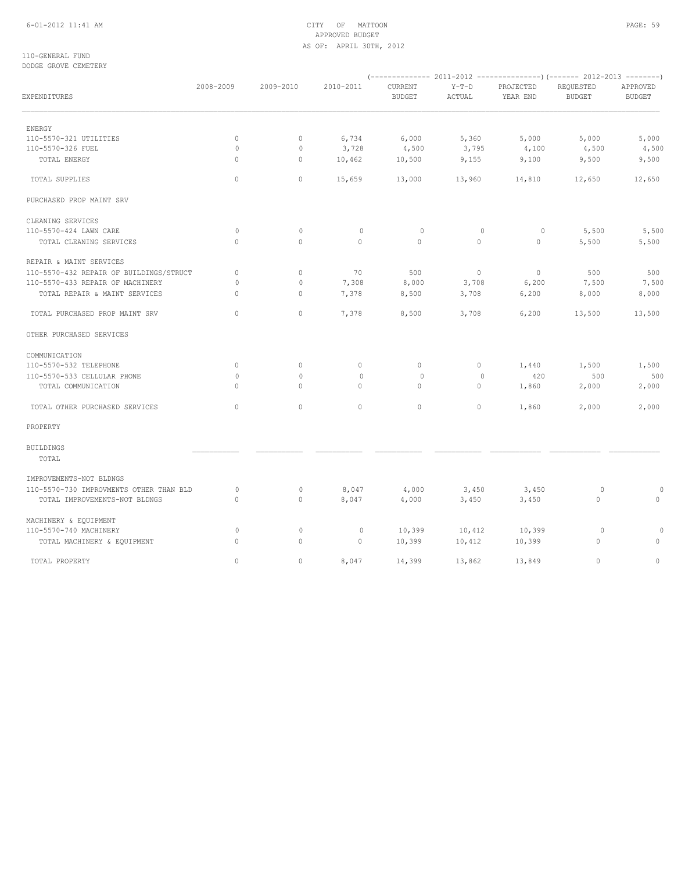# 6-01-2012 11:41 AM CITY OF MATTOON PAGE: 59 APPROVED BUDGET AS OF: APRIL 30TH, 2012

110-GENERAL FUND DODGE GROVE CEMETERY

| popon onovn chiminit                    |           |              |             |                          |                   |                       |                            |                           |  |
|-----------------------------------------|-----------|--------------|-------------|--------------------------|-------------------|-----------------------|----------------------------|---------------------------|--|
| EXPENDITURES                            | 2008-2009 | 2009-2010    | 2010-2011   | CURRENT<br><b>BUDGET</b> | $Y-T-D$<br>ACTUAL | PROJECTED<br>YEAR END | REQUESTED<br><b>BUDGET</b> | APPROVED<br><b>BUDGET</b> |  |
| ENERGY                                  |           |              |             |                          |                   |                       |                            |                           |  |
| 110-5570-321 UTILITIES                  | 0         | $\mathbf 0$  | 6,734       | 6,000                    | 5,360             | 5,000                 | 5,000                      | 5,000                     |  |
| 110-5570-326 FUEL                       | $\circ$   | 0            | 3,728       | 4,500                    | 3,795             | 4,100                 | 4,500                      | 4,500                     |  |
| TOTAL ENERGY                            | $\circ$   | $\mathbf{0}$ | 10,462      | 10,500                   | 9,155             | 9,100                 | 9,500                      | 9,500                     |  |
| TOTAL SUPPLIES                          | $\circ$   | $\circ$      | 15,659      | 13,000                   | 13,960            | 14,810                | 12,650                     | 12,650                    |  |
| PURCHASED PROP MAINT SRV                |           |              |             |                          |                   |                       |                            |                           |  |
| CLEANING SERVICES                       |           |              |             |                          |                   |                       |                            |                           |  |
| 110-5570-424 LAWN CARE                  | $\circ$   | $\circ$      | $\mathbf 0$ | $\circ$                  | $\circ$           | $\circ$               | 5,500                      | 5,500                     |  |
| TOTAL CLEANING SERVICES                 | $\circ$   | $\circ$      | $\circ$     | $\circ$                  | $\circ$           | $\mathbf{0}$          | 5,500                      | 5,500                     |  |
| REPAIR & MAINT SERVICES                 |           |              |             |                          |                   |                       |                            |                           |  |
| 110-5570-432 REPAIR OF BUILDINGS/STRUCT | $\circ$   | $\mathbf 0$  | 70          | 500                      | $\circ$           | $\circ$               | 500                        | 500                       |  |
| 110-5570-433 REPAIR OF MACHINERY        | 0         | $\circ$      | 7,308       | 8,000                    | 3,708             | 6,200                 | 7,500                      | 7,500                     |  |
| TOTAL REPAIR & MAINT SERVICES           | $\circ$   | 0            | 7,378       | 8,500                    | 3,708             | 6,200                 | 8,000                      | 8,000                     |  |
| TOTAL PURCHASED PROP MAINT SRV          | $\Omega$  | $\Omega$     | 7,378       | 8,500                    | 3,708             | 6,200                 | 13,500                     | 13,500                    |  |
| OTHER PURCHASED SERVICES                |           |              |             |                          |                   |                       |                            |                           |  |
| COMMUNICATION                           |           |              |             |                          |                   |                       |                            |                           |  |
| 110-5570-532 TELEPHONE                  | $\circ$   | $\mathbb O$  | $\circ$     | $\circ$                  | $\circ$           | 1,440                 | 1,500                      | 1,500                     |  |
| 110-5570-533 CELLULAR PHONE             | 0         | $\circ$      | $\mathbf 0$ | 0                        | 0                 | 420                   | 500                        | 500                       |  |
| TOTAL COMMUNICATION                     | $\circ$   | $\circ$      | $\circ$     | $\circ$                  | $\circ$           | 1,860                 | 2,000                      | 2,000                     |  |
| TOTAL OTHER PURCHASED SERVICES          | $\Omega$  | $\Omega$     | $\Omega$    | $\circ$                  | $\Omega$          | 1,860                 | 2,000                      | 2,000                     |  |
| PROPERTY                                |           |              |             |                          |                   |                       |                            |                           |  |
| <b>BUILDINGS</b><br>TOTAL               |           |              |             |                          |                   |                       |                            |                           |  |
| IMPROVEMENTS-NOT BLDNGS                 |           |              |             |                          |                   |                       |                            |                           |  |
| 110-5570-730 IMPROVMENTS OTHER THAN BLD | $\circ$   | $\circ$      | 8,047       | 4,000                    | 3,450             | 3,450                 | $\circ$                    | $\Omega$                  |  |
| TOTAL IMPROVEMENTS-NOT BLDNGS           | $\circ$   | $\mathbf{0}$ | 8,047       | 4,000                    | 3,450             | 3,450                 | $\circ$                    | $\circ$                   |  |
| MACHINERY & EQUIPMENT                   |           |              |             |                          |                   |                       |                            |                           |  |
| 110-5570-740 MACHINERY                  | $\circ$   | $\circ$      | $\circ$     | 10,399                   | 10,412            | 10,399                | $\circ$                    | 0                         |  |
| TOTAL MACHINERY & EQUIPMENT             | $\circ$   | 0            | $\circ$     | 10,399                   | 10,412            | 10,399                | $\circ$                    | $\circ$                   |  |
| TOTAL PROPERTY                          | $\Omega$  | $\Omega$     | 8,047       | 14,399                   | 13,862            | 13,849                | $\Omega$                   | $\circ$                   |  |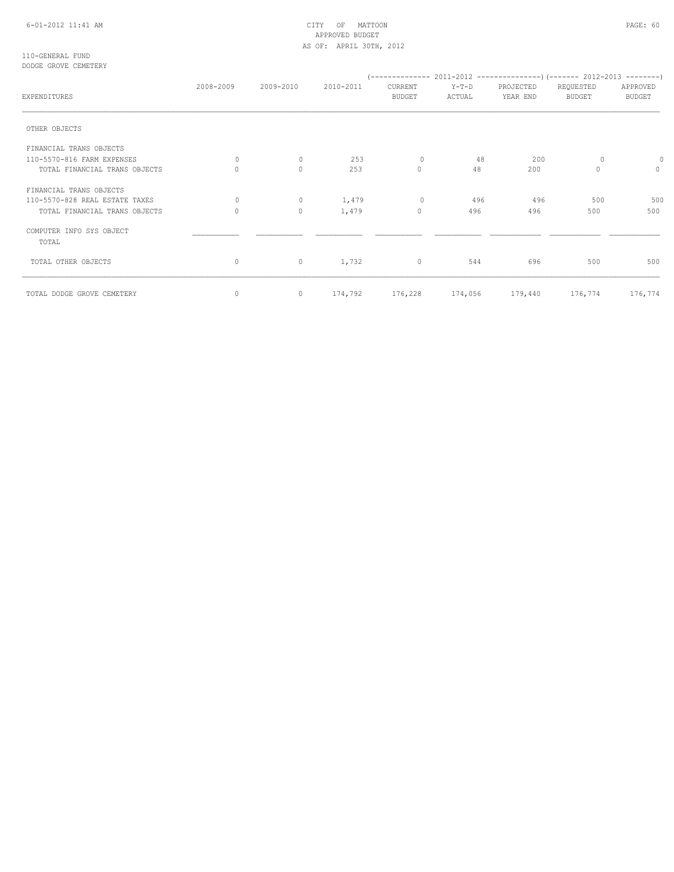# 6-01-2012 11:41 AM CITY OF MATTOON PAGE: 60 APPROVED BUDGET AS OF: APRIL 30TH, 2012

#### 110-GENERAL FUND DODGE GROVE CEMETERY

|                                   | 2008-2009                        | 2009-2010    | 2010-2011 | CURRENT                 | PROJECTED<br>Y-T-D<br>REQUESTED |                 |               |                 |
|-----------------------------------|----------------------------------|--------------|-----------|-------------------------|---------------------------------|-----------------|---------------|-----------------|
| EXPENDITURES                      |                                  |              |           | <b>BUDGET</b><br>ACTUAL |                                 | YEAR END        | <b>BUDGET</b> | <b>BUDGET</b>   |
| OTHER OBJECTS                     |                                  |              |           |                         |                                 |                 |               |                 |
| FINANCIAL TRANS OBJECTS           |                                  |              |           |                         |                                 |                 |               |                 |
| 110-5570-816 FARM EXPENSES        | $\begin{array}{c} \n\end{array}$ | $\circ$      | 253       | $\mathbf 0$             | 48                              | 200             | 0             | 0               |
| TOTAL FINANCIAL TRANS OBJECTS     | 0                                | $\mathbf{0}$ | 253       | $\circ$                 | 48                              | 200             | 0             | $\circ$         |
| FINANCIAL TRANS OBJECTS           |                                  |              |           |                         |                                 |                 |               |                 |
| 110-5570-828 REAL ESTATE TAXES    | $\Omega$                         | $\circ$      | 1,479     | $\mathbf{0}$            | 496                             | 496             | 500           | 500             |
| TOTAL FINANCIAL TRANS OBJECTS     | 0                                | $\circ$      | 1,479     | $\circ$                 | 496                             | 496             | 500           | 500             |
| COMPUTER INFO SYS OBJECT<br>TOTAL |                                  |              |           |                         |                                 |                 |               |                 |
| TOTAL OTHER OBJECTS               | $\circ$                          | $\circ$      | 1,732     | $\circ$                 | 544                             | 696             | 500           | 500             |
| TOTAL DODGE GROVE CEMETERY        | 0                                | $\circ$      |           | 174,792 176,228         |                                 | 174,056 179,440 |               | 176,774 176,774 |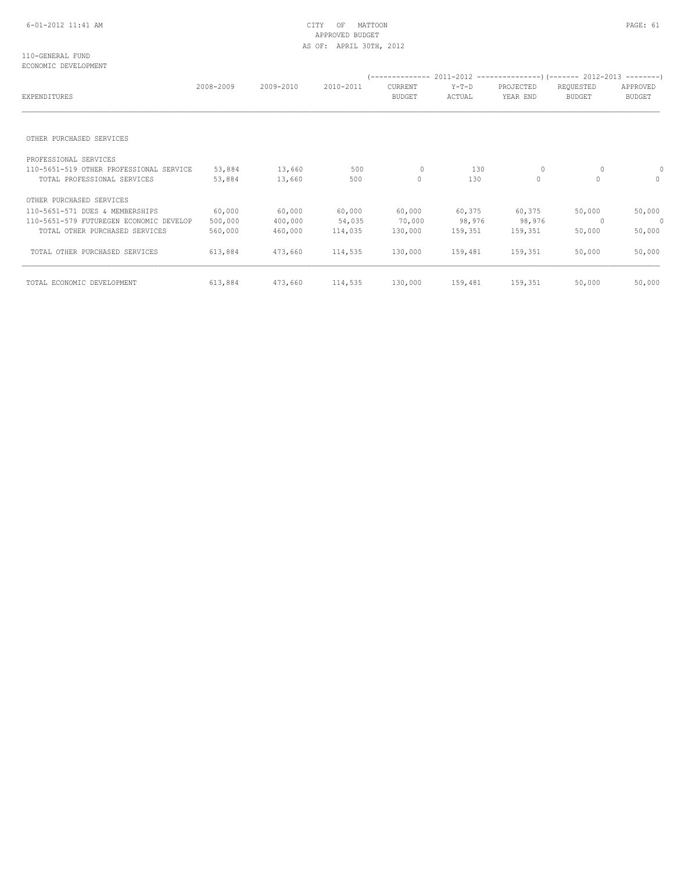# APPROVED BUDGET AS OF: APRIL 30TH, 2012

#### 110-GENERAL FUND ECONOMIC DEVELOPMENT

| EXPENDITURES                            | 2008-2009 | 2009-2010 | 2010-2011 | CURRENT<br><b>BUDGET</b> | $Y-T-D$<br>ACTUAL | PROJECTED<br>YEAR END | REQUESTED<br><b>BUDGET</b> | APPROVED<br><b>BUDGET</b> |
|-----------------------------------------|-----------|-----------|-----------|--------------------------|-------------------|-----------------------|----------------------------|---------------------------|
|                                         |           |           |           |                          |                   |                       |                            |                           |
| OTHER PURCHASED SERVICES                |           |           |           |                          |                   |                       |                            |                           |
| PROFESSIONAL SERVICES                   |           |           |           |                          |                   |                       |                            |                           |
| 110-5651-519 OTHER PROFESSIONAL SERVICE | 53,884    | 13,660    | 500       | $\mathbf{0}$             | 130               | 0                     | 0                          |                           |
| TOTAL PROFESSIONAL SERVICES             | 53,884    | 13,660    | 500       | 0                        | 130               | $\mathbf{0}$          | $\Omega$                   | $\Omega$                  |
| OTHER PURCHASED SERVICES                |           |           |           |                          |                   |                       |                            |                           |
| 110-5651-571 DUES & MEMBERSHIPS         | 60,000    | 60,000    | 60,000    | 60,000                   | 60,375            | 60,375                | 50,000                     | 50,000                    |
| 110-5651-579 FUTUREGEN ECONOMIC DEVELOP | 500,000   | 400,000   | 54,035    | 70,000                   | 98,976            | 98,976                | 0                          | 0                         |
| TOTAL OTHER PURCHASED SERVICES          | 560,000   | 460,000   | 114,035   | 130,000                  | 159,351           | 159,351               | 50,000                     | 50,000                    |
| TOTAL OTHER PURCHASED SERVICES          | 613,884   | 473,660   | 114,535   | 130,000                  | 159,481           | 159,351               | 50,000                     | 50,000                    |
| TOTAL ECONOMIC DEVELOPMENT              | 613,884   | 473,660   | 114,535   | 130,000                  | 159,481           | 159,351               | 50,000                     | 50,000                    |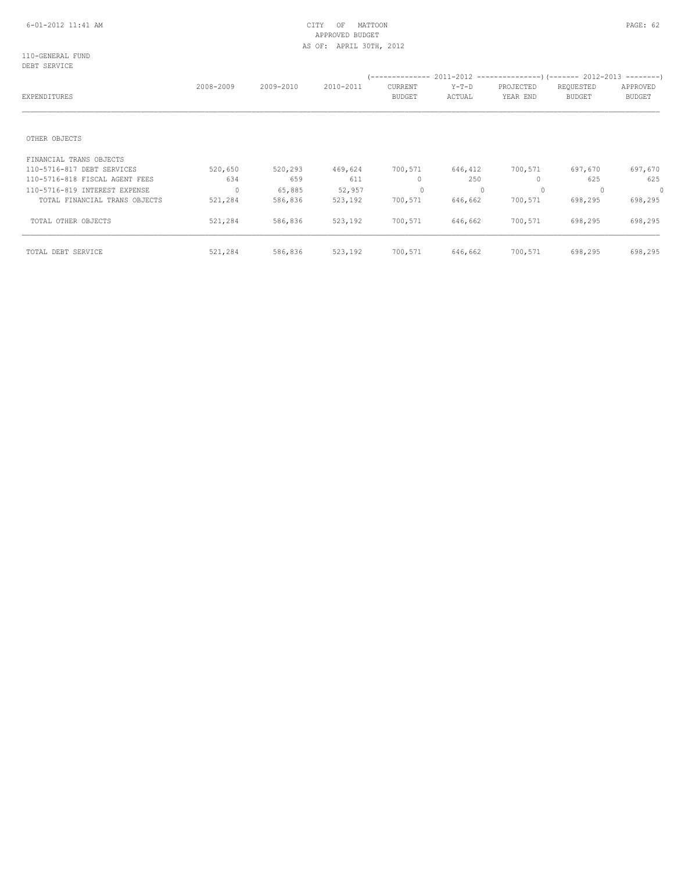# APPROVED BUDGET AS OF: APRIL 30TH, 2012

110-GENERAL FUND DEBT SERVICE

| EXPENDITURES                   | 2008-2009  | 2009-2010 | 2010-2011 | --------------<br><b>CURRENT</b><br><b>BUDGET</b> | $Y-T-D$<br>ACTUAL | PROJECTED<br>YEAR END | 2011-2012 ---------------------- (------- 2012-2013 ----------<br>REQUESTED<br><b>BUDGET</b> | APPROVED<br><b>BUDGET</b> |
|--------------------------------|------------|-----------|-----------|---------------------------------------------------|-------------------|-----------------------|----------------------------------------------------------------------------------------------|---------------------------|
| OTHER OBJECTS                  |            |           |           |                                                   |                   |                       |                                                                                              |                           |
| FINANCIAL TRANS OBJECTS        |            |           |           |                                                   |                   |                       |                                                                                              |                           |
| 110-5716-817 DEBT SERVICES     | 520,650    | 520,293   | 469,624   | 700,571                                           | 646,412           | 700,571               | 697,670                                                                                      | 697,670                   |
| 110-5716-818 FISCAL AGENT FEES | 634        | 659       | 611       | 0                                                 | 250               | $\mathbf{0}$          | 625                                                                                          | 625                       |
| 110-5716-819 INTEREST EXPENSE  | $\bigcirc$ | 65,885    | 52,957    | $\mathbf{0}$                                      | $\Omega$          | $\circ$               |                                                                                              | $\mathbf 0$               |
| TOTAL FINANCIAL TRANS OBJECTS  | 521,284    | 586,836   | 523,192   | 700,571                                           | 646,662           | 700,571               | 698,295                                                                                      | 698,295                   |
| TOTAL OTHER OBJECTS            | 521,284    | 586,836   | 523,192   | 700,571                                           | 646,662           | 700,571               | 698,295                                                                                      | 698,295                   |
| TOTAL DEBT SERVICE             | 521,284    | 586,836   | 523,192   | 700,571                                           | 646,662           | 700,571               | 698,295                                                                                      | 698,295                   |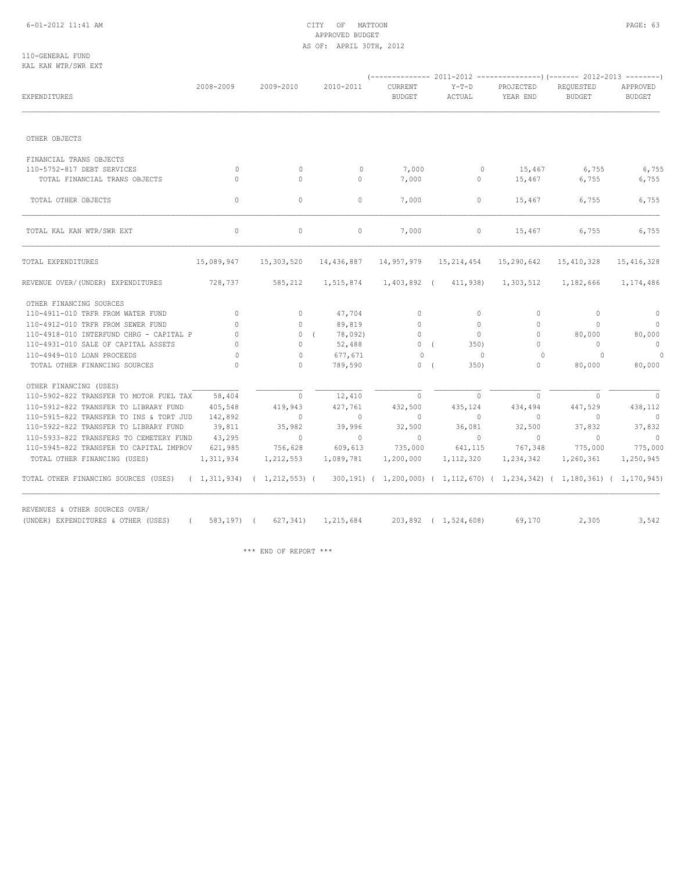# 6-01-2012 11:41 AM CITY OF MATTOON PAGE: 63 APPROVED BUDGET AS OF: APRIL 30TH, 2012

110-GENERAL FUND KAL KAN WTR/SWR EXT

| EXPENDITURES                                                                                                                       | 2008-2009                | 2009-2010    | 2010-2011             | CURRENT<br><b>BUDGET</b> | $Y-T-D$<br>ACTUAL    | PROJECTED<br>YEAR END | REQUESTED<br><b>BUDGET</b> | APPROVED<br><b>BUDGET</b> |  |
|------------------------------------------------------------------------------------------------------------------------------------|--------------------------|--------------|-----------------------|--------------------------|----------------------|-----------------------|----------------------------|---------------------------|--|
|                                                                                                                                    |                          |              |                       |                          |                      |                       |                            |                           |  |
| OTHER OBJECTS                                                                                                                      |                          |              |                       |                          |                      |                       |                            |                           |  |
| FINANCIAL TRANS OBJECTS                                                                                                            |                          |              |                       |                          |                      |                       |                            |                           |  |
| 110-5752-817 DEBT SERVICES                                                                                                         | $\mathbf{0}$             | $\circ$      | $\mathbf{0}$          | 7,000                    | $\circ$              | 15,467                | 6,755                      | 6,755                     |  |
| TOTAL FINANCIAL TRANS OBJECTS                                                                                                      | $\Omega$                 | $\Omega$     | $\circ$               | 7,000                    | $\circ$              | 15,467                | 6,755                      | 6,755                     |  |
| TOTAL OTHER OBJECTS                                                                                                                | $\circ$                  | $\circ$      | $\circ$               | 7,000                    | $\circ$              | 15,467                | 6,755                      | 6,755                     |  |
| TOTAL KAL KAN WTR/SWR EXT                                                                                                          | $\circ$                  | $\circ$      | $\circ$               | 7,000                    | $\circ$              | 15,467                | 6,755                      | 6,755                     |  |
| TOTAL EXPENDITURES                                                                                                                 | 15,089,947               | 15,303,520   | 14,436,887 14,957,979 |                          | 15,214,454           | 15,290,642            | 15,410,328                 | 15, 416, 328              |  |
| REVENUE OVER/(UNDER) EXPENDITURES                                                                                                  | 728,737                  | 585,212      | 1,515,874             |                          | 1,403,892 (411,938)  | 1,303,512             | 1,182,666                  | 1,174,486                 |  |
| OTHER FINANCING SOURCES                                                                                                            |                          |              |                       |                          |                      |                       |                            |                           |  |
| 110-4911-010 TRFR FROM WATER FUND                                                                                                  | $\circ$                  | $\circ$      | 47,704                | $\circ$                  | $\circ$              | $\circ$               | $\circ$                    | $\circ$                   |  |
| 110-4912-010 TRFR FROM SEWER FUND                                                                                                  | $\Omega$                 | $\circ$      | 89,819                | $\circ$                  | $\Omega$             | $\Omega$              | $\Omega$                   | $\overline{0}$            |  |
| 110-4918-010 INTERFUND CHRG - CAPITAL P                                                                                            | $\circ$                  | 0(           | 78,092)               | $\circ$                  | $\overline{0}$       | $\mathbf{0}$          | 80,000                     | 80,000                    |  |
| 110-4931-010 SALE OF CAPITAL ASSETS                                                                                                | $\circ$                  | $\mathbf{0}$ | 52,488                | 0(                       | 350)                 | $\mathbf{0}$          | $\circ$                    | $\overline{0}$            |  |
| 110-4949-010 LOAN PROCEEDS                                                                                                         | $\bigcirc$               | $\circ$      | 677,671               | $\Omega$                 | $\overline{0}$       | $\Omega$              | $\Omega$                   | $\circ$                   |  |
| TOTAL OTHER FINANCING SOURCES                                                                                                      | $\Omega$                 | $\Omega$     | 789,590               | 0(                       | 350)                 | $\mathbf{0}$          | 80,000                     | 80,000                    |  |
| OTHER FINANCING (USES)                                                                                                             |                          |              |                       |                          |                      |                       |                            |                           |  |
| 110-5902-822 TRANSFER TO MOTOR FUEL TAX                                                                                            | 58,404                   | $\circ$      | 12,410                | $\Omega$                 | $\Omega$             | $\Omega$              | $\Omega$                   | $\overline{0}$            |  |
| 110-5912-822 TRANSFER TO LIBRARY FUND                                                                                              | 405,548                  | 419,943      | 427,761               | 432,500                  | 435,124              | 434,494               | 447,529                    | 438,112                   |  |
| 110-5915-822 TRANSFER TO INS & TORT JUD                                                                                            | 142,892                  | $\Omega$     | $\sim$ 0              | $\circ$                  | $\Omega$             | $\mathbf{0}$          | $\Omega$                   | $\bigcirc$                |  |
| 110-5922-822 TRANSFER TO LIBRARY FUND                                                                                              | 39,811                   | 35,982       | 39,996                | 32,500                   | 36,081               | 32,500                | 37,832                     | 37,832                    |  |
| 110-5933-822 TRANSFERS TO CEMETERY FUND                                                                                            | 43,295                   | $\sim$ 0     | $\sim$ 0              | $\overline{0}$           | $\sim$ 0             | $\circ$               | $\sim$ 0                   | $\sim$ 0                  |  |
| 110-5945-822 TRANSFER TO CAPITAL IMPROV                                                                                            | 621,985                  | 756,628      | 609,613               | 735,000                  | 641,115              | 767,348               | 775,000                    | 775,000                   |  |
| TOTAL OTHER FINANCING (USES)                                                                                                       | 1, 311, 934              | 1,212,553    | 1,089,781             | 1,200,000                | 1, 112, 320          | 1,234,342             | 1,260,361                  | 1,250,945                 |  |
| TOTAL OTHER FINANCING SOURCES (USES) (1,311,934) (1,212,553) (300,191) (1,200,000) (1,112,670) (1,234,342) (1,180,361) (1,170,945) |                          |              |                       |                          |                      |                       |                            |                           |  |
| REVENUES & OTHER SOURCES OVER/                                                                                                     |                          |              |                       |                          |                      |                       | 2,305                      | 3,542                     |  |
| (UNDER) EXPENDITURES & OTHER (USES)                                                                                                | 583,197) (<br>$\sqrt{2}$ | 627, 341     | 1,215,684             |                          | 203,892 ( 1,524,608) | 69,170                |                            |                           |  |

\*\*\* END OF REPORT \*\*\*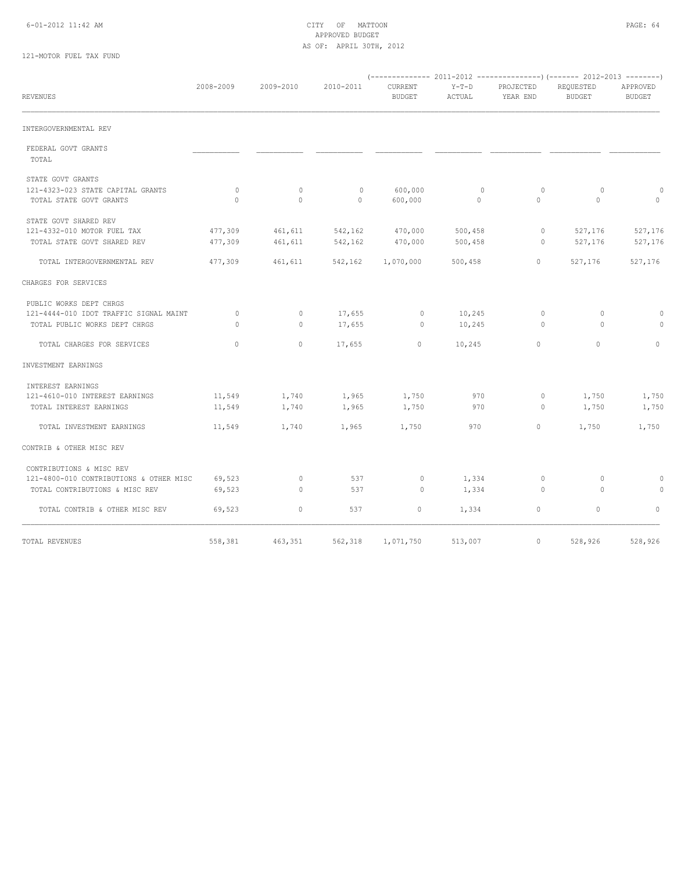# 6-01-2012 11:42 AM CITY OF MATTOON PAGE: 64 APPROVED BUDGET AS OF: APRIL 30TH, 2012

# 121-MOTOR FUEL TAX FUND

| <b>REVENUES</b>                                              | 2008-2009           | 2009-2010           | 2010-2011               | CURRENT<br><b>BUDGET</b> | $Y-T-D$<br>ACTUAL       | PROJECTED<br>YEAR END | REQUESTED<br><b>BUDGET</b> | APPROVED<br><b>BUDGET</b> |
|--------------------------------------------------------------|---------------------|---------------------|-------------------------|--------------------------|-------------------------|-----------------------|----------------------------|---------------------------|
| INTERGOVERNMENTAL REV                                        |                     |                     |                         |                          |                         |                       |                            |                           |
| FEDERAL GOVT GRANTS<br>TOTAL                                 |                     |                     |                         |                          |                         |                       |                            |                           |
| STATE GOVT GRANTS                                            |                     |                     |                         |                          |                         |                       |                            |                           |
| 121-4323-023 STATE CAPITAL GRANTS<br>TOTAL STATE GOVT GRANTS | $\circ$<br>$\Omega$ | $\circ$<br>$\Omega$ | $\mathbb{O}$<br>$\circ$ | 600,000<br>600,000       | $\circ$<br>$\mathbf{0}$ | $\circ$<br>$\Omega$   | 0<br>$\Omega$              | $\circ$<br>$\circ$        |
| STATE GOVT SHARED REV                                        |                     |                     |                         |                          |                         |                       |                            |                           |
| 121-4332-010 MOTOR FUEL TAX                                  | 477,309             | 461,611             | 542,162                 | 470,000                  | 500, 458                | $\circ$               | 527,176                    | 527,176                   |
| TOTAL STATE GOVT SHARED REV                                  | 477,309             | 461,611             | 542,162                 | 470,000                  | 500,458                 | $\Omega$              | 527,176                    | 527,176                   |
| TOTAL INTERGOVERNMENTAL REV                                  | 477,309             | 461,611             | 542,162                 | 1,070,000                | 500,458                 | $\mathbf{0}$          | 527,176                    | 527,176                   |
| CHARGES FOR SERVICES                                         |                     |                     |                         |                          |                         |                       |                            |                           |
| PUBLIC WORKS DEPT CHRGS                                      |                     |                     |                         |                          |                         |                       |                            |                           |
| 121-4444-010 IDOT TRAFFIC SIGNAL MAINT                       | $\circ$             | $\circ$             | 17,655                  | $\circ$                  | 10,245                  | $\circ$               | $\circ$                    | $\circ$                   |
| TOTAL PUBLIC WORKS DEPT CHRGS                                | $\Omega$            | $\circ$             | 17,655                  | $\circ$                  | 10,245                  | $\circ$               | $\Omega$                   | $\circ$                   |
| TOTAL CHARGES FOR SERVICES                                   | $\Omega$            | $\mathbf{0}$        | 17,655                  | 0                        | 10,245                  | $\Omega$              | $\Omega$                   | $\circ$                   |
| INVESTMENT EARNINGS                                          |                     |                     |                         |                          |                         |                       |                            |                           |
| INTEREST EARNINGS                                            |                     |                     |                         |                          |                         |                       |                            |                           |
| 121-4610-010 INTEREST EARNINGS                               | 11,549              | 1,740               | 1,965                   | 1,750                    | 970                     | $\circ$               | 1,750                      | 1,750                     |
| TOTAL INTEREST EARNINGS                                      | 11,549              | 1,740               | 1,965                   | 1,750                    | 970                     | 0                     | 1,750                      | 1,750                     |
| TOTAL INVESTMENT EARNINGS                                    | 11,549              | 1,740               | 1,965                   | 1,750                    | 970                     | $\mathbf{0}$          | 1,750                      | 1,750                     |
| CONTRIB & OTHER MISC REV                                     |                     |                     |                         |                          |                         |                       |                            |                           |
| CONTRIBUTIONS & MISC REV                                     |                     |                     |                         |                          |                         |                       |                            |                           |
| 121-4800-010 CONTRIBUTIONS & OTHER MISC                      | 69,523              | $\circ$             | 537                     | $\circ$                  | 1,334                   | $\circ$               | $\circ$                    | 0                         |
| TOTAL CONTRIBUTIONS & MISC REV                               | 69,523              | $\circ$             | 537                     | $\circ$                  | 1,334                   | $\circ$               | $\Omega$                   | 0                         |
| TOTAL CONTRIB & OTHER MISC REV                               | 69,523              | $\mathbf{0}$        | 537                     | 0                        | 1,334                   | $\circ$               | $\circ$                    | $\circ$                   |
| TOTAL REVENUES                                               | 558,381             | 463,351             | 562,318                 | 1,071,750                | 513,007                 | $\mathbf{0}$          | 528,926                    | 528,926                   |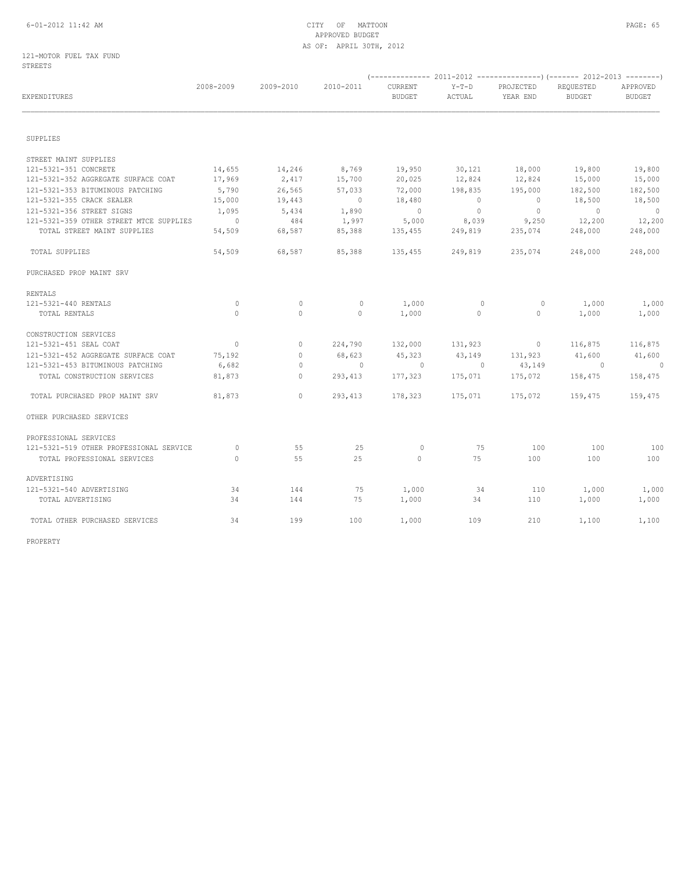# 6-01-2012 11:42 AM CITY OF MATTOON PAGE: 65 APPROVED BUDGET AS OF: APRIL 30TH, 2012

## 121-MOTOR FUEL TAX FUND STREETS

| EXPENDITURES                            | 2008-2009      | 2009-2010    | 2010-2011      | CURRENT<br><b>BUDGET</b> | $Y-T-D$<br>ACTUAL | PROJECTED<br>YEAR END | REQUESTED<br><b>BUDGET</b> | APPROVED<br><b>BUDGET</b> |  |  |  |
|-----------------------------------------|----------------|--------------|----------------|--------------------------|-------------------|-----------------------|----------------------------|---------------------------|--|--|--|
| SUPPLIES                                |                |              |                |                          |                   |                       |                            |                           |  |  |  |
|                                         |                |              |                |                          |                   |                       |                            |                           |  |  |  |
| STREET MAINT SUPPLIES                   |                |              |                |                          |                   |                       |                            |                           |  |  |  |
| 121-5321-351 CONCRETE                   | 14,655         | 14,246       | 8,769          | 19,950                   | 30,121            | 18,000                | 19,800                     | 19,800                    |  |  |  |
| 121-5321-352 AGGREGATE SURFACE COAT     | 17,969         | 2,417        | 15,700         | 20,025                   | 12,824            | 12,824                | 15,000                     | 15,000                    |  |  |  |
| 121-5321-353 BITUMINOUS PATCHING        | 5,790          | 26,565       | 57,033         | 72,000                   | 198,835           | 195,000               | 182,500                    | 182,500                   |  |  |  |
| 121-5321-355 CRACK SEALER               | 15,000         | 19,443       | $\overline{0}$ | 18,480                   | $\bigcirc$        | $\overline{0}$        | 18,500                     | 18,500                    |  |  |  |
| 121-5321-356 STREET SIGNS               | 1,095          | 5,434        | 1,890          | $\overline{0}$           | $\overline{0}$    | $\overline{0}$        | $\overline{0}$             | $\overline{0}$            |  |  |  |
| 121-5321-359 OTHER STREET MTCE SUPPLIES | $\sim$ 0       | 484          | 1,997          | 5,000                    | 8,039             | 9,250                 | 12,200                     | 12,200                    |  |  |  |
| TOTAL STREET MAINT SUPPLIES             | 54,509         | 68,587       | 85,388         | 135,455                  | 249,819           | 235,074               | 248,000                    | 248,000                   |  |  |  |
| TOTAL SUPPLIES                          | 54,509         | 68,587       | 85,388         | 135,455                  | 249,819           | 235,074               | 248,000                    | 248,000                   |  |  |  |
| PURCHASED PROP MAINT SRV                |                |              |                |                          |                   |                       |                            |                           |  |  |  |
| RENTALS                                 |                |              |                |                          |                   |                       |                            |                           |  |  |  |
| 121-5321-440 RENTALS                    | $\mathbf{0}$   | $\circ$      | $\mathbb O$    | 1,000                    | $\circ$           | $\circ$               | 1,000                      | 1,000                     |  |  |  |
| TOTAL RENTALS                           | $\Omega$       | $\circ$      | $\circ$        | 1,000                    | $\circ$           | $\circ$               | 1,000                      | 1,000                     |  |  |  |
| CONSTRUCTION SERVICES                   |                |              |                |                          |                   |                       |                            |                           |  |  |  |
| 121-5321-451 SEAL COAT                  | $\overline{0}$ | $\circ$      | 224,790        | 132,000                  | 131,923           | $\sim$ 0              | 116,875                    | 116,875                   |  |  |  |
| 121-5321-452 AGGREGATE SURFACE COAT     | 75,192         | $\mathbf{0}$ | 68,623         | 45,323                   | 43,149            | 131,923               | 41,600                     | 41,600                    |  |  |  |
| 121-5321-453 BITUMINOUS PATCHING        | 6,682          | 0            | $\sim$ 0       | $\sim$ 0                 | $\sim$ 0          | 43,149                | $\sim$ 0                   | $\overline{0}$            |  |  |  |
| TOTAL CONSTRUCTION SERVICES             | 81,873         | $\mathbf{0}$ | 293,413        | 177,323                  | 175,071           | 175,072               | 158,475                    | 158,475                   |  |  |  |
| TOTAL PURCHASED PROP MAINT SRV          | 81,873         | $\circ$      | 293,413        | 178,323                  | 175,071           | 175,072               | 159,475                    | 159,475                   |  |  |  |
| OTHER PURCHASED SERVICES                |                |              |                |                          |                   |                       |                            |                           |  |  |  |
| PROFESSIONAL SERVICES                   |                |              |                |                          |                   |                       |                            |                           |  |  |  |
| 121-5321-519 OTHER PROFESSIONAL SERVICE | $\mathbf{0}$   | 55           | 25             | $\circ$                  | 75                | 100                   | 100                        | 100                       |  |  |  |
| TOTAL PROFESSIONAL SERVICES             | $\Omega$       | 55           | 25             | $\circ$                  | 75                | 100                   | 100                        | 100                       |  |  |  |
| ADVERTISING                             |                |              |                |                          |                   |                       |                            |                           |  |  |  |
| 121-5321-540 ADVERTISING                | 34             | 144          | 75             | 1,000                    | 34                | 110                   | 1,000                      | 1,000                     |  |  |  |
| TOTAL ADVERTISING                       | 34             | 144          | 75             | 1,000                    | 34                | 110                   | 1,000                      | 1,000                     |  |  |  |
| TOTAL OTHER PURCHASED SERVICES          | 34             | 199          | 100            | 1,000                    | 109               | 210                   | 1,100                      | 1,100                     |  |  |  |
|                                         |                |              |                |                          |                   |                       |                            |                           |  |  |  |

PROPERTY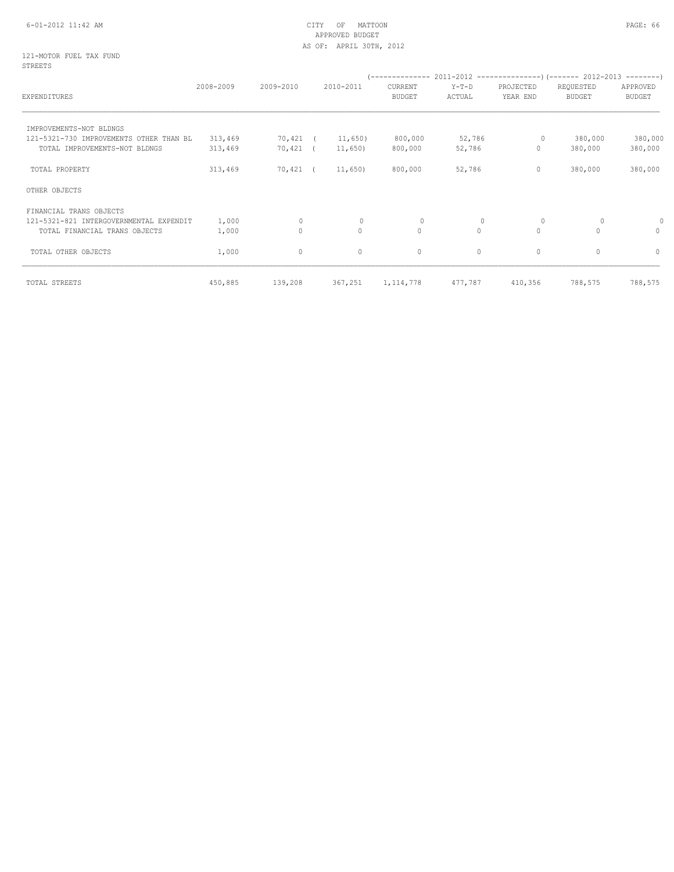# 6-01-2012 11:42 AM CITY OF MATTOON PAGE: 66 APPROVED BUDGET AS OF: APRIL 30TH, 2012

### 121-MOTOR FUEL TAX FUND STREETS

|                                         |           |             |           |          | '-------------- |          | 2011-2012 ---------------------- 2012-2013 ---------- |               |               |
|-----------------------------------------|-----------|-------------|-----------|----------|-----------------|----------|-------------------------------------------------------|---------------|---------------|
|                                         | 2008-2009 | 2009-2010   | 2010-2011 |          | CURRENT         | $Y-T-D$  | PROJECTED                                             | REQUESTED     | APPROVED      |
| <b>EXPENDITURES</b>                     |           |             |           |          | <b>BUDGET</b>   | ACTUAL   | YEAR END                                              | <b>BUDGET</b> | <b>BUDGET</b> |
| IMPROVEMENTS-NOT BLDNGS                 |           |             |           |          |                 |          |                                                       |               |               |
| 121-5321-730 IMPROVEMENTS OTHER THAN BL | 313,469   | 70,421      |           | 11,650)  | 800,000         | 52,786   | 0                                                     | 380,000       | 380,000       |
| TOTAL IMPROVEMENTS-NOT BLDNGS           | 313,469   | 70,421      |           | 11,650)  | 800,000         | 52,786   | $\mathbf{0}$                                          | 380,000       | 380,000       |
| TOTAL PROPERTY                          | 313,469   | $70,421$ (  |           | 11,650)  | 800,000         | 52,786   | $\mathbf 0$                                           | 380,000       | 380,000       |
| OTHER OBJECTS                           |           |             |           |          |                 |          |                                                       |               |               |
| FINANCIAL TRANS OBJECTS                 |           |             |           |          |                 |          |                                                       |               |               |
| 121-5321-821 INTERGOVERNMENTAL EXPENDIT | 1,000     | $\circ$     |           | 0        | $\mathbf{0}$    | $\Omega$ | 0                                                     | 0             |               |
| TOTAL FINANCIAL TRANS OBJECTS           | 1,000     | $\mathbb O$ |           | $\Omega$ | $\circ$         | $\Omega$ | $\circ$                                               | $\cap$        | $\Omega$      |
| TOTAL OTHER OBJECTS                     | 1,000     | $\circ$     |           | $\circ$  | 0               | $\circ$  | $\circ$                                               | $\Omega$      | $\circ$       |
| TOTAL STREETS                           | 450,885   | 139,208     |           | 367,251  | 1, 114, 778     | 477,787  | 410,356                                               | 788,575       | 788,575       |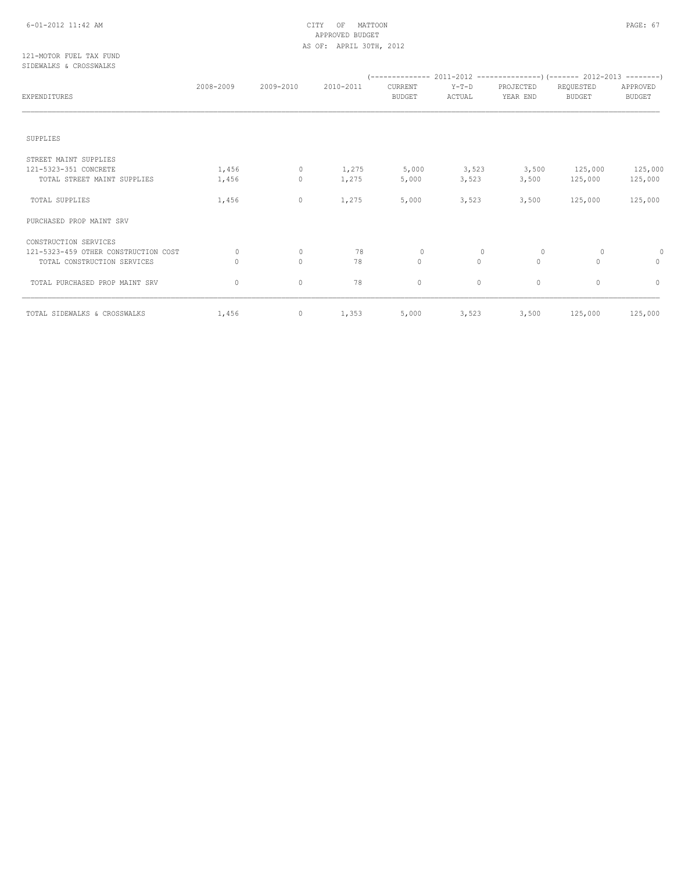# 6-01-2012 11:42 AM CITY OF MATTOON PAGE: 67 APPROVED BUDGET AS OF: APRIL 30TH, 2012

## 121-MOTOR FUEL TAX FUND SIDEWALKS & CROSSWALKS

| <b>EXPENDITURES</b>                  | 2008-2009 | 2009-2010 | 2010-2011 | <b>CURRENT</b><br><b>BUDGET</b> | $Y-T-D$<br>ACTUAL | PROJECTED<br>YEAR END | REQUESTED<br><b>BUDGET</b> | APPROVED<br><b>BUDGET</b> |
|--------------------------------------|-----------|-----------|-----------|---------------------------------|-------------------|-----------------------|----------------------------|---------------------------|
|                                      |           |           |           |                                 |                   |                       |                            |                           |
| SUPPLIES                             |           |           |           |                                 |                   |                       |                            |                           |
| STREET MAINT SUPPLIES                |           |           |           |                                 |                   |                       |                            |                           |
| 121-5323-351 CONCRETE                | 1,456     | $\circ$   | 1,275     | 5,000                           | 3,523             | 3,500                 | 125,000                    | 125,000                   |
| TOTAL STREET MAINT SUPPLIES          | 1,456     | $\circ$   | 1,275     | 5,000                           | 3,523             | 3,500                 | 125,000                    | 125,000                   |
| TOTAL SUPPLIES                       | 1,456     | $\circ$   | 1,275     | 5,000                           | 3,523             | 3,500                 | 125,000                    | 125,000                   |
| PURCHASED PROP MAINT SRV             |           |           |           |                                 |                   |                       |                            |                           |
| CONSTRUCTION SERVICES                |           |           |           |                                 |                   |                       |                            |                           |
| 121-5323-459 OTHER CONSTRUCTION COST | 0         | $\circ$   | 78        | $\mathbf{0}$                    | $\Omega$          | $\circ$               | 0                          | 0                         |
| TOTAL CONSTRUCTION SERVICES          | 0         | $\circ$   | 78        | $\circ$                         | $\circ$           | $\circ$               | $\Omega$                   | $\Omega$                  |
| TOTAL PURCHASED PROP MAINT SRV       | $\circ$   | $\circ$   | 78        | 0                               | $\circ$           | 0                     | $\circ$                    | $\circ$                   |
| TOTAL SIDEWALKS & CROSSWALKS         | 1,456     | $\circ$   | 1,353     | 5,000                           | 3,523             | 3,500                 | 125,000                    | 125,000                   |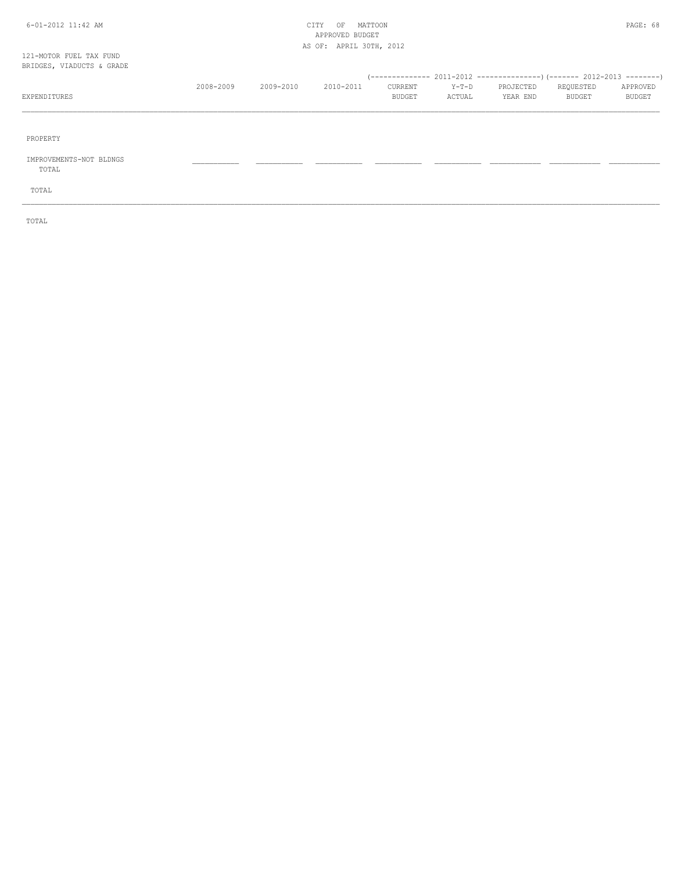# 6-01-2012 11:42 AM CITY OF MATTOON PAGE: 68 APPROVED BUDGET AS OF: APRIL 30TH, 2012

# 121-MOTOR FUEL TAX FUND BRIDGES, VIADUCTS & GRADE

| BRIDGES, VIADUCTS & GRADE |           |           |           |               |        |           |           |               |
|---------------------------|-----------|-----------|-----------|---------------|--------|-----------|-----------|---------------|
|                           |           |           |           |               |        |           |           |               |
|                           | 2008-2009 | 2009-2010 | 2010-2011 | CURRENT       | Y-T-D  | PROJECTED | REQUESTED | APPROVED      |
| EXPENDITURES              |           |           |           | <b>BUDGET</b> | ACTUAL | YEAR END  | BUDGET    | <b>BUDGET</b> |
|                           |           |           |           |               |        |           |           |               |
|                           |           |           |           |               |        |           |           |               |

\_\_\_\_\_\_\_\_\_\_\_\_\_\_\_\_\_\_\_\_\_\_\_\_\_\_\_\_\_\_\_\_\_\_\_\_\_\_\_\_\_\_\_\_\_\_\_\_\_\_\_\_\_\_\_\_\_\_\_\_\_\_\_\_\_\_\_\_\_\_\_\_\_\_\_\_\_\_\_\_\_\_\_\_\_\_\_\_\_\_\_\_\_\_\_\_\_\_\_\_\_\_\_\_\_\_\_\_\_\_\_\_\_\_\_\_\_\_\_\_\_\_\_\_\_\_\_\_\_\_\_\_\_\_\_\_\_\_\_\_\_\_\_\_\_\_\_\_\_\_

PROPERTY

# IMPROVEMENTS-NOT BLDNGS \_\_\_\_\_\_\_\_\_\_\_ \_\_\_\_\_\_\_\_\_\_\_ \_\_\_\_\_\_\_\_\_\_\_ \_\_\_\_\_\_\_\_\_\_\_ \_\_\_\_\_\_\_\_\_\_\_ \_\_\_\_\_\_\_\_\_\_\_\_ \_\_\_\_\_\_\_\_\_\_\_\_ \_\_\_\_\_\_\_\_\_\_\_\_

TOTAL

TOTAL

TOTAL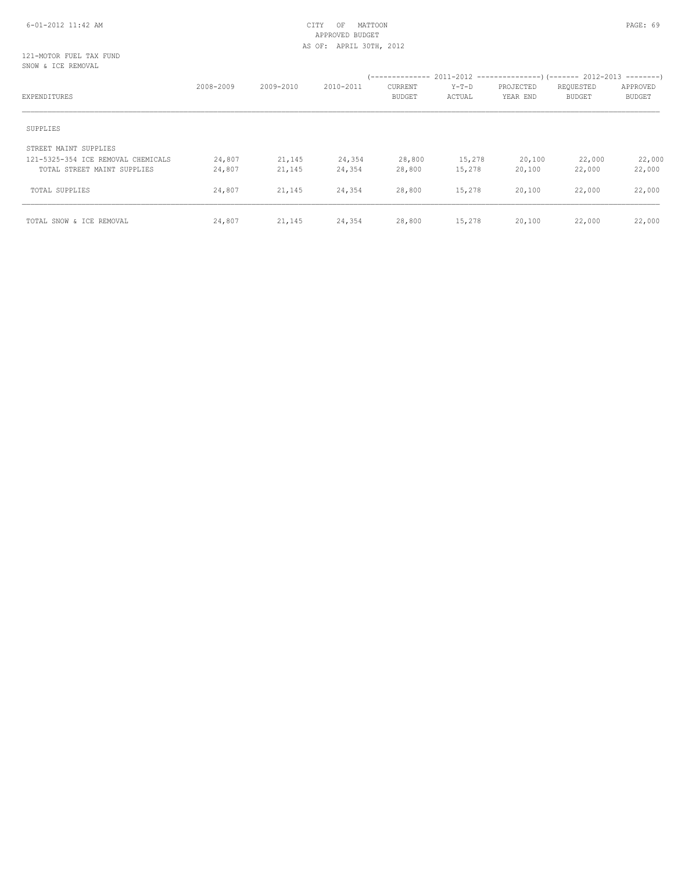# 6-01-2012 11:42 AM CITY OF MATTOON PAGE: 69 APPROVED BUDGET AS OF: APRIL 30TH, 2012

## 121-MOTOR FUEL TAX FUND SNOW & ICE REMOVAL

|                                    | 2008-2009 | 2009-2010 | 2010-2011 | <b>CURRENT</b> | $Y-T-D$ | PROJECTED | REQUESTED     | APPROVED      |  |
|------------------------------------|-----------|-----------|-----------|----------------|---------|-----------|---------------|---------------|--|
| EXPENDITURES                       |           |           |           | <b>BUDGET</b>  | ACTUAL  | YEAR END  | <b>BUDGET</b> | <b>BUDGET</b> |  |
| SUPPLIES                           |           |           |           |                |         |           |               |               |  |
| STREET MAINT SUPPLIES              |           |           |           |                |         |           |               |               |  |
| 121-5325-354 ICE REMOVAL CHEMICALS | 24,807    | 21,145    | 24,354    | 28,800         | 15,278  | 20,100    | 22,000        | 22,000        |  |
| TOTAL STREET MAINT SUPPLIES        | 24,807    | 21,145    | 24,354    | 28,800         | 15,278  | 20,100    | 22,000        | 22,000        |  |
| TOTAL SUPPLIES                     | 24,807    | 21,145    | 24,354    | 28,800         | 15,278  | 20,100    | 22,000        | 22,000        |  |
| TOTAL SNOW & ICE REMOVAL           | 24,807    | 21,145    | 24,354    | 28,800         | 15,278  | 20,100    | 22,000        | 22,000        |  |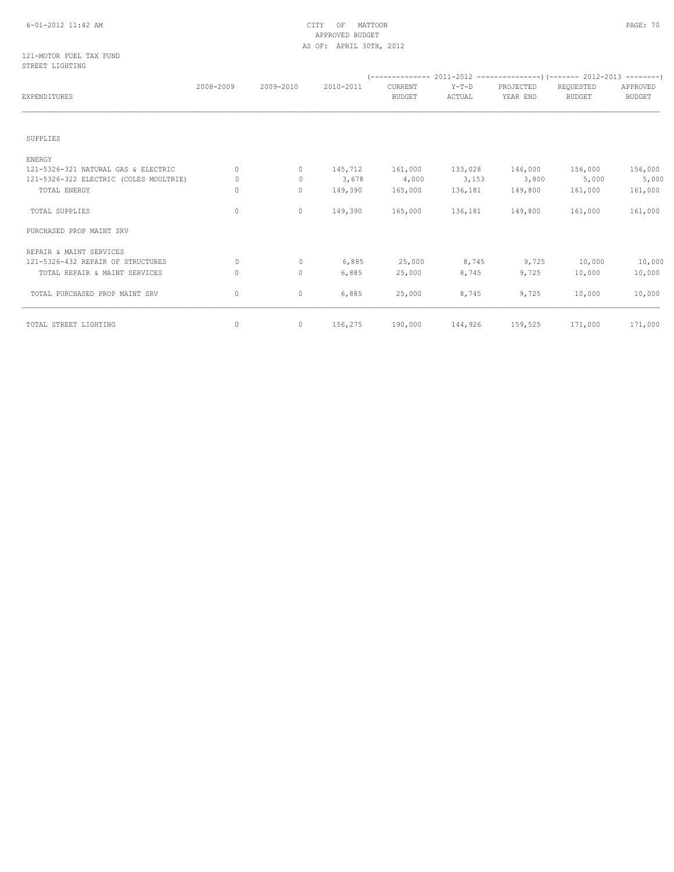# 6-01-2012 11:42 AM CITY OF MATTOON PAGE: 70 APPROVED BUDGET AS OF: APRIL 30TH, 2012

### 121-MOTOR FUEL TAX FUND STREET LIGHTING

|                                        | 2008-2009 | 2009-2010   | 2010-2011 | <b>CURRENT</b> | $Y-T-D$ | PROJECTED | REQUESTED<br><b>BUDGET</b> | APPROVED      |  |
|----------------------------------------|-----------|-------------|-----------|----------------|---------|-----------|----------------------------|---------------|--|
| EXPENDITURES                           |           |             |           | <b>BUDGET</b>  | ACTUAL  | YEAR END  |                            | <b>BUDGET</b> |  |
| SUPPLIES                               |           |             |           |                |         |           |                            |               |  |
| ENERGY                                 |           |             |           |                |         |           |                            |               |  |
| 121-5326-321 NATURAL GAS & ELECTRIC    | 0         | $\circ$     | 145,712   | 161,000        | 133,028 | 146,000   | 156,000                    | 156,000       |  |
| 121-5326-322 ELECTRIC (COLES MOULTRIE) | 0         | 0           | 3,678     | 4,000          | 3,153   | 3,800     | 5,000                      | 5,000         |  |
| TOTAL ENERGY                           | 0         | $\circ$     | 149,390   | 165,000        | 136,181 | 149,800   | 161,000                    | 161,000       |  |
| TOTAL SUPPLIES                         | 0         | $\mathbf 0$ | 149,390   | 165,000        | 136,181 | 149,800   | 161,000                    | 161,000       |  |
| PURCHASED PROP MAINT SRV               |           |             |           |                |         |           |                            |               |  |
| REPAIR & MAINT SERVICES                |           |             |           |                |         |           |                            |               |  |
| 121-5326-432 REPAIR OF STRUCTURES      | 0         | $\circ$     | 6,885     | 25,000         | 8,745   | 9,725     | 10,000                     | 10,000        |  |
| TOTAL REPAIR & MAINT SERVICES          | 0         | $\mathbf 0$ | 6,885     | 25,000         | 8,745   | 9,725     | 10,000                     | 10,000        |  |
| TOTAL PURCHASED PROP MAINT SRV         | 0         | $\mathbf 0$ | 6,885     | 25,000         | 8,745   | 9,725     | 10,000                     | 10,000        |  |
| TOTAL STREET LIGHTING                  | 0         | $\mathbf 0$ | 156,275   | 190,000        | 144,926 | 159,525   | 171,000                    | 171,000       |  |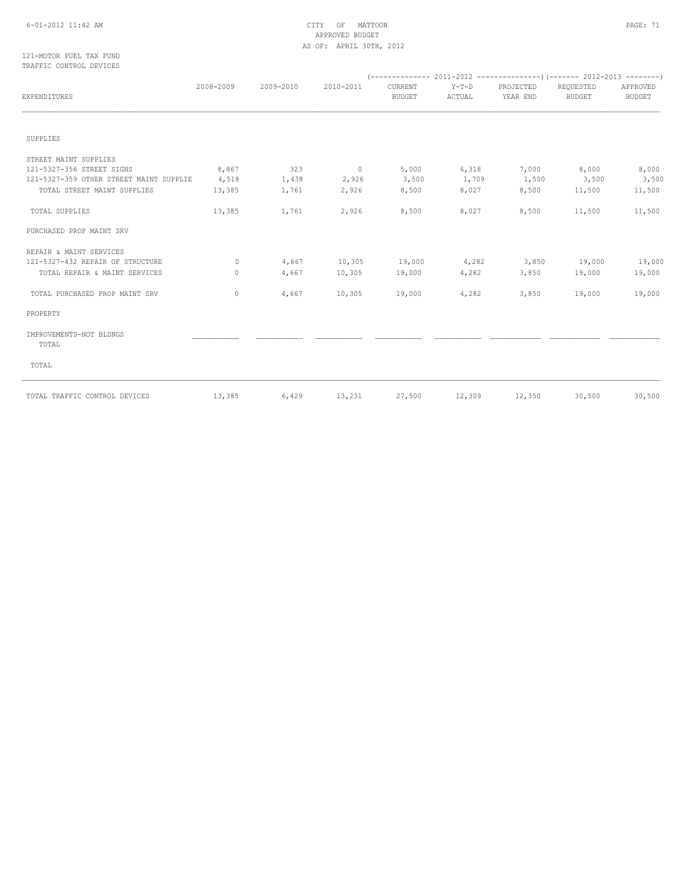# 6-01-2012 11:42 AM CITY OF MATTOON PAGE: 71 APPROVED BUDGET AS OF: APRIL 30TH, 2012

### 121-MOTOR FUEL TAX FUND TRAFFIC CONTROL DEVICES

| <b>EXPENDITURES</b>                     | 2008-2009 | 2009-2010 | 2010-2011      | CURRENT<br><b>BUDGET</b> | $Y-T-D$<br>ACTUAL | PROJECTED<br>YEAR END | REQUESTED<br><b>BUDGET</b> | APPROVED<br><b>BUDGET</b> |
|-----------------------------------------|-----------|-----------|----------------|--------------------------|-------------------|-----------------------|----------------------------|---------------------------|
|                                         |           |           |                |                          |                   |                       |                            |                           |
| SUPPLIES                                |           |           |                |                          |                   |                       |                            |                           |
| STREET MAINT SUPPLIES                   |           |           |                |                          |                   |                       |                            |                           |
| 121-5327-356 STREET SIGNS               | 8,867     | 323       | $\overline{0}$ | 5,000                    | 6,318             |                       | 7,000 8,000                | 8,000                     |
| 121-5327-359 OTHER STREET MAINT SUPPLIE | 4,518     | 1,438     | 2,926          | 3,500                    | 1,709             | 1,500                 | 3,500                      | 3,500                     |
| TOTAL STREET MAINT SUPPLIES             | 13,385    | 1,761     | 2,926          | 8,500                    | 8,027             | 8,500                 | 11,500                     | 11,500                    |
| TOTAL SUPPLIES                          | 13,385    | 1,761     | 2,926          | 8,500                    | 8,027             | 8,500                 | 11,500                     | 11,500                    |
| PURCHASED PROP MAINT SRV                |           |           |                |                          |                   |                       |                            |                           |
| REPAIR & MAINT SERVICES                 |           |           |                |                          |                   |                       |                            |                           |
| 121-5327-432 REPAIR OF STRUCTURE        | $\Omega$  | 4,667     | 10, 305        | 19,000                   | 4,282             | 3,850                 | 19,000                     | 19,000                    |
| TOTAL REPAIR & MAINT SERVICES           | $\circ$   | 4,667     | 10,305         | 19,000                   | 4,282             | 3,850                 | 19,000                     | 19,000                    |
| TOTAL PURCHASED PROP MAINT SRV          | $\Omega$  | 4,667     | 10,305         | 19,000                   | 4,282             | 3,850                 | 19,000                     | 19,000                    |
| PROPERTY                                |           |           |                |                          |                   |                       |                            |                           |
| IMPROVEMENTS-NOT BLDNGS<br>TOTAL        |           |           |                |                          |                   |                       |                            |                           |
| TOTAL                                   |           |           |                |                          |                   |                       |                            |                           |
| TOTAL TRAFFIC CONTROL DEVICES           | 13,385    | 6,429     | 13,231         | 27,500                   | 12,309            | 12,350                | 30,500                     | 30,500                    |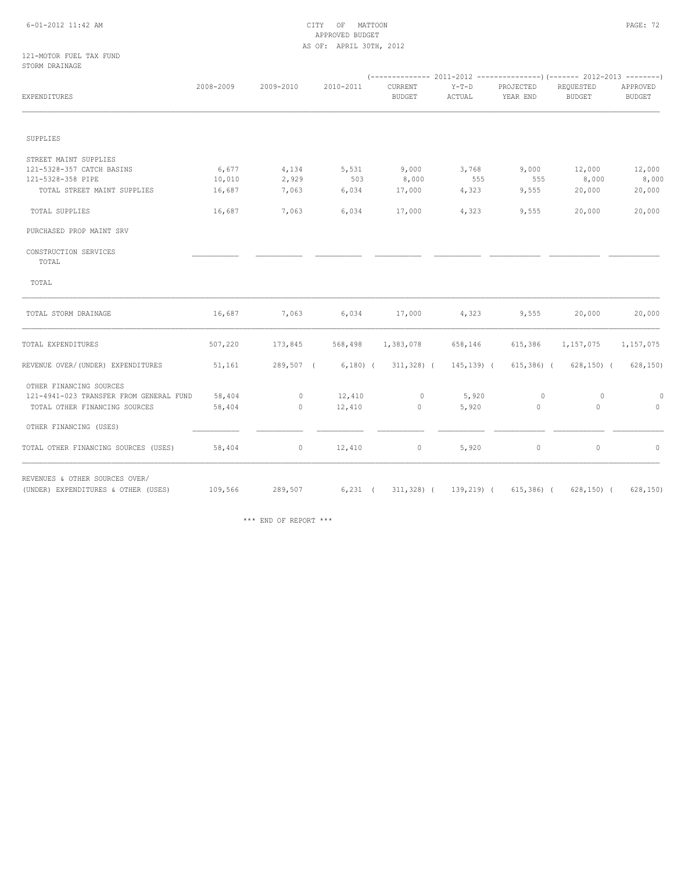# 6-01-2012 11:42 AM CITY OF MATTOON PAGE: 72 APPROVED BUDGET AS OF: APRIL 30TH, 2012

## 121-MOTOR FUEL TAX FUND STORM DRAINAGE

|                                         |           |           |           | -------------- 2011-2012<br>----------------) (------- 2012-2013<br>--------- |                   |                       |                            |                           |  |  |
|-----------------------------------------|-----------|-----------|-----------|-------------------------------------------------------------------------------|-------------------|-----------------------|----------------------------|---------------------------|--|--|
| EXPENDITURES                            | 2008-2009 | 2009-2010 | 2010-2011 | CURRENT<br><b>BUDGET</b>                                                      | $Y-T-D$<br>ACTUAL | PROJECTED<br>YEAR END | REQUESTED<br><b>BUDGET</b> | APPROVED<br><b>BUDGET</b> |  |  |
|                                         |           |           |           |                                                                               |                   |                       |                            |                           |  |  |
| SUPPLIES                                |           |           |           |                                                                               |                   |                       |                            |                           |  |  |
| STREET MAINT SUPPLIES                   |           |           |           |                                                                               |                   |                       |                            |                           |  |  |
| 121-5328-357 CATCH BASINS               | 6,677     | 4,134     | 5,531     | 9,000                                                                         | 3,768             | 9,000                 | 12,000                     | 12,000                    |  |  |
| 121-5328-358 PIPE                       | 10,010    | 2,929     | 503       | 8,000                                                                         | 555               | 555                   | 8,000                      | 8,000                     |  |  |
| TOTAL STREET MAINT SUPPLIES             | 16,687    | 7,063     | 6,034     | 17,000                                                                        | 4,323             | 9,555                 | 20,000                     | 20,000                    |  |  |
| TOTAL SUPPLIES                          | 16,687    | 7,063     | 6,034     | 17,000                                                                        | 4,323             | 9,555                 | 20,000                     | 20,000                    |  |  |
| PURCHASED PROP MAINT SRV                |           |           |           |                                                                               |                   |                       |                            |                           |  |  |
| CONSTRUCTION SERVICES<br>TOTAL          |           |           |           |                                                                               |                   |                       |                            |                           |  |  |
| TOTAL                                   |           |           |           |                                                                               |                   |                       |                            |                           |  |  |
| TOTAL STORM DRAINAGE                    | 16,687    | 7,063     | 6,034     | 17,000                                                                        | 4,323             | 9,555                 | 20,000                     | 20,000                    |  |  |
| TOTAL EXPENDITURES                      | 507,220   | 173,845   | 568,498   | 1,383,078                                                                     | 658,146           | 615,386               | 1,157,075                  | 1,157,075                 |  |  |
| REVENUE OVER/(UNDER) EXPENDITURES       | 51,161    | 289,507 ( | $6,180$ ( | $311,328$ (                                                                   | $145, 139$ (      | $615,386$ (           | $628, 150$ ) (             | 628, 150)                 |  |  |
| OTHER FINANCING SOURCES                 |           |           |           |                                                                               |                   |                       |                            |                           |  |  |
| 121-4941-023 TRANSFER FROM GENERAL FUND | 58,404    | $\circ$   | 12,410    | $\circ$                                                                       | 5,920             | $\circ$               | $\circ$                    | 0                         |  |  |
| TOTAL OTHER FINANCING SOURCES           | 58,404    | 0         | 12,410    | $\circ$                                                                       | 5,920             | $\circ$               | $\circ$                    | $\Omega$                  |  |  |
| OTHER FINANCING (USES)                  |           |           |           |                                                                               |                   |                       |                            |                           |  |  |
| TOTAL OTHER FINANCING SOURCES (USES)    | 58,404    | $\circ$   | 12,410    | 0                                                                             | 5,920             | $\mathbb O$           | $\circ$                    | $\circ$                   |  |  |
| REVENUES & OTHER SOURCES OVER/          |           |           |           |                                                                               |                   |                       |                            |                           |  |  |
| (UNDER) EXPENDITURES & OTHER (USES)     | 109,566   | 289,507   | $6,231$ ( | $311,328$ (                                                                   | 139,219) (        | $615,386$ (           | $628, 150$ ) (             | 628, 150)                 |  |  |

\*\*\* END OF REPORT \*\*\*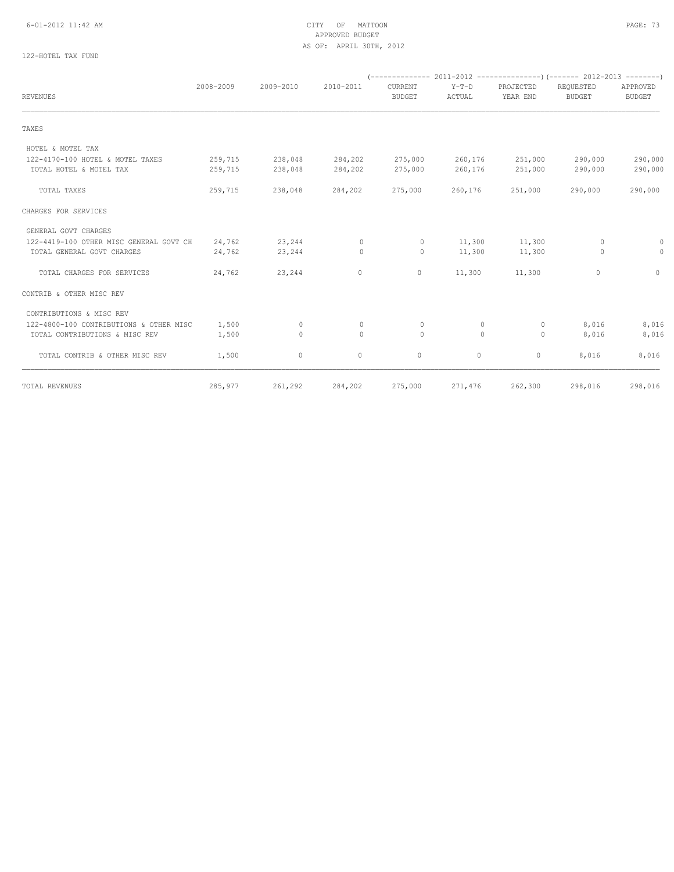#### 6-01-2012 11:42 AM CITY OF MATTOON PAGE: 73 APPROVED BUDGET AS OF: APRIL 30TH, 2012

# 122-HOTEL TAX FUND

| <b>REVENUES</b>                         | 2008-2009 | 2009-2010 | 2010-2011    | <b>CURRENT</b><br><b>BUDGET</b> | $Y-T-D$<br>ACTUAL | PROJECTED<br>YEAR END | REQUESTED<br><b>BUDGET</b> | APPROVED<br><b>BUDGET</b> |
|-----------------------------------------|-----------|-----------|--------------|---------------------------------|-------------------|-----------------------|----------------------------|---------------------------|
|                                         |           |           |              |                                 |                   |                       |                            |                           |
| TAXES                                   |           |           |              |                                 |                   |                       |                            |                           |
| HOTEL & MOTEL TAX                       |           |           |              |                                 |                   |                       |                            |                           |
| 122-4170-100 HOTEL & MOTEL TAXES        | 259,715   | 238,048   | 284,202      | 275,000                         | 260,176           | 251,000               | 290,000                    | 290,000                   |
| TOTAL HOTEL & MOTEL TAX                 | 259,715   | 238,048   | 284,202      | 275,000                         | 260,176           | 251,000               | 290,000                    | 290,000                   |
| TOTAL TAXES                             | 259,715   | 238,048   | 284,202      | 275,000                         | 260,176           | 251,000               | 290,000                    | 290,000                   |
| CHARGES FOR SERVICES                    |           |           |              |                                 |                   |                       |                            |                           |
| GENERAL GOVT CHARGES                    |           |           |              |                                 |                   |                       |                            |                           |
| 122-4419-100 OTHER MISC GENERAL GOVT CH | 24,762    | 23,244    | $\mathbf{0}$ | $\circ$                         | 11,300            | 11,300                | 0                          | 0                         |
| TOTAL GENERAL GOVT CHARGES              | 24,762    | 23,244    | $\mathbf{0}$ | $\circ$                         | 11,300            | 11,300                | $\circ$                    | $\circ$                   |
| TOTAL CHARGES FOR SERVICES              | 24,762    | 23,244    | $\circ$      | 0                               | 11,300            | 11,300                | 0                          | 0                         |
| CONTRIB & OTHER MISC REV                |           |           |              |                                 |                   |                       |                            |                           |
| CONTRIBUTIONS & MISC REV                |           |           |              |                                 |                   |                       |                            |                           |
| 122-4800-100 CONTRIBUTIONS & OTHER MISC | 1,500     | 0         | $\mathbf{0}$ | 0                               | $\circ$           | $\circ$               | 8,016                      | 8,016                     |
| TOTAL CONTRIBUTIONS & MISC REV          | 1,500     | $\circ$   | $\mathbf{0}$ | $\circ$                         | $\circ$           | $\circ$               | 8,016                      | 8,016                     |
| TOTAL CONTRIB & OTHER MISC REV          | 1,500     | $\circ$   | $\circ$      | $\circ$                         | $\circ$           | $\circ$               | 8,016                      | 8,016                     |
| TOTAL REVENUES                          | 285,977   | 261,292   | 284,202      | 275,000                         | 271,476           | 262,300               | 298,016                    | 298,016                   |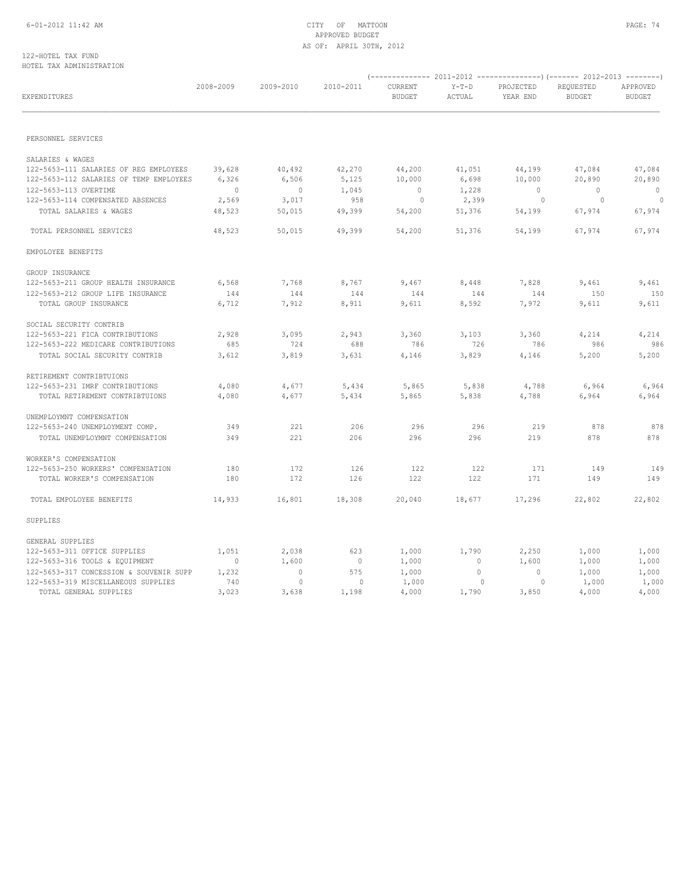## 6-01-2012 11:42 AM CITY OF MATTOON PAGE: 74 APPROVED BUDGET AS OF: APRIL 30TH, 2012

#### 122-HOTEL TAX FUND HOTEL TAX ADMINISTRATION

| EXPENDITURES                            | 2008-2009      | 2009-2010      | 2010-2011      | CURRENT<br><b>BUDGET</b> | $Y-T-D$<br>ACTUAL | PROJECTED<br>YEAR END | REQUESTED<br><b>BUDGET</b> | APPROVED<br><b>BUDGET</b> |
|-----------------------------------------|----------------|----------------|----------------|--------------------------|-------------------|-----------------------|----------------------------|---------------------------|
|                                         |                |                |                |                          |                   |                       |                            |                           |
| PERSONNEL SERVICES                      |                |                |                |                          |                   |                       |                            |                           |
| SALARIES & WAGES                        |                |                |                |                          |                   |                       |                            |                           |
| 122-5653-111 SALARIES OF REG EMPLOYEES  | 39,628         | 40,492         | 42,270         | 44,200                   | 41,051            | 44,199                | 47,084                     | 47,084                    |
| 122-5653-112 SALARIES OF TEMP EMPLOYEES | 6,326          | 6,506          | 5,125          | 10,000                   | 6,698             | 10,000                | 20,890                     | 20,890                    |
| 122-5653-113 OVERTIME                   | $\overline{0}$ | $\overline{0}$ | 1,045          | $\overline{0}$           | 1,228             | $\bigcirc$            | $\overline{0}$             | $\circ$                   |
| 122-5653-114 COMPENSATED ABSENCES       | 2,569          | 3,017          | 958            | $\overline{0}$           | 2,399             | 0                     | $\overline{0}$             | $\sim$ 0                  |
| TOTAL SALARIES & WAGES                  | 48,523         | 50,015         | 49,399         | 54,200                   | 51,376            | 54,199                | 67,974                     | 67,974                    |
| TOTAL PERSONNEL SERVICES                | 48,523         | 50,015         | 49,399         | 54,200                   | 51,376            | 54,199                | 67,974                     | 67,974                    |
| EMPOLOYEE BENEFITS                      |                |                |                |                          |                   |                       |                            |                           |
| GROUP INSURANCE                         |                |                |                |                          |                   |                       |                            |                           |
| 122-5653-211 GROUP HEALTH INSURANCE     | 6,568          | 7,768          | 8,767          | 9,467                    | 8,448             | 7,828                 | 9,461                      | 9,461                     |
| 122-5653-212 GROUP LIFE INSURANCE       | 144            | 144            | 144            | 144                      | 144               | 144                   | 150                        | 150                       |
| TOTAL GROUP INSURANCE                   | 6,712          | 7,912          | 8,911          | 9,611                    | 8,592             | 7,972                 | 9,611                      | 9,611                     |
| SOCIAL SECURITY CONTRIB                 |                |                |                |                          |                   |                       |                            |                           |
| 122-5653-221 FICA CONTRIBUTIONS         | 2,928          | 3,095          | 2,943          | 3,360                    | 3,103             | 3,360                 | 4,214                      | 4,214                     |
| 122-5653-222 MEDICARE CONTRIBUTIONS     | 685            | 724            | 688            | 786                      | 726               | 786                   | 986                        | 986                       |
| TOTAL SOCIAL SECURITY CONTRIB           | 3,612          | 3,819          | 3,631          | 4,146                    | 3,829             | 4,146                 | 5,200                      | 5,200                     |
| RETIREMENT CONTRIBTUIONS                |                |                |                |                          |                   |                       |                            |                           |
| 122-5653-231 IMRF CONTRIBUTIONS         | 4,080          | 4,677          | 5,434          | 5,865                    | 5,838             | 4,788                 | 6,964                      | 6,964                     |
| TOTAL RETIREMENT CONTRIBTUIONS          | 4,080          | 4,677          | 5,434          | 5,865                    | 5,838             | 4,788                 | 6,964                      | 6,964                     |
| UNEMPLOYMNT COMPENSATION                |                |                |                |                          |                   |                       |                            |                           |
| 122-5653-240 UNEMPLOYMENT COMP.         | 349            | 221            | 206            | 296                      | 296               | 219                   | 878                        | 878                       |
| TOTAL UNEMPLOYMNT COMPENSATION          | 349            | 221            | 206            | 296                      | 296               | 219                   | 878                        | 878                       |
| WORKER'S COMPENSATION                   |                |                |                |                          |                   |                       |                            |                           |
| 122-5653-250 WORKERS' COMPENSATION      | 180            | 172            | 126            | 122                      | 122               | 171                   | 149                        | 149                       |
| TOTAL WORKER'S COMPENSATION             | 180            | 172            | 126            | 122                      | 122               | 171                   | 149                        | 149                       |
| TOTAL EMPOLOYEE BENEFITS                | 14,933         | 16,801         | 18,308         | 20,040                   | 18,677            | 17,296                | 22,802                     | 22,802                    |
| SUPPLIES                                |                |                |                |                          |                   |                       |                            |                           |
| GENERAL SUPPLIES                        |                |                |                |                          |                   |                       |                            |                           |
| 122-5653-311 OFFICE SUPPLIES            | 1,051          | 2,038          | 623            | 1,000                    | 1,790             | 2,250                 | 1,000                      | 1,000                     |
| 122-5653-316 TOOLS & EQUIPMENT          | $\circ$        | 1,600          | $\overline{0}$ | 1,000                    | $\circ$           | 1,600                 | 1,000                      | 1,000                     |
| 122-5653-317 CONCESSION & SOUVENIR SUPP | 1,232          | $\overline{0}$ | 575            | 1,000                    | $\circ$           | $\circ$               | 1,000                      | 1,000                     |
| 122-5653-319 MISCELLANEOUS SUPPLIES     | 740            | $\circ$        | $\mathbf{0}$   | 1,000                    | $\circ$           | $\circ$               | 1,000                      | 1,000                     |
| TOTAL GENERAL SUPPLIES                  | 3,023          | 3,638          | 1,198          | 4,000                    | 1,790             | 3,850                 | 4,000                      | 4,000                     |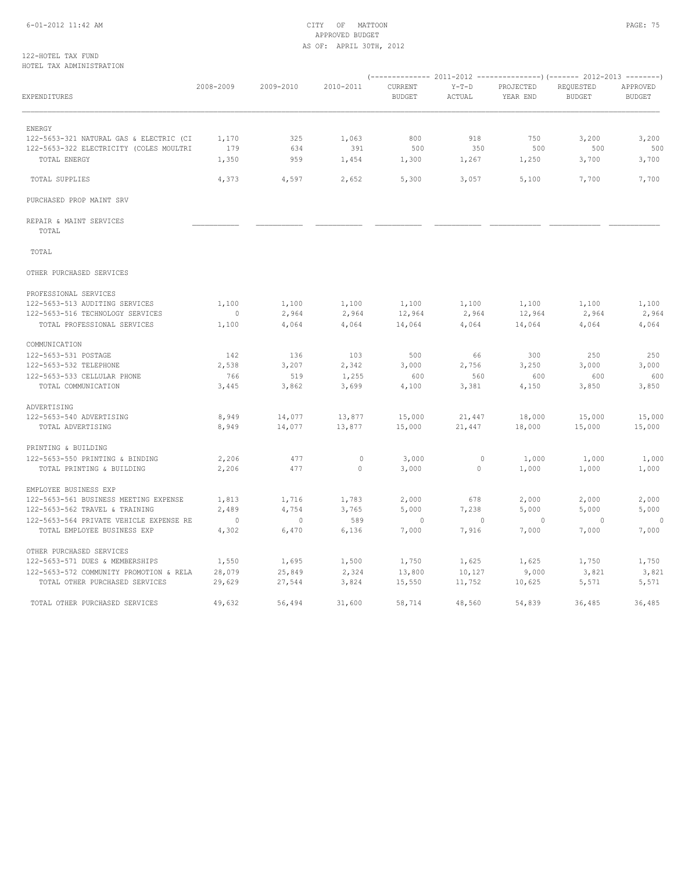#### 6-01-2012 11:42 AM CITY OF MATTOON PAGE: 75 APPROVED BUDGET AS OF: APRIL 30TH, 2012

| EXPENDITURES                            | 2008-2009      | 2009-2010      | 2010-2011    | CURRENT<br><b>BUDGET</b> | $Y-T-D$<br>ACTUAL | PROJECTED<br>YEAR END | REQUESTED<br><b>BUDGET</b> | APPROVED<br><b>BUDGET</b> |
|-----------------------------------------|----------------|----------------|--------------|--------------------------|-------------------|-----------------------|----------------------------|---------------------------|
| <b>ENERGY</b>                           |                |                |              |                          |                   |                       |                            |                           |
| 122-5653-321 NATURAL GAS & ELECTRIC (CI | 1,170          | 325            | 1,063        | 800                      | 918               | 750                   | 3,200                      | 3,200                     |
| 122-5653-322 ELECTRICITY (COLES MOULTRI | 179            | 634            | 391          | 500                      | 350               | 500                   | 500                        | 500                       |
| TOTAL ENERGY                            | 1,350          | 959            | 1,454        | 1,300                    | 1,267             | 1,250                 | 3,700                      | 3,700                     |
| TOTAL SUPPLIES                          | 4,373          | 4,597          | 2,652        | 5,300                    | 3,057             | 5,100                 | 7,700                      | 7,700                     |
| PURCHASED PROP MAINT SRV                |                |                |              |                          |                   |                       |                            |                           |
| REPAIR & MAINT SERVICES<br>TOTAL        |                |                |              |                          |                   |                       |                            |                           |
| TOTAL                                   |                |                |              |                          |                   |                       |                            |                           |
| OTHER PURCHASED SERVICES                |                |                |              |                          |                   |                       |                            |                           |
| PROFESSIONAL SERVICES                   |                |                |              |                          |                   |                       |                            |                           |
| 122-5653-513 AUDITING SERVICES          | 1,100          | 1,100          | 1,100        | 1,100                    | 1,100             | 1,100                 | 1,100                      | 1,100                     |
| 122-5653-516 TECHNOLOGY SERVICES        | $\overline{0}$ | 2,964          | 2,964        | 12,964                   | 2,964             | 12,964                | 2,964                      | 2,964                     |
| TOTAL PROFESSIONAL SERVICES             | 1,100          | 4,064          | 4,064        | 14,064                   | 4,064             | 14,064                | 4,064                      | 4,064                     |
| COMMUNICATION                           |                |                |              |                          |                   |                       |                            |                           |
| 122-5653-531 POSTAGE                    | 142            | 136            | 103          | 500                      | 66                | 300                   | 250                        | 250                       |
| 122-5653-532 TELEPHONE                  | 2,538          | 3,207          | 2,342        | 3,000                    | 2,756             | 3,250                 | 3,000                      | 3,000                     |
| 122-5653-533 CELLULAR PHONE             | 766            | 519            | 1,255        | 600                      | 560               | 600                   | 600                        | 600                       |
| TOTAL COMMUNICATION                     | 3,445          | 3,862          | 3,699        | 4,100                    | 3,381             | 4,150                 | 3,850                      | 3,850                     |
| ADVERTISING                             |                |                |              |                          |                   |                       |                            |                           |
| 122-5653-540 ADVERTISING                | 8,949          | 14,077         | 13,877       | 15,000                   | 21,447            | 18,000                | 15,000                     | 15,000                    |
| TOTAL ADVERTISING                       | 8,949          | 14,077         | 13,877       | 15,000                   | 21,447            | 18,000                | 15,000                     | 15,000                    |
| PRINTING & BUILDING                     |                |                |              |                          |                   |                       |                            |                           |
| 122-5653-550 PRINTING & BINDING         | 2,206          | 477            | $\mathbf{0}$ | 3,000                    | $\circ$           | 1,000                 | 1,000                      | 1,000                     |
| TOTAL PRINTING & BUILDING               | 2,206          | 477            | $\Omega$     | 3,000                    | $\Omega$          | 1,000                 | 1,000                      | 1,000                     |
| EMPLOYEE BUSINESS EXP                   |                |                |              |                          |                   |                       |                            |                           |
| 122-5653-561 BUSINESS MEETING EXPENSE   | 1,813          | 1,716          | 1,783        | 2,000                    | 678               | 2,000                 | 2,000                      | 2,000                     |
| 122-5653-562 TRAVEL & TRAINING          | 2,489          | 4,754          | 3,765        | 5,000                    | 7,238             | 5,000                 | 5,000                      | 5,000                     |
| 122-5653-564 PRIVATE VEHICLE EXPENSE RE | $\overline{0}$ | $\overline{0}$ | 589          | $\mathbf{0}$             | $\overline{0}$    | $\overline{0}$        | $\overline{0}$             | $\circ$                   |
| TOTAL EMPLOYEE BUSINESS EXP             | 4,302          | 6,470          | 6,136        | 7,000                    | 7,916             | 7,000                 | 7,000                      | 7,000                     |
| OTHER PURCHASED SERVICES                |                |                |              |                          |                   |                       |                            |                           |
| 122-5653-571 DUES & MEMBERSHIPS         | 1,550          | 1,695          | 1,500        | 1,750                    | 1,625             | 1,625                 | 1,750                      | 1,750                     |
| 122-5653-572 COMMUNITY PROMOTION & RELA | 28,079         | 25,849         | 2,324        | 13,800                   | 10,127            | 9,000                 | 3,821                      | 3,821                     |
| TOTAL OTHER PURCHASED SERVICES          | 29,629         | 27,544         | 3,824        | 15,550                   | 11,752            | 10,625                | 5,571                      | 5,571                     |
| TOTAL OTHER PURCHASED SERVICES          | 49,632         | 56,494         | 31,600       | 58,714                   | 48,560            | 54,839                | 36,485                     | 36,485                    |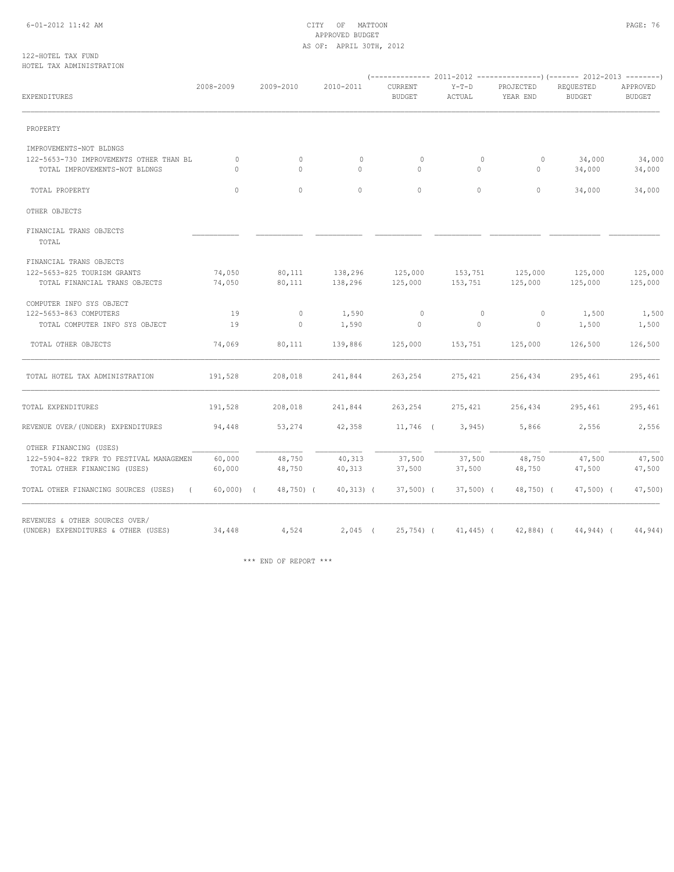#### 6-01-2012 11:42 AM CITY OF MATTOON PAGE: 76 APPROVED BUDGET AS OF: APRIL 30TH, 2012

#### 122-HOTEL TAX FUND HOTEL TAX ADMINISTRATION

| EXPENDITURES                                                             | 2008-2009           | 2009-2010           | 2010-2011               | <b>CURRENT</b><br><b>BUDGET</b> | $Y-T-D$<br>ACTUAL       | PROJECTED<br>YEAR END   | REQUESTED<br><b>BUDGET</b> | APPROVED<br><b>BUDGET</b> |
|--------------------------------------------------------------------------|---------------------|---------------------|-------------------------|---------------------------------|-------------------------|-------------------------|----------------------------|---------------------------|
| PROPERTY                                                                 |                     |                     |                         |                                 |                         |                         |                            |                           |
| IMPROVEMENTS-NOT BLDNGS                                                  |                     |                     |                         |                                 |                         |                         |                            |                           |
| 122-5653-730 IMPROVEMENTS OTHER THAN BL<br>TOTAL IMPROVEMENTS-NOT BLDNGS | $\circ$<br>$\Omega$ | $\circ$<br>$\Omega$ | $\mathbf{0}$<br>$\circ$ | $\mathbf{0}$<br>$\Omega$        | $\circ$<br>$\circ$      | $\circ$<br>$\mathbf{0}$ | 34,000<br>34,000           | 34,000<br>34,000          |
| TOTAL PROPERTY                                                           | $\Omega$            | $\circ$             | $\circ$                 | $\circ$                         | $\Omega$                | $\circ$                 | 34,000                     | 34,000                    |
| OTHER OBJECTS                                                            |                     |                     |                         |                                 |                         |                         |                            |                           |
| FINANCIAL TRANS OBJECTS<br>TOTAL                                         |                     |                     |                         |                                 |                         |                         |                            |                           |
| FINANCIAL TRANS OBJECTS                                                  |                     |                     |                         |                                 |                         |                         |                            |                           |
| 122-5653-825 TOURISM GRANTS<br>TOTAL FINANCIAL TRANS OBJECTS             | 74,050<br>74,050    | 80,111<br>80,111    | 138,296<br>138,296      | 125,000<br>125,000              | 153,751<br>153,751      | 125,000<br>125,000      | 125,000<br>125,000         | 125,000<br>125,000        |
| COMPUTER INFO SYS OBJECT                                                 |                     |                     |                         |                                 |                         |                         |                            |                           |
| 122-5653-863 COMPUTERS<br>TOTAL COMPUTER INFO SYS OBJECT                 | 19<br>19            | $\circ$<br>$\circ$  | 1,590<br>1,590          | $\circ$<br>0                    | $\circ$<br>$\mathbf{0}$ | $\circ$<br>$\mathbf{0}$ | 1,500<br>1,500             | 1,500<br>1,500            |
| TOTAL OTHER OBJECTS                                                      | 74,069              | 80,111              | 139,886                 | 125,000                         | 153,751                 | 125,000                 | 126,500                    | 126,500                   |
| TOTAL HOTEL TAX ADMINISTRATION                                           | 191,528             | 208,018             | 241,844                 | 263,254                         | 275,421                 | 256,434                 | 295,461                    | 295,461                   |
| TOTAL EXPENDITURES                                                       | 191,528             | 208,018             | 241,844                 | 263,254                         | 275,421                 | 256,434                 | 295,461                    | 295,461                   |
| REVENUE OVER/(UNDER) EXPENDITURES                                        | 94,448              | 53,274              | 42,358                  | $11,746$ (                      | 3,945                   | 5,866                   | 2,556                      | 2,556                     |
| OTHER FINANCING (USES)                                                   |                     |                     |                         |                                 |                         |                         |                            |                           |
| 122-5904-822 TRFR TO FESTIVAL MANAGEMEN<br>TOTAL OTHER FINANCING (USES)  | 60,000<br>60,000    | 48,750<br>48,750    | 40,313<br>40,313        | 37,500<br>37,500                | 37,500<br>37,500        | 48,750<br>48,750        | 47,500<br>47,500           | 47,500<br>47,500          |
| TOTAL OTHER FINANCING SOURCES (USES)<br>$\sqrt{2}$                       | $60,000)$ (         | 48,750) (           | $40,313)$ (             | $37,500$ (                      | $37,500$ (              | 48,750) (               | $47,500$ (                 | $47,500$ )                |
| REVENUES & OTHER SOURCES OVER/<br>(UNDER) EXPENDITURES & OTHER (USES)    | 34,448              | 4,524               | $2,045$ (               | $25,754$ (                      | $41, 445$ ) (           | $42,884$ ) (            | $44,944$ ) (               | 44,944)                   |

\*\*\* END OF REPORT \*\*\*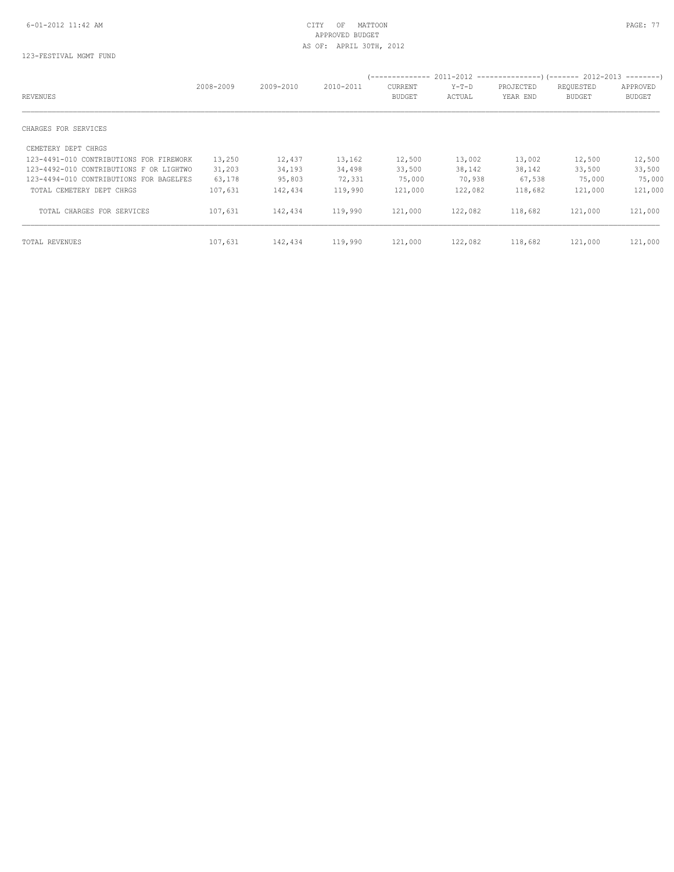# APPROVED BUDGET AS OF: APRIL 30TH, 2012

# 123-FESTIVAL MGMT FUND

|                                         | 2008-2009 | 2009-2010 | 2010-2011 | <b>CURRENT</b> | $Y-T-D$ | PROJECTED | REQUESTED     | APPROVED      |
|-----------------------------------------|-----------|-----------|-----------|----------------|---------|-----------|---------------|---------------|
| REVENUES                                |           |           |           | <b>BUDGET</b>  | ACTUAL  | YEAR END  | <b>BUDGET</b> | <b>BUDGET</b> |
| CHARGES FOR SERVICES                    |           |           |           |                |         |           |               |               |
| CEMETERY DEPT CHRGS                     |           |           |           |                |         |           |               |               |
| 123-4491-010 CONTRIBUTIONS FOR FIREWORK | 13,250    | 12,437    | 13,162    | 12,500         | 13,002  | 13,002    | 12,500        | 12,500        |
| 123-4492-010 CONTRIBUTIONS F OR LIGHTWO | 31,203    | 34,193    | 34,498    | 33,500         | 38,142  | 38,142    | 33,500        | 33,500        |
| 123-4494-010 CONTRIBUTIONS FOR BAGELFES | 63,178    | 95,803    | 72,331    | 75,000         | 70,938  | 67,538    | 75,000        | 75,000        |
| TOTAL CEMETERY DEPT CHRGS               | 107,631   | 142,434   | 119,990   | 121,000        | 122,082 | 118,682   | 121,000       | 121,000       |
| TOTAL CHARGES FOR SERVICES              | 107,631   | 142,434   | 119,990   | 121,000        | 122,082 | 118,682   | 121,000       | 121,000       |
| TOTAL REVENUES                          | 107,631   | 142,434   | 119,990   | 121,000        | 122,082 | 118,682   | 121,000       | 121,000       |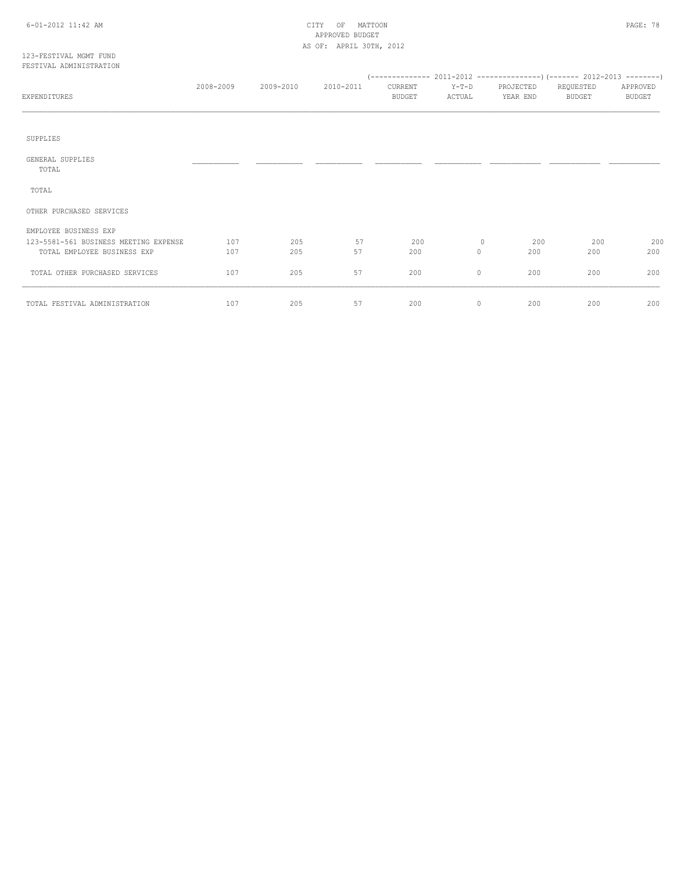#### 6-01-2012 11:42 AM CITY OF MATTOON PAGE: 78 APPROVED BUDGET AS OF: APRIL 30TH, 2012

#### 123-FESTIVAL MGMT FUND FESTIVAL ADMINISTRATION

| EXPENDITURES                                                         | 2008-2009  | 2009-2010  | 2010-2011 | CURRENT<br><b>BUDGET</b> |                    | PROJECTED<br>YEAR END | REQUESTED<br><b>BUDGET</b> | APPROVED<br><b>BUDGET</b> |
|----------------------------------------------------------------------|------------|------------|-----------|--------------------------|--------------------|-----------------------|----------------------------|---------------------------|
|                                                                      |            |            |           |                          |                    |                       |                            |                           |
| SUPPLIES                                                             |            |            |           |                          |                    |                       |                            |                           |
| GENERAL SUPPLIES<br>TOTAL                                            |            |            |           |                          |                    |                       |                            |                           |
| TOTAL                                                                |            |            |           |                          |                    |                       |                            |                           |
| OTHER PURCHASED SERVICES                                             |            |            |           |                          |                    |                       |                            |                           |
| EMPLOYEE BUSINESS EXP                                                |            |            |           |                          |                    |                       |                            |                           |
| 123-5581-561 BUSINESS MEETING EXPENSE<br>TOTAL EMPLOYEE BUSINESS EXP | 107<br>107 | 205<br>205 | 57<br>57  | 200<br>200               | $\circ$<br>$\circ$ | 200<br>200            | 200<br>200                 | 200<br>200                |
| TOTAL OTHER PURCHASED SERVICES                                       | 107        | 205        | 57        | 200                      | $\circ$            | 200                   | 200                        | 200                       |
| TOTAL FESTIVAL ADMINISTRATION                                        | 107        | 205        | 57        | 200                      | $\circ$            | 200                   | 200                        | 200                       |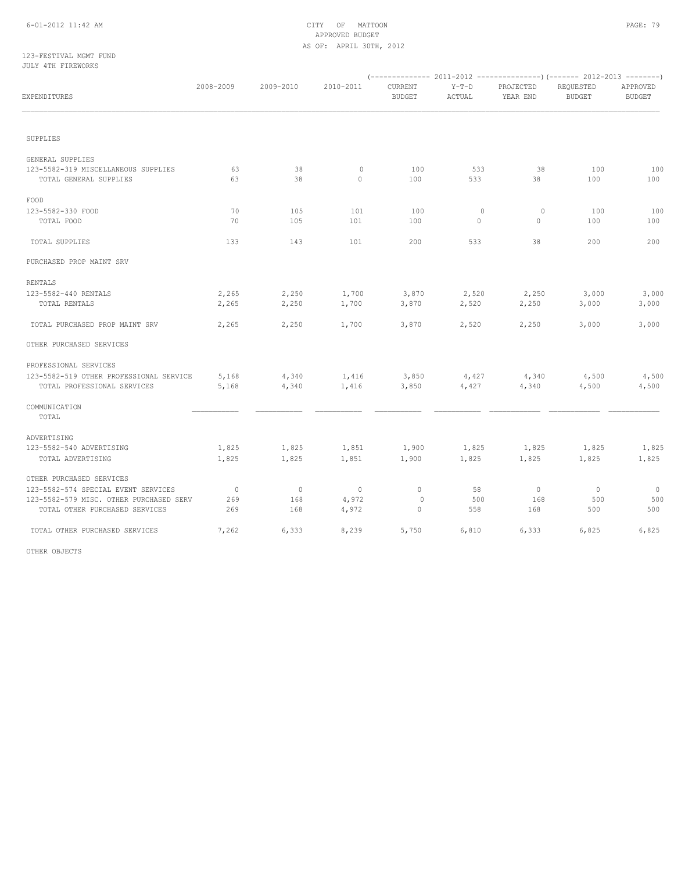#### 6-01-2012 11:42 AM CITY OF MATTOON PAGE: 79 APPROVED BUDGET AS OF: APRIL 30TH, 2012

#### 123-FESTIVAL MGMT FUND JULY 4TH FIREWORKS

| EXPENDITURES                                                  | 2008-2009      | 2009-2010    | 2010-2011               | CURRENT<br><b>BUDGET</b> | $Y-T-D$<br>ACTUAL  | PROJECTED<br>YEAR END | REQUESTED<br><b>BUDGET</b> | APPROVED<br><b>BUDGET</b> |
|---------------------------------------------------------------|----------------|--------------|-------------------------|--------------------------|--------------------|-----------------------|----------------------------|---------------------------|
|                                                               |                |              |                         |                          |                    |                       |                            |                           |
| SUPPLIES                                                      |                |              |                         |                          |                    |                       |                            |                           |
| GENERAL SUPPLIES                                              |                |              |                         |                          |                    |                       |                            |                           |
| 123-5582-319 MISCELLANEOUS SUPPLIES<br>TOTAL GENERAL SUPPLIES | 63<br>63       | 38<br>38     | $\mathbf{0}$<br>$\circ$ | 100<br>100               | 533<br>533         | 38<br>38              | 100<br>100                 | 100<br>100                |
| FOOD                                                          |                |              |                         |                          |                    |                       |                            |                           |
| 123-5582-330 FOOD<br>TOTAL FOOD                               | 70<br>70       | 105<br>105   | 101<br>101              | 100<br>100               | $\circ$<br>$\circ$ | $\circ$<br>$\circ$    | 100<br>100                 | 100<br>100                |
| TOTAL SUPPLIES                                                | 133            | 143          | 101                     | 200                      | 533                | 38                    | 200                        | 200                       |
| PURCHASED PROP MAINT SRV                                      |                |              |                         |                          |                    |                       |                            |                           |
| RENTALS                                                       |                |              |                         |                          |                    |                       |                            |                           |
| 123-5582-440 RENTALS                                          | 2,265          | 2,250        | 1,700                   | 3,870                    | 2,520              | 2,250                 | 3,000                      | 3,000                     |
| TOTAL RENTALS                                                 | 2,265          | 2,250        | 1,700                   | 3,870                    | 2,520              | 2,250                 | 3,000                      | 3,000                     |
| TOTAL PURCHASED PROP MAINT SRV                                | 2,265          | 2,250        | 1,700                   | 3,870                    | 2,520              | 2,250                 | 3,000                      | 3,000                     |
| OTHER PURCHASED SERVICES                                      |                |              |                         |                          |                    |                       |                            |                           |
| PROFESSIONAL SERVICES                                         |                |              |                         |                          |                    |                       |                            |                           |
| 123-5582-519 OTHER PROFESSIONAL SERVICE                       | 5,168          | 4,340        | 1,416                   | 3,850                    | 4,427              | 4,340                 | 4,500                      | 4,500                     |
| TOTAL PROFESSIONAL SERVICES                                   | 5,168          | 4,340        | 1,416                   | 3,850                    | 4,427              | 4,340                 | 4,500                      | 4,500                     |
| COMMUNICATION<br>TOTAL                                        |                |              |                         |                          |                    |                       |                            |                           |
| ADVERTISING                                                   |                |              |                         |                          |                    |                       |                            |                           |
| 123-5582-540 ADVERTISING                                      | 1,825          | 1,825        | 1,851                   | 1,900                    | 1,825              | 1,825                 | 1,825                      | 1,825                     |
| TOTAL ADVERTISING                                             | 1,825          | 1,825        | 1,851                   | 1,900                    | 1,825              | 1,825                 | 1,825                      | 1,825                     |
| OTHER PURCHASED SERVICES                                      |                |              |                         |                          |                    |                       |                            |                           |
| 123-5582-574 SPECIAL EVENT SERVICES                           | $\overline{0}$ | $\mathbf{0}$ | $\circ$                 | $\circ$                  | 58                 | $\circ$               | $\circ$                    | $\circ$                   |
| 123-5582-579 MISC. OTHER PURCHASED SERV                       | 269            | 168          | 4,972                   | $\mathbf{0}$             | 500                | 168                   | 500                        | 500                       |
| TOTAL OTHER PURCHASED SERVICES                                | 269            | 168          | 4,972                   | $\circ$                  | 558                | 168                   | 500                        | 500                       |
| TOTAL OTHER PURCHASED SERVICES                                | 7,262          | 6,333        | 8,239                   | 5,750                    | 6,810              | 6,333                 | 6,825                      | 6,825                     |

OTHER OBJECTS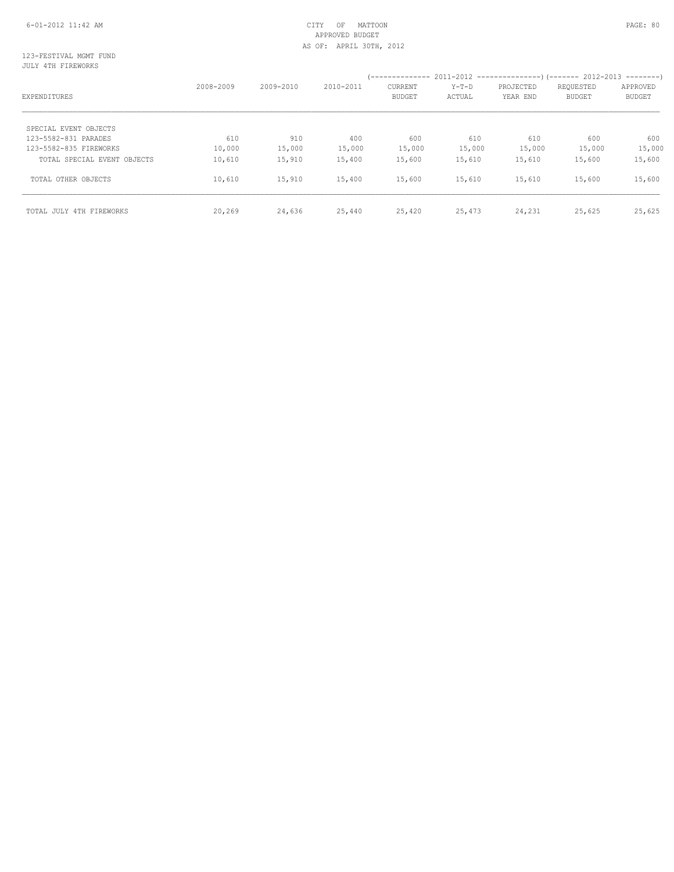#### 6-01-2012 11:42 AM CITY OF MATTOON PAGE: 80 APPROVED BUDGET AS OF: APRIL 30TH, 2012

#### 123-FESTIVAL MGMT FUND JULY 4TH FIREWORKS

| EXPENDITURES                | 2008-2009 | $2009 - 2010$ | $2010 - 2011$ | <b>CURRENT</b><br><b>BUDGET</b> | $Y-T-D$<br>ACTUAL | PROJECTED<br>YEAR END | REQUESTED<br><b>BUDGET</b> | APPROVED<br><b>BUDGET</b> |
|-----------------------------|-----------|---------------|---------------|---------------------------------|-------------------|-----------------------|----------------------------|---------------------------|
| SPECIAL EVENT OBJECTS       |           |               |               |                                 |                   |                       |                            |                           |
| 123-5582-831 PARADES        | 610       | 910           | 400           | 600                             | 610               | 610                   | 600                        | 600                       |
| 123-5582-835 FIREWORKS      | 10,000    | 15,000        | 15,000        | 15,000                          | 15,000            | 15,000                | 15,000                     | 15,000                    |
| TOTAL SPECIAL EVENT OBJECTS | 10,610    | 15,910        | 15,400        | 15,600                          | 15,610            | 15,610                | 15,600                     | 15,600                    |
| TOTAL OTHER OBJECTS         | 10,610    | 15,910        | 15,400        | 15,600                          | 15,610            | 15,610                | 15,600                     | 15,600                    |
| TOTAL JULY 4TH FIREWORKS    | 20,269    | 24,636        | 25,440        | 25,420                          | 25,473            | 24,231                | 25,625                     | 25,625                    |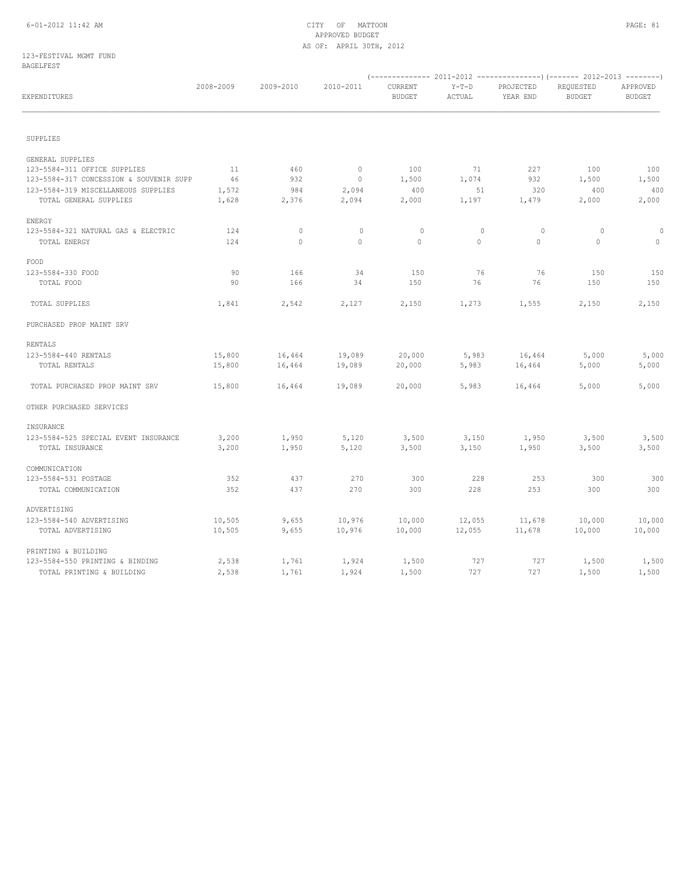#### 6-01-2012 11:42 AM CITY OF MATTOON PAGE: 81 APPROVED BUDGET AS OF: APRIL 30TH, 2012

#### 123-FESTIVAL MGMT FUND BAGELFEST

|                                         |           |              |                |                          |                   | $(- \cdots - \cdots - \cdots - 2011 - 2012 - \cdots - \cdots - \cdots - )(- \cdots - 2012 - 2013 - \cdots - \cdots - )$ |                            |                           |  |
|-----------------------------------------|-----------|--------------|----------------|--------------------------|-------------------|-------------------------------------------------------------------------------------------------------------------------|----------------------------|---------------------------|--|
| EXPENDITURES                            | 2008-2009 | 2009-2010    | 2010-2011      | CURRENT<br><b>BUDGET</b> | $Y-T-D$<br>ACTUAL | PROJECTED<br>YEAR END                                                                                                   | REQUESTED<br><b>BUDGET</b> | APPROVED<br><b>BUDGET</b> |  |
|                                         |           |              |                |                          |                   |                                                                                                                         |                            |                           |  |
| SUPPLIES                                |           |              |                |                          |                   |                                                                                                                         |                            |                           |  |
| GENERAL SUPPLIES                        |           |              |                |                          |                   |                                                                                                                         |                            |                           |  |
| 123-5584-311 OFFICE SUPPLIES            | 11        | 460          | $\overline{0}$ | 100                      | 71                | 227                                                                                                                     | 100                        | 100                       |  |
| 123-5584-317 CONCESSION & SOUVENIR SUPP | 46        | 932          | $\circ$        | 1,500                    | 1,074             | 932                                                                                                                     | 1,500                      | 1,500                     |  |
| 123-5584-319 MISCELLANEOUS SUPPLIES     | 1,572     | 984          | 2,094          | 400                      | 51                | 320                                                                                                                     | 400                        | 400                       |  |
| TOTAL GENERAL SUPPLIES                  | 1,628     | 2,376        | 2,094          | 2,000                    | 1,197             | 1,479                                                                                                                   | 2,000                      | 2,000                     |  |
| ENERGY                                  |           |              |                |                          |                   |                                                                                                                         |                            |                           |  |
| 123-5584-321 NATURAL GAS & ELECTRIC     | 124       | $\circ$      | $\circ$        | $\circ$                  | $\circ$           | $\circ$                                                                                                                 | $\circ$                    | $\circ$                   |  |
| TOTAL ENERGY                            | 124       | $\mathbf{0}$ | $\circ$        | $\circ$                  | $\circ$           | $\circ$                                                                                                                 | $\circ$                    | $\circ$                   |  |
| FOOD                                    |           |              |                |                          |                   |                                                                                                                         |                            |                           |  |
| 123-5584-330 FOOD                       | 90        | 166          | 34             | 150                      | 76                | 76                                                                                                                      | 150                        | 150                       |  |
| TOTAL FOOD                              | 90        | 166          | 34             | 150                      | 76                | 76                                                                                                                      | 150                        | 150                       |  |
| TOTAL SUPPLIES                          | 1,841     | 2,542        | 2,127          | 2,150                    | 1,273             | 1,555                                                                                                                   | 2,150                      | 2,150                     |  |
| PURCHASED PROP MAINT SRV                |           |              |                |                          |                   |                                                                                                                         |                            |                           |  |
| RENTALS                                 |           |              |                |                          |                   |                                                                                                                         |                            |                           |  |
| 123-5584-440 RENTALS                    | 15,800    | 16,464       | 19,089         | 20,000                   | 5,983             | 16,464                                                                                                                  | 5,000                      | 5,000                     |  |
| TOTAL RENTALS                           | 15,800    | 16,464       | 19,089         | 20,000                   | 5,983             | 16,464                                                                                                                  | 5,000                      | 5,000                     |  |
| TOTAL PURCHASED PROP MAINT SRV          | 15,800    | 16,464       | 19,089         | 20,000                   | 5,983             | 16,464                                                                                                                  | 5,000                      | 5,000                     |  |
| OTHER PURCHASED SERVICES                |           |              |                |                          |                   |                                                                                                                         |                            |                           |  |
| INSURANCE                               |           |              |                |                          |                   |                                                                                                                         |                            |                           |  |
| 123-5584-525 SPECIAL EVENT INSURANCE    | 3,200     | 1,950        | 5,120          | 3,500                    | 3,150             | 1,950                                                                                                                   | 3,500                      | 3,500                     |  |
| TOTAL INSURANCE                         | 3,200     | 1,950        | 5,120          | 3,500                    | 3,150             | 1,950                                                                                                                   | 3,500                      | 3,500                     |  |
| COMMUNICATION                           |           |              |                |                          |                   |                                                                                                                         |                            |                           |  |
| 123-5584-531 POSTAGE                    | 352       | 437          | 270            | 300                      | 228               | 253                                                                                                                     | 300                        | 300                       |  |
| TOTAL COMMUNICATION                     | 352       | 437          | 270            | 300                      | 228               | 253                                                                                                                     | 300                        | 300                       |  |
| ADVERTISING                             |           |              |                |                          |                   |                                                                                                                         |                            |                           |  |
| 123-5584-540 ADVERTISING                | 10,505    | 9,655        | 10,976         | 10,000                   | 12,055            | 11,678                                                                                                                  | 10,000                     | 10,000                    |  |
| TOTAL ADVERTISING                       | 10,505    | 9,655        | 10,976         | 10,000                   | 12,055            | 11,678                                                                                                                  | 10,000                     | 10,000                    |  |
| PRINTING & BUILDING                     |           |              |                |                          |                   |                                                                                                                         |                            |                           |  |
| 123-5584-550 PRINTING & BINDING         | 2,538     | 1,761        | 1,924          | 1,500                    | 727               | 727                                                                                                                     | 1,500                      | 1,500                     |  |
| TOTAL PRINTING & BUILDING               | 2,538     | 1,761        | 1,924          | 1,500                    | 727               | 727                                                                                                                     | 1,500                      | 1,500                     |  |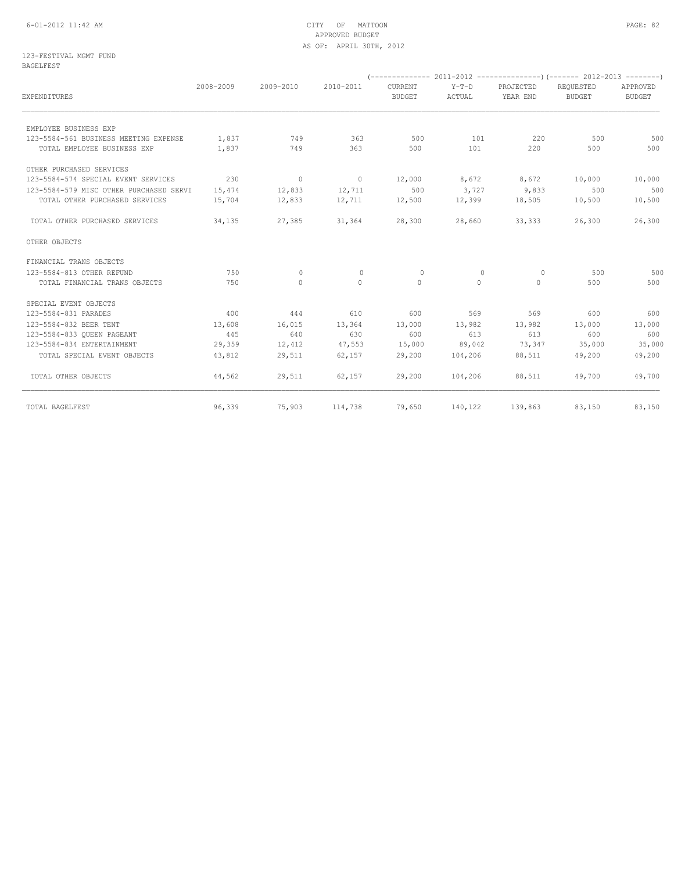#### 6-01-2012 11:42 AM CITY OF MATTOON PAGE: 82 APPROVED BUDGET AS OF: APRIL 30TH, 2012

#### 123-FESTIVAL MGMT FUND BAGELFEST

|                                         |           |              |           | --------------           |                   |                       |                            |                           |
|-----------------------------------------|-----------|--------------|-----------|--------------------------|-------------------|-----------------------|----------------------------|---------------------------|
| EXPENDITURES                            | 2008-2009 | 2009-2010    | 2010-2011 | CURRENT<br><b>BUDGET</b> | $Y-T-D$<br>ACTUAL | PROJECTED<br>YEAR END | REOUESTED<br><b>BUDGET</b> | APPROVED<br><b>BUDGET</b> |
| EMPLOYEE BUSINESS EXP                   |           |              |           |                          |                   |                       |                            |                           |
| 123-5584-561 BUSINESS MEETING EXPENSE   | 1,837     | 749          | 363       | 500                      | 101               | 220                   | 500                        | 500                       |
| TOTAL EMPLOYEE BUSINESS EXP             | 1,837     | 749          | 363       | 500                      | 101               | 220                   | 500                        | 500                       |
| OTHER PURCHASED SERVICES                |           |              |           |                          |                   |                       |                            |                           |
| 123-5584-574 SPECIAL EVENT SERVICES     | 230       | $\sim$ 0     | $\sim$ 0  | 12,000                   | 8,672             | 8,672                 | 10,000                     | 10,000                    |
| 123-5584-579 MISC OTHER PURCHASED SERVI | 15,474    | 12,833       | 12,711    | 500                      | 3,727             | 9,833                 | 500                        | 500                       |
| TOTAL OTHER PURCHASED SERVICES          | 15,704    | 12,833       | 12,711    | 12,500                   | 12,399            | 18,505                | 10,500                     | 10,500                    |
| TOTAL OTHER PURCHASED SERVICES          | 34,135    | 27,385       | 31,364    | 28,300                   | 28,660            | 33,333                | 26,300                     | 26,300                    |
| OTHER OBJECTS                           |           |              |           |                          |                   |                       |                            |                           |
| FINANCIAL TRANS OBJECTS                 |           |              |           |                          |                   |                       |                            |                           |
| 123-5584-813 OTHER REFUND               | 750       | $\circ$      | $\circ$   | 0                        | $\circ$           | $\circ$               | 500                        | 500                       |
| TOTAL FINANCIAL TRANS OBJECTS           | 750       | $\mathbf{0}$ | $\circ$   | $\circ$                  | $\circ$           | $\circ$               | 500                        | 500                       |
| SPECIAL EVENT OBJECTS                   |           |              |           |                          |                   |                       |                            |                           |
| 123-5584-831 PARADES                    | 400       | 444          | 610       | 600                      | 569               | 569                   | 600                        | 600                       |
| 123-5584-832 BEER TENT                  | 13,608    | 16,015       | 13,364    | 13,000                   | 13,982            | 13,982                | 13,000                     | 13,000                    |
| 123-5584-833 OUEEN PAGEANT              | 445       | 640          | 630       | 600                      | 613               | 613                   | 600                        | 600                       |
| 123-5584-834 ENTERTAINMENT              | 29,359    | 12,412       | 47,553    | 15,000                   | 89,042            | 73,347                | 35,000                     | 35,000                    |
| TOTAL SPECIAL EVENT OBJECTS             | 43,812    | 29,511       | 62,157    | 29,200                   | 104,206           | 88,511                | 49,200                     | 49,200                    |
| TOTAL OTHER OBJECTS                     | 44,562    | 29,511       | 62,157    | 29,200                   | 104,206           | 88,511                | 49,700                     | 49,700                    |
| TOTAL BAGELFEST                         | 96,339    | 75,903       | 114,738   | 79,650                   |                   | 140, 122 139, 863     | 83,150                     | 83,150                    |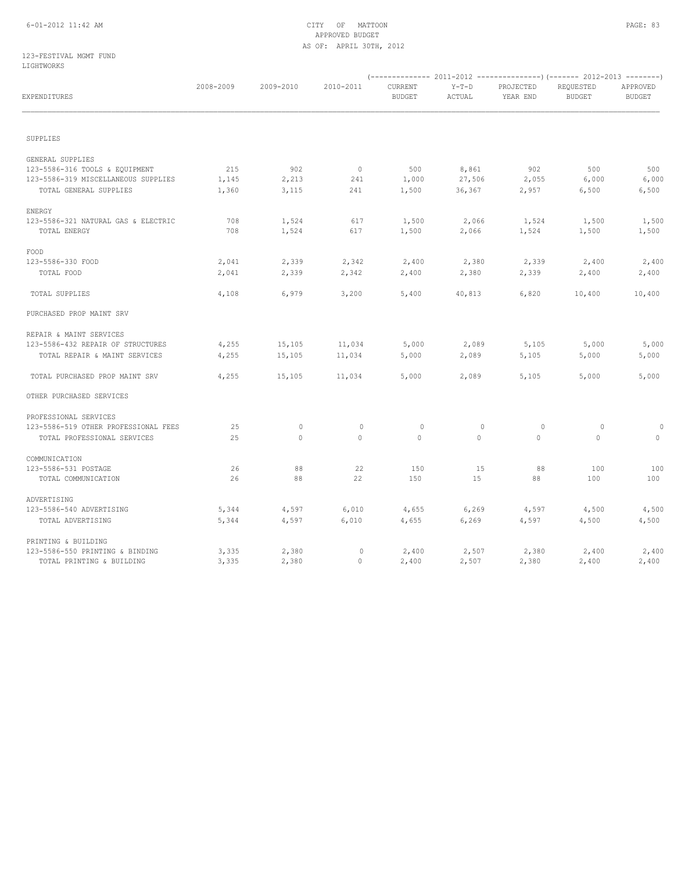#### 6-01-2012 11:42 AM CITY OF MATTOON PAGE: 83 APPROVED BUDGET AS OF: APRIL 30TH, 2012

#### 123-FESTIVAL MGMT FUND LIGHTWORKS

| ------------                         |           |           |                |                          |                   |                       |                            |                           |
|--------------------------------------|-----------|-----------|----------------|--------------------------|-------------------|-----------------------|----------------------------|---------------------------|
| EXPENDITURES                         | 2008-2009 | 2009-2010 | 2010-2011      | CURRENT<br><b>BUDGET</b> | $Y-T-D$<br>ACTUAL | PROJECTED<br>YEAR END | REQUESTED<br><b>BUDGET</b> | APPROVED<br><b>BUDGET</b> |
| SUPPLIES                             |           |           |                |                          |                   |                       |                            |                           |
| GENERAL SUPPLIES                     |           |           |                |                          |                   |                       |                            |                           |
| 123-5586-316 TOOLS & EQUIPMENT       | 215       | 902       | $\overline{0}$ | 500                      | 8,861             | 902                   | 500                        | 500                       |
| 123-5586-319 MISCELLANEOUS SUPPLIES  | 1,145     | 2,213     | 241            | 1,000                    | 27,506            | 2,055                 | 6,000                      | 6,000                     |
| TOTAL GENERAL SUPPLIES               | 1,360     | 3,115     | 241            | 1,500                    | 36,367            | 2,957                 | 6,500                      | 6,500                     |
| ENERGY                               |           |           |                |                          |                   |                       |                            |                           |
| 123-5586-321 NATURAL GAS & ELECTRIC  | 708       | 1,524     | 617            | 1,500                    | 2,066             | 1,524                 | 1,500                      | 1,500                     |
| TOTAL ENERGY                         | 708       | 1,524     | 617            | 1,500                    | 2,066             | 1,524                 | 1,500                      | 1,500                     |
| FOOD                                 |           |           |                |                          |                   |                       |                            |                           |
| 123-5586-330 FOOD                    | 2,041     | 2,339     | 2,342          | 2,400                    | 2,380             | 2,339                 | 2,400                      | 2,400                     |
| TOTAL FOOD                           | 2,041     | 2,339     | 2,342          | 2,400                    | 2,380             | 2,339                 | 2,400                      | 2,400                     |
| TOTAL SUPPLIES                       | 4,108     | 6,979     | 3,200          | 5,400                    | 40,813            | 6,820                 | 10,400                     | 10,400                    |
| PURCHASED PROP MAINT SRV             |           |           |                |                          |                   |                       |                            |                           |
| REPAIR & MAINT SERVICES              |           |           |                |                          |                   |                       |                            |                           |
| 123-5586-432 REPAIR OF STRUCTURES    | 4,255     | 15,105    | 11,034         | 5,000                    | 2,089             | 5,105                 | 5,000                      | 5,000                     |
| TOTAL REPAIR & MAINT SERVICES        | 4,255     | 15,105    | 11,034         | 5,000                    | 2,089             | 5,105                 | 5,000                      | 5,000                     |
| TOTAL PURCHASED PROP MAINT SRV       | 4,255     | 15,105    | 11,034         | 5,000                    | 2,089             | 5,105                 | 5,000                      | 5,000                     |
| OTHER PURCHASED SERVICES             |           |           |                |                          |                   |                       |                            |                           |
| PROFESSIONAL SERVICES                |           |           |                |                          |                   |                       |                            |                           |
| 123-5586-519 OTHER PROFESSIONAL FEES | 25        | 0         | $\mathbb O$    | $\mathbb O$              | $\circ$           | $\circ$               | 0                          | $\Omega$                  |
| TOTAL PROFESSIONAL SERVICES          | 25        | $\circ$   | 0              | $\circ$                  | $\circ$           | $\mathbf{0}$          | $\circ$                    | 0                         |
| COMMUNICATION                        |           |           |                |                          |                   |                       |                            |                           |
| 123-5586-531 POSTAGE                 | 26        | 88        | 22             | 150                      | 15                | 88                    | 100                        | 100                       |
| TOTAL COMMUNICATION                  | 26        | 88        | 22             | 150                      | 15                | 88                    | 100                        | 100                       |
| ADVERTISING                          |           |           |                |                          |                   |                       |                            |                           |
| 123-5586-540 ADVERTISING             | 5,344     | 4,597     | 6,010          | 4,655                    | 6, 269            | 4,597                 | 4,500                      | 4,500                     |
| TOTAL ADVERTISING                    | 5,344     | 4,597     | 6,010          | 4,655                    | 6, 269            | 4,597                 | 4,500                      | 4,500                     |
| PRINTING & BUILDING                  |           |           |                |                          |                   |                       |                            |                           |
| 123-5586-550 PRINTING & BINDING      | 3,335     | 2,380     | $\circ$        | 2,400                    | 2,507             | 2,380                 | 2,400                      | 2,400                     |
| TOTAL PRINTING & BUILDING            | 3,335     | 2,380     | $\circ$        | 2,400                    | 2,507             | 2,380                 | 2,400                      | 2,400                     |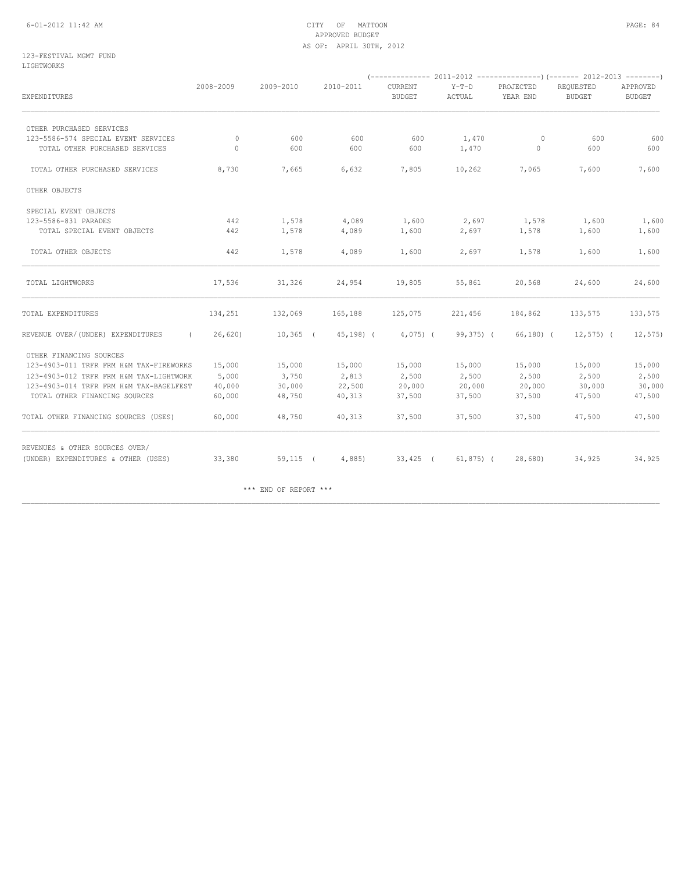#### 6-01-2012 11:42 AM CITY OF MATTOON PAGE: 84 APPROVED BUDGET AS OF: APRIL 30TH, 2012

#### 123-FESTIVAL MGMT FUND LIGHTWORKS

| EXPENDITURES                                    | 2008-2009 | 2009-2010             | 2010-2011  | CURRENT<br><b>BUDGET</b> | $Y-T-D$<br>ACTUAL | PROJECTED<br>YEAR END | REQUESTED<br><b>BUDGET</b> | APPROVED<br>BUDGET |
|-------------------------------------------------|-----------|-----------------------|------------|--------------------------|-------------------|-----------------------|----------------------------|--------------------|
| OTHER PURCHASED SERVICES                        |           |                       |            |                          |                   |                       |                            |                    |
| 123-5586-574 SPECIAL EVENT SERVICES             | $\Omega$  | 600                   | 600        | 600                      | 1,470             | $\circ$               | 600                        | 600                |
| TOTAL OTHER PURCHASED SERVICES                  | $\Omega$  | 600                   | 600        | 600                      | 1,470             | $\mathbf{0}$          | 600                        | 600                |
| TOTAL OTHER PURCHASED SERVICES                  | 8,730     | 7,665                 | 6,632      | 7,805                    | 10,262            | 7,065                 | 7,600                      | 7,600              |
| OTHER OBJECTS                                   |           |                       |            |                          |                   |                       |                            |                    |
| SPECIAL EVENT OBJECTS                           |           |                       |            |                          |                   |                       |                            |                    |
| 123-5586-831 PARADES                            | 442       | 1,578                 | 4,089      | 1,600                    | 2,697             | 1,578                 | 1,600                      | 1,600              |
| TOTAL SPECIAL EVENT OBJECTS                     | 442       | 1,578                 | 4,089      | 1,600                    | 2,697             | 1,578                 | 1,600                      | 1,600              |
| TOTAL OTHER OBJECTS                             | 442       | 1,578                 | 4,089      | 1,600                    | 2,697             | 1,578                 | 1,600                      | 1,600              |
| TOTAL LIGHTWORKS                                | 17,536    | 31,326                | 24,954     | 19,805                   | 55,861            | 20,568                | 24,600                     | 24,600             |
| TOTAL EXPENDITURES                              | 134,251   | 132,069               | 165,188    | 125,075                  | 221,456           | 184,862               | 133,575                    | 133,575            |
| REVENUE OVER/(UNDER) EXPENDITURES<br>$\sqrt{2}$ | 26,620    | $10,365$ (            | $45,198$ ( | $4,075$ (                | $99, 375)$ (      | 66,180) (             | $12,575$ ) (               | 12,575             |
| OTHER FINANCING SOURCES                         |           |                       |            |                          |                   |                       |                            |                    |
| 123-4903-011 TRFR FRM H&M TAX-FIREWORKS         | 15,000    | 15,000                | 15,000     | 15,000                   | 15,000            | 15,000                | 15,000                     | 15,000             |
| 123-4903-012 TRFR FRM H&M TAX-LIGHTWORK         | 5,000     | 3,750                 | 2,813      | 2,500                    | 2,500             | 2,500                 | 2,500                      | 2,500              |
| 123-4903-014 TRFR FRM H&M TAX-BAGELFEST         | 40,000    | 30,000                | 22,500     | 20,000                   | 20,000            | 20,000                | 30,000                     | 30,000             |
| TOTAL OTHER FINANCING SOURCES                   | 60,000    | 48,750                | 40,313     | 37,500                   | 37,500            | 37,500                | 47,500                     | 47,500             |
| TOTAL OTHER FINANCING SOURCES (USES)            | 60,000    | 48,750                | 40,313     | 37,500                   | 37,500            | 37,500                | 47,500                     | 47,500             |
| REVENUES & OTHER SOURCES OVER/                  |           |                       |            |                          |                   |                       |                            |                    |
| (UNDER) EXPENDITURES & OTHER (USES)             | 33,380    | $59,115$ (            | 4,885)     | $33,425$ (               | $61, 875$ ) (     | 28,680)               | 34,925                     | 34,925             |
|                                                 |           | *** END OF REPORT *** |            |                          |                   |                       |                            |                    |

\_\_\_\_\_\_\_\_\_\_\_\_\_\_\_\_\_\_\_\_\_\_\_\_\_\_\_\_\_\_\_\_\_\_\_\_\_\_\_\_\_\_\_\_\_\_\_\_\_\_\_\_\_\_\_\_\_\_\_\_\_\_\_\_\_\_\_\_\_\_\_\_\_\_\_\_\_\_\_\_\_\_\_\_\_\_\_\_\_\_\_\_\_\_\_\_\_\_\_\_\_\_\_\_\_\_\_\_\_\_\_\_\_\_\_\_\_\_\_\_\_\_\_\_\_\_\_\_\_\_\_\_\_\_\_\_\_\_\_\_\_\_\_\_\_\_\_\_\_\_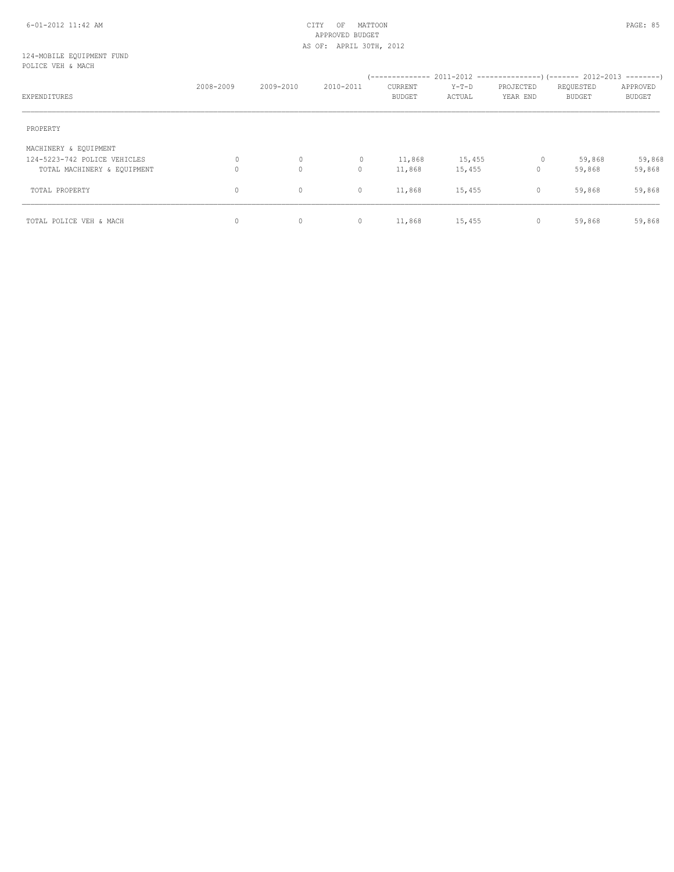#### 6-01-2012 11:42 AM CITY OF MATTOON PAGE: 85 APPROVED BUDGET AS OF: APRIL 30TH, 2012

#### 124-MOBILE EQUIPMENT FUND POLICE VEH & MACH

|                              | 2008-2009 | 2009-2010   | 2010-2011 | CURRENT       | $Y-T-D$ | PROJECTED    | REQUESTED     | APPROVED      |
|------------------------------|-----------|-------------|-----------|---------------|---------|--------------|---------------|---------------|
| EXPENDITURES                 |           |             |           | <b>BUDGET</b> | ACTUAL  | YEAR END     | <b>BUDGET</b> | <b>BUDGET</b> |
| PROPERTY                     |           |             |           |               |         |              |               |               |
| MACHINERY & EQUIPMENT        |           |             |           |               |         |              |               |               |
| 124-5223-742 POLICE VEHICLES | 0         | $\circ$     | $\circ$   | 11,868        | 15,455  | $\circ$      | 59,868        | 59,868        |
| TOTAL MACHINERY & EQUIPMENT  | $\circ$   | $\mathbf 0$ | 0         | 11,868        | 15,455  | $\circ$      | 59,868        | 59,868        |
| TOTAL PROPERTY               | $\circ$   | $\mathbf 0$ | $\circ$   | 11,868        | 15,455  | $\mathbf{0}$ | 59,868        | 59,868        |
| TOTAL POLICE VEH & MACH      | 0         | $\mathbf 0$ | $\circ$   | 11,868        | 15,455  | 0            | 59,868        | 59,868        |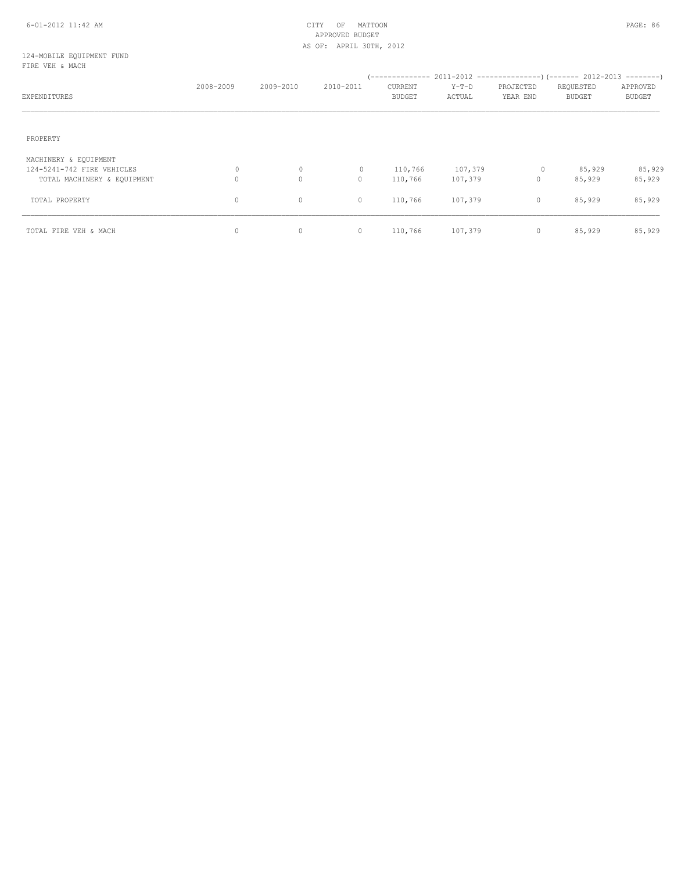#### 6-01-2012 11:42 AM CITY OF MATTOON PAGE: 86 APPROVED BUDGET AS OF: APRIL 30TH, 2012

#### 124-MOBILE EQUIPMENT FUND FIRE VEH & MACH

| EXPENDITURES                | 2008-2009 | 2009-2010    | 2010-2011    | --------------<br>CURRENT<br><b>BUDGET</b> | $Y-T-D$<br>ACTUAL | PROJECTED<br>YEAR END | $2011-2012$ ----------------) (------- 2012-2013 --------)<br>REQUESTED<br><b>BUDGET</b> | APPROVED<br><b>BUDGET</b> |
|-----------------------------|-----------|--------------|--------------|--------------------------------------------|-------------------|-----------------------|------------------------------------------------------------------------------------------|---------------------------|
| PROPERTY                    |           |              |              |                                            |                   |                       |                                                                                          |                           |
|                             |           |              |              |                                            |                   |                       |                                                                                          |                           |
| MACHINERY & EQUIPMENT       |           |              |              |                                            |                   |                       |                                                                                          |                           |
| 124-5241-742 FIRE VEHICLES  | 0         | $\circ$      | $\mathbf{0}$ | 110,766                                    | 107,379           | $\circ$               | 85,929                                                                                   | 85,929                    |
| TOTAL MACHINERY & EQUIPMENT | 0         | $\mathbf{0}$ | $\circ$      | 110,766                                    | 107,379           | 0                     | 85,929                                                                                   | 85,929                    |
| TOTAL PROPERTY              | 0         | 0            | 0            | 110,766                                    | 107,379           | $\circ$               | 85,929                                                                                   | 85,929                    |
| TOTAL FIRE VEH & MACH       | $\circ$   | 0            | $\circ$      | 110,766                                    | 107,379           | $\circ$               | 85,929                                                                                   | 85,929                    |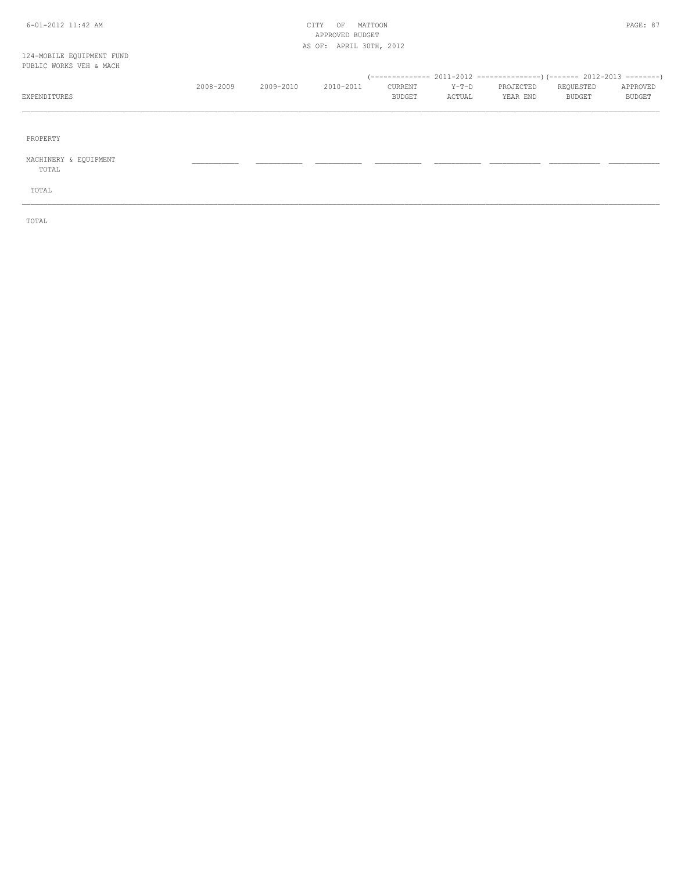## 6-01-2012 11:42 AM CITY OF MATTOON PAGE: 87 APPROVED BUDGET AS OF: APRIL 30TH, 2012

#### 124-MOBILE EQUIPMENT FUND PUBI

| PUBLIC WORKS VEH & MACH |           |           |           |               |        |           |           |          |
|-------------------------|-----------|-----------|-----------|---------------|--------|-----------|-----------|----------|
|                         |           |           |           |               |        |           |           |          |
|                         | 2008-2009 | 2009-2010 | 2010-2011 | CURRENT       | Y-T-D  | PROJECTED | REQUESTED | APPROVED |
| EXPENDITURES            |           |           |           | <b>BUDGET</b> | ACTUAL | YEAR END  | BUDGET    | BUDGET   |
|                         |           |           |           |               |        |           |           |          |
|                         |           |           |           |               |        |           |           |          |
|                         |           |           |           |               |        |           |           |          |

\_\_\_\_\_\_\_\_\_\_\_\_\_\_\_\_\_\_\_\_\_\_\_\_\_\_\_\_\_\_\_\_\_\_\_\_\_\_\_\_\_\_\_\_\_\_\_\_\_\_\_\_\_\_\_\_\_\_\_\_\_\_\_\_\_\_\_\_\_\_\_\_\_\_\_\_\_\_\_\_\_\_\_\_\_\_\_\_\_\_\_\_\_\_\_\_\_\_\_\_\_\_\_\_\_\_\_\_\_\_\_\_\_\_\_\_\_\_\_\_\_\_\_\_\_\_\_\_\_\_\_\_\_\_\_\_\_\_\_\_\_\_\_\_\_\_\_\_\_\_

PROPERTY

MACHINERY & EQUIPMENT \_\_\_\_\_\_\_\_\_\_\_ \_\_\_\_\_\_\_\_\_\_\_ \_\_\_\_\_\_\_\_\_\_\_ \_\_\_\_\_\_\_\_\_\_\_ \_\_\_\_\_\_\_\_\_\_\_ \_\_\_\_\_\_\_\_\_\_\_\_ \_\_\_\_\_\_\_\_\_\_\_\_ \_\_\_\_\_\_\_\_\_\_\_\_

TOTAL

TOTAL

TOTAL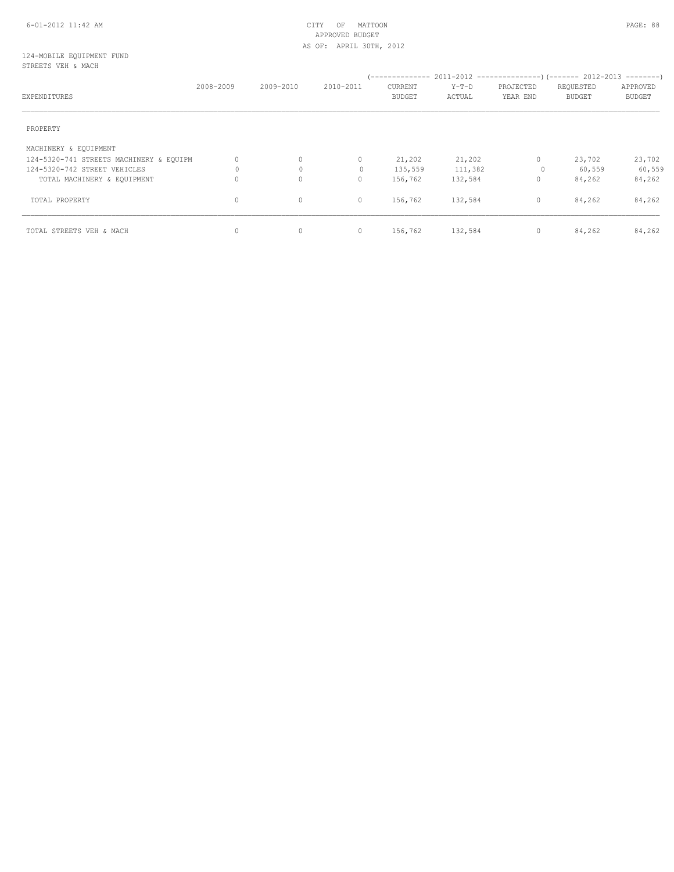#### 6-01-2012 11:42 AM CITY OF MATTOON PAGE: 88 APPROVED BUDGET AS OF: APRIL 30TH, 2012

#### 124-MOBILE EQUIPMENT FUND STREETS VEH & MACH

| EXPENDITURES                            | 2008-2009 | 2009-2010    | 2010-2011 | ( -------------- -<br>CURRENT<br><b>BUDGET</b> | $Y-T-D$<br>ACTUAL | PROJECTED<br>YEAR END | REQUESTED<br><b>BUDGET</b> | APPROVED<br><b>BUDGET</b> |
|-----------------------------------------|-----------|--------------|-----------|------------------------------------------------|-------------------|-----------------------|----------------------------|---------------------------|
| PROPERTY                                |           |              |           |                                                |                   |                       |                            |                           |
| MACHINERY & EQUIPMENT                   |           |              |           |                                                |                   |                       |                            |                           |
| 124-5320-741 STREETS MACHINERY & EQUIPM | $\circ$   | $\mathbf 0$  | $\circ$   | 21,202                                         | 21,202            | $\mathbf{0}$          | 23,702                     | 23,702                    |
| 124-5320-742 STREET VEHICLES            | 0         | $\mathbf{0}$ |           | 135,559                                        | 111,382           | 0                     | 60,559                     | 60,559                    |
| TOTAL MACHINERY & EQUIPMENT             | 0         | $\mathbf 0$  | 0         | 156,762                                        | 132,584           | 0                     | 84,262                     | 84,262                    |
| TOTAL PROPERTY                          | $\circ$   | $\mathbf{0}$ | $\circ$   | 156,762                                        | 132,584           | $\mathbf{0}$          | 84,262                     | 84,262                    |
| TOTAL STREETS VEH & MACH                | $\circ$   | $\mathbf 0$  | $\circ$   | 156,762                                        | 132,584           | 0                     | 84,262                     | 84,262                    |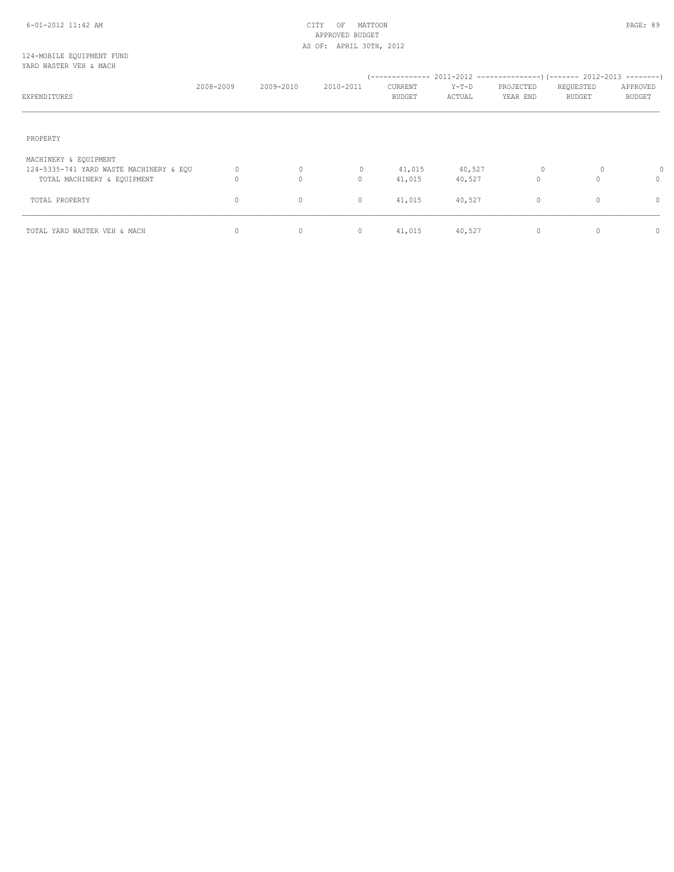#### 6-01-2012 11:42 AM CITY OF MATTOON PAGE: 89 APPROVED BUDGET AS OF: APRIL 30TH, 2012

#### 124-MOBILE EQUIPMENT FUND YARD WASTER VEH & MACH

| EXPENDITURES                                                                                    | 2008-2009 | 2009-2010              | 2010-2011         | --------------<br>CURRENT<br><b>BUDGET</b> | $Y-T-D$<br>ACTUAL | 2011-2012 ---------------------- (------- 2012-2013 ----------)<br>PROJECTED<br>YEAR END | REQUESTED<br><b>BUDGET</b> | APPROVED<br><b>BUDGET</b> |
|-------------------------------------------------------------------------------------------------|-----------|------------------------|-------------------|--------------------------------------------|-------------------|------------------------------------------------------------------------------------------|----------------------------|---------------------------|
| PROPERTY                                                                                        |           |                        |                   |                                            |                   |                                                                                          |                            |                           |
| MACHINERY & EQUIPMENT<br>124-5335-741 YARD WASTE MACHINERY & EQU<br>TOTAL MACHINERY & EQUIPMENT | 0<br>0    | $\circ$<br>$\mathbf 0$ | $\mathbf{0}$<br>0 | 41,015<br>41,015                           | 40,527<br>40,527  | 0<br>$\mathbf 0$                                                                         | 0<br>$\Omega$              | 0<br>$\Omega$             |
| TOTAL PROPERTY                                                                                  | $\circ$   | $\mathbf 0$            | $\circ$           | 41,015                                     | 40,527            | $\circ$                                                                                  | $\circ$                    | 0                         |
| TOTAL YARD WASTER VEH & MACH                                                                    | 0         | $\mathbf 0$            | $\circ$           | 41,015                                     | 40,527            | $\circ$                                                                                  | $\Omega$                   | $\Omega$                  |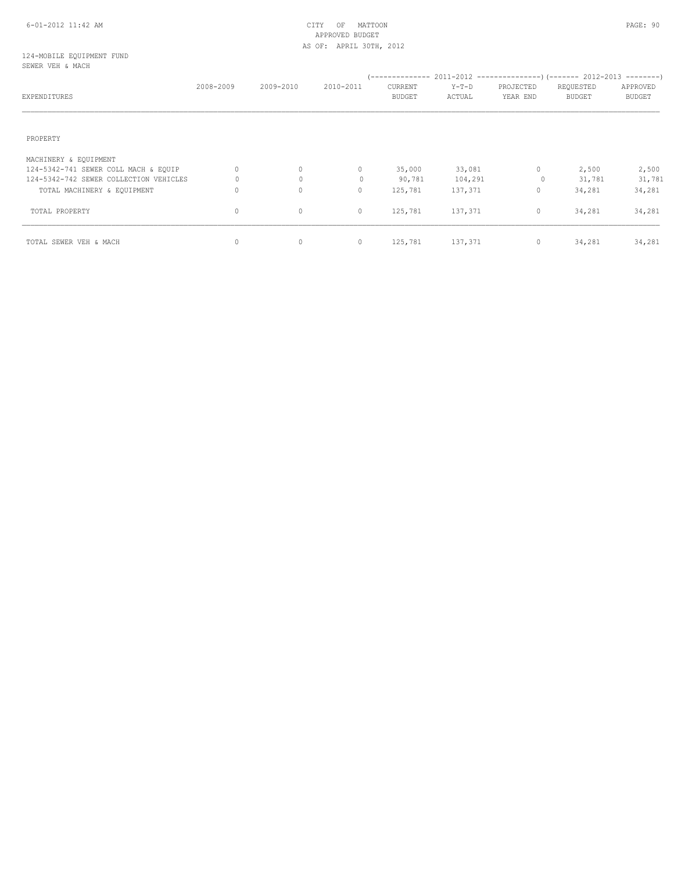# APPROVED BUDGET AS OF: APRIL 30TH, 2012

#### 124-MOBILE EQUIPMENT FUND SEWER VEH & MACH

|                                        | 2008-2009 | 2009-2010   | 2010-2011 | CURRENT       | $Y-T-D$ | PROJECTED    | REQUESTED     | APPROVED      |
|----------------------------------------|-----------|-------------|-----------|---------------|---------|--------------|---------------|---------------|
| EXPENDITURES                           |           |             |           | <b>BUDGET</b> | ACTUAL  | YEAR END     | <b>BUDGET</b> | <b>BUDGET</b> |
|                                        |           |             |           |               |         |              |               |               |
| PROPERTY                               |           |             |           |               |         |              |               |               |
| MACHINERY & EQUIPMENT                  |           |             |           |               |         |              |               |               |
| 124-5342-741 SEWER COLL MACH & EQUIP   | $\Omega$  | $\circ$     | $\circ$   | 35,000        | 33,081  | $\mathbf{0}$ | 2,500         | 2,500         |
| 124-5342-742 SEWER COLLECTION VEHICLES | 0         | $\circ$     | $\Omega$  | 90,781        | 104,291 | 0            | 31,781        | 31,781        |
| TOTAL MACHINERY & EQUIPMENT            | 0         | $\mathbf 0$ | 0         | 125,781       | 137,371 | $\circ$      | 34,281        | 34,281        |
| TOTAL PROPERTY                         | $\circ$   | $\mathbf 0$ | $\circ$   | 125,781       | 137,371 | 0            | 34,281        | 34,281        |
| TOTAL SEWER VEH & MACH                 | $\circ$   | $\mathbf 0$ | 0         | 125,781       | 137,371 | 0            | 34,281        | 34,281        |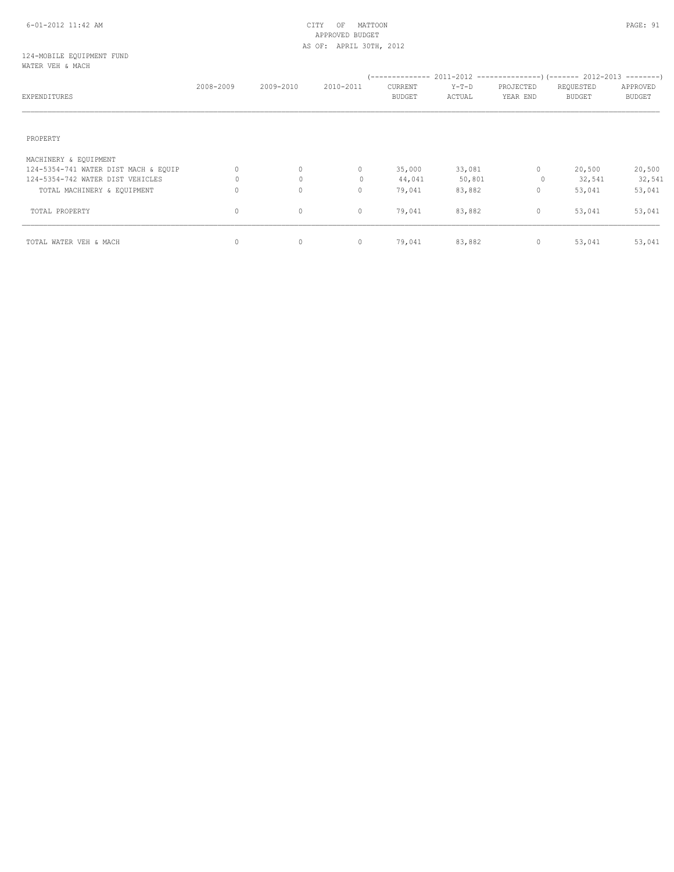#### 6-01-2012 11:42 AM CITY OF MATTOON PAGE: 91 APPROVED BUDGET AS OF: APRIL 30TH, 2012

#### 124-MOBILE EQUIPMENT FUND WATER VEH & MACH

| EXPENDITURES                         | 2008-2009 | 2009-2010 | 2010-2011                        | CURRENT<br><b>BUDGET</b> | $Y-T-D$<br>ACTUAL | PROJECTED<br>YEAR END | REQUESTED<br><b>BUDGET</b> | APPROVED<br><b>BUDGET</b> |
|--------------------------------------|-----------|-----------|----------------------------------|--------------------------|-------------------|-----------------------|----------------------------|---------------------------|
| PROPERTY                             |           |           |                                  |                          |                   |                       |                            |                           |
| MACHINERY & EQUIPMENT                |           |           |                                  |                          |                   |                       |                            |                           |
| 124-5354-741 WATER DIST MACH & EQUIP | 0         | 0         | $\circ$                          | 35,000                   | 33,081            | $\mathbf{0}$          | 20,500                     | 20,500                    |
| 124-5354-742 WATER DIST VEHICLES     |           | $\circ$   | $\begin{array}{c} \n\end{array}$ | 44,041                   | 50,801            | 0                     | 32,541                     | 32,541                    |
| TOTAL MACHINERY & EQUIPMENT          | 0         | $\circ$   | $\circ$                          | 79,041                   | 83,882            | $\mathbf{0}$          | 53,041                     | 53,041                    |
| TOTAL PROPERTY                       | 0         | 0         | 0                                | 79,041                   | 83,882            | 0                     | 53,041                     | 53,041                    |
| TOTAL WATER VEH & MACH               | 0         | $\circ$   | $\circ$                          | 79,041                   | 83,882            | 0                     | 53,041                     | 53,041                    |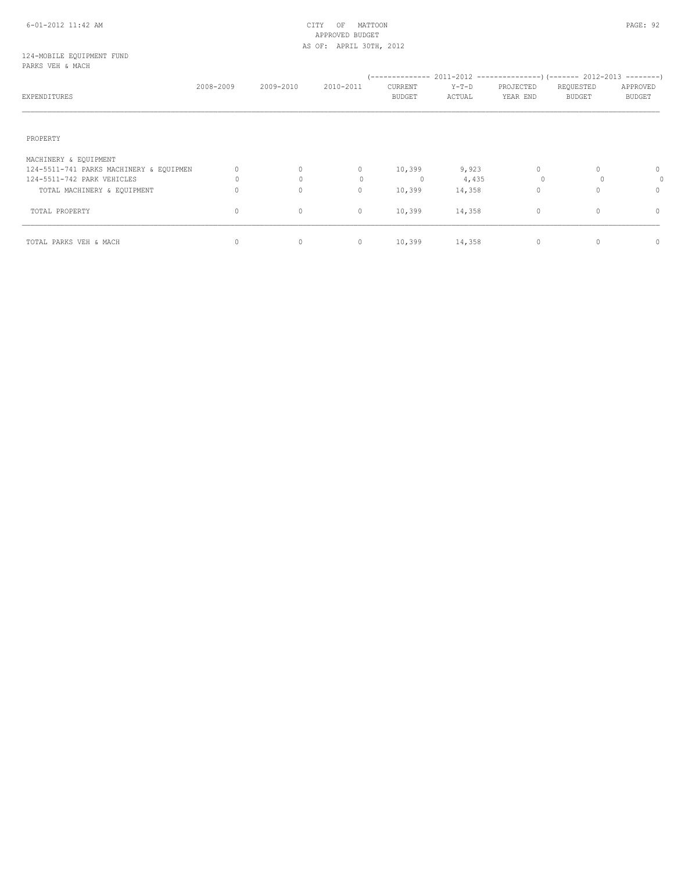#### 6-01-2012 11:42 AM CITY OF MATTOON PAGE: 92 APPROVED BUDGET AS OF: APRIL 30TH, 2012

#### 124-MOBILE EQUIPMENT FUND PARKS VEH & MACH

| EXPENDITURES                            | 2008-2009 | 2009-2010    | 2010-2011 | CURRENT<br><b>BUDGET</b> | $Y-T-D$<br>ACTUAL | PROJECTED<br>YEAR END | REQUESTED<br><b>BUDGET</b> | APPROVED<br><b>BUDGET</b> |
|-----------------------------------------|-----------|--------------|-----------|--------------------------|-------------------|-----------------------|----------------------------|---------------------------|
| PROPERTY                                |           |              |           |                          |                   |                       |                            |                           |
| MACHINERY & EQUIPMENT                   |           |              |           |                          |                   |                       |                            |                           |
| 124-5511-741 PARKS MACHINERY & EQUIPMEN | $\Omega$  | $\mathbf{0}$ | $\Omega$  | 10,399                   | 9,923             | $\Omega$              |                            | 0                         |
| 124-5511-742 PARK VEHICLES              |           | $\Omega$     | $\Omega$  | $\mathbf{0}$             | 4,435             |                       | $\cap$                     | 0                         |
| TOTAL MACHINERY & EQUIPMENT             |           | $\mathbf 0$  | 0         | 10,399                   | 14,358            |                       |                            | $\Omega$                  |
| TOTAL PROPERTY                          | 0         | 0            | $\circ$   | 10,399                   | 14,358            | $\mathbf 0$           | $\Omega$                   | 0                         |
| TOTAL PARKS VEH & MACH                  | $\Omega$  | $\circ$      | $\circ$   | 10,399                   | 14,358            | $\mathbf{0}$          |                            | $\Omega$                  |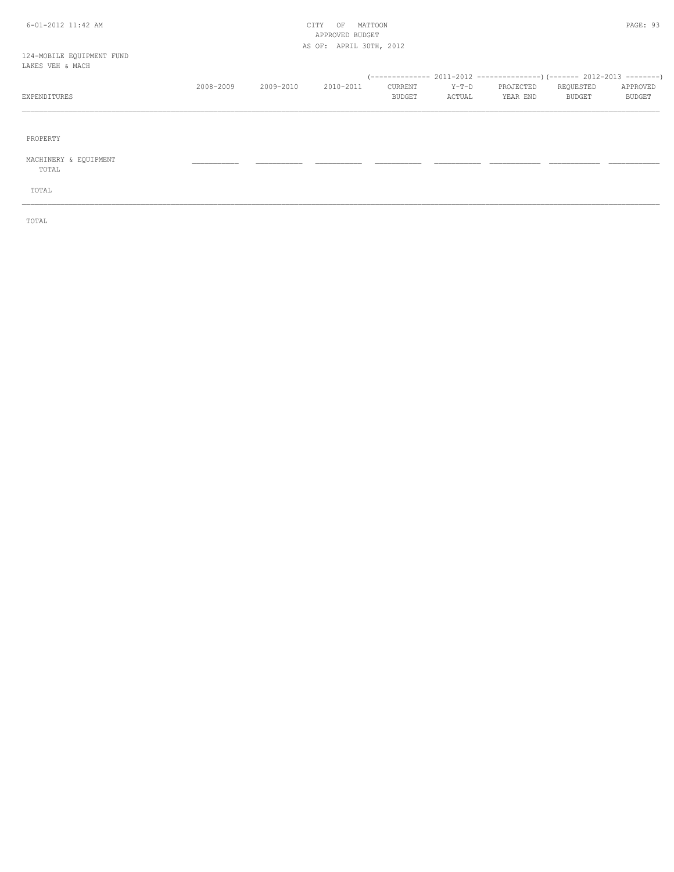#### 6-01-2012 11:42 AM CITY OF MATTOON PAGE: 93 APPROVED BUDGET AS OF: APRIL 30TH, 2012

# 124-MOBILE EQUIPMENT FUND

| LAKES VEH & MACH |           |           |           |               |        |           |           |          |
|------------------|-----------|-----------|-----------|---------------|--------|-----------|-----------|----------|
|                  |           |           |           |               |        |           |           |          |
|                  | 2008-2009 | 2009-2010 | 2010-2011 | CURRENT       | Y-T-D  | PROJECTED | REQUESTED | APPROVED |
| EXPENDITURES     |           |           |           | <b>BUDGET</b> | ACTUAL | YEAR END  | BUDGET    | BUDGET   |
|                  |           |           |           |               |        |           |           |          |
|                  |           |           |           |               |        |           |           |          |
|                  |           |           |           |               |        |           |           |          |

\_\_\_\_\_\_\_\_\_\_\_\_\_\_\_\_\_\_\_\_\_\_\_\_\_\_\_\_\_\_\_\_\_\_\_\_\_\_\_\_\_\_\_\_\_\_\_\_\_\_\_\_\_\_\_\_\_\_\_\_\_\_\_\_\_\_\_\_\_\_\_\_\_\_\_\_\_\_\_\_\_\_\_\_\_\_\_\_\_\_\_\_\_\_\_\_\_\_\_\_\_\_\_\_\_\_\_\_\_\_\_\_\_\_\_\_\_\_\_\_\_\_\_\_\_\_\_\_\_\_\_\_\_\_\_\_\_\_\_\_\_\_\_\_\_\_\_\_\_\_

PROPERTY

MACHINERY & EQUIPMENT \_\_\_\_\_\_\_\_\_\_\_ \_\_\_\_\_\_\_\_\_\_\_ \_\_\_\_\_\_\_\_\_\_\_ \_\_\_\_\_\_\_\_\_\_\_ \_\_\_\_\_\_\_\_\_\_\_ \_\_\_\_\_\_\_\_\_\_\_\_ \_\_\_\_\_\_\_\_\_\_\_\_ \_\_\_\_\_\_\_\_\_\_\_\_

TOTAL

TOTAL

TOTAL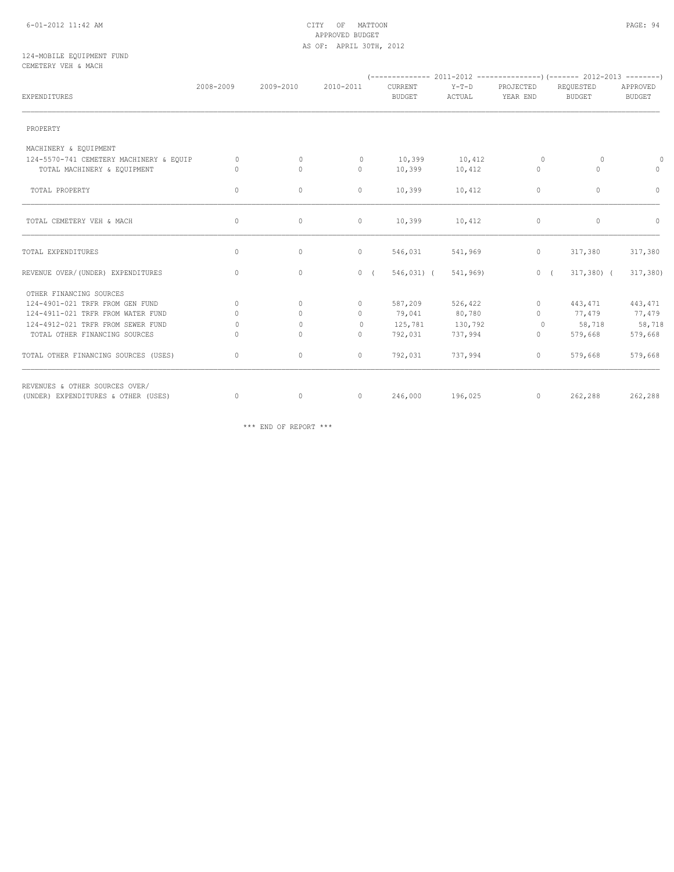#### 6-01-2012 11:42 AM CITY OF MATTOON PAGE: 94 APPROVED BUDGET AS OF: APRIL 30TH, 2012

#### 124-MOBILE EQUIPMENT FUND CEMETERY VEH & MACH

| EXPENDITURES                            | 2008-2009 | 2009-2010    | 2010-2011    | CURRENT<br><b>BUDGET</b> | $Y-T-D$<br>ACTUAL | PROJECTED<br>YEAR END | REQUESTED<br><b>BUDGET</b> | APPROVED<br><b>BUDGET</b> |
|-----------------------------------------|-----------|--------------|--------------|--------------------------|-------------------|-----------------------|----------------------------|---------------------------|
| PROPERTY                                |           |              |              |                          |                   |                       |                            |                           |
| MACHINERY & EQUIPMENT                   |           |              |              |                          |                   |                       |                            |                           |
| 124-5570-741 CEMETERY MACHINERY & EQUIP | $\circ$   | $\circ$      | $\mathbf{0}$ | 10,399                   | 10,412            | $\circ$               | $\circ$                    | $\circ$                   |
| TOTAL MACHINERY & EQUIPMENT             | $\Omega$  | $\mathbf{0}$ | $\circ$      | 10,399                   | 10,412            | $\mathbf{0}$          | $\Omega$                   | $\circ$                   |
| TOTAL PROPERTY                          | $\circ$   | $\circ$      | $\circ$      | 10,399                   | 10,412            | $\mathbb O$           | $\circ$                    | $\circ$                   |
| TOTAL CEMETERY VEH & MACH               | 0         | $\circ$      | $\circ$      | 10,399                   | 10,412            | $\mathbb O$           | $\circ$                    | $\Omega$                  |
| TOTAL EXPENDITURES                      | $\circ$   | $\circ$      | $\circ$      | 546,031                  | 541,969           | $\mathbf{0}$          | 317,380                    | 317,380                   |
| REVENUE OVER/(UNDER) EXPENDITURES       | 0         | $\mathbb O$  | 0(           | $546,031$ (              | 541,969)          | 0(                    | $317,380$ (                | 317,380                   |
| OTHER FINANCING SOURCES                 |           |              |              |                          |                   |                       |                            |                           |
| 124-4901-021 TRFR FROM GEN FUND         | 0         | $\circ$      | $\circ$      | 587,209                  | 526,422           | $\mathbf{0}$          | 443,471                    | 443,471                   |
| 124-4911-021 TRFR FROM WATER FUND       | $\Omega$  | $\circ$      | $\Omega$     | 79,041                   | 80,780            | $\Omega$              | 77,479                     | 77,479                    |
| 124-4912-021 TRFR FROM SEWER FUND       | $\Omega$  | $\Omega$     | $\circ$      | 125,781                  | 130,792           | $\Omega$              | 58,718                     | 58,718                    |
| TOTAL OTHER FINANCING SOURCES           | 0         | $\circ$      | $\circ$      | 792,031                  | 737,994           | $\circ$               | 579,668                    | 579,668                   |
| TOTAL OTHER FINANCING SOURCES (USES)    | 0         | $\circ$      | $\circ$      | 792,031                  | 737,994           | $\circ$               | 579,668                    | 579,668                   |
| REVENUES & OTHER SOURCES OVER/          |           |              |              |                          |                   |                       |                            |                           |
| (UNDER) EXPENDITURES & OTHER (USES)     | 0         | $\circ$      | $\circ$      | 246,000                  | 196,025           | $\circ$               | 262,288                    | 262,288                   |

\*\*\* END OF REPORT \*\*\*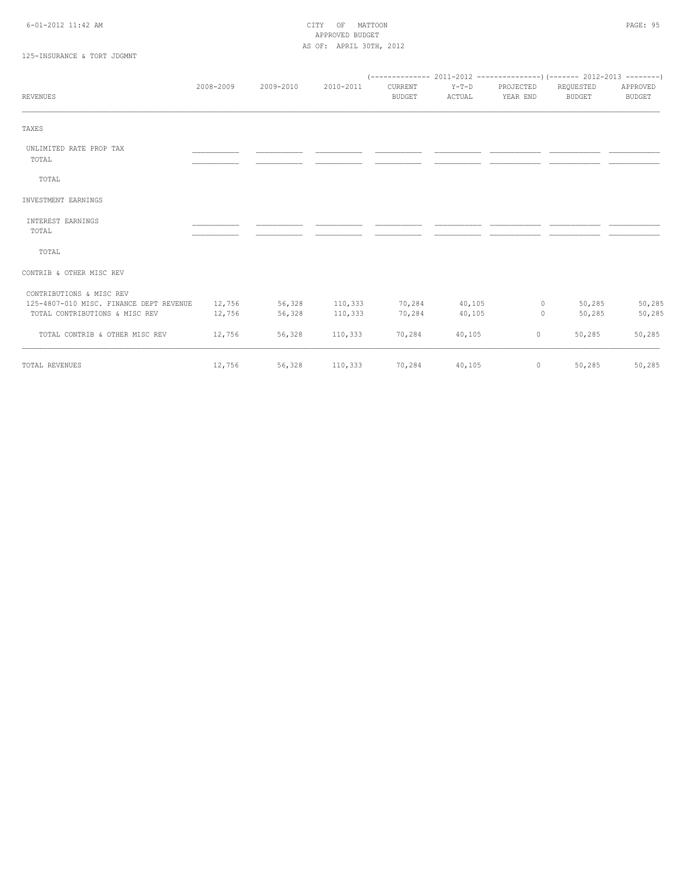#### 6-01-2012 11:42 AM CITY OF MATTOON PAGE: 95 APPROVED BUDGET AS OF: APRIL 30TH, 2012

# 125-INSURANCE & TORT JDGMNT

| <b>REVENUES</b>                         | 2008-2009 | 2009-2010 | 2010-2011 | CURRENT<br><b>BUDGET</b> | $Y-T-D$<br>ACTUAL | PROJECTED<br>YEAR END | REQUESTED<br><b>BUDGET</b> | APPROVED<br><b>BUDGET</b> |
|-----------------------------------------|-----------|-----------|-----------|--------------------------|-------------------|-----------------------|----------------------------|---------------------------|
| TAXES                                   |           |           |           |                          |                   |                       |                            |                           |
| UNLIMITED RATE PROP TAX<br>TOTAL        |           |           |           |                          |                   |                       |                            |                           |
| TOTAL                                   |           |           |           |                          |                   |                       |                            |                           |
| INVESTMENT EARNINGS                     |           |           |           |                          |                   |                       |                            |                           |
| INTEREST EARNINGS<br>TOTAL              |           |           |           |                          |                   |                       |                            |                           |
| TOTAL                                   |           |           |           |                          |                   |                       |                            |                           |
| CONTRIB & OTHER MISC REV                |           |           |           |                          |                   |                       |                            |                           |
| CONTRIBUTIONS & MISC REV                |           |           |           |                          |                   |                       |                            |                           |
| 125-4807-010 MISC. FINANCE DEPT REVENUE | 12,756    | 56,328    | 110,333   | 70,284                   | 40,105            | $\circ$               | 50,285                     | 50,285                    |
| TOTAL CONTRIBUTIONS & MISC REV          | 12,756    | 56,328    | 110,333   | 70,284                   | 40,105            | $\circ$               | 50,285                     | 50,285                    |
| TOTAL CONTRIB & OTHER MISC REV          | 12,756    | 56,328    | 110,333   | 70,284                   | 40,105            | $\circ$               | 50,285                     | 50,285                    |
| TOTAL REVENUES                          | 12,756    | 56,328    | 110,333   | 70,284                   | 40,105            | 0                     | 50,285                     | 50,285                    |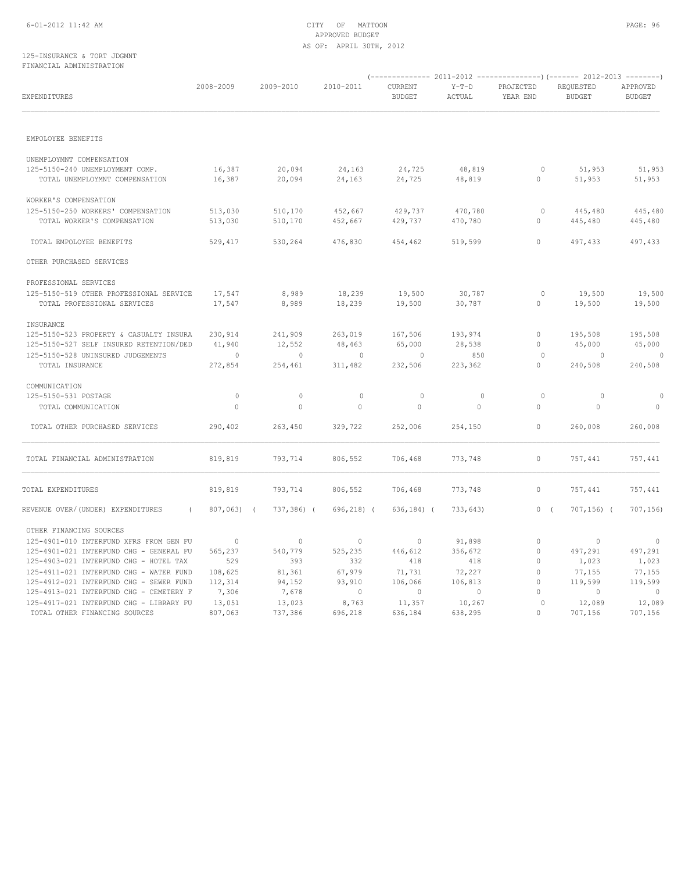#### 6-01-2012 11:42 AM CITY OF MATTOON PAGE: 96 APPROVED BUDGET AS OF: APRIL 30TH, 2012

#### 125-INSURANCE & TORT JDGMNT FINANCIAL ADMINISTRATION

| EXPENDITURES                                                                                  | 2008-2009                | 2009-2010          | 2010-2011          | CURRENT<br><b>BUDGET</b> | $Y-T-D$<br>ACTUAL       | PROJECTED<br>YEAR END   | REQUESTED<br><b>BUDGET</b> | APPROVED<br><b>BUDGET</b> |
|-----------------------------------------------------------------------------------------------|--------------------------|--------------------|--------------------|--------------------------|-------------------------|-------------------------|----------------------------|---------------------------|
| EMPOLOYEE BENEFITS                                                                            |                          |                    |                    |                          |                         |                         |                            |                           |
|                                                                                               |                          |                    |                    |                          |                         |                         |                            |                           |
| UNEMPLOYMNT COMPENSATION<br>125-5150-240 UNEMPLOYMENT COMP.<br>TOTAL UNEMPLOYMNT COMPENSATION | 16,387<br>16,387         | 20,094<br>20,094   | 24,163<br>24,163   | 24,725<br>24,725         | 48,819<br>48,819        | $\circ$<br>$\circ$      | 51,953<br>51,953           | 51,953<br>51,953          |
| WORKER'S COMPENSATION                                                                         |                          |                    |                    |                          |                         |                         |                            |                           |
| 125-5150-250 WORKERS' COMPENSATION<br>TOTAL WORKER'S COMPENSATION                             | 513,030<br>513,030       | 510,170<br>510,170 | 452,667<br>452,667 | 429,737<br>429,737       | 470,780<br>470,780      | 0<br>0                  | 445,480<br>445,480         | 445,480<br>445,480        |
| TOTAL EMPOLOYEE BENEFITS                                                                      | 529,417                  | 530,264            | 476,830            | 454,462                  | 519,599                 | $\mathbf{0}$            | 497,433                    | 497,433                   |
| OTHER PURCHASED SERVICES                                                                      |                          |                    |                    |                          |                         |                         |                            |                           |
| PROFESSIONAL SERVICES                                                                         |                          |                    |                    |                          |                         |                         |                            |                           |
| 125-5150-519 OTHER PROFESSIONAL SERVICE<br>TOTAL PROFESSIONAL SERVICES                        | 17,547<br>17,547         | 8,989<br>8,989     | 18,239<br>18,239   | 19,500<br>19,500         | 30,787<br>30,787        | $\circ$<br>$\circ$      | 19,500<br>19,500           | 19,500<br>19,500          |
| INSURANCE                                                                                     |                          |                    |                    |                          |                         |                         |                            |                           |
| 125-5150-523 PROPERTY & CASUALTY INSURA<br>125-5150-527 SELF INSURED RETENTION/DED            | 230,914<br>41,940        | 241,909<br>12,552  | 263,019<br>48,463  | 167,506<br>65,000        | 193,974<br>28,538       | $\circ$<br>$\Omega$     | 195,508<br>45,000          | 195,508<br>45,000         |
| 125-5150-528 UNINSURED JUDGEMENTS                                                             | $\circ$                  | $\circ$            | $\overline{0}$     | $\circ$                  | 850                     | $\circ$                 | $\overline{0}$             | $\overline{0}$            |
| TOTAL INSURANCE                                                                               | 272,854                  | 254,461            | 311,482            | 232,506                  | 223,362                 | $\circ$                 | 240,508                    | 240,508                   |
| COMMUNICATION                                                                                 |                          |                    |                    |                          |                         |                         |                            |                           |
| 125-5150-531 POSTAGE<br>TOTAL COMMUNICATION                                                   | $\circ$<br>$\circ$       | $\circ$<br>$\circ$ | $\circ$<br>$\circ$ | $\circ$<br>$\circ$       | $\circ$<br>$\mathbf{0}$ | $\circ$<br>$\circ$      | $\circ$<br>$\circ$         | $\circ$<br>$\circ$        |
| TOTAL OTHER PURCHASED SERVICES                                                                | 290,402                  | 263,450            | 329,722            | 252,006                  | 254,150                 | $\circ$                 | 260,008                    | 260,008                   |
| TOTAL FINANCIAL ADMINISTRATION                                                                | 819,819                  | 793,714            | 806,552            | 706,468                  | 773,748                 | $\mathbf 0$             | 757,441                    | 757,441                   |
| TOTAL EXPENDITURES                                                                            | 819,819                  | 793,714            | 806,552            | 706,468                  | 773,748                 | 0                       | 757,441                    | 757,441                   |
| REVENUE OVER/(UNDER) EXPENDITURES                                                             | 807,063) (<br>$\sqrt{2}$ | 737,386) (         | $696, 218$ (       | $636, 184)$ (            | 733,643)                | 0(                      | $707, 156$ ) (             | 707, 156                  |
| OTHER FINANCING SOURCES                                                                       |                          |                    |                    |                          |                         |                         |                            |                           |
| 125-4901-010 INTERFUND XFRS FROM GEN FU                                                       | $\overline{\phantom{0}}$ | $\circ$            | $\overline{0}$     | $\circ$                  | 91,898                  | $\circ$                 | $\overline{0}$             | $\overline{0}$            |
| 125-4901-021 INTERFUND CHG - GENERAL FU                                                       | 565,237                  | 540,779            | 525,235            | 446,612                  | 356,672                 | $\circ$                 | 497,291                    | 497,291                   |
| 125-4903-021 INTERFUND CHG - HOTEL TAX                                                        | 529                      | 393                | 332                | 418                      | 418                     | $\mathbf{0}$            | 1,023                      | 1,023                     |
| 125-4911-021 INTERFUND CHG - WATER FUND<br>125-4912-021 INTERFUND CHG - SEWER FUND            | 108,625<br>112,314       | 81,361<br>94,152   | 67,979<br>93,910   | 71,731<br>106,066        | 72,227<br>106,813       | $\circ$<br>$\mathbf{0}$ | 77,155<br>119,599          | 77,155<br>119,599         |
| 125-4913-021 INTERFUND CHG - CEMETERY F                                                       | 7,306                    | 7,678              | $\sim$ 0           | $\sim$ 0                 | $\overline{0}$          |                         | $\overline{0}$             | $\overline{0}$            |
| 125-4917-021 INTERFUND CHG - LIBRARY FU                                                       | 13,051                   | 13,023             | 8,763              | 11,357                   | 10,267                  | $\circ$                 | 12,089                     | 12,089                    |
| TOTAL OTHER FINANCING SOURCES                                                                 | 807,063                  | 737,386            | 696,218            | 636,184                  | 638,295                 | $\bigcap$               | 707,156                    | 707,156                   |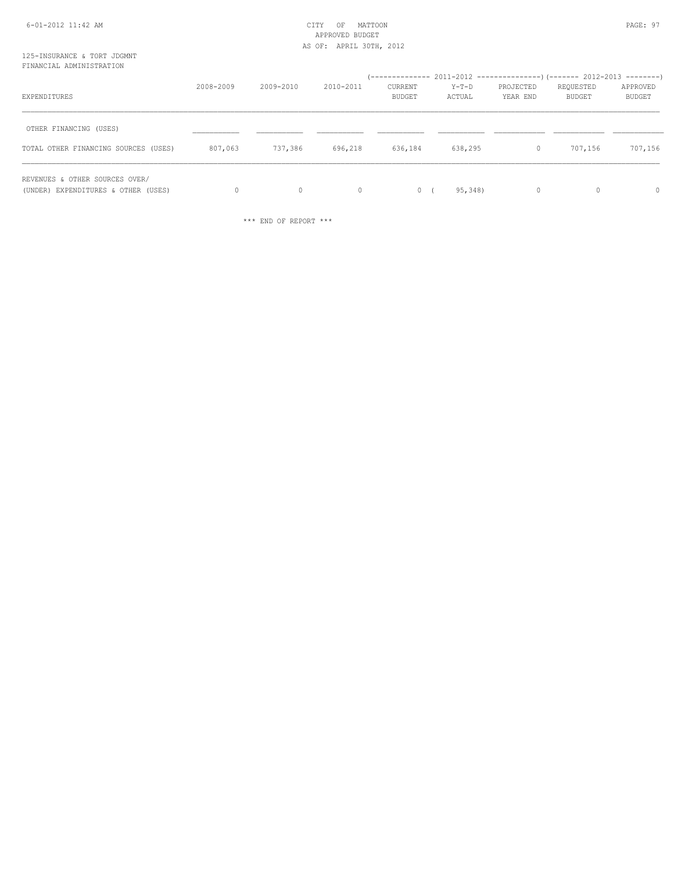# APPROVED BUDGET AS OF: APRIL 30TH, 2012

#### 125-INSURANCE & TORT JDGMNT FINANCIAL ADMINISTRATION

| EXPENDITURES                                                          | 2008-2009 | 2009-2010    | 2010-2011 | CURRENT<br><b>BUDGET</b> | Y-T-D<br>ACTUAL | PROJECTED<br>YEAR END | REQUESTED<br>BUDGET | APPROVED<br>BUDGET |
|-----------------------------------------------------------------------|-----------|--------------|-----------|--------------------------|-----------------|-----------------------|---------------------|--------------------|
| OTHER FINANCING (USES)<br>TOTAL OTHER FINANCING SOURCES (USES)        | 807,063   | 737,386      | 696,218   | 636,184                  | 638,295         | $\mathbf{0}$          | 707,156             | 707,156            |
| REVENUES & OTHER SOURCES OVER/<br>(UNDER) EXPENDITURES & OTHER (USES) | $\Omega$  | $\mathbf{0}$ | $\circ$   | $\circ$                  | 95,348)         | $\mathbf{0}$          |                     | $\circ$            |

\*\*\* END OF REPORT \*\*\*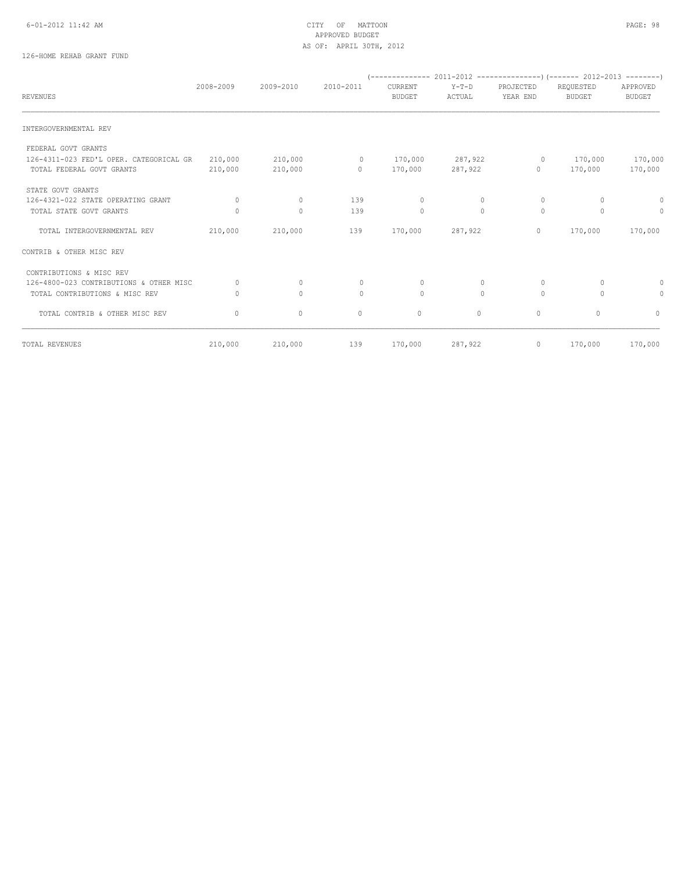#### 6-01-2012 11:42 AM CITY OF MATTOON PAGE: 98 APPROVED BUDGET AS OF: APRIL 30TH, 2012

# 126-HOME REHAB GRANT FUND

| <b>REVENUES</b>                         | 2008-2009    | 2009-2010    | 2010-2011    | CURRENT<br><b>BUDGET</b> | $Y-T-D$<br>ACTUAL | PROJECTED<br>YEAR END | REQUESTED<br><b>BUDGET</b> | APPROVED<br><b>BUDGET</b> |
|-----------------------------------------|--------------|--------------|--------------|--------------------------|-------------------|-----------------------|----------------------------|---------------------------|
|                                         |              |              |              |                          |                   |                       |                            |                           |
| INTERGOVERNMENTAL REV                   |              |              |              |                          |                   |                       |                            |                           |
| FEDERAL GOVT GRANTS                     |              |              |              |                          |                   |                       |                            |                           |
| 126-4311-023 FED'L OPER. CATEGORICAL GR | 210,000      | 210,000      | $\circ$      | 170,000                  | 287,922           | $\circ$               | 170,000                    | 170,000                   |
| TOTAL FEDERAL GOVT GRANTS               | 210,000      | 210,000      | $\circ$      | 170,000                  | 287,922           | $\circ$               | 170,000                    | 170,000                   |
| STATE GOVT GRANTS                       |              |              |              |                          |                   |                       |                            |                           |
| 126-4321-022 STATE OPERATING GRANT      | $\Omega$     | $\circ$      | 139          | $\circ$                  | $\circ$           | $\circ$               | $\Omega$                   | $\mathbf{0}$              |
| TOTAL STATE GOVT GRANTS                 |              | $\circ$      | 139          | $\mathbf{0}$             | $\circ$           | $\circ$               | $\Omega$                   | $\mathbf{0}$              |
| TOTAL INTERGOVERNMENTAL REV             | 210,000      | 210,000      | 139          | 170,000                  | 287,922           | $\circ$               | 170,000                    | 170,000                   |
| CONTRIB & OTHER MISC REV                |              |              |              |                          |                   |                       |                            |                           |
| CONTRIBUTIONS & MISC REV                |              |              |              |                          |                   |                       |                            |                           |
| 126-4800-023 CONTRIBUTIONS & OTHER MISC | <sup>0</sup> | $\circ$      | $\mathbf{0}$ | 0                        | $\circ$           | $\circ$               | $\Omega$                   | 0                         |
| TOTAL CONTRIBUTIONS & MISC REV          |              | $\Omega$     | $\Omega$     | $\Omega$                 | $\Omega$          | $\Omega$              | $\Omega$                   | 0                         |
| TOTAL CONTRIB & OTHER MISC REV          | $\Omega$     | $\mathbf{0}$ | $\circ$      | $\circ$                  | $\circ$           | $\circ$               | $\Omega$                   | $\Omega$                  |
| TOTAL REVENUES                          | 210,000      | 210,000      | 139          | 170,000                  | 287,922           | $\circ$               | 170,000                    | 170,000                   |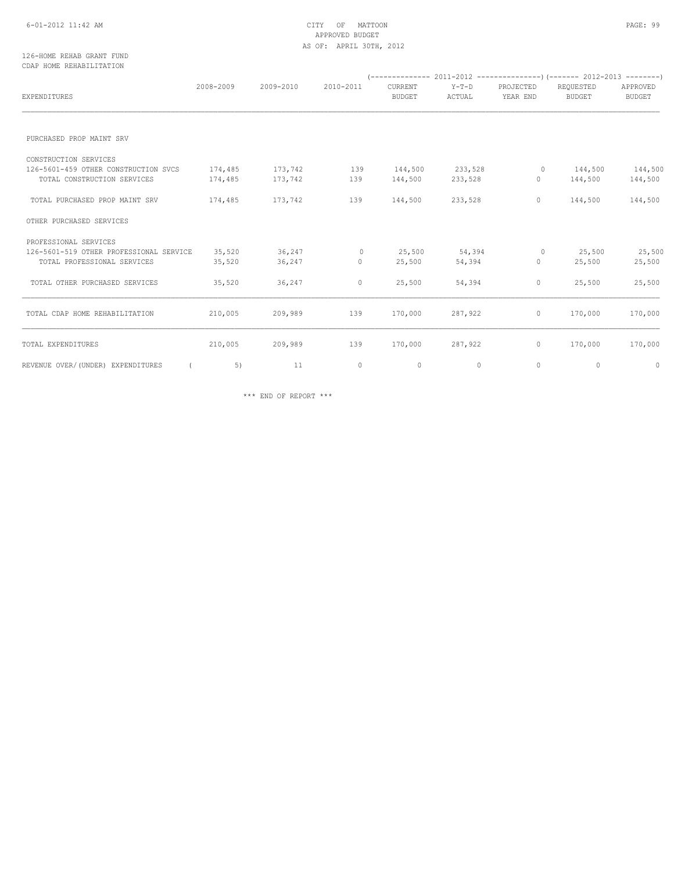#### 6-01-2012 11:42 AM CITY OF MATTOON PAGE: 99 APPROVED BUDGET AS OF: APRIL 30TH, 2012

#### 126-HOME REHAB GRANT FUND CDAP HOME REHABILITATION

|                                         | 2008-2009 | 2009-2010 | 2010-2011 | CURRENT       | $Y-T-D$     | PROJECTED    | REQUESTED     | APPROVED      |
|-----------------------------------------|-----------|-----------|-----------|---------------|-------------|--------------|---------------|---------------|
| <b>EXPENDITURES</b>                     |           |           |           | <b>BUDGET</b> | ACTUAL      | YEAR END     | <b>BUDGET</b> | <b>BUDGET</b> |
|                                         |           |           |           |               |             |              |               |               |
| PURCHASED PROP MAINT SRV                |           |           |           |               |             |              |               |               |
| CONSTRUCTION SERVICES                   |           |           |           |               |             |              |               |               |
| 126-5601-459 OTHER CONSTRUCTION SVCS    | 174,485   | 173,742   | 139       | 144,500       | 233,528     | $\circ$      | 144,500       | 144,500       |
| TOTAL CONSTRUCTION SERVICES             | 174,485   | 173,742   | 139       | 144,500       | 233,528     | $\circ$      | 144,500       | 144,500       |
| TOTAL PURCHASED PROP MAINT SRV          | 174,485   | 173,742   | 139       | 144,500       | 233,528     | 0            | 144,500       | 144,500       |
| OTHER PURCHASED SERVICES                |           |           |           |               |             |              |               |               |
| PROFESSIONAL SERVICES                   |           |           |           |               |             |              |               |               |
| 126-5601-519 OTHER PROFESSIONAL SERVICE | 35,520    | 36,247    | $\circ$   | 25,500        | 54,394      | $\circ$      | 25,500        | 25,500        |
| TOTAL PROFESSIONAL SERVICES             | 35,520    | 36,247    | $\circ$   | 25,500        | 54,394      | 0            | 25,500        | 25,500        |
| TOTAL OTHER PURCHASED SERVICES          | 35,520    | 36,247    | $\circ$   | 25,500        | 54,394      | 0            | 25,500        | 25,500        |
| TOTAL CDAP HOME REHABILITATION          | 210,005   | 209,989   | 139       | 170,000       | 287,922     | 0            | 170,000       | 170,000       |
| TOTAL EXPENDITURES                      | 210,005   | 209,989   | 139       | 170,000       | 287,922     | $\mathbf{0}$ | 170,000       | 170,000       |
| REVENUE OVER/ (UNDER) EXPENDITURES      | 5)        | 11        | $\circ$   | 0             | $\mathbf 0$ | 0            | 0             | 0             |

\*\*\* END OF REPORT \*\*\*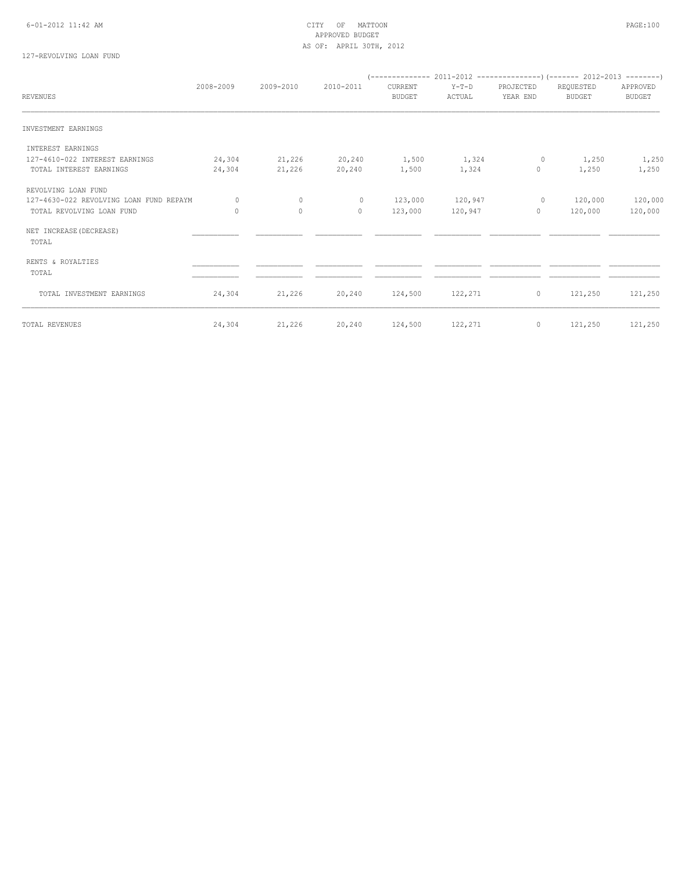#### 6-01-2012 11:42 AM CITY OF MATTOON PAGE:100 APPROVED BUDGET AS OF: APRIL 30TH, 2012

# 127-REVOLVING LOAN FUND

| APPROVED<br><b>BUDGET</b> | REQUESTED<br><b>BUDGET</b> | PROJECTED<br>YEAR END | Y-T-D<br>ACTUAL    | CURRENT<br><b>BUDGET</b> | 2010-2011        | 2009-2010        | 2008-2009        | <b>REVENUES</b>                                                  |
|---------------------------|----------------------------|-----------------------|--------------------|--------------------------|------------------|------------------|------------------|------------------------------------------------------------------|
|                           |                            |                       |                    |                          |                  |                  |                  | INVESTMENT EARNINGS                                              |
|                           |                            |                       |                    |                          |                  |                  |                  | INTEREST EARNINGS                                                |
| 1,250                     | 1,250                      | 0                     | 1,324              | 1,500                    | 20,240           | 21,226           | 24,304           | 127-4610-022 INTEREST EARNINGS                                   |
| 1,250                     | 1,250                      | $\mathbf{0}$          | 1,324              | 1,500                    | 20,240           | 21,226           | 24,304           | TOTAL INTEREST EARNINGS                                          |
|                           |                            |                       |                    |                          |                  |                  |                  | REVOLVING LOAN FUND                                              |
| 120,000                   | 120,000                    | $\circ$               | 120,947            | 123,000                  | $\circ$          | $\circ$          | 0                | 127-4630-022 REVOLVING LOAN FUND REPAYM                          |
| 120,000                   | 120,000                    | $\mathbf{0}$          | 120,947            | 123,000                  | $\Omega$         | $\mathbf{0}$     | $\circ$          | TOTAL REVOLVING LOAN FUND                                        |
|                           |                            |                       |                    |                          |                  |                  |                  | NET INCREASE (DECREASE)<br>TOTAL                                 |
|                           |                            |                       |                    |                          |                  |                  |                  |                                                                  |
|                           |                            |                       |                    |                          |                  |                  |                  | TOTAL                                                            |
|                           |                            |                       |                    |                          |                  |                  |                  |                                                                  |
| 121,250                   |                            | $\circ$               |                    |                          |                  |                  |                  |                                                                  |
| 121,250                   |                            |                       |                    |                          |                  |                  |                  |                                                                  |
|                           | 121,250<br>121,250         | $\mathbb O$           | 122,271<br>122,271 | 124,500<br>124,500       | 20,240<br>20,240 | 21,226<br>21,226 | 24,304<br>24,304 | RENTS & ROYALTIES<br>TOTAL INVESTMENT EARNINGS<br>TOTAL REVENUES |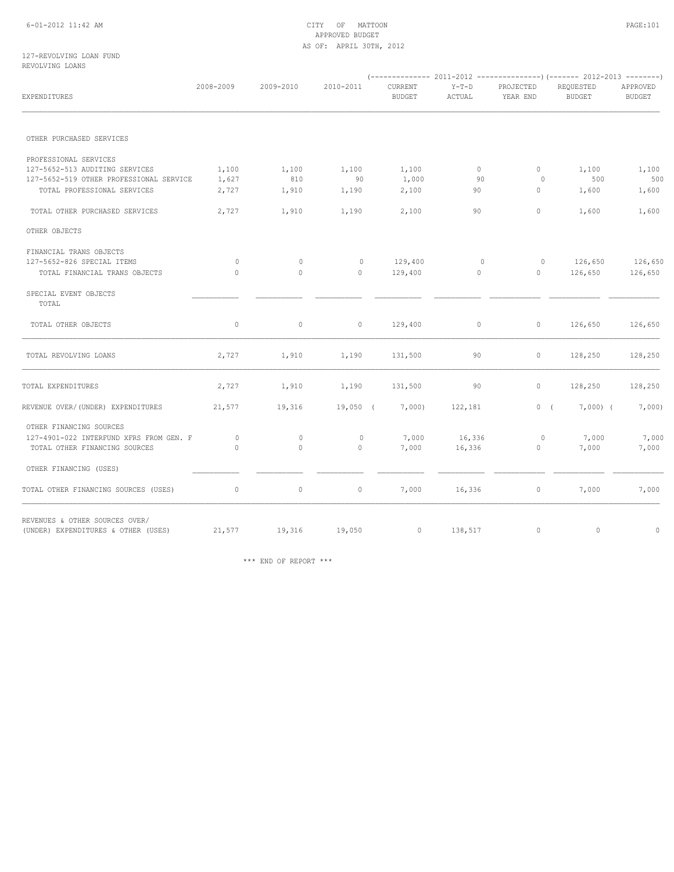#### 6-01-2012 11:42 AM CITY OF MATTOON PAGE:101 APPROVED BUDGET AS OF: APRIL 30TH, 2012

#### 127-REVOLVING LOAN FUND REVOLVING LOANS

| EXPENDITURES                                                          | 2008-2009 | 2009-2010    | 2010-2011    | CURRENT<br><b>BUDGET</b> | $Y-T-D$<br>ACTUAL | PROJECTED<br>YEAR END | REQUESTED<br><b>BUDGET</b> | APPROVED<br><b>BUDGET</b> |
|-----------------------------------------------------------------------|-----------|--------------|--------------|--------------------------|-------------------|-----------------------|----------------------------|---------------------------|
|                                                                       |           |              |              |                          |                   |                       |                            |                           |
| OTHER PURCHASED SERVICES                                              |           |              |              |                          |                   |                       |                            |                           |
| PROFESSIONAL SERVICES                                                 |           |              |              |                          |                   |                       |                            |                           |
| 127-5652-513 AUDITING SERVICES                                        | 1,100     | 1,100        | 1,100        | 1,100                    | $\circ$           | $\mathbf{0}$          | 1,100                      | 1,100                     |
| 127-5652-519 OTHER PROFESSIONAL SERVICE                               | 1,627     | 810          | 90           | 1,000                    | 90                | 0                     | 500                        | 500                       |
| TOTAL PROFESSIONAL SERVICES                                           | 2,727     | 1,910        | 1,190        | 2,100                    | 90                | 0                     | 1,600                      | 1,600                     |
| TOTAL OTHER PURCHASED SERVICES                                        | 2,727     | 1,910        | 1,190        | 2,100                    | 90                | 0                     | 1,600                      | 1,600                     |
| OTHER OBJECTS                                                         |           |              |              |                          |                   |                       |                            |                           |
| FINANCIAL TRANS OBJECTS                                               |           |              |              |                          |                   |                       |                            |                           |
| 127-5652-826 SPECIAL ITEMS                                            | $\circ$   | $\circ$      | $\circ$      | 129,400                  | $\circ$           | $\circ$               | 126,650                    | 126,650                   |
| TOTAL FINANCIAL TRANS OBJECTS                                         | $\circ$   | $\mathbf{0}$ | $\circ$      | 129,400                  | 0                 | $\circ$               | 126,650                    | 126,650                   |
| SPECIAL EVENT OBJECTS<br>TOTAL                                        |           |              |              |                          |                   |                       |                            |                           |
| TOTAL OTHER OBJECTS                                                   | $\circ$   | $\mathbb O$  | $\circ$      | 129,400                  | $\circ$           | $\circ$               | 126,650                    | 126,650                   |
| TOTAL REVOLVING LOANS                                                 | 2,727     | 1,910        | 1,190        | 131,500                  | 90                | $\circ$               | 128,250                    | 128,250                   |
| TOTAL EXPENDITURES                                                    | 2,727     | 1,910        | 1,190        | 131,500                  | 90                | $\mathbf{0}$          | 128,250                    | 128,250                   |
| REVENUE OVER/(UNDER) EXPENDITURES                                     | 21,577    | 19,316       | $19,050$ (   | 7,000)                   | 122,181           | 0(                    | $7,000$ (                  | 7,000                     |
| OTHER FINANCING SOURCES                                               |           |              |              |                          |                   |                       |                            |                           |
| 127-4901-022 INTERFUND XFRS FROM GEN. F                               | $\circ$   | $\circ$      | $\mathbf{0}$ | 7,000                    | 16,336            | $\circ$               | 7,000                      | 7,000                     |
| TOTAL OTHER FINANCING SOURCES                                         | $\Omega$  | $\Omega$     | $\circ$      | 7,000                    | 16,336            | $\circ$               | 7,000                      | 7,000                     |
| OTHER FINANCING (USES)                                                |           |              |              |                          |                   |                       |                            |                           |
| TOTAL OTHER FINANCING SOURCES (USES)                                  | $\circ$   | $\mathbb O$  | $\circ$      | 7,000                    | 16,336            | $\circ$               | 7,000                      | 7,000                     |
| REVENUES & OTHER SOURCES OVER/<br>(UNDER) EXPENDITURES & OTHER (USES) | 21,577    | 19,316       | 19,050       | $\circ$                  | 138,517           | $\mathbf{0}$          | $\circ$                    | $\circ$                   |
|                                                                       |           |              |              |                          |                   |                       |                            |                           |

\*\*\* END OF REPORT \*\*\*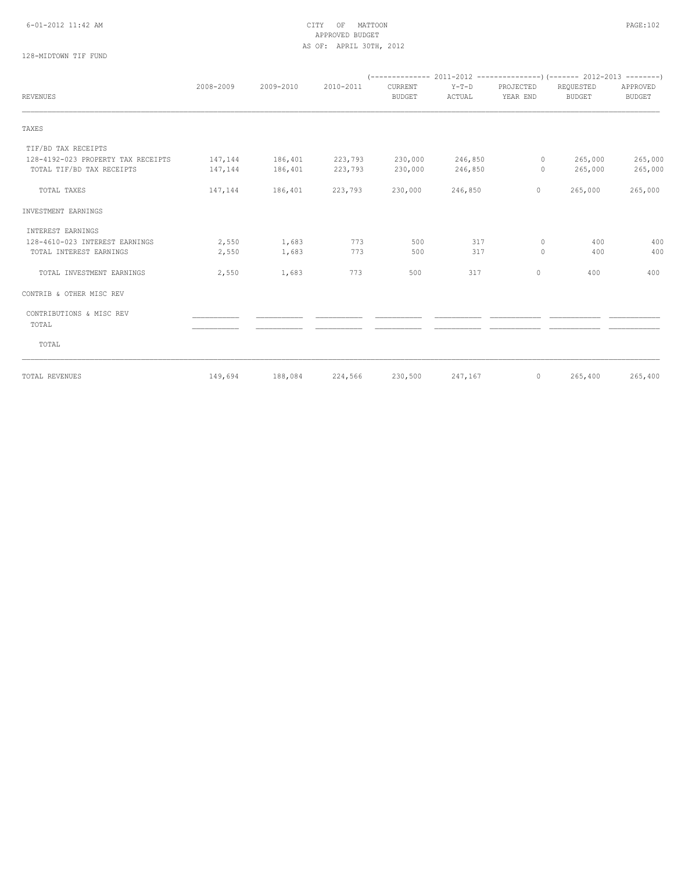# APPROVED BUDGET AS OF: APRIL 30TH, 2012

# 128-MIDTOWN TIF FUND

|                                    | 2008-2009 | 2009-2010 | 2010-2011 | CURRENT       | $Y-T-D$ | PROJECTED    | REQUESTED     | APPROVED      |
|------------------------------------|-----------|-----------|-----------|---------------|---------|--------------|---------------|---------------|
| <b>REVENUES</b>                    |           |           |           | <b>BUDGET</b> | ACTUAL  | YEAR END     | <b>BUDGET</b> | <b>BUDGET</b> |
| TAXES                              |           |           |           |               |         |              |               |               |
| TIF/BD TAX RECEIPTS                |           |           |           |               |         |              |               |               |
| 128-4192-023 PROPERTY TAX RECEIPTS | 147,144   | 186,401   | 223,793   | 230,000       | 246,850 | 0            | 265,000       | 265,000       |
| TOTAL TIF/BD TAX RECEIPTS          | 147,144   | 186,401   | 223,793   | 230,000       | 246,850 | 0            | 265,000       | 265,000       |
| TOTAL TAXES                        | 147,144   | 186,401   | 223,793   | 230,000       | 246,850 | $\mathbf 0$  | 265,000       | 265,000       |
| INVESTMENT EARNINGS                |           |           |           |               |         |              |               |               |
| INTEREST EARNINGS                  |           |           |           |               |         |              |               |               |
| 128-4610-023 INTEREST EARNINGS     | 2,550     | 1,683     | 773       | 500           | 317     | $\circ$      | 400           | 400           |
| TOTAL INTEREST EARNINGS            | 2,550     | 1,683     | 773       | 500           | 317     | $\circ$      | 400           | 400           |
| TOTAL INVESTMENT EARNINGS          | 2,550     | 1,683     | 773       | 500           | 317     | $\mathbf{0}$ | 400           | 400           |
| CONTRIB & OTHER MISC REV           |           |           |           |               |         |              |               |               |
| CONTRIBUTIONS & MISC REV           |           |           |           |               |         |              |               |               |
| TOTAL                              |           |           |           |               |         |              |               |               |
| TOTAL                              |           |           |           |               |         |              |               |               |
| TOTAL REVENUES                     | 149,694   | 188,084   | 224,566   | 230,500       | 247,167 | $\circ$      | 265,400       | 265,400       |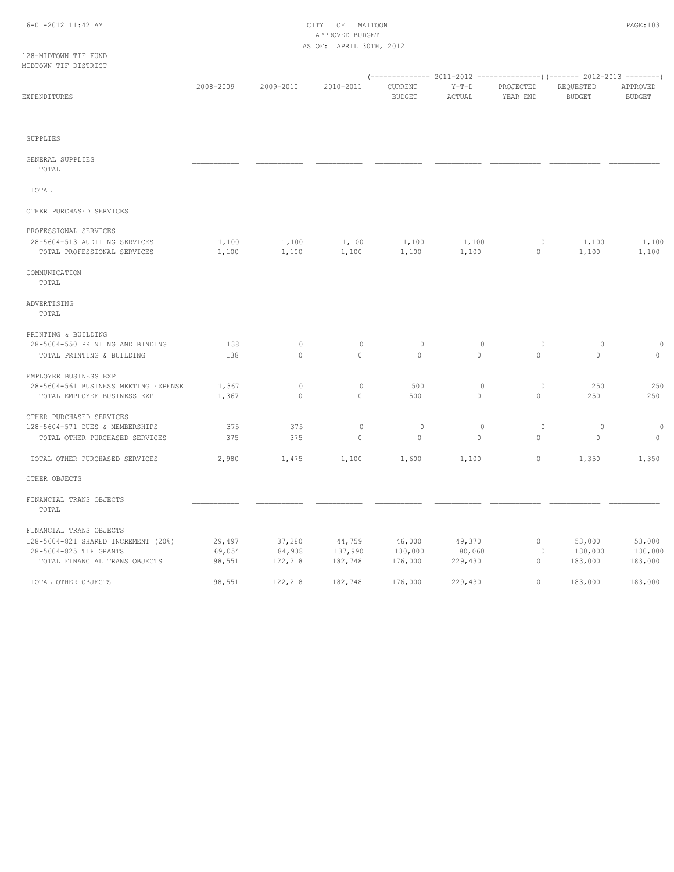#### 6-01-2012 11:42 AM CITY OF MATTOON PAGE:103 APPROVED BUDGET AS OF: APRIL 30TH, 2012

#### 128-MIDTOWN TIF FUND MIDTOWN TIF DISTRICT

| HIDIONN III DIOINICI                  |           |           |             |                          |                   |                       |                            |                           |
|---------------------------------------|-----------|-----------|-------------|--------------------------|-------------------|-----------------------|----------------------------|---------------------------|
| EXPENDITURES                          | 2008-2009 | 2009-2010 | 2010-2011   | CURRENT<br><b>BUDGET</b> | $Y-T-D$<br>ACTUAL | PROJECTED<br>YEAR END | REQUESTED<br><b>BUDGET</b> | APPROVED<br><b>BUDGET</b> |
| SUPPLIES                              |           |           |             |                          |                   |                       |                            |                           |
|                                       |           |           |             |                          |                   |                       |                            |                           |
| GENERAL SUPPLIES<br>TOTAL             |           |           |             |                          |                   |                       |                            |                           |
| TOTAL                                 |           |           |             |                          |                   |                       |                            |                           |
| OTHER PURCHASED SERVICES              |           |           |             |                          |                   |                       |                            |                           |
| PROFESSIONAL SERVICES                 |           |           |             |                          |                   |                       |                            |                           |
| 128-5604-513 AUDITING SERVICES        | 1,100     | 1,100     | 1,100       | 1,100                    | 1,100             | $\circ$               | 1,100                      | 1,100                     |
| TOTAL PROFESSIONAL SERVICES           | 1,100     | 1,100     | 1,100       | 1,100                    | 1,100             | $\mathbb O$           | 1,100                      | 1,100                     |
| COMMUNICATION<br>TOTAL                |           |           |             |                          |                   |                       |                            |                           |
| ADVERTISING<br>TOTAL                  |           |           |             |                          |                   |                       |                            |                           |
| PRINTING & BUILDING                   |           |           |             |                          |                   |                       |                            |                           |
| 128-5604-550 PRINTING AND BINDING     | 138       | $\circ$   | $\mathbf 0$ | $\circ$                  | $\circ$           | $\circ$               | $\circ$                    | $\circ$                   |
| TOTAL PRINTING & BUILDING             | 138       | $\circ$   | $\circ$     | $\circ$                  | 0                 | $\circ$               | $\circ$                    | $\circ$                   |
| EMPLOYEE BUSINESS EXP                 |           |           |             |                          |                   |                       |                            |                           |
| 128-5604-561 BUSINESS MEETING EXPENSE | 1,367     | $\circ$   | $\mathbf 0$ | 500                      | $\circ$           | $\circ$               | 250                        | 250                       |
| TOTAL EMPLOYEE BUSINESS EXP           | 1,367     | $\circ$   | $\circ$     | 500                      | $\mathbf{0}$      | $\circ$               | 250                        | 250                       |
| OTHER PURCHASED SERVICES              |           |           |             |                          |                   |                       |                            |                           |
| 128-5604-571 DUES & MEMBERSHIPS       | 375       | 375       | $\circ$     | $\circ$                  | $\circ$           | $\circ$               | 0                          | $\circ$                   |
| TOTAL OTHER PURCHASED SERVICES        | 375       | 375       | $\circ$     | $\circ$                  | 0                 | $\circ$               | $\circ$                    | $\circ$                   |
| TOTAL OTHER PURCHASED SERVICES        | 2,980     | 1,475     | 1,100       | 1,600                    | 1,100             | $\circ$               | 1,350                      | 1,350                     |
| OTHER OBJECTS                         |           |           |             |                          |                   |                       |                            |                           |
| FINANCIAL TRANS OBJECTS<br>TOTAL      |           |           |             |                          |                   |                       |                            |                           |
| FINANCIAL TRANS OBJECTS               |           |           |             |                          |                   |                       |                            |                           |
| 128-5604-821 SHARED INCREMENT (20%)   | 29,497    | 37,280    | 44,759      | 46,000                   | 49,370            | $\circ$               | 53,000                     | 53,000                    |
| 128-5604-825 TIF GRANTS               | 69,054    | 84,938    | 137,990     | 130,000                  | 180,060           | 0                     | 130,000                    | 130,000                   |
| TOTAL FINANCIAL TRANS OBJECTS         | 98,551    | 122,218   | 182,748     | 176,000                  | 229,430           | $\mathbf{0}$          | 183,000                    | 183,000                   |
| TOTAL OTHER OBJECTS                   | 98,551    | 122,218   | 182,748     | 176,000                  | 229,430           | $\circ$               | 183,000                    | 183,000                   |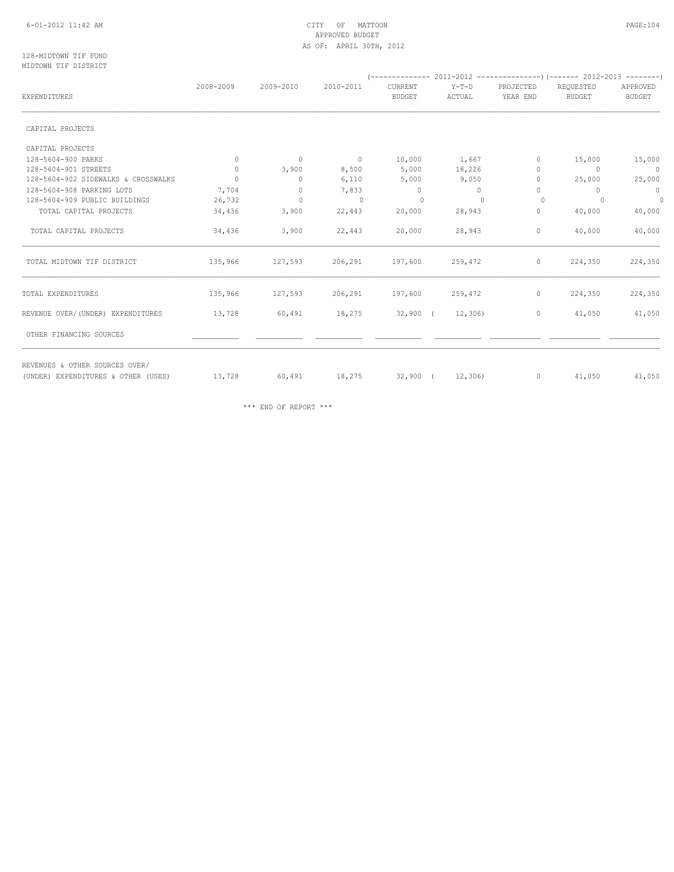#### 6-01-2012 11:42 AM CITY OF MATTOON PAGE:104 APPROVED BUDGET AS OF: APRIL 30TH, 2012

#### 128-MIDTOWN TIF FUND MIDTOWN TIF DISTRICT

| EXPENDITURES                        | 2008-2009 | 2009-2010    | 2010-2011      | CURRENT<br><b>BUDGET</b> | $Y-T-D$<br>ACTUAL | PROJECTED<br>YEAR END | REQUESTED<br><b>BUDGET</b> | APPROVED<br><b>BUDGET</b> |
|-------------------------------------|-----------|--------------|----------------|--------------------------|-------------------|-----------------------|----------------------------|---------------------------|
| CAPITAL PROJECTS                    |           |              |                |                          |                   |                       |                            |                           |
| CAPITAL PROJECTS                    |           |              |                |                          |                   |                       |                            |                           |
| 128-5604-900 PARKS                  | $\circ$   | $\circ$      | $\overline{0}$ | 10,000                   | 1,667             | $\Omega$              | 15,000                     | 15,000                    |
| 128-5604-901 STREETS                | $\circ$   | 3,900        | 8,500          | 5,000                    | 18,226            | 0                     | $\overline{0}$             | $\overline{0}$            |
| 128-5604-902 SIDEWALKS & CROSSWALKS | $\Omega$  | $\mathbf{0}$ | 6,110          | 5,000                    | 9,050             | $\Omega$              | 25,000                     | 25,000                    |
| 128-5604-908 PARKING LOTS           | 7,704     | $\mathbf{0}$ | 7,833          | $\circ$                  | $\circ$           | 0                     | $\circ$                    | $\overline{0}$            |
| 128-5604-909 PUBLIC BUILDINGS       | 26,732    | $\circ$      | $\overline{0}$ | $\mathbf{0}$             | $\Omega$          | $\Omega$              | $\circ$                    | $\Omega$                  |
| TOTAL CAPITAL PROJECTS              | 34,436    | 3,900        | 22,443         | 20,000                   | 28,943            | 0                     | 40,000                     | 40,000                    |
| TOTAL CAPITAL PROJECTS              | 34,436    | 3,900        | 22,443         | 20,000                   | 28,943            | $\circ$               | 40,000                     | 40,000                    |
| TOTAL MIDTOWN TIF DISTRICT          | 135,966   | 127,593      | 206,291        | 197,600                  | 259,472           | $\circ$               | 224,350                    | 224,350                   |
| TOTAL EXPENDITURES                  | 135,966   | 127,593      | 206,291        | 197,600                  | 259,472           | $\circ$               | 224,350                    | 224,350                   |
| REVENUE OVER/(UNDER) EXPENDITURES   | 13,728    | 60,491       | 18,275         | $32,900$ (               | 12,306            | $\circ$               | 41,050                     | 41,050                    |
| OTHER FINANCING SOURCES             |           |              |                |                          |                   |                       |                            |                           |
| REVENUES & OTHER SOURCES OVER/      |           |              |                |                          |                   | $\circ$               |                            |                           |
| (UNDER) EXPENDITURES & OTHER (USES) | 13,728    | 60,491       | 18,275         | $32,900$ (               | 12,306)           |                       | 41,050                     | 41,050                    |

\*\*\* END OF REPORT \*\*\*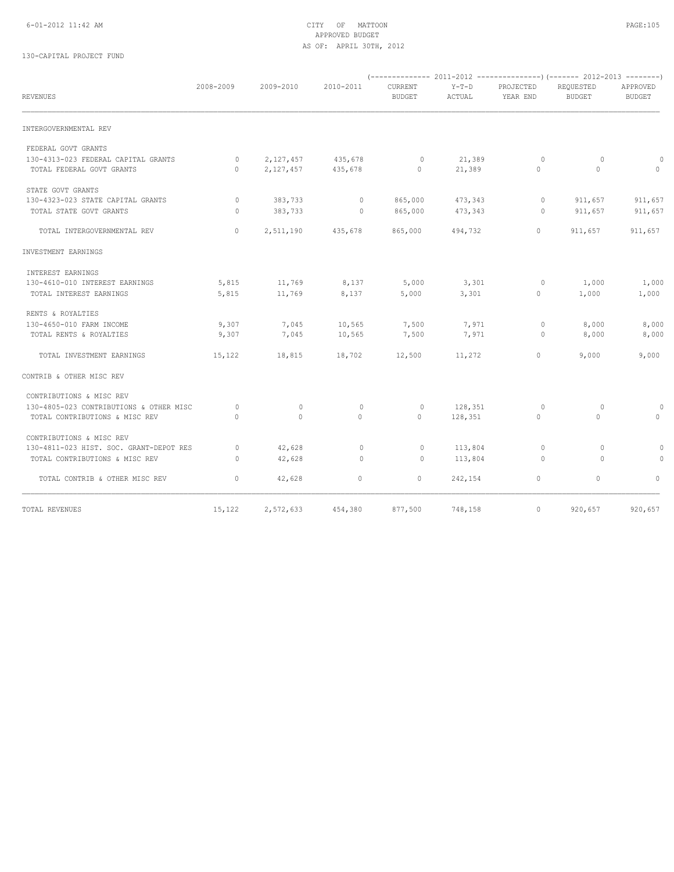#### 6-01-2012 11:42 AM CITY OF MATTOON PAGE:105 APPROVED BUDGET AS OF: APRIL 30TH, 2012

# 130-CAPITAL PROJECT FUND

| <b>REVENUES</b>                         | 2008-2009    | 2009-2010    | 2010-2011    | CURRENT<br><b>BUDGET</b> | $Y-T-D$<br>ACTUAL | PROJECTED<br>YEAR END | REQUESTED<br><b>BUDGET</b> | APPROVED<br><b>BUDGET</b> |
|-----------------------------------------|--------------|--------------|--------------|--------------------------|-------------------|-----------------------|----------------------------|---------------------------|
| INTERGOVERNMENTAL REV                   |              |              |              |                          |                   |                       |                            |                           |
| FEDERAL GOVT GRANTS                     |              |              |              |                          |                   |                       |                            |                           |
| 130-4313-023 FEDERAL CAPITAL GRANTS     | $\circ$      | 2,127,457    | 435,678      | $\circ$                  | 21,389            | $\circ$               | $\circ$                    | $\Omega$                  |
| TOTAL FEDERAL GOVT GRANTS               | $\Omega$     | 2,127,457    | 435,678      | $\circ$                  | 21,389            | $\mathbf{0}$          | $\circ$                    | $\Omega$                  |
| STATE GOVT GRANTS                       |              |              |              |                          |                   |                       |                            |                           |
| 130-4323-023 STATE CAPITAL GRANTS       | $\circ$      | 383,733      | $\circ$      | 865,000                  | 473,343           | 0                     | 911,657                    | 911,657                   |
| TOTAL STATE GOVT GRANTS                 | $\mathbf{0}$ | 383,733      | $\circ$      | 865,000                  | 473,343           | $\circ$               | 911,657                    | 911,657                   |
| TOTAL INTERGOVERNMENTAL REV             | $\circ$      | 2,511,190    | 435,678      | 865,000                  | 494,732           | $\mathbf{0}$          | 911,657                    | 911,657                   |
| INVESTMENT EARNINGS                     |              |              |              |                          |                   |                       |                            |                           |
| INTEREST EARNINGS                       |              |              |              |                          |                   |                       |                            |                           |
| 130-4610-010 INTEREST EARNINGS          | 5,815        | 11,769       | 8,137        | 5,000                    | 3,301             | $\circ$               | 1,000                      | 1,000                     |
| TOTAL INTEREST EARNINGS                 | 5,815        | 11,769       | 8,137        | 5,000                    | 3,301             | $\mathbf{0}$          | 1,000                      | 1,000                     |
| RENTS & ROYALTIES                       |              |              |              |                          |                   |                       |                            |                           |
| 130-4650-010 FARM INCOME                | 9,307        | 7,045        | 10,565       | 7,500                    | 7,971             | $\circ$               | 8,000                      | 8,000                     |
| TOTAL RENTS & ROYALTIES                 | 9,307        | 7,045        | 10,565       | 7,500                    | 7,971             | $\circ$               | 8,000                      | 8,000                     |
| TOTAL INVESTMENT EARNINGS               | 15,122       | 18,815       | 18,702       | 12,500                   | 11,272            | $\mathbf{0}$          | 9,000                      | 9,000                     |
| CONTRIB & OTHER MISC REV                |              |              |              |                          |                   |                       |                            |                           |
| CONTRIBUTIONS & MISC REV                |              |              |              |                          |                   |                       |                            |                           |
| 130-4805-023 CONTRIBUTIONS & OTHER MISC | $\Omega$     | $\Omega$     | $\mathbf{0}$ | $\Omega$                 | 128,351           | $\Omega$              | $\Omega$                   | $\Omega$                  |
| TOTAL CONTRIBUTIONS & MISC REV          | $\Omega$     | $\mathbf{0}$ | $\circ$      | $\Omega$                 | 128,351           | $\mathbf{0}$          | $\Omega$                   | $\Omega$                  |
| CONTRIBUTIONS & MISC REV                |              |              |              |                          |                   |                       |                            |                           |
| 130-4811-023 HIST. SOC. GRANT-DEPOT RES | $\Omega$     | 42,628       | $\mathbf{0}$ | $\circ$                  | 113,804           | $\Omega$              | $\Omega$                   | $\Omega$                  |
| TOTAL CONTRIBUTIONS & MISC REV          | $\Omega$     | 42,628       | $\Omega$     | $\circ$                  | 113,804           | $\Omega$              | $\Omega$                   | $\Omega$                  |
| TOTAL CONTRIB & OTHER MISC REV          | $\circ$      | 42,628       | $\circ$      | $\circ$                  | 242,154           | $\mathbf{0}$          | $\circ$                    | $\Omega$                  |
| TOTAL REVENUES                          | 15,122       | 2,572,633    | 454,380      | 877,500                  | 748,158           | $\circ$               | 920,657                    | 920,657                   |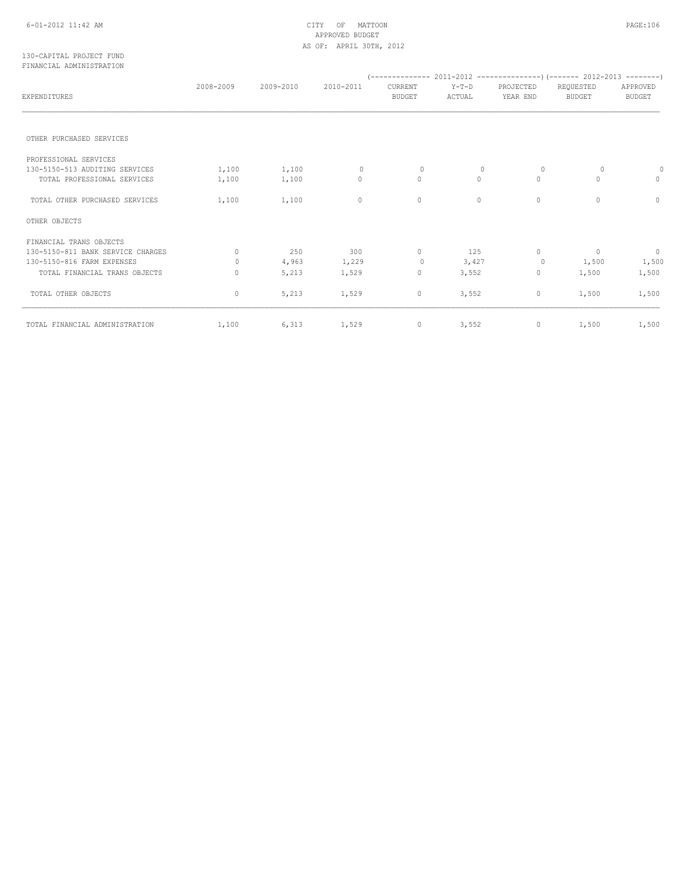#### 6-01-2012 11:42 AM CITY OF MATTOON PAGE:106 APPROVED BUDGET AS OF: APRIL 30TH, 2012

#### 130-CAPITAL PROJECT FUND FINANCIAL ADMINISTRATION

| EXPENDITURES                      | 2008-2009 | 2009-2010 | 2010-2011    | CURRENT<br><b>BUDGET</b> | $Y-T-D$<br>ACTUAL | PROJECTED<br>YEAR END | REQUESTED<br><b>BUDGET</b> | APPROVED<br><b>BUDGET</b> |
|-----------------------------------|-----------|-----------|--------------|--------------------------|-------------------|-----------------------|----------------------------|---------------------------|
| OTHER PURCHASED SERVICES          |           |           |              |                          |                   |                       |                            |                           |
| PROFESSIONAL SERVICES             |           |           |              |                          |                   |                       |                            |                           |
| 130-5150-513 AUDITING SERVICES    | 1,100     | 1,100     | $\mathbf{0}$ | $\mathbf{0}$             | 0                 | $\circ$               | 0                          | $\mathbf 0$               |
| TOTAL PROFESSIONAL SERVICES       | 1,100     | 1,100     | $\circ$      | $\circ$                  | $\circ$           | $\mathbf{0}$          | $\Omega$                   | 0                         |
| TOTAL OTHER PURCHASED SERVICES    | 1,100     | 1,100     | $\circ$      | 0                        | $\circ$           | $\circ$               | $\Omega$                   | $\Omega$                  |
| OTHER OBJECTS                     |           |           |              |                          |                   |                       |                            |                           |
| FINANCIAL TRANS OBJECTS           |           |           |              |                          |                   |                       |                            |                           |
| 130-5150-811 BANK SERVICE CHARGES | $\Omega$  | 250       | 300          | 0                        | 125               | $\circ$               | $\sim$ 0                   | $\overline{0}$            |
| 130-5150-816 FARM EXPENSES        | 0         | 4,963     | 1,229        | 0                        | 3,427             | $\circ$               | 1,500                      | 1,500                     |
| TOTAL FINANCIAL TRANS OBJECTS     | 0         | 5,213     | 1,529        | 0                        | 3,552             | $\mathbb O$           | 1,500                      | 1,500                     |
| TOTAL OTHER OBJECTS               | 0         | 5,213     | 1,529        | 0                        | 3,552             | $\mathbb O$           | 1,500                      | 1,500                     |
| TOTAL FINANCIAL ADMINISTRATION    | 1,100     | 6,313     | 1,529        | $\circ$                  | 3,552             | $\circ$               | 1,500                      | 1,500                     |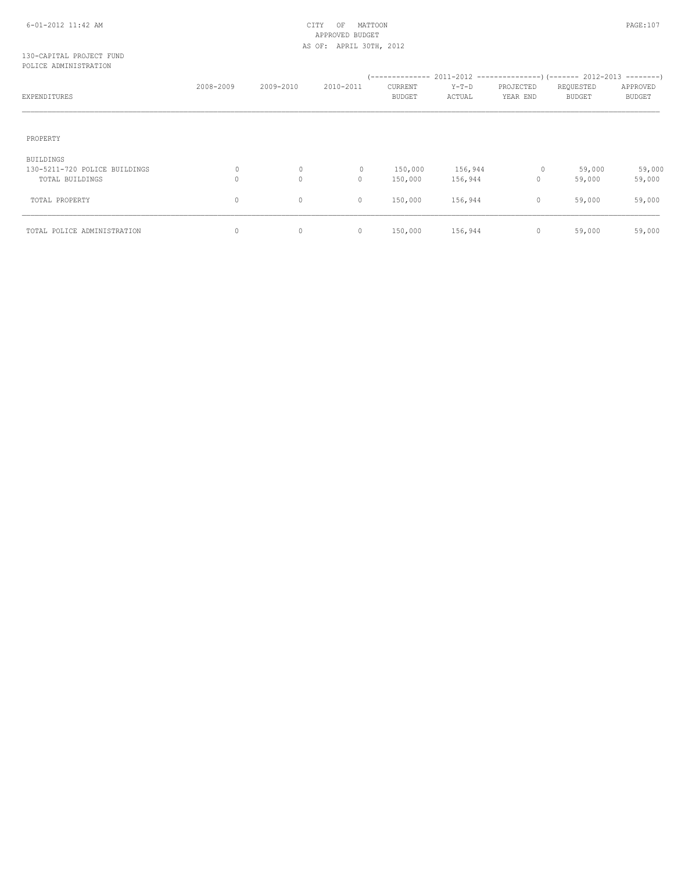#### 6-01-2012 11:42 AM CITY OF MATTOON PAGE:107 APPROVED BUDGET AS OF: APRIL 30TH, 2012

#### 130-CAPITAL PROJECT FUND POLICE ADMINISTRATION

| EXPENDITURES                               | 2008-2009 | 2009-2010    | 2010-2011    | CURRENT<br><b>BUDGET</b> | $Y-T-D$<br>ACTUAL | PROJECTED<br>YEAR END | REQUESTED<br><b>BUDGET</b> | APPROVED<br><b>BUDGET</b> |
|--------------------------------------------|-----------|--------------|--------------|--------------------------|-------------------|-----------------------|----------------------------|---------------------------|
| PROPERTY                                   |           |              |              |                          |                   |                       |                            |                           |
| BUILDINGS<br>130-5211-720 POLICE BUILDINGS | 0         | $\circ$      | $\mathbf{0}$ | 150,000                  | 156,944           | 0                     | 59,000                     | 59,000                    |
| TOTAL BUILDINGS                            | $\circ$   | $\mathbf{0}$ | 0            | 150,000                  | 156,944           | $\mathbf{0}$          | 59,000                     | 59,000                    |
| TOTAL PROPERTY                             | $\circ$   | $\mathbf 0$  | $\circ$      | 150,000                  | 156,944           | 0                     | 59,000                     | 59,000                    |
| TOTAL POLICE ADMINISTRATION                | $\circ$   | $\mathbf 0$  | $\circ$      | 150,000                  | 156,944           | 0                     | 59,000                     | 59,000                    |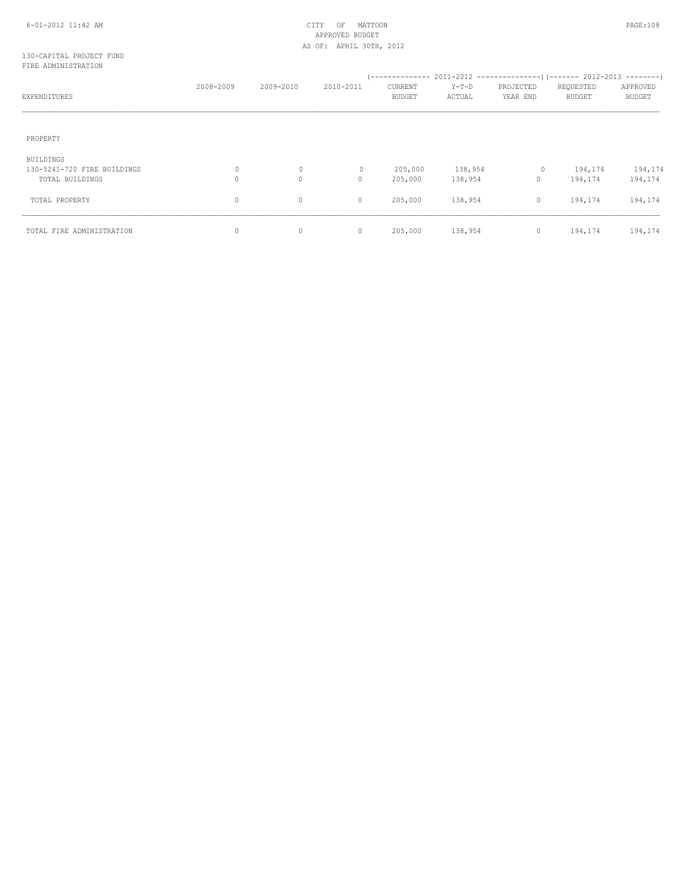# APPROVED BUDGET AS OF: APRIL 30TH, 2012

#### 130-CAPITAL PROJECT FUND FIRE ADMINISTRATION

| EXPENDITURES                                                       | 2008-2009    | 2009-2010               | 2010-2011               | CURRENT<br><b>BUDGET</b> | $Y-T-D$<br>ACTUAL  | PROJECTED<br>YEAR END   | REQUESTED<br><b>BUDGET</b> | APPROVED<br><b>BUDGET</b> |
|--------------------------------------------------------------------|--------------|-------------------------|-------------------------|--------------------------|--------------------|-------------------------|----------------------------|---------------------------|
| PROPERTY                                                           |              |                         |                         |                          |                    |                         |                            |                           |
| <b>BUILDINGS</b><br>130-5241-720 FIRE BUILDINGS<br>TOTAL BUILDINGS | 0<br>$\circ$ | $\circ$<br>$\mathbf{0}$ | $\mathbf{0}$<br>$\circ$ | 205,000<br>205,000       | 138,954<br>138,954 | $\circ$<br>$\mathbf{0}$ | 194,174<br>194,174         | 194,174<br>194,174        |
| TOTAL PROPERTY                                                     | 0            | 0                       | 0                       | 205,000                  | 138,954            | $\circ$                 | 194,174                    | 194,174                   |
| TOTAL FIRE ADMINISTRATION                                          | $\circ$      | $\circ$                 | $\circ$                 | 205,000                  | 138,954            | $\circ$                 | 194,174                    | 194,174                   |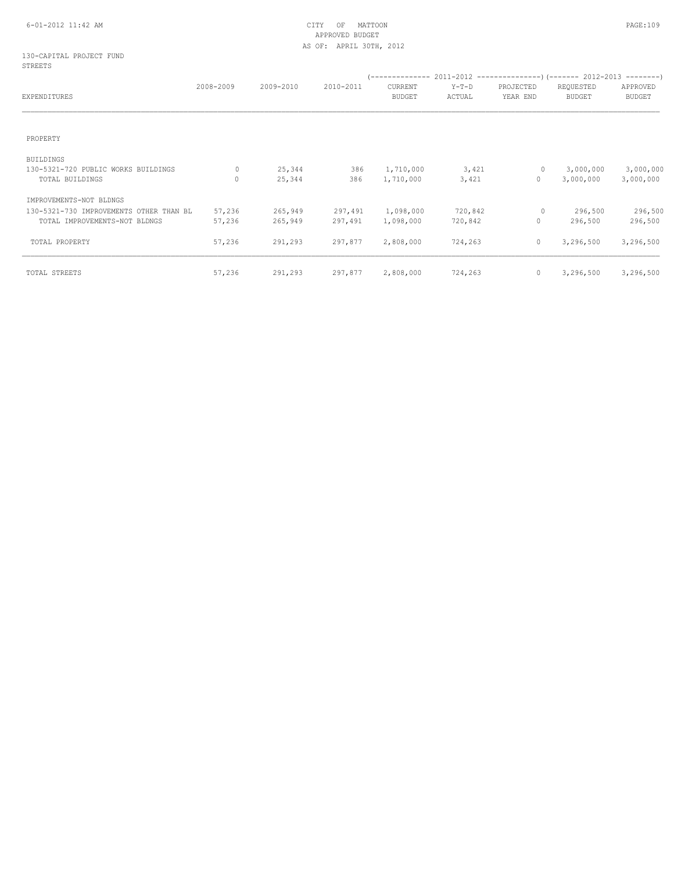#### 6-01-2012 11:42 AM CITY OF MATTOON PAGE:109 APPROVED BUDGET AS OF: APRIL 30TH, 2012

#### 130-CAPITAL PROJECT FUND STREETS

| EXPENDITURES                            | 2008-2009 | 2009-2010 | 2010-2011 | CURRENT<br><b>BUDGET</b> | $Y-T-D$<br>ACTUAL | PROJECTED<br>YEAR END | REQUESTED<br><b>BUDGET</b> | APPROVED<br><b>BUDGET</b> |
|-----------------------------------------|-----------|-----------|-----------|--------------------------|-------------------|-----------------------|----------------------------|---------------------------|
|                                         |           |           |           |                          |                   |                       |                            |                           |
| PROPERTY                                |           |           |           |                          |                   |                       |                            |                           |
| <b>BUILDINGS</b>                        |           |           |           |                          |                   |                       |                            |                           |
| 130-5321-720 PUBLIC WORKS BUILDINGS     | 0         | 25,344    | 386       | 1,710,000                | 3,421             | $\circ$               | 3,000,000                  | 3,000,000                 |
| TOTAL BUILDINGS                         | $\Omega$  | 25,344    | 386       | 1,710,000                | 3,421             | $\mathbf{0}$          | 3,000,000                  | 3,000,000                 |
| IMPROVEMENTS-NOT BLDNGS                 |           |           |           |                          |                   |                       |                            |                           |
| 130-5321-730 IMPROVEMENTS OTHER THAN BL | 57,236    | 265,949   | 297,491   | 1,098,000                | 720,842           | $\circ$               | 296,500                    | 296,500                   |
| TOTAL IMPROVEMENTS-NOT BLDNGS           | 57,236    | 265,949   | 297,491   | 1,098,000                | 720,842           | $\mathbf{0}$          | 296,500                    | 296,500                   |
| TOTAL PROPERTY                          | 57,236    | 291,293   | 297,877   | 2,808,000                | 724,263           | $\mathbf{0}$          | 3,296,500                  | 3,296,500                 |
| TOTAL STREETS                           | 57,236    | 291,293   | 297,877   | 2,808,000                | 724,263           | $\circ$               | 3,296,500                  | 3,296,500                 |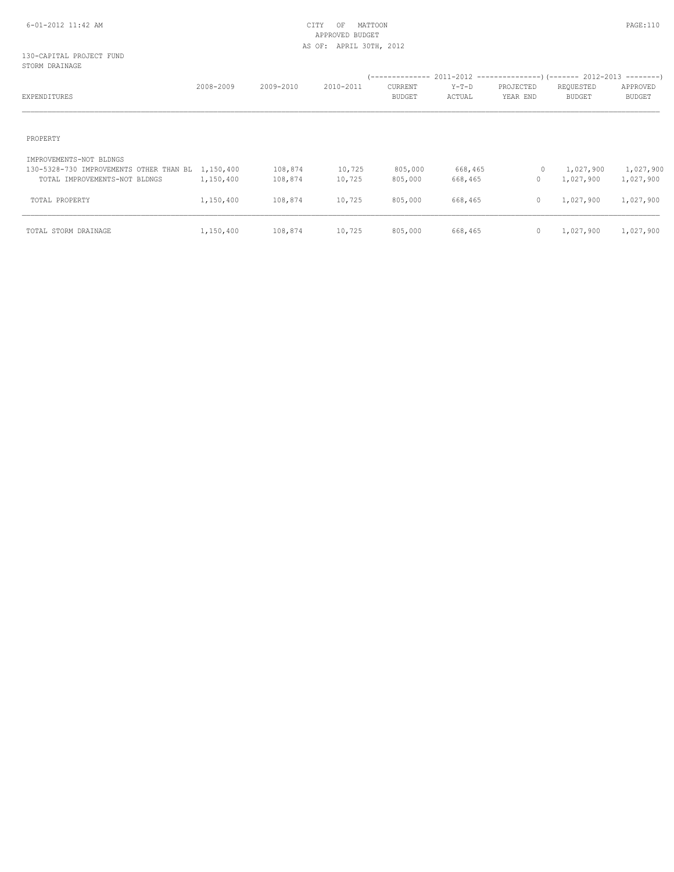# APPROVED BUDGET AS OF: APRIL 30TH, 2012

#### 130-CAPITAL PROJECT FUND STORM DRAINAGE

| EXPENDITURES                                                                 | 2008-2009 | 2009-2010 | 2010-2011 | / --------------<br>CURRENT<br><b>BUDGET</b> | $Y-T-D$<br>ACTUAL | $2011-2012$ ----------------)(------- 2012-2013 --------)<br>PROJECTED<br>YEAR END | REQUESTED<br><b>BUDGET</b> | APPROVED<br><b>BUDGET</b> |
|------------------------------------------------------------------------------|-----------|-----------|-----------|----------------------------------------------|-------------------|------------------------------------------------------------------------------------|----------------------------|---------------------------|
| PROPERTY                                                                     |           |           |           |                                              |                   |                                                                                    |                            |                           |
| IMPROVEMENTS-NOT BLDNGS<br>130-5328-730 IMPROVEMENTS OTHER THAN BL 1,150,400 |           | 108,874   | 10,725    | 805,000                                      | 668,465           | $\circ$                                                                            | 1,027,900                  | 1,027,900                 |
| TOTAL IMPROVEMENTS-NOT BLDNGS                                                | 1,150,400 | 108,874   | 10,725    | 805,000                                      | 668,465           | 0                                                                                  | 1,027,900                  | 1,027,900                 |
| TOTAL PROPERTY                                                               | 1,150,400 | 108,874   | 10,725    | 805,000                                      | 668,465           | $\mathbf{0}$                                                                       | 1,027,900                  | 1,027,900                 |
| TOTAL STORM DRAINAGE                                                         | 1,150,400 | 108,874   | 10,725    | 805,000                                      | 668,465           | $\circ$                                                                            | 1,027,900                  | 1,027,900                 |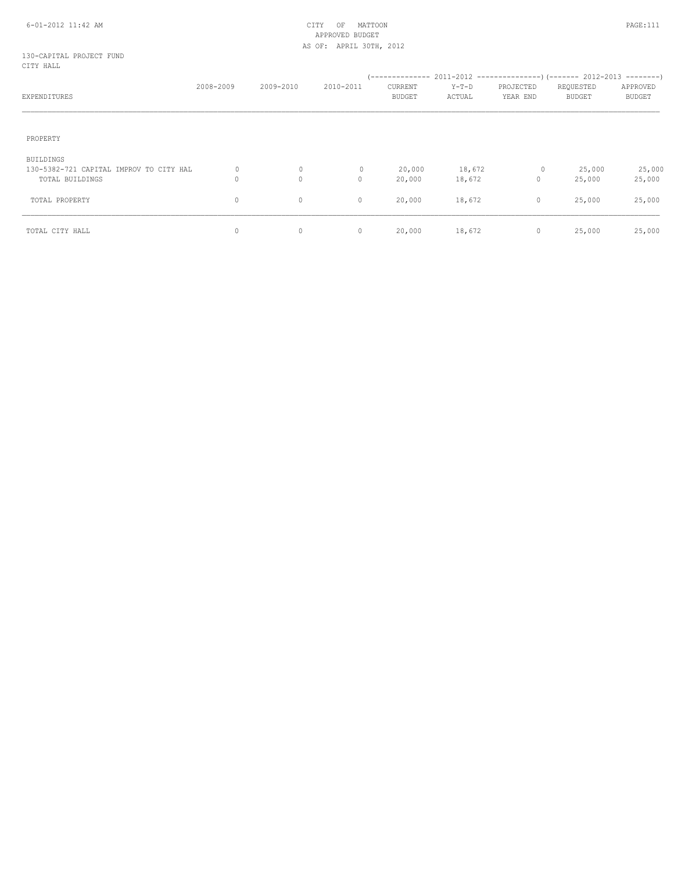#### 6-01-2012 11:42 AM CITY OF MATTOON PAGE:111 APPROVED BUDGET AS OF: APRIL 30TH, 2012

130-CAPITAL PROJECT FUND CITY HALL

| EXPENDITURES                            | 2008-2009    | 2009-2010 | 2010-2011 | / --------------<br>CURRENT<br><b>BUDGET</b> | $Y-T-D$<br>ACTUAL | PROJECTED<br>YEAR END | $2011-2012$ ---------------) (------- 2012-2013 --------)<br>REQUESTED<br><b>BUDGET</b> | APPROVED<br><b>BUDGET</b> |
|-----------------------------------------|--------------|-----------|-----------|----------------------------------------------|-------------------|-----------------------|-----------------------------------------------------------------------------------------|---------------------------|
|                                         |              |           |           |                                              |                   |                       |                                                                                         |                           |
| PROPERTY                                |              |           |           |                                              |                   |                       |                                                                                         |                           |
| <b>BUILDINGS</b>                        |              |           |           |                                              |                   |                       |                                                                                         |                           |
| 130-5382-721 CAPITAL IMPROV TO CITY HAL | $\mathbf{0}$ | $\circ$   |           | 20,000                                       | 18,672            | $\circ$               | 25,000                                                                                  | 25,000                    |
| TOTAL BUILDINGS                         | 0            | $\circ$   | $\circ$   | 20,000                                       | 18,672            | $\circ$               | 25,000                                                                                  | 25,000                    |
| TOTAL PROPERTY                          | 0            | 0         | $\circ$   | 20,000                                       | 18,672            | $\circ$               | 25,000                                                                                  | 25,000                    |
| TOTAL CITY HALL                         | 0            | $\circ$   | $\circ$   | 20,000                                       | 18,672            | $\circ$               | 25,000                                                                                  | 25,000                    |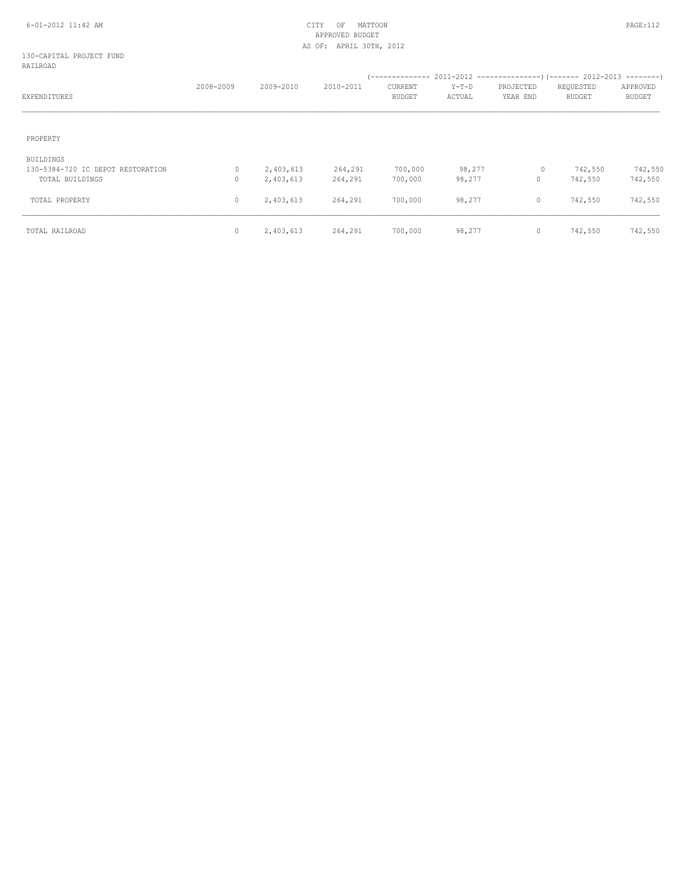# APPROVED BUDGET AS OF: APRIL 30TH, 2012

#### 130-CAPITAL PROJECT FUND RAILROAD

| EXPENDITURES                                   | 2008-2009 | 2009-2010              | 2010-2011 | CURRENT<br><b>BUDGET</b> | $Y-T-D$<br>ACTUAL | PROJECTED<br>YEAR END | REQUESTED<br><b>BUDGET</b> | APPROVED<br><b>BUDGET</b> |
|------------------------------------------------|-----------|------------------------|-----------|--------------------------|-------------------|-----------------------|----------------------------|---------------------------|
| PROPERTY                                       |           |                        |           |                          |                   |                       |                            |                           |
| BUILDINGS<br>130-5384-720 IC DEPOT RESTORATION | 0         |                        | 264,291   | 700,000                  | 98,277            | $\circ$               | 742,550                    | 742,550                   |
| TOTAL BUILDINGS                                | 0         | 2,403,613<br>2,403,613 | 264,291   | 700,000                  | 98,277            | $\mathbf 0$           | 742,550                    | 742,550                   |
| TOTAL PROPERTY                                 | 0         | 2,403,613              | 264,291   | 700,000                  | 98,277            | $\circ$               | 742,550                    | 742,550                   |
| TOTAL RAILROAD                                 | $\circ$   | 2,403,613              | 264,291   | 700,000                  | 98,277            | $\mathbf 0$           | 742,550                    | 742,550                   |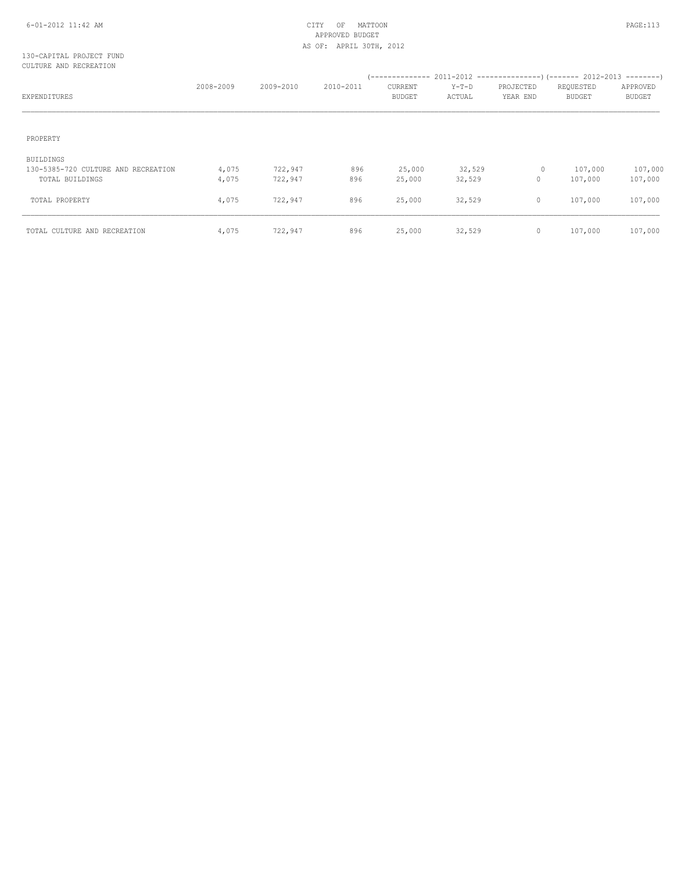#### 6-01-2012 11:42 AM CITY OF MATTOON PAGE:113 APPROVED BUDGET AS OF: APRIL 30TH, 2012

#### 130-CAPITAL PROJECT FUND CULTURE AND RECREATION

| EXPENDITURES                                                        | 2008-2009      | 2009-2010          | 2010-2011  | CURRENT<br><b>BUDGET</b> | $Y-T-D$<br>ACTUAL | PROJECTED<br>YEAR END | REQUESTED<br><b>BUDGET</b> | APPROVED<br><b>BUDGET</b> |
|---------------------------------------------------------------------|----------------|--------------------|------------|--------------------------|-------------------|-----------------------|----------------------------|---------------------------|
| PROPERTY                                                            |                |                    |            |                          |                   |                       |                            |                           |
| BUILDINGS<br>130-5385-720 CULTURE AND RECREATION<br>TOTAL BUILDINGS | 4,075<br>4,075 | 722,947<br>722,947 | 896<br>896 | 25,000<br>25,000         | 32,529<br>32,529  | $\circ$<br>0          | 107,000<br>107,000         | 107,000<br>107,000        |
| TOTAL PROPERTY                                                      | 4,075          | 722,947            | 896        | 25,000                   | 32,529            | 0                     | 107,000                    | 107,000                   |
| TOTAL CULTURE AND RECREATION                                        | 4,075          | 722,947            | 896        | 25,000                   | 32,529            | 0                     | 107,000                    | 107,000                   |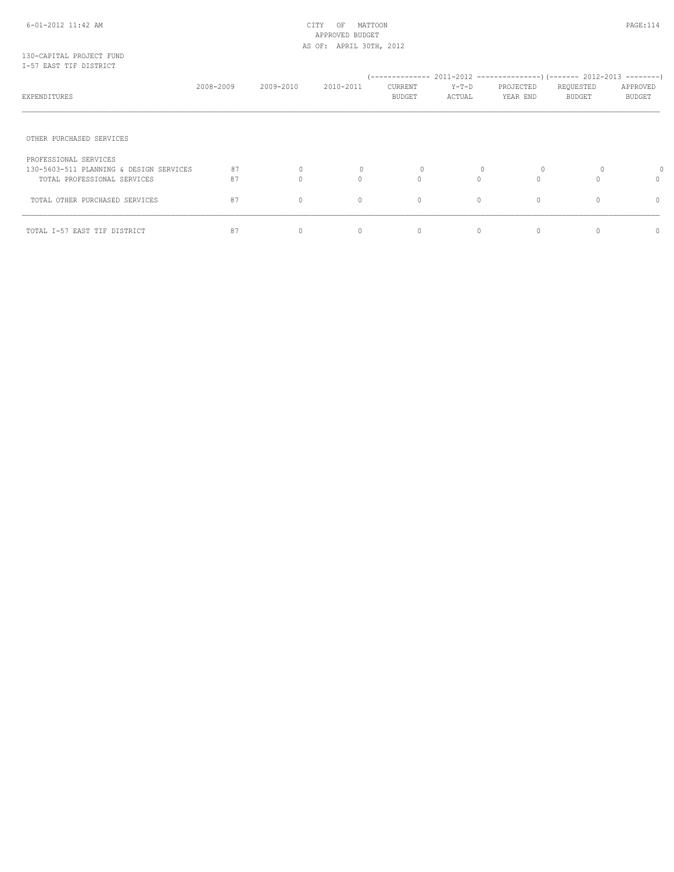## APPROVED BUDGET AS OF: APRIL 30TH, 2012

#### 130-CAPITAL PROJECT FUND I-57 EAST TIF DISTRICT

| EXPENDITURES                                                                                    | 2008-2009 | 2009-2010           | 2010-2011   | CURRENT<br>BUDGET        | $Y-T-D$<br>ACTUAL | PROJECTED<br>YEAR END | REQUESTED<br><b>BUDGET</b> | APPROVED<br><b>BUDGET</b> |
|-------------------------------------------------------------------------------------------------|-----------|---------------------|-------------|--------------------------|-------------------|-----------------------|----------------------------|---------------------------|
| OTHER PURCHASED SERVICES                                                                        |           |                     |             |                          |                   |                       |                            |                           |
| PROFESSIONAL SERVICES<br>130-5603-511 PLANNING & DESIGN SERVICES<br>TOTAL PROFESSIONAL SERVICES | 87<br>87  | $\circ$<br>$\Omega$ | 0<br>$\cap$ | $\mathbf{0}$<br>$\Omega$ | 0<br>$\cap$       | O<br>$\Omega$         | 0                          | $\Omega$                  |
| TOTAL OTHER PURCHASED SERVICES                                                                  | 87        | $\circ$             | $\circ$     | 0                        | $\mathbf{0}$      | $\mathbf{0}$          |                            | 0                         |
| TOTAL I-57 EAST TIF DISTRICT                                                                    | 87        | $\circ$             | $\circ$     | 0                        | $\Omega$          | $\mathbf{0}$          |                            | Λ                         |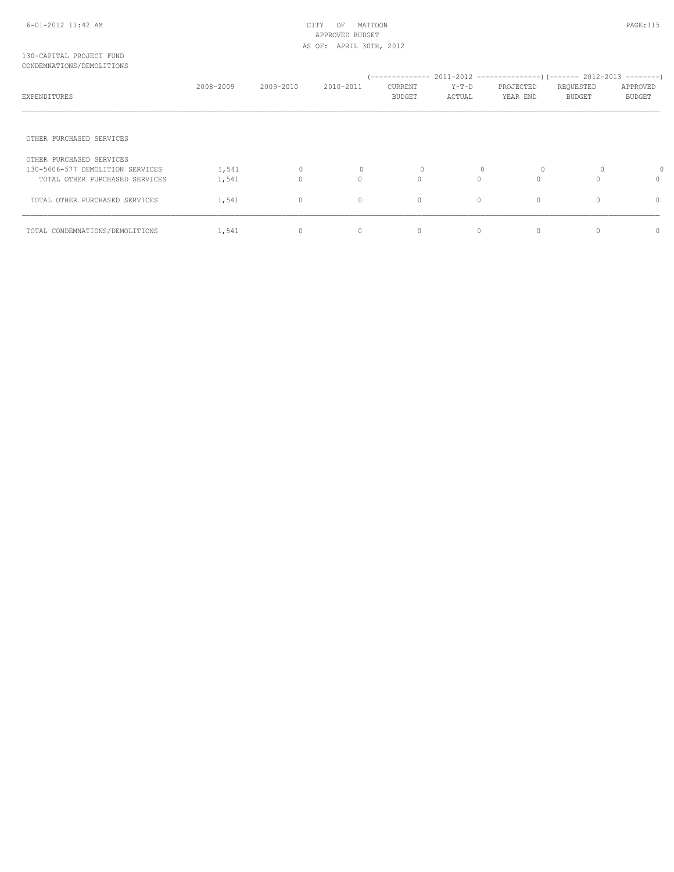#### 6-01-2012 11:42 AM CITY OF MATTOON PAGE:115 APPROVED BUDGET AS OF: APRIL 30TH, 2012

#### 130-CAPITAL PROJECT FUND CONDEMNATIONS/DEMOLITIONS

| EXPENDITURES                     | 2008-2009 | 2009-2010    | 2010-2011 | CURRENT<br>BUDGET | $Y-T-D$<br>ACTUAL | PROJECTED<br>YEAR END | REQUESTED<br><b>BUDGET</b> | APPROVED<br><b>BUDGET</b> |
|----------------------------------|-----------|--------------|-----------|-------------------|-------------------|-----------------------|----------------------------|---------------------------|
| OTHER PURCHASED SERVICES         |           |              |           |                   |                   |                       |                            |                           |
| OTHER PURCHASED SERVICES         |           |              |           |                   |                   |                       |                            |                           |
| 130-5606-577 DEMOLITION SERVICES | 1,541     | 0            | 0         | $\mathbf{0}$      | 0                 | 0                     | 0                          |                           |
| TOTAL OTHER PURCHASED SERVICES   | 1,541     | $\mathbf{0}$ | $\Omega$  | $\Omega$          | $\Omega$          | $\Omega$              |                            | $\Omega$                  |
| TOTAL OTHER PURCHASED SERVICES   | 1,541     | $\circ$      | $\circ$   | 0                 | $\circ$           | $\circ$               |                            | 0                         |
| TOTAL CONDEMNATIONS/DEMOLITIONS  | 1,541     | 0            | 0         | 0                 | $\circ$           | $\mathbf{0}$          |                            | 0                         |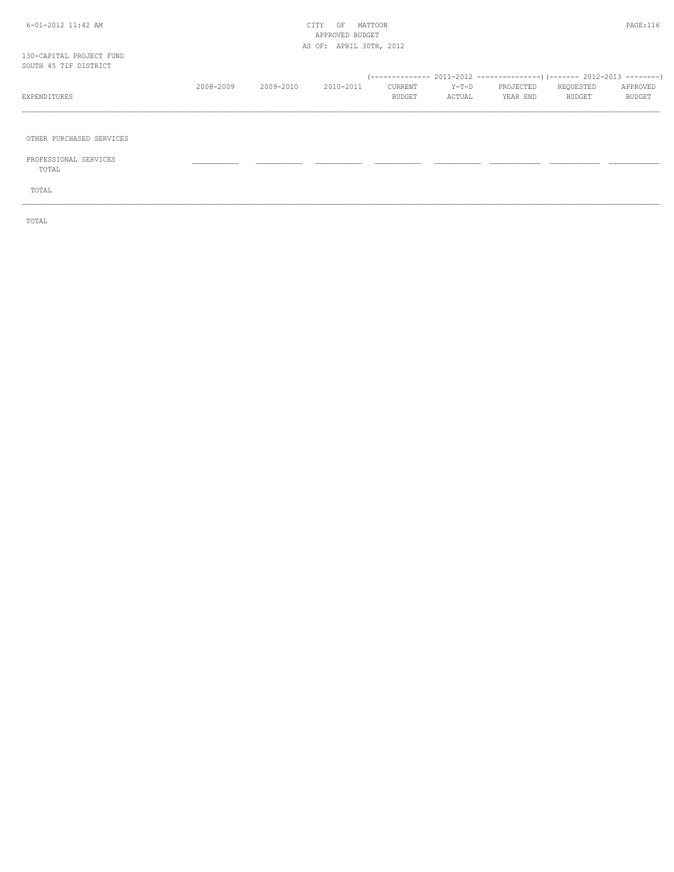#### 6-01-2012 11:42 AM CITY OF MATTOON PAGE:116 APPROVED BUDGET AS OF: APRIL 30TH, 2012

\_\_\_\_\_\_\_\_\_\_\_\_\_\_\_\_\_\_\_\_\_\_\_\_\_\_\_\_\_\_\_\_\_\_\_\_\_\_\_\_\_\_\_\_\_\_\_\_\_\_\_\_\_\_\_\_\_\_\_\_\_\_\_\_\_\_\_\_\_\_\_\_\_\_\_\_\_\_\_\_\_\_\_\_\_\_\_\_\_\_\_\_\_\_\_\_\_\_\_\_\_\_\_\_\_\_\_\_\_\_\_\_\_\_\_\_\_\_\_\_\_\_\_\_\_\_\_\_\_\_\_\_\_\_\_\_\_\_\_\_\_\_\_\_\_\_\_\_\_\_

\_\_\_\_\_\_\_\_\_\_\_\_\_\_\_\_\_\_\_\_\_\_\_\_\_\_\_\_\_\_\_\_\_\_\_\_\_\_\_\_\_\_\_\_\_\_\_\_\_\_\_\_\_\_\_\_\_\_\_\_\_\_\_\_\_\_\_\_\_\_\_\_\_\_\_\_\_\_\_\_\_\_\_\_\_\_\_\_\_\_\_\_\_\_\_\_\_\_\_\_\_\_\_\_\_\_\_\_\_\_\_\_\_\_\_\_\_\_\_\_\_\_\_\_\_\_\_\_\_\_\_\_\_\_\_\_\_\_\_\_\_\_\_\_\_\_\_\_\_\_

OTHER PURCHASED SERVICES

 PROFESSIONAL SERVICES \_\_\_\_\_\_\_\_\_\_\_ \_\_\_\_\_\_\_\_\_\_\_ \_\_\_\_\_\_\_\_\_\_\_ \_\_\_\_\_\_\_\_\_\_\_ \_\_\_\_\_\_\_\_\_\_\_ \_\_\_\_\_\_\_\_\_\_\_\_ \_\_\_\_\_\_\_\_\_\_\_\_ \_\_\_\_\_\_\_\_\_\_\_\_ TOTAL

TOTAL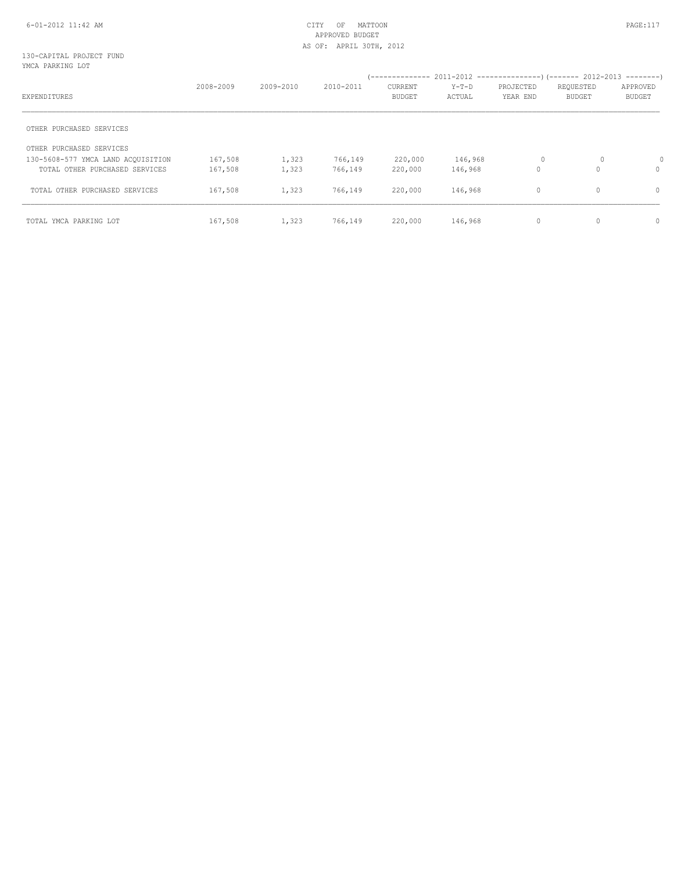#### 6-01-2012 11:42 AM CITY OF MATTOON PAGE:117 APPROVED BUDGET AS OF: APRIL 30TH, 2012

#### 130-CAPITAL PROJECT FUND YMCA PARKING LOT

|                                    | 2008-2009 | 2009-2010 | 2010-2011 | <b>CURRENT</b> | $Y-T-D$ | PROJECTED                                                                            | REQUESTED     | APPROVED |
|------------------------------------|-----------|-----------|-----------|----------------|---------|--------------------------------------------------------------------------------------|---------------|----------|
| EXPENDITURES                       |           |           |           | <b>BUDGET</b>  | ACTUAL  | YEAR END<br><b>BUDGET</b><br>0<br>0<br>146,968<br>$\mathbf 0$<br>$\Omega$<br>146,968 | <b>BUDGET</b> |          |
| OTHER PURCHASED SERVICES           |           |           |           |                |         |                                                                                      |               |          |
| OTHER PURCHASED SERVICES           |           |           |           |                |         |                                                                                      |               |          |
| 130-5608-577 YMCA LAND ACOUISITION | 167,508   | 1,323     | 766,149   | 220,000        |         |                                                                                      |               | 0        |
| TOTAL OTHER PURCHASED SERVICES     | 167,508   | 1,323     | 766,149   | 220,000        |         |                                                                                      |               | 0        |
| TOTAL OTHER PURCHASED SERVICES     | 167,508   | 1,323     | 766,149   | 220,000        | 146,968 | $\circ$                                                                              | $\Omega$      | 0        |
| TOTAL YMCA PARKING LOT             | 167,508   | 1,323     | 766,149   | 220,000        | 146,968 | $\mathbf{0}$                                                                         | 0             | 0        |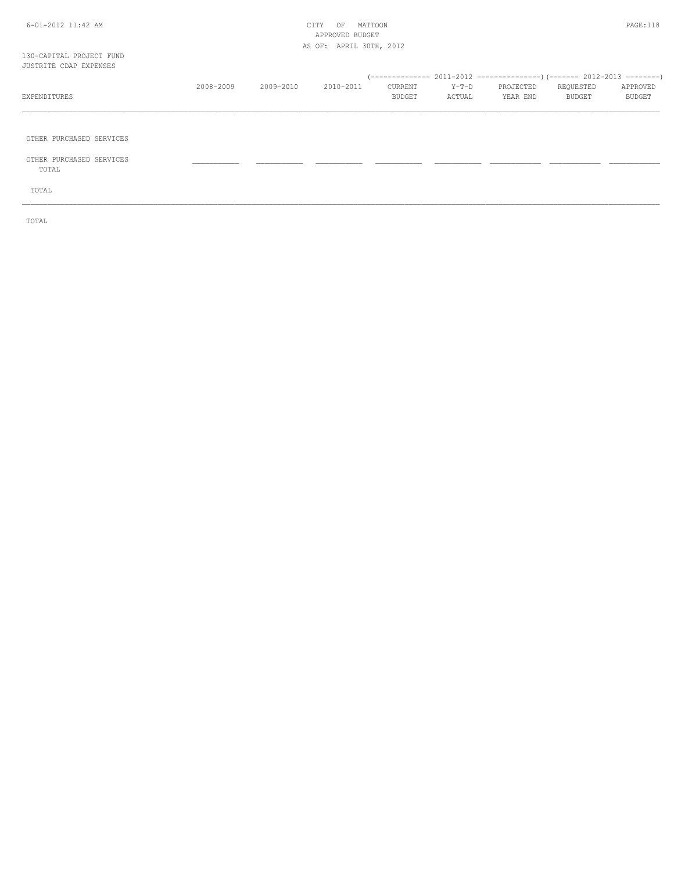#### 6-01-2012 11:42 AM CITY OF MATTOON PAGE:118 APPROVED BUDGET AS OF: APRIL 30TH, 2012

#### 130-CAPITAL PROJECT FUND JUSTRITE CDAP EXPENSES

| JUSTRITE CDAP EXPENSES |           |           |           |               |        |           |           |               |
|------------------------|-----------|-----------|-----------|---------------|--------|-----------|-----------|---------------|
|                        |           |           |           |               |        |           |           |               |
|                        | 2008-2009 | 2009-2010 | 2010-2011 | CURRENT       | Y-T-D  | PROJECTED | REOUESTED | APPROVED      |
| EXPENDITURES           |           |           |           | <b>BUDGET</b> | ACTUAL | YEAR END  | BUDGET    | <b>BUDGET</b> |
|                        |           |           |           |               |        |           |           |               |

\_\_\_\_\_\_\_\_\_\_\_\_\_\_\_\_\_\_\_\_\_\_\_\_\_\_\_\_\_\_\_\_\_\_\_\_\_\_\_\_\_\_\_\_\_\_\_\_\_\_\_\_\_\_\_\_\_\_\_\_\_\_\_\_\_\_\_\_\_\_\_\_\_\_\_\_\_\_\_\_\_\_\_\_\_\_\_\_\_\_\_\_\_\_\_\_\_\_\_\_\_\_\_\_\_\_\_\_\_\_\_\_\_\_\_\_\_\_\_\_\_\_\_\_\_\_\_\_\_\_\_\_\_\_\_\_\_\_\_\_\_\_\_\_\_\_\_\_\_\_

OTHER PURCHASED SERVICES

 OTHER PURCHASED SERVICES \_\_\_\_\_\_\_\_\_\_\_ \_\_\_\_\_\_\_\_\_\_\_ \_\_\_\_\_\_\_\_\_\_\_ \_\_\_\_\_\_\_\_\_\_\_ \_\_\_\_\_\_\_\_\_\_\_ \_\_\_\_\_\_\_\_\_\_\_\_ \_\_\_\_\_\_\_\_\_\_\_\_ \_\_\_\_\_\_\_\_\_\_\_\_ TOTAL

TOTAL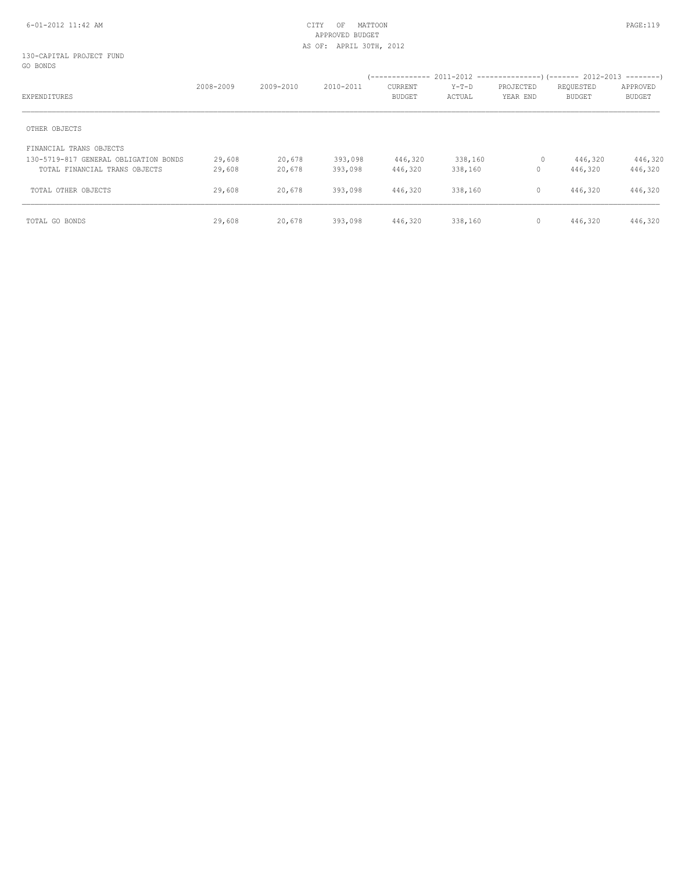## APPROVED BUDGET AS OF: APRIL 30TH, 2012

#### 130-CAPITAL PROJECT FUND GO BONDS

| EXPENDITURES                          | 2008-2009 | 2009-2010 | 2010-2011 | <b>CURRENT</b><br><b>BUDGET</b> | $Y-T-D$<br>ACTUAL | PROJECTED<br>YEAR END | REQUESTED<br><b>BUDGET</b> | APPROVED<br><b>BUDGET</b> |
|---------------------------------------|-----------|-----------|-----------|---------------------------------|-------------------|-----------------------|----------------------------|---------------------------|
| OTHER OBJECTS                         |           |           |           |                                 |                   |                       |                            |                           |
| FINANCIAL TRANS OBJECTS               |           |           |           |                                 |                   |                       |                            |                           |
| 130-5719-817 GENERAL OBLIGATION BONDS | 29,608    | 20,678    | 393,098   | 446,320                         | 338,160           | $\circ$               | 446,320                    | 446,320                   |
| TOTAL FINANCIAL TRANS OBJECTS         | 29,608    | 20,678    | 393,098   | 446,320                         | 338,160           | 0                     | 446,320                    | 446,320                   |
| TOTAL OTHER OBJECTS                   | 29,608    | 20,678    | 393,098   | 446,320                         | 338,160           | $\mathbf{0}$          | 446,320                    | 446,320                   |
| TOTAL GO BONDS                        | 29,608    | 20,678    | 393,098   | 446,320                         | 338,160           | $\circ$               | 446,320                    | 446,320                   |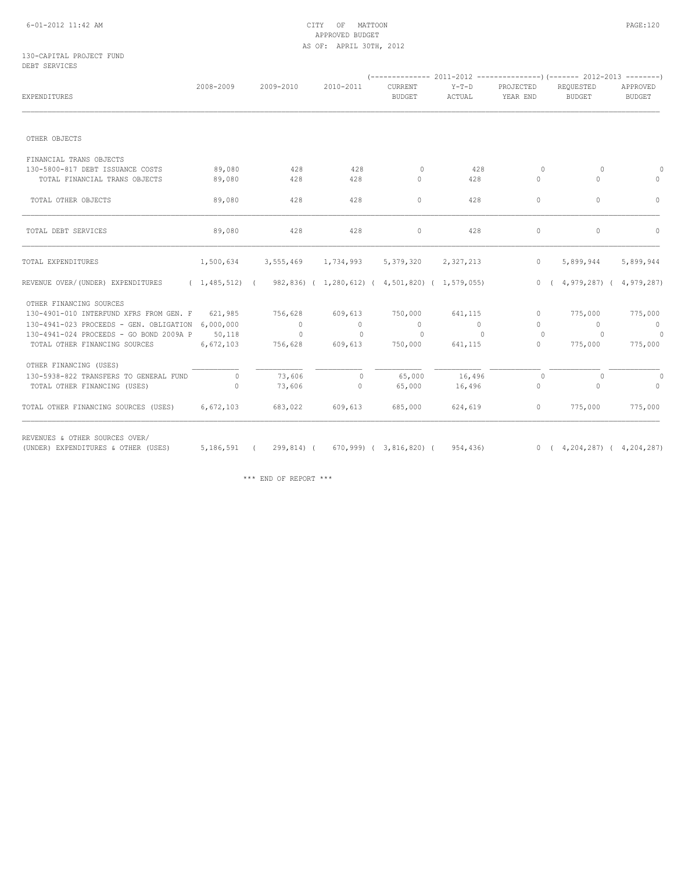#### 6-01-2012 11:42 AM CITY OF MATTOON PAGE:120 APPROVED BUDGET AS OF: APRIL 30TH, 2012

#### 130-CAPITAL PROJECT FUND DEBT SERVICES

| <b>EXPENDITURES</b>                               | 2008-2009 | 2009-2010                                                           | 2010-2011      | CURRENT<br><b>BUDGET</b> | $Y-T-D$<br>ACTUAL | PROJECTED<br>YEAR END | REQUESTED<br><b>BUDGET</b> | APPROVED<br><b>BUDGET</b> |
|---------------------------------------------------|-----------|---------------------------------------------------------------------|----------------|--------------------------|-------------------|-----------------------|----------------------------|---------------------------|
|                                                   |           |                                                                     |                |                          |                   |                       |                            |                           |
| OTHER OBJECTS                                     |           |                                                                     |                |                          |                   |                       |                            |                           |
| FINANCIAL TRANS OBJECTS                           |           |                                                                     |                |                          |                   |                       |                            |                           |
| 130-5800-817 DEBT ISSUANCE COSTS                  | 89,080    | 428                                                                 | 428            | $\circ$                  | 428               | $\circ$               | $\Omega$                   | $\Omega$                  |
| TOTAL FINANCIAL TRANS OBJECTS                     | 89,080    | 428                                                                 | 428            | $\circ$                  | 428               | $\mathbf{0}$          | $\circ$                    | $\circ$                   |
| TOTAL OTHER OBJECTS                               | 89,080    | 428                                                                 | 428            | $\circ$                  | 428               | $\mathbf{0}$          | $\circ$                    | $\Omega$                  |
| TOTAL DEBT SERVICES                               | 89,080    | 428                                                                 | 428            | $\circ$                  | 428               | $\Omega$              | $\circ$                    | $\Omega$                  |
| TOTAL EXPENDITURES                                | 1,500,634 | 3,555,469                                                           | 1,734,993      | 5,379,320                | 2,327,213         | $\circ$               | 5,899,944                  | 5,899,944                 |
| REVENUE OVER/(UNDER) EXPENDITURES                 |           | $(1,485,512)$ $(982,836)$ $(1,280,612)$ $(4,501,820)$ $(1,579,055)$ |                |                          |                   | 0(                    | $4,979,287$ (              | 4,979,287)                |
| OTHER FINANCING SOURCES                           |           |                                                                     |                |                          |                   |                       |                            |                           |
| 130-4901-010 INTERFUND XFRS FROM GEN. F 621,985   |           | 756,628                                                             | 609,613        | 750,000                  | 641,115           | $\circ$               | 775,000                    | 775,000                   |
| 130-4941-023 PROCEEDS - GEN. OBLIGATION 6,000,000 |           | $\circ$                                                             | $\circ$        | $\circ$                  | $\circ$           | $\Omega$              | $\overline{0}$             | $\overline{0}$            |
| 130-4941-024 PROCEEDS - GO BOND 2009A P           | 50,118    | $\circ$                                                             | $\overline{0}$ | $\mathbf{0}$             | $\circ$           | $\circ$               | $\circ$                    | $\overline{0}$            |
| TOTAL OTHER FINANCING SOURCES                     | 6,672,103 | 756,628                                                             | 609,613        | 750,000                  | 641,115           | $\circ$               | 775,000                    | 775,000                   |
| OTHER FINANCING (USES)                            |           |                                                                     |                |                          |                   |                       |                            |                           |
| 130-5938-822 TRANSFERS TO GENERAL FUND            | $\circ$   | 73,606                                                              | $\mathbf{0}$   | 65,000                   | 16,496            | $\Omega$              | $\Omega$                   | $\Omega$                  |
| TOTAL OTHER FINANCING (USES)                      | $\Omega$  | 73,606                                                              | 0              | 65,000                   | 16,496            | 0                     | $\circ$                    | $\circ$                   |
| TOTAL OTHER FINANCING SOURCES (USES)              | 6,672,103 | 683,022                                                             | 609,613        | 685,000                  | 624,619           | $\circ$               | 775,000                    | 775,000                   |

(UNDER) EXPENDITURES & OTHER (USES) 5,186,591 ( 299,814) ( 670,999) ( 3,816,820) ( 954,436) 0 ( 4,204,287) ( 4,204,287)

\*\*\* END OF REPORT \*\*\*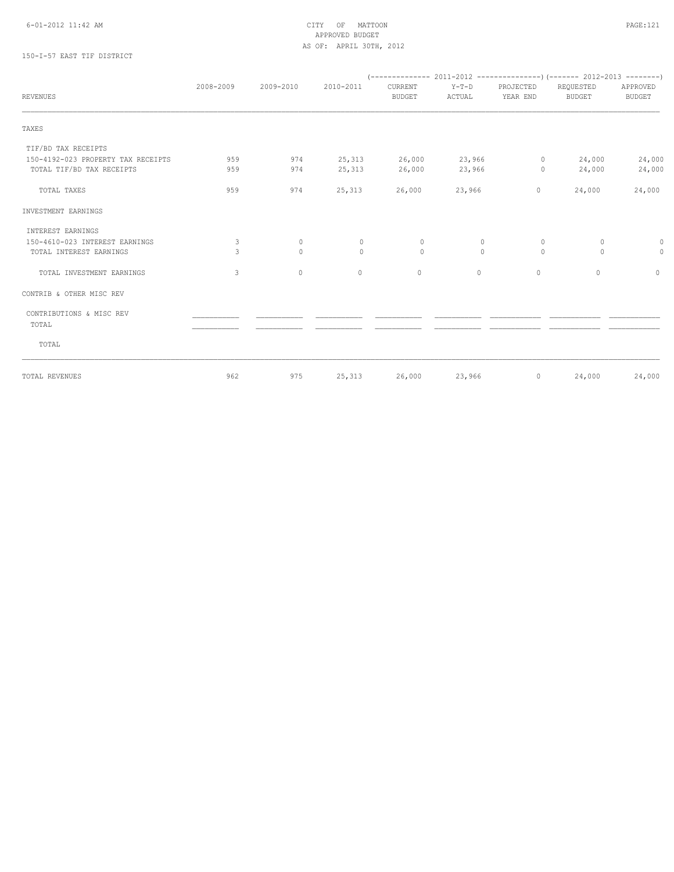#### 6-01-2012 11:42 AM CITY OF MATTOON PAGE:121 APPROVED BUDGET AS OF: APRIL 30TH, 2012

## 150-I-57 EAST TIF DISTRICT

|                                    | 2008-2009 | 2009-2010    | 2010-2011 | CURRENT       | Y-T-D    | PROJECTED | REQUESTED     | APPROVED      |
|------------------------------------|-----------|--------------|-----------|---------------|----------|-----------|---------------|---------------|
| <b>REVENUES</b>                    |           |              |           | <b>BUDGET</b> | ACTUAL   | YEAR END  | <b>BUDGET</b> | <b>BUDGET</b> |
| TAXES                              |           |              |           |               |          |           |               |               |
| TIF/BD TAX RECEIPTS                |           |              |           |               |          |           |               |               |
| 150-4192-023 PROPERTY TAX RECEIPTS | 959       | 974          | 25,313    | 26,000        | 23,966   | $\circ$   | 24,000        | 24,000        |
| TOTAL TIF/BD TAX RECEIPTS          | 959       | 974          | 25,313    | 26,000        | 23,966   | $\circ$   | 24,000        | 24,000        |
| TOTAL TAXES                        | 959       | 974          | 25,313    | 26,000        | 23,966   | $\circ$   | 24,000        | 24,000        |
| INVESTMENT EARNINGS                |           |              |           |               |          |           |               |               |
| INTEREST EARNINGS                  |           |              |           |               |          |           |               |               |
| 150-4610-023 INTEREST EARNINGS     | 3         | $\circ$      | $\circ$   | $\mathbf 0$   | 0        | $\circ$   | $\circ$       | 0             |
| TOTAL INTEREST EARNINGS            | 3         | $\Omega$     | $\Omega$  | $\Omega$      | $\Omega$ | $\Omega$  | $\circ$       | $\circ$       |
| TOTAL INVESTMENT EARNINGS          | 3         | $\mathbf{0}$ | $\circ$   | $\circ$       | $\circ$  | $\circ$   | $\circ$       | $\circ$       |
| CONTRIB & OTHER MISC REV           |           |              |           |               |          |           |               |               |
| CONTRIBUTIONS & MISC REV           |           |              |           |               |          |           |               |               |
| TOTAL                              |           |              |           |               |          |           |               |               |
| TOTAL                              |           |              |           |               |          |           |               |               |
| TOTAL REVENUES                     | 962       | 975          | 25,313    | 26,000        | 23,966   | $\circ$   | 24,000        | 24,000        |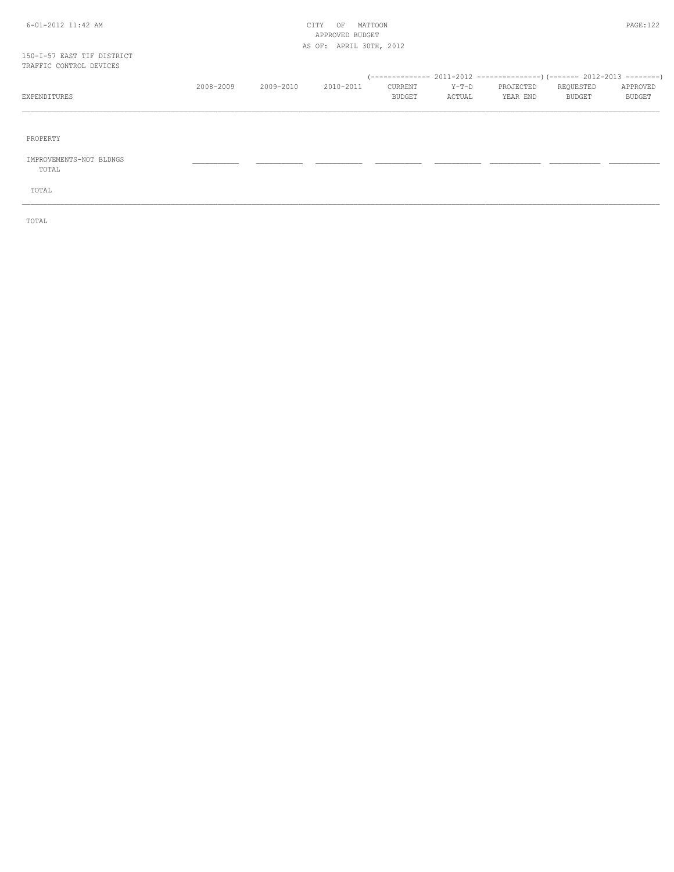#### 6-01-2012 11:42 AM CITY OF MATTOON PAGE:122 APPROVED BUDGET AS OF: APRIL 30TH, 2012

#### 150-I-57 EAST TIF DISTRICT TRAFFIC CONTROL DEVICES

|              | 2008-2009 | 2009-2010 | $2010 - 2011$ | CURRENT       | $Y-T-D$ | PROJECTED | REOUESTED     | APPROVED      |
|--------------|-----------|-----------|---------------|---------------|---------|-----------|---------------|---------------|
| EXPENDITURES |           |           |               | <b>BUDGET</b> | ACTUAL  | YEAR END  | <b>BUDGET</b> | <b>BUDGET</b> |
|              |           |           |               |               |         |           |               |               |

\_\_\_\_\_\_\_\_\_\_\_\_\_\_\_\_\_\_\_\_\_\_\_\_\_\_\_\_\_\_\_\_\_\_\_\_\_\_\_\_\_\_\_\_\_\_\_\_\_\_\_\_\_\_\_\_\_\_\_\_\_\_\_\_\_\_\_\_\_\_\_\_\_\_\_\_\_\_\_\_\_\_\_\_\_\_\_\_\_\_\_\_\_\_\_\_\_\_\_\_\_\_\_\_\_\_\_\_\_\_\_\_\_\_\_\_\_\_\_\_\_\_\_\_\_\_\_\_\_\_\_\_\_\_\_\_\_\_\_\_\_\_\_\_\_\_\_\_\_\_

PROPERTY

## IMPROVEMENTS-NOT BLDNGS \_\_\_\_\_\_\_\_\_\_\_ \_\_\_\_\_\_\_\_\_\_\_ \_\_\_\_\_\_\_\_\_\_\_ \_\_\_\_\_\_\_\_\_\_\_ \_\_\_\_\_\_\_\_\_\_\_ \_\_\_\_\_\_\_\_\_\_\_\_ \_\_\_\_\_\_\_\_\_\_\_\_ \_\_\_\_\_\_\_\_\_\_\_\_

TOTAL

TOTAL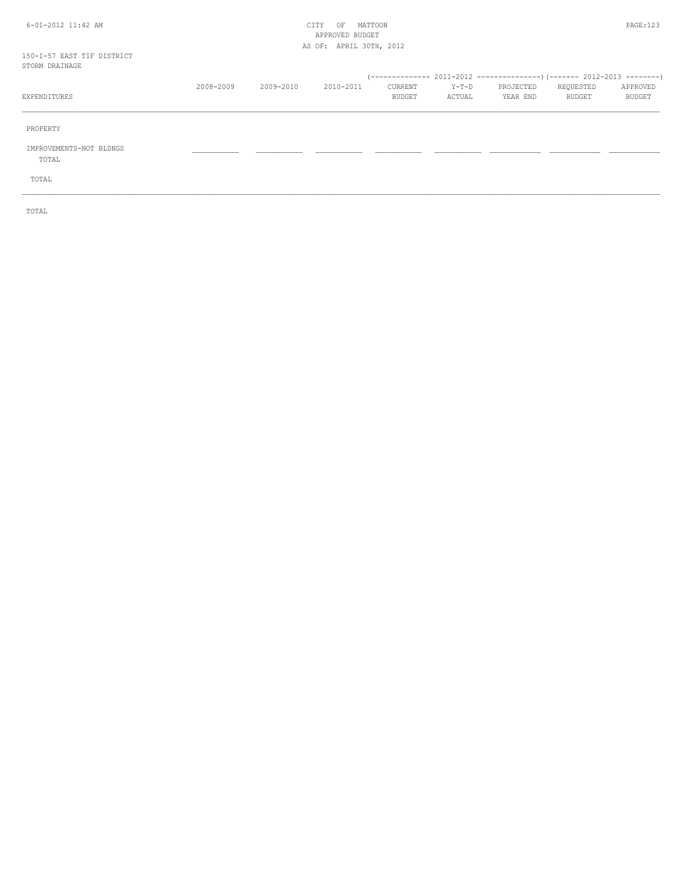#### 6-01-2012 11:42 AM CITY OF MATTOON PAGE:123 APPROVED BUDGET AS OF: APRIL 30TH, 2012

#### 150-I-57 EAST TIF DISTRICT  $ST$

| STORM DRAINAGE                   |           |           |           |                   |                   |                       |                     |                    |
|----------------------------------|-----------|-----------|-----------|-------------------|-------------------|-----------------------|---------------------|--------------------|
| EXPENDITURES                     | 2008-2009 | 2009-2010 | 2010-2011 | CURRENT<br>BUDGET | $Y-T-D$<br>ACTUAL | PROJECTED<br>YEAR END | REQUESTED<br>BUDGET | APPROVED<br>BUDGET |
| PROPERTY                         |           |           |           |                   |                   |                       |                     |                    |
| IMPROVEMENTS-NOT BLDNGS<br>TOTAL |           |           |           |                   |                   |                       |                     |                    |
| TOTAL                            |           |           |           |                   |                   |                       |                     |                    |

\_\_\_\_\_\_\_\_\_\_\_\_\_\_\_\_\_\_\_\_\_\_\_\_\_\_\_\_\_\_\_\_\_\_\_\_\_\_\_\_\_\_\_\_\_\_\_\_\_\_\_\_\_\_\_\_\_\_\_\_\_\_\_\_\_\_\_\_\_\_\_\_\_\_\_\_\_\_\_\_\_\_\_\_\_\_\_\_\_\_\_\_\_\_\_\_\_\_\_\_\_\_\_\_\_\_\_\_\_\_\_\_\_\_\_\_\_\_\_\_\_\_\_\_\_\_\_\_\_\_\_\_\_\_\_\_\_\_\_\_\_\_\_\_\_\_\_\_\_\_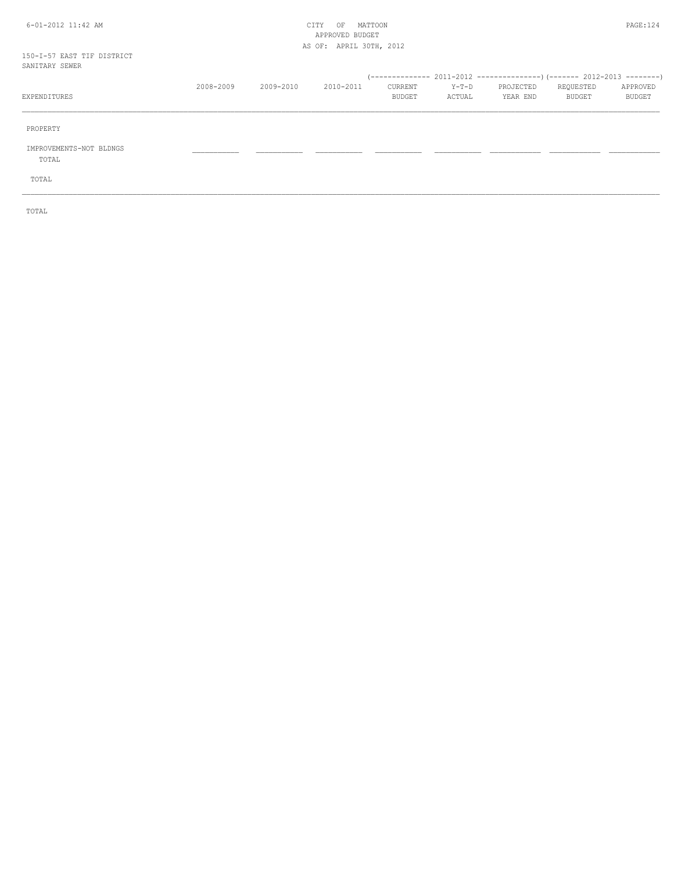#### 6-01-2012 11:42 AM CITY OF MATTOON PAGE:124 APPROVED BUDGET AS OF: APRIL 30TH, 2012

150-I-57 EAST TIF DISTRICT

| SANITARY SEWER                   |           |           |           |                   |                 |                       |                     |                           |
|----------------------------------|-----------|-----------|-----------|-------------------|-----------------|-----------------------|---------------------|---------------------------|
| EXPENDITURES                     | 2008-2009 | 2009-2010 | 2010-2011 | CURRENT<br>BUDGET | Y-T-D<br>ACTUAL | PROJECTED<br>YEAR END | REQUESTED<br>BUDGET | APPROVED<br><b>BUDGET</b> |
| PROPERTY                         |           |           |           |                   |                 |                       |                     |                           |
| IMPROVEMENTS-NOT BLDNGS<br>TOTAL |           |           |           |                   |                 |                       |                     |                           |
| TOTAL                            |           |           |           |                   |                 |                       |                     |                           |

\_\_\_\_\_\_\_\_\_\_\_\_\_\_\_\_\_\_\_\_\_\_\_\_\_\_\_\_\_\_\_\_\_\_\_\_\_\_\_\_\_\_\_\_\_\_\_\_\_\_\_\_\_\_\_\_\_\_\_\_\_\_\_\_\_\_\_\_\_\_\_\_\_\_\_\_\_\_\_\_\_\_\_\_\_\_\_\_\_\_\_\_\_\_\_\_\_\_\_\_\_\_\_\_\_\_\_\_\_\_\_\_\_\_\_\_\_\_\_\_\_\_\_\_\_\_\_\_\_\_\_\_\_\_\_\_\_\_\_\_\_\_\_\_\_\_\_\_\_\_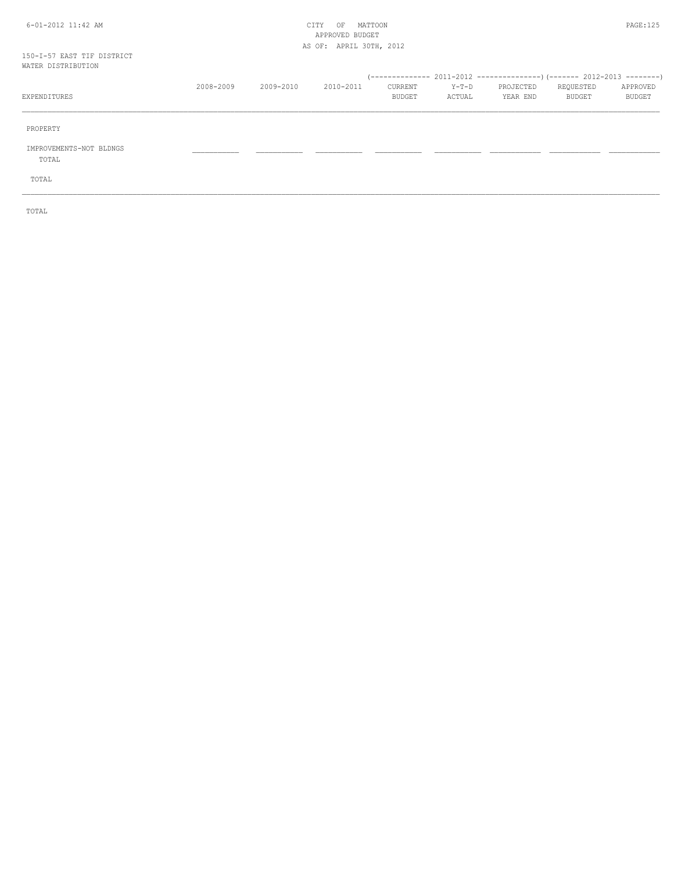#### 6-01-2012 11:42 AM CITY OF MATTOON PAGE:125 APPROVED BUDGET AS OF: APRIL 30TH, 2012

# 150-I-57 EAST TIF DISTRICT

| WATER DISTRIBUTION               |           |           |           |                   |                 |                       |                     |                    |
|----------------------------------|-----------|-----------|-----------|-------------------|-----------------|-----------------------|---------------------|--------------------|
| EXPENDITURES                     | 2008-2009 | 2009-2010 | 2010-2011 | CURRENT<br>BUDGET | Y-T-D<br>ACTUAL | PROJECTED<br>YEAR END | REQUESTED<br>BUDGET | APPROVED<br>BUDGET |
| PROPERTY                         |           |           |           |                   |                 |                       |                     |                    |
| IMPROVEMENTS-NOT BLDNGS<br>TOTAL |           |           |           |                   |                 |                       |                     |                    |
| TOTAL                            |           |           |           |                   |                 |                       |                     |                    |

\_\_\_\_\_\_\_\_\_\_\_\_\_\_\_\_\_\_\_\_\_\_\_\_\_\_\_\_\_\_\_\_\_\_\_\_\_\_\_\_\_\_\_\_\_\_\_\_\_\_\_\_\_\_\_\_\_\_\_\_\_\_\_\_\_\_\_\_\_\_\_\_\_\_\_\_\_\_\_\_\_\_\_\_\_\_\_\_\_\_\_\_\_\_\_\_\_\_\_\_\_\_\_\_\_\_\_\_\_\_\_\_\_\_\_\_\_\_\_\_\_\_\_\_\_\_\_\_\_\_\_\_\_\_\_\_\_\_\_\_\_\_\_\_\_\_\_\_\_\_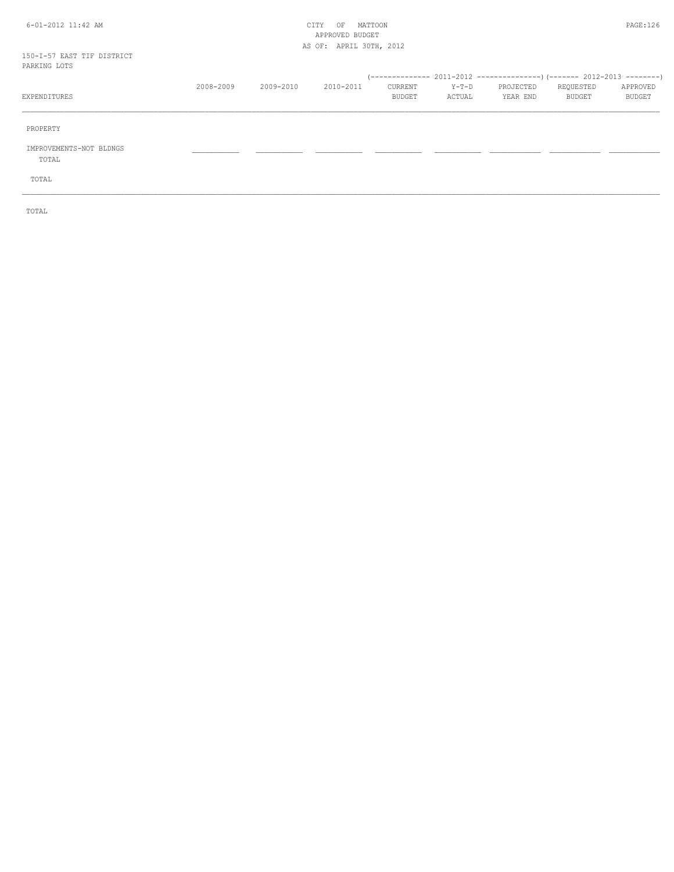#### 6-01-2012 11:42 AM CITY OF MATTOON PAGE:126 APPROVED BUDGET AS OF: APRIL 30TH, 2012

150-I-57 EAST TIF DISTRICT

| PARKING LOTS                     |           |           |           |                   |                 |                       |                     |                           |
|----------------------------------|-----------|-----------|-----------|-------------------|-----------------|-----------------------|---------------------|---------------------------|
| EXPENDITURES                     | 2008-2009 | 2009-2010 | 2010-2011 | CURRENT<br>BUDGET | Y-T-D<br>ACTUAL | PROJECTED<br>YEAR END | REQUESTED<br>BUDGET | APPROVED<br><b>BUDGET</b> |
| PROPERTY                         |           |           |           |                   |                 |                       |                     |                           |
| IMPROVEMENTS-NOT BLDNGS<br>TOTAL |           |           |           |                   |                 |                       |                     |                           |
| TOTAL                            |           |           |           |                   |                 |                       |                     |                           |

\_\_\_\_\_\_\_\_\_\_\_\_\_\_\_\_\_\_\_\_\_\_\_\_\_\_\_\_\_\_\_\_\_\_\_\_\_\_\_\_\_\_\_\_\_\_\_\_\_\_\_\_\_\_\_\_\_\_\_\_\_\_\_\_\_\_\_\_\_\_\_\_\_\_\_\_\_\_\_\_\_\_\_\_\_\_\_\_\_\_\_\_\_\_\_\_\_\_\_\_\_\_\_\_\_\_\_\_\_\_\_\_\_\_\_\_\_\_\_\_\_\_\_\_\_\_\_\_\_\_\_\_\_\_\_\_\_\_\_\_\_\_\_\_\_\_\_\_\_\_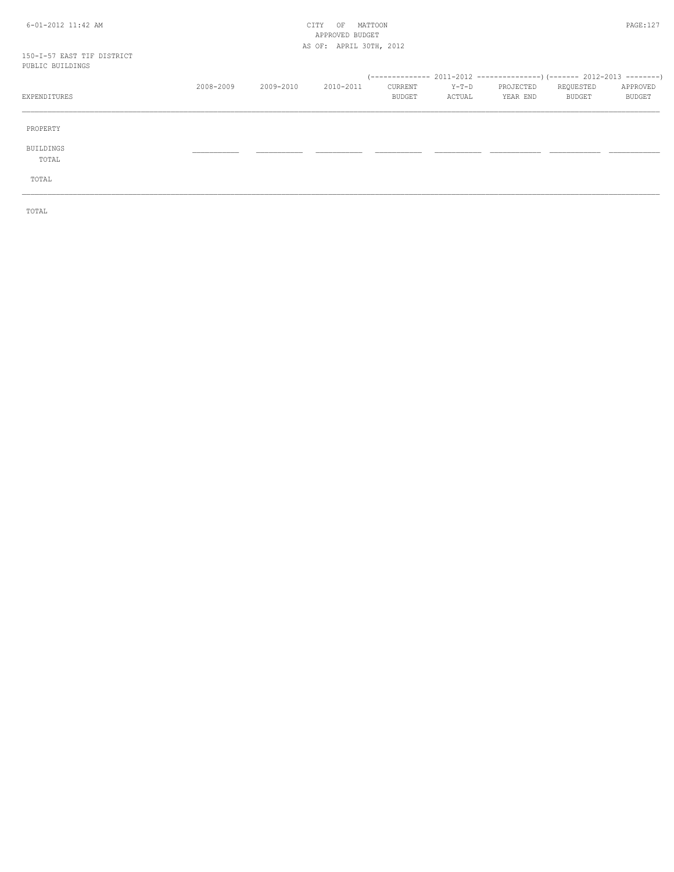#### 6-01-2012 11:42 AM CITY OF MATTOON PAGE:127 APPROVED BUDGET AS OF: APRIL 30TH, 2012

#### 150-I-57 EAST TIF DISTRICT PUBLIC BUILDINGS

| LADTIN DATEDIMAS   |           |           |           |                   |                   |                       |                     |                    |
|--------------------|-----------|-----------|-----------|-------------------|-------------------|-----------------------|---------------------|--------------------|
| EXPENDITURES       | 2008-2009 | 2009-2010 | 2010-2011 | CURRENT<br>BUDGET | $Y-T-D$<br>ACTUAL | PROJECTED<br>YEAR END | REQUESTED<br>BUDGET | APPROVED<br>BUDGET |
| PROPERTY           |           |           |           |                   |                   |                       |                     |                    |
| BUILDINGS<br>TOTAL |           |           |           |                   |                   |                       |                     |                    |
| TOTAL              |           |           |           |                   |                   |                       |                     |                    |
|                    |           |           |           |                   |                   |                       |                     |                    |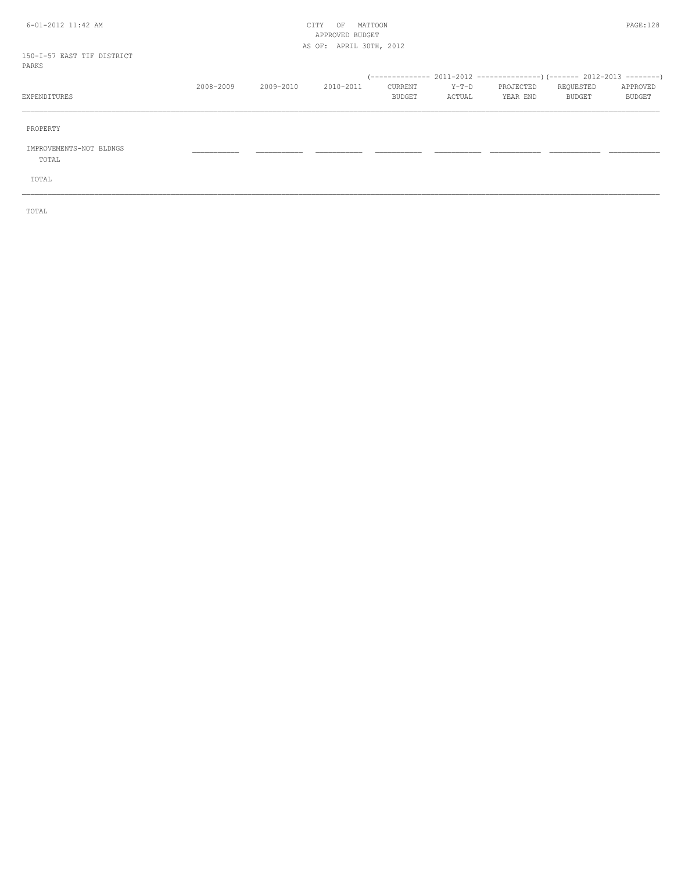#### 6-01-2012 11:42 AM CITY OF MATTOON PAGE:128 APPROVED BUDGET AS OF: APRIL 30TH, 2012

150-I-57 EAST TIF DISTRICT

| PARKS                            |           |           |           |                   |                   |                       |                     |                    |
|----------------------------------|-----------|-----------|-----------|-------------------|-------------------|-----------------------|---------------------|--------------------|
| EXPENDITURES                     | 2008-2009 | 2009-2010 | 2010-2011 | CURRENT<br>BUDGET | $Y-T-D$<br>ACTUAL | PROJECTED<br>YEAR END | REQUESTED<br>BUDGET | APPROVED<br>BUDGET |
| PROPERTY                         |           |           |           |                   |                   |                       |                     |                    |
| IMPROVEMENTS-NOT BLDNGS<br>TOTAL |           |           |           |                   |                   |                       |                     |                    |
| TOTAL                            |           |           |           |                   |                   |                       |                     |                    |

\_\_\_\_\_\_\_\_\_\_\_\_\_\_\_\_\_\_\_\_\_\_\_\_\_\_\_\_\_\_\_\_\_\_\_\_\_\_\_\_\_\_\_\_\_\_\_\_\_\_\_\_\_\_\_\_\_\_\_\_\_\_\_\_\_\_\_\_\_\_\_\_\_\_\_\_\_\_\_\_\_\_\_\_\_\_\_\_\_\_\_\_\_\_\_\_\_\_\_\_\_\_\_\_\_\_\_\_\_\_\_\_\_\_\_\_\_\_\_\_\_\_\_\_\_\_\_\_\_\_\_\_\_\_\_\_\_\_\_\_\_\_\_\_\_\_\_\_\_\_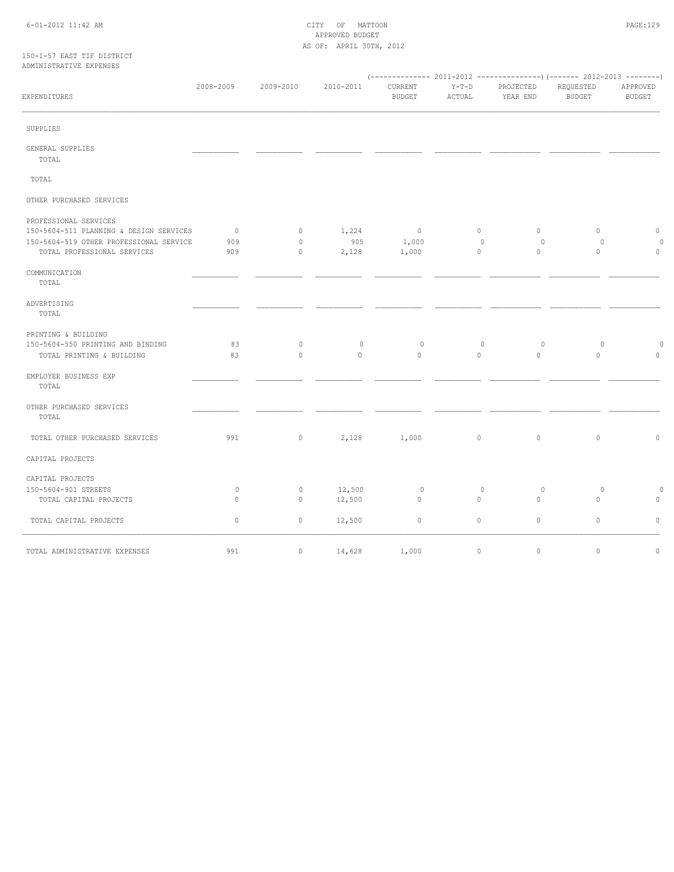#### 6-01-2012 11:42 AM CITY OF MATTOON PAGE:129 APPROVED BUDGET AS OF: APRIL 30TH, 2012

#### 150-I-57 EAST TIF DISTRICT ADMINISTRATIVE EXPENSES

| EXPENDITURES                                                                                                                               | 2008-2009                    | 2009-2010                     | 2010-2011             | (-------------- 2011-2012<br>CURRENT<br><b>BUDGET</b> | $Y-T-D$<br>ACTUAL           | PROJECTED<br>YEAR END   | ----------------) (------- 2012-2013 ---------)<br>REQUESTED<br><b>BUDGET</b> | APPROVED<br><b>BUDGET</b>     |
|--------------------------------------------------------------------------------------------------------------------------------------------|------------------------------|-------------------------------|-----------------------|-------------------------------------------------------|-----------------------------|-------------------------|-------------------------------------------------------------------------------|-------------------------------|
| SUPPLIES                                                                                                                                   |                              |                               |                       |                                                       |                             |                         |                                                                               |                               |
| GENERAL SUPPLIES<br>TOTAL                                                                                                                  |                              |                               |                       |                                                       |                             |                         |                                                                               |                               |
| TOTAL                                                                                                                                      |                              |                               |                       |                                                       |                             |                         |                                                                               |                               |
| OTHER PURCHASED SERVICES                                                                                                                   |                              |                               |                       |                                                       |                             |                         |                                                                               |                               |
| PROFESSIONAL SERVICES<br>150-5604-511 PLANNING & DESIGN SERVICES<br>150-5604-519 OTHER PROFESSIONAL SERVICE<br>TOTAL PROFESSIONAL SERVICES | $\overline{0}$<br>909<br>909 | $\circ$<br>$\circ$<br>$\circ$ | 1,224<br>905<br>2,128 | $\overline{0}$<br>1,000<br>1,000                      | $\circ$<br>0<br>$\mathbb O$ | $\circ$<br>0<br>$\circ$ | $\circ$<br>0<br>$\circ$                                                       | $\circ$<br>$\circ$<br>$\circ$ |
| COMMUNICATION<br>TOTAL                                                                                                                     |                              |                               |                       |                                                       |                             |                         |                                                                               |                               |
| ADVERTISING<br>TOTAL                                                                                                                       |                              |                               |                       |                                                       |                             |                         |                                                                               |                               |
| PRINTING & BUILDING<br>150-5604-550 PRINTING AND BINDING<br>TOTAL PRINTING & BUILDING                                                      | 83<br>83                     | $\circ$<br>$\circ$            | $\circ$<br>$\circ$    | 0<br>$\circ$                                          | $\circ$<br>$\circ$          | $\circ$<br>$\circ$      | $\circ$<br>$\circ$                                                            | $\Omega$<br>$\circ$           |
| EMPLOYEE BUSINESS EXP<br>TOTAL                                                                                                             |                              |                               |                       |                                                       |                             |                         |                                                                               |                               |
| OTHER PURCHASED SERVICES<br>TOTAL                                                                                                          |                              |                               |                       |                                                       |                             |                         |                                                                               |                               |
| TOTAL OTHER PURCHASED SERVICES                                                                                                             | 991                          | $\circ$                       | 2,128                 | 1,000                                                 | $\mathbb O$                 | $\mathbb O$             | $\circ$                                                                       | $\circ$                       |
| CAPITAL PROJECTS                                                                                                                           |                              |                               |                       |                                                       |                             |                         |                                                                               |                               |
| CAPITAL PROJECTS<br>150-5604-901 STREETS<br>TOTAL CAPITAL PROJECTS                                                                         | $\circ$<br>$\circ$           | 0<br>$\circ$                  | 12,500<br>12,500      | $\circ$<br>$\circ$                                    | $\circ$<br>$\circ$          | $\circ$<br>$\circ$      | 0<br>$\circ$                                                                  | 0<br>0                        |
| TOTAL CAPITAL PROJECTS                                                                                                                     | $\circ$                      | $\mathbb O$                   | 12,500                | $\circ$                                               | $\mathbb O$                 | $\circ$                 | $\circ$                                                                       | $\circ$                       |
| TOTAL ADMINISTRATIVE EXPENSES                                                                                                              | 991                          | $\circ$                       | 14,628                | 1,000                                                 | $\mathbb O$                 | $\mathbb O$             | $\circ$                                                                       | $\circ$                       |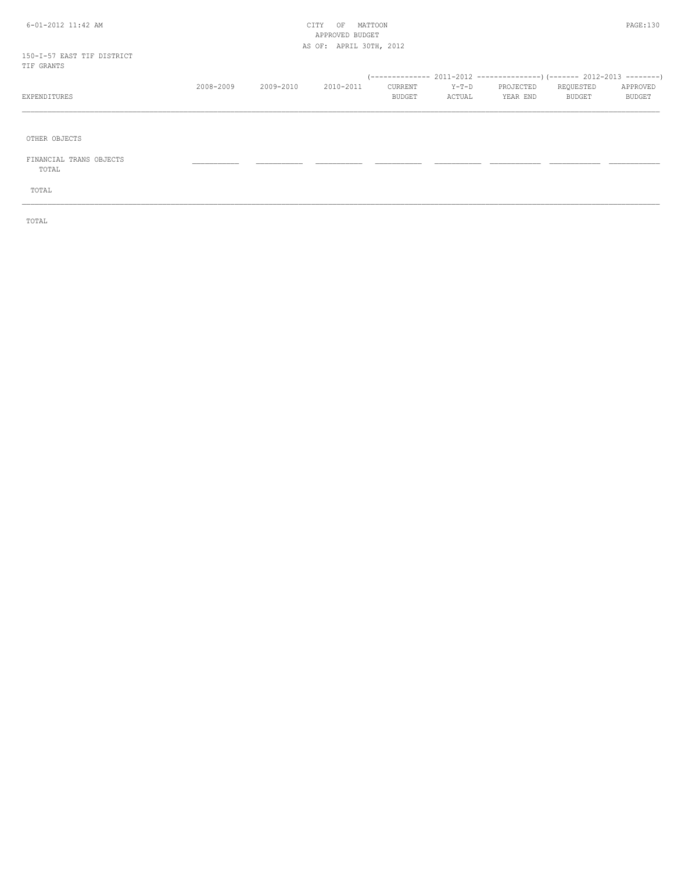#### 6-01-2012 11:42 AM CITY OF MATTOON PAGE:130 APPROVED BUDGET AS OF: APRIL 30TH, 2012

#### 150-I-57 EAST TIF DISTRICT TIF GRANTS

| TTE ATAILLA  |           |           |           |                |        |           |           |               |
|--------------|-----------|-----------|-----------|----------------|--------|-----------|-----------|---------------|
|              |           |           |           |                |        |           |           |               |
|              | 2008-2009 | 2009-2010 | 2010-2011 | <b>CURRENT</b> | Y-T-D  | PROJECTED | REQUESTED | APPROVED      |
| EXPENDITURES |           |           |           | <b>BUDGET</b>  | ACTUAL | YEAR END  | BUDGET    | <b>BUDGET</b> |
|              |           |           |           |                |        |           |           |               |

\_\_\_\_\_\_\_\_\_\_\_\_\_\_\_\_\_\_\_\_\_\_\_\_\_\_\_\_\_\_\_\_\_\_\_\_\_\_\_\_\_\_\_\_\_\_\_\_\_\_\_\_\_\_\_\_\_\_\_\_\_\_\_\_\_\_\_\_\_\_\_\_\_\_\_\_\_\_\_\_\_\_\_\_\_\_\_\_\_\_\_\_\_\_\_\_\_\_\_\_\_\_\_\_\_\_\_\_\_\_\_\_\_\_\_\_\_\_\_\_\_\_\_\_\_\_\_\_\_\_\_\_\_\_\_\_\_\_\_\_\_\_\_\_\_\_\_\_\_\_

OTHER OBJECTS

 FINANCIAL TRANS OBJECTS \_\_\_\_\_\_\_\_\_\_\_ \_\_\_\_\_\_\_\_\_\_\_ \_\_\_\_\_\_\_\_\_\_\_ \_\_\_\_\_\_\_\_\_\_\_ \_\_\_\_\_\_\_\_\_\_\_ \_\_\_\_\_\_\_\_\_\_\_\_ \_\_\_\_\_\_\_\_\_\_\_\_ \_\_\_\_\_\_\_\_\_\_\_\_ TOTAL

TOTAL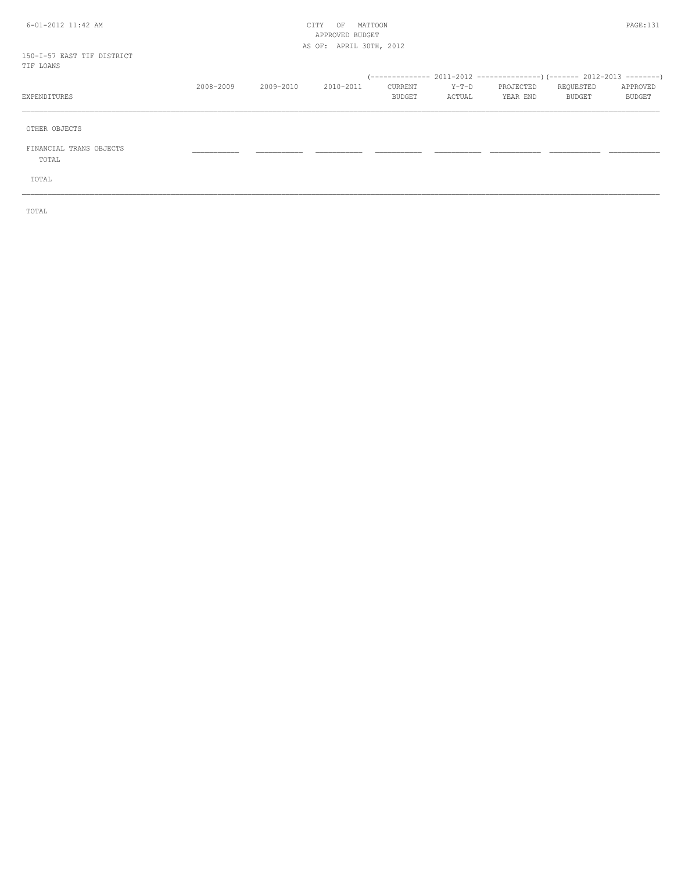#### 6-01-2012 11:42 AM CITY OF MATTOON PAGE:131 APPROVED BUDGET AS OF: APRIL 30TH, 2012

150-I-57 EAST TIF DISTRICT TIF LOANS

| TIE LUANS                        |           |           |           |                   |                   |                       |                     |                    |
|----------------------------------|-----------|-----------|-----------|-------------------|-------------------|-----------------------|---------------------|--------------------|
| EXPENDITURES                     | 2008-2009 | 2009-2010 | 2010-2011 | CURRENT<br>BUDGET | $Y-T-D$<br>ACTUAL | PROJECTED<br>YEAR END | REQUESTED<br>BUDGET | APPROVED<br>BUDGET |
| OTHER OBJECTS                    |           |           |           |                   |                   |                       |                     |                    |
| FINANCIAL TRANS OBJECTS<br>TOTAL |           |           |           |                   |                   |                       |                     |                    |
| TOTAL                            |           |           |           |                   |                   |                       |                     |                    |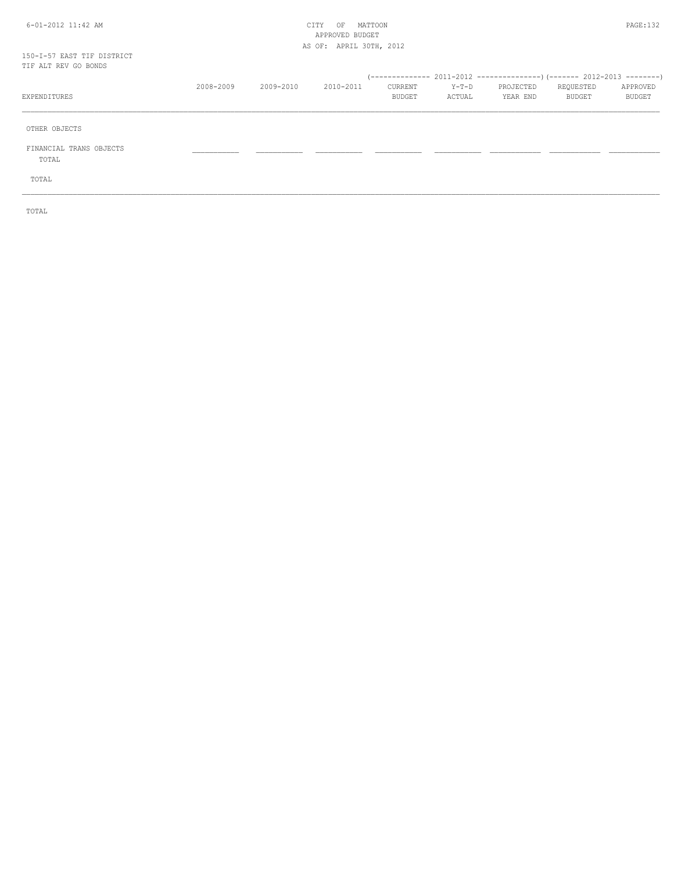#### 6-01-2012 11:42 AM CITY OF MATTOON PAGE:132 APPROVED BUDGET AS OF: APRIL 30TH, 2012

# 150-I-57 EAST TIF DISTRICT<br>TIF ALT REV GO BONDS

| TIF ALT REV GO BONDS             |           |           |           |                   |                   |                       |                     |                    |
|----------------------------------|-----------|-----------|-----------|-------------------|-------------------|-----------------------|---------------------|--------------------|
| EXPENDITURES                     | 2008-2009 | 2009-2010 | 2010-2011 | CURRENT<br>BUDGET | $Y-T-D$<br>ACTUAL | PROJECTED<br>YEAR END | REQUESTED<br>BUDGET | APPROVED<br>BUDGET |
| OTHER OBJECTS                    |           |           |           |                   |                   |                       |                     |                    |
| FINANCIAL TRANS OBJECTS<br>TOTAL |           |           |           |                   |                   |                       |                     |                    |
| TOTAL                            |           |           |           |                   |                   |                       |                     |                    |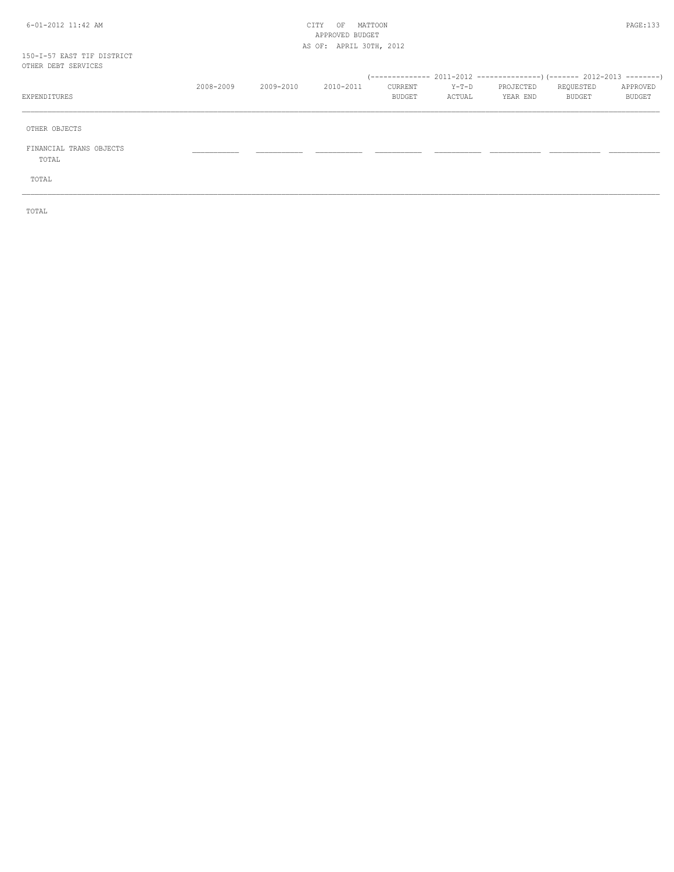#### 6-01-2012 11:42 AM CITY OF MATTOON PAGE:133 APPROVED BUDGET AS OF: APRIL 30TH, 2012

#### 150-I-57 EAST TIF DISTRICT OTHER DEBT SERVICE

| OTHER DEBT SERVICES              |           |           |           |                   |                   |                       |                     |                    |
|----------------------------------|-----------|-----------|-----------|-------------------|-------------------|-----------------------|---------------------|--------------------|
| EXPENDITURES                     | 2008-2009 | 2009-2010 | 2010-2011 | CURRENT<br>BUDGET | $Y-T-D$<br>ACTUAL | PROJECTED<br>YEAR END | REQUESTED<br>BUDGET | APPROVED<br>BUDGET |
| OTHER OBJECTS                    |           |           |           |                   |                   |                       |                     |                    |
| FINANCIAL TRANS OBJECTS<br>TOTAL |           |           |           |                   |                   |                       |                     |                    |
| TOTAL                            |           |           |           |                   |                   |                       |                     |                    |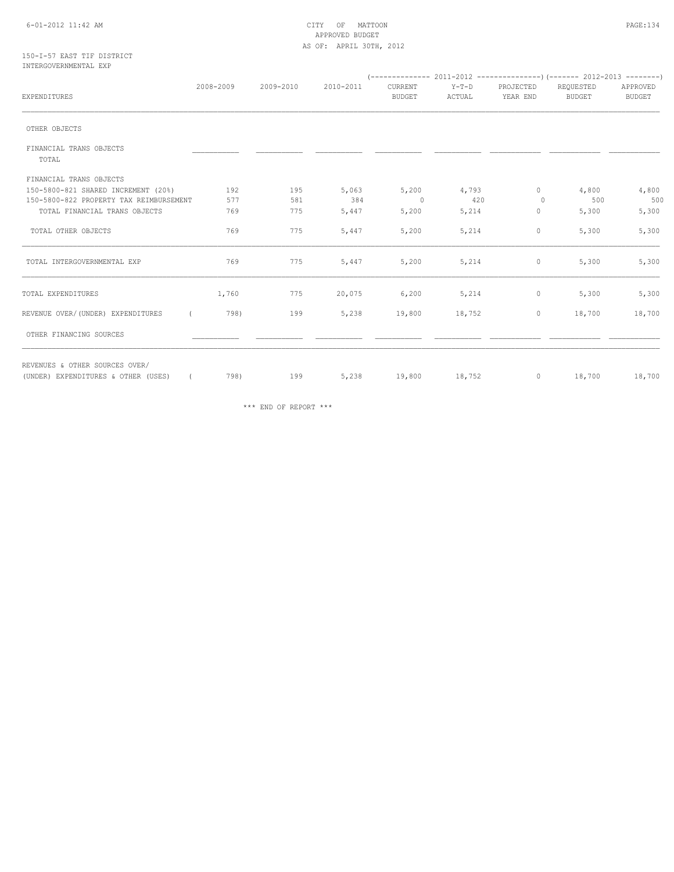#### 6-01-2012 11:42 AM CITY OF MATTOON PAGE:134 APPROVED BUDGET AS OF: APRIL 30TH, 2012

#### 150-I-57 EAST TIF DISTRICT INTERGOVERNMENTAL EXP

| EXPENDITURES                                                                        | 2008-2009 | 2009-2010 | 2010-2011 | CURRENT<br><b>BUDGET</b> | $Y-T-D$<br>ACTUAL | PROJECTED<br>YEAR END | REQUESTED<br><b>BUDGET</b> | APPROVED<br><b>BUDGET</b> |  |
|-------------------------------------------------------------------------------------|-----------|-----------|-----------|--------------------------|-------------------|-----------------------|----------------------------|---------------------------|--|
| OTHER OBJECTS                                                                       |           |           |           |                          |                   |                       |                            |                           |  |
| FINANCIAL TRANS OBJECTS                                                             |           |           |           |                          |                   |                       |                            |                           |  |
| TOTAL                                                                               |           |           |           |                          |                   |                       |                            |                           |  |
| FINANCIAL TRANS OBJECTS                                                             |           |           |           |                          |                   |                       |                            |                           |  |
| 150-5800-821 SHARED INCREMENT (20%)                                                 | 192       | 195       | 5,063     | 5,200                    | 4,793             | $\circ$               | 4,800                      | 4,800                     |  |
| 150-5800-822 PROPERTY TAX REIMBURSEMENT                                             | 577       | 581       | 384       | $\overline{0}$           | 420               | $\Omega$              | 500                        | 500                       |  |
| TOTAL FINANCIAL TRANS OBJECTS                                                       | 769       | 775       | 5,447     | 5,200                    | 5,214             | 0                     | 5,300                      | 5,300                     |  |
| TOTAL OTHER OBJECTS                                                                 | 769       | 775       | 5,447     | 5,200                    | 5,214             | $\circ$               | 5,300                      | 5,300                     |  |
| TOTAL INTERGOVERNMENTAL EXP                                                         | 769       | 775       | 5,447     | 5,200                    | 5,214             | $\circ$               | 5,300                      | 5,300                     |  |
| TOTAL EXPENDITURES                                                                  | 1,760     | 775       | 20,075    | 6,200                    | 5,214             | $\mathbf{0}$          | 5,300                      | 5,300                     |  |
| REVENUE OVER/(UNDER) EXPENDITURES<br>$\sqrt{2}$                                     | 798)      | 199       | 5,238     | 19,800                   | 18,752            | $\circ$               | 18,700                     | 18,700                    |  |
| OTHER FINANCING SOURCES                                                             |           |           |           |                          |                   |                       |                            |                           |  |
| REVENUES & OTHER SOURCES OVER/<br>(UNDER) EXPENDITURES & OTHER (USES)<br>$\sqrt{2}$ | 798)      | 199       | 5,238     | 19,800                   | 18,752            | $\circ$               | 18,700                     | 18,700                    |  |

\*\*\* END OF REPORT \*\*\*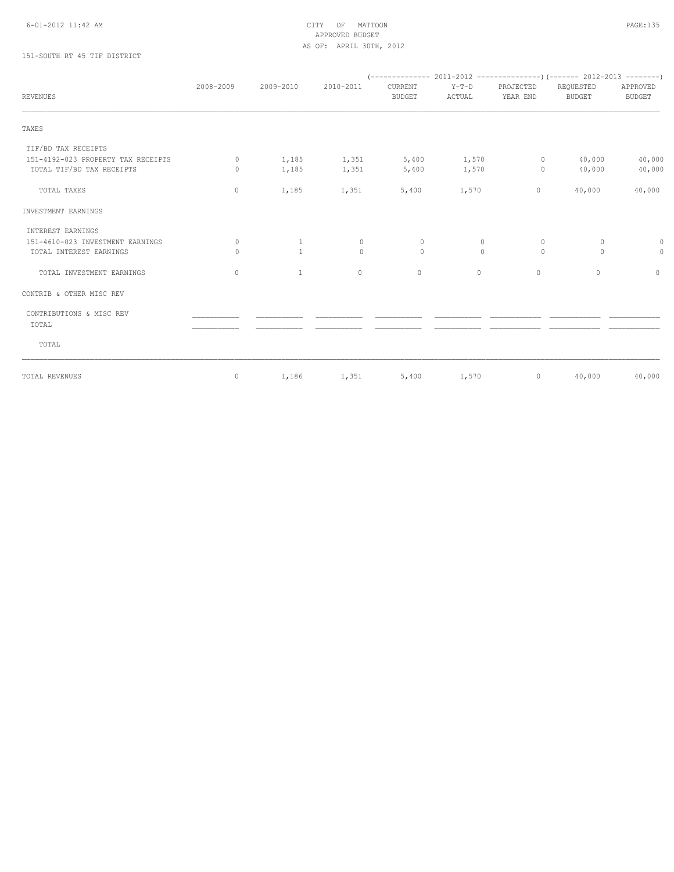# APPROVED BUDGET AS OF: APRIL 30TH, 2012

## 151-SOUTH RT 45 TIF DISTRICT

| <b>REVENUES</b>                    | 2008-2009 | 2009-2010    | 2010-2011               | CURRENT<br><b>BUDGET</b> | $Y-T-D$<br>ACTUAL | PROJECTED<br>YEAR END | REQUESTED<br>BUDGET | APPROVED<br><b>BUDGET</b> |
|------------------------------------|-----------|--------------|-------------------------|--------------------------|-------------------|-----------------------|---------------------|---------------------------|
| TAXES                              |           |              |                         |                          |                   |                       |                     |                           |
| TIF/BD TAX RECEIPTS                |           |              |                         |                          |                   |                       |                     |                           |
| 151-4192-023 PROPERTY TAX RECEIPTS | $\circ$   | 1,185        | $1,351$ $5,400$ $1,570$ |                          |                   |                       | $0 \t 40,000$       | 40,000                    |
| TOTAL TIF/BD TAX RECEIPTS          | $\Omega$  | 1,185        | 1,351                   | 5,400                    | 1,570             | $\circ$               | 40,000              | 40,000                    |
| TOTAL TAXES                        | 0         | 1,185        | 1,351                   | 5,400                    | 1,570             | $\circ$               | 40,000              | 40,000                    |
| INVESTMENT EARNINGS                |           |              |                         |                          |                   |                       |                     |                           |
| INTEREST EARNINGS                  |           |              |                         |                          |                   |                       |                     |                           |
| 151-4610-023 INVESTMENT EARNINGS   | $\circ$   | $\mathbf{1}$ | $\circ$                 | $\circ$                  | $\circ$           | $\circ$               | $\circ$             | 0                         |
| TOTAL INTEREST EARNINGS            | $\circ$   | $\mathbf{1}$ | $\mathbf{0}$            | $\circ$                  | $\circ$           | $\circ$               | $\circ$             | $\circ$                   |
| TOTAL INVESTMENT EARNINGS          | 0         | $\mathbf{1}$ | $\circ$                 | $\circ$                  | $\mathbf{0}$      | $\mathbf{0}$          | $\Omega$            | $\circ$                   |
| CONTRIB & OTHER MISC REV           |           |              |                         |                          |                   |                       |                     |                           |
| CONTRIBUTIONS & MISC REV           |           |              |                         |                          |                   |                       |                     |                           |
| TOTAL                              |           |              |                         |                          |                   |                       |                     |                           |
| TOTAL                              |           |              |                         |                          |                   |                       |                     |                           |
| TOTAL REVENUES                     | 0         |              | 1,186 1,351             | 5,400                    | 1,570             | $\circ$               | 40,000              | 40,000                    |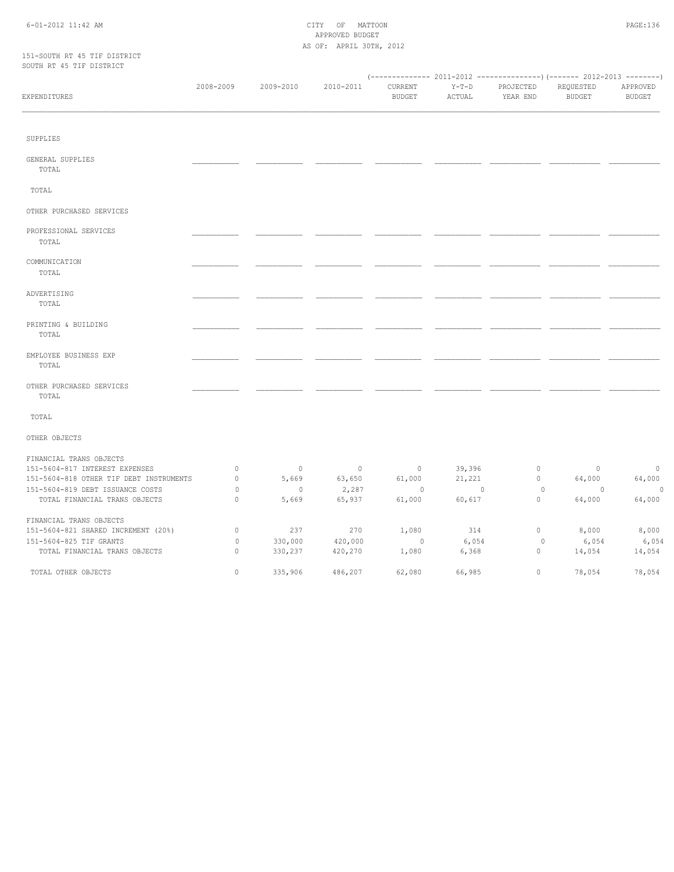#### 6-01-2012 11:42 AM CITY OF MATTOON PAGE:136 APPROVED BUDGET AS OF: APRIL 30TH, 2012

#### 151-SOUTH RT 45 TIF DISTRICT SOUTH RT 45 TIF DISTRICT

| booin hi io ili bibinici                |           |                          |                |                          |                   |                       |                            |                           |  |  |
|-----------------------------------------|-----------|--------------------------|----------------|--------------------------|-------------------|-----------------------|----------------------------|---------------------------|--|--|
| EXPENDITURES                            | 2008-2009 | 2009-2010                | 2010-2011      | CURRENT<br><b>BUDGET</b> | $Y-T-D$<br>ACTUAL | PROJECTED<br>YEAR END | REQUESTED<br><b>BUDGET</b> | APPROVED<br><b>BUDGET</b> |  |  |
|                                         |           |                          |                |                          |                   |                       |                            |                           |  |  |
| SUPPLIES                                |           |                          |                |                          |                   |                       |                            |                           |  |  |
| GENERAL SUPPLIES<br>TOTAL               |           |                          |                |                          |                   |                       |                            |                           |  |  |
| TOTAL                                   |           |                          |                |                          |                   |                       |                            |                           |  |  |
| OTHER PURCHASED SERVICES                |           |                          |                |                          |                   |                       |                            |                           |  |  |
| PROFESSIONAL SERVICES<br>TOTAL          |           |                          |                |                          |                   |                       |                            |                           |  |  |
| COMMUNICATION<br>TOTAL                  |           |                          |                |                          |                   |                       |                            |                           |  |  |
| ADVERTISING<br>TOTAL                    |           |                          |                |                          |                   |                       |                            |                           |  |  |
| PRINTING & BUILDING<br>TOTAL            |           |                          |                |                          |                   |                       |                            |                           |  |  |
| EMPLOYEE BUSINESS EXP<br>TOTAL          |           |                          |                |                          |                   |                       |                            |                           |  |  |
| OTHER PURCHASED SERVICES<br>TOTAL       |           |                          |                |                          |                   |                       |                            |                           |  |  |
| TOTAL                                   |           |                          |                |                          |                   |                       |                            |                           |  |  |
| OTHER OBJECTS                           |           |                          |                |                          |                   |                       |                            |                           |  |  |
| FINANCIAL TRANS OBJECTS                 |           |                          |                |                          |                   |                       |                            |                           |  |  |
| 151-5604-817 INTEREST EXPENSES          | 0         | $\overline{0}$           | $\overline{0}$ | $\circ$                  | 39,396            | $\circ$               | $\overline{0}$             | $\circ$                   |  |  |
| 151-5604-818 OTHER TIF DEBT INSTRUMENTS | 0         | 5,669                    | 63,650         | 61,000                   | 21,221            | $\circ$               | 64,000                     | 64,000                    |  |  |
| 151-5604-819 DEBT ISSUANCE COSTS        | 0         | $\overline{\phantom{0}}$ | 2,287          | $\overline{0}$           | $\sim$ 0          | 0                     | $\overline{0}$             | $\overline{\phantom{0}}$  |  |  |
| TOTAL FINANCIAL TRANS OBJECTS           | $\circ$   | 5,669                    | 65,937         | 61,000                   | 60,617            | $\mathbf 0$           | 64,000                     | 64,000                    |  |  |
| FINANCIAL TRANS OBJECTS                 |           |                          |                |                          |                   |                       |                            |                           |  |  |
| 151-5604-821 SHARED INCREMENT (20%)     | 0         | 237                      | 270            | 1,080                    | 314               | $\mathbf 0$           | 8,000                      | 8,000                     |  |  |
| 151-5604-825 TIF GRANTS                 | $\circ$   | 330,000                  | 420,000        | $\overline{0}$           | 6,054             | 0                     | 6,054                      | 6,054                     |  |  |
| TOTAL FINANCIAL TRANS OBJECTS           | $\Omega$  | 330,237                  | 420,270        | 1,080                    | 6,368             | $\mathbf 0$           | 14,054                     | 14,054                    |  |  |
| TOTAL OTHER OBJECTS                     | $\Omega$  | 335,906                  | 486,207        | 62,080                   | 66,985            | $\Omega$              | 78,054                     | 78,054                    |  |  |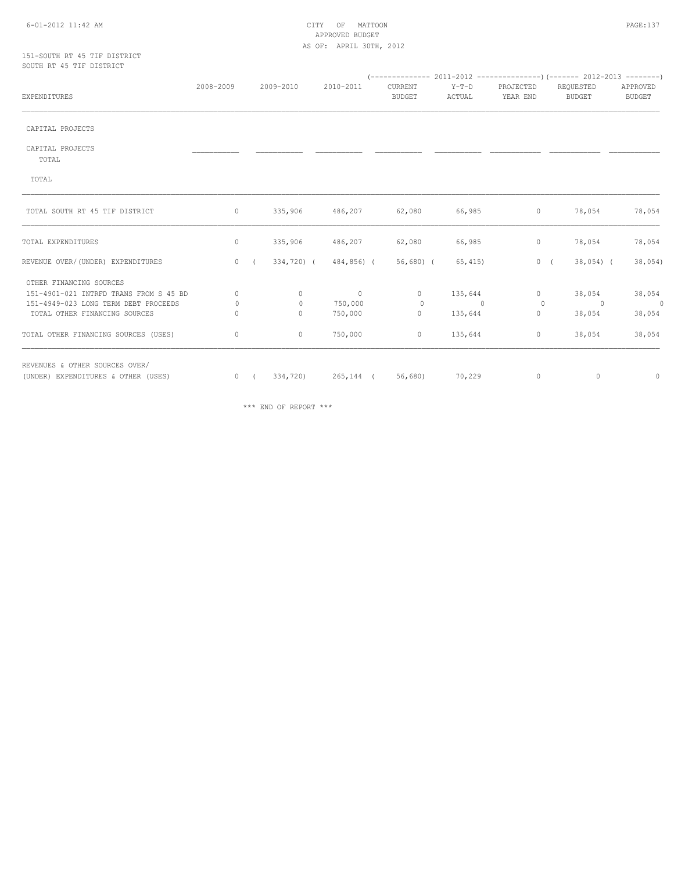#### 6-01-2012 11:42 AM CITY OF MATTOON PAGE:137 APPROVED BUDGET AS OF: APRIL 30TH, 2012

#### 151-SOUTH RT 45 TIF DISTRICT SOUTH RT 45 TIF DISTRICT

| EXPENDITURES                           | 2008-2009    |    | 2009-2010       | 2010-2011                                                     | CURRENT<br><b>BUDGET</b> | Y-T-D<br>ACTUAL | PROJECTED<br>YEAR END | REQUESTED<br><b>BUDGET</b> | APPROVED<br>BUDGET |
|----------------------------------------|--------------|----|-----------------|---------------------------------------------------------------|--------------------------|-----------------|-----------------------|----------------------------|--------------------|
|                                        |              |    |                 |                                                               |                          |                 |                       |                            |                    |
| CAPITAL PROJECTS                       |              |    |                 |                                                               |                          |                 |                       |                            |                    |
| CAPITAL PROJECTS<br>TOTAL              |              |    |                 |                                                               |                          |                 |                       |                            |                    |
| TOTAL                                  |              |    |                 |                                                               |                          |                 |                       |                            |                    |
| TOTAL SOUTH RT 45 TIF DISTRICT         | $\circ$      |    | 335,906 486,207 |                                                               | 62,080                   | 66,985          | $\circ$               | 78,054                     | 78,054             |
| TOTAL EXPENDITURES                     | $\circ$      |    |                 | 335,906 486,207                                               | 62,080                   | 66,985          | $\circ$               | 78,054                     | 78,054             |
| REVENUE OVER/(UNDER) EXPENDITURES      |              | 0( | 334,720) (      | 484,856) (                                                    | 56,680) (                | 65, 415)        | 0(                    | $38,054$ (                 | 38,054)            |
| OTHER FINANCING SOURCES                |              |    |                 |                                                               |                          |                 |                       |                            |                    |
| 151-4901-021 INTRFD TRANS FROM S 45 BD | $\circ$      |    | $\Omega$        | $\sim$ 0                                                      | $\circ$                  | 135,644         | $\circ$               | 38,054                     | 38,054             |
| 151-4949-023 LONG TERM DEBT PROCEEDS   | $\mathbf{0}$ |    | $\circ$         | 750,000                                                       | $\circ$                  | $\sim$ 0        | $\circ$               | $\sim$ 0                   | $\overline{0}$     |
| TOTAL OTHER FINANCING SOURCES          | $\Omega$     |    | $\circ$         | 750,000                                                       | $\circ$                  | 135,644         | $\circ$               | 38,054                     | 38,054             |
| TOTAL OTHER FINANCING SOURCES (USES)   | 0            |    | $\circ$         | 750,000                                                       | $\circ$                  | 135,644         | $\circ$               | 38,054                     | 38,054             |
| REVENUES & OTHER SOURCES OVER/         |              |    |                 |                                                               |                          |                 |                       |                            |                    |
| (UNDER) EXPENDITURES & OTHER (USES)    |              |    |                 | $0 \quad (334,720) \quad 265,144 \quad (56,680) \quad 70,229$ |                          |                 | $\mathbb O$           | $\circ$                    | $\circ$            |

\*\*\* END OF REPORT \*\*\*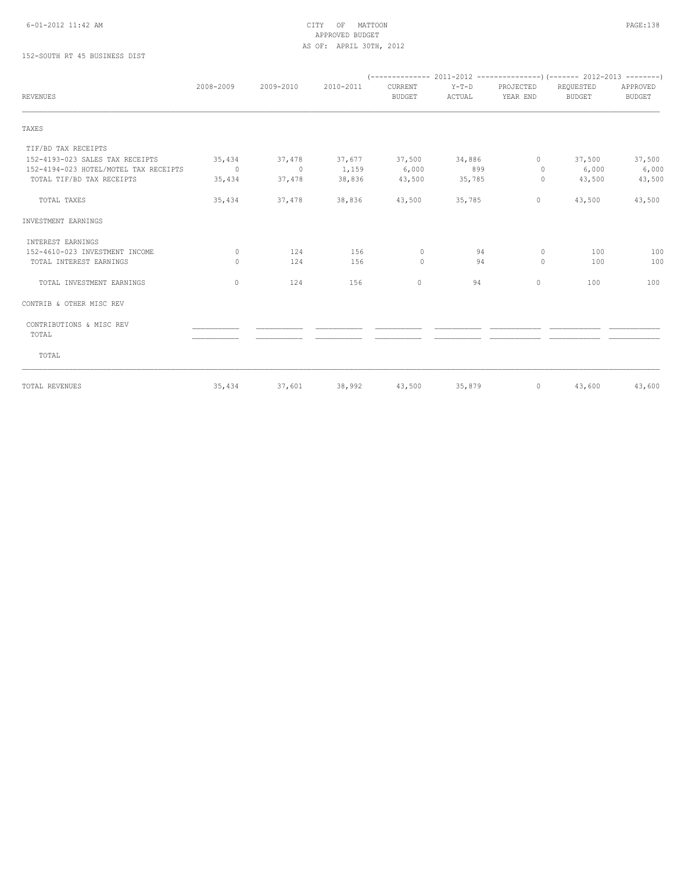# APPROVED BUDGET AS OF: APRIL 30TH, 2012

## 152-SOUTH RT 45 BUSINESS DIST

| <b>REVENUES</b>                       | 2008-2009 | 2009-2010 | 2010-2011                   | CURRENT<br><b>BUDGET</b> | $Y-T-D$<br>ACTUAL | PROJECTED<br>YEAR END | REQUESTED<br>BUDGET | APPROVED<br><b>BUDGET</b> |  |
|---------------------------------------|-----------|-----------|-----------------------------|--------------------------|-------------------|-----------------------|---------------------|---------------------------|--|
|                                       |           |           |                             |                          |                   |                       |                     |                           |  |
| TAXES                                 |           |           |                             |                          |                   |                       |                     |                           |  |
| TIF/BD TAX RECEIPTS                   |           |           |                             |                          |                   |                       |                     |                           |  |
| 152-4193-023 SALES TAX RECEIPTS       | 35,434    |           | 37,478 37,677 37,500 34,886 |                          |                   | $\circ$               | 37,500              | 37,500                    |  |
| 152-4194-023 HOTEL/MOTEL TAX RECEIPTS | $\sim$ 0  | $\sim$ 0  | 1,159                       | 6,000                    | 899               | $\circ$               | 6,000               | 6,000                     |  |
| TOTAL TIF/BD TAX RECEIPTS             | 35,434    | 37,478    | 38,836                      | 43,500                   | 35,785            | $\circ$               | 43,500              | 43,500                    |  |
| TOTAL TAXES                           | 35,434    | 37,478    | 38,836                      | 43,500                   | 35,785            | $\circ$               | 43,500              | 43,500                    |  |
| INVESTMENT EARNINGS                   |           |           |                             |                          |                   |                       |                     |                           |  |
| INTEREST EARNINGS                     |           |           |                             |                          |                   |                       |                     |                           |  |
| 152-4610-023 INVESTMENT INCOME        | $\Omega$  | 124       | 156                         | $\circ$                  | 94                | $\circ$               | 100                 | 100                       |  |
| TOTAL INTEREST EARNINGS               | $\bigcap$ | 124       | 156                         | $\Omega$                 | 94                | $\Omega$              | 100                 | 100                       |  |
| TOTAL INVESTMENT EARNINGS             | $\Omega$  | 124       | 156                         | $\circ$                  | 94                | $\circ$               | 100                 | 100                       |  |
| CONTRIB & OTHER MISC REV              |           |           |                             |                          |                   |                       |                     |                           |  |
| CONTRIBUTIONS & MISC REV<br>TOTAL     |           |           |                             |                          |                   |                       |                     |                           |  |
| TOTAL                                 |           |           |                             |                          |                   |                       |                     |                           |  |
| TOTAL REVENUES                        | 35,434    | 37,601    | 38,992                      | 43,500                   | 35,879            | $\circ$               | 43,600              | 43,600                    |  |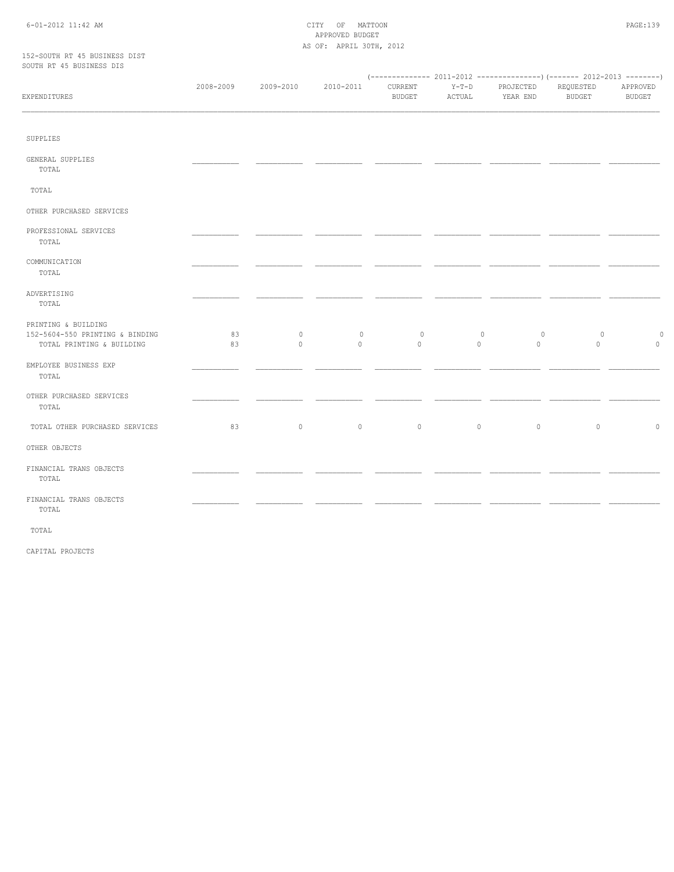#### 6-01-2012 11:42 AM CITY OF MATTOON PAGE:139 APPROVED BUDGET AS OF: APRIL 30TH, 2012

#### 152-SOUTH RT 45 BUSINESS DIST SOUTH RT 45 BUSINESS DIS

| EXPENDITURES                                                                        | 2008-2009 | 2009-2010          | 2010-2011              | CURRENT<br><b>BUDGET</b> | $Y-T-D$<br>ACTUAL  | PROJECTED<br>YEAR END   | REQUESTED<br><b>BUDGET</b> | APPROVED<br><b>BUDGET</b> |
|-------------------------------------------------------------------------------------|-----------|--------------------|------------------------|--------------------------|--------------------|-------------------------|----------------------------|---------------------------|
|                                                                                     |           |                    |                        |                          |                    |                         |                            |                           |
| SUPPLIES                                                                            |           |                    |                        |                          |                    |                         |                            |                           |
| GENERAL SUPPLIES<br>TOTAL                                                           |           |                    |                        |                          |                    |                         |                            |                           |
| TOTAL                                                                               |           |                    |                        |                          |                    |                         |                            |                           |
| OTHER PURCHASED SERVICES                                                            |           |                    |                        |                          |                    |                         |                            |                           |
| PROFESSIONAL SERVICES<br>TOTAL                                                      |           |                    |                        |                          |                    |                         |                            |                           |
| COMMUNICATION<br>TOTAL                                                              |           |                    |                        |                          |                    |                         |                            |                           |
| ADVERTISING<br>TOTAL                                                                |           |                    |                        |                          |                    |                         |                            |                           |
| PRINTING & BUILDING<br>152-5604-550 PRINTING & BINDING<br>TOTAL PRINTING & BUILDING | 83<br>83  | $\circ$<br>$\circ$ | $\mathbb O$<br>$\circ$ | $\circ$<br>$\circ$       | $\circ$<br>$\circ$ | $\circ$<br>$\mathbf{0}$ | $\circ$<br>$\overline{0}$  | $\circ$<br>$\circ$        |
| EMPLOYEE BUSINESS EXP<br>TOTAL                                                      |           |                    |                        |                          |                    |                         |                            |                           |
| OTHER PURCHASED SERVICES<br>TOTAL                                                   |           |                    |                        |                          |                    |                         |                            |                           |
| TOTAL OTHER PURCHASED SERVICES                                                      | 83        | $\circ$            | $\circ$                | $\circ$                  | $\circ$            | $\circ$                 | $\circ$                    | $\circ$                   |
| OTHER OBJECTS                                                                       |           |                    |                        |                          |                    |                         |                            |                           |
| FINANCIAL TRANS OBJECTS<br>TOTAL                                                    |           |                    |                        |                          |                    |                         |                            |                           |
| FINANCIAL TRANS OBJECTS<br>TOTAL                                                    |           |                    |                        |                          |                    |                         |                            |                           |

TOTAL

CAPITAL PROJECTS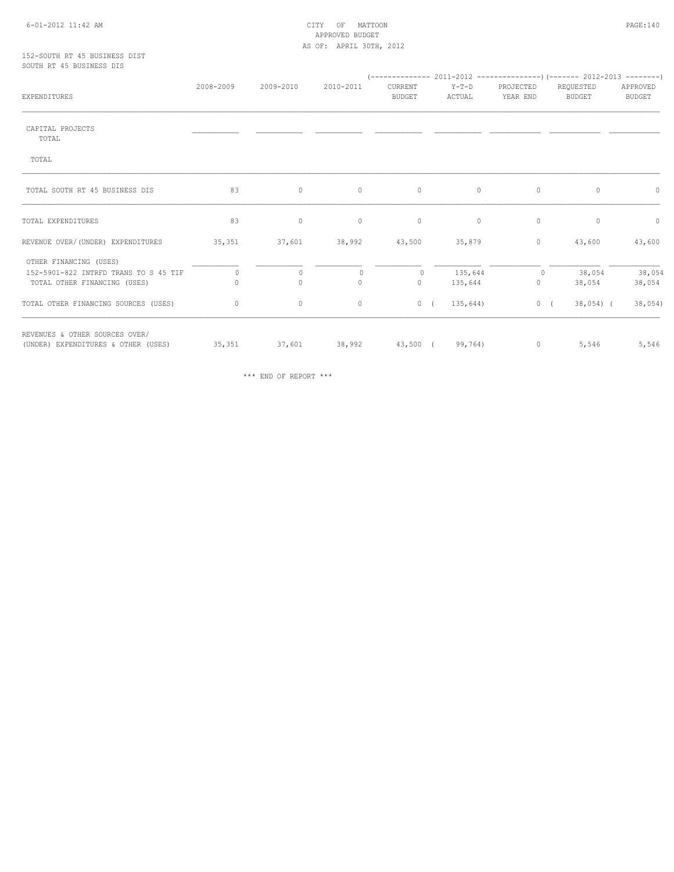#### 6-01-2012 11:42 AM CITY OF MATTOON PAGE:140 APPROVED BUDGET AS OF: APRIL 30TH, 2012

#### 152-SOUTH RT 45 BUSINESS DIST SOUTH RT 45 BUSINESS DIS

| <b>EXPENDITURES</b>                   | 2008-2009 | 2009-2010    | 2010-2011              | CURRENT<br><b>BUDGET</b> | $Y-T-D$<br>ACTUAL | PROJECTED<br>YEAR END | REQUESTED<br><b>BUDGET</b> | APPROVED<br><b>BUDGET</b> |
|---------------------------------------|-----------|--------------|------------------------|--------------------------|-------------------|-----------------------|----------------------------|---------------------------|
| CAPITAL PROJECTS                      |           |              |                        |                          |                   |                       |                            |                           |
| TOTAL                                 |           |              |                        |                          |                   |                       |                            |                           |
| TOTAL                                 |           |              |                        |                          |                   |                       |                            |                           |
| TOTAL SOUTH RT 45 BUSINESS DIS        | 83        | $\circ$      | $\circ$                | $\circ$                  | $\circ$           | $\circ$               | $\circ$                    | $\circ$                   |
| TOTAL EXPENDITURES                    | 83        | $\circ$      | $\circ$                | $\circ$                  | $\mathbb O$       | $\circ$               | $\circ$                    | $\circ$                   |
| REVENUE OVER/(UNDER) EXPENDITURES     | 35,351    | 37,601       | 38,992                 | 43,500                   | 35,879            | $\circ$               | 43,600                     | 43,600                    |
| OTHER FINANCING (USES)                |           |              |                        |                          |                   |                       |                            |                           |
| 152-5901-822 INTRFD TRANS TO S 45 TIF | $\Omega$  | $\circ$      | $\Omega$               | $\circ$                  | 135,644           | $\circ$               | 38,054                     | 38,054                    |
| TOTAL OTHER FINANCING (USES)          | 0         | $\mathbf{0}$ | $\circ$                | $\circ$                  | 135,644           | $\mathbf 0$           | 38,054                     | 38,054                    |
| TOTAL OTHER FINANCING SOURCES (USES)  | 0         | $\circ$      | 0                      | 0(                       | 135,644)          | 0(                    | $38,054$ (                 | $38,054$ )                |
| REVENUES & OTHER SOURCES OVER/        |           |              |                        |                          |                   |                       |                            |                           |
| (UNDER) EXPENDITURES & OTHER (USES)   | 35,351    | 37,601       | 38,992 43,500 (99,764) |                          |                   | $\circ$               | 5,546                      | 5,546                     |

\*\*\* END OF REPORT \*\*\*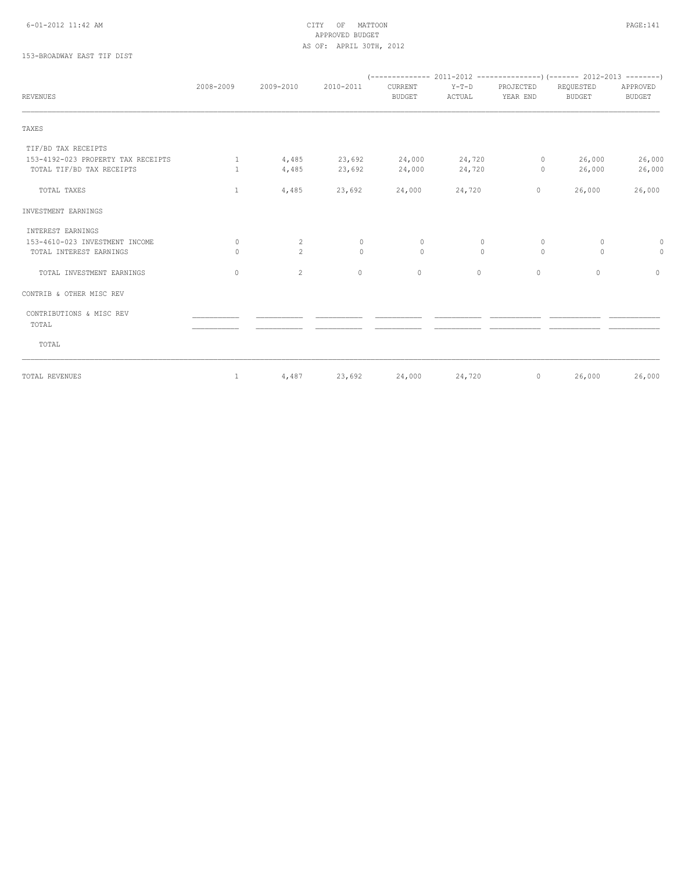#### 6-01-2012 11:42 AM CITY OF MATTOON PAGE:141 APPROVED BUDGET AS OF: APRIL 30TH, 2012

## 153-BROADWAY EAST TIF DIST

| <b>REVENUES</b>                    | 2008-2009                        | 2009-2010    | 2010-2011 | CURRENT<br><b>BUDGET</b> | $Y-T-D$<br>ACTUAL | PROJECTED<br>YEAR END | REQUESTED<br><b>BUDGET</b> | APPROVED<br><b>BUDGET</b> |
|------------------------------------|----------------------------------|--------------|-----------|--------------------------|-------------------|-----------------------|----------------------------|---------------------------|
|                                    |                                  |              |           |                          |                   |                       |                            |                           |
| TAXES                              |                                  |              |           |                          |                   |                       |                            |                           |
| TIF/BD TAX RECEIPTS                |                                  |              |           |                          |                   |                       |                            |                           |
| 153-4192-023 PROPERTY TAX RECEIPTS | $\mathbf{1}$                     | 4,485        | 23,692    | 24,000                   | 24,720            | $\circ$               | 26,000                     | 26,000                    |
| TOTAL TIF/BD TAX RECEIPTS          | $\mathbf{1}$                     | 4,485        | 23,692    | 24,000                   | 24,720            | $\circ$               | 26,000                     | 26,000                    |
| TOTAL TAXES                        | $\mathbf{1}$                     | 4,485        | 23,692    | 24,000                   | 24,720            | $\circ$               | 26,000                     | 26,000                    |
| INVESTMENT EARNINGS                |                                  |              |           |                          |                   |                       |                            |                           |
| INTEREST EARNINGS                  |                                  |              |           |                          |                   |                       |                            |                           |
| 153-4610-023 INVESTMENT INCOME     | $\mathbf{0}$                     | 2            | $\circ$   | $\circ$                  | 0                 | $\circ$               | $\circ$                    | 0                         |
| TOTAL INTEREST EARNINGS            | $\begin{array}{c} \n\end{array}$ | $2^{\circ}$  | $\Omega$  | $\Omega$                 | $\Omega$          | $\Omega$              | $\circ$                    | $\circ$                   |
| TOTAL INVESTMENT EARNINGS          | 0                                | $\mathbf{2}$ | $\circ$   | $\circ$                  | $\circ$           | $\circ$               | $\circ$                    | $\circ$                   |
| CONTRIB & OTHER MISC REV           |                                  |              |           |                          |                   |                       |                            |                           |
| CONTRIBUTIONS & MISC REV           |                                  |              |           |                          |                   |                       |                            |                           |
| TOTAL                              |                                  |              |           |                          |                   |                       |                            |                           |
| TOTAL                              |                                  |              |           |                          |                   |                       |                            |                           |
| TOTAL REVENUES                     | $\mathbf{1}$                     | 4,487        | 23,692    | 24,000                   | 24,720            | $\circ$               | 26,000                     | 26,000                    |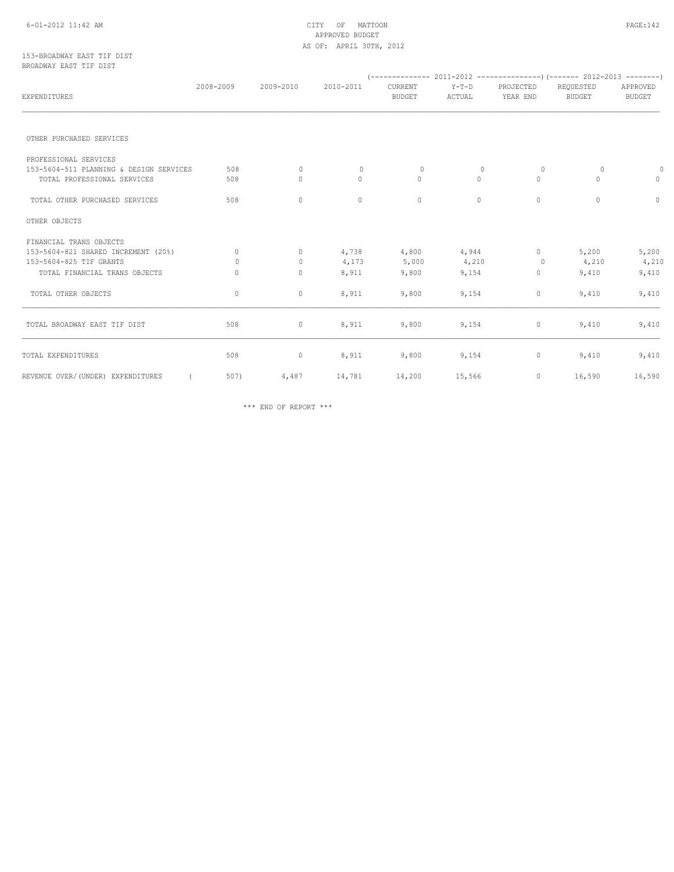#### 6-01-2012 11:42 AM CITY OF MATTOON PAGE:142 APPROVED BUDGET AS OF: APRIL 30TH, 2012

#### 153-BROADWAY EAST TIF DIST BROADWAY EAST TIF DIST

| EXPENDITURES                            | 2008-2009 | 2009-2010    | 2010-2011    | CURRENT<br><b>BUDGET</b> | $Y-T-D$<br>ACTUAL | PROJECTED<br>YEAR END | REQUESTED<br><b>BUDGET</b> | APPROVED<br><b>BUDGET</b> |
|-----------------------------------------|-----------|--------------|--------------|--------------------------|-------------------|-----------------------|----------------------------|---------------------------|
|                                         |           |              |              |                          |                   |                       |                            |                           |
| OTHER PURCHASED SERVICES                |           |              |              |                          |                   |                       |                            |                           |
| PROFESSIONAL SERVICES                   |           |              |              |                          |                   |                       |                            |                           |
| 153-5604-511 PLANNING & DESIGN SERVICES | 508       | $\circ$      | $\mathbf{0}$ | $\mathbf{0}$             | 0                 | $\circ$               | $\circ$                    | 0                         |
| TOTAL PROFESSIONAL SERVICES             | 508       | 0            | 0            | $\circ$                  | $\circ$           | $\mathbf{0}$          | $\circ$                    | $\circ$                   |
| TOTAL OTHER PURCHASED SERVICES          | 508       | $\mathbf{0}$ | $\circ$      | $\circ$                  | $\circ$           | $\mathbf{0}$          | $\circ$                    | $\circ$                   |
| OTHER OBJECTS                           |           |              |              |                          |                   |                       |                            |                           |
| FINANCIAL TRANS OBJECTS                 |           |              |              |                          |                   |                       |                            |                           |
| 153-5604-821 SHARED INCREMENT (20%)     | $\Omega$  | $\Omega$     | 4,738        | 4,800                    | 4,944             | $\Omega$              | 5,200                      | 5,200                     |
| 153-5604-825 TIF GRANTS                 | $\Omega$  | $\circ$      | 4,173        | 5,000                    | 4,210             | $\circ$               | 4,210                      | 4,210                     |
| TOTAL FINANCIAL TRANS OBJECTS           | $\bigcap$ | $\circ$      | 8,911        | 9,800                    | 9,154             | $\mathbf{0}$          | 9,410                      | 9,410                     |
| TOTAL OTHER OBJECTS                     | $\circ$   | $\circ$      | 8,911        | 9,800                    | 9,154             | 0                     | 9,410                      | 9,410                     |
| TOTAL BROADWAY EAST TIF DIST            | 508       | $\circ$      | 8,911        | 9,800                    | 9,154             | $\circ$               | 9,410                      | 9,410                     |
| TOTAL EXPENDITURES                      | 508       | $\circ$      | 8,911        | 9,800                    | 9,154             | $\circ$               | 9,410                      | 9,410                     |
| REVENUE OVER/(UNDER) EXPENDITURES       | 507)      | 4,487        | 14,781       | 14,200                   | 15,566            | $\circ$               | 16,590                     | 16,590                    |

\*\*\* END OF REPORT \*\*\*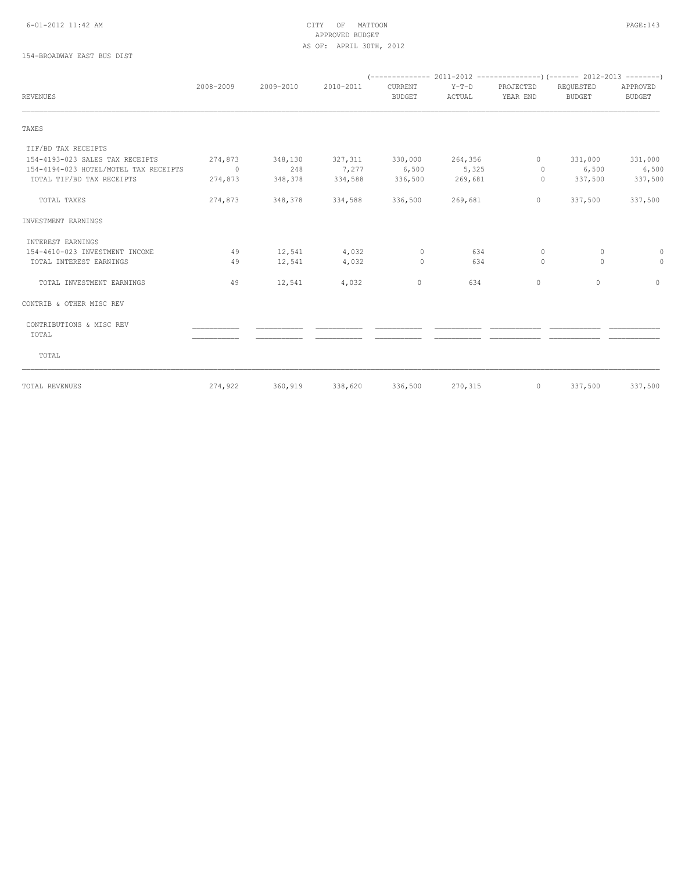#### 6-01-2012 11:42 AM CITY OF MATTOON PAGE:143 APPROVED BUDGET AS OF: APRIL 30TH, 2012

## 154-BROADWAY EAST BUS DIST

|                                       | 2008-2009 | 2009-2010 | 2010-2011 | CURRENT         | $Y-T-D$ | PROJECTED    | REQUESTED | APPROVED      |  |
|---------------------------------------|-----------|-----------|-----------|-----------------|---------|--------------|-----------|---------------|--|
| <b>REVENUES</b>                       |           |           |           | <b>BUDGET</b>   | ACTUAL  | YEAR END     | BUDGET    | <b>BUDGET</b> |  |
| TAXES                                 |           |           |           |                 |         |              |           |               |  |
| TIF/BD TAX RECEIPTS                   |           |           |           |                 |         |              |           |               |  |
| 154-4193-023 SALES TAX RECEIPTS       | 274,873   | 348,130   | 327,311   | 330,000 264,356 |         | $\mathbf{0}$ | 331,000   | 331,000       |  |
| 154-4194-023 HOTEL/MOTEL TAX RECEIPTS | $\sim$ 0  | 248       | 7,277     | 6,500           | 5,325   | $\Omega$     | 6,500     | 6,500         |  |
| TOTAL TIF/BD TAX RECEIPTS             | 274,873   | 348,378   | 334,588   | 336,500         | 269,681 | $\circ$      | 337,500   | 337,500       |  |
| TOTAL TAXES                           | 274,873   | 348,378   | 334,588   | 336,500 269,681 |         | $\circ$      | 337,500   | 337,500       |  |
| INVESTMENT EARNINGS                   |           |           |           |                 |         |              |           |               |  |
| INTEREST EARNINGS                     |           |           |           |                 |         |              |           |               |  |
| 154-4610-023 INVESTMENT INCOME        | 49        | 12,541    | 4,032     | $\circ$         | 634     | $\circ$      | $\circ$   | 0             |  |
| TOTAL INTEREST EARNINGS               | 49        | 12,541    | 4,032     | $\Omega$        | 634     | $\Omega$     | $\Omega$  | $\circ$       |  |
| TOTAL INVESTMENT EARNINGS             | 49        | 12,541    | 4,032     | $\circ$         | 634     | $\mathbf{0}$ | $\circ$   | $\circ$       |  |
| CONTRIB & OTHER MISC REV              |           |           |           |                 |         |              |           |               |  |
| CONTRIBUTIONS & MISC REV<br>TOTAL     |           |           |           |                 |         |              |           |               |  |
| TOTAL                                 |           |           |           |                 |         |              |           |               |  |
| TOTAL REVENUES                        | 274,922   | 360,919   |           | 338,620 336,500 | 270,315 | $\circ$      | 337,500   | 337,500       |  |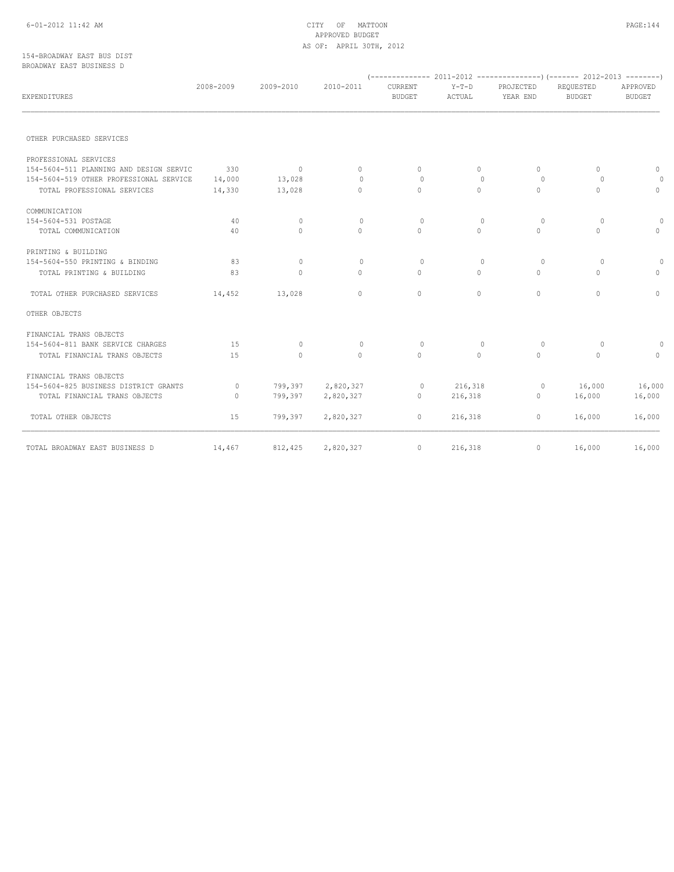#### 6-01-2012 11:42 AM CITY OF MATTOON PAGE:144 APPROVED BUDGET AS OF: APRIL 30TH, 2012

#### 154-BROADWAY EAST BUS DIST BROADWAY EAST BUSINESS D

| biwiibhii biibi boolinboo b             |           |              |              |                                 |                   |                       |                            |                           |
|-----------------------------------------|-----------|--------------|--------------|---------------------------------|-------------------|-----------------------|----------------------------|---------------------------|
| EXPENDITURES                            | 2008-2009 | 2009-2010    | 2010-2011    | <b>CURRENT</b><br><b>BUDGET</b> | $Y-T-D$<br>ACTUAL | PROJECTED<br>YEAR END | REQUESTED<br><b>BUDGET</b> | APPROVED<br><b>BUDGET</b> |
|                                         |           |              |              |                                 |                   |                       |                            |                           |
| OTHER PURCHASED SERVICES                |           |              |              |                                 |                   |                       |                            |                           |
| PROFESSIONAL SERVICES                   |           |              |              |                                 |                   |                       |                            |                           |
| 154-5604-511 PLANNING AND DESIGN SERVIC | 330       | $\mathbf{0}$ | $\circ$      | $\Omega$                        | $\Omega$          | $\Omega$              | $\circ$                    | 0                         |
| 154-5604-519 OTHER PROFESSIONAL SERVICE | 14,000    | 13,028       | $\Omega$     | $\Omega$                        | $\Omega$          | $\Omega$              | $\Omega$                   | $\circ$                   |
| TOTAL PROFESSIONAL SERVICES             | 14,330    | 13,028       | $\circ$      | $\Omega$                        | $\Omega$          | $\mathbf{0}$          | $\Omega$                   | $\circ$                   |
| COMMUNICATION                           |           |              |              |                                 |                   |                       |                            |                           |
| 154-5604-531 POSTAGE                    | 40        | $\circ$      | $\mathbf{0}$ | $\circ$                         | $\circ$           | $\circ$               | $\circ$                    | $\circ$                   |
| TOTAL COMMUNICATION                     | 40        | $\Omega$     | $\Omega$     | $\Omega$                        | $\Omega$          | $\Omega$              | $\Omega$                   | $\circ$                   |
| PRINTING & BUILDING                     |           |              |              |                                 |                   |                       |                            |                           |
| 154-5604-550 PRINTING & BINDING         | 83        | $\circ$      | $\mathbf{0}$ | $\Omega$                        | $\circ$           | $\circ$               | $\circ$                    | $\circ$                   |
| TOTAL PRINTING & BUILDING               | 83        | $\circ$      | $\Omega$     | $\Omega$                        | $\Omega$          | $\Omega$              | $\Omega$                   | $\circ$                   |
| TOTAL OTHER PURCHASED SERVICES          | 14,452    | 13,028       | $\circ$      | $\circ$                         | $\Omega$          | $\mathbf{0}$          | $\Omega$                   | $\circ$                   |
| OTHER OBJECTS                           |           |              |              |                                 |                   |                       |                            |                           |
| FINANCIAL TRANS OBJECTS                 |           |              |              |                                 |                   |                       |                            |                           |
| 154-5604-811 BANK SERVICE CHARGES       | 15        | $\Omega$     | $\mathbf{0}$ | $\Omega$                        | $\circ$           | $\circ$               | $\circ$                    | $\circ$                   |
| TOTAL FINANCIAL TRANS OBJECTS           | 15        | $\Omega$     | $\circ$      | $\Omega$                        | $\circ$           | $\Omega$              | $\circ$                    | $\circ$                   |
| FINANCIAL TRANS OBJECTS                 |           |              |              |                                 |                   |                       |                            |                           |
| 154-5604-825 BUSINESS DISTRICT GRANTS   | $\circ$   | 799,397      | 2,820,327    | $\circ$                         | 216,318           | $\circ$               | 16,000                     | 16,000                    |
| TOTAL FINANCIAL TRANS OBJECTS           | $\circ$   | 799,397      | 2,820,327    | $\Omega$                        | 216,318           | $\circ$               | 16,000                     | 16,000                    |
| TOTAL OTHER OBJECTS                     | 15        | 799,397      | 2,820,327    | $\circ$                         | 216,318           | $\circ$               | 16,000                     | 16,000                    |
| TOTAL BROADWAY EAST BUSINESS D          | 14,467    | 812,425      | 2,820,327    | $\circ$                         | 216,318           | $\mathbf{0}$          | 16,000                     | 16,000                    |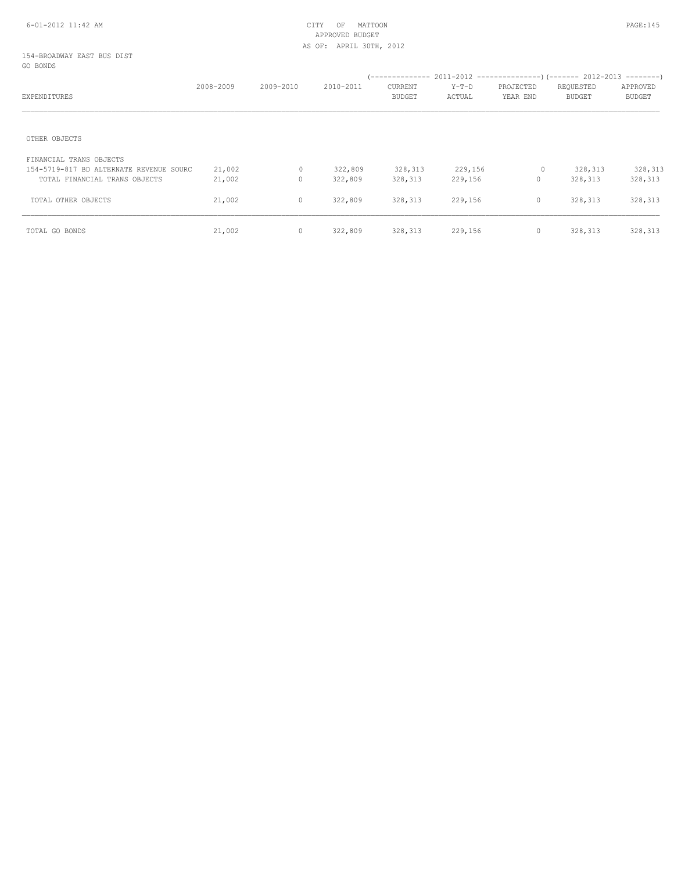### 154-BROADWAY EAST BUS DIST GO BONDS

| EXPENDITURES                            | 2008-2009 | 2009-2010    | 2010-2011 | --------------<br>CURRENT<br><b>BUDGET</b> | $Y-T-D$<br>ACTUAL | PROJECTED<br>YEAR END | $2011-2012$ ----------------) (------- 2012-2013 --------)<br>REQUESTED<br>BUDGET | APPROVED<br><b>BUDGET</b> |
|-----------------------------------------|-----------|--------------|-----------|--------------------------------------------|-------------------|-----------------------|-----------------------------------------------------------------------------------|---------------------------|
| OTHER OBJECTS                           |           |              |           |                                            |                   |                       |                                                                                   |                           |
| FINANCIAL TRANS OBJECTS                 |           |              |           |                                            |                   |                       |                                                                                   |                           |
| 154-5719-817 BD ALTERNATE REVENUE SOURC | 21,002    | $\circ$      | 322,809   | 328,313                                    | 229,156           | 0                     | 328, 313                                                                          | 328,313                   |
| TOTAL FINANCIAL TRANS OBJECTS           | 21,002    | $\mathbf{0}$ | 322,809   | 328,313                                    | 229,156           | $\mathbf{0}$          | 328,313                                                                           | 328,313                   |
| TOTAL OTHER OBJECTS                     | 21,002    | 0            | 322,809   | 328,313                                    | 229,156           | $\circ$               | 328, 313                                                                          | 328, 313                  |
| TOTAL GO BONDS                          | 21,002    | 0            | 322,809   | 328,313                                    | 229,156           | $\circ$               | 328,313                                                                           | 328, 313                  |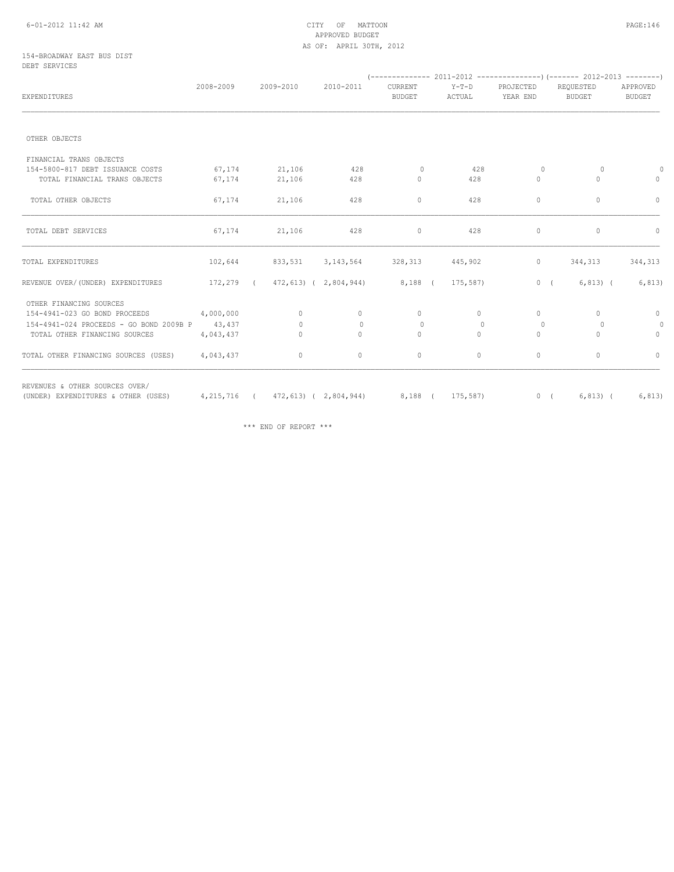## 6-01-2012 11:42 AM CITY OF MATTOON PAGE:146 APPROVED BUDGET AS OF: APRIL 30TH, 2012

#### 154-BROADWAY EAST BUS DIST DEBT SERVICES

| EXPENDITURES                                   | 2008-2009 |  | 2009-2010    | 2010-2011                            | CURRENT<br><b>BUDGET</b>              | $Y-T-D$<br>ACTUAL | PROJECTED<br>YEAR END | REQUESTED<br><b>BUDGET</b> | APPROVED<br><b>BUDGET</b> |
|------------------------------------------------|-----------|--|--------------|--------------------------------------|---------------------------------------|-------------------|-----------------------|----------------------------|---------------------------|
|                                                |           |  |              |                                      |                                       |                   |                       |                            |                           |
| OTHER OBJECTS                                  |           |  |              |                                      |                                       |                   |                       |                            |                           |
| FINANCIAL TRANS OBJECTS                        |           |  |              |                                      |                                       |                   |                       |                            |                           |
| 154-5800-817 DEBT ISSUANCE COSTS               | 67,174    |  | 21,106       | 428                                  | $\circ$                               | 428               | 0                     | 0                          | $\theta$                  |
| TOTAL FINANCIAL TRANS OBJECTS                  | 67,174    |  | 21,106       | 428                                  | $\circ$                               | 428               | $\circ$               | 0                          | $\circ$                   |
| TOTAL OTHER OBJECTS                            | 67,174    |  | 21,106       | 428                                  | $\circ$                               | 428               | $\mathbf{0}$          | $\circ$                    | $\circ$                   |
| TOTAL DEBT SERVICES                            | 67,174    |  | 21,106       | 428                                  | $\circ$                               | 428               | $\circ$               | $\circ$                    | $\circ$                   |
| TOTAL EXPENDITURES                             | 102,644   |  | 833,531      | 3, 143, 564 328, 313                 |                                       | 445,902           | $\circ$               | 344,313                    | 344,313                   |
| REVENUE OVER/(UNDER) EXPENDITURES              |           |  |              |                                      | 172,279 (472,613) (2,804,944) 8,188 ( | 175,587)          |                       | 0(<br>$6, 813$ (           | 6, 813)                   |
| OTHER FINANCING SOURCES                        |           |  |              |                                      |                                       |                   |                       |                            |                           |
| 154-4941-023 GO BOND PROCEEDS                  | 4,000,000 |  | $\circ$      | $\circ$                              | $\circ$                               | $\circ$           | $\mathbf{0}$          | $\Omega$                   | $\circ$                   |
| 154-4941-024 PROCEEDS - GO BOND 2009B P 43,437 |           |  | $\Omega$     | $\begin{array}{c} \n\end{array}$     | $\bigcap$                             | $\Omega$          | $\Omega$              | $\Omega$                   | $\circ$                   |
| TOTAL OTHER FINANCING SOURCES                  | 4,043,437 |  | $\mathbf{0}$ | $\circ$                              | $\circ$                               | $\circ$           | $\mathbf{0}$          | 0                          | $\circ$                   |
| TOTAL OTHER FINANCING SOURCES (USES)           | 4,043,437 |  | $\circ$      | $\circ$                              | $\circ$                               | $\circ$           | $\mathbf 0$           | $\circ$                    | $\circ$                   |
| REVENUES & OTHER SOURCES OVER/                 |           |  |              |                                      |                                       |                   |                       |                            |                           |
| (UNDER) EXPENDITURES & OTHER (USES)            |           |  |              | 4, 215, 716 (472, 613) (2, 804, 944) |                                       | 8,188 ( 175,587)  |                       | $6, 813)$ (<br>0(          | 6, 813)                   |

\*\*\* END OF REPORT \*\*\*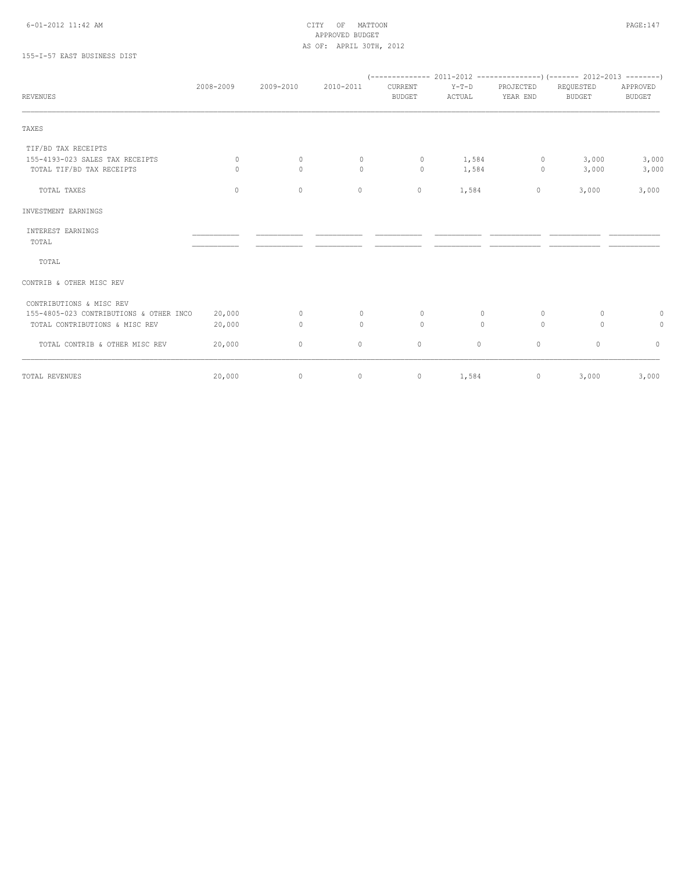## 6-01-2012 11:42 AM CITY OF MATTOON PAGE:147 APPROVED BUDGET AS OF: APRIL 30TH, 2012

# 155-I-57 EAST BUSINESS DIST

|                                         | 2008-2009 | 2009-2010   | 2010-2011    | CURRENT       | $Y-T-D$  | PROJECTED | REQUESTED     | APPROVED      |
|-----------------------------------------|-----------|-------------|--------------|---------------|----------|-----------|---------------|---------------|
| <b>REVENUES</b>                         |           |             |              | <b>BUDGET</b> | ACTUAL   | YEAR END  | <b>BUDGET</b> | <b>BUDGET</b> |
| TAXES                                   |           |             |              |               |          |           |               |               |
| TIF/BD TAX RECEIPTS                     |           |             |              |               |          |           |               |               |
| 155-4193-023 SALES TAX RECEIPTS         | $\circ$   | $\circ$     | $\mathbf 0$  | $\circ$       | 1,584    | $\circ$   | 3,000         | 3,000         |
| TOTAL TIF/BD TAX RECEIPTS               | $\Omega$  | $\Omega$    | $\circ$      | $\circ$       | 1,584    | $\circ$   | 3,000         | 3,000         |
| TOTAL TAXES                             | $\circ$   | $\mathbb O$ | $\circ$      | $\circ$       | 1,584    | $\circ$   | 3,000         | 3,000         |
| INVESTMENT EARNINGS                     |           |             |              |               |          |           |               |               |
| INTEREST EARNINGS                       |           |             |              |               |          |           |               |               |
| TOTAL                                   |           |             |              |               |          |           |               |               |
| TOTAL                                   |           |             |              |               |          |           |               |               |
| CONTRIB & OTHER MISC REV                |           |             |              |               |          |           |               |               |
| CONTRIBUTIONS & MISC REV                |           |             |              |               |          |           |               |               |
| 155-4805-023 CONTRIBUTIONS & OTHER INCO | 20,000    | $\circ$     | $\mathbf{0}$ | $\mathbf{0}$  | $\Omega$ | $\Omega$  | $\Omega$      | 0             |
| TOTAL CONTRIBUTIONS & MISC REV          | 20,000    | $\circ$     | $\circ$      | $\mathbf{0}$  | $\circ$  | $\circ$   | $\circ$       | 0             |
| TOTAL CONTRIB & OTHER MISC REV          | 20,000    | $\circ$     | 0            | 0             | $\circ$  | $\circ$   | $\circ$       | $\circ$       |
| TOTAL REVENUES                          | 20,000    | $\circ$     | 0            | $\circ$       | 1,584    | $\circ$   | 3,000         | 3,000         |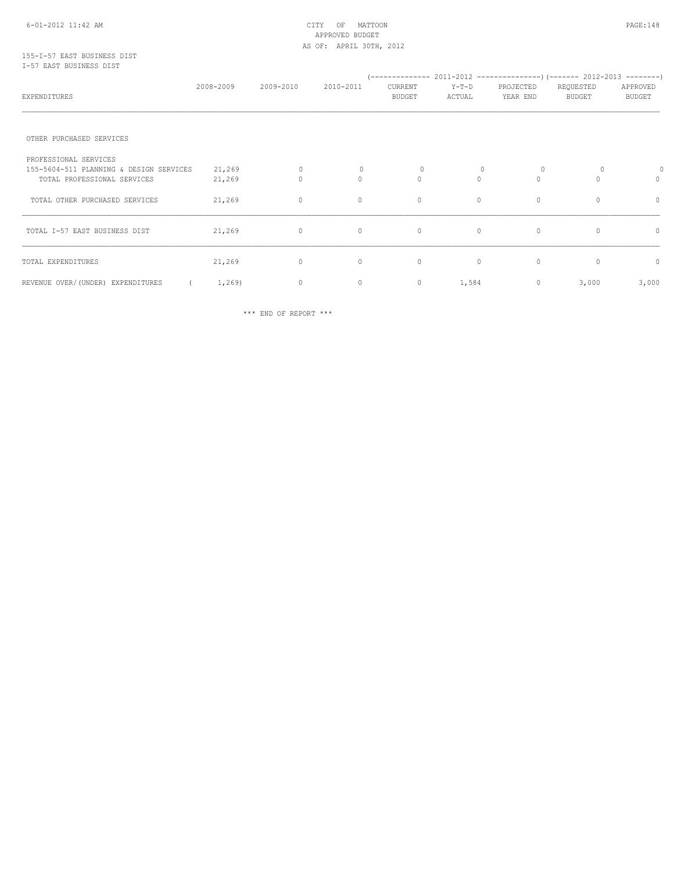### 155-I-57 EAST BUSINESS DIST I-57 EAST BUSINESS DIST

| <b>EXPENDITURES</b>                     | 2008-2009 | 2009-2010    | 2010-2011 | --------------<br>CURRENT<br><b>BUDGET</b> | $Y-T-D$<br>ACTUAL | PROJECTED<br>YEAR END | $2011-2012$ ----------------) (------- 2012-2013 --------)<br>REQUESTED<br><b>BUDGET</b> | APPROVED<br><b>BUDGET</b> |
|-----------------------------------------|-----------|--------------|-----------|--------------------------------------------|-------------------|-----------------------|------------------------------------------------------------------------------------------|---------------------------|
|                                         |           |              |           |                                            |                   |                       |                                                                                          |                           |
| OTHER PURCHASED SERVICES                |           |              |           |                                            |                   |                       |                                                                                          |                           |
| PROFESSIONAL SERVICES                   |           |              |           |                                            |                   |                       |                                                                                          |                           |
| 155-5604-511 PLANNING & DESIGN SERVICES | 21,269    | $\circ$      | $\Omega$  | $\mathbf{0}$                               |                   |                       | $\Omega$                                                                                 | 0                         |
| TOTAL PROFESSIONAL SERVICES             | 21,269    | $\mathbf{0}$ | $\circ$   | $\circ$                                    | $\Omega$          | $\Omega$              |                                                                                          | 0                         |
| TOTAL OTHER PURCHASED SERVICES          | 21,269    | $\circ$      | 0         | 0                                          | $\mathbf{0}$      | $\mathbf 0$           | 0                                                                                        | $\circ$                   |
| TOTAL I-57 EAST BUSINESS DIST           | 21,269    | $\circ$      | $\circ$   | $\circ$                                    | $\circ$           | $\mathbf 0$           | $\Omega$                                                                                 | 0                         |
| TOTAL EXPENDITURES                      | 21,269    | $\circ$      | $\circ$   | $\circ$                                    | $\mathbf{0}$      | $\mathbf{0}$          | $\Omega$                                                                                 | $\circ$                   |
| REVENUE OVER/(UNDER) EXPENDITURES       | 1,269     | $\circ$      | $\circ$   | 0                                          | 1,584             | $\circ$               | 3,000                                                                                    | 3,000                     |

\*\*\* END OF REPORT \*\*\*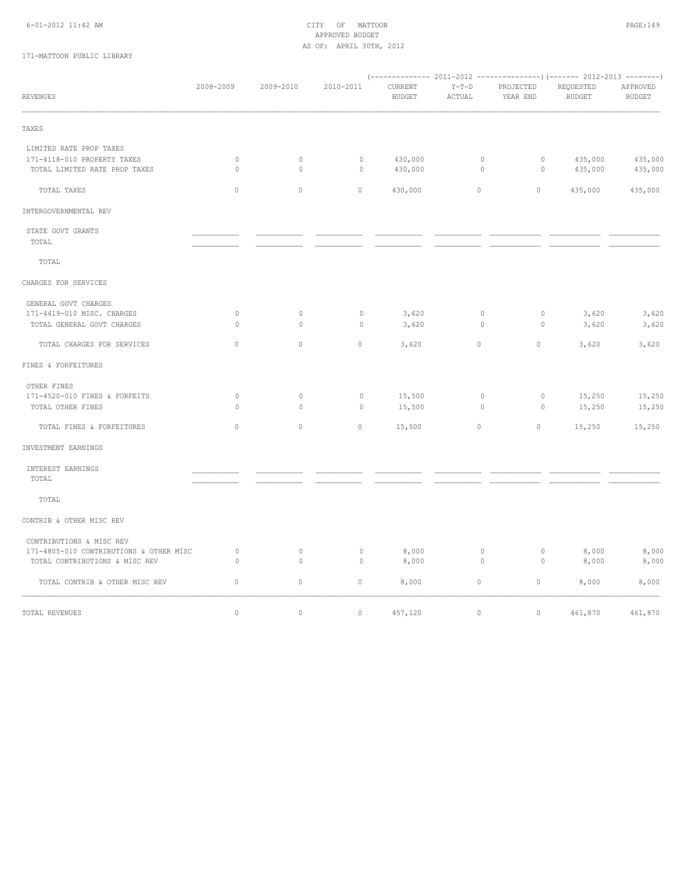## 6-01-2012 11:42 AM CITY OF MATTOON PAGE:149 APPROVED BUDGET AS OF: APRIL 30TH, 2012

# 171-MATTOON PUBLIC LIBRARY

| <b>REVENUES</b>                         | 2008-2009    | 2009-2010   | 2010-2011    | CURRENT<br>BUDGET | $Y-T-D$<br>ACTUAL | PROJECTED<br>YEAR END | REQUESTED<br><b>BUDGET</b> | APPROVED<br><b>BUDGET</b> |
|-----------------------------------------|--------------|-------------|--------------|-------------------|-------------------|-----------------------|----------------------------|---------------------------|
| TAXES                                   |              |             |              |                   |                   |                       |                            |                           |
| LIMITED RATE PROP TAXES                 |              |             |              |                   |                   |                       |                            |                           |
| 171-4118-010 PROPERTY TAXES             | $\circ$      | 0           | $\circ$      | 430,000           | 0                 | 0                     | 435,000                    | 435,000                   |
| TOTAL LIMITED RATE PROP TAXES           | $\mathbf{0}$ | $\circ$     | $\mathbf{0}$ | 430,000           | $\circ$           | $\circ$               | 435,000                    | 435,000                   |
| TOTAL TAXES                             | $\circ$      | $\mathbb O$ | $\circ$      | 430,000           | $\mathbb O$       | $\circ$               | 435,000                    | 435,000                   |
| INTERGOVERNMENTAL REV                   |              |             |              |                   |                   |                       |                            |                           |
| STATE GOVT GRANTS                       |              |             |              |                   |                   |                       |                            |                           |
| TOTAL                                   |              |             |              |                   |                   |                       |                            |                           |
| TOTAL                                   |              |             |              |                   |                   |                       |                            |                           |
| CHARGES FOR SERVICES                    |              |             |              |                   |                   |                       |                            |                           |
| GENERAL GOVT CHARGES                    |              |             |              |                   |                   |                       |                            |                           |
| 171-4419-010 MISC. CHARGES              | $\mathbb O$  | 0           | $\circ$      | 3,620             | 0                 | 0                     | 3,620                      | 3,620                     |
| TOTAL GENERAL GOVT CHARGES              | $\mathbf{0}$ | $\circ$     | $\circ$      | 3,620             | $\circ$           | $\circ$               | 3,620                      | 3,620                     |
| TOTAL CHARGES FOR SERVICES              | $\circ$      | $\mathbb O$ | $\circ$      | 3,620             | $\mathbb O$       | $\circ$               | 3,620                      | 3,620                     |
| FINES & FORFEITURES                     |              |             |              |                   |                   |                       |                            |                           |
| OTHER FINES                             |              |             |              |                   |                   |                       |                            |                           |
| 171-4520-010 FINES & FORFEITS           | $\circ$      | $\circ$     | $\circ$      | 15,500            | $\circ$           | $\circ$               | 15,250                     | 15,250                    |
| TOTAL OTHER FINES                       | $\mathbf{0}$ | $\circ$     | $\circ$      | 15,500            | $\circ$           | $\circ$               | 15,250                     | 15,250                    |
| TOTAL FINES & FORFEITURES               | $\circ$      | $\circ$     | $\circ$      | 15,500            | $\mathbb O$       | $\circ$               | 15,250                     | 15,250                    |
| INVESTMENT EARNINGS                     |              |             |              |                   |                   |                       |                            |                           |
| INTEREST EARNINGS                       |              |             |              |                   |                   |                       |                            |                           |
| TOTAL                                   |              |             |              |                   |                   |                       |                            |                           |
| TOTAL                                   |              |             |              |                   |                   |                       |                            |                           |
| CONTRIB & OTHER MISC REV                |              |             |              |                   |                   |                       |                            |                           |
|                                         |              |             |              |                   |                   |                       |                            |                           |
| 171-4805-010 CONTRIBUTIONS & OTHER MISC | $\circ$      | 0           | $\mathbb O$  | 8,000             | $\circ$           | $\mathbb O$           | 8,000                      | 8,000                     |
| TOTAL CONTRIBUTIONS & MISC REV          | $\mathbf{0}$ | $\circ$     | $\circ$      | 8,000             | 0                 | 0                     | 8,000                      | 8,000                     |
| TOTAL CONTRIB & OTHER MISC REV          | 0            | $\circ$     | $\circ$      | 8,000             | $\mathbb O$       | $\circ$               | 8,000                      | 8,000                     |
| TOTAL REVENUES                          | $\circ$      | $\mathbb O$ | $\circ$      | 457,120           | $\mathbb O$       | $\circ$               | 461,870                    | 461,870                   |
| CONTRIBUTIONS & MISC REV                |              |             |              |                   |                   |                       |                            |                           |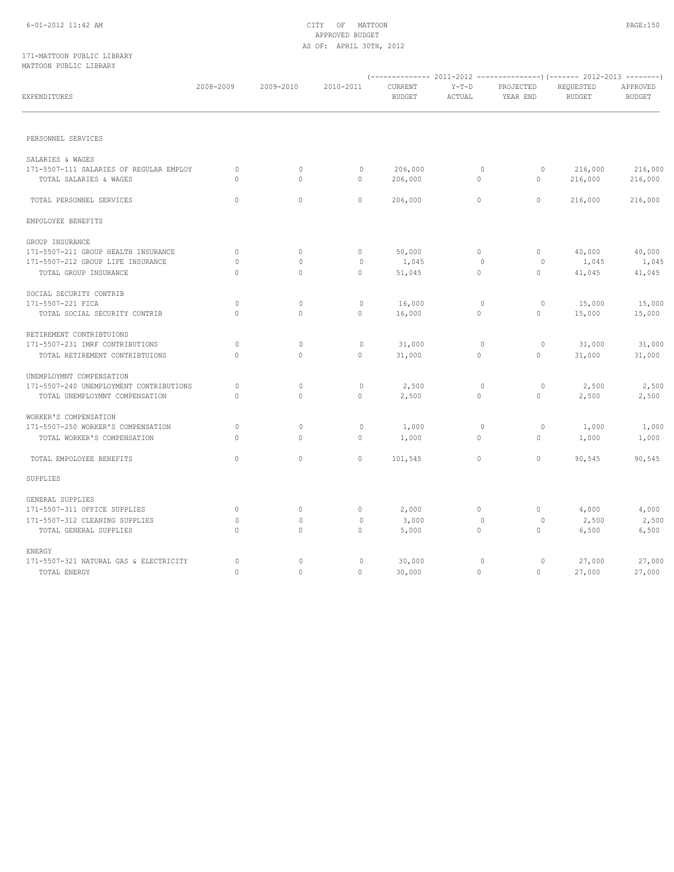## 171-MATTOON PUBLIC LIBRARY MATTOON PUBLIC LIBRARY

| EXPENDITURES                            | 2008-2009    | 2009-2010    | 2010-2011    | CURRENT<br><b>BUDGET</b> | $Y-T-D$<br>ACTUAL | PROJECTED<br>YEAR END | REQUESTED<br><b>BUDGET</b> | APPROVED<br><b>BUDGET</b> |
|-----------------------------------------|--------------|--------------|--------------|--------------------------|-------------------|-----------------------|----------------------------|---------------------------|
|                                         |              |              |              |                          |                   |                       |                            |                           |
| PERSONNEL SERVICES                      |              |              |              |                          |                   |                       |                            |                           |
| SALARIES & WAGES                        |              |              |              |                          |                   |                       |                            |                           |
| 171-5507-111 SALARIES OF REGULAR EMPLOY | $\circ$      | $\circ$      | $\mathbb O$  | 206,000                  | $\circ$           | $\circ$               | 216,000                    | 216,000                   |
| TOTAL SALARIES & WAGES                  | $\Omega$     | $\mathbf{0}$ | $\circ$      | 206,000                  | $\circ$           | $\mathbf{0}$          | 216,000                    | 216,000                   |
| TOTAL PERSONNEL SERVICES                | $\circ$      | $\circ$      | $\circ$      | 206,000                  | $\circ$           | $\circ$               | 216,000                    | 216,000                   |
| EMPOLOYEE BENEFITS                      |              |              |              |                          |                   |                       |                            |                           |
| GROUP INSURANCE                         |              |              |              |                          |                   |                       |                            |                           |
| 171-5507-211 GROUP HEALTH INSURANCE     | $\circ$      | $\mathbf{0}$ | $\circ$      | 50,000                   | $\circ$           | $\circ$               | 40,000                     | 40,000                    |
| 171-5507-212 GROUP LIFE INSURANCE       | $\mathbf{0}$ | 0            | $\mathbf{0}$ | 1,045                    | $\circ$           | 0                     | 1,045                      | 1,045                     |
| TOTAL GROUP INSURANCE                   | $\circ$      | $\circ$      | $\circ$      | 51,045                   | $\circ$           | $\circ$               | 41,045                     | 41,045                    |
| SOCIAL SECURITY CONTRIB                 |              |              |              |                          |                   |                       |                            |                           |
| 171-5507-221 FICA                       | $\mathbf{0}$ | $\mathbf 0$  | $\mathbf 0$  | 16,000                   | $\circ$           | $\circ$               | 15,000                     | 15,000                    |
| TOTAL SOCIAL SECURITY CONTRIB           | $\circ$      | $\circ$      | $\circ$      | 16,000                   | 0                 | $\circ$               | 15,000                     | 15,000                    |
| RETIREMENT CONTRIBTUIONS                |              |              |              |                          |                   |                       |                            |                           |
| 171-5507-231 IMRF CONTRIBUTIONS         | $\mathbf{0}$ | 0            | $\circ$      | 31,000                   | $\circ$           | 0                     | 31,000                     | 31,000                    |
| TOTAL RETIREMENT CONTRIBTUIONS          | $\Omega$     | $\mathbf{0}$ | $\circ$      | 31,000                   | $\mathbf{0}$      | $\circ$               | 31,000                     | 31,000                    |
| UNEMPLOYMNT COMPENSATION                |              |              |              |                          |                   |                       |                            |                           |
| 171-5507-240 UNEMPLOYMENT CONTRIBUTIONS | $\mathbf{0}$ | 0            | $\circ$      | 2,500                    | $\circ$           | $\circ$               | 2,500                      | 2,500                     |
| TOTAL UNEMPLOYMNT COMPENSATION          | $\circ$      | $\mathbf{0}$ | $\circ$      | 2,500                    | 0                 | $\circ$               | 2,500                      | 2,500                     |
| WORKER'S COMPENSATION                   |              |              |              |                          |                   |                       |                            |                           |
| 171-5507-250 WORKER'S COMPENSATION      | $\circ$      | $\mathbb O$  | $\circ$      | 1,000                    | $\circ$           | $\circ$               | 1,000                      | 1,000                     |
| TOTAL WORKER'S COMPENSATION             | $\Omega$     | $\Omega$     | $\circ$      | 1,000                    | $\circ$           | $\circ$               | 1,000                      | 1,000                     |
| TOTAL EMPOLOYEE BENEFITS                | $\circ$      | $\mathbb O$  | $\circ$      | 101,545                  | $\circ$           | $\circ$               | 90,545                     | 90,545                    |
| SUPPLIES                                |              |              |              |                          |                   |                       |                            |                           |
| GENERAL SUPPLIES                        |              |              |              |                          |                   |                       |                            |                           |
| 171-5507-311 OFFICE SUPPLIES            | $\circ$      | $\mathbb O$  | $\circ$      | 2,000                    | $\circ$           | $\circ$               | 4,000                      | 4,000                     |
| 171-5507-312 CLEANING SUPPLIES          | $\mathbf{0}$ | 0            | $\mathbf{0}$ | 3,000                    | $\circ$           | $\circ$               | 2,500                      | 2,500                     |
| TOTAL GENERAL SUPPLIES                  | $\circ$      | $\mathbf{0}$ | $\circ$      | 5,000                    | $\circ$           | $\circ$               | 6,500                      | 6,500                     |
| ENERGY                                  |              |              |              |                          |                   |                       |                            |                           |
| 171-5507-321 NATURAL GAS & ELECTRICITY  | $\circ$      | 0            | $\circ$      | 30,000                   | $\circ$           | $\circ$               | 27,000                     | 27,000                    |
| TOTAL ENERGY                            | $\Omega$     | $\circ$      | $\circ$      | 30,000                   | $\circ$           | $\Omega$              | 27,000                     | 27,000                    |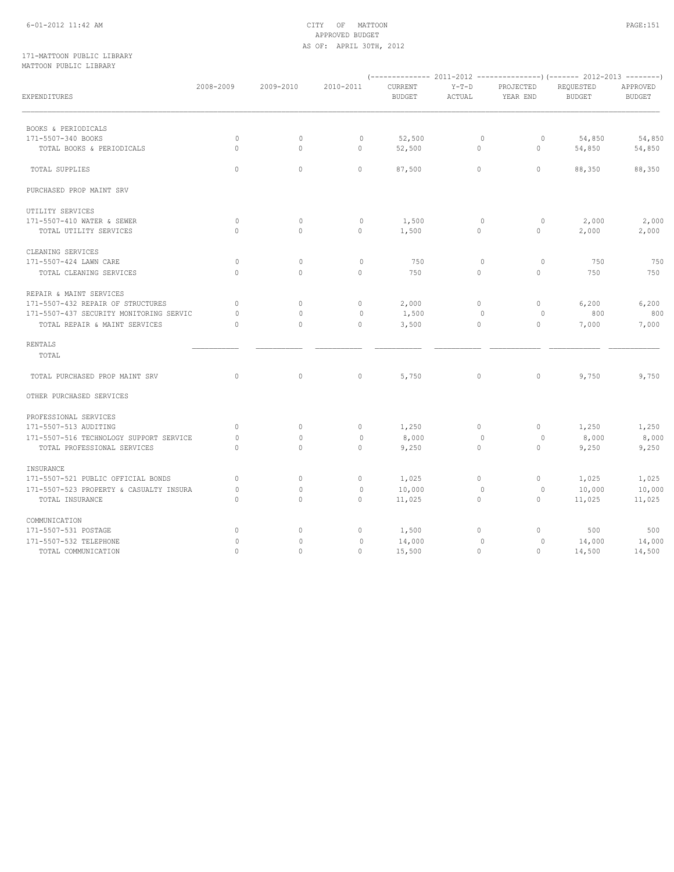## 6-01-2012 11:42 AM CITY OF MATTOON PAGE:151 APPROVED BUDGET AS OF: APRIL 30TH, 2012

## 171-MATTOON PUBLIC LIBRARY MATTOON PUBLIC LIBRARY

| EXPENDITURES                            | 2008-2009    | 2009-2010    | 2010-2011    | CURRENT<br><b>BUDGET</b> | $Y-T-D$<br>ACTUAL | PROJECTED<br>YEAR END | REQUESTED<br><b>BUDGET</b> | APPROVED<br><b>BUDGET</b> |
|-----------------------------------------|--------------|--------------|--------------|--------------------------|-------------------|-----------------------|----------------------------|---------------------------|
| BOOKS & PERIODICALS                     |              |              |              |                          |                   |                       |                            |                           |
| 171-5507-340 BOOKS                      | $\mathbf{0}$ | 0            | 0            | 52,500                   | $\circ$           | 0                     | 54,850                     | 54,850                    |
| TOTAL BOOKS & PERIODICALS               | $\circ$      | $\circ$      | $\circ$      | 52,500                   | 0                 | 0                     | 54,850                     | 54,850                    |
| TOTAL SUPPLIES                          | $\circ$      | $\circ$      | $\circ$      | 87,500                   | $\circ$           | $\mathbf{0}$          | 88,350                     | 88,350                    |
| PURCHASED PROP MAINT SRV                |              |              |              |                          |                   |                       |                            |                           |
| UTILITY SERVICES                        |              |              |              |                          |                   |                       |                            |                           |
| 171-5507-410 WATER & SEWER              | $\circ$      | $\circ$      | $\mathbf 0$  | 1,500                    | $\circ$           | $\circ$               | 2,000                      | 2,000                     |
| TOTAL UTILITY SERVICES                  | $\Omega$     | $\Omega$     | $\circ$      | 1,500                    | $\circ$           | $\circ$               | 2,000                      | 2,000                     |
| CLEANING SERVICES                       |              |              |              |                          |                   |                       |                            |                           |
| 171-5507-424 LAWN CARE                  | $\mathbf{0}$ | $\circ$      | $\circ$      | 750                      | $\circ$           | $\circ$               | 750                        | 750                       |
| TOTAL CLEANING SERVICES                 | $\Omega$     | $\Omega$     | $\circ$      | 750                      | $\circ$           | $\mathbf{0}$          | 750                        | 750                       |
| REPAIR & MAINT SERVICES                 |              |              |              |                          |                   |                       |                            |                           |
| 171-5507-432 REPAIR OF STRUCTURES       | $\circ$      | $\mathbf{0}$ | $\circ$      | 2,000                    | $\circ$           | $\mathbf{0}$          | 6,200                      | 6,200                     |
| 171-5507-437 SECURITY MONITORING SERVIC | $\Omega$     | $\Omega$     | $\mathbf{0}$ | 1,500                    | $\circ$           | 0                     | 800                        | 800                       |
| TOTAL REPAIR & MAINT SERVICES           | $\circ$      | $\mathbf{0}$ | $\circ$      | 3,500                    | 0                 | $\circ$               | 7,000                      | 7,000                     |
| RENTALS                                 |              |              |              |                          |                   |                       |                            |                           |
| TOTAL                                   |              |              |              |                          |                   |                       |                            |                           |
| TOTAL PURCHASED PROP MAINT SRV          | $\circ$      | $\circ$      | $\circ$      | 5,750                    | $\circ$           | $\circ$               | 9,750                      | 9,750                     |
| OTHER PURCHASED SERVICES                |              |              |              |                          |                   |                       |                            |                           |
| PROFESSIONAL SERVICES                   |              |              |              |                          |                   |                       |                            |                           |
| 171-5507-513 AUDITING                   | $\circ$      | $\mathbf{0}$ | $\circ$      | 1,250                    | $\circ$           | $\mathbf{0}$          | 1,250                      | 1,250                     |
| 171-5507-516 TECHNOLOGY SUPPORT SERVICE | $\mathbf{0}$ | 0            | $\mathbf{0}$ | 8,000                    | $\circ$           | 0                     | 8,000                      | 8,000                     |
| TOTAL PROFESSIONAL SERVICES             | $\circ$      | $\mathbf{0}$ | $\circ$      | 9,250                    | $\circ$           | $\circ$               | 9,250                      | 9,250                     |
| INSURANCE                               |              |              |              |                          |                   |                       |                            |                           |
| 171-5507-521 PUBLIC OFFICIAL BONDS      | $\circ$      | $\mathbf{0}$ | $\circ$      | 1,025                    | $\circ$           | $\mathbf{0}$          | 1,025                      | 1,025                     |
| 171-5507-523 PROPERTY & CASUALTY INSURA | $\mathbf{0}$ | $\Omega$     | $\circ$      | 10,000                   | $\circ$           | $\circ$               | 10,000                     | 10,000                    |
| TOTAL INSURANCE                         | $\circ$      | $\circ$      | $\circ$      | 11,025                   | $\circ$           | $\circ$               | 11,025                     | 11,025                    |
| COMMUNICATION                           |              |              |              |                          |                   |                       |                            |                           |
| 171-5507-531 POSTAGE                    | $\circ$      | $\circ$      | $\circ$      | 1,500                    | 0                 | 0                     | 500                        | 500                       |
| 171-5507-532 TELEPHONE                  | $\circ$      | 0            | $\circ$      | 14,000                   | $\circ$           | $\circ$               | 14,000                     | 14,000                    |
| TOTAL COMMUNICATION                     | $\circ$      | $\mathbf{0}$ | $\circ$      | 15,500                   | $\circ$           | 0                     | 14,500                     | 14,500                    |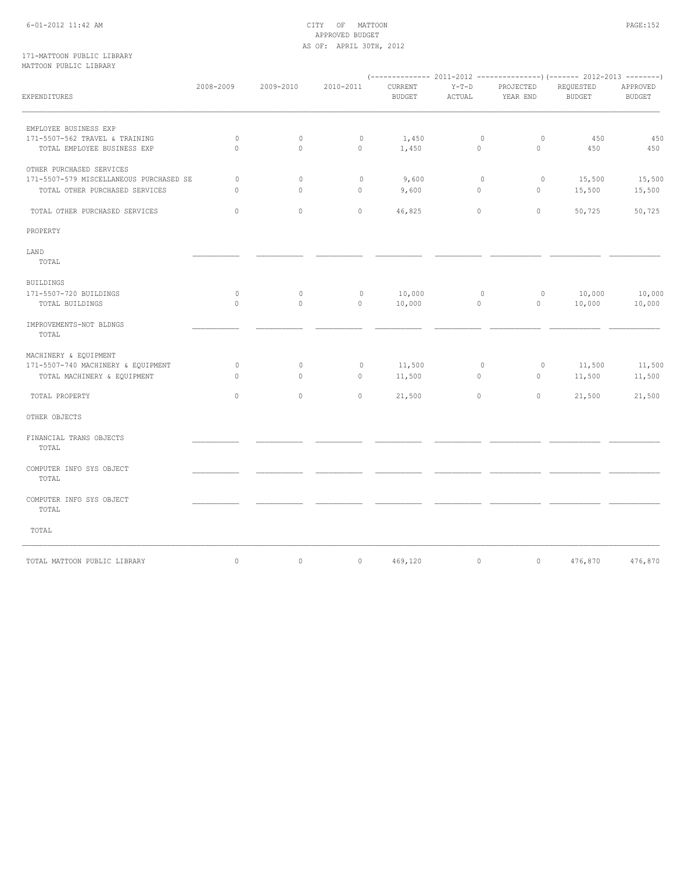## 6-01-2012 11:42 AM CITY OF MATTOON PAGE:152 APPROVED BUDGET AS OF: APRIL 30TH, 2012

### 171-MATTOON PUBLIC LIBRARY MATTOON PUBLIC LIBRARY

| EXPENDITURES                                                              | 2008-2009               | 2009-2010               | 2010-2011               | ${\tt CURRENT}$<br><b>BUDGET</b> | $Y-T-D$<br>ACTUAL       | PROJECTED<br>YEAR END   | REQUESTED<br><b>BUDGET</b> | APPROVED<br><b>BUDGET</b> |
|---------------------------------------------------------------------------|-------------------------|-------------------------|-------------------------|----------------------------------|-------------------------|-------------------------|----------------------------|---------------------------|
| EMPLOYEE BUSINESS EXP                                                     |                         |                         |                         |                                  |                         |                         |                            |                           |
| 171-5507-562 TRAVEL & TRAINING<br>TOTAL EMPLOYEE BUSINESS EXP             | $\mathbf{0}$<br>$\circ$ | $\circ$<br>$\mathbf{0}$ | $\mathbf{0}$<br>$\circ$ | 1,450<br>1,450                   | $\circ$<br>$\mathbf{0}$ | $\circ$<br>$\circ$      | 450<br>450                 | 450<br>450                |
| OTHER PURCHASED SERVICES                                                  |                         |                         |                         |                                  |                         |                         |                            |                           |
| 171-5507-579 MISCELLANEOUS PURCHASED SE<br>TOTAL OTHER PURCHASED SERVICES | $\circ$<br>$\circ$      | $\circ$<br>$\mathbf{0}$ | $\mathbb O$<br>$\circ$  | 9,600<br>9,600                   | $\circ$<br>$\circ$      | $\circ$<br>$\mathbf{0}$ | 15,500<br>15,500           | 15,500<br>15,500          |
| TOTAL OTHER PURCHASED SERVICES                                            | $\circ$                 | $\circ$                 | $\circ$                 | 46,825                           | $\circ$                 | $\circ$                 | 50,725                     | 50,725                    |
| PROPERTY                                                                  |                         |                         |                         |                                  |                         |                         |                            |                           |
| LAND<br>TOTAL                                                             |                         |                         |                         |                                  |                         |                         |                            |                           |
| <b>BUILDINGS</b>                                                          |                         |                         |                         |                                  |                         |                         |                            |                           |
| 171-5507-720 BUILDINGS<br>TOTAL BUILDINGS                                 | $\mathbb O$<br>$\circ$  | $\circ$<br>$\circ$      | $\mathbb O$<br>$\circ$  | 10,000<br>10,000                 | $\circ$<br>$\circ$      | $\circ$<br>$\circ$      | 10,000<br>10,000           | 10,000<br>10,000          |
| IMPROVEMENTS-NOT BLDNGS<br>TOTAL                                          |                         |                         |                         |                                  |                         |                         |                            |                           |
| MACHINERY & EQUIPMENT                                                     |                         |                         |                         |                                  |                         |                         |                            |                           |
| 171-5507-740 MACHINERY & EQUIPMENT<br>TOTAL MACHINERY & EQUIPMENT         | $\circ$<br>$\Omega$     | $\circ$<br>$\Omega$     | $\mathbb O$<br>$\Omega$ | 11,500<br>11,500                 | $\circ$<br>$\mathbf{0}$ | $\circ$<br>$\circ$      | 11,500<br>11,500           | 11,500<br>11,500          |
| TOTAL PROPERTY                                                            | $\circ$                 | $\circ$                 | $\circ$                 | 21,500                           | $\circ$                 | $\circ$                 | 21,500                     | 21,500                    |
| OTHER OBJECTS                                                             |                         |                         |                         |                                  |                         |                         |                            |                           |
| FINANCIAL TRANS OBJECTS<br>TOTAL                                          |                         |                         |                         |                                  |                         |                         |                            |                           |
| COMPUTER INFO SYS OBJECT<br>TOTAL                                         |                         |                         |                         |                                  |                         |                         |                            |                           |
| COMPUTER INFO SYS OBJECT<br>TOTAL                                         |                         |                         |                         |                                  |                         |                         |                            |                           |
| TOTAL                                                                     |                         |                         |                         |                                  |                         |                         |                            |                           |
| TOTAL MATTOON PUBLIC LIBRARY                                              | $\circ$                 | $\mathbb O$             | $\circ$                 | 469,120                          | $\circ$                 | $\circ$                 | 476,870                    | 476,870                   |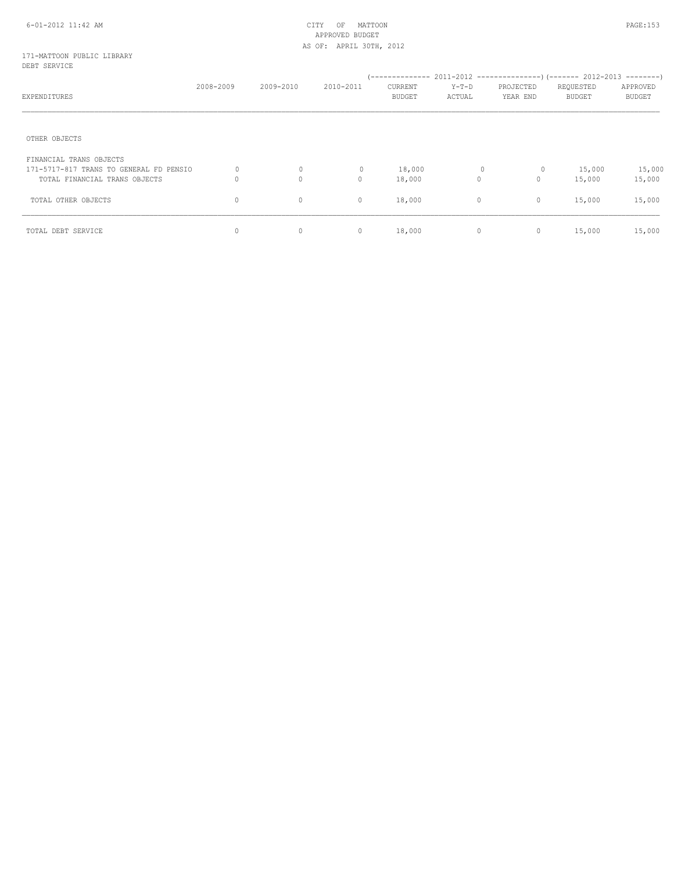## 171-MATTOON PUBLIC LIBRARY DEBT SERVICE

| EXPENDITURES                            | 2008-2009 | 2009-2010    | 2010-2011    | CURRENT<br>BUDGET | Y-T-D<br>ACTUAL | PROJECTED<br>YEAR END | REQUESTED<br><b>BUDGET</b> | APPROVED<br><b>BUDGET</b> |
|-----------------------------------------|-----------|--------------|--------------|-------------------|-----------------|-----------------------|----------------------------|---------------------------|
| OTHER OBJECTS                           |           |              |              |                   |                 |                       |                            |                           |
| FINANCIAL TRANS OBJECTS                 |           |              |              |                   |                 |                       |                            |                           |
| 171-5717-817 TRANS TO GENERAL FD PENSIO | $\Omega$  | $\circ$      | $\mathbf{0}$ | 18,000            |                 | 0<br>$\circ$          | 15,000                     | 15,000                    |
| TOTAL FINANCIAL TRANS OBJECTS           | $\Omega$  | $\mathbf{0}$ | $\circ$      | 18,000            | 0               | $\mathbf{0}$          | 15,000                     | 15,000                    |
| TOTAL OTHER OBJECTS                     | 0         | $\circ$      | $\circ$      | 18,000            | $\circ$         | $\circ$               | 15,000                     | 15,000                    |
| TOTAL DEBT SERVICE                      | 0         | $\circ$      | $\circ$      | 18,000            | $\circ$         | 0                     | 15,000                     | 15,000                    |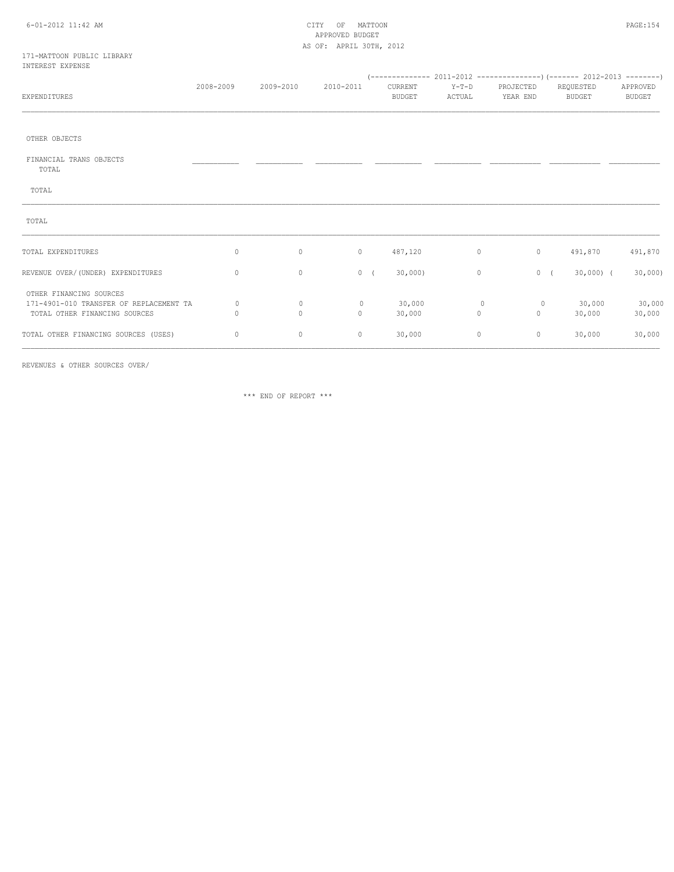## 6-01-2012 11:42 AM CITY OF MATTOON PAGE:154 APPROVED BUDGET AS OF: APRIL 30TH, 2012

### 171-MATTOON PUBLIC LIBRARY INTEREST EXPENSE

| EXPENDITURES                                                                                        | 2008-2009 | 2009-2010               | 2010-2011               | CURRENT<br><b>BUDGET</b> | $Y-T-D$<br>ACTUAL      | PROJECTED<br>YEAR END | REQUESTED<br>BUDGET | APPROVED<br><b>BUDGET</b> |  |
|-----------------------------------------------------------------------------------------------------|-----------|-------------------------|-------------------------|--------------------------|------------------------|-----------------------|---------------------|---------------------------|--|
|                                                                                                     |           |                         |                         |                          |                        |                       |                     |                           |  |
| OTHER OBJECTS                                                                                       |           |                         |                         |                          |                        |                       |                     |                           |  |
| FINANCIAL TRANS OBJECTS<br>TOTAL                                                                    |           |                         |                         |                          |                        |                       |                     |                           |  |
| TOTAL                                                                                               |           |                         |                         |                          |                        |                       |                     |                           |  |
| TOTAL                                                                                               |           |                         |                         |                          |                        |                       |                     |                           |  |
| TOTAL EXPENDITURES                                                                                  | 0         | $\circ$                 | $\circ$                 | 487,120                  | $\circ$                | $\circ$               | 491,870             | 491,870                   |  |
| REVENUE OVER/(UNDER) EXPENDITURES                                                                   | 0         | $\circ$                 | 0(                      | 30,000                   | $\circ$                |                       | 0(<br>$30,000$ ) (  | 30,000                    |  |
| OTHER FINANCING SOURCES<br>171-4901-010 TRANSFER OF REPLACEMENT TA<br>TOTAL OTHER FINANCING SOURCES | 0<br>0    | $\circ$<br>$\mathbf{0}$ | $\mathbf{0}$<br>$\circ$ | 30,000<br>30,000         | $\circ$<br>$\mathbb O$ | $\circ$<br>$\circ$    | 30,000<br>30,000    | 30,000<br>30,000          |  |
| TOTAL OTHER FINANCING SOURCES (USES)                                                                | 0         | $\mathbb O$             | $\circ$                 | 30,000                   | $\circ$                | $\circ$               | 30,000              | 30,000                    |  |

REVENUES & OTHER SOURCES OVER/

\*\*\* END OF REPORT \*\*\*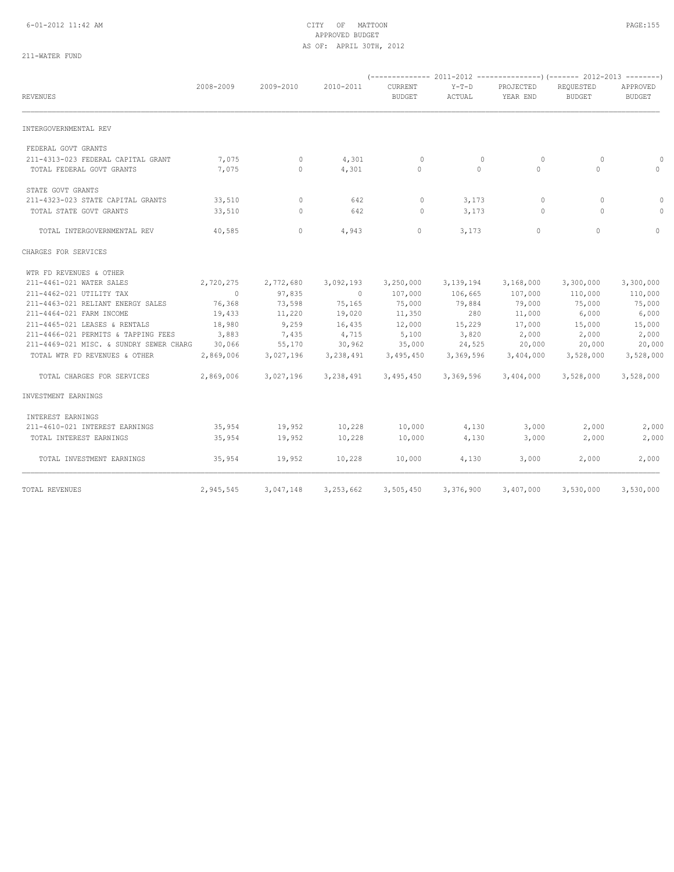## 6-01-2012 11:42 AM CITY OF MATTOON PAGE:155 APPROVED BUDGET AS OF: APRIL 30TH, 2012

# 211-WATER FUND

| REVENUES                                                        | 2008-2009      | 2009-2010    | 2010-2011      | CURRENT<br><b>BUDGET</b> | $Y-T-D$<br>ACTUAL   | PROJECTED<br>YEAR END | REQUESTED<br><b>BUDGET</b> | APPROVED<br><b>BUDGET</b> |
|-----------------------------------------------------------------|----------------|--------------|----------------|--------------------------|---------------------|-----------------------|----------------------------|---------------------------|
| INTERGOVERNMENTAL REV                                           |                |              |                |                          |                     |                       |                            |                           |
| FEDERAL GOVT GRANTS                                             |                |              |                |                          |                     |                       |                            |                           |
| 211-4313-023 FEDERAL CAPITAL GRANT<br>TOTAL FEDERAL GOVT GRANTS | 7,075<br>7,075 | 0<br>$\circ$ | 4,301<br>4,301 | $\mathbf 0$<br>$\Omega$  | $\circ$<br>$\Omega$ | $\circ$<br>$\Omega$   | $\circ$<br>$\Omega$        | $\Omega$<br>$\Omega$      |
| STATE GOVT GRANTS                                               |                |              |                |                          |                     |                       |                            |                           |
| 211-4323-023 STATE CAPITAL GRANTS                               | 33,510         | $\circ$      | 642            | $\circ$                  | 3,173               | $\circ$               | $\circ$                    | $\circ$                   |
| TOTAL STATE GOVT GRANTS                                         | 33,510         | $\circ$      | 642            | $\circ$                  | 3,173               | $\circ$               | $\Omega$                   | $\Omega$                  |
| TOTAL INTERGOVERNMENTAL REV                                     | 40,585         | $\mathbf{0}$ | 4,943          | 0                        | 3,173               | $\circ$               | $\circ$                    | $\circ$                   |
| CHARGES FOR SERVICES                                            |                |              |                |                          |                     |                       |                            |                           |
| WTR FD REVENUES & OTHER                                         |                |              |                |                          |                     |                       |                            |                           |
| 211-4461-021 WATER SALES                                        | 2,720,275      | 2,772,680    | 3,092,193      | 3,250,000                | 3, 139, 194         | 3,168,000             | 3,300,000                  | 3,300,000                 |
| 211-4462-021 UTILITY TAX                                        | $\overline{0}$ | 97,835       | $\Omega$       | 107,000                  | 106,665             | 107,000               | 110,000                    | 110,000                   |
| 211-4463-021 RELIANT ENERGY SALES                               | 76,368         | 73,598       | 75,165         | 75,000                   | 79,884              | 79,000                | 75,000                     | 75,000                    |
| 211-4464-021 FARM INCOME                                        | 19,433         | 11,220       | 19,020         | 11,350                   | 280                 | 11,000                | 6,000                      | 6,000                     |
| 211-4465-021 LEASES & RENTALS                                   | 18,980         | 9,259        | 16,435         | 12,000                   | 15,229              | 17,000                | 15,000                     | 15,000                    |
| 211-4466-021 PERMITS & TAPPING FEES                             | 3,883          | 7,435        | 4,715          | 5,100                    | 3,820               | 2,000                 | 2,000                      | 2,000                     |
| 211-4469-021 MISC. & SUNDRY SEWER CHARG                         | 30,066         | 55,170       | 30,962         | 35,000                   | 24,525              | 20,000                | 20,000                     | 20,000                    |
| TOTAL WTR FD REVENUES & OTHER                                   | 2,869,006      | 3,027,196    | 3,238,491      | 3,495,450                | 3,369,596           | 3,404,000             | 3,528,000                  | 3,528,000                 |
| TOTAL CHARGES FOR SERVICES                                      | 2,869,006      | 3,027,196    | 3,238,491      | 3,495,450                | 3,369,596           | 3,404,000             | 3,528,000                  | 3,528,000                 |
| INVESTMENT EARNINGS                                             |                |              |                |                          |                     |                       |                            |                           |
| INTEREST EARNINGS                                               |                |              |                |                          |                     |                       |                            |                           |
| 211-4610-021 INTEREST EARNINGS                                  | 35,954         | 19,952       | 10,228         | 10,000                   | 4,130               | 3,000                 | 2,000                      | 2,000                     |
| TOTAL INTEREST EARNINGS                                         | 35,954         | 19,952       | 10,228         | 10,000                   | 4,130               | 3,000                 | 2,000                      | 2,000                     |
| TOTAL INVESTMENT EARNINGS                                       | 35,954         | 19,952       | 10,228         | 10,000                   | 4,130               | 3,000                 | 2,000                      | 2,000                     |
| TOTAL REVENUES                                                  | 2,945,545      | 3,047,148    | 3,253,662      | 3,505,450                | 3,376,900           | 3,407,000             | 3,530,000                  | 3,530,000                 |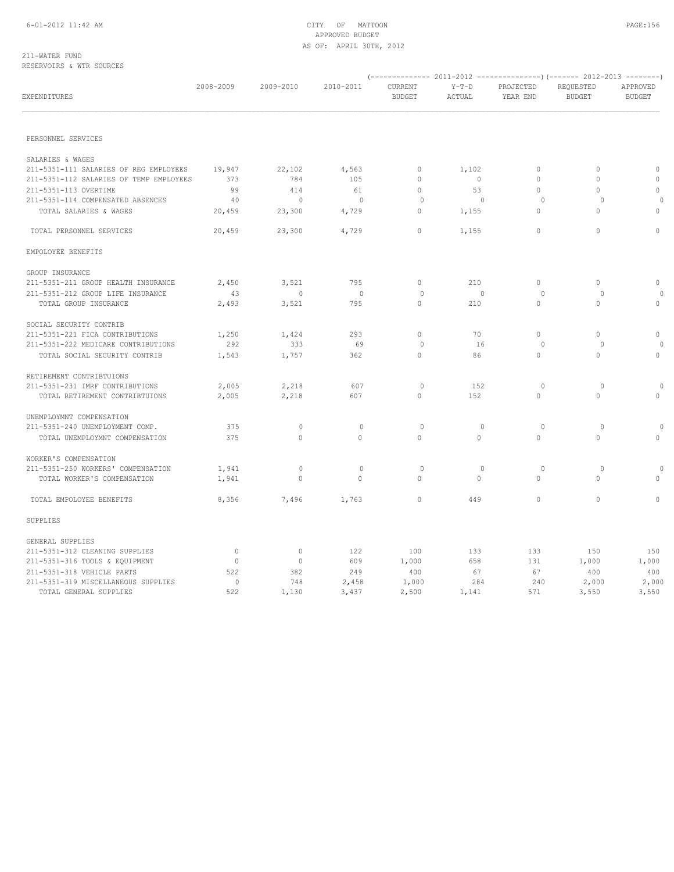### 211-WATER FUND RESERVOIRS & WTR SOURCES

| EXPENDITURES                            | 2008-2009   | 2009-2010      | 2010-2011                | CURRENT<br><b>BUDGET</b> | $Y-T-D$<br>ACTUAL | PROJECTED<br>YEAR END | REQUESTED<br><b>BUDGET</b> | APPROVED<br><b>BUDGET</b> |  |
|-----------------------------------------|-------------|----------------|--------------------------|--------------------------|-------------------|-----------------------|----------------------------|---------------------------|--|
|                                         |             |                |                          |                          |                   |                       |                            |                           |  |
| PERSONNEL SERVICES                      |             |                |                          |                          |                   |                       |                            |                           |  |
| SALARIES & WAGES                        |             |                |                          |                          |                   |                       |                            |                           |  |
| 211-5351-111 SALARIES OF REG EMPLOYEES  | 19,947      | 22,102         | 4,563                    | $\circ$                  | 1,102             | $\mathbf{0}$          | $\circ$                    | $\circ$                   |  |
| 211-5351-112 SALARIES OF TEMP EMPLOYEES | 373         | 784            | 105                      | $\circ$                  | $\overline{0}$    | $\circ$               | 0                          | $\circ$                   |  |
| 211-5351-113 OVERTIME                   | 99          | 414            | 61                       | $\circ$                  | 53                | $\Omega$              | $\Omega$                   | $\circ$                   |  |
| 211-5351-114 COMPENSATED ABSENCES       | 40          | $\circ$        | $\overline{\phantom{0}}$ | 0                        | $\circ$           | 0                     | $\circ$                    | $\circ$                   |  |
| TOTAL SALARIES & WAGES                  | 20,459      | 23,300         | 4,729                    | $\circ$                  | 1,155             | $\Omega$              | $\Omega$                   | $\circ$                   |  |
| TOTAL PERSONNEL SERVICES                | 20,459      | 23,300         | 4,729                    | $\Omega$                 | 1,155             | $\mathbf{0}$          | $\Omega$                   | $\Omega$                  |  |
| EMPOLOYEE BENEFITS                      |             |                |                          |                          |                   |                       |                            |                           |  |
| GROUP INSURANCE                         |             |                |                          |                          |                   |                       |                            |                           |  |
| 211-5351-211 GROUP HEALTH INSURANCE     | 2,450       | 3,521          | 795                      | $\circ$                  | 210               | 0                     | 0                          | $\circ$                   |  |
| 211-5351-212 GROUP LIFE INSURANCE       | 43          | $\overline{0}$ | $\overline{0}$           | $\circ$                  | $\circ$           | $\circ$               | $\circ$                    | $\circ$                   |  |
| TOTAL GROUP INSURANCE                   | 2,493       | 3,521          | 795                      | $\circ$                  | 210               | $\mathbf{0}$          | 0                          | 0                         |  |
| SOCIAL SECURITY CONTRIB                 |             |                |                          |                          |                   |                       |                            |                           |  |
| 211-5351-221 FICA CONTRIBUTIONS         | 1,250       | 1,424          | 293                      | $\circ$                  | 70                | $\mathbf{0}$          | $\Omega$                   | $\circ$                   |  |
| 211-5351-222 MEDICARE CONTRIBUTIONS     | 292         | 333            | 69                       | $\circ$                  | 16                | $\circ$               | $\Omega$                   | $\Omega$                  |  |
| TOTAL SOCIAL SECURITY CONTRIB           | 1,543       | 1,757          | 362                      | $\Omega$                 | 86                | $\Omega$              | $\Omega$                   | $\circ$                   |  |
| RETIREMENT CONTRIBTUIONS                |             |                |                          |                          |                   |                       |                            |                           |  |
| 211-5351-231 IMRF CONTRIBUTIONS         | 2,005       | 2,218          | 607                      | $\mathbf{0}$             | 152               | $\circ$               | $\circ$                    | $\circ$                   |  |
| TOTAL RETIREMENT CONTRIBTUIONS          | 2,005       | 2,218          | 607                      | $\circ$                  | 152               | $\circ$               | $\Omega$                   | $\circ$                   |  |
| UNEMPLOYMNT COMPENSATION                |             |                |                          |                          |                   |                       |                            |                           |  |
| 211-5351-240 UNEMPLOYMENT COMP.         | 375         | $\circ$        | $\mathbf{0}$             | $\circ$                  | $\circ$           | $\circ$               | $\circ$                    | $\circ$                   |  |
| TOTAL UNEMPLOYMNT COMPENSATION          | 375         | $\circ$        | $\Omega$                 | $\circ$                  | $\Omega$          | $\circ$               | $\Omega$                   | $\circ$                   |  |
| WORKER'S COMPENSATION                   |             |                |                          |                          |                   |                       |                            |                           |  |
| 211-5351-250 WORKERS' COMPENSATION      | 1,941       | $\circ$        | $\mathbf{0}$             | $\mathbf{0}$             | $\circ$           | $\circ$               | 0                          | $\circ$                   |  |
| TOTAL WORKER'S COMPENSATION             | 1,941       | $\mathbf{0}$   | $\Omega$                 | $\circ$                  | $\Omega$          | $\mathbf{0}$          | $\Omega$                   | $\circ$                   |  |
| TOTAL EMPOLOYEE BENEFITS                | 8,356       | 7,496          | 1,763                    | $\circ$                  | 449               | $\circ$               | $\Omega$                   | $\circ$                   |  |
| SUPPLIES                                |             |                |                          |                          |                   |                       |                            |                           |  |
| GENERAL SUPPLIES                        |             |                |                          |                          |                   |                       |                            |                           |  |
| 211-5351-312 CLEANING SUPPLIES          | $\circ$     | $\mathbf{0}$   | 122                      | 100                      | 133               | 133                   | 150                        | 150                       |  |
| 211-5351-316 TOOLS & EQUIPMENT          | $\circ$     | $\circ$        | 609                      | 1,000                    | 658               | 131                   | 1,000                      | 1,000                     |  |
| 211-5351-318 VEHICLE PARTS              | 522         | 382            | 249                      | 400                      | 67                | 67                    | 400                        | 400                       |  |
| 211-5351-319 MISCELLANEOUS SUPPLIES     | $\mathbb O$ | 748            | 2,458                    | 1,000                    | 284               | 240                   | 2,000                      | 2,000                     |  |
| TOTAL GENERAL SUPPLIES                  | 522         | 1,130          | 3,437                    | 2,500                    | 1,141             | 571                   | 3,550                      | 3,550                     |  |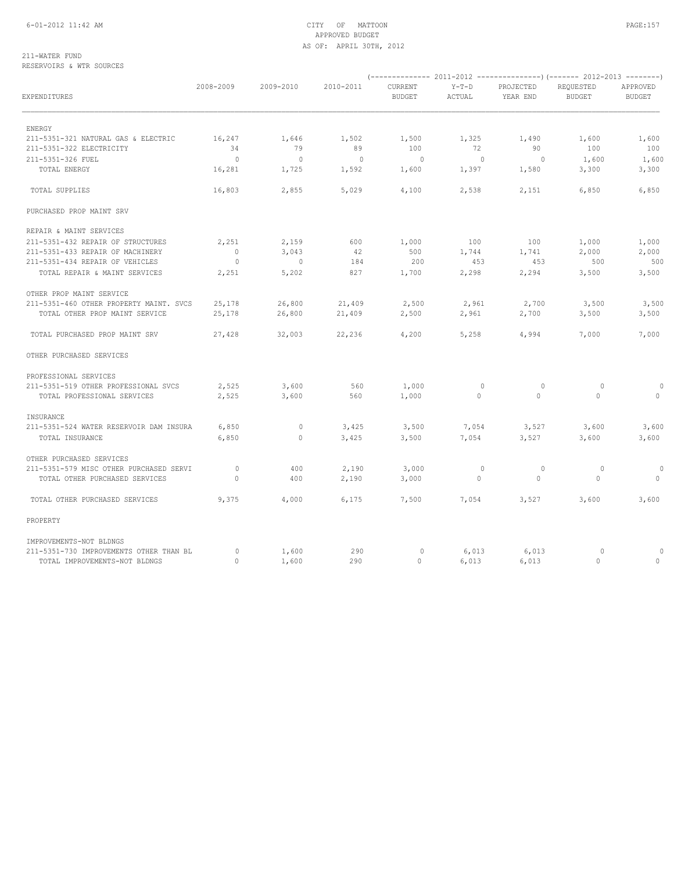## 6-01-2012 11:42 AM CITY OF MATTOON PAGE:157 APPROVED BUDGET AS OF: APRIL 30TH, 2012

## 211-WATER FUND RESERVOIRS & WTR SOURCES

| EXPENDITURES                            | 2008-2009      | 2009-2010      | 2010-2011 | CURRENT<br><b>BUDGET</b> | $Y-T-D$<br>ACTUAL | PROJECTED<br>YEAR END | REQUESTED<br><b>BUDGET</b> | APPROVED<br><b>BUDGET</b> |
|-----------------------------------------|----------------|----------------|-----------|--------------------------|-------------------|-----------------------|----------------------------|---------------------------|
| ENERGY                                  |                |                |           |                          |                   |                       |                            |                           |
| 211-5351-321 NATURAL GAS & ELECTRIC     | 16,247         | 1,646          | 1,502     | 1,500                    | 1,325             | 1,490                 | 1,600                      | 1,600                     |
| 211-5351-322 ELECTRICITY                | 34             | 79             | 89        | 100                      | 72                | 90                    | 100                        | 100                       |
| 211-5351-326 FUEL                       | $\overline{0}$ | $\overline{0}$ | $\sim$ 0  | $\mathbf{0}$             | $\circ$           | $\circ$               | 1,600                      | 1,600                     |
| TOTAL ENERGY                            | 16,281         | 1,725          | 1,592     | 1,600                    | 1,397             | 1,580                 | 3,300                      | 3,300                     |
| TOTAL SUPPLIES                          | 16,803         | 2,855          | 5,029     | 4,100                    | 2,538             | 2,151                 | 6,850                      | 6,850                     |
| PURCHASED PROP MAINT SRV                |                |                |           |                          |                   |                       |                            |                           |
| REPAIR & MAINT SERVICES                 |                |                |           |                          |                   |                       |                            |                           |
| 211-5351-432 REPAIR OF STRUCTURES       | 2,251          | 2,159          | 600       | 1,000                    | 100               | 100                   | 1,000                      | 1,000                     |
| 211-5351-433 REPAIR OF MACHINERY        | $\Omega$       | 3,043          | 42        | 500                      | 1,744             | 1,741                 | 2,000                      | 2,000                     |
| 211-5351-434 REPAIR OF VEHICLES         | $\circ$        | $\overline{0}$ | 184       | 200                      | 453               | 453                   | 500                        | 500                       |
| TOTAL REPAIR & MAINT SERVICES           | 2,251          | 5,202          | 827       | 1,700                    | 2,298             | 2,294                 | 3,500                      | 3,500                     |
| OTHER PROP MAINT SERVICE                |                |                |           |                          |                   |                       |                            |                           |
| 211-5351-460 OTHER PROPERTY MAINT, SVCS | 25,178         | 26,800         | 21,409    | 2,500                    | 2,961             | 2,700                 | 3,500                      | 3,500                     |
| TOTAL OTHER PROP MAINT SERVICE          | 25,178         | 26,800         | 21,409    | 2,500                    | 2,961             | 2,700                 | 3,500                      | 3,500                     |
| TOTAL PURCHASED PROP MAINT SRV          | 27,428         | 32,003         | 22,236    | 4,200                    | 5,258             | 4,994                 | 7,000                      | 7,000                     |
| OTHER PURCHASED SERVICES                |                |                |           |                          |                   |                       |                            |                           |
| PROFESSIONAL SERVICES                   |                |                |           |                          |                   |                       |                            |                           |
| 211-5351-519 OTHER PROFESSIONAL SVCS    | 2,525          | 3,600          | 560       | 1,000                    | $\circ$           | 0                     | $\circ$                    | $\circ$                   |
| TOTAL PROFESSIONAL SERVICES             | 2,525          | 3,600          | 560       | 1,000                    | $\mathbf{0}$      | $\circ$               | $\circ$                    | $\circ$                   |
| INSURANCE                               |                |                |           |                          |                   |                       |                            |                           |
| 211-5351-524 WATER RESERVOIR DAM INSURA | 6,850          | $\circ$        | 3,425     | 3,500                    | 7,054             | 3,527                 | 3,600                      | 3,600                     |
| TOTAL INSURANCE                         | 6,850          | $\circ$        | 3,425     | 3,500                    | 7,054             | 3,527                 | 3,600                      | 3,600                     |
| OTHER PURCHASED SERVICES                |                |                |           |                          |                   |                       |                            |                           |
| 211-5351-579 MISC OTHER PURCHASED SERVI | $\circ$        | 400            | 2,190     | 3,000                    | $\circ$           | $\circ$               | $\circ$                    |                           |
| TOTAL OTHER PURCHASED SERVICES          | $\Omega$       | 400            | 2,190     | 3,000                    | $\circ$           | $\Omega$              | $\Omega$                   | $\circ$                   |
| TOTAL OTHER PURCHASED SERVICES          | 9,375          | 4,000          | 6,175     | 7,500                    | 7,054             | 3,527                 | 3,600                      | 3,600                     |
| PROPERTY                                |                |                |           |                          |                   |                       |                            |                           |
| IMPROVEMENTS-NOT BLDNGS                 |                |                |           |                          |                   |                       |                            |                           |
| 211-5351-730 IMPROVEMENTS OTHER THAN BL | $\circ$        | 1,600          | 290       | $\circ$                  | 6,013             | 6,013                 | $\circ$                    | $\circ$                   |
| TOTAL IMPROVEMENTS-NOT BLDNGS           | $\Omega$       | 1,600          | 290       | $\Omega$                 | 6.013             | 6,013                 | $\Omega$                   | $\circ$                   |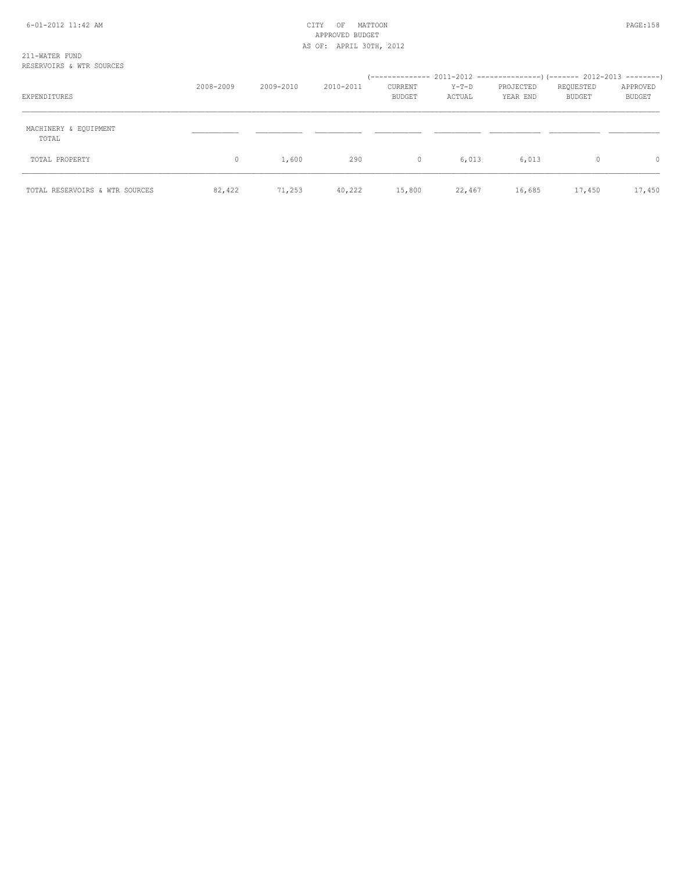| EXPENDITURES                   | 2008-2009 | 2009-2010 | 2010-2011 | CURRENT<br><b>BUDGET</b> | Y-T-D<br>ACTUAL | PROJECTED<br>YEAR END | REQUESTED<br>BUDGET | APPROVED<br><b>BUDGET</b> |
|--------------------------------|-----------|-----------|-----------|--------------------------|-----------------|-----------------------|---------------------|---------------------------|
| MACHINERY & EQUIPMENT<br>TOTAL |           |           |           |                          |                 |                       |                     |                           |
| TOTAL PROPERTY                 | $\Omega$  | 1,600     | 290       | $\circ$                  | 6,013           | 6,013                 | $\Omega$            | $\circ$                   |
| TOTAL RESERVOIRS & WTR SOURCES | 82,422    | 71,253    | 40,222    | 15,800                   | 22,467          | 16,685                | 17,450              | 17,450                    |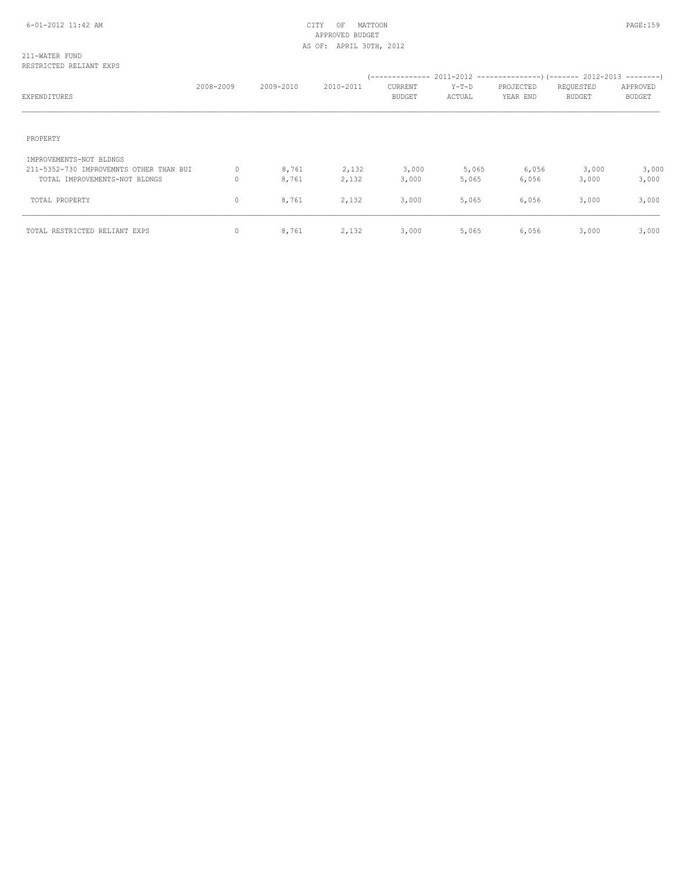## 211-WATER FUND RESTRICTED RELIANT EXPS

| EXPENDITURES                                                                                        | 2008-2009 | 2009-2010      | 2010-2011      | <b>CURRENT</b><br><b>BUDGET</b> | $Y-T-D$<br>ACTUAL | PROJECTED<br>YEAR END | REQUESTED<br><b>BUDGET</b> | APPROVED<br><b>BUDGET</b> |
|-----------------------------------------------------------------------------------------------------|-----------|----------------|----------------|---------------------------------|-------------------|-----------------------|----------------------------|---------------------------|
| PROPERTY                                                                                            |           |                |                |                                 |                   |                       |                            |                           |
| IMPROVEMENTS-NOT BLDNGS<br>211-5352-730 IMPROVEMNTS OTHER THAN BUI<br>TOTAL IMPROVEMENTS-NOT BLDNGS | 0<br>0    | 8,761<br>8,761 | 2,132<br>2,132 | 3,000<br>3,000                  | 5,065<br>5,065    | 6,056<br>6,056        | 3,000<br>3,000             | 3,000<br>3,000            |
| TOTAL PROPERTY                                                                                      | 0         | 8,761          | 2,132          | 3,000                           | 5,065             | 6,056                 | 3,000                      | 3,000                     |
| TOTAL RESTRICTED RELIANT EXPS                                                                       | 0         | 8,761          | 2,132          | 3,000                           | 5,065             | 6,056                 | 3,000                      | 3,000                     |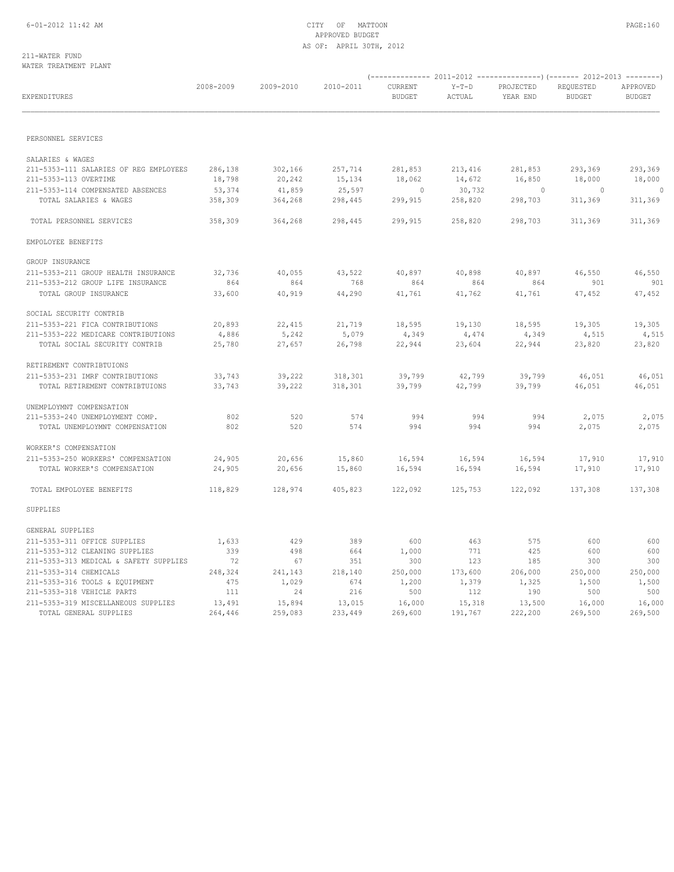### 211-WATER FUND WATER TREATMENT PLANT

| EXPENDITURES                           | 2008-2009 | 2009-2010 | 2010-2011 | CURRENT<br>BUDGET | $Y-T-D$<br>ACTUAL | PROJECTED<br>YEAR END | REQUESTED<br><b>BUDGET</b> | APPROVED<br><b>BUDGET</b> |
|----------------------------------------|-----------|-----------|-----------|-------------------|-------------------|-----------------------|----------------------------|---------------------------|
|                                        |           |           |           |                   |                   |                       |                            |                           |
| PERSONNEL SERVICES                     |           |           |           |                   |                   |                       |                            |                           |
| SALARIES & WAGES                       |           |           |           |                   |                   |                       |                            |                           |
| 211-5353-111 SALARIES OF REG EMPLOYEES | 286,138   | 302,166   | 257,714   | 281,853           | 213,416           | 281,853               | 293,369                    | 293,369                   |
| 211-5353-113 OVERTIME                  | 18,798    | 20,242    | 15,134    | 18,062            | 14,672            | 16,850                | 18,000                     | 18,000                    |
| 211-5353-114 COMPENSATED ABSENCES      | 53,374    | 41,859    | 25,597    | $\circ$           | 30,732            | $\sim$ 0              | $\sim$ 0                   | 0                         |
| TOTAL SALARIES & WAGES                 | 358,309   | 364,268   | 298,445   | 299,915           | 258,820           | 298,703               | 311,369                    | 311,369                   |
| TOTAL PERSONNEL SERVICES               | 358,309   | 364,268   | 298,445   | 299,915           | 258,820           | 298,703               | 311,369                    | 311,369                   |
| EMPOLOYEE BENEFITS                     |           |           |           |                   |                   |                       |                            |                           |
| GROUP INSURANCE                        |           |           |           |                   |                   |                       |                            |                           |
| 211-5353-211 GROUP HEALTH INSURANCE    | 32,736    | 40,055    | 43,522    | 40,897            | 40,898            | 40,897                | 46,550                     | 46,550                    |
| 211-5353-212 GROUP LIFE INSURANCE      | 864       | 864       | 768       | 864               | 864               | 864                   | 901                        | 901                       |
| TOTAL GROUP INSURANCE                  | 33,600    | 40,919    | 44,290    | 41,761            | 41,762            | 41,761                | 47,452                     | 47,452                    |
| SOCIAL SECURITY CONTRIB                |           |           |           |                   |                   |                       |                            |                           |
| 211-5353-221 FICA CONTRIBUTIONS        | 20,893    | 22,415    | 21,719    | 18,595            | 19,130            | 18,595                | 19,305                     | 19,305                    |
| 211-5353-222 MEDICARE CONTRIBUTIONS    | 4,886     | 5,242     | 5,079     | 4,349             | 4,474             | 4,349                 | 4,515                      | 4,515                     |
| TOTAL SOCIAL SECURITY CONTRIB          | 25,780    | 27,657    | 26,798    | 22,944            | 23,604            | 22,944                | 23,820                     | 23,820                    |
| RETIREMENT CONTRIBTUIONS               |           |           |           |                   |                   |                       |                            |                           |
| 211-5353-231 IMRF CONTRIBUTIONS        | 33,743    | 39,222    | 318,301   | 39,799            | 42,799            | 39,799                | 46,051                     | 46,051                    |
| TOTAL RETIREMENT CONTRIBTUIONS         | 33,743    | 39,222    | 318,301   | 39,799            | 42,799            | 39,799                | 46,051                     | 46,051                    |
| UNEMPLOYMNT COMPENSATION               |           |           |           |                   |                   |                       |                            |                           |
| 211-5353-240 UNEMPLOYMENT COMP.        | 802       | 520       | 574       | 994               | 994               | 994                   | 2,075                      | 2,075                     |
| TOTAL UNEMPLOYMNT COMPENSATION         | 802       | 520       | 574       | 994               | 994               | 994                   | 2,075                      | 2,075                     |
| WORKER'S COMPENSATION                  |           |           |           |                   |                   |                       |                            |                           |
| 211-5353-250 WORKERS' COMPENSATION     | 24,905    | 20,656    | 15,860    | 16,594            | 16,594            | 16,594                | 17,910                     | 17,910                    |
| TOTAL WORKER'S COMPENSATION            | 24,905    | 20,656    | 15,860    | 16,594            | 16,594            | 16,594                | 17,910                     | 17,910                    |
| TOTAL EMPOLOYEE BENEFITS               | 118,829   | 128,974   | 405,823   | 122,092           | 125,753           | 122,092               | 137,308                    | 137,308                   |
| SUPPLIES                               |           |           |           |                   |                   |                       |                            |                           |
| GENERAL SUPPLIES                       |           |           |           |                   |                   |                       |                            |                           |
| 211-5353-311 OFFICE SUPPLIES           | 1,633     | 429       | 389       | 600               | 463               | 575                   | 600                        | 600                       |
| 211-5353-312 CLEANING SUPPLIES         | 339       | 498       | 664       | 1,000             | 771               | 425                   | 600                        | 600                       |
| 211-5353-313 MEDICAL & SAFETY SUPPLIES | 72        | 67        | 351       | 300               | 123               | 185                   | 300                        | 300                       |
| 211-5353-314 CHEMICALS                 | 248,324   | 241,143   | 218,140   | 250,000           | 173,600           | 206,000               | 250,000                    | 250,000                   |
| 211-5353-316 TOOLS & EQUIPMENT         | 475       | 1,029     | 674       | 1,200             | 1,379             | 1,325                 | 1,500                      | 1,500                     |
| 211-5353-318 VEHICLE PARTS             | 111       | 24        | 216       | 500               | 112               | 190                   | 500                        | 500                       |
| 211-5353-319 MISCELLANEOUS SUPPLIES    | 13,491    | 15,894    | 13,015    | 16,000            | 15,318            | 13,500                | 16,000                     | 16,000                    |
| TOTAL GENERAL SUPPLIES                 | 264,446   | 259,083   | 233,449   | 269,600           | 191,767           | 222,200               | 269,500                    | 269,500                   |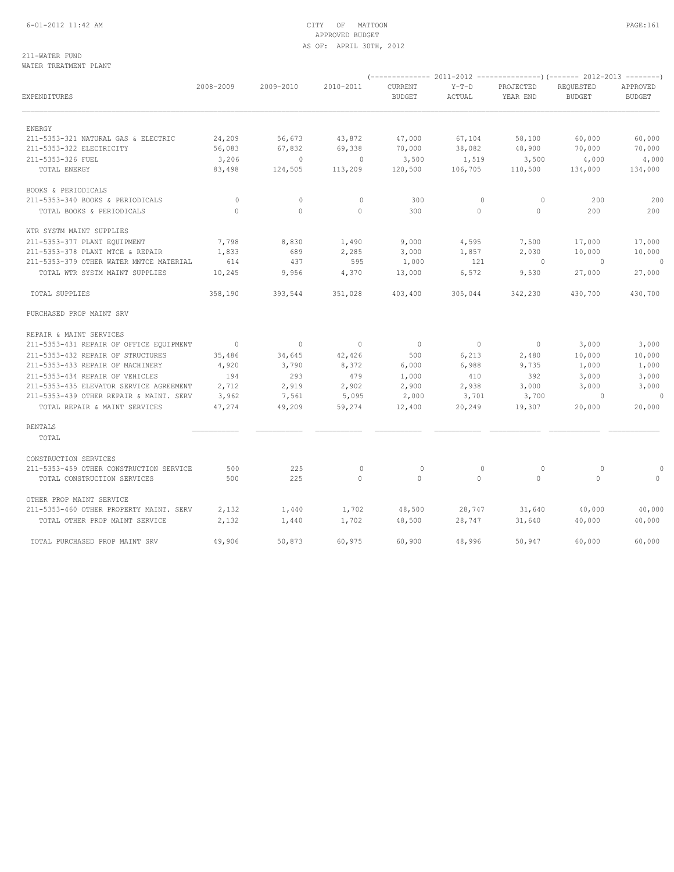## 6-01-2012 11:42 AM CITY OF MATTOON PAGE:161 APPROVED BUDGET AS OF: APRIL 30TH, 2012

### 211-WATER FUND WATER TREATMENT PLANT

| EXPENDITURES                            | 2008-2009    | 2009-2010      | 2010-2011      | CURRENT<br><b>BUDGET</b> | $Y-T-D$<br>ACTUAL        | PROJECTED<br>YEAR END    | REQUESTED<br><b>BUDGET</b> | APPROVED<br><b>BUDGET</b> |
|-----------------------------------------|--------------|----------------|----------------|--------------------------|--------------------------|--------------------------|----------------------------|---------------------------|
| ENERGY                                  |              |                |                |                          |                          |                          |                            |                           |
| 211-5353-321 NATURAL GAS & ELECTRIC     | 24,209       | 56,673         | 43,872         | 47,000                   | 67,104                   | 58,100                   | 60,000                     | 60,000                    |
| 211-5353-322 ELECTRICITY                | 56,083       | 67,832         | 69,338         | 70,000                   | 38,082                   | 48,900                   | 70,000                     | 70,000                    |
| 211-5353-326 FUEL                       | 3,206        | $\circ$        | $\sim$ 0       | 3,500                    | 1,519                    | 3,500                    | 4,000                      | 4,000                     |
| TOTAL ENERGY                            | 83,498       | 124,505        | 113,209        | 120,500                  | 106,705                  | 110,500                  | 134,000                    | 134,000                   |
| BOOKS & PERIODICALS                     |              |                |                |                          |                          |                          |                            |                           |
| 211-5353-340 BOOKS & PERIODICALS        | $\mathbf{0}$ | $\circ$        | $\mathbf{0}$   | 300                      | $\circ$                  | $\circ$                  | 200                        | 200                       |
| TOTAL BOOKS & PERIODICALS               | $\circ$      | $\mathbf 0$    | $\circ$        | 300                      | $\circ$                  | $\circ$                  | 200                        | 200                       |
| WTR SYSTM MAINT SUPPLIES                |              |                |                |                          |                          |                          |                            |                           |
| 211-5353-377 PLANT EQUIPMENT            | 7,798        | 8,830          | 1,490          | 9,000                    | 4,595                    | 7,500                    | 17,000                     | 17,000                    |
| 211-5353-378 PLANT MTCE & REPAIR        | 1,833        | 689            | 2,285          | 3,000                    | 1,857                    | 2,030                    | 10,000                     | 10,000                    |
| 211-5353-379 OTHER WATER MNTCE MATERIAL | 614          | 437            | 595            | 1,000                    | 121                      | $\sim$ 0                 | $\sim$ 0                   | $\sim$ 0                  |
| TOTAL WTR SYSTM MAINT SUPPLIES          | 10,245       | 9,956          | 4,370          | 13,000                   | 6,572                    | 9,530                    | 27,000                     | 27,000                    |
| TOTAL SUPPLIES                          | 358,190      | 393,544        | 351,028        | 403,400                  | 305,044                  | 342,230                  | 430,700                    | 430,700                   |
| PURCHASED PROP MAINT SRV                |              |                |                |                          |                          |                          |                            |                           |
| REPAIR & MAINT SERVICES                 |              |                |                |                          |                          |                          |                            |                           |
| 211-5353-431 REPAIR OF OFFICE EQUIPMENT | $\sim$ 0     | $\overline{0}$ | $\overline{0}$ | $\overline{0}$           | $\overline{\phantom{0}}$ | $\overline{\phantom{0}}$ | 3,000                      | 3,000                     |
| 211-5353-432 REPAIR OF STRUCTURES       | 35,486       | 34,645         | 42,426         | 500                      | 6,213                    | 2,480                    | 10,000                     | 10,000                    |
| 211-5353-433 REPAIR OF MACHINERY        | 4,920        | 3,790          | 8,372          | 6,000                    | 6,988                    | 9,735                    | 1,000                      | 1,000                     |
| 211-5353-434 REPAIR OF VEHICLES         | 194          | 293            | 479            | 1,000                    | 410                      | 392                      | 3,000                      | 3,000                     |
| 211-5353-435 ELEVATOR SERVICE AGREEMENT | 2,712        | 2,919          | 2,902          | 2,900                    | 2,938                    | 3,000                    | 3,000                      | 3,000                     |
| 211-5353-439 OTHER REPAIR & MAINT. SERV | 3,962        | 7,561          | 5,095          | 2,000                    | 3,701                    | 3,700                    | $\sim$ 0                   |                           |
| TOTAL REPAIR & MAINT SERVICES           | 47,274       | 49,209         | 59,274         | 12,400                   | 20,249                   | 19,307                   | 20,000                     | 20,000                    |
| RENTALS                                 |              |                |                |                          |                          |                          |                            |                           |
| TOTAL                                   |              |                |                |                          |                          |                          |                            |                           |
| CONSTRUCTION SERVICES                   |              |                |                |                          |                          |                          |                            |                           |
| 211-5353-459 OTHER CONSTRUCTION SERVICE | 500          | 225            | $\mathbf{0}$   | $\mathbf{0}$             | $\circ$                  | $\circ$                  | $\circ$                    | $\circ$                   |
| TOTAL CONSTRUCTION SERVICES             | 500          | 225            | $\circ$        | $\circ$                  | $\Omega$                 | $\overline{0}$           | $\Omega$                   | $\circ$                   |
| OTHER PROP MAINT SERVICE                |              |                |                |                          |                          |                          |                            |                           |
| 211-5353-460 OTHER PROPERTY MAINT, SERV | 2,132        | 1,440          | 1,702          | 48,500                   | 28,747                   | 31,640                   | 40,000                     | 40,000                    |
| TOTAL OTHER PROP MAINT SERVICE          | 2,132        | 1,440          | 1,702          | 48,500                   | 28,747                   | 31,640                   | 40,000                     | 40,000                    |
| TOTAL PURCHASED PROP MAINT SRV          | 49,906       | 50,873         | 60,975         | 60,900                   | 48,996                   | 50,947                   | 60,000                     | 60,000                    |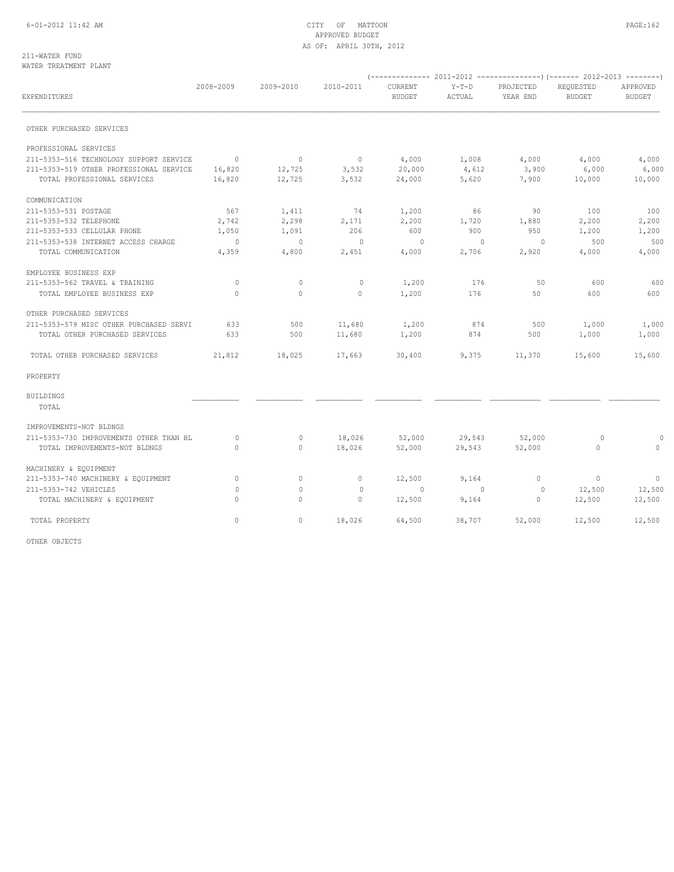## 6-01-2012 11:42 AM CITY OF MATTOON PAGE:162 APPROVED BUDGET AS OF: APRIL 30TH, 2012

#### 211-WATER FUND WATER TREATMENT PLANT

| <b>EXPENDITURES</b>                     | 2008-2009      | 2009-2010 | 2010-2011      | CURRENT<br><b>BUDGET</b> | $Y-T-D$<br>ACTUAL | PROJECTED<br>YEAR END | REQUESTED<br><b>BUDGET</b> | APPROVED<br><b>BUDGET</b> |
|-----------------------------------------|----------------|-----------|----------------|--------------------------|-------------------|-----------------------|----------------------------|---------------------------|
| OTHER PURCHASED SERVICES                |                |           |                |                          |                   |                       |                            |                           |
| PROFESSIONAL SERVICES                   |                |           |                |                          |                   |                       |                            |                           |
| 211-5353-516 TECHNOLOGY SUPPORT SERVICE | $\overline{0}$ | $\circ$   | $\overline{0}$ | 4,000                    | 1,008             | 4,000                 | 4,000                      | 4,000                     |
| 211-5353-519 OTHER PROFESSIONAL SERVICE | 16,820         | 12,725    | 3,532          | 20,000                   | 4,612             | 3,900                 | 6,000                      | 6,000                     |
| TOTAL PROFESSIONAL SERVICES             | 16,820         | 12,725    | 3,532          | 24,000                   | 5,620             | 7,900                 | 10,000                     | 10,000                    |
| COMMUNICATION                           |                |           |                |                          |                   |                       |                            |                           |
| 211-5353-531 POSTAGE                    | 567            | 1,411     | 74             | 1,200                    | 86                | 90                    | 100                        | 100                       |
| 211-5353-532 TELEPHONE                  | 2,742          | 2,298     | 2,171          | 2,200                    | 1,720             | 1,880                 | 2,200                      | 2,200                     |
| 211-5353-533 CELLULAR PHONE             | 1,050          | 1,091     | 206            | 600                      | 900               | 950                   | 1,200                      | 1,200                     |
| 211-5353-538 INTERNET ACCESS CHARGE     | $\overline{0}$ | $\Omega$  | $\overline{0}$ | $\bigcap$                | $\Omega$          | $\Omega$              | 500                        | 500                       |
| TOTAL COMMUNICATION                     | 4,359          | 4,800     | 2,451          | 4,000                    | 2,706             | 2,920                 | 4,000                      | 4,000                     |
| EMPLOYEE BUSINESS EXP                   |                |           |                |                          |                   |                       |                            |                           |
| 211-5353-562 TRAVEL & TRAINING          | $\Omega$       | $\circ$   | $\mathbf{0}$   | 1,200                    | 176               | 50                    | 600                        | 600                       |
| TOTAL EMPLOYEE BUSINESS EXP             | $\Omega$       | $\circ$   | $\circ$        | 1,200                    | 176               | 50                    | 600                        | 600                       |
| OTHER PURCHASED SERVICES                |                |           |                |                          |                   |                       |                            |                           |
| 211-5353-579 MISC OTHER PURCHASED SERVI | 633            | 500       | 11,680         | 1,200                    | 874               | 500                   | 1,000                      | 1,000                     |
| TOTAL OTHER PURCHASED SERVICES          | 633            | 500       | 11,680         | 1,200                    | 874               | 500                   | 1,000                      | 1,000                     |
| TOTAL OTHER PURCHASED SERVICES          | 21,812         | 18,025    | 17,663         | 30,400                   | 9,375             | 11,370                | 15,600                     | 15,600                    |
| PROPERTY                                |                |           |                |                          |                   |                       |                            |                           |
| <b>BUILDINGS</b>                        |                |           |                |                          |                   |                       |                            |                           |
| TOTAL                                   |                |           |                |                          |                   |                       |                            |                           |
| IMPROVEMENTS-NOT BLDNGS                 |                |           |                |                          |                   |                       |                            |                           |
| 211-5353-730 IMPROVEMENTS OTHER THAN BL | $\circ$        | $\circ$   | 18,026         | 52,000                   | 29,543            | 52,000                | $\circ$                    | $\Omega$                  |
| TOTAL IMPROVEMENTS-NOT BLDNGS           | $\cap$         | $\circ$   | 18,026         | 52,000                   | 29,543            | 52,000                | $\Omega$                   | $\Omega$                  |
| MACHINERY & EQUIPMENT                   |                |           |                |                          |                   |                       |                            |                           |
| 211-5353-740 MACHINERY & EQUIPMENT      | 0              | $\circ$   | $\circ$        | 12,500                   | 9,164             | $\mathbf{0}$          | $\circ$                    | $\circ$                   |
| 211-5353-742 VEHICLES                   | $\mathbf{0}$   | $\circ$   | $\mathbf{0}$   | $\mathbf{0}$             | $\circ$           | 0                     | 12,500                     | 12,500                    |
| TOTAL MACHINERY & EQUIPMENT             | $\Omega$       | $\circ$   | $\circ$        | 12,500                   | 9,164             | $\mathbf{0}$          | 12,500                     | 12,500                    |
| TOTAL PROPERTY                          | $\circ$        | $\circ$   | 18,026         | 64,500                   | 38,707            | 52,000                | 12,500                     | 12,500                    |

OTHER OBJECTS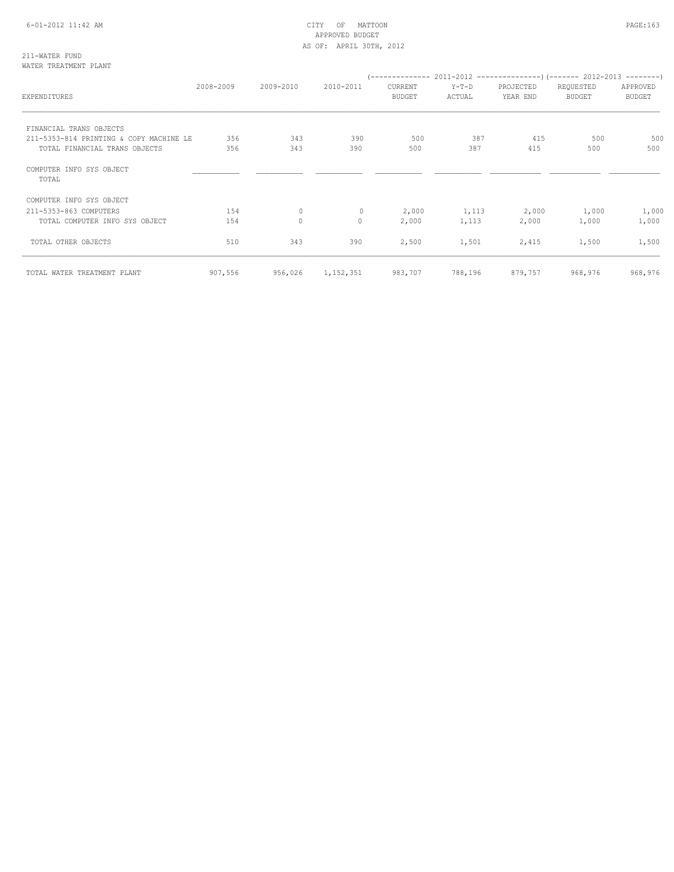## 6-01-2012 11:42 AM CITY OF MATTOON PAGE:163 APPROVED BUDGET AS OF: APRIL 30TH, 2012

211-WATER FUND WATER TREATMENT PLANT

| EXPENDITURES                            | 2008-2009 | 2009-2010 | 2010-2011    | CURRENT<br>BUDGET | $Y-T-D$<br>ACTUAL | PROJECTED<br>YEAR END | REQUESTED<br>BUDGET | APPROVED<br><b>BUDGET</b> |
|-----------------------------------------|-----------|-----------|--------------|-------------------|-------------------|-----------------------|---------------------|---------------------------|
| FINANCIAL TRANS OBJECTS                 |           |           |              |                   |                   |                       |                     |                           |
| 211-5353-814 PRINTING & COPY MACHINE LE | 356       | 343       | 390          | 500               | 387               | 415                   | 500                 | 500                       |
| TOTAL FINANCIAL TRANS OBJECTS           | 356       | 343       | 390          | 500               | 387               | 415                   | 500                 | 500                       |
| COMPUTER INFO SYS OBJECT<br>TOTAL       |           |           |              |                   |                   |                       |                     |                           |
| COMPUTER INFO SYS OBJECT                |           |           |              |                   |                   |                       |                     |                           |
| 211-5353-863 COMPUTERS                  | 154       | $\circ$   | $\mathbf{0}$ | 2,000             | 1,113             | 2,000                 | 1,000               | 1,000                     |
| TOTAL COMPUTER INFO SYS OBJECT          | 154       | $\circ$   | $\Omega$     | 2,000             | 1,113             | 2,000                 | 1,000               | 1,000                     |
| TOTAL OTHER OBJECTS                     | 510       | 343       | 390          | 2,500             | 1,501             | 2,415                 | 1,500               | 1,500                     |
| TOTAL WATER TREATMENT PLANT             | 907,556   | 956,026   | 1,152,351    | 983,707           | 788,196           | 879,757               | 968,976             | 968,976                   |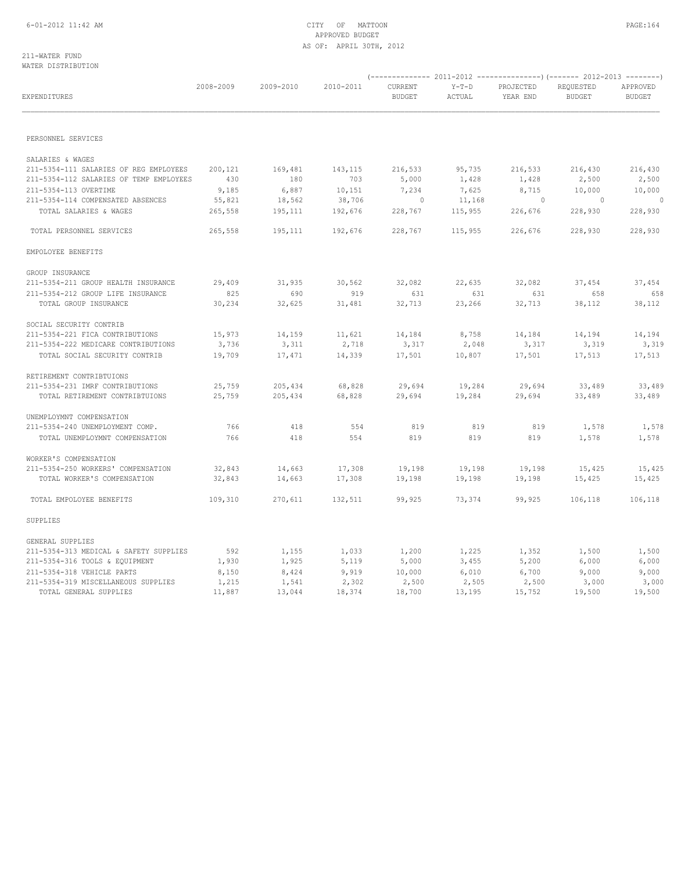## 6-01-2012 11:42 AM CITY OF MATTOON PAGE:164 APPROVED BUDGET AS OF: APRIL 30TH, 2012

### 211-WATER FUND WATER DISTRIBUTION

| EXPENDITURES                                                | 2008-2009 | 2009-2010 | 2010-2011 | CURRENT<br>BUDGET | $Y-T-D$<br>ACTUAL | PROJECTED<br>YEAR END | REQUESTED<br><b>BUDGET</b> | APPROVED<br><b>BUDGET</b> |
|-------------------------------------------------------------|-----------|-----------|-----------|-------------------|-------------------|-----------------------|----------------------------|---------------------------|
| PERSONNEL SERVICES                                          |           |           |           |                   |                   |                       |                            |                           |
|                                                             |           |           |           |                   |                   |                       |                            |                           |
| SALARIES & WAGES                                            |           |           |           |                   |                   |                       |                            |                           |
| 211-5354-111 SALARIES OF REG EMPLOYEES                      | 200,121   | 169,481   | 143,115   | 216,533           | 95,735            | 216,533               | 216,430                    | 216,430                   |
| 211-5354-112 SALARIES OF TEMP EMPLOYEES                     | 430       | 180       | 703       | 5,000             | 1,428             | 1,428                 | 2,500                      | 2,500                     |
| 211-5354-113 OVERTIME                                       | 9,185     | 6,887     | 10,151    | 7,234             | 7,625             | 8,715                 | 10,000                     | 10,000                    |
| 211-5354-114 COMPENSATED ABSENCES                           | 55,821    | 18,562    | 38,706    | $\sim$ 0          | 11,168            | $\sim$ 0              | $\sim$ 0                   | $\Omega$                  |
| TOTAL SALARIES & WAGES                                      | 265,558   | 195,111   | 192,676   | 228,767           | 115,955           | 226,676               | 228,930                    | 228,930                   |
| TOTAL PERSONNEL SERVICES                                    | 265,558   | 195,111   | 192,676   | 228,767           | 115,955           | 226,676               | 228,930                    | 228,930                   |
| EMPOLOYEE BENEFITS                                          |           |           |           |                   |                   |                       |                            |                           |
| GROUP INSURANCE                                             |           |           |           |                   |                   |                       |                            |                           |
| 211-5354-211 GROUP HEALTH INSURANCE                         | 29,409    | 31,935    | 30,562    | 32,082            | 22,635            | 32,082                | 37,454                     | 37,454                    |
| 211-5354-212 GROUP LIFE INSURANCE                           | 825       | 690       | 919       | 631               | 631               | 631                   | 658                        | 658                       |
| TOTAL GROUP INSURANCE                                       | 30,234    | 32,625    | 31,481    | 32,713            | 23,266            | 32,713                | 38,112                     | 38,112                    |
| SOCIAL SECURITY CONTRIB                                     |           |           |           |                   |                   |                       |                            |                           |
| 211-5354-221 FICA CONTRIBUTIONS                             | 15,973    | 14,159    | 11,621    | 14,184            | 8,758             | 14,184                | 14,194                     | 14,194                    |
| 211-5354-222 MEDICARE CONTRIBUTIONS                         | 3,736     | 3,311     | 2,718     | 3,317             | 2,048             | 3,317                 | 3,319                      | 3,319                     |
| TOTAL SOCIAL SECURITY CONTRIB                               | 19,709    | 17,471    | 14,339    | 17,501            | 10,807            | 17,501                | 17,513                     | 17,513                    |
|                                                             |           |           |           |                   |                   |                       |                            |                           |
| RETIREMENT CONTRIBTUIONS<br>211-5354-231 IMRF CONTRIBUTIONS | 25,759    | 205,434   | 68,828    | 29,694            | 19,284            | 29,694                | 33,489                     | 33,489                    |
| TOTAL RETIREMENT CONTRIBTUIONS                              | 25,759    | 205,434   | 68,828    | 29,694            | 19,284            | 29,694                | 33,489                     | 33,489                    |
| UNEMPLOYMNT COMPENSATION                                    |           |           |           |                   |                   |                       |                            |                           |
| 211-5354-240 UNEMPLOYMENT COMP.                             | 766       | 418       | 554       | 819               | 819               | 819                   | 1,578                      | 1,578                     |
| TOTAL UNEMPLOYMNT COMPENSATION                              | 766       | 418       | 554       | 819               | 819               | 819                   | 1,578                      | 1,578                     |
|                                                             |           |           |           |                   |                   |                       |                            |                           |
| WORKER'S COMPENSATION                                       |           |           |           |                   |                   |                       |                            |                           |
| 211-5354-250 WORKERS' COMPENSATION                          | 32,843    | 14,663    | 17,308    | 19,198            | 19,198            | 19,198                | 15,425                     | 15,425                    |
| TOTAL WORKER'S COMPENSATION                                 | 32,843    | 14,663    | 17,308    | 19,198            | 19,198            | 19,198                | 15,425                     | 15,425                    |
| TOTAL EMPOLOYEE BENEFITS                                    | 109,310   | 270,611   | 132,511   | 99,925            | 73,374            | 99,925                | 106,118                    | 106,118                   |
| SUPPLIES                                                    |           |           |           |                   |                   |                       |                            |                           |
| GENERAL SUPPLIES                                            |           |           |           |                   |                   |                       |                            |                           |
| 211-5354-313 MEDICAL & SAFETY SUPPLIES                      | 592       | 1,155     | 1,033     | 1,200             | 1,225             | 1,352                 | 1,500                      | 1,500                     |
| 211-5354-316 TOOLS & EQUIPMENT                              | 1,930     | 1,925     | 5,119     | 5,000             | 3,455             | 5,200                 | 6,000                      | 6,000                     |
| 211-5354-318 VEHICLE PARTS                                  | 8,150     | 8,424     | 9,919     | 10,000            | 6,010             | 6,700                 | 9,000                      | 9,000                     |
| 211-5354-319 MISCELLANEOUS SUPPLIES                         | 1,215     | 1,541     | 2,302     | 2,500             | 2,505             | 2,500                 | 3,000                      | 3,000                     |
| TOTAL GENERAL SUPPLIES                                      | 11,887    | 13,044    | 18,374    | 18,700            | 13,195            | 15,752                | 19,500                     | 19,500                    |
|                                                             |           |           |           |                   |                   |                       |                            |                           |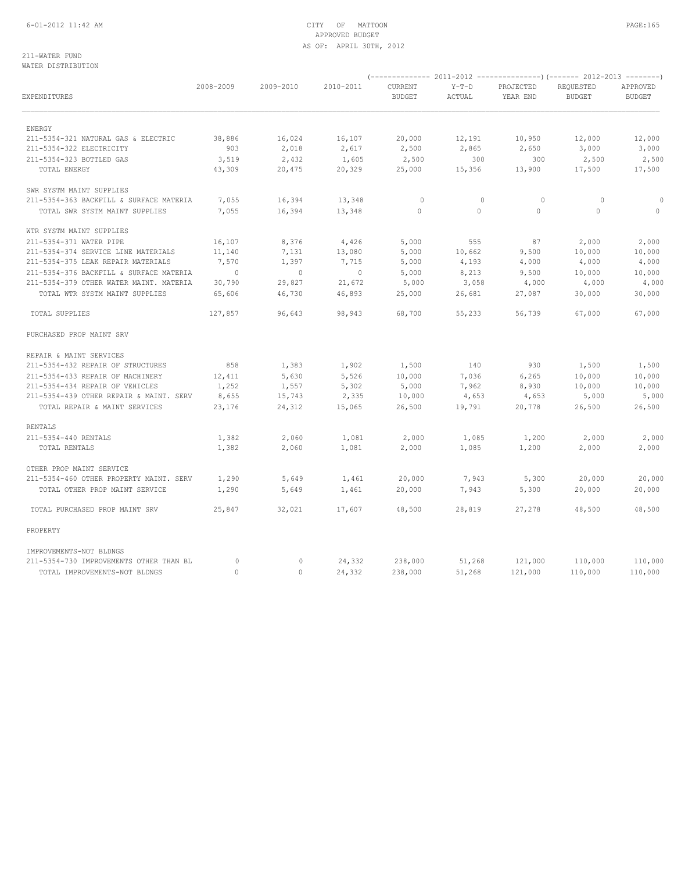## 6-01-2012 11:42 AM CITY OF MATTOON PAGE:165 APPROVED BUDGET AS OF: APRIL 30TH, 2012

### 211-WATER FUND WATER DISTRIBUTION

| EXPENDITURES                            | 2008-2009 | 2009-2010   | 2010-2011 | CURRENT<br><b>BUDGET</b> | $Y-T-D$<br>ACTUAL | PROJECTED<br>YEAR END | REQUESTED<br><b>BUDGET</b> | APPROVED<br><b>BUDGET</b> |
|-----------------------------------------|-----------|-------------|-----------|--------------------------|-------------------|-----------------------|----------------------------|---------------------------|
| ENERGY                                  |           |             |           |                          |                   |                       |                            |                           |
| 211-5354-321 NATURAL GAS & ELECTRIC     | 38,886    | 16,024      | 16,107    | 20,000                   | 12,191            | 10,950                | 12,000                     | 12,000                    |
| 211-5354-322 ELECTRICITY                | 903       | 2,018       | 2,617     | 2,500                    | 2,865             | 2,650                 | 3,000                      | 3,000                     |
| 211-5354-323 BOTTLED GAS                | 3,519     | 2,432       | 1,605     | 2,500                    | 300               | 300                   | 2,500                      | 2,500                     |
| TOTAL ENERGY                            | 43,309    | 20,475      | 20,329    | 25,000                   | 15,356            | 13,900                | 17,500                     | 17,500                    |
| SWR SYSTM MAINT SUPPLIES                |           |             |           |                          |                   |                       |                            |                           |
| 211-5354-363 BACKFILL & SURFACE MATERIA | 7,055     | 16,394      | 13,348    | $\mathbf{0}$             | $\circ$           | $\circ$               | $\circ$                    | 0                         |
| TOTAL SWR SYSTM MAINT SUPPLIES          | 7,055     | 16,394      | 13,348    | 0                        | $\circ$           | $\circ$               | $\circ$                    | $\circ$                   |
| WTR SYSTM MAINT SUPPLIES                |           |             |           |                          |                   |                       |                            |                           |
| 211-5354-371 WATER PIPE                 | 16,107    | 8,376       | 4,426     | 5,000                    | 555               | 87                    | 2,000                      | 2,000                     |
| 211-5354-374 SERVICE LINE MATERIALS     | 11,140    | 7,131       | 13,080    | 5,000                    | 10,662            | 9,500                 | 10,000                     | 10,000                    |
| 211-5354-375 LEAK REPAIR MATERIALS      | 7,570     | 1,397       | 7,715     | 5,000                    | 4,193             | 4,000                 | 4,000                      | 4,000                     |
| 211-5354-376 BACKFILL & SURFACE MATERIA | $\circ$   | $\mathbb O$ | $\circ$   | 5,000                    | 8,213             | 9,500                 | 10,000                     | 10,000                    |
| 211-5354-379 OTHER WATER MAINT. MATERIA | 30,790    | 29,827      | 21,672    | 5,000                    | 3,058             | 4,000                 | 4,000                      | 4,000                     |
| TOTAL WTR SYSTM MAINT SUPPLIES          | 65,606    | 46,730      | 46,893    | 25,000                   | 26,681            | 27,087                | 30,000                     | 30,000                    |
| TOTAL SUPPLIES                          | 127,857   | 96,643      | 98,943    | 68,700                   | 55,233            | 56,739                | 67,000                     | 67,000                    |
| PURCHASED PROP MAINT SRV                |           |             |           |                          |                   |                       |                            |                           |
| REPAIR & MAINT SERVICES                 |           |             |           |                          |                   |                       |                            |                           |
| 211-5354-432 REPAIR OF STRUCTURES       | 858       | 1,383       | 1,902     | 1,500                    | 140               | 930                   | 1,500                      | 1,500                     |
| 211-5354-433 REPAIR OF MACHINERY        | 12,411    | 5,630       | 5,526     | 10,000                   | 7,036             | 6,265                 | 10,000                     | 10,000                    |
| 211-5354-434 REPAIR OF VEHICLES         | 1,252     | 1,557       | 5,302     | 5,000                    | 7,962             | 8,930                 | 10,000                     | 10,000                    |
| 211-5354-439 OTHER REPAIR & MAINT. SERV | 8,655     | 15,743      | 2,335     | 10,000                   | 4,653             | 4,653                 | 5,000                      | 5,000                     |
| TOTAL REPAIR & MAINT SERVICES           | 23,176    | 24,312      | 15,065    | 26,500                   | 19,791            | 20,778                | 26,500                     | 26,500                    |
| <b>RENTALS</b>                          |           |             |           |                          |                   |                       |                            |                           |
| 211-5354-440 RENTALS                    | 1,382     | 2,060       | 1,081     | 2,000                    | 1,085             | 1,200                 | 2,000                      | 2,000                     |
| TOTAL RENTALS                           | 1,382     | 2,060       | 1,081     | 2,000                    | 1,085             | 1,200                 | 2,000                      | 2,000                     |
| OTHER PROP MAINT SERVICE                |           |             |           |                          |                   |                       |                            |                           |
| 211-5354-460 OTHER PROPERTY MAINT. SERV | 1,290     | 5,649       | 1,461     | 20,000                   | 7,943             | 5,300                 | 20,000                     | 20,000                    |
| TOTAL OTHER PROP MAINT SERVICE          | 1,290     | 5,649       | 1,461     | 20,000                   | 7,943             | 5,300                 | 20,000                     | 20,000                    |
| TOTAL PURCHASED PROP MAINT SRV          | 25,847    | 32,021      | 17,607    | 48,500                   | 28,819            | 27,278                | 48,500                     | 48,500                    |
| PROPERTY                                |           |             |           |                          |                   |                       |                            |                           |
| IMPROVEMENTS-NOT BLDNGS                 |           |             |           |                          |                   |                       |                            |                           |
| 211-5354-730 IMPROVEMENTS OTHER THAN BL | $\Omega$  | 0           | 24,332    | 238,000                  | 51,268            | 121,000               | 110,000                    | 110,000                   |
| TOTAL IMPROVEMENTS-NOT BLDNGS           | $\Omega$  | $\Omega$    | 24,332    | 238,000                  | 51,268            | 121,000               | 110,000                    | 110,000                   |

(-------------- 2011-2012 ---------------)(------- 2012-2013 --------)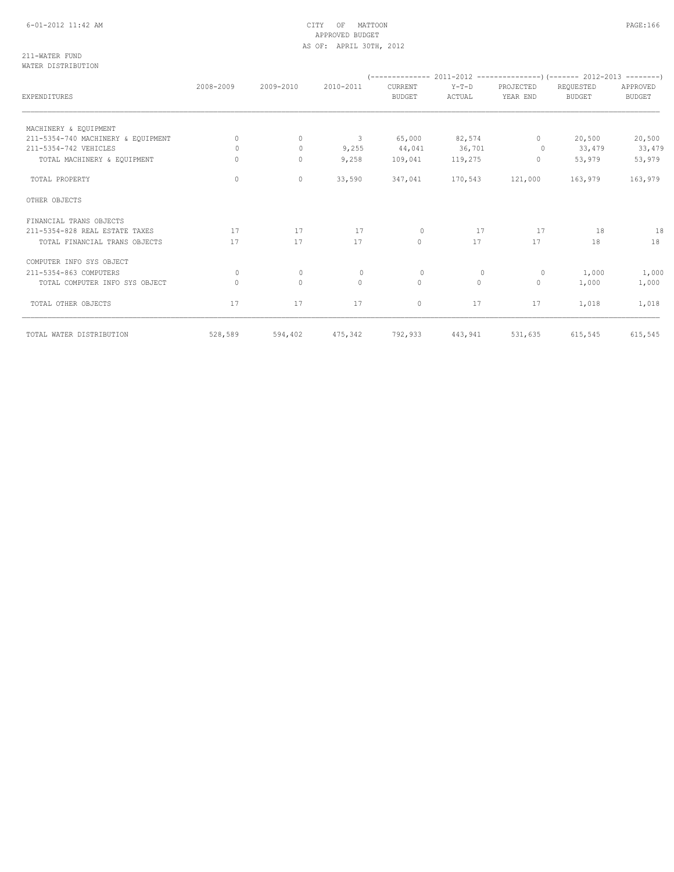|                                    | 2008-2009 | 2009-2010    | 2010-2011    | CURRENT       | $Y-T-D$ | PROJECTED    | REQUESTED     | APPROVED      |
|------------------------------------|-----------|--------------|--------------|---------------|---------|--------------|---------------|---------------|
| <b>EXPENDITURES</b>                |           |              |              | <b>BUDGET</b> | ACTUAL  | YEAR END     | <b>BUDGET</b> | <b>BUDGET</b> |
| MACHINERY & EQUIPMENT              |           |              |              |               |         |              |               |               |
| 211-5354-740 MACHINERY & EQUIPMENT | 0         | $\mathbf{0}$ | 3            | 65,000        | 82,574  | $\circ$      | 20,500        | 20,500        |
| 211-5354-742 VEHICLES              | $\Omega$  | $\circ$      | 9,255        | 44,041        | 36,701  | $\Omega$     | 33,479        | 33,479        |
| TOTAL MACHINERY & EQUIPMENT        | 0         | $\mathbf{0}$ | 9,258        | 109,041       | 119,275 | $\circ$      | 53,979        | 53,979        |
| TOTAL PROPERTY                     | $\circ$   | 0            | 33,590       | 347,041       | 170,543 | 121,000      | 163,979       | 163,979       |
| OTHER OBJECTS                      |           |              |              |               |         |              |               |               |
| FINANCIAL TRANS OBJECTS            |           |              |              |               |         |              |               |               |
| 211-5354-828 REAL ESTATE TAXES     | 17        | 17           | 17           | $\mathbf{0}$  | 17      | 17           | 18            | 18            |
| TOTAL FINANCIAL TRANS OBJECTS      | 17        | 17           | 17           | $\circ$       | 17      | 17           | 18            | 18            |
| COMPUTER INFO SYS OBJECT           |           |              |              |               |         |              |               |               |
| 211-5354-863 COMPUTERS             | $\Omega$  | $\circ$      | $\mathbf{0}$ | $\mathbf{0}$  | $\circ$ | $\circ$      | 1,000         | 1,000         |
| TOTAL COMPUTER INFO SYS OBJECT     | $\Omega$  | $\mathbf{0}$ | $\circ$      | $\circ$       | $\circ$ | $\mathbf{0}$ | 1,000         | 1,000         |
| TOTAL OTHER OBJECTS                | 17        | 17           | 17           | 0             | 17      | 17           | 1,018         | 1,018         |
| TOTAL WATER DISTRIBUTION           | 528,589   | 594,402      | 475,342      | 792,933       | 443,941 | 531,635      | 615,545       | 615,545       |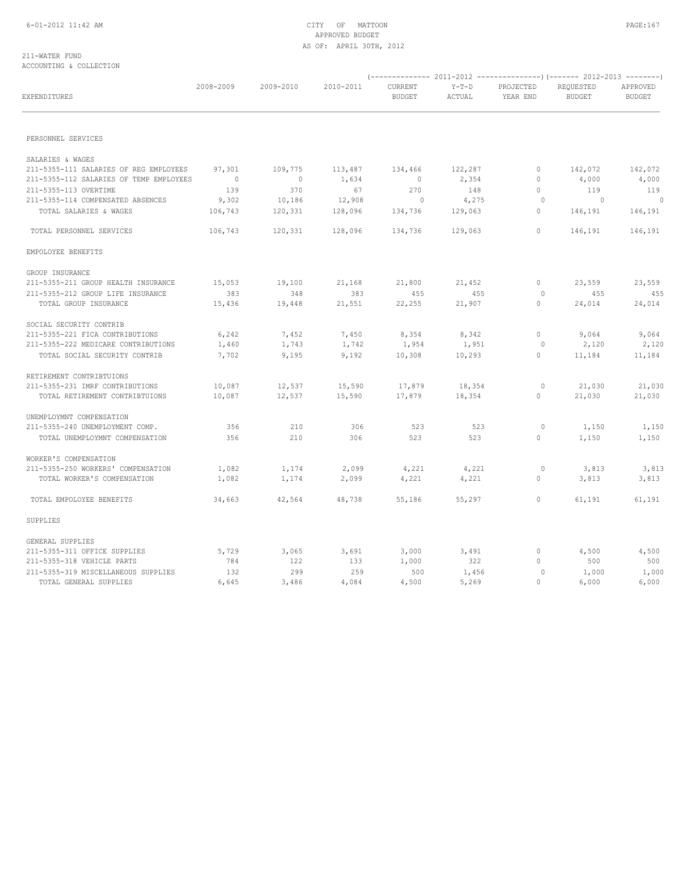### 211-WATER FUND ACCOUNTING & COLLECTION

| EXPENDITURES                            | 2008-2009 | 2009-2010      | 2010-2011 | CURRENT<br><b>BUDGET</b> | $Y-T-D$<br>ACTUAL | PROJECTED<br>YEAR END | REQUESTED<br><b>BUDGET</b> | APPROVED<br><b>BUDGET</b> |
|-----------------------------------------|-----------|----------------|-----------|--------------------------|-------------------|-----------------------|----------------------------|---------------------------|
|                                         |           |                |           |                          |                   |                       |                            |                           |
| PERSONNEL SERVICES                      |           |                |           |                          |                   |                       |                            |                           |
| SALARIES & WAGES                        |           |                |           |                          |                   |                       |                            |                           |
| 211-5355-111 SALARIES OF REG EMPLOYEES  | 97,301    | 109,775        | 113,487   | 134,466                  | 122,287           | $\circ$               | 142,072                    | 142,072                   |
| 211-5355-112 SALARIES OF TEMP EMPLOYEES | $\sim$ 0  | $\overline{0}$ | 1,634     | $\overline{0}$           | 2,354             | $\mathbf{0}$          | 4,000                      | 4,000                     |
| 211-5355-113 OVERTIME                   | 139       | 370            | 67        | 270                      | 148               | $\circ$               | 119                        | 119                       |
| 211-5355-114 COMPENSATED ABSENCES       | 9,302     | 10,186         | 12,908    | $\sim$ 0                 | 4,275             | $\circ$               | $\sim$ 0                   | $\sim$ 0                  |
| TOTAL SALARIES & WAGES                  | 106,743   | 120,331        | 128,096   | 134,736                  | 129,063           | $\mathbf{0}$          | 146,191                    | 146,191                   |
| TOTAL PERSONNEL SERVICES                | 106,743   | 120,331        | 128,096   | 134,736                  | 129,063           | $\circ$               | 146,191                    | 146,191                   |
| EMPOLOYEE BENEFITS                      |           |                |           |                          |                   |                       |                            |                           |
| GROUP INSURANCE                         |           |                |           |                          |                   |                       |                            |                           |
| 211-5355-211 GROUP HEALTH INSURANCE     | 15,053    | 19,100         | 21,168    | 21,800                   | 21,452            | $\circ$               | 23,559                     | 23,559                    |
| 211-5355-212 GROUP LIFE INSURANCE       | 383       | 348            | 383       | 455                      | 455               | $\circ$               | 455                        | 455                       |
| TOTAL GROUP INSURANCE                   | 15,436    | 19,448         | 21,551    | 22,255                   | 21,907            | $\mathbf{0}$          | 24,014                     | 24,014                    |
| SOCIAL SECURITY CONTRIB                 |           |                |           |                          |                   |                       |                            |                           |
| 211-5355-221 FICA CONTRIBUTIONS         | 6,242     | 7,452          | 7,450     | 8,354                    | 8,342             | $\circ$               | 9,064                      | 9,064                     |
| 211-5355-222 MEDICARE CONTRIBUTIONS     | 1,460     | 1,743          | 1,742     | 1,954                    | 1,951             | $\circ$               | 2,120                      | 2,120                     |
| TOTAL SOCIAL SECURITY CONTRIB           | 7,702     | 9,195          | 9,192     | 10,308                   | 10,293            | $\circ$               | 11,184                     | 11,184                    |
| RETIREMENT CONTRIBTUIONS                |           |                |           |                          |                   |                       |                            |                           |
| 211-5355-231 IMRF CONTRIBUTIONS         | 10,087    | 12,537         | 15,590    | 17,879                   | 18,354            | $\circ$               | 21,030                     | 21,030                    |
| TOTAL RETIREMENT CONTRIBTUIONS          | 10,087    | 12,537         | 15,590    | 17,879                   | 18,354            | $\circ$               | 21,030                     | 21,030                    |
| UNEMPLOYMNT COMPENSATION                |           |                |           |                          |                   |                       |                            |                           |
| 211-5355-240 UNEMPLOYMENT COMP.         | 356       | 210            | 306       | 523                      | 523               | $\circ$               | 1,150                      | 1,150                     |
| TOTAL UNEMPLOYMNT COMPENSATION          | 356       | 210            | 306       | 523                      | 523               | $\circ$               | 1,150                      | 1,150                     |
| WORKER'S COMPENSATION                   |           |                |           |                          |                   |                       |                            |                           |
| 211-5355-250 WORKERS' COMPENSATION      | 1,082     | 1,174          | 2,099     | 4,221                    | 4,221             | $\circ$               | 3,813                      | 3,813                     |
| TOTAL WORKER'S COMPENSATION             | 1,082     | 1,174          | 2,099     | 4,221                    | 4,221             | $\mathbf{0}$          | 3,813                      | 3,813                     |
| TOTAL EMPOLOYEE BENEFITS                | 34,663    | 42,564         | 48,738    | 55,186                   | 55,297            | $\mathbf{0}$          | 61,191                     | 61,191                    |
| SUPPLIES                                |           |                |           |                          |                   |                       |                            |                           |
| GENERAL SUPPLIES                        |           |                |           |                          |                   |                       |                            |                           |
| 211-5355-311 OFFICE SUPPLIES            | 5,729     | 3,065          | 3,691     | 3,000                    | 3,491             | $\circ$               | 4,500                      | 4,500                     |
| 211-5355-318 VEHICLE PARTS              | 784       | 122            | 133       | 1,000                    | 322               | $\mathbf{0}$          | 500                        | 500                       |
| 211-5355-319 MISCELLANEOUS SUPPLIES     | 132       | 299            | 259       | 500                      | 1,456             | $\circ$               | 1,000                      | 1,000                     |
| TOTAL GENERAL SUPPLIES                  | 6,645     | 3,486          | 4,084     | 4,500                    | 5,269             | $\Omega$              | 6,000                      | 6,000                     |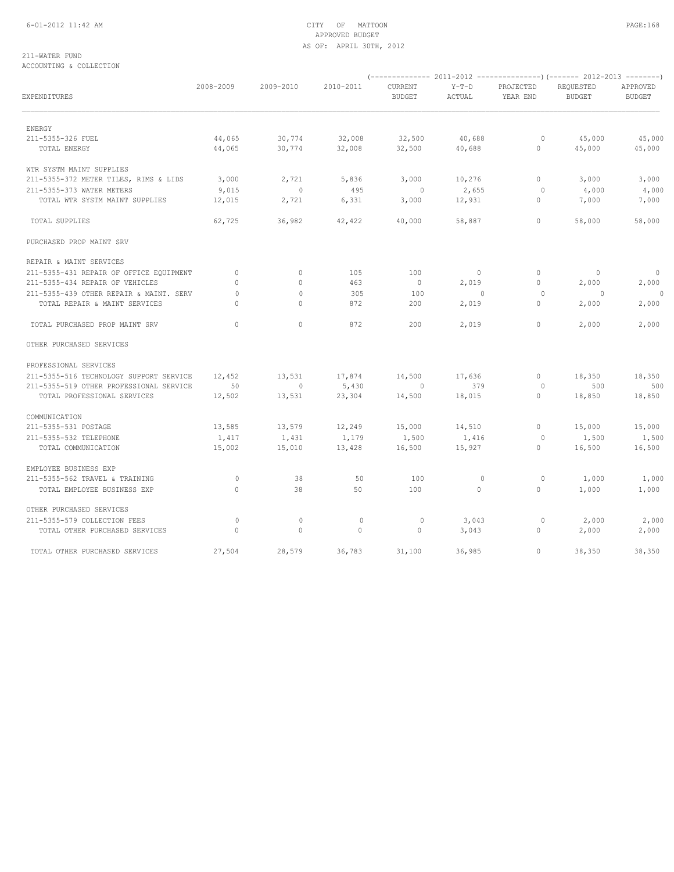## 6-01-2012 11:42 AM CITY OF MATTOON PAGE:168 APPROVED BUDGET AS OF: APRIL 30TH, 2012

### 211-WATER FUND ACCOUNTING & COLLECTION

| EXPENDITURES                                  | 2008-2009       | 2009-2010       | 2010-2011       | CURRENT<br><b>BUDGET</b> | $Y-T-D$<br>ACTUAL        | PROJECTED<br>YEAR END   | REQUESTED<br><b>BUDGET</b> | APPROVED<br><b>BUDGET</b> |  |
|-----------------------------------------------|-----------------|-----------------|-----------------|--------------------------|--------------------------|-------------------------|----------------------------|---------------------------|--|
|                                               |                 |                 |                 |                          |                          |                         |                            |                           |  |
| ENERGY<br>211-5355-326 FUEL                   | 44,065          | 30,774          | 32,008          | 32,500                   | 40,688                   | $\circ$                 | 45,000                     | 45,000                    |  |
| TOTAL ENERGY                                  | 44,065          | 30,774          | 32,008          | 32,500                   | 40,688                   | $\circ$                 | 45,000                     | 45,000                    |  |
| WTR SYSTM MAINT SUPPLIES                      |                 |                 |                 |                          |                          |                         |                            |                           |  |
| 211-5355-372 METER TILES, RIMS & LIDS         | 3,000           | 2,721           | 5,836           | 3,000                    | 10,276                   | $\circ$                 | 3,000                      | 3,000                     |  |
| 211-5355-373 WATER METERS                     | 9,015           | $\circ$         | 495             | $\mathbf{0}$             | 2,655                    | $\circ$                 | 4,000                      | 4,000                     |  |
| TOTAL WTR SYSTM MAINT SUPPLIES                | 12,015          | 2,721           | 6,331           | 3,000                    | 12,931                   | $\mathbf{0}$            | 7,000                      | 7,000                     |  |
| TOTAL SUPPLIES                                | 62,725          | 36,982          | 42,422          | 40,000                   | 58,887                   | $\mathbf{0}$            | 58,000                     | 58,000                    |  |
| PURCHASED PROP MAINT SRV                      |                 |                 |                 |                          |                          |                         |                            |                           |  |
| REPAIR & MAINT SERVICES                       |                 |                 |                 |                          |                          |                         |                            |                           |  |
| 211-5355-431 REPAIR OF OFFICE EQUIPMENT       | $\circ$         | $\circ$         | 105             | 100                      | $\overline{\phantom{0}}$ | $\circ$                 | $\overline{0}$             | $\circ$                   |  |
| 211-5355-434 REPAIR OF VEHICLES               | $\Omega$        | $\Omega$        | 463             | $\overline{0}$           | 2,019                    | $\mathbf{0}$            | 2,000                      | 2,000                     |  |
| 211-5355-439 OTHER REPAIR & MAINT. SERV       | $\mathbf{0}$    | $\circ$         | 305             | 100                      | $\sim$ 0                 | $\circ$                 | $\overline{0}$             | 0                         |  |
| TOTAL REPAIR & MAINT SERVICES                 | $\Omega$        | $\mathbf{0}$    | 872             | 200                      | 2,019                    | $\mathbf{0}$            | 2,000                      | 2,000                     |  |
| TOTAL PURCHASED PROP MAINT SRV                | $\Omega$        | $\Omega$        | 872             | 200                      | 2,019                    | $\circ$                 | 2,000                      | 2,000                     |  |
| OTHER PURCHASED SERVICES                      |                 |                 |                 |                          |                          |                         |                            |                           |  |
| PROFESSIONAL SERVICES                         |                 |                 |                 |                          |                          |                         |                            |                           |  |
| 211-5355-516 TECHNOLOGY SUPPORT SERVICE       | 12,452          | 13,531          | 17,874          | 14,500                   | 17,636                   | $\circ$                 | 18,350                     | 18,350                    |  |
| 211-5355-519 OTHER PROFESSIONAL SERVICE       | 50              | $\circ$         | 5,430           | $\circ$                  | 379                      | $\circ$                 | 500                        | 500                       |  |
| TOTAL PROFESSIONAL SERVICES                   | 12,502          | 13,531          | 23,304          | 14,500                   | 18,015                   | $\circ$                 | 18,850                     | 18,850                    |  |
| COMMUNICATION                                 |                 |                 |                 |                          |                          |                         |                            |                           |  |
| 211-5355-531 POSTAGE                          | 13,585          | 13,579          | 12,249          | 15,000                   | 14,510                   | $\circ$                 | 15,000                     | 15,000                    |  |
| 211-5355-532 TELEPHONE<br>TOTAL COMMUNICATION | 1,417<br>15,002 | 1,431<br>15,010 | 1,179<br>13,428 | 1,500<br>16,500          | 1,416<br>15,927          | $\circ$<br>$\mathbf{0}$ | 1,500<br>16,500            | 1,500<br>16,500           |  |
| EMPLOYEE BUSINESS EXP                         |                 |                 |                 |                          |                          |                         |                            |                           |  |
| 211-5355-562 TRAVEL & TRAINING                | $\mathbb O$     | 38              | 50              | 100                      | $\circ$                  | 0                       | 1,000                      | 1,000                     |  |
| TOTAL EMPLOYEE BUSINESS EXP                   | $\Omega$        | 38              | 50              | 100                      | $\Omega$                 | $\circ$                 | 1,000                      | 1,000                     |  |
| OTHER PURCHASED SERVICES                      |                 |                 |                 |                          |                          |                         |                            |                           |  |
| 211-5355-579 COLLECTION FEES                  | $\circ$         | $\circ$         | $\mathbb O$     | $\circ$                  | 3,043                    | $\circ$                 | 2,000                      | 2,000                     |  |
| TOTAL OTHER PURCHASED SERVICES                | $\circ$         | $\mathbf{0}$    | $\circ$         | $\circ$                  | 3,043                    | $\circ$                 | 2,000                      | 2,000                     |  |
| TOTAL OTHER PURCHASED SERVICES                | 27,504          | 28,579          | 36,783          | 31,100                   | 36,985                   | $\mathbf{0}$            | 38,350                     | 38,350                    |  |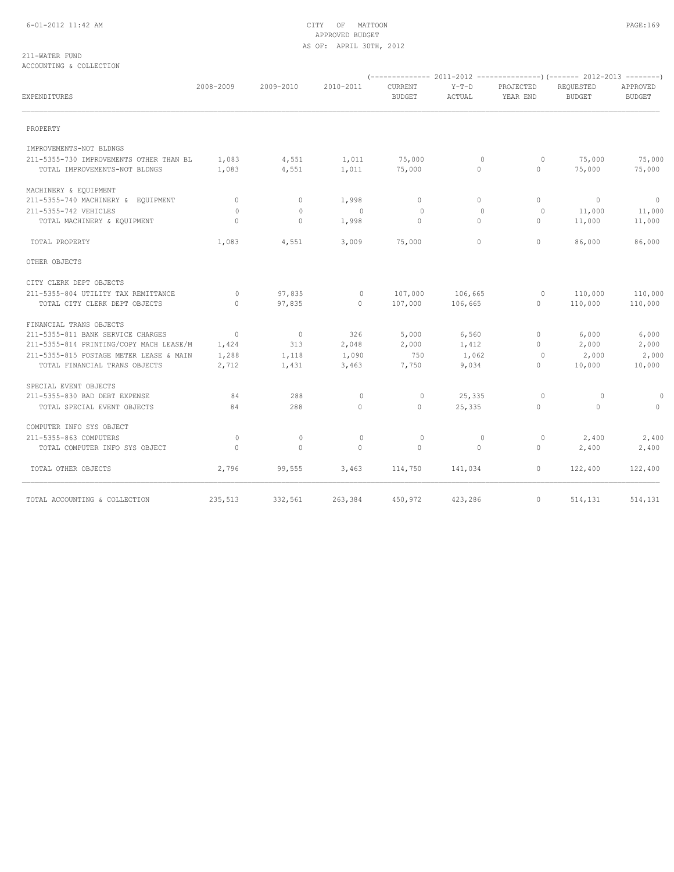## 6-01-2012 11:42 AM CITY OF MATTOON PAGE:169 APPROVED BUDGET AS OF: APRIL 30TH, 2012

### 211-WATER FUND ACCOUNTING & COLLECTION

| EXPENDITURES                            | 2008-2009      | 2009-2010       | 2010-2011      | CURRENT<br>BUDGET | $Y-T-D$<br>ACTUAL | PROJECTED<br>YEAR END | REQUESTED<br><b>BUDGET</b>   | APPROVED<br><b>BUDGET</b> |
|-----------------------------------------|----------------|-----------------|----------------|-------------------|-------------------|-----------------------|------------------------------|---------------------------|
| PROPERTY                                |                |                 |                |                   |                   |                       |                              |                           |
| IMPROVEMENTS-NOT BLDNGS                 |                |                 |                |                   |                   |                       |                              |                           |
| 211-5355-730 IMPROVEMENTS OTHER THAN BL | 1,083          | 4,551           | 1,011          | 75,000            | $\overline{0}$    | $\circ$               | 75,000                       | 75,000                    |
| TOTAL IMPROVEMENTS-NOT BLDNGS           | 1,083          | 4,551           | 1,011          | 75,000            | $\circ$           | $\circ$               | 75,000                       | 75,000                    |
| MACHINERY & EQUIPMENT                   |                |                 |                |                   |                   |                       |                              |                           |
| 211-5355-740 MACHINERY & EQUIPMENT      | $\overline{0}$ | $\circ$         | 1,998          | $\circ$           | $\circ$           | $\Omega$              | $\sim$ 0                     | $\sim$ 0                  |
| 211-5355-742 VEHICLES                   | $\circ$        | $\circ$         | $\sim$ 0       | $\circ$           | $\circ$           | $\circ$               | 11,000                       | 11,000                    |
| TOTAL MACHINERY & EQUIPMENT             | $\circ$        | $\circ$         | 1,998          | $\circ$           | $\circ$           | $\circ$               | 11,000                       | 11,000                    |
| TOTAL PROPERTY                          | 1,083          | 4,551           | 3,009          | 75,000            | $\Omega$          | $\Omega$              | 86,000                       | 86,000                    |
| OTHER OBJECTS                           |                |                 |                |                   |                   |                       |                              |                           |
| CITY CLERK DEPT OBJECTS                 |                |                 |                |                   |                   |                       |                              |                           |
| 211-5355-804 UTILITY TAX REMITTANCE     | $\circ$        | 97,835          | $\overline{0}$ | 107,000           | 106,665           | $\circ$               | 110,000                      | 110,000                   |
| TOTAL CITY CLERK DEPT OBJECTS           | $\Omega$       | 97,835          | $\overline{0}$ | 107,000           | 106,665           | $0 \qquad \qquad$     | 110,000                      | 110,000                   |
| FINANCIAL TRANS OBJECTS                 |                |                 |                |                   |                   |                       |                              |                           |
| 211-5355-811 BANK SERVICE CHARGES       | $\sim$ 0       | $\overline{0}$  | 326            | 5,000             | 6,560             | $\circ$               | 6,000                        | 6,000                     |
| 211-5355-814 PRINTING/COPY MACH LEASE/M | 1,424          | 313             | 2,048          | 2,000             | 1,412             | $\Omega$              | 2,000                        | 2,000                     |
| 211-5355-815 POSTAGE METER LEASE & MAIN | 1,288          | 1,118           | 1,090          | 750               | 1,062             | $\circ$               | 2,000                        | 2,000                     |
| TOTAL FINANCIAL TRANS OBJECTS           | 2,712          | 1,431           | 3,463          | 7,750             | 9,034             | $\mathbf{0}$          | 10,000                       | 10,000                    |
| SPECIAL EVENT OBJECTS                   |                |                 |                |                   |                   |                       |                              |                           |
| 211-5355-830 BAD DEBT EXPENSE           | 84             | 288             | $\mathbf 0$    | $\circ$           | 25,335            | $\circ$               | $\circ$                      | $\circ$                   |
| TOTAL SPECIAL EVENT OBJECTS             | 84             | 288             | $\circ$        | $\circ$           | 25,335            | $\circ$               | $\overline{0}$               | $\circ$                   |
| COMPUTER INFO SYS OBJECT                |                |                 |                |                   |                   |                       |                              |                           |
| 211-5355-863 COMPUTERS                  | $\circ$        | $\circ$         | $\mathbf{0}$   | $\mathbf{0}$      | $\circ$           | $\circ$               | 2,400                        | 2,400                     |
| TOTAL COMPUTER INFO SYS OBJECT          | $\Omega$       | $\Omega$        | $\Omega$       | $\bigcap$         | $\Omega$          | $\Omega$              | 2,400                        | 2,400                     |
| TOTAL OTHER OBJECTS                     | 2,796          | 99,555          | 3,463          | 114,750           | 141,034           |                       | $0 \qquad \qquad$<br>122,400 | 122,400                   |
| TOTAL ACCOUNTING & COLLECTION           |                | 235,513 332,561 | 263,384        | 450,972           | 423,286           | $\circ$               | 514,131                      | 514,131                   |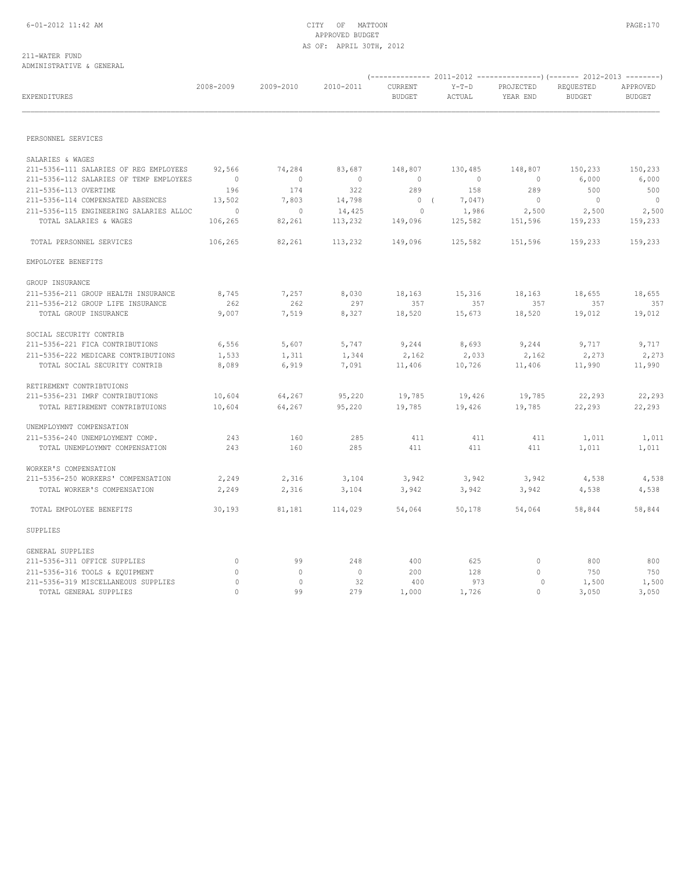### 211-WATER FUND ADMINISTRATIVE & GENERAL

| EXPENDITURES                            | 2008-2009      | 2009-2010      | 2010-2011      | CURRENT<br><b>BUDGET</b>               | $Y-T-D$<br>ACTUAL | PROJECTED<br>YEAR END | REQUESTED<br><b>BUDGET</b> | APPROVED<br><b>BUDGET</b> |
|-----------------------------------------|----------------|----------------|----------------|----------------------------------------|-------------------|-----------------------|----------------------------|---------------------------|
|                                         |                |                |                |                                        |                   |                       |                            |                           |
| PERSONNEL SERVICES                      |                |                |                |                                        |                   |                       |                            |                           |
| SALARIES & WAGES                        |                |                |                |                                        |                   |                       |                            |                           |
| 211-5356-111 SALARIES OF REG EMPLOYEES  | 92,566         | 74,284         | 83,687         | 148,807                                | 130,485           | 148,807               | 150,233                    | 150,233                   |
| 211-5356-112 SALARIES OF TEMP EMPLOYEES | $\sim$ 0       | $\overline{0}$ | $\overline{0}$ | $\overline{0}$                         | $\sim$ 0          | $\overline{0}$        | 6,000                      | 6,000                     |
| 211-5356-113 OVERTIME                   | 196            | 174            | 322            | 289                                    | 158               | 289                   | 500                        | 500                       |
| 211-5356-114 COMPENSATED ABSENCES       | 13,502         | 7,803          | 14,798         | $\begin{array}{cc} & 0 \\ \end{array}$ | 7,047)            | $\overline{0}$        | $\overline{\phantom{0}}$   | $\overline{0}$            |
| 211-5356-115 ENGINEERING SALARIES ALLOC | $\overline{0}$ | $\overline{0}$ | 14,425         | $\circ$                                | 1,986             | 2,500                 | 2,500                      | 2,500                     |
| TOTAL SALARIES & WAGES                  | 106,265        | 82,261         | 113,232        | 149,096                                | 125,582           | 151,596               | 159,233                    | 159,233                   |
| TOTAL PERSONNEL SERVICES                | 106,265        | 82,261         | 113,232        | 149,096                                | 125,582           | 151,596               | 159,233                    | 159,233                   |
| EMPOLOYEE BENEFITS                      |                |                |                |                                        |                   |                       |                            |                           |
| GROUP INSURANCE                         |                |                |                |                                        |                   |                       |                            |                           |
| 211-5356-211 GROUP HEALTH INSURANCE     | 8,745          | 7,257          | 8,030          | 18,163                                 | 15,316            | 18,163                | 18,655                     | 18,655                    |
| 211-5356-212 GROUP LIFE INSURANCE       | 262            | 262            | 297            | 357                                    | 357               | 357                   | 357                        | 357                       |
| TOTAL GROUP INSURANCE                   | 9,007          | 7,519          | 8,327          | 18,520                                 | 15,673            | 18,520                | 19,012                     | 19,012                    |
| SOCIAL SECURITY CONTRIB                 |                |                |                |                                        |                   |                       |                            |                           |
| 211-5356-221 FICA CONTRIBUTIONS         | 6,556          | 5,607          | 5,747          | 9,244                                  | 8,693             | 9,244                 | 9,717                      | 9,717                     |
| 211-5356-222 MEDICARE CONTRIBUTIONS     | 1,533          | 1,311          | 1,344          | 2,162                                  | 2,033             | 2,162                 | 2,273                      | 2,273                     |
| TOTAL SOCIAL SECURITY CONTRIB           | 8,089          | 6,919          | 7,091          | 11,406                                 | 10,726            | 11,406                | 11,990                     | 11,990                    |
| RETIREMENT CONTRIBTUIONS                |                |                |                |                                        |                   |                       |                            |                           |
| 211-5356-231 IMRF CONTRIBUTIONS         | 10,604         | 64,267         | 95,220         | 19,785                                 | 19,426            | 19,785                | 22,293                     | 22,293                    |
| TOTAL RETIREMENT CONTRIBTUIONS          | 10,604         | 64,267         | 95,220         | 19,785                                 | 19,426            | 19,785                | 22,293                     | 22,293                    |
| UNEMPLOYMNT COMPENSATION                |                |                |                |                                        |                   |                       |                            |                           |
| 211-5356-240 UNEMPLOYMENT COMP.         | 243            | 160            | 285            | 411                                    | 411               | 411                   | 1,011                      | 1,011                     |
| TOTAL UNEMPLOYMNT COMPENSATION          | 243            | 160            | 285            | 411                                    | 411               | 411                   | 1,011                      | 1,011                     |
| WORKER'S COMPENSATION                   |                |                |                |                                        |                   |                       |                            |                           |
| 211-5356-250 WORKERS' COMPENSATION      | 2,249          | 2,316          | 3,104          | 3,942                                  | 3,942             | 3,942                 | 4,538                      | 4,538                     |
| TOTAL WORKER'S COMPENSATION             | 2,249          | 2,316          | 3,104          | 3,942                                  | 3,942             | 3,942                 | 4,538                      | 4,538                     |
| TOTAL EMPOLOYEE BENEFITS                | 30,193         | 81,181         | 114,029        | 54,064                                 | 50,178            | 54,064                | 58,844                     | 58,844                    |
| SUPPLIES                                |                |                |                |                                        |                   |                       |                            |                           |
| GENERAL SUPPLIES                        |                |                |                |                                        |                   |                       |                            |                           |
| 211-5356-311 OFFICE SUPPLIES            | $\circ$        | 99             | 248            | 400                                    | 625               | $\circ$               | 800                        | 800                       |
| 211-5356-316 TOOLS & EQUIPMENT          | $\circ$        | $\mathbf{0}$   | $\circ$        | 200                                    | 128               | $\circ$               | 750                        | 750                       |
| 211-5356-319 MISCELLANEOUS SUPPLIES     | $\circ$        | $\circ$        | 32             | 400                                    | 973               | $\circ$               | 1,500                      | 1,500                     |
| TOTAL GENERAL SUPPLIES                  | $\Omega$       | 99             | 279            | 1,000                                  | 1,726             | $\Omega$              | 3,050                      | 3,050                     |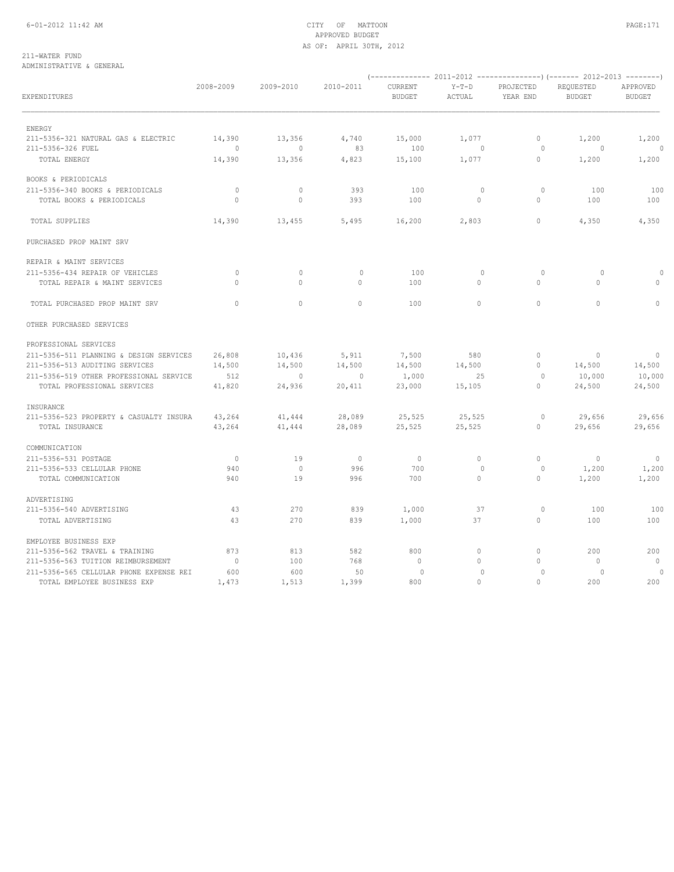## 6-01-2012 11:42 AM CITY OF MATTOON PAGE:171 APPROVED BUDGET AS OF: APRIL 30TH, 2012

211-WATER FUND ADMINISTRATIVE & GENERAL

| EXPENDITURES                            | 2008-2009 | 2009-2010   | 2010-2011      | CURRENT<br><b>BUDGET</b> | $Y-T-D$<br>ACTUAL | PROJECTED<br>YEAR END | REQUESTED<br><b>BUDGET</b> | APPROVED<br><b>BUDGET</b> |
|-----------------------------------------|-----------|-------------|----------------|--------------------------|-------------------|-----------------------|----------------------------|---------------------------|
| ENERGY                                  |           |             |                |                          |                   |                       |                            |                           |
| 211-5356-321 NATURAL GAS & ELECTRIC     | 14,390    | 13,356      | 4,740          | 15,000                   | 1,077             | $\mathbf{0}$          | 1,200                      | 1,200                     |
| 211-5356-326 FUEL                       | $\circ$   | $\circ$     | 83             | 100                      | $\circ$           | $\circ$               | $\circ$                    | $\circ$                   |
| TOTAL ENERGY                            | 14,390    | 13,356      | 4,823          | 15,100                   | 1,077             | $\mathbf{0}$          | 1,200                      | 1,200                     |
| BOOKS & PERIODICALS                     |           |             |                |                          |                   |                       |                            |                           |
| 211-5356-340 BOOKS & PERIODICALS        | $\circ$   | $\circ$     | 393            | 100                      | $\circ$           | $\circ$               | 100                        | 100                       |
| TOTAL BOOKS & PERIODICALS               | $\circ$   | $\mathbb O$ | 393            | 100                      | $\circ$           | $\mathbf{0}$          | 100                        | 100                       |
| TOTAL SUPPLIES                          | 14,390    | 13,455      | 5,495          | 16,200                   | 2,803             | $\mathbf{0}$          | 4,350                      | 4,350                     |
| PURCHASED PROP MAINT SRV                |           |             |                |                          |                   |                       |                            |                           |
| REPAIR & MAINT SERVICES                 |           |             |                |                          |                   |                       |                            |                           |
| 211-5356-434 REPAIR OF VEHICLES         | $\circ$   | $\circ$     | $\mathbf 0$    | 100                      | $\circ$           | $\circ$               | $\circ$                    | $\Omega$                  |
| TOTAL REPAIR & MAINT SERVICES           | $\circ$   | $\circ$     | $\circ$        | 100                      | $\mathbf{0}$      | $\circ$               | 0                          | 0                         |
| TOTAL PURCHASED PROP MAINT SRV          | $\Omega$  | $\circ$     | $\circ$        | 100                      | $\Omega$          | $\circ$               | $\Omega$                   | $\circ$                   |
| OTHER PURCHASED SERVICES                |           |             |                |                          |                   |                       |                            |                           |
| PROFESSIONAL SERVICES                   |           |             |                |                          |                   |                       |                            |                           |
| 211-5356-511 PLANNING & DESIGN SERVICES | 26,808    | 10,436      | 5,911          | 7,500                    | 580               | $\circ$               | $\circ$                    | $\circ$                   |
| 211-5356-513 AUDITING SERVICES          | 14,500    | 14,500      | 14,500         | 14,500                   | 14,500            | $\circ$               | 14,500                     | 14,500                    |
| 211-5356-519 OTHER PROFESSIONAL SERVICE | 512       | $\circ$     | $\overline{0}$ | 1,000                    | 25                | 0                     | 10,000                     | 10,000                    |
| TOTAL PROFESSIONAL SERVICES             | 41,820    | 24,936      | 20,411         | 23,000                   | 15,105            | $\mathbf{0}$          | 24,500                     | 24,500                    |
| INSURANCE                               |           |             |                |                          |                   |                       |                            |                           |
| 211-5356-523 PROPERTY & CASUALTY INSURA | 43,264    | 41,444      | 28,089         | 25,525                   | 25,525            | $\circ$               | 29,656                     | 29,656                    |
| TOTAL INSURANCE                         | 43,264    | 41,444      | 28,089         | 25,525                   | 25,525            | $\circ$               | 29,656                     | 29,656                    |
| COMMUNICATION                           |           |             |                |                          |                   |                       |                            |                           |
| 211-5356-531 POSTAGE                    | $\circ$   | 19          | $\circ$        | $\circ$                  | $\mathbb O$       | $\mathbb O$           | $\circ$                    | $\circ$                   |
| 211-5356-533 CELLULAR PHONE             | 940       | $\circ$     | 996            | 700                      | $\circ$           | $\circ$               | 1,200                      | 1,200                     |
| TOTAL COMMUNICATION                     | 940       | 19          | 996            | 700                      | 0                 | 0                     | 1,200                      | 1,200                     |
| ADVERTISING                             |           |             |                |                          |                   |                       |                            |                           |
| 211-5356-540 ADVERTISING                | 43        | 270         | 839            | 1,000                    | 37                | $\circ$               | 100                        | 100                       |
| TOTAL ADVERTISING                       | 43        | 270         | 839            | 1,000                    | 37                | 0                     | 100                        | 100                       |
| EMPLOYEE BUSINESS EXP                   |           |             |                |                          |                   |                       |                            |                           |
| 211-5356-562 TRAVEL & TRAINING          | 873       | 813         | 582            | 800                      | 0                 | $\mathbf{0}$          | 200                        | 200                       |
| 211-5356-563 TUITION REIMBURSEMENT      | $\circ$   | 100         | 768            | $\circ$                  | $\circ$           | $\mathbf{0}$          | $\circ$                    | $\circ$                   |
| 211-5356-565 CELLULAR PHONE EXPENSE REI | 600       | 600         | 50             | $\circ$                  | $\circ$           | $\circ$               | 0                          | $\circ$                   |
| TOTAL EMPLOYEE BUSINESS EXP             | 1,473     | 1,513       | 1,399          | 800                      | $\mathbf{0}$      | $\Omega$              | 200                        | 200                       |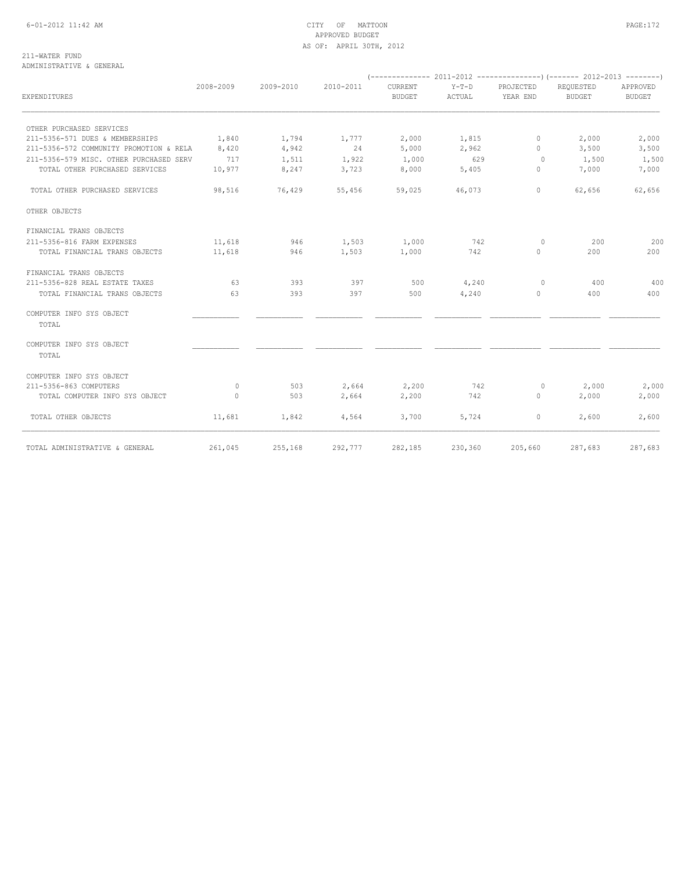## 6-01-2012 11:42 AM CITY OF MATTOON PAGE:172 APPROVED BUDGET AS OF: APRIL 30TH, 2012

211-WATER FUND ADMINISTRATIVE & GENERAL

|                                         |           |           |           | (--------------                 |                   |                       | 2011-2012 ----------------) (------- 2012-2013 --------) |                           |  |
|-----------------------------------------|-----------|-----------|-----------|---------------------------------|-------------------|-----------------------|----------------------------------------------------------|---------------------------|--|
| EXPENDITURES                            | 2008-2009 | 2009-2010 | 2010-2011 | <b>CURRENT</b><br><b>BUDGET</b> | $Y-T-D$<br>ACTUAL | PROJECTED<br>YEAR END | REQUESTED<br>BUDGET                                      | APPROVED<br><b>BUDGET</b> |  |
| OTHER PURCHASED SERVICES                |           |           |           |                                 |                   |                       |                                                          |                           |  |
| 211-5356-571 DUES & MEMBERSHIPS         | 1,840     | 1,794     | 1,777     | 2,000                           | 1,815             | $\circ$               | 2,000                                                    | 2,000                     |  |
| 211-5356-572 COMMUNITY PROMOTION & RELA | 8,420     | 4,942     | 24        | 5,000                           | 2,962             | $\Omega$              | 3,500                                                    | 3,500                     |  |
| 211-5356-579 MISC. OTHER PURCHASED SERV | 717       | 1,511     | 1,922     | 1,000                           | 629               | $\circ$               | 1,500                                                    | 1,500                     |  |
| TOTAL OTHER PURCHASED SERVICES          | 10,977    | 8,247     | 3,723     | 8,000                           | 5,405             | $\mathbf{0}$          | 7,000                                                    | 7,000                     |  |
| TOTAL OTHER PURCHASED SERVICES          | 98,516    | 76,429    | 55,456    | 59,025                          | 46,073            | $\mathbf{0}$          | 62,656                                                   | 62,656                    |  |
| OTHER OBJECTS                           |           |           |           |                                 |                   |                       |                                                          |                           |  |
| FINANCIAL TRANS OBJECTS                 |           |           |           |                                 |                   |                       |                                                          |                           |  |
| 211-5356-816 FARM EXPENSES              | 11,618    | 946       | 1,503     | 1,000                           | 742               | $\circ$               | 200                                                      | 200                       |  |
| TOTAL FINANCIAL TRANS OBJECTS           | 11,618    | 946       | 1,503     | 1,000                           | 742               | $\mathbf{0}$          | 200                                                      | 200                       |  |
| FINANCIAL TRANS OBJECTS                 |           |           |           |                                 |                   |                       |                                                          |                           |  |
| 211-5356-828 REAL ESTATE TAXES          | 63        | 393       | 397       | 500                             | 4,240             | $\circ$               | 400                                                      | 400                       |  |
| TOTAL FINANCIAL TRANS OBJECTS           | 63        | 393       | 397       | 500                             | 4,240             | $\mathbf{0}$          | 400                                                      | 400                       |  |
| COMPUTER INFO SYS OBJECT<br>TOTAL       |           |           |           |                                 |                   |                       |                                                          |                           |  |
| COMPUTER INFO SYS OBJECT<br>TOTAL       |           |           |           |                                 |                   |                       |                                                          |                           |  |
| COMPUTER INFO SYS OBJECT                |           |           |           |                                 |                   |                       |                                                          |                           |  |
| 211-5356-863 COMPUTERS                  | $\circ$   | 503       | 2,664     | 2,200                           | 742               | $\circ$               | 2,000                                                    | 2,000                     |  |
| TOTAL COMPUTER INFO SYS OBJECT          | $\circ$   | 503       | 2,664     | 2,200                           | 742               | $\circ$               | 2,000                                                    | 2,000                     |  |
| TOTAL OTHER OBJECTS                     | 11,681    | 1,842     | 4,564     | 3,700                           | 5,724             | $\circ$               | 2,600                                                    | 2,600                     |  |
| TOTAL ADMINISTRATIVE & GENERAL          | 261,045   | 255,168   | 292,777   | 282,185                         | 230,360           | 205,660               | 287,683                                                  | 287,683                   |  |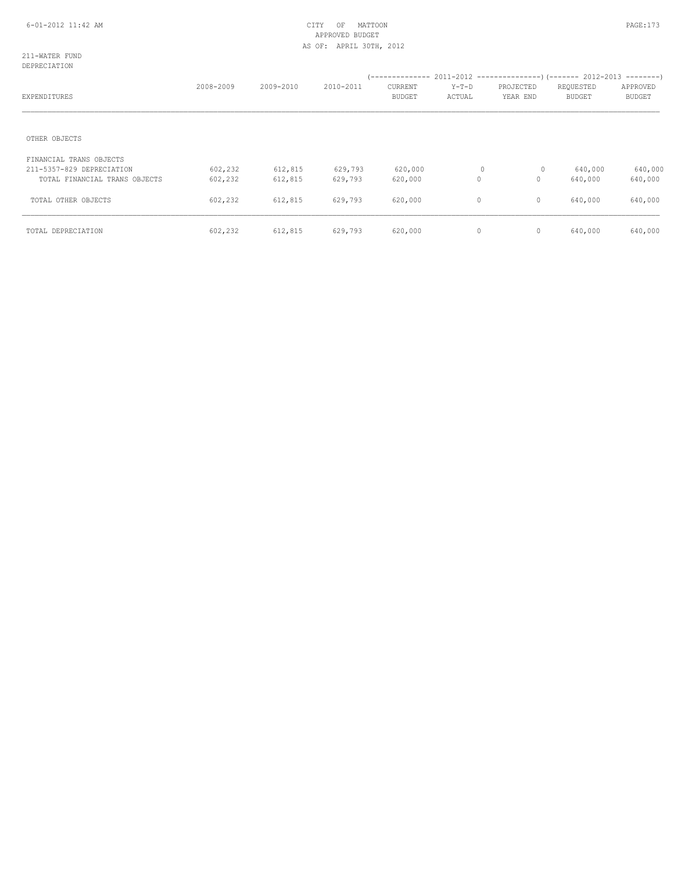211-WATER FUND DEPRECIATION

| ------------                  |           |           |           |                          |                 |                       |                            |                           |
|-------------------------------|-----------|-----------|-----------|--------------------------|-----------------|-----------------------|----------------------------|---------------------------|
| EXPENDITURES                  | 2008-2009 | 2009-2010 | 2010-2011 | CURRENT<br><b>BUDGET</b> | Y-T-D<br>ACTUAL | PROJECTED<br>YEAR END | REQUESTED<br><b>BUDGET</b> | APPROVED<br><b>BUDGET</b> |
| OTHER OBJECTS                 |           |           |           |                          |                 |                       |                            |                           |
| FINANCIAL TRANS OBJECTS       |           |           |           |                          |                 |                       |                            |                           |
| 211-5357-829 DEPRECIATION     | 602,232   | 612,815   | 629,793   | 620,000                  | 0               | 0                     | 640,000                    | 640,000                   |
| TOTAL FINANCIAL TRANS OBJECTS | 602,232   | 612,815   | 629,793   | 620,000                  | $\circ$         | $\mathbf{0}$          | 640,000                    | 640,000                   |
| TOTAL OTHER OBJECTS           | 602,232   | 612,815   | 629,793   | 620,000                  | $\mathbf{0}$    | $\mathbf{0}$          | 640,000                    | 640,000                   |
| TOTAL DEPRECIATION            | 602,232   | 612,815   | 629,793   | 620,000                  | $\circ$         | $\mathbf 0$           | 640,000                    | 640,000                   |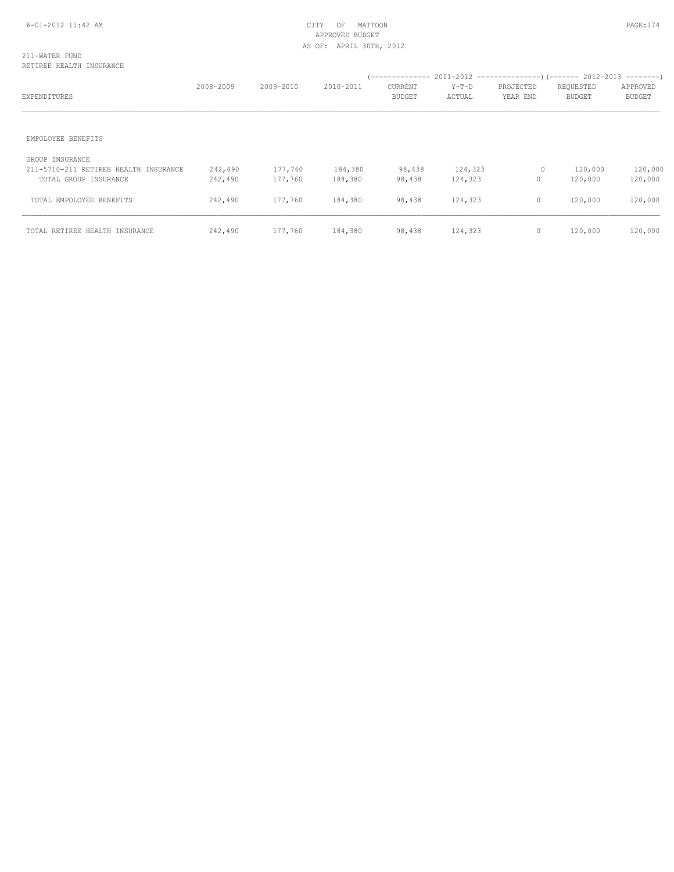## 211-WATER FUND RETIREE HEALTH INSURANCE

| EXPENDITURES                                                                      | 2008-2009          | 2009-2010          | 2010-2011          | CURRENT<br><b>BUDGET</b> | $Y-T-D$<br>ACTUAL  | PROJECTED<br>YEAR END | REQUESTED<br><b>BUDGET</b> | APPROVED<br><b>BUDGET</b> |
|-----------------------------------------------------------------------------------|--------------------|--------------------|--------------------|--------------------------|--------------------|-----------------------|----------------------------|---------------------------|
| EMPOLOYEE BENEFITS                                                                |                    |                    |                    |                          |                    |                       |                            |                           |
| GROUP INSURANCE<br>211-5710-211 RETIREE HEALTH INSURANCE<br>TOTAL GROUP INSURANCE | 242,490<br>242,490 | 177,760<br>177,760 | 184,380<br>184,380 | 98,438<br>98,438         | 124,323<br>124,323 | 0<br>$\circ$          | 120,000<br>120,000         | 120,000<br>120,000        |
| TOTAL EMPOLOYEE BENEFITS                                                          | 242,490            | 177,760            | 184,380            | 98,438                   | 124,323            | $\mathbf{0}$          | 120,000                    | 120,000                   |
| TOTAL RETIREE HEALTH INSURANCE                                                    | 242,490            | 177,760            | 184,380            | 98,438                   | 124,323            | $\mathbf 0$           | 120,000                    | 120,000                   |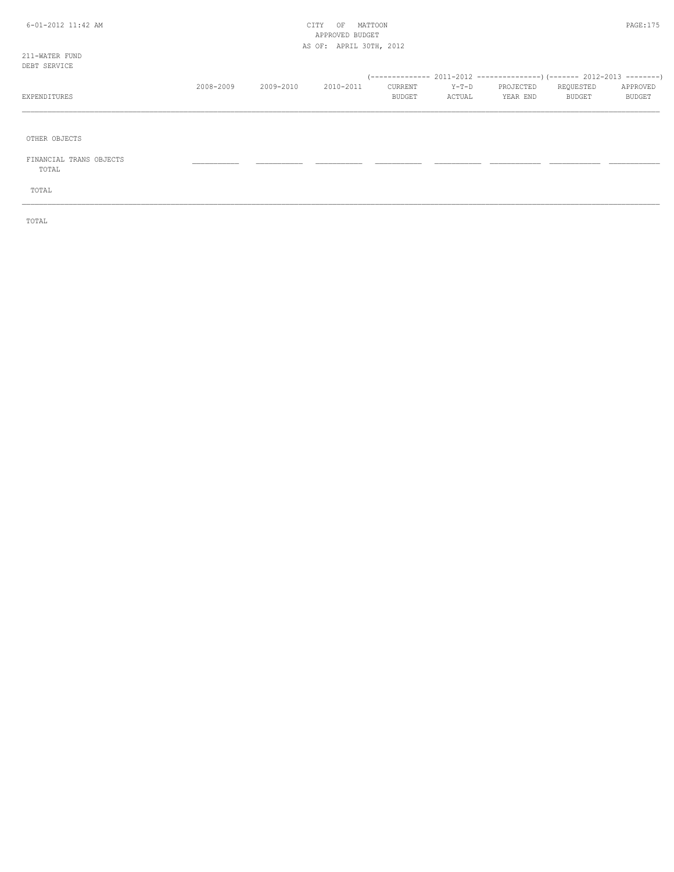## 6-01-2012 11:42 AM CITY OF MATTOON PAGE:175 APPROVED BUDGET AS OF: APRIL 30TH, 2012

211-WATER FUND DEB<sub>1</sub>

| DEBT SERVICE |           |               |           |               |         |           |               |               |
|--------------|-----------|---------------|-----------|---------------|---------|-----------|---------------|---------------|
|              |           |               |           |               |         |           |               |               |
|              | 2008-2009 | $2009 - 2010$ | 2010-2011 | CURRENT       | $Y-T-D$ | PROJECTED | REQUESTED     | APPROVED      |
| EXPENDITURES |           |               |           | <b>BUDGET</b> | ACTUAL  | YEAR END  | <b>BUDGET</b> | <b>BUDGET</b> |
|              |           |               |           |               |         |           |               |               |

\_\_\_\_\_\_\_\_\_\_\_\_\_\_\_\_\_\_\_\_\_\_\_\_\_\_\_\_\_\_\_\_\_\_\_\_\_\_\_\_\_\_\_\_\_\_\_\_\_\_\_\_\_\_\_\_\_\_\_\_\_\_\_\_\_\_\_\_\_\_\_\_\_\_\_\_\_\_\_\_\_\_\_\_\_\_\_\_\_\_\_\_\_\_\_\_\_\_\_\_\_\_\_\_\_\_\_\_\_\_\_\_\_\_\_\_\_\_\_\_\_\_\_\_\_\_\_\_\_\_\_\_\_\_\_\_\_\_\_\_\_\_\_\_\_\_\_\_\_\_

OTHER OBJECTS

 FINANCIAL TRANS OBJECTS \_\_\_\_\_\_\_\_\_\_\_ \_\_\_\_\_\_\_\_\_\_\_ \_\_\_\_\_\_\_\_\_\_\_ \_\_\_\_\_\_\_\_\_\_\_ \_\_\_\_\_\_\_\_\_\_\_ \_\_\_\_\_\_\_\_\_\_\_\_ \_\_\_\_\_\_\_\_\_\_\_\_ \_\_\_\_\_\_\_\_\_\_\_\_ TOTAL

TOTAL

TOTAL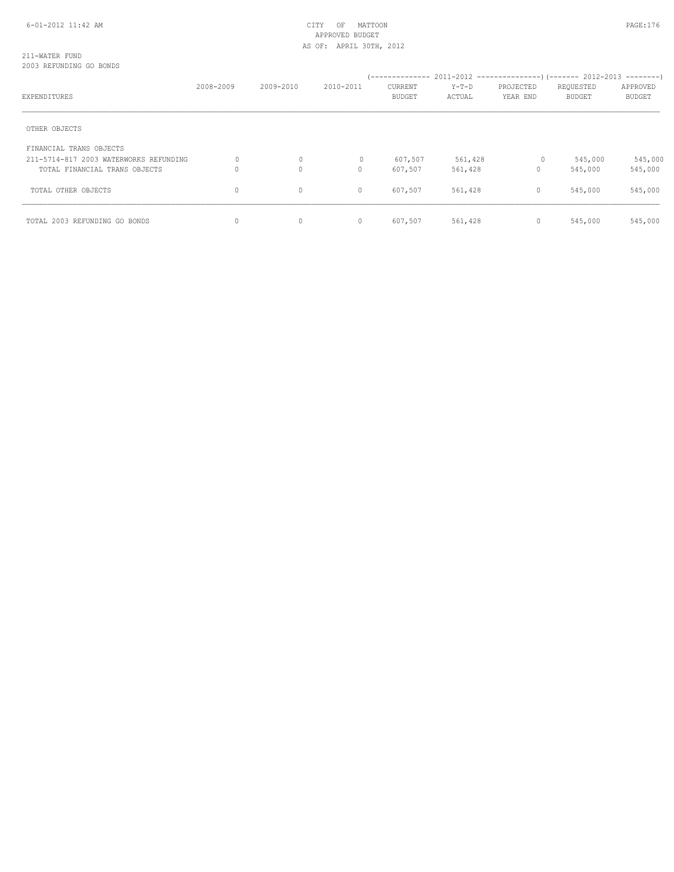### 211-WATER FUND 2003 REFUNDING GO BONDS

|                                        |           |              |              | (-------------- |         |           | $2011-2012$ ----------------) (------- 2012-2013 --------) |               |
|----------------------------------------|-----------|--------------|--------------|-----------------|---------|-----------|------------------------------------------------------------|---------------|
|                                        | 2008-2009 | 2009-2010    | 2010-2011    | CURRENT         | $Y-T-D$ | PROJECTED | REQUESTED                                                  | APPROVED      |
| EXPENDITURES                           |           |              |              | <b>BUDGET</b>   | ACTUAL  | YEAR END  | <b>BUDGET</b>                                              | <b>BUDGET</b> |
|                                        |           |              |              |                 |         |           |                                                            |               |
| OTHER OBJECTS                          |           |              |              |                 |         |           |                                                            |               |
| FINANCIAL TRANS OBJECTS                |           |              |              |                 |         |           |                                                            |               |
| 211-5714-817 2003 WATERWORKS REFUNDING | 0         | $\circ$      | $\mathbf{0}$ | 607,507         | 561,428 | $\circ$   | 545,000                                                    | 545,000       |
| TOTAL FINANCIAL TRANS OBJECTS          |           | $\mathbf{0}$ | 0            | 607,507         | 561,428 | 0         | 545,000                                                    | 545,000       |
| TOTAL OTHER OBJECTS                    | $\circ$   | $\mathbf 0$  | $\circ$      | 607,507         | 561,428 | $\circ$   | 545,000                                                    | 545,000       |
| TOTAL 2003 REFUNDING GO BONDS          | 0         | $\mathbf{0}$ | $\circ$      | 607,507         | 561,428 | $\circ$   | 545,000                                                    | 545,000       |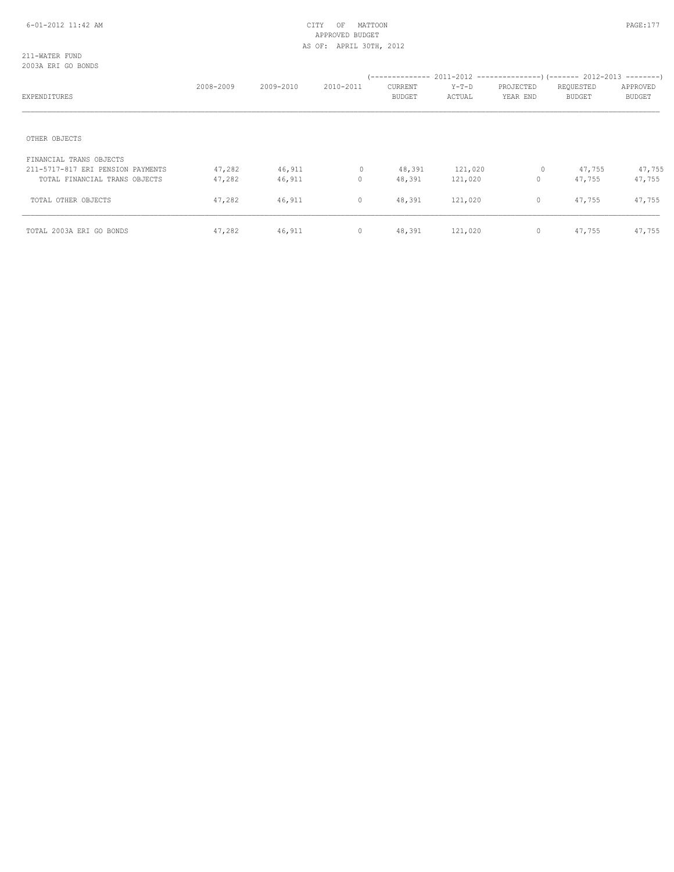211-WATER FUND 2003A ERI GO BONDS

| EXPENDITURES                                                       | 2008-2009        | 2009-2010        | 2010-2011        | CURRENT<br>BUDGET | $Y-T-D$<br>ACTUAL  | PROJECTED<br>YEAR END | REQUESTED<br><b>BUDGET</b> | APPROVED<br><b>BUDGET</b> |
|--------------------------------------------------------------------|------------------|------------------|------------------|-------------------|--------------------|-----------------------|----------------------------|---------------------------|
| OTHER OBJECTS                                                      |                  |                  |                  |                   |                    |                       |                            |                           |
| FINANCIAL TRANS OBJECTS                                            |                  |                  |                  |                   |                    |                       |                            |                           |
| 211-5717-817 ERI PENSION PAYMENTS<br>TOTAL FINANCIAL TRANS OBJECTS | 47,282<br>47,282 | 46,911<br>46,911 | $\mathbf 0$<br>0 | 48,391<br>48,391  | 121,020<br>121,020 | 0<br>$\circ$          | 47,755<br>47,755           | 47,755<br>47,755          |
| TOTAL OTHER OBJECTS                                                | 47,282           | 46,911           | $\circ$          | 48,391            | 121,020            | $\mathbf 0$           | 47,755                     | 47,755                    |
| TOTAL 2003A ERI GO BONDS                                           | 47,282           | 46,911           | $\circ$          | 48,391            | 121,020            | $\circ$               | 47,755                     | 47,755                    |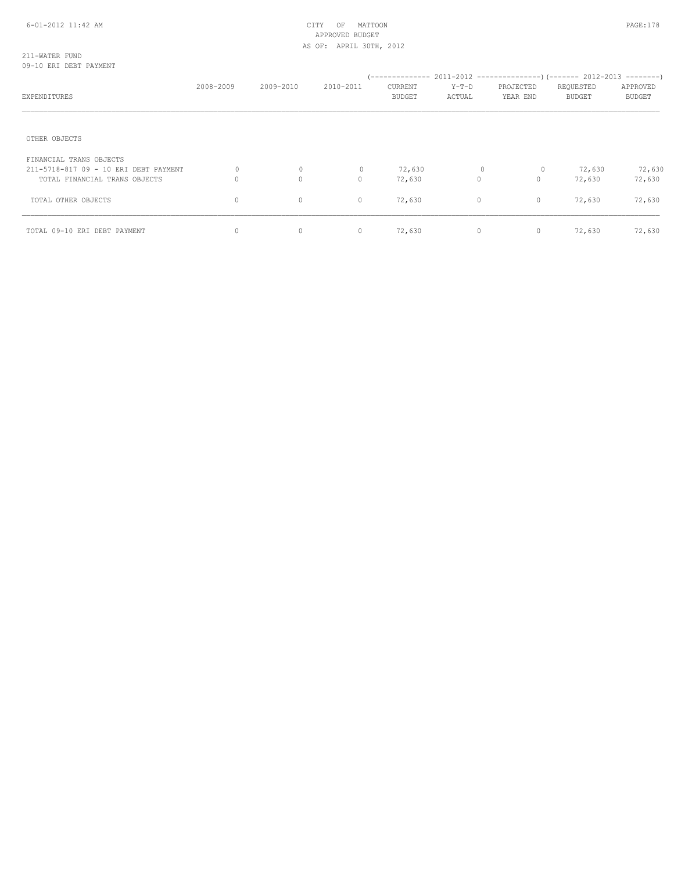## 211-WATER FUND 09-10 ERI DEBT PAYMENT

| EXPENDITURES                                                     | 2008-2009    | 2009-2010         | 2010-2011           | --------------<br>CURRENT<br><b>BUDGET</b> | $Y-T-D$<br>ACTUAL        | PROJECTED<br>YEAR END       | $2011-2012$ ----------------) (------- 2012-2013 --------)<br>REQUESTED<br><b>BUDGET</b> | APPROVED<br><b>BUDGET</b> |
|------------------------------------------------------------------|--------------|-------------------|---------------------|--------------------------------------------|--------------------------|-----------------------------|------------------------------------------------------------------------------------------|---------------------------|
| OTHER OBJECTS                                                    |              |                   |                     |                                            |                          |                             |                                                                                          |                           |
| FINANCIAL TRANS OBJECTS<br>211-5718-817 09 - 10 ERI DEBT PAYMENT |              | 0                 | 0                   | 72,630                                     | $\circ$                  | 0                           | 72,630                                                                                   | 72,630                    |
| TOTAL FINANCIAL TRANS OBJECTS<br>TOTAL OTHER OBJECTS             | 0<br>$\circ$ | $\mathbf{0}$<br>0 | $\Omega$<br>$\circ$ | 72,630<br>72,630                           | $\Omega$<br>$\mathbf{0}$ | $\mathbf{0}$<br>$\mathbf 0$ | 72,630<br>72,630                                                                         | 72,630<br>72,630          |
| TOTAL 09-10 ERI DEBT PAYMENT                                     | $\circ$      | $\circ$           | $\circ$             | 72,630                                     | $\circ$                  | $\circ$                     | 72,630                                                                                   | 72,630                    |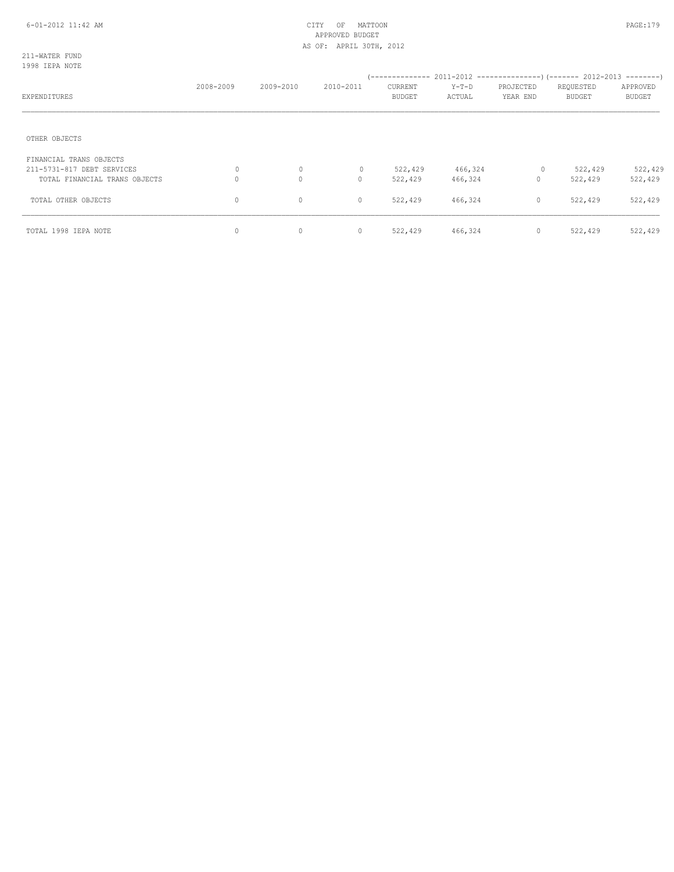211-WATER FUND 1998 IEPA NOTE

| EXPENDITURES                                          | 2008-2009 | 2009-2010 | 2010-2011    | CURRENT<br>BUDGET | $Y-T-D$<br>ACTUAL | PROJECTED<br>YEAR END | REQUESTED<br>BUDGET | APPROVED<br><b>BUDGET</b> |
|-------------------------------------------------------|-----------|-----------|--------------|-------------------|-------------------|-----------------------|---------------------|---------------------------|
| OTHER OBJECTS                                         |           |           |              |                   |                   |                       |                     |                           |
| FINANCIAL TRANS OBJECTS<br>211-5731-817 DEBT SERVICES | 0         | 0         | $\mathbf{0}$ | 522,429           | 466,324           | $\circ$               | 522,429             | 522,429                   |
| TOTAL FINANCIAL TRANS OBJECTS                         | 0         | $\circ$   | $\circ$      | 522,429           | 466,324           | $\mathbf{0}$          | 522,429             | 522,429                   |
| TOTAL OTHER OBJECTS                                   | 0         | $\circ$   | $\circ$      | 522,429           | 466,324           | $\circ$               | 522,429             | 522,429                   |
| TOTAL 1998 IEPA NOTE                                  | 0         | $\circ$   | $\circ$      | 522,429           | 466,324           | $\circ$               | 522,429             | 522,429                   |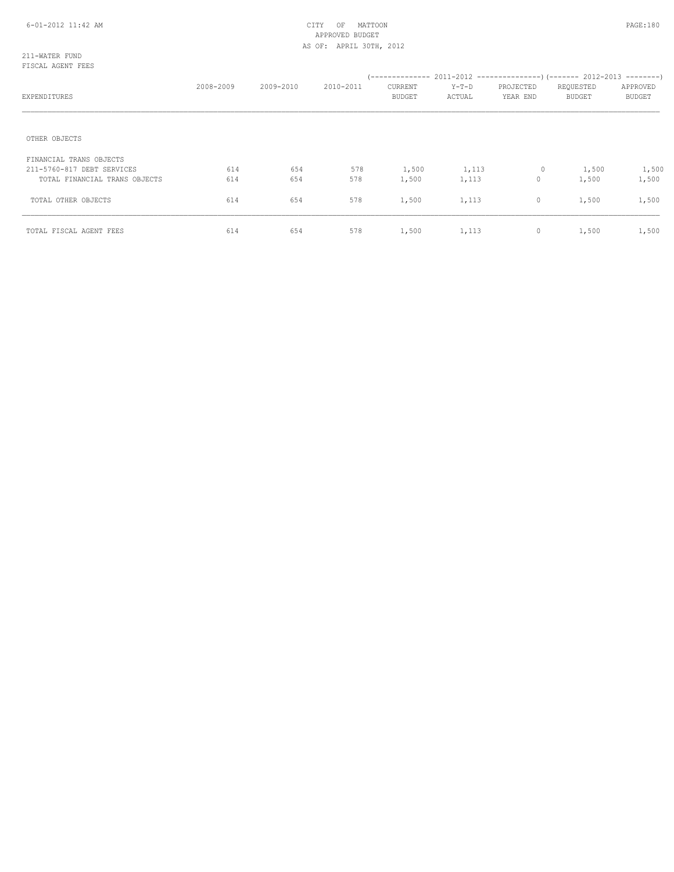### 211-WATER FUND FISCAL AGENT FEES

| EXPENDITURES                  | 2008-2009 | 2009-2010 | 2010-2011 | CURRENT<br><b>BUDGET</b> | $Y-T-D$<br>ACTUAL | PROJECTED<br>YEAR END | REQUESTED<br><b>BUDGET</b> | APPROVED<br><b>BUDGET</b> |
|-------------------------------|-----------|-----------|-----------|--------------------------|-------------------|-----------------------|----------------------------|---------------------------|
| OTHER OBJECTS                 |           |           |           |                          |                   |                       |                            |                           |
| FINANCIAL TRANS OBJECTS       |           |           |           |                          |                   |                       |                            |                           |
| 211-5760-817 DEBT SERVICES    | 614       | 654       | 578       | 1,500                    | 1,113             | 0                     | 1,500                      | 1,500                     |
| TOTAL FINANCIAL TRANS OBJECTS | 614       | 654       | 578       | 1,500                    | 1,113             | $\circ$               | 1,500                      | 1,500                     |
| TOTAL OTHER OBJECTS           | 614       | 654       | 578       | 1,500                    | 1,113             | $\circ$               | 1,500                      | 1,500                     |
| TOTAL FISCAL AGENT FEES       | 614       | 654       | 578       | 1,500                    | 1,113             | 0                     | 1,500                      | 1,500                     |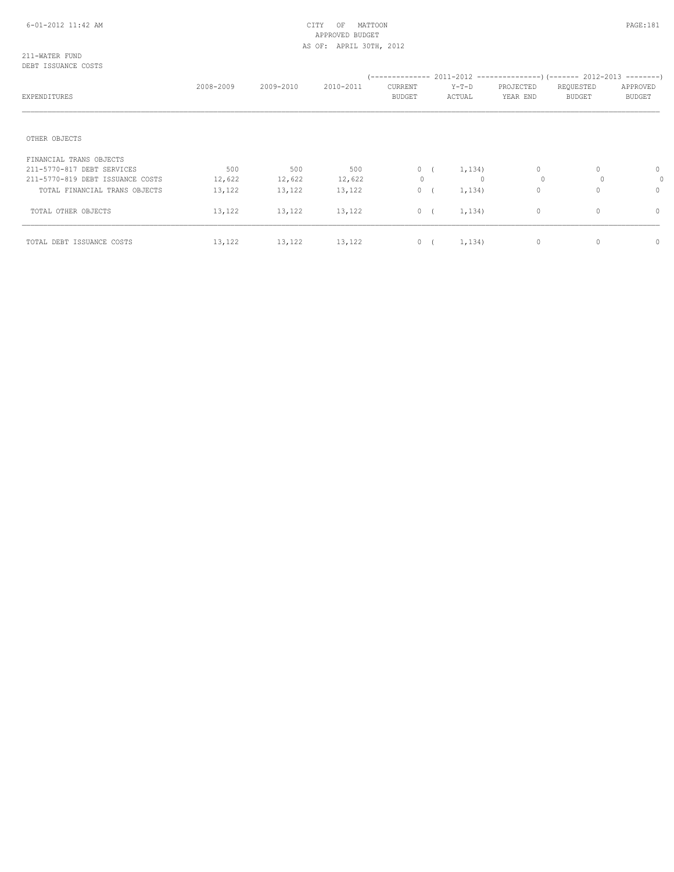#### 211-WATER FUND DEBT ISSUANCE COSTS

| EXPENDITURES                     | 2008-2009 | 2009-2010 | 2010-2011 | CURRENT<br>BUDGET | Y-T-D<br>ACTUAL | PROJECTED<br>YEAR END | REQUESTED<br><b>BUDGET</b> | APPROVED<br><b>BUDGET</b> |
|----------------------------------|-----------|-----------|-----------|-------------------|-----------------|-----------------------|----------------------------|---------------------------|
| OTHER OBJECTS                    |           |           |           |                   |                 |                       |                            |                           |
| FINANCIAL TRANS OBJECTS          |           |           |           |                   |                 |                       |                            |                           |
| 211-5770-817 DEBT SERVICES       | 500       | 500       | 500       |                   | $0 \t (1, 134)$ | $\circ$               | $\Omega$                   | $\circ$                   |
| 211-5770-819 DEBT ISSUANCE COSTS | 12,622    | 12,622    | 12,622    | $\mathbf{0}$      | $\Omega$        | $\Omega$              | $\Omega$                   | 0                         |
| TOTAL FINANCIAL TRANS OBJECTS    | 13,122    | 13,122    | 13,122    | 0(                | 1,134)          | $\mathbf{0}$          | $\cap$                     | $\Omega$                  |
| TOTAL OTHER OBJECTS              | 13,122    | 13,122    | 13,122    |                   | 0(<br>1,134)    | $\mathbf{0}$          | 0                          | $\circ$                   |
| TOTAL DEBT ISSUANCE COSTS        | 13,122    | 13,122    | 13,122    |                   | 1,134)<br>0(    | $\mathbb O$           | 0                          | $\circ$                   |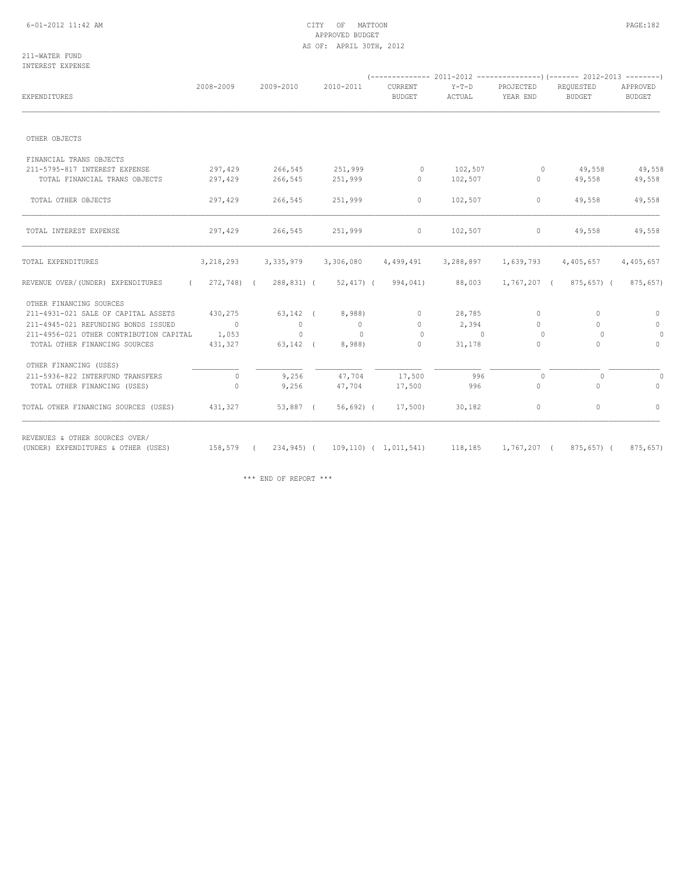## 6-01-2012 11:42 AM CITY OF MATTOON PAGE:182 APPROVED BUDGET AS OF: APRIL 30TH, 2012

#### 211-WATER FUND INTEREST EXPENSE

| <b>EXPENDITURES</b>                          | 2008-2009      | 2009-2010      | 2010-2011           | CURRENT<br><b>BUDGET</b>                           | Y-T-D<br>ACTUAL | PROJECTED<br>YEAR END | REQUESTED<br><b>BUDGET</b> | APPROVED<br>BUDGET |
|----------------------------------------------|----------------|----------------|---------------------|----------------------------------------------------|-----------------|-----------------------|----------------------------|--------------------|
|                                              |                |                |                     |                                                    |                 |                       |                            |                    |
| OTHER OBJECTS                                |                |                |                     |                                                    |                 |                       |                            |                    |
| FINANCIAL TRANS OBJECTS                      |                |                |                     |                                                    |                 |                       |                            |                    |
| 211-5795-817 INTEREST EXPENSE                | 297,429        | 266,545        | 251,999             | $\circ$                                            | 102,507         | $\circ$               | 49,558                     | 49,558             |
| TOTAL FINANCIAL TRANS OBJECTS                | 297,429        | 266,545        | 251,999             | $\circ$                                            | 102,507         | $\circ$               | 49,558                     | 49,558             |
| TOTAL OTHER OBJECTS                          | 297,429        | 266,545        | 251,999             | $\circ$                                            | 102,507         | $\circ$               | 49,558                     | 49,558             |
| TOTAL INTEREST EXPENSE                       | 297,429        | 266,545        | 251,999             | $\circ$                                            | 102,507         | $\circ$               | 49,558                     | 49,558             |
| TOTAL EXPENDITURES                           | 3, 218, 293    |                | 3,335,979 3,306,080 | 4,499,491                                          | 3,288,897       | 1,639,793             | 4,405,657                  | 4,405,657          |
| REVENUE OVER/(UNDER) EXPENDITURES            |                |                |                     | $(272, 748)$ $(288, 831)$ $(52, 417)$ $(994, 041)$ | 88,003          | 1,767,207 (           | 875,657) (                 | 875,657)           |
| OTHER FINANCING SOURCES                      |                |                |                     |                                                    |                 |                       |                            |                    |
| 211-4931-021 SALE OF CAPITAL ASSETS          | 430,275        |                | 63,142 ( 8,988)     | $\Omega$                                           | 28,785          | $\Omega$              | $\Omega$                   | $\circ$            |
| 211-4945-021 REFUNDING BONDS ISSUED          | $\sim$ 0       | $\overline{0}$ | $\overline{0}$      | $\circ$                                            | 2,394           | $\Omega$              | $\Omega$                   | $\circ$            |
| 211-4956-021 OTHER CONTRIBUTION CAPITAL      | 1,053          | $\circ$        | $\Omega$            | $\Omega$                                           | $\sim$ 0        | $\circ$               | $\Omega$                   | $\circ$            |
| TOTAL OTHER FINANCING SOURCES                | 431,327        | $63,142$ (     | 8,988)              | $\circ$                                            | 31,178          | $\Omega$              | $\Omega$                   | $\Omega$           |
| OTHER FINANCING (USES)                       |                |                |                     |                                                    |                 |                       |                            |                    |
| 211-5936-822 INTERFUND TRANSFERS             | $\overline{0}$ | 9,256          | 47,704              | 17,500                                             | 996             | $\circ$               | $\circ$                    | 0                  |
| TOTAL OTHER FINANCING (USES)                 | $\Omega$       | 9,256          | 47,704              | 17,500                                             | 996             | $\circ$               | $\Omega$                   | $\circ$            |
| TOTAL OTHER FINANCING SOURCES (USES) 431,327 |                | 53,887 (       | 56,692) (           |                                                    | 17,500) 30,182  | $\circ$               | 0                          | $\circ$            |

(UNDER) EXPENDITURES & OTHER (USES) 158,579 ( 234,945) ( 109,110) ( 1,011,541) 118,185 1,767,207 ( 875,657) ( 875,657)

\*\*\* END OF REPORT \*\*\*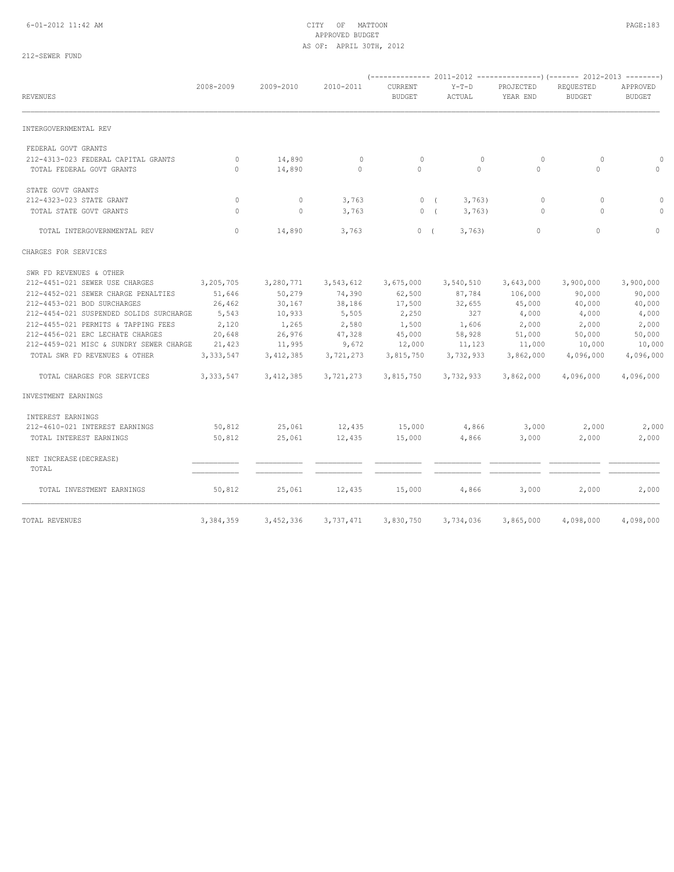## 6-01-2012 11:42 AM CITY OF MATTOON PAGE:183 APPROVED BUDGET AS OF: APRIL 30TH, 2012

## 212-SEWER FUND

| <b>REVENUES</b>                                                  | 2008-2009          | 2009-2010        | 2010-2011              | CURRENT<br><b>BUDGET</b> | $Y-T-D$<br>ACTUAL  | PROJECTED<br>YEAR END | REOUESTED<br><b>BUDGET</b> | APPROVED<br><b>BUDGET</b> |
|------------------------------------------------------------------|--------------------|------------------|------------------------|--------------------------|--------------------|-----------------------|----------------------------|---------------------------|
| INTERGOVERNMENTAL REV                                            |                    |                  |                        |                          |                    |                       |                            |                           |
| FEDERAL GOVT GRANTS                                              |                    |                  |                        |                          |                    |                       |                            |                           |
| 212-4313-023 FEDERAL CAPITAL GRANTS<br>TOTAL FEDERAL GOVT GRANTS | $\circ$<br>$\circ$ | 14,890<br>14,890 | $\mathbf 0$<br>$\circ$ | $\circ$<br>$\circ$       | $\circ$<br>$\circ$ | $\circ$<br>$\circ$    | $\circ$<br>$\circ$         | $\circ$<br>$\circ$        |
| STATE GOVT GRANTS                                                |                    |                  |                        |                          |                    |                       |                            |                           |
| 212-4323-023 STATE GRANT                                         | $\circ$            | $\circ$          | 3,763                  | 0(                       | 3,763)             | $\circ$               | $\circ$                    | $\circ$                   |
| TOTAL STATE GOVT GRANTS                                          | $\Omega$           | $\circ$          | 3,763                  | 0(                       | 3,763)             | $\Omega$              | $\Omega$                   | $\Omega$                  |
| TOTAL INTERGOVERNMENTAL REV                                      | $\circ$            | 14,890           | 3,763                  | 0(                       | 3,763              | $\circ$               | $\Omega$                   | $\Omega$                  |
| CHARGES FOR SERVICES                                             |                    |                  |                        |                          |                    |                       |                            |                           |
| SWR FD REVENUES & OTHER                                          |                    |                  |                        |                          |                    |                       |                            |                           |
| 212-4451-021 SEWER USE CHARGES                                   | 3,205,705          | 3,280,771        | 3,543,612              | 3,675,000                | 3,540,510          | 3,643,000             | 3,900,000                  | 3,900,000                 |
| 212-4452-021 SEWER CHARGE PENALTIES                              | 51,646             | 50,279           | 74,390                 | 62,500                   | 87,784             | 106,000               | 90,000                     | 90,000                    |
| 212-4453-021 BOD SURCHARGES                                      | 26,462             | 30,167           | 38,186                 | 17,500                   | 32,655             | 45,000                | 40,000                     | 40,000                    |
| 212-4454-021 SUSPENDED SOLIDS SURCHARGE                          | 5,543              | 10,933           | 5,505                  | 2,250                    | 327                | 4,000                 | 4,000                      | 4,000                     |
| 212-4455-021 PERMITS & TAPPING FEES                              | 2,120              | 1,265            | 2,580                  | 1,500                    | 1,606              | 2,000                 | 2,000                      | 2,000                     |
| 212-4456-021 ERC LECHATE CHARGES                                 | 20,648             | 26,976           | 47,328                 | 45,000                   | 58,928             | 51,000                | 50,000                     | 50,000                    |
| 212-4459-021 MISC & SUNDRY SEWER CHARGE                          | 21,423             | 11,995           | 9,672                  | 12,000                   | 11,123             | 11,000                | 10,000                     | 10,000                    |
| TOTAL SWR FD REVENUES & OTHER                                    | 3, 333, 547        | 3, 412, 385      | 3,721,273              | 3,815,750                | 3,732,933          | 3,862,000             | 4,096,000                  | 4,096,000                 |
| TOTAL CHARGES FOR SERVICES                                       | 3, 333, 547        | 3,412,385        | 3,721,273              | 3,815,750                | 3,732,933          | 3,862,000             | 4,096,000                  | 4,096,000                 |
| INVESTMENT EARNINGS                                              |                    |                  |                        |                          |                    |                       |                            |                           |
| INTEREST EARNINGS                                                |                    |                  |                        |                          |                    |                       |                            |                           |
| 212-4610-021 INTEREST EARNINGS                                   | 50,812             | 25,061           | 12,435                 | 15,000                   | 4,866              | 3,000                 | 2,000                      | 2,000                     |
| TOTAL INTEREST EARNINGS                                          | 50,812             | 25,061           | 12,435                 | 15,000                   | 4,866              | 3,000                 | 2,000                      | 2,000                     |
| NET INCREASE (DECREASE)<br>TOTAL                                 |                    |                  |                        |                          |                    |                       |                            |                           |
| TOTAL INVESTMENT EARNINGS                                        | 50,812             | 25,061           | 12,435                 | 15,000                   | 4,866              | 3,000                 | 2,000                      | 2,000                     |
| TOTAL REVENUES                                                   | 3,384,359          | 3,452,336        | 3,737,471              | 3,830,750                | 3,734,036          | 3,865,000             | 4,098,000                  | 4,098,000                 |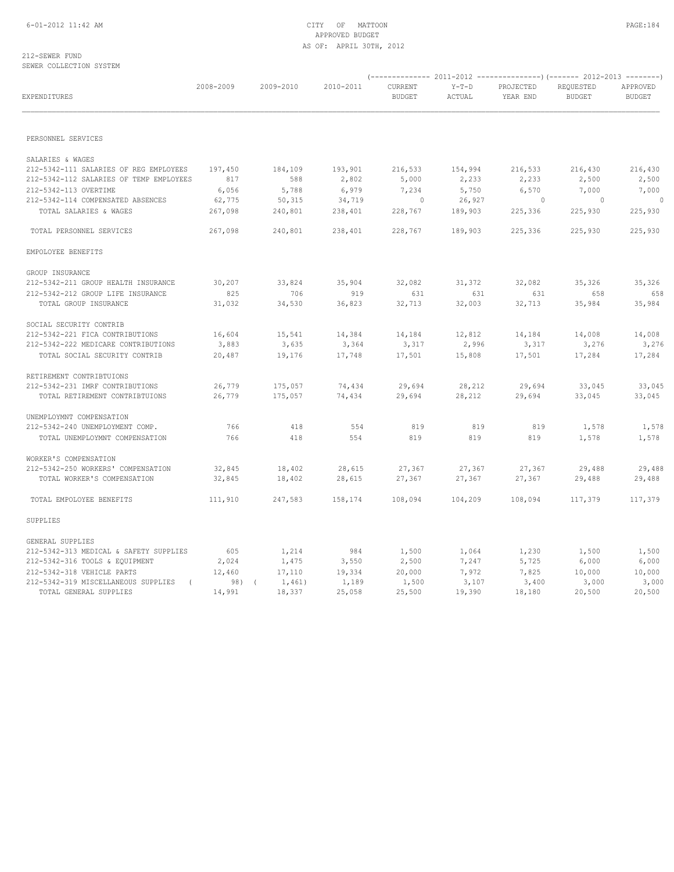#### 212-SEWER FUND SEWER COLLECTION SYSTEM

| EXPENDITURES                                                      | 2008-2009 | 2009-2010 | 2010-2011 | CURRENT<br>BUDGET | $Y-T-D$<br>ACTUAL | PROJECTED<br>YEAR END | REQUESTED<br><b>BUDGET</b> | APPROVED<br><b>BUDGET</b> |
|-------------------------------------------------------------------|-----------|-----------|-----------|-------------------|-------------------|-----------------------|----------------------------|---------------------------|
| PERSONNEL SERVICES                                                |           |           |           |                   |                   |                       |                            |                           |
|                                                                   |           |           |           |                   |                   |                       |                            |                           |
| SALARIES & WAGES                                                  |           |           |           |                   |                   |                       |                            |                           |
| 212-5342-111 SALARIES OF REG EMPLOYEES                            | 197,450   | 184,109   | 193,901   | 216,533           | 154,994           | 216,533               | 216,430                    | 216,430                   |
| 212-5342-112 SALARIES OF TEMP EMPLOYEES                           | 817       | 588       | 2,802     | 5,000             | 2,233             | 2,233                 | 2,500                      | 2,500                     |
| 212-5342-113 OVERTIME                                             | 6,056     | 5,788     | 6,979     | 7,234             | 5,750             | 6,570                 | 7,000                      | 7,000                     |
| 212-5342-114 COMPENSATED ABSENCES                                 | 62,775    | 50,315    | 34,719    | $\sim$ 0          | 26,927            | $\sim$ 0              | $\sim$ 0                   | $\Omega$                  |
| TOTAL SALARIES & WAGES                                            | 267,098   | 240,801   | 238,401   | 228,767           | 189,903           | 225,336               | 225,930                    | 225,930                   |
| TOTAL PERSONNEL SERVICES                                          | 267,098   | 240,801   | 238,401   | 228,767           | 189,903           | 225,336               | 225,930                    | 225,930                   |
| EMPOLOYEE BENEFITS                                                |           |           |           |                   |                   |                       |                            |                           |
| GROUP INSURANCE                                                   |           |           |           |                   |                   |                       |                            |                           |
| 212-5342-211 GROUP HEALTH INSURANCE                               | 30,207    | 33,824    | 35,904    | 32,082            | 31,372            | 32,082                | 35,326                     | 35,326                    |
| 212-5342-212 GROUP LIFE INSURANCE                                 | 825       | 706       | 919       | 631               | 631               | 631                   | 658                        | 658                       |
| TOTAL GROUP INSURANCE                                             | 31,032    | 34,530    | 36,823    | 32,713            | 32,003            | 32,713                | 35,984                     | 35,984                    |
| SOCIAL SECURITY CONTRIB                                           |           |           |           |                   |                   |                       |                            |                           |
| 212-5342-221 FICA CONTRIBUTIONS                                   | 16,604    | 15,541    | 14,384    | 14,184            | 12,812            | 14,184                | 14,008                     | 14,008                    |
| 212-5342-222 MEDICARE CONTRIBUTIONS                               | 3,883     | 3,635     | 3,364     | 3,317             | 2,996             | 3,317                 | 3,276                      | 3,276                     |
| TOTAL SOCIAL SECURITY CONTRIB                                     | 20,487    | 19,176    | 17,748    | 17,501            | 15,808            | 17,501                | 17,284                     | 17,284                    |
|                                                                   |           |           |           |                   |                   |                       |                            |                           |
| RETIREMENT CONTRIBTUIONS<br>212-5342-231 IMRF CONTRIBUTIONS       | 26,779    | 175,057   | 74,434    | 29,694            | 28,212            | 29,694                | 33,045                     | 33,045                    |
| TOTAL RETIREMENT CONTRIBTUIONS                                    | 26,779    | 175,057   | 74,434    | 29,694            | 28,212            | 29,694                | 33,045                     | 33,045                    |
|                                                                   |           |           |           |                   |                   |                       |                            |                           |
| UNEMPLOYMNT COMPENSATION                                          | 766       | 418       | 554       | 819               | 819               | 819                   |                            |                           |
| 212-5342-240 UNEMPLOYMENT COMP.<br>TOTAL UNEMPLOYMNT COMPENSATION | 766       | 418       | 554       | 819               | 819               | 819                   | 1,578<br>1,578             | 1,578<br>1,578            |
|                                                                   |           |           |           |                   |                   |                       |                            |                           |
| WORKER'S COMPENSATION                                             |           |           |           |                   |                   |                       |                            |                           |
| 212-5342-250 WORKERS' COMPENSATION                                | 32,845    | 18,402    | 28,615    | 27,367            | 27,367            | 27,367                | 29,488                     | 29,488                    |
| TOTAL WORKER'S COMPENSATION                                       | 32,845    | 18,402    | 28,615    | 27,367            | 27,367            | 27,367                | 29,488                     | 29,488                    |
| TOTAL EMPOLOYEE BENEFITS                                          | 111,910   | 247,583   | 158,174   | 108,094           | 104,209           | 108,094               | 117,379                    | 117,379                   |
| SUPPLIES                                                          |           |           |           |                   |                   |                       |                            |                           |
| GENERAL SUPPLIES                                                  |           |           |           |                   |                   |                       |                            |                           |
| 212-5342-313 MEDICAL & SAFETY SUPPLIES                            | 605       | 1,214     | 984       | 1,500             | 1,064             | 1,230                 | 1,500                      | 1,500                     |
| 212-5342-316 TOOLS & EQUIPMENT                                    | 2,024     | 1,475     | 3,550     | 2,500             | 7,247             | 5,725                 | 6,000                      | 6,000                     |
| 212-5342-318 VEHICLE PARTS                                        | 12,460    | 17,110    | 19,334    | 20,000            | 7,972             | 7,825                 | 10,000                     | 10,000                    |
| 212-5342-319 MISCELLANEOUS SUPPLIES (                             | 98) (     | 1,461)    | 1,189     | 1,500             | 3,107             | 3,400                 | 3,000                      | 3,000                     |
| TOTAL GENERAL SUPPLIES                                            | 14,991    | 18,337    | 25,058    | 25,500            | 19,390            | 18,180                | 20,500                     | 20,500                    |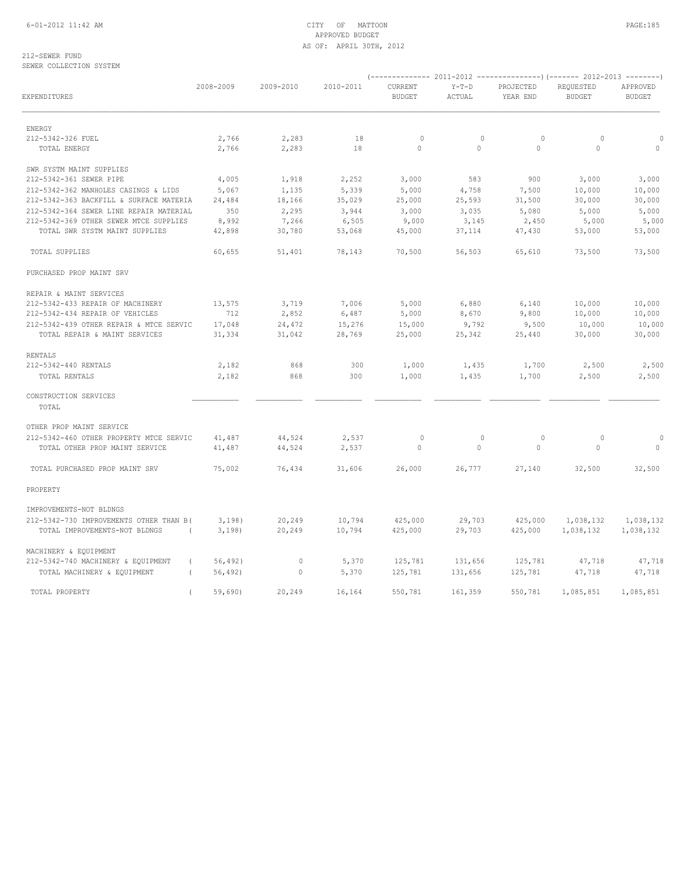## 6-01-2012 11:42 AM CITY OF MATTOON PAGE:185 APPROVED BUDGET AS OF: APRIL 30TH, 2012

212-SEWER FUND SEWER COLLECTION SYSTEM

| EXPENDITURES                                   | 2008-2009 | 2009-2010   | 2010-2011 | CURRENT<br><b>BUDGET</b> | $Y-T-D$<br>ACTUAL | PROJECTED<br>YEAR END | REQUESTED<br><b>BUDGET</b> | APPROVED<br><b>BUDGET</b> |
|------------------------------------------------|-----------|-------------|-----------|--------------------------|-------------------|-----------------------|----------------------------|---------------------------|
| ENERGY                                         |           |             |           |                          |                   |                       |                            |                           |
| 212-5342-326 FUEL                              | 2,766     | 2,283       | 18        | $\circ$                  | $\circ$           | $\circ$               | $\circ$                    | $\Omega$                  |
| TOTAL ENERGY                                   | 2,766     | 2,283       | 18        | $\circ$                  | $\circ$           | $\circ$               | $\circ$                    | $\circ$                   |
| SWR SYSTM MAINT SUPPLIES                       |           |             |           |                          |                   |                       |                            |                           |
| 212-5342-361 SEWER PIPE                        | 4,005     | 1,918       | 2,252     | 3,000                    | 583               | 900                   | 3,000                      | 3,000                     |
| 212-5342-362 MANHOLES CASINGS & LIDS           | 5,067     | 1,135       | 5,339     | 5,000                    | 4,758             | 7,500                 | 10,000                     | 10,000                    |
| 212-5342-363 BACKFILL & SURFACE MATERIA        | 24,484    | 18,166      | 35,029    | 25,000                   | 25,593            | 31,500                | 30,000                     | 30,000                    |
| 212-5342-364 SEWER LINE REPAIR MATERIAL        | 350       | 2,295       | 3,944     | 3,000                    | 3,035             | 5,080                 | 5,000                      | 5,000                     |
| 212-5342-369 OTHER SEWER MTCE SUPPLIES         | 8,992     | 7,266       | 6,505     | 9,000                    | 3,145             | 2,450                 | 5,000                      | 5,000                     |
| TOTAL SWR SYSTM MAINT SUPPLIES                 | 42,898    | 30,780      | 53,068    | 45,000                   | 37,114            | 47,430                | 53,000                     | 53,000                    |
| TOTAL SUPPLIES                                 | 60,655    | 51,401      | 78,143    | 70,500                   | 56,503            | 65,610                | 73,500                     | 73,500                    |
| PURCHASED PROP MAINT SRV                       |           |             |           |                          |                   |                       |                            |                           |
| REPAIR & MAINT SERVICES                        |           |             |           |                          |                   |                       |                            |                           |
| 212-5342-433 REPAIR OF MACHINERY               | 13,575    | 3,719       | 7,006     | 5,000                    | 6,880             | 6,140                 | 10,000                     | 10,000                    |
| 212-5342-434 REPAIR OF VEHICLES                | 712       | 2,852       | 6,487     | 5,000                    | 8,670             | 9,800                 | 10,000                     | 10,000                    |
| 212-5342-439 OTHER REPAIR & MTCE SERVIC        | 17,048    | 24,472      | 15,276    | 15,000                   | 9,792             | 9,500                 | 10,000                     | 10,000                    |
| TOTAL REPAIR & MAINT SERVICES                  | 31,334    | 31,042      | 28,769    | 25,000                   | 25,342            | 25,440                | 30,000                     | 30,000                    |
| RENTALS                                        |           |             |           |                          |                   |                       |                            |                           |
| 212-5342-440 RENTALS                           | 2,182     | 868         | 300       | 1,000                    | 1,435             | 1,700                 | 2,500                      | 2,500                     |
| TOTAL RENTALS                                  | 2,182     | 868         | 300       | 1,000                    | 1,435             | 1,700                 | 2,500                      | 2,500                     |
| CONSTRUCTION SERVICES<br>TOTAL                 |           |             |           |                          |                   |                       |                            |                           |
| OTHER PROP MAINT SERVICE                       |           |             |           |                          |                   |                       |                            |                           |
| 212-5342-460 OTHER PROPERTY MTCE SERVIC        | 41,487    | 44,524      | 2,537     | $\circ$                  | $\circ$           | $\circ$               | $\circ$                    | $\Omega$                  |
| TOTAL OTHER PROP MAINT SERVICE                 | 41,487    | 44,524      | 2,537     | $\circ$                  | $\circ$           | $\mathbf{0}$          | $\circ$                    | $\circ$                   |
| TOTAL PURCHASED PROP MAINT SRV                 | 75,002    | 76,434      | 31,606    | 26,000                   | 26,777            | 27,140                | 32,500                     | 32,500                    |
| PROPERTY                                       |           |             |           |                          |                   |                       |                            |                           |
| IMPROVEMENTS-NOT BLDNGS                        |           |             |           |                          |                   |                       |                            |                           |
| 212-5342-730 IMPROVEMENTS OTHER THAN B(        | 3,198)    | 20,249      | 10,794    | 425,000                  | 29,703            | 425,000               | 1,038,132                  | 1,038,132                 |
| TOTAL IMPROVEMENTS-NOT BLDNGS<br>$\sqrt{2}$    | 3,198)    | 20,249      | 10,794    | 425,000                  | 29,703            | 425,000               | 1,038,132                  | 1,038,132                 |
| MACHINERY & EQUIPMENT                          |           |             |           |                          |                   |                       |                            |                           |
| 212-5342-740 MACHINERY & EQUIPMENT<br>$\left($ | 56, 492)  | $\circ$     | 5,370     | 125,781                  | 131,656           | 125,781               | 47,718                     | 47,718                    |
| TOTAL MACHINERY & EQUIPMENT                    | 56,492)   | $\mathbf 0$ | 5,370     | 125,781                  | 131,656           | 125,781               | 47,718                     | 47,718                    |
| TOTAL PROPERTY<br>$\overline{(\ }$             | 59,690    | 20,249      | 16,164    | 550,781                  | 161,359           | 550,781               | 1,085,851                  | 1,085,851                 |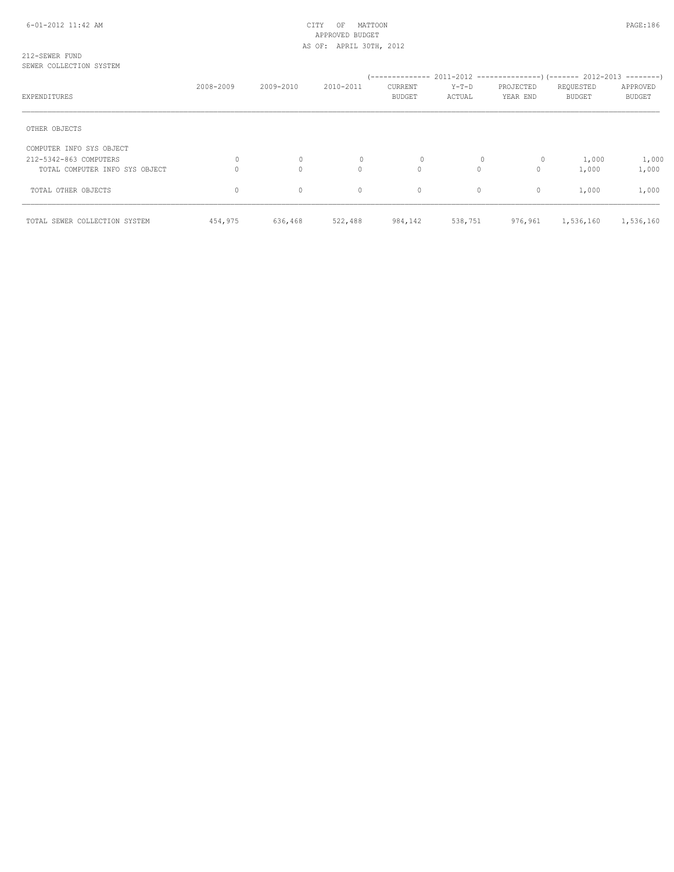#### 212-SEWER FUND SEWER COLLECTION SYSTEM

| EXPENDITURES                   | 2008-2009 | 2009-2010    | 2010-2011    | CURRENT<br><b>BUDGET</b> | $Y-T-D$<br>ACTUAL | PROJECTED<br>YEAR END | REQUESTED<br>BUDGET | APPROVED<br><b>BUDGET</b> |
|--------------------------------|-----------|--------------|--------------|--------------------------|-------------------|-----------------------|---------------------|---------------------------|
| OTHER OBJECTS                  |           |              |              |                          |                   |                       |                     |                           |
| COMPUTER INFO SYS OBJECT       |           |              |              |                          |                   |                       |                     |                           |
| 212-5342-863 COMPUTERS         | 0         | $\circ$      | $\mathbf{0}$ | 0                        |                   | $\circ$               | 1,000               | 1,000                     |
| TOTAL COMPUTER INFO SYS OBJECT |           | $\mathbf{0}$ | 0            | 0                        | $\circ$           | $\circ$               | 1,000               | 1,000                     |
| TOTAL OTHER OBJECTS            | $\circ$   | $\mathbf{0}$ | $\circ$      | $\circ$                  | $\circ$           | $\mathbf{0}$          | 1,000               | 1,000                     |
| TOTAL SEWER COLLECTION SYSTEM  | 454,975   | 636,468      | 522,488      | 984,142                  | 538,751           | 976,961               | 1,536,160           | 1,536,160                 |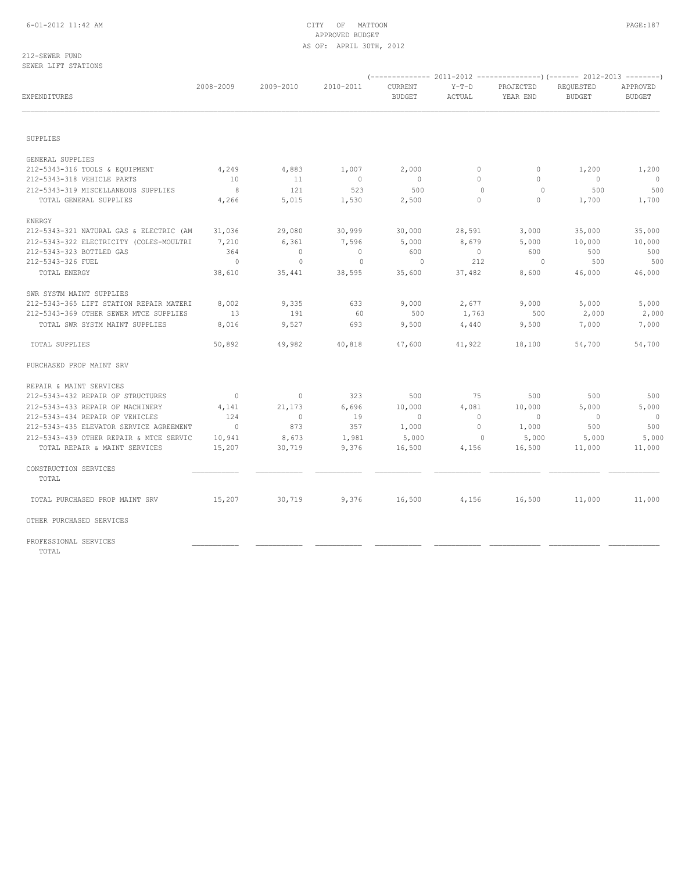#### 212-SEWER FUND SEWER LIFT STATIONS

| EXPENDITURES                            | 2008-2009      | 2009-2010                | 2010-2011      | CURRENT<br><b>BUDGET</b> | $Y-T-D$<br>ACTUAL        | PROJECTED<br>YEAR END | REQUESTED<br><b>BUDGET</b> | APPROVED<br><b>BUDGET</b> |
|-----------------------------------------|----------------|--------------------------|----------------|--------------------------|--------------------------|-----------------------|----------------------------|---------------------------|
|                                         |                |                          |                |                          |                          |                       |                            |                           |
|                                         |                |                          |                |                          |                          |                       |                            |                           |
| SUPPLIES                                |                |                          |                |                          |                          |                       |                            |                           |
| GENERAL SUPPLIES                        |                |                          |                |                          |                          |                       |                            |                           |
| 212-5343-316 TOOLS & EQUIPMENT          | 4,249          | 4,883                    | 1,007          | 2,000                    | $\circ$                  | $\circ$               | 1,200                      | 1,200                     |
| 212-5343-318 VEHICLE PARTS              | 10             | 11                       | $\overline{0}$ | $\overline{0}$           | $\circ$                  | $\circ$               | $\overline{0}$             | $\overline{0}$            |
| 212-5343-319 MISCELLANEOUS SUPPLIES     | 8              | 121                      | 523            | 500                      | $\circ$                  | $\circ$               | 500                        | 500                       |
| TOTAL GENERAL SUPPLIES                  | 4,266          | 5,015                    | 1,530          | 2,500                    | $\circ$                  | $\circ$               | 1,700                      | 1,700                     |
| ENERGY                                  |                |                          |                |                          |                          |                       |                            |                           |
| 212-5343-321 NATURAL GAS & ELECTRIC (AM | 31,036         | 29,080                   | 30,999         | 30,000                   | 28,591                   | 3,000                 | 35,000                     | 35,000                    |
| 212-5343-322 ELECTRICITY (COLES-MOULTRI | 7,210          | 6,361                    | 7,596          | 5,000                    | 8,679                    | 5,000                 | 10,000                     | 10,000                    |
| 212-5343-323 BOTTLED GAS                | 364            | $\overline{\phantom{0}}$ | $\overline{0}$ | 600                      | $\overline{\phantom{0}}$ | 600                   | 500                        | 500                       |
| 212-5343-326 FUEL                       | $\sim$ 0       | $\circ$                  | $\overline{0}$ | $\overline{\phantom{0}}$ | 212                      | $\sim$ 0              | 500                        | 500                       |
| TOTAL ENERGY                            | 38,610         | 35,441                   | 38,595         | 35,600                   | 37,482                   | 8,600                 | 46,000                     | 46,000                    |
| SWR SYSTM MAINT SUPPLIES                |                |                          |                |                          |                          |                       |                            |                           |
| 212-5343-365 LIFT STATION REPAIR MATERI | 8,002          | 9,335                    | 633            | 9,000                    | 2,677                    | 9,000                 | 5,000                      | 5,000                     |
| 212-5343-369 OTHER SEWER MTCE SUPPLIES  | 13             | 191                      | 60             | 500                      | 1,763                    | 500                   | 2,000                      | 2,000                     |
| TOTAL SWR SYSTM MAINT SUPPLIES          | 8,016          | 9,527                    | 693            | 9,500                    | 4,440                    | 9,500                 | 7,000                      | 7,000                     |
| TOTAL SUPPLIES                          | 50,892         | 49,982                   | 40,818         | 47,600                   | 41,922                   | 18,100                | 54,700                     | 54,700                    |
| PURCHASED PROP MAINT SRV                |                |                          |                |                          |                          |                       |                            |                           |
| REPAIR & MAINT SERVICES                 |                |                          |                |                          |                          |                       |                            |                           |
| 212-5343-432 REPAIR OF STRUCTURES       | $\overline{0}$ | $\circ$                  | 323            | 500                      | 75                       | 500                   | 500                        | 500                       |
| 212-5343-433 REPAIR OF MACHINERY        | 4,141          | 21,173                   | 6,696          | 10,000                   | 4,081                    | 10,000                | 5,000                      | 5,000                     |
| 212-5343-434 REPAIR OF VEHICLES         | 124            | $\circ$                  | 19             | $\circ$                  | $\overline{0}$           | $\overline{0}$        | $\overline{\phantom{0}}$   | $\overline{0}$            |
| 212-5343-435 ELEVATOR SERVICE AGREEMENT | $\overline{0}$ | 873                      | 357            | 1,000                    | $\overline{0}$           | 1,000                 | 500                        | 500                       |
| 212-5343-439 OTHER REPAIR & MTCE SERVIC | 10,941         | 8,673                    | 1,981          | 5,000                    | $\overline{0}$           | 5,000                 | 5,000                      | 5,000                     |
| TOTAL REPAIR & MAINT SERVICES           | 15,207         | 30,719                   | 9,376          | 16,500                   | 4,156                    | 16,500                | 11,000                     | 11,000                    |
| CONSTRUCTION SERVICES<br>TOTAL          |                |                          |                |                          |                          |                       |                            |                           |
| TOTAL PURCHASED PROP MAINT SRV          | 15,207         | 30,719                   | 9,376          | 16,500                   | 4,156                    | 16,500                | 11,000                     | 11,000                    |
| OTHER PURCHASED SERVICES                |                |                          |                |                          |                          |                       |                            |                           |
|                                         |                |                          |                |                          |                          |                       |                            |                           |
| PROFESSIONAL SERVICES                   |                |                          |                |                          |                          |                       |                            |                           |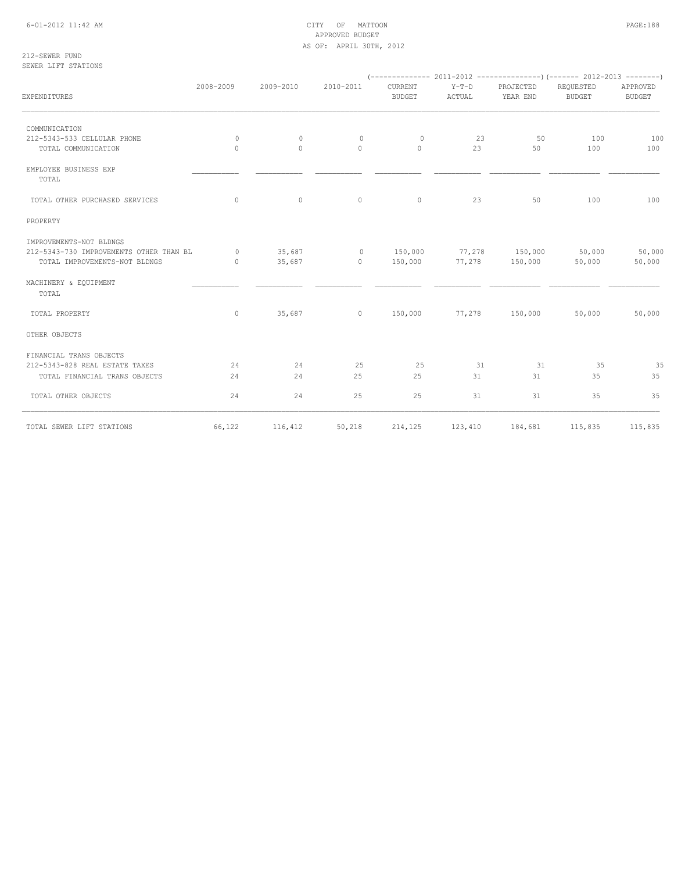## 6-01-2012 11:42 AM CITY OF MATTOON PAGE:188 APPROVED BUDGET AS OF: APRIL 30TH, 2012

212-SEWER FUND SEWER LIFT STATIONS

| EXPENDITURES                                     | 2008-2009 | 2009-2010 | 2010-2011                       | CURRENT<br><b>BUDGET</b> | $Y-T-D$<br>ACTUAL | PROJECTED<br>YEAR END      | REQUESTED<br><b>BUDGET</b> | APPROVED<br><b>BUDGET</b> |
|--------------------------------------------------|-----------|-----------|---------------------------------|--------------------------|-------------------|----------------------------|----------------------------|---------------------------|
| COMMUNICATION                                    |           |           |                                 |                          |                   |                            |                            |                           |
| 212-5343-533 CELLULAR PHONE                      | $\circ$   | $\circ$   | $\circ$                         | $\circ$                  | 23                | 50                         | 100                        | 100                       |
| TOTAL COMMUNICATION                              | $\Omega$  | $\Omega$  | $\Omega$                        | $\bigcirc$               | 23                | 50                         | 100                        | 100                       |
| EMPLOYEE BUSINESS EXP<br>TOTAL                   |           |           |                                 |                          |                   |                            |                            |                           |
| TOTAL OTHER PURCHASED SERVICES                   | $\Omega$  | $\circ$   | $\circ$                         | $\circ$                  | 23                | 50                         | 100                        | 100                       |
| PROPERTY                                         |           |           |                                 |                          |                   |                            |                            |                           |
| IMPROVEMENTS-NOT BLDNGS                          |           |           |                                 |                          |                   |                            |                            |                           |
| 212-5343-730 IMPROVEMENTS OTHER THAN BL 0 35,687 |           |           | 0 150,000 77,278 150,000 50,000 |                          |                   |                            |                            | 50,000                    |
| TOTAL IMPROVEMENTS-NOT BLDNGS                    | $\sim$ 0  | 35,687    | $0 \t 150,000$                  |                          |                   | 77,278 150,000 50,000      |                            | 50,000                    |
| MACHINERY & EQUIPMENT<br>TOTAL                   |           |           |                                 |                          |                   |                            |                            |                           |
| TOTAL PROPERTY                                   | $\circ$   |           | 35,687 0 150,000                |                          |                   | 77,278 150,000 50,000      |                            | 50,000                    |
| OTHER OBJECTS                                    |           |           |                                 |                          |                   |                            |                            |                           |
| FINANCIAL TRANS OBJECTS                          |           |           |                                 |                          |                   |                            |                            |                           |
| 212-5343-828 REAL ESTATE TAXES                   | 24        | 24        | 25                              | 25                       | 31                | 31                         | 35                         | 35                        |
| TOTAL FINANCIAL TRANS OBJECTS                    | 24        | 24        | 25                              | 25                       | 31                | 31                         | 35                         | 35                        |
| TOTAL OTHER OBJECTS                              | 24        | 24        | 25                              | 25                       | 31                | 31                         | 35                         | 35                        |
| TOTAL SEWER LIFT STATIONS                        | 66,122    | 116,412   | 50,218                          |                          |                   | 214, 125 123, 410 184, 681 | 115,835                    | 115,835                   |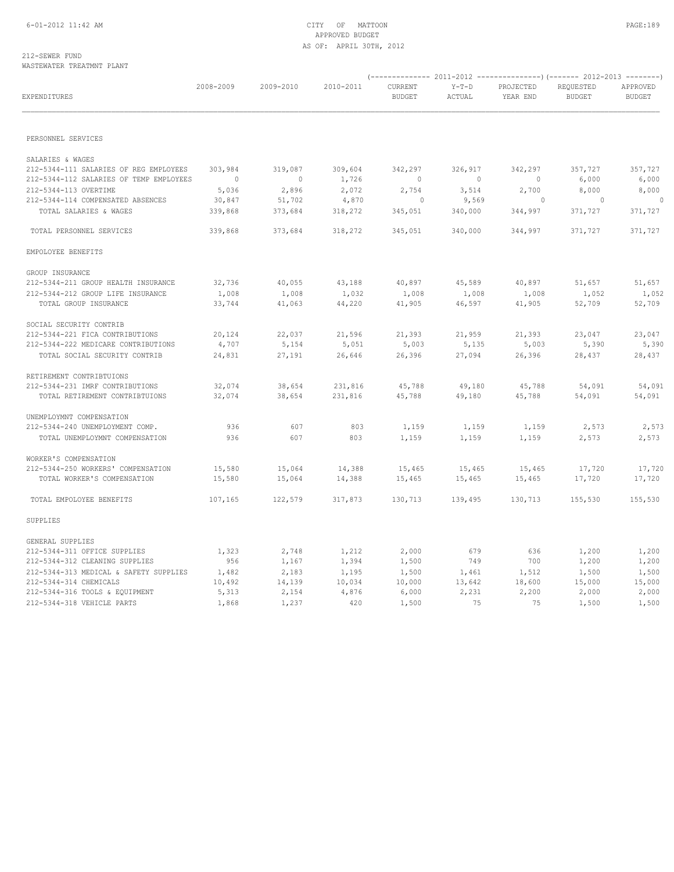## 212-SEWER FUND WASTEWATER TREATMNT PLANT

| EXPENDITURES                                                                      | 2008-2009           | 2009-2010                 | 2010-2011        | CURRENT<br><b>BUDGET</b> | $Y-T-D$<br>ACTUAL   | PROJECTED<br>YEAR END | REQUESTED<br><b>BUDGET</b> | APPROVED<br><b>BUDGET</b> |
|-----------------------------------------------------------------------------------|---------------------|---------------------------|------------------|--------------------------|---------------------|-----------------------|----------------------------|---------------------------|
|                                                                                   |                     |                           |                  |                          |                     |                       |                            |                           |
| PERSONNEL SERVICES                                                                |                     |                           |                  |                          |                     |                       |                            |                           |
| SALARIES & WAGES                                                                  |                     |                           |                  |                          |                     |                       |                            |                           |
| 212-5344-111 SALARIES OF REG EMPLOYEES<br>212-5344-112 SALARIES OF TEMP EMPLOYEES | 303,984<br>$\sim$ 0 | 319,087<br>$\overline{0}$ | 309,604<br>1,726 | 342,297<br>$\sim$ 0      | 326,917<br>$\sim$ 0 | 342,297<br>$\sim$ 0   | 357,727<br>6,000           | 357,727                   |
| 212-5344-113 OVERTIME                                                             | 5,036               | 2,896                     | 2,072            | 2,754                    | 3,514               | 2,700                 | 8,000                      | 6,000<br>8,000            |
| 212-5344-114 COMPENSATED ABSENCES                                                 | 30,847              | 51,702                    | 4,870            | $\circ$                  | 9,569               | 0                     | $\overline{0}$             |                           |
| TOTAL SALARIES & WAGES                                                            | 339,868             | 373,684                   | 318,272          | 345,051                  | 340,000             | 344,997               | 371,727                    | 371,727                   |
| TOTAL PERSONNEL SERVICES                                                          | 339,868             | 373,684                   | 318,272          | 345,051                  | 340,000             | 344,997               | 371,727                    | 371,727                   |
| EMPOLOYEE BENEFITS                                                                |                     |                           |                  |                          |                     |                       |                            |                           |
| GROUP INSURANCE                                                                   |                     |                           |                  |                          |                     |                       |                            |                           |
| 212-5344-211 GROUP HEALTH INSURANCE                                               | 32,736              | 40,055                    | 43,188           | 40,897                   | 45,589              | 40,897                | 51,657                     | 51,657                    |
| 212-5344-212 GROUP LIFE INSURANCE                                                 | 1,008               | 1,008                     | 1,032            | 1,008                    | 1,008               | 1,008                 | 1,052                      | 1,052                     |
| TOTAL GROUP INSURANCE                                                             | 33,744              | 41,063                    | 44,220           | 41,905                   | 46,597              | 41,905                | 52,709                     | 52,709                    |
| SOCIAL SECURITY CONTRIB                                                           |                     |                           |                  |                          |                     |                       |                            |                           |
| 212-5344-221 FICA CONTRIBUTIONS                                                   | 20,124              | 22,037                    | 21,596           | 21,393                   | 21,959              | 21,393                | 23,047                     | 23,047                    |
| 212-5344-222 MEDICARE CONTRIBUTIONS                                               | 4,707               | 5,154                     | 5,051            | 5,003                    | 5,135               | 5,003                 | 5,390                      | 5,390                     |
| TOTAL SOCIAL SECURITY CONTRIB                                                     | 24,831              | 27,191                    | 26,646           | 26,396                   | 27,094              | 26,396                | 28,437                     | 28,437                    |
| RETIREMENT CONTRIBTUIONS                                                          |                     |                           |                  |                          |                     |                       |                            |                           |
| 212-5344-231 IMRF CONTRIBUTIONS                                                   | 32,074              | 38,654                    | 231,816          | 45,788                   | 49,180              | 45,788                | 54,091                     | 54,091                    |
| TOTAL RETIREMENT CONTRIBTUIONS                                                    | 32,074              | 38,654                    | 231,816          | 45,788                   | 49,180              | 45,788                | 54,091                     | 54,091                    |
| UNEMPLOYMNT COMPENSATION                                                          |                     |                           |                  |                          |                     |                       |                            |                           |
| 212-5344-240 UNEMPLOYMENT COMP.                                                   | 936                 | 607                       | 803              | 1,159                    | 1,159               | 1,159                 | 2,573                      | 2,573                     |
| TOTAL UNEMPLOYMNT COMPENSATION                                                    | 936                 | 607                       | 803              | 1,159                    | 1,159               | 1,159                 | 2,573                      | 2,573                     |
| WORKER'S COMPENSATION                                                             |                     |                           |                  |                          |                     |                       |                            |                           |
| 212-5344-250 WORKERS' COMPENSATION                                                | 15,580              | 15,064                    | 14,388           | 15,465                   | 15,465              | 15,465                | 17,720                     | 17,720                    |
| TOTAL WORKER'S COMPENSATION                                                       | 15,580              | 15,064                    | 14,388           | 15,465                   | 15,465              | 15,465                | 17,720                     | 17,720                    |
| TOTAL EMPOLOYEE BENEFITS                                                          | 107,165             | 122,579                   | 317,873          | 130,713                  | 139,495             | 130,713               | 155,530                    | 155,530                   |
| SUPPLIES                                                                          |                     |                           |                  |                          |                     |                       |                            |                           |
| GENERAL SUPPLIES                                                                  |                     |                           |                  |                          |                     |                       |                            |                           |
| 212-5344-311 OFFICE SUPPLIES                                                      | 1,323               | 2,748                     | 1,212            | 2,000                    | 679                 | 636                   | 1,200                      | 1,200                     |
| 212-5344-312 CLEANING SUPPLIES                                                    | 956                 | 1,167                     | 1,394            | 1,500                    | 749                 | 700                   | 1,200                      | 1,200                     |
| 212-5344-313 MEDICAL & SAFETY SUPPLIES                                            | 1,482               | 2,183                     | 1,195            | 1,500                    | 1,461               | 1,512                 | 1,500                      | 1,500                     |
| 212-5344-314 CHEMICALS                                                            | 10,492              | 14,139                    | 10,034           | 10,000                   | 13,642              | 18,600                | 15,000                     | 15,000                    |
| 212-5344-316 TOOLS & EQUIPMENT                                                    | 5,313               | 2,154                     | 4,876            | 6,000                    | 2,231               | 2,200                 | 2,000                      | 2,000                     |
| 212-5344-318 VEHICLE PARTS                                                        | 1,868               | 1,237                     | 420              | 1,500                    | 75                  | 75                    | 1,500                      | 1,500                     |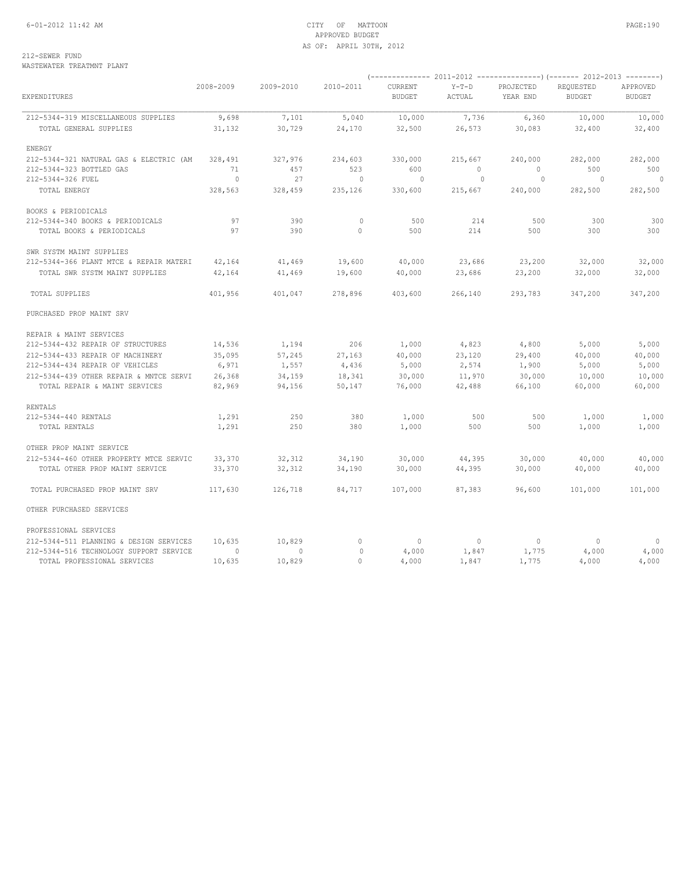## 6-01-2012 11:42 AM CITY OF MATTOON PAGE:190 APPROVED BUDGET AS OF: APRIL 30TH, 2012

212-SEWER FUND WASTEWATER TREATMNT PLANT

| EXPENDITURES                            | 2008-2009      | 2009-2010 | 2010-2011    | CURRENT<br><b>BUDGET</b> | $Y-T-D$<br>ACTUAL | PROJECTED<br>YEAR END | REQUESTED<br><b>BUDGET</b> | APPROVED<br><b>BUDGET</b> |
|-----------------------------------------|----------------|-----------|--------------|--------------------------|-------------------|-----------------------|----------------------------|---------------------------|
| 212-5344-319 MISCELLANEOUS SUPPLIES     | 9,698          | 7,101     | 5,040        | 10,000                   | 7,736             | 6,360                 | 10,000                     | 10,000                    |
| TOTAL GENERAL SUPPLIES                  | 31,132         | 30,729    | 24,170       | 32,500                   | 26,573            | 30,083                | 32,400                     | 32,400                    |
| ENERGY                                  |                |           |              |                          |                   |                       |                            |                           |
| 212-5344-321 NATURAL GAS & ELECTRIC (AM | 328,491        | 327,976   | 234,603      | 330,000                  | 215,667           | 240,000               | 282,000                    | 282,000                   |
| 212-5344-323 BOTTLED GAS                | 71             | 457       | 523          | 600                      | $\Omega$          | $\Omega$              | 500                        | 500                       |
| 212-5344-326 FUEL                       | $\overline{0}$ | 27        | $\sim$ 0     | $\bigcirc$               | $\sim$ 0          | $\circ$               | $\overline{0}$             | $\Omega$                  |
| TOTAL ENERGY                            | 328,563        | 328,459   | 235,126      | 330,600                  | 215,667           | 240,000               | 282,500                    | 282,500                   |
| BOOKS & PERIODICALS                     |                |           |              |                          |                   |                       |                            |                           |
| 212-5344-340 BOOKS & PERIODICALS        | 97             | 390       | $\mathbf{0}$ | 500                      | 214               | 500                   | 300                        | 300                       |
| TOTAL BOOKS & PERIODICALS               | 97             | 390       | $\circ$      | 500                      | 214               | 500                   | 300                        | 300                       |
| SWR SYSTM MAINT SUPPLIES                |                |           |              |                          |                   |                       |                            |                           |
| 212-5344-366 PLANT MTCE & REPAIR MATERI | 42,164         | 41,469    | 19,600       | 40,000                   | 23,686            | 23,200                | 32,000                     | 32,000                    |
| TOTAL SWR SYSTM MAINT SUPPLIES          | 42,164         | 41,469    | 19,600       | 40,000                   | 23,686            | 23,200                | 32,000                     | 32,000                    |
| TOTAL SUPPLIES                          | 401,956        | 401,047   | 278,896      | 403,600                  | 266,140           | 293,783               | 347,200                    | 347,200                   |
| PURCHASED PROP MAINT SRV                |                |           |              |                          |                   |                       |                            |                           |
| REPAIR & MAINT SERVICES                 |                |           |              |                          |                   |                       |                            |                           |
| 212-5344-432 REPAIR OF STRUCTURES       | 14,536         | 1,194     | 206          | 1,000                    | 4,823             | 4,800                 | 5,000                      | 5,000                     |
| 212-5344-433 REPAIR OF MACHINERY        | 35,095         | 57,245    | 27,163       | 40,000                   | 23,120            | 29,400                | 40,000                     | 40,000                    |
| 212-5344-434 REPAIR OF VEHICLES         | 6,971          | 1,557     | 4,436        | 5,000                    | 2,574             | 1,900                 | 5,000                      | 5,000                     |
| 212-5344-439 OTHER REPAIR & MNTCE SERVI | 26,368         | 34,159    | 18,341       | 30,000                   | 11,970            | 30,000                | 10,000                     | 10,000                    |
| TOTAL REPAIR & MAINT SERVICES           | 82,969         | 94,156    | 50,147       | 76,000                   | 42,488            | 66,100                | 60,000                     | 60,000                    |
| <b>RENTALS</b>                          |                |           |              |                          |                   |                       |                            |                           |
| 212-5344-440 RENTALS                    | 1,291          | 250       | 380          | 1,000                    | 500               | 500                   | 1,000                      | 1,000                     |
| TOTAL RENTALS                           | 1,291          | 250       | 380          | 1,000                    | 500               | 500                   | 1,000                      | 1,000                     |
| OTHER PROP MAINT SERVICE                |                |           |              |                          |                   |                       |                            |                           |
| 212-5344-460 OTHER PROPERTY MTCE SERVIC | 33,370         | 32,312    | 34,190       | 30,000                   | 44,395            | 30,000                | 40,000                     | 40,000                    |
| TOTAL OTHER PROP MAINT SERVICE          | 33,370         | 32,312    | 34,190       | 30,000                   | 44,395            | 30,000                | 40,000                     | 40,000                    |
| TOTAL PURCHASED PROP MAINT SRV          | 117,630        | 126,718   | 84,717       | 107,000                  | 87,383            | 96,600                | 101,000                    | 101,000                   |
| OTHER PURCHASED SERVICES                |                |           |              |                          |                   |                       |                            |                           |
| PROFESSIONAL SERVICES                   |                |           |              |                          |                   |                       |                            |                           |
| 212-5344-511 PLANNING & DESIGN SERVICES | 10,635         | 10,829    | $\circ$      | $\overline{0}$           | $\circ$           | $\Omega$              | $\circ$                    | $\Omega$                  |
| 212-5344-516 TECHNOLOGY SUPPORT SERVICE | $\circ$        | $\Omega$  | $\Omega$     | 4,000                    | 1,847             | 1,775                 | 4,000                      | 4,000                     |
| TOTAL PROFESSIONAL SERVICES             | 10,635         | 10,829    | $\Omega$     | 4,000                    | 1,847             | 1,775                 | 4,000                      | 4,000                     |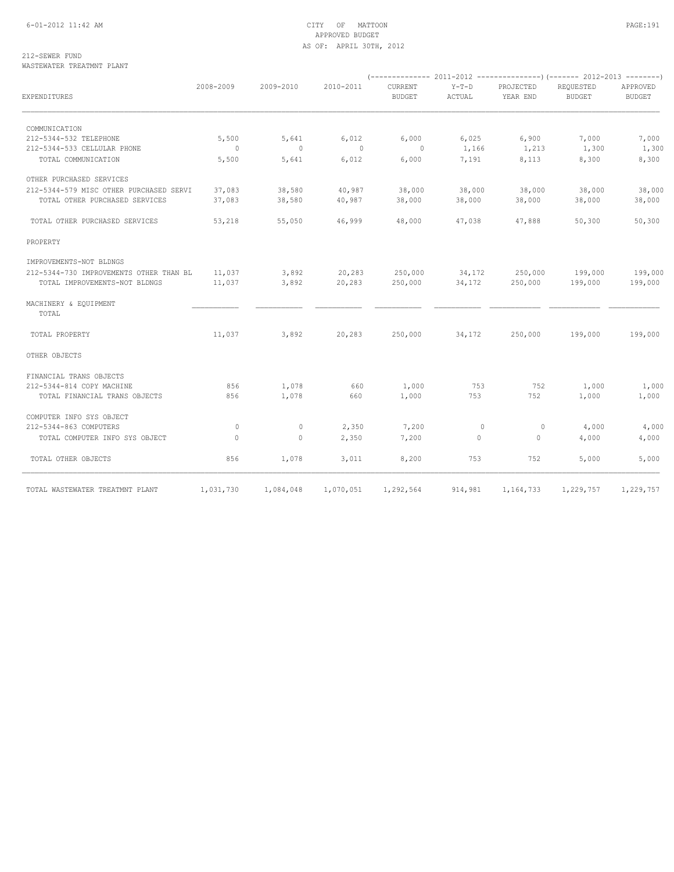## 6-01-2012 11:42 AM CITY OF MATTOON PAGE:191 APPROVED BUDGET AS OF: APRIL 30TH, 2012

212-SEWER FUND WASTEWATER TREATMNT PLANT

| EXPENDITURES                            | 2008-2009                | 2009-2010    | 2010-2011      | CURRENT<br><b>BUDGET</b> | $Y-T-D$<br>ACTUAL | PROJECTED<br>YEAR END | REQUESTED<br><b>BUDGET</b> | APPROVED<br><b>BUDGET</b> |
|-----------------------------------------|--------------------------|--------------|----------------|--------------------------|-------------------|-----------------------|----------------------------|---------------------------|
| COMMUNICATION                           |                          |              |                |                          |                   |                       |                            |                           |
| 212-5344-532 TELEPHONE                  | 5,500                    | 5,641        | 6,012          | 6,000                    | 6,025             | 6,900                 | 7,000                      | 7,000                     |
| 212-5344-533 CELLULAR PHONE             | $\overline{\phantom{0}}$ | $\circ$      | $\overline{0}$ | $\circ$                  | 1,166             | 1,213                 | 1,300                      | 1,300                     |
| TOTAL COMMUNICATION                     | 5,500                    | 5,641        | 6,012          | 6,000                    | 7,191             | 8,113                 | 8,300                      | 8,300                     |
| OTHER PURCHASED SERVICES                |                          |              |                |                          |                   |                       |                            |                           |
| 212-5344-579 MISC OTHER PURCHASED SERVI | 37,083                   | 38,580       | 40,987         | 38,000                   | 38,000            | 38,000                | 38,000                     | 38,000                    |
| TOTAL OTHER PURCHASED SERVICES          | 37,083                   | 38,580       | 40,987         | 38,000                   | 38,000            | 38,000                | 38,000                     | 38,000                    |
| TOTAL OTHER PURCHASED SERVICES          | 53,218                   | 55,050       | 46,999         | 48,000                   | 47,038            | 47,888                | 50,300                     | 50,300                    |
| PROPERTY                                |                          |              |                |                          |                   |                       |                            |                           |
| IMPROVEMENTS-NOT BLDNGS                 |                          |              |                |                          |                   |                       |                            |                           |
| 212-5344-730 IMPROVEMENTS OTHER THAN BL | 11,037                   | 3,892        | 20,283         | 250,000                  | 34,172            | 250,000               | 199,000                    | 199,000                   |
| TOTAL IMPROVEMENTS-NOT BLDNGS           | 11,037                   | 3,892        | 20,283         | 250,000                  | 34,172            | 250,000               | 199,000                    | 199,000                   |
| MACHINERY & EQUIPMENT<br>TOTAL          |                          |              |                |                          |                   |                       |                            |                           |
| TOTAL PROPERTY                          | 11,037                   | 3,892        | 20,283         | 250,000                  | 34,172            | 250,000               | 199,000                    | 199,000                   |
| OTHER OBJECTS                           |                          |              |                |                          |                   |                       |                            |                           |
| FINANCIAL TRANS OBJECTS                 |                          |              |                |                          |                   |                       |                            |                           |
| 212-5344-814 COPY MACHINE               | 856                      | 1,078        | 660            | 1,000                    | 753               | 752                   | 1,000                      | 1,000                     |
| TOTAL FINANCIAL TRANS OBJECTS           | 856                      | 1,078        | 660            | 1,000                    | 753               | 752                   | 1,000                      | 1,000                     |
| COMPUTER INFO SYS OBJECT                |                          |              |                |                          |                   |                       |                            |                           |
| 212-5344-863 COMPUTERS                  | $\circ$                  | $\circ$      | 2,350          | 7,200                    | $\circ$           | 0                     | 4,000                      | 4,000                     |
| TOTAL COMPUTER INFO SYS OBJECT          | $\Omega$                 | $\mathbf{0}$ | 2,350          | 7,200                    | $\circ$           | $\mathbf{0}$          | 4,000                      | 4,000                     |
| TOTAL OTHER OBJECTS                     | 856                      | 1,078        | 3,011          | 8,200                    | 753               | 752                   | 5,000                      | 5,000                     |
| TOTAL WASTEWATER TREATMNT PLANT         | 1,031,730                | 1,084,048    | 1,070,051      | 1,292,564                | 914,981           | 1,164,733             | 1,229,757                  | 1,229,757                 |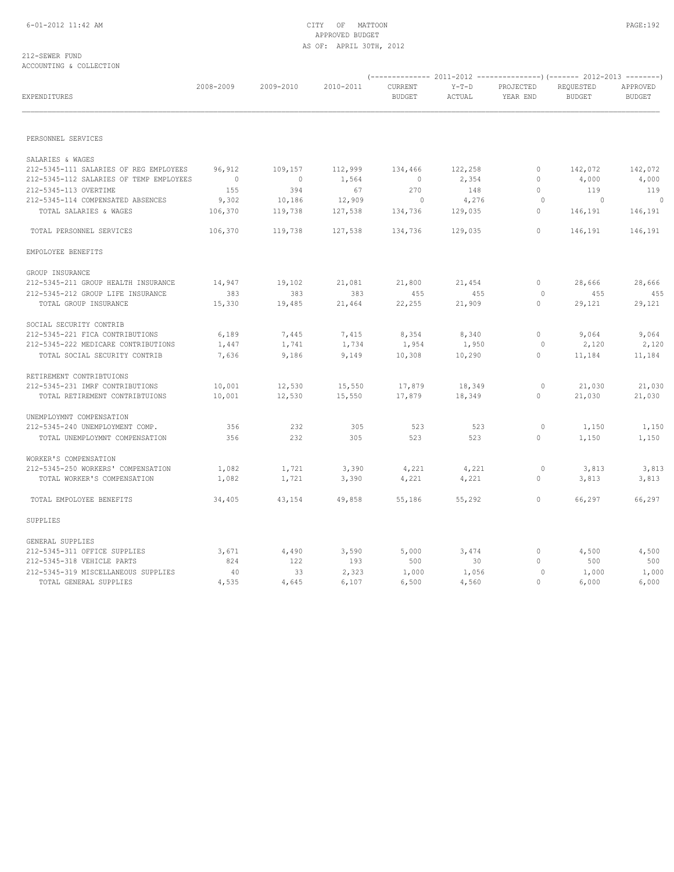#### 212-SEWER FUND ACCOUNTING & COLLECTION

| EXPENDITURES                            | 2008-2009      | 2009-2010      | 2010-2011 | CURRENT<br><b>BUDGET</b> | $Y-T-D$<br>ACTUAL | PROJECTED<br>YEAR END | REQUESTED<br><b>BUDGET</b> | APPROVED<br><b>BUDGET</b> |
|-----------------------------------------|----------------|----------------|-----------|--------------------------|-------------------|-----------------------|----------------------------|---------------------------|
|                                         |                |                |           |                          |                   |                       |                            |                           |
| PERSONNEL SERVICES                      |                |                |           |                          |                   |                       |                            |                           |
| SALARIES & WAGES                        |                |                |           |                          |                   |                       |                            |                           |
| 212-5345-111 SALARIES OF REG EMPLOYEES  | 96,912         | 109,157        | 112,999   | 134,466                  | 122,258           | $\circ$               | 142,072                    | 142,072                   |
| 212-5345-112 SALARIES OF TEMP EMPLOYEES | $\overline{0}$ | $\overline{0}$ | 1,564     | $\overline{0}$           | 2,354             | $\mathbf{0}$          | 4,000                      | 4,000                     |
| 212-5345-113 OVERTIME                   | 155            | 394            | 67        | 270                      | 148               | $\circ$               | 119                        | 119                       |
| 212-5345-114 COMPENSATED ABSENCES       | 9,302          | 10,186         | 12,909    | $\sim$ 0                 | 4,276             | $\circ$               | $\sim$ 0                   | $\sim$ 0                  |
| TOTAL SALARIES & WAGES                  | 106,370        | 119,738        | 127,538   | 134,736                  | 129,035           | $\mathbf{0}$          | 146,191                    | 146,191                   |
| TOTAL PERSONNEL SERVICES                | 106,370        | 119,738        | 127,538   | 134,736                  | 129,035           | $\circ$               | 146,191                    | 146,191                   |
| EMPOLOYEE BENEFITS                      |                |                |           |                          |                   |                       |                            |                           |
| GROUP INSURANCE                         |                |                |           |                          |                   |                       |                            |                           |
| 212-5345-211 GROUP HEALTH INSURANCE     | 14,947         | 19,102         | 21,081    | 21,800                   | 21,454            | $\circ$               | 28,666                     | 28,666                    |
| 212-5345-212 GROUP LIFE INSURANCE       | 383            | 383            | 383       | 455                      | 455               | $\circ$               | 455                        | 455                       |
| TOTAL GROUP INSURANCE                   | 15,330         | 19,485         | 21,464    | 22,255                   | 21,909            | $\mathbf{0}$          | 29,121                     | 29,121                    |
| SOCIAL SECURITY CONTRIB                 |                |                |           |                          |                   |                       |                            |                           |
| 212-5345-221 FICA CONTRIBUTIONS         | 6,189          | 7,445          | 7,415     | 8,354                    | 8,340             | $\circ$               | 9,064                      | 9,064                     |
| 212-5345-222 MEDICARE CONTRIBUTIONS     | 1,447          | 1,741          | 1,734     | 1,954                    | 1,950             | $\circ$               | 2,120                      | 2,120                     |
| TOTAL SOCIAL SECURITY CONTRIB           | 7,636          | 9,186          | 9,149     | 10,308                   | 10,290            | $\circ$               | 11,184                     | 11,184                    |
| RETIREMENT CONTRIBTUIONS                |                |                |           |                          |                   |                       |                            |                           |
| 212-5345-231 IMRF CONTRIBUTIONS         | 10,001         | 12,530         | 15,550    | 17,879                   | 18,349            | $\circ$               | 21,030                     | 21,030                    |
| TOTAL RETIREMENT CONTRIBTUIONS          | 10,001         | 12,530         | 15,550    | 17,879                   | 18,349            | $\circ$               | 21,030                     | 21,030                    |
| UNEMPLOYMNT COMPENSATION                |                |                |           |                          |                   |                       |                            |                           |
| 212-5345-240 UNEMPLOYMENT COMP.         | 356            | 232            | 305       | 523                      | 523               | $\circ$               | 1,150                      | 1,150                     |
| TOTAL UNEMPLOYMNT COMPENSATION          | 356            | 232            | 305       | 523                      | 523               | $\circ$               | 1,150                      | 1,150                     |
| WORKER'S COMPENSATION                   |                |                |           |                          |                   |                       |                            |                           |
| 212-5345-250 WORKERS' COMPENSATION      | 1,082          | 1,721          | 3,390     | 4,221                    | 4,221             | $\circ$               | 3,813                      | 3,813                     |
| TOTAL WORKER'S COMPENSATION             | 1,082          | 1,721          | 3,390     | 4,221                    | 4,221             | $\mathbf{0}$          | 3,813                      | 3,813                     |
| TOTAL EMPOLOYEE BENEFITS                | 34,405         | 43,154         | 49,858    | 55,186                   | 55,292            | $\overline{0}$        | 66,297                     | 66,297                    |
| SUPPLIES                                |                |                |           |                          |                   |                       |                            |                           |
| GENERAL SUPPLIES                        |                |                |           |                          |                   |                       |                            |                           |
| 212-5345-311 OFFICE SUPPLIES            | 3,671          | 4,490          | 3,590     | 5,000                    | 3,474             | $\circ$               | 4,500                      | 4,500                     |
| 212-5345-318 VEHICLE PARTS              | 824            | 122            | 193       | 500                      | 30                | $\mathbf{0}$          | 500                        | 500                       |
| 212-5345-319 MISCELLANEOUS SUPPLIES     | 40             | 33             | 2,323     | 1,000                    | 1,056             | $\circ$               | 1,000                      | 1,000                     |
| TOTAL GENERAL SUPPLIES                  | 4,535          | 4,645          | 6,107     | 6,500                    | 4,560             | $\Omega$              | 6,000                      | 6,000                     |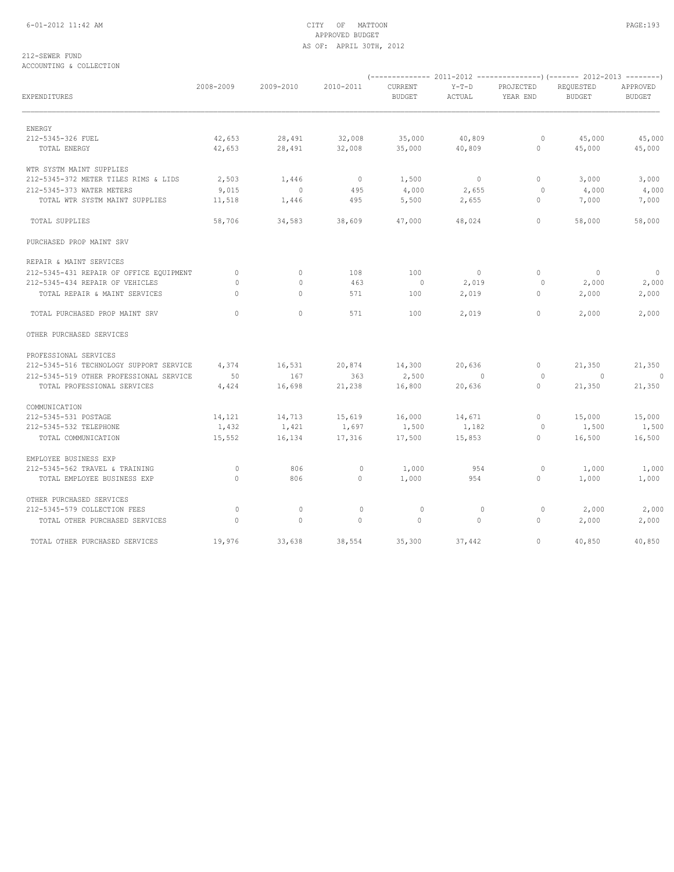## 6-01-2012 11:42 AM CITY OF MATTOON PAGE:193 APPROVED BUDGET AS OF: APRIL 30TH, 2012

#### 212-SEWER FUND ACCOUNTING & COLLECTION

| EXPENDITURES                            | 2008-2009                        | 2009-2010                | 2010-2011      | CURRENT<br><b>BUDGET</b> | $Y-T-D$<br>ACTUAL        | PROJECTED<br>YEAR END | REQUESTED<br><b>BUDGET</b> | APPROVED<br><b>BUDGET</b> |
|-----------------------------------------|----------------------------------|--------------------------|----------------|--------------------------|--------------------------|-----------------------|----------------------------|---------------------------|
|                                         |                                  |                          |                |                          |                          |                       |                            |                           |
| ENERGY<br>212-5345-326 FUEL             | 42,653                           | 28,491                   | 32,008         | 35,000                   | 40,809                   | $\circ$               | 45,000                     | 45,000                    |
| TOTAL ENERGY                            | 42,653                           | 28,491                   | 32,008         | 35,000                   | 40,809                   | $\mathbf{0}$          | 45,000                     | 45,000                    |
| WTR SYSTM MAINT SUPPLIES                |                                  |                          |                |                          |                          |                       |                            |                           |
| 212-5345-372 METER TILES RIMS & LIDS    | 2,503                            | 1,446                    | $\overline{0}$ | 1,500                    | $\overline{0}$           | $\circ$               | 3,000                      | 3,000                     |
| 212-5345-373 WATER METERS               | 9,015                            | $\overline{\phantom{0}}$ | 495            | 4,000                    | 2,655                    | $\circ$               | 4,000                      | 4,000                     |
| TOTAL WTR SYSTM MAINT SUPPLIES          | 11,518                           | 1,446                    | 495            | 5,500                    | 2,655                    | $\circ$               | 7,000                      | 7,000                     |
| TOTAL SUPPLIES                          | 58,706                           | 34,583                   | 38,609         | 47,000                   | 48,024                   | $\circ$               | 58,000                     | 58,000                    |
| PURCHASED PROP MAINT SRV                |                                  |                          |                |                          |                          |                       |                            |                           |
| REPAIR & MAINT SERVICES                 |                                  |                          |                |                          |                          |                       |                            |                           |
| 212-5345-431 REPAIR OF OFFICE EQUIPMENT | $\circ$                          | $\mathbf{0}$             | 108            | 100                      | $\overline{\phantom{0}}$ | $\circ$               | $\overline{\phantom{0}}$   | $\overline{\phantom{0}}$  |
| 212-5345-434 REPAIR OF VEHICLES         | $\begin{array}{c} \n\end{array}$ | $\circ$                  | 463            | $\overline{0}$           | 2,019                    | $\circ$               | 2,000                      | 2,000                     |
| TOTAL REPAIR & MAINT SERVICES           | $\Omega$                         | $\circ$                  | 571            | 100                      | 2,019                    | $\circ$               | 2,000                      | 2,000                     |
| TOTAL PURCHASED PROP MAINT SRV          | $\Omega$                         | $\circ$                  | 571            | 100                      | 2,019                    | $\circ$               | 2,000                      | 2,000                     |
| OTHER PURCHASED SERVICES                |                                  |                          |                |                          |                          |                       |                            |                           |
| PROFESSIONAL SERVICES                   |                                  |                          |                |                          |                          |                       |                            |                           |
| 212-5345-516 TECHNOLOGY SUPPORT SERVICE | 4,374                            | 16,531                   | 20,874         | 14,300                   | 20,636                   | $\circ$               | 21,350                     | 21,350                    |
| 212-5345-519 OTHER PROFESSIONAL SERVICE | 50                               | 167                      | 363            | 2,500                    | $\sim$ 0                 | $\circ$               | $\sim$ 0                   | $\Omega$                  |
| TOTAL PROFESSIONAL SERVICES             | 4,424                            | 16,698                   | 21,238         | 16,800                   | 20,636                   | $\circ$               | 21,350                     | 21,350                    |
| COMMUNICATION                           |                                  |                          |                |                          |                          |                       |                            |                           |
| 212-5345-531 POSTAGE                    | 14,121                           | 14,713                   | 15,619         | 16,000                   | 14,671                   | $\circ$               | 15,000                     | 15,000                    |
| 212-5345-532 TELEPHONE                  | 1,432                            | 1,421                    | 1,697          | 1,500                    | 1,182                    | 0                     | 1,500                      | 1,500                     |
| TOTAL COMMUNICATION                     | 15,552                           | 16,134                   | 17,316         | 17,500                   | 15,853                   | $\circ$               | 16,500                     | 16,500                    |
| EMPLOYEE BUSINESS EXP                   |                                  |                          |                |                          |                          |                       |                            |                           |
| 212-5345-562 TRAVEL & TRAINING          | $\circ$                          | 806                      | $\mathbb O$    | 1,000                    | 954                      | 0                     | 1,000                      | 1,000                     |
| TOTAL EMPLOYEE BUSINESS EXP             | $\circ$                          | 806                      | $\circ$        | 1,000                    | 954                      | $\mathbf{0}$          | 1,000                      | 1,000                     |
| OTHER PURCHASED SERVICES                |                                  |                          |                |                          |                          |                       |                            |                           |
| 212-5345-579 COLLECTION FEES            | $\circ$                          | 0                        | $\circ$        | $\circ$                  | $\circ$                  | 0                     | 2,000                      | 2,000                     |
| TOTAL OTHER PURCHASED SERVICES          | $\circ$                          | $\mathbf{0}$             | $\mathbf 0$    | $\circ$                  | $\circ$                  | $\circ$               | 2,000                      | 2,000                     |
| TOTAL OTHER PURCHASED SERVICES          | 19,976                           | 33,638                   | 38,554         | 35,300                   | 37,442                   | $\circ$               | 40,850                     | 40,850                    |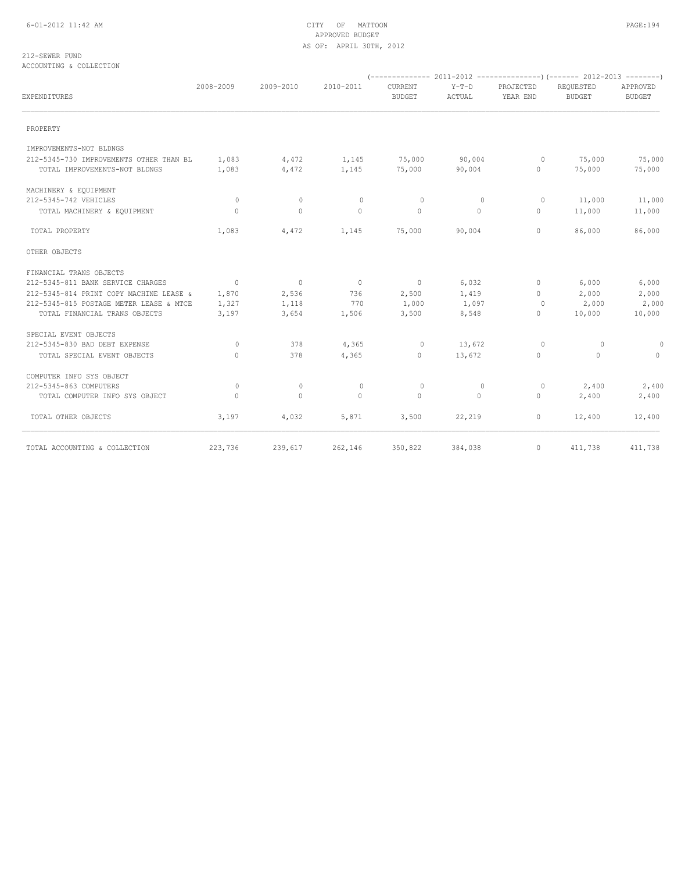## 6-01-2012 11:42 AM CITY OF MATTOON PAGE:194 APPROVED BUDGET AS OF: APRIL 30TH, 2012

#### 212-SEWER FUND ACCOUNTING & COLLECTION

| EXPENDITURES                            | 2008-2009      | 2009-2010      | 2010-2011      | CURRENT<br><b>BUDGET</b> | $Y-T-D$<br>ACTUAL | PROJECTED<br>YEAR END | REQUESTED<br><b>BUDGET</b> | APPROVED<br><b>BUDGET</b> |
|-----------------------------------------|----------------|----------------|----------------|--------------------------|-------------------|-----------------------|----------------------------|---------------------------|
| PROPERTY                                |                |                |                |                          |                   |                       |                            |                           |
| IMPROVEMENTS-NOT BLDNGS                 |                |                |                |                          |                   |                       |                            |                           |
| 212-5345-730 IMPROVEMENTS OTHER THAN BL | 1,083          | 4,472          | 1,145          | 75,000                   | 90,004            | $\circ$               | 75,000                     | 75,000                    |
| TOTAL IMPROVEMENTS-NOT BLDNGS           | 1,083          | 4,472          | 1,145          | 75,000                   | 90,004            | $\circ$               | 75,000                     | 75,000                    |
| MACHINERY & EQUIPMENT                   |                |                |                |                          |                   |                       |                            |                           |
| 212-5345-742 VEHICLES                   | $\circ$        | 0              | $\mathbf{0}$   | $\circ$                  | $\circ$           | 0                     | 11,000                     | 11,000                    |
| TOTAL MACHINERY & EQUIPMENT             | $\circ$        | $\circ$        | $\circ$        | $\circ$                  | $\circ$           | $\mathbf{0}$          | 11,000                     | 11,000                    |
| TOTAL PROPERTY                          | 1,083          | 4,472          | 1,145          | 75,000                   | 90,004            | $\mathbf{0}$          | 86,000                     | 86,000                    |
| OTHER OBJECTS                           |                |                |                |                          |                   |                       |                            |                           |
| FINANCIAL TRANS OBJECTS                 |                |                |                |                          |                   |                       |                            |                           |
| 212-5345-811 BANK SERVICE CHARGES       | $\overline{0}$ | $\overline{0}$ | $\overline{0}$ | $\overline{0}$           | 6,032             | $\mathbf{0}$          | 6,000                      | 6,000                     |
| 212-5345-814 PRINT COPY MACHINE LEASE & | 1,870          | 2,536          | 736            | 2,500                    | 1,419             | $\mathbf{0}$          | 2,000                      | 2,000                     |
| 212-5345-815 POSTAGE METER LEASE & MTCE | 1,327          | 1,118          | 770            | 1,000                    | 1,097             | $\Omega$              | 2,000                      | 2,000                     |
| TOTAL FINANCIAL TRANS OBJECTS           | 3,197          | 3,654          | 1,506          | 3,500                    | 8,548             | $\circ$               | 10,000                     | 10,000                    |
| SPECIAL EVENT OBJECTS                   |                |                |                |                          |                   |                       |                            |                           |
| 212-5345-830 BAD DEBT EXPENSE           | $\circ$        | 378            | 4,365          | $\circ$                  | 13,672            | $\Omega$              | $\circ$                    | $\circ$                   |
| TOTAL SPECIAL EVENT OBJECTS             | $\circ$        | 378            | 4,365          | $\circ$                  | 13,672            | $\mathbf{0}$          | $\circ$                    | $\circ$                   |
| COMPUTER INFO SYS OBJECT                |                |                |                |                          |                   |                       |                            |                           |
| 212-5345-863 COMPUTERS                  | $\circ$        | 0              | $\circ$        | $\circ$                  | 0                 | $\circ$               | 2,400                      | 2,400                     |
| TOTAL COMPUTER INFO SYS OBJECT          | 0              | $\mathbf{0}$   | $\circ$        | $\circ$                  | $\circ$           | $\mathbf{0}$          | 2,400                      | 2,400                     |
| TOTAL OTHER OBJECTS                     | 3,197          | 4,032          | 5,871          | 3,500                    | 22,219            | $\circ$               | 12,400                     | 12,400                    |
| TOTAL ACCOUNTING & COLLECTION           | 223,736        | 239,617        | 262,146        | 350,822                  | 384,038           | $\circ$               | 411,738                    | 411,738                   |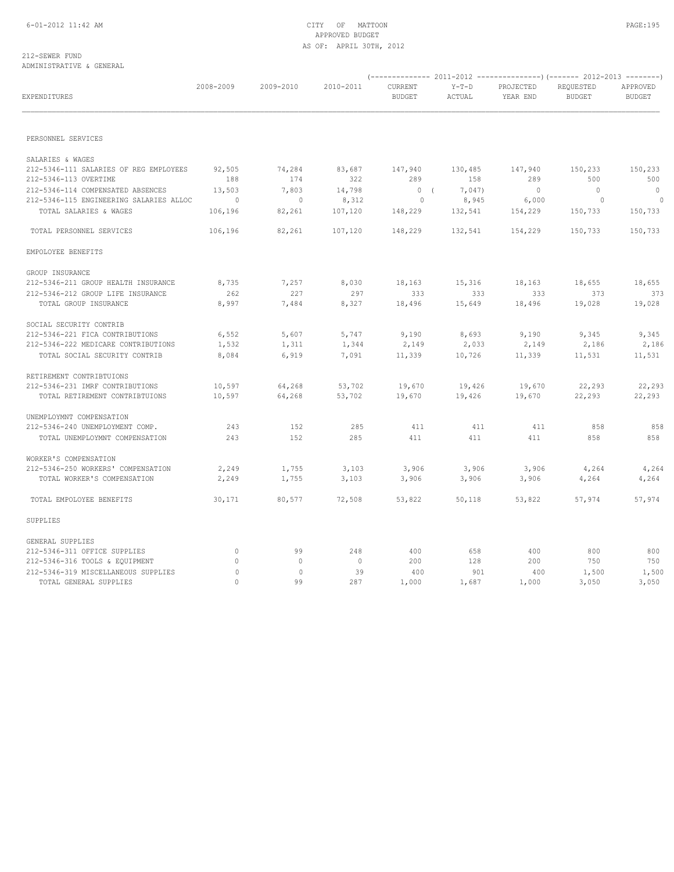#### 212-SEWER FUND ADMINISTRATIVE & GENERAL

| EXPENDITURES                            | 2008-2009 | 2009-2010   | 2010-2011 | CURRENT<br><b>BUDGET</b> | $Y-T-D$<br>ACTUAL | PROJECTED<br>YEAR END | REQUESTED<br><b>BUDGET</b> | APPROVED<br><b>BUDGET</b> |
|-----------------------------------------|-----------|-------------|-----------|--------------------------|-------------------|-----------------------|----------------------------|---------------------------|
|                                         |           |             |           |                          |                   |                       |                            |                           |
| PERSONNEL SERVICES                      |           |             |           |                          |                   |                       |                            |                           |
| SALARIES & WAGES                        |           |             |           |                          |                   |                       |                            |                           |
| 212-5346-111 SALARIES OF REG EMPLOYEES  | 92,505    | 74,284      | 83,687    | 147,940                  | 130,485           | 147,940               | 150,233                    | 150,233                   |
| 212-5346-113 OVERTIME                   | 188       | 174         | 322       | 289                      | 158               | 289                   | 500                        | 500                       |
| 212-5346-114 COMPENSATED ABSENCES       | 13,503    | 7,803       | 14,798    | 0(                       | 7,047)            | $\overline{0}$        | $\overline{0}$             | $\overline{0}$            |
| 212-5346-115 ENGINEERING SALARIES ALLOC | $\sim$ 0  | $\sim$ 0    | 8,312     | $\sim$ 0                 | 8,945             | 6,000                 | $\overline{\phantom{0}}$   | $\overline{0}$            |
| TOTAL SALARIES & WAGES                  | 106,196   | 82,261      | 107,120   | 148,229                  | 132,541           | 154,229               | 150,733                    | 150,733                   |
| TOTAL PERSONNEL SERVICES                | 106,196   | 82,261      | 107,120   | 148,229                  | 132,541           | 154,229               | 150,733                    | 150,733                   |
| EMPOLOYEE BENEFITS                      |           |             |           |                          |                   |                       |                            |                           |
| GROUP INSURANCE                         |           |             |           |                          |                   |                       |                            |                           |
| 212-5346-211 GROUP HEALTH INSURANCE     | 8,735     | 7,257       | 8,030     | 18,163                   | 15,316            | 18,163                | 18,655                     | 18,655                    |
| 212-5346-212 GROUP LIFE INSURANCE       | 262       | 227         | 297       | 333                      | 333               | 333                   | 373                        | 373                       |
| TOTAL GROUP INSURANCE                   | 8,997     | 7,484       | 8,327     | 18,496                   | 15,649            | 18,496                | 19,028                     | 19,028                    |
| SOCIAL SECURITY CONTRIB                 |           |             |           |                          |                   |                       |                            |                           |
| 212-5346-221 FICA CONTRIBUTIONS         | 6,552     | 5,607       | 5,747     | 9,190                    | 8,693             | 9,190                 | 9,345                      | 9,345                     |
| 212-5346-222 MEDICARE CONTRIBUTIONS     | 1,532     | 1,311       | 1,344     | 2,149                    | 2,033             | 2,149                 | 2,186                      | 2,186                     |
| TOTAL SOCIAL SECURITY CONTRIB           | 8,084     | 6,919       | 7,091     | 11,339                   | 10,726            | 11,339                | 11,531                     | 11,531                    |
| RETIREMENT CONTRIBTUIONS                |           |             |           |                          |                   |                       |                            |                           |
| 212-5346-231 IMRF CONTRIBUTIONS         | 10,597    | 64,268      | 53,702    | 19,670                   | 19,426            | 19,670                | 22,293                     | 22,293                    |
| TOTAL RETIREMENT CONTRIBTUIONS          | 10,597    | 64,268      | 53,702    | 19,670                   | 19,426            | 19,670                | 22,293                     | 22,293                    |
| UNEMPLOYMNT COMPENSATION                |           |             |           |                          |                   |                       |                            |                           |
| 212-5346-240 UNEMPLOYMENT COMP.         | 243       | 152         | 285       | 411                      | 411               | 411                   | 858                        | 858                       |
| TOTAL UNEMPLOYMNT COMPENSATION          | 243       | 152         | 285       | 411                      | 411               | 411                   | 858                        | 858                       |
| WORKER'S COMPENSATION                   |           |             |           |                          |                   |                       |                            |                           |
| 212-5346-250 WORKERS' COMPENSATION      | 2,249     | 1,755       | 3,103     | 3,906                    | 3,906             | 3,906                 | 4,264                      | 4,264                     |
| TOTAL WORKER'S COMPENSATION             | 2,249     | 1,755       | 3,103     | 3,906                    | 3,906             | 3,906                 | 4,264                      | 4,264                     |
| TOTAL EMPOLOYEE BENEFITS                | 30,171    | 80,577      | 72,508    | 53,822                   | 50,118            | 53,822                | 57,974                     | 57,974                    |
| SUPPLIES                                |           |             |           |                          |                   |                       |                            |                           |
| GENERAL SUPPLIES                        |           |             |           |                          |                   |                       |                            |                           |
| 212-5346-311 OFFICE SUPPLIES            | $\circ$   | 99          | 248       | 400                      | 658               | 400                   | 800                        | 800                       |
| 212-5346-316 TOOLS & EQUIPMENT          | $\circ$   | $\mathbf 0$ | $\circ$   | 200                      | 128               | 200                   | 750                        | 750                       |
| 212-5346-319 MISCELLANEOUS SUPPLIES     | $\circ$   | $\circ$     | 39        | 400                      | 901               | 400                   | 1,500                      | 1,500                     |
| TOTAL GENERAL SUPPLIES                  | $\bigcap$ | 99          | 287       | 1,000                    | 1,687             | 1,000                 | 3,050                      | 3,050                     |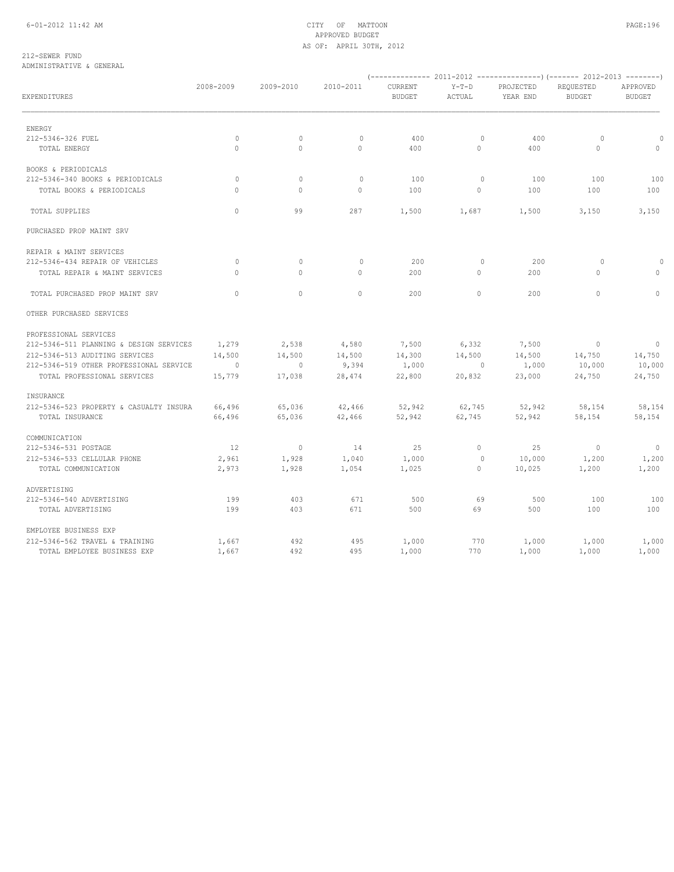212-SEWER FUND ADMINISTRATIVE & GENERAL

| EXPENDITURES                                               | 2008-2009        | 2009-2010        | 2010-2011        | CURRENT<br><b>BUDGET</b> | $Y-T-D$<br>ACTUAL | PROJECTED<br>YEAR END | REQUESTED<br><b>BUDGET</b> | APPROVED<br><b>BUDGET</b> |
|------------------------------------------------------------|------------------|------------------|------------------|--------------------------|-------------------|-----------------------|----------------------------|---------------------------|
| ENERGY                                                     |                  |                  |                  |                          |                   |                       |                            |                           |
| 212-5346-326 FUEL                                          | $\circ$          | $\circ$          | $\mathbf{0}$     | 400                      | $\circ$           | 400                   | $\circ$                    | $\circ$                   |
| TOTAL ENERGY                                               | $\circ$          | $\mathbf{0}$     | $\circ$          | 400                      | $\circ$           | 400                   | $\circ$                    | $\circ$                   |
| BOOKS & PERIODICALS                                        |                  |                  |                  |                          |                   |                       |                            |                           |
| 212-5346-340 BOOKS & PERIODICALS                           | $\circ$          | $\circ$          | $\mathbf{0}$     | 100                      | $\circ$           | 100                   | 100                        | 100                       |
| TOTAL BOOKS & PERIODICALS                                  | $\Omega$         | $\mathbf{0}$     | $\circ$          | 100                      | $\circ$           | 100                   | 100                        | 100                       |
| TOTAL SUPPLIES                                             | $\Omega$         | 99               | 287              | 1,500                    | 1,687             | 1,500                 | 3,150                      | 3,150                     |
| PURCHASED PROP MAINT SRV                                   |                  |                  |                  |                          |                   |                       |                            |                           |
| REPAIR & MAINT SERVICES                                    |                  |                  |                  |                          |                   |                       |                            |                           |
| 212-5346-434 REPAIR OF VEHICLES                            | $\mathbf{0}$     | $\circ$          | $\mathbf{0}$     | 200                      | $\circ$           | 200                   | $\circ$                    | $\circ$                   |
| TOTAL REPAIR & MAINT SERVICES                              | $\circ$          | 0                | $\circ$          | 200                      | $\circ$           | 200                   | $\circ$                    | $\circ$                   |
| TOTAL PURCHASED PROP MAINT SRV                             | $\circ$          | $\mathbf{0}$     | $\circ$          | 200                      | $\circ$           | 200                   | $\circ$                    | $\circ$                   |
| OTHER PURCHASED SERVICES                                   |                  |                  |                  |                          |                   |                       |                            |                           |
| PROFESSIONAL SERVICES                                      |                  |                  |                  |                          |                   |                       |                            |                           |
| 212-5346-511 PLANNING & DESIGN SERVICES                    | 1,279            | 2,538            | 4,580            | 7,500                    | 6,332             | 7,500                 | $\sim$ 0                   | $\overline{\phantom{0}}$  |
| 212-5346-513 AUDITING SERVICES                             | 14,500           | 14,500           | 14,500           | 14,300                   | 14,500            | 14,500                | 14,750                     | 14,750                    |
| 212-5346-519 OTHER PROFESSIONAL SERVICE                    | $\sim$ 0         | $\circ$          | 9,394            | 1,000                    | $\sim$ 0          | 1,000                 | 10,000                     | 10,000                    |
| TOTAL PROFESSIONAL SERVICES                                | 15,779           | 17,038           | 28,474           | 22,800                   | 20,832            | 23,000                | 24,750                     | 24,750                    |
| INSURANCE                                                  |                  |                  |                  |                          |                   |                       |                            |                           |
| 212-5346-523 PROPERTY & CASUALTY INSURA<br>TOTAL INSURANCE | 66,496<br>66,496 | 65,036<br>65,036 | 42,466<br>42,466 | 52,942<br>52,942         | 62,745<br>62,745  | 52,942<br>52,942      | 58,154<br>58,154           | 58,154<br>58,154          |
|                                                            |                  |                  |                  |                          |                   |                       |                            |                           |
| COMMUNICATION<br>212-5346-531 POSTAGE                      | 12               | $\overline{0}$   | 14               | 25                       | $\circ$           | 25                    | $\overline{0}$             | $\overline{0}$            |
| 212-5346-533 CELLULAR PHONE                                | 2,961            | 1,928            | 1,040            | 1,000                    | $\circ$           | 10,000                | 1,200                      | 1,200                     |
| TOTAL COMMUNICATION                                        | 2,973            | 1,928            | 1,054            | 1,025                    | $\circ$           | 10,025                | 1,200                      | 1,200                     |
| ADVERTISING                                                |                  |                  |                  |                          |                   |                       |                            |                           |
| 212-5346-540 ADVERTISING                                   | 199              | 403              | 671              | 500                      | 69                | 500                   | 100                        | 100                       |
| TOTAL ADVERTISING                                          | 199              | 403              | 671              | 500                      | 69                | 500                   | 100                        | 100                       |
| EMPLOYEE BUSINESS EXP                                      |                  |                  |                  |                          |                   |                       |                            |                           |
| 212-5346-562 TRAVEL & TRAINING                             | 1,667            | 492              | 495              | 1,000                    | 770               | 1,000                 | 1,000                      | 1,000                     |
| TOTAL EMPLOYEE BUSINESS EXP                                | 1,667            | 492              | 495              | 1,000                    | 770               | 1,000                 | 1,000                      | 1,000                     |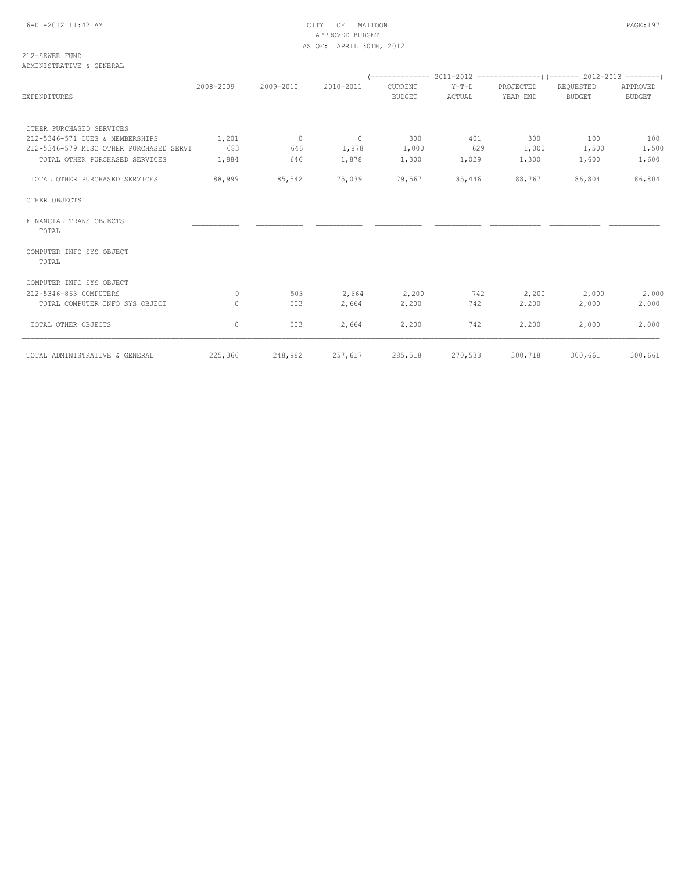212-SEWER FUND ADMINISTRATIVE & GENERAL

| EXPENDITURES                            | 2008-2009 | 2009-2010 | 2010-2011 | CURRENT<br><b>BUDGET</b> | $Y-T-D$<br>ACTUAL | PROJECTED<br>YEAR END | REQUESTED<br><b>BUDGET</b> | APPROVED<br><b>BUDGET</b> |
|-----------------------------------------|-----------|-----------|-----------|--------------------------|-------------------|-----------------------|----------------------------|---------------------------|
|                                         |           |           |           |                          |                   |                       |                            |                           |
| OTHER PURCHASED SERVICES                |           |           |           |                          |                   |                       |                            |                           |
| 212-5346-571 DUES & MEMBERSHIPS         | 1,201     | $\sim$ 0  | $\sim$ 0  | 300                      | 401               | 300                   | 100                        | 100                       |
| 212-5346-579 MISC OTHER PURCHASED SERVI | 683       | 646       | 1,878     | 1,000                    | 629               | 1,000                 | 1,500                      | 1,500                     |
| TOTAL OTHER PURCHASED SERVICES          | 1,884     | 646       | 1,878     | 1,300                    | 1,029             | 1,300                 | 1,600                      | 1,600                     |
| TOTAL OTHER PURCHASED SERVICES          | 88,999    | 85,542    | 75,039    | 79,567                   | 85,446            | 88,767                | 86,804                     | 86,804                    |
| OTHER OBJECTS                           |           |           |           |                          |                   |                       |                            |                           |
| FINANCIAL TRANS OBJECTS<br>TOTAL        |           |           |           |                          |                   |                       |                            |                           |
| COMPUTER INFO SYS OBJECT<br>TOTAL       |           |           |           |                          |                   |                       |                            |                           |
| COMPUTER INFO SYS OBJECT                |           |           |           |                          |                   |                       |                            |                           |
| 212-5346-863 COMPUTERS                  | $\Omega$  | 503       | 2,664     | 2,200                    | 742               | 2,200                 | 2,000                      | 2,000                     |
| TOTAL COMPUTER INFO SYS OBJECT          | $\Omega$  | 503       | 2,664     | 2,200                    | 742               | 2,200                 | 2,000                      | 2,000                     |
| TOTAL OTHER OBJECTS                     | 0         | 503       | 2,664     | 2,200                    | 742               | 2,200                 | 2,000                      | 2,000                     |
| TOTAL ADMINISTRATIVE & GENERAL          | 225,366   | 248,982   | 257,617   | 285,518                  | 270,533           | 300,718               | 300,661                    | 300,661                   |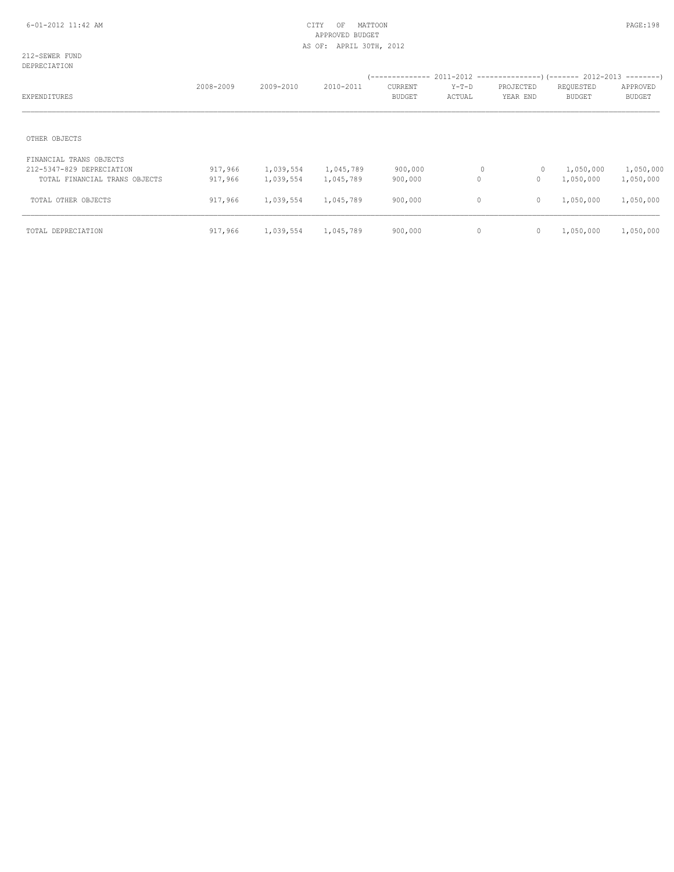212-SEWER FUND DEPRECIATION

| EXPENDITURES                  | 2008-2009 | 2009-2010 | 2010-2011 | CURRENT<br><b>BUDGET</b> | Y-T-D<br>ACTUAL | PROJECTED<br>YEAR END | REQUESTED<br><b>BUDGET</b> | APPROVED<br><b>BUDGET</b> |
|-------------------------------|-----------|-----------|-----------|--------------------------|-----------------|-----------------------|----------------------------|---------------------------|
| OTHER OBJECTS                 |           |           |           |                          |                 |                       |                            |                           |
|                               |           |           |           |                          |                 |                       |                            |                           |
| FINANCIAL TRANS OBJECTS       |           |           |           |                          |                 |                       |                            |                           |
| 212-5347-829 DEPRECIATION     | 917,966   | 1,039,554 | 1,045,789 | 900,000                  | $\circ$         | $\circ$               | 1,050,000                  | 1,050,000                 |
| TOTAL FINANCIAL TRANS OBJECTS | 917,966   | 1,039,554 | 1,045,789 | 900,000                  | $\circ$         | $\circ$               | 1,050,000                  | 1,050,000                 |
| TOTAL OTHER OBJECTS           | 917,966   | 1,039,554 | 1,045,789 | 900,000                  | $\circ$         | $\mathbf{0}$          | 1,050,000                  | 1,050,000                 |
| TOTAL DEPRECIATION            | 917,966   | 1,039,554 | 1,045,789 | 900,000                  | $\mathbf{0}$    | $\mathbb O$           | 1,050,000                  | 1,050,000                 |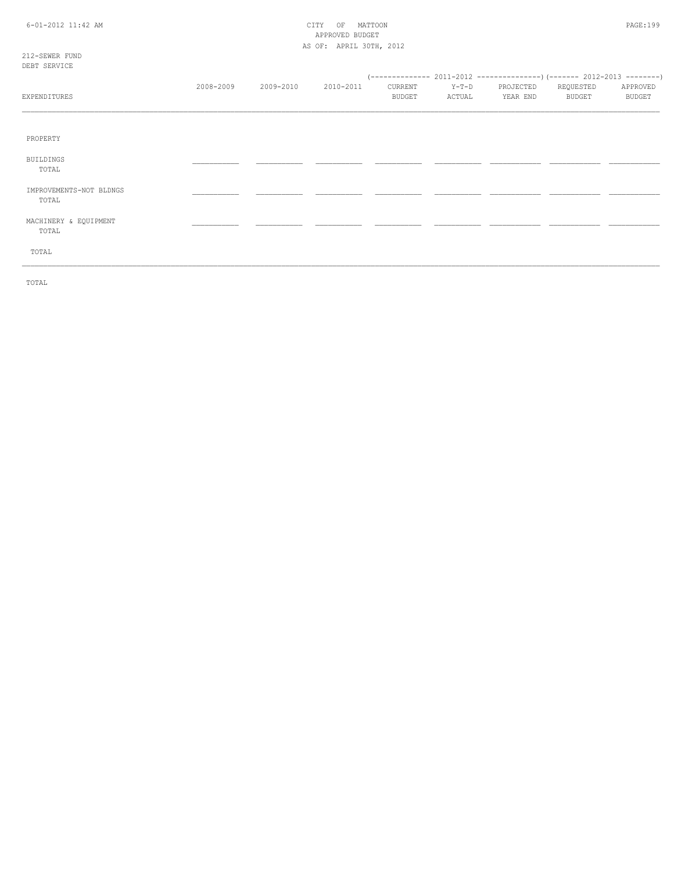## 6-01-2012 11:42 AM CITY OF MATTOON PAGE:199 APPROVED BUDGET AS OF: APRIL 30TH, 2012

212-SEWER FUND DEBT SERVICE

| EXPENDITURES                     | 2008-2009 | 2009-2010 | 2010-2011 | CURRENT<br><b>BUDGET</b> | $Y-T-D$<br>ACTUAL | PROJECTED<br>YEAR END | REQUESTED<br>BUDGET | APPROVED<br><b>BUDGET</b> |
|----------------------------------|-----------|-----------|-----------|--------------------------|-------------------|-----------------------|---------------------|---------------------------|
| PROPERTY                         |           |           |           |                          |                   |                       |                     |                           |
| <b>BUILDINGS</b><br>TOTAL        |           |           |           |                          |                   |                       |                     |                           |
| IMPROVEMENTS-NOT BLDNGS<br>TOTAL |           |           |           |                          |                   |                       |                     |                           |
| MACHINERY & EQUIPMENT<br>TOTAL   |           |           |           |                          |                   |                       |                     |                           |
| TOTAL                            |           |           |           |                          |                   |                       |                     |                           |

TOTAL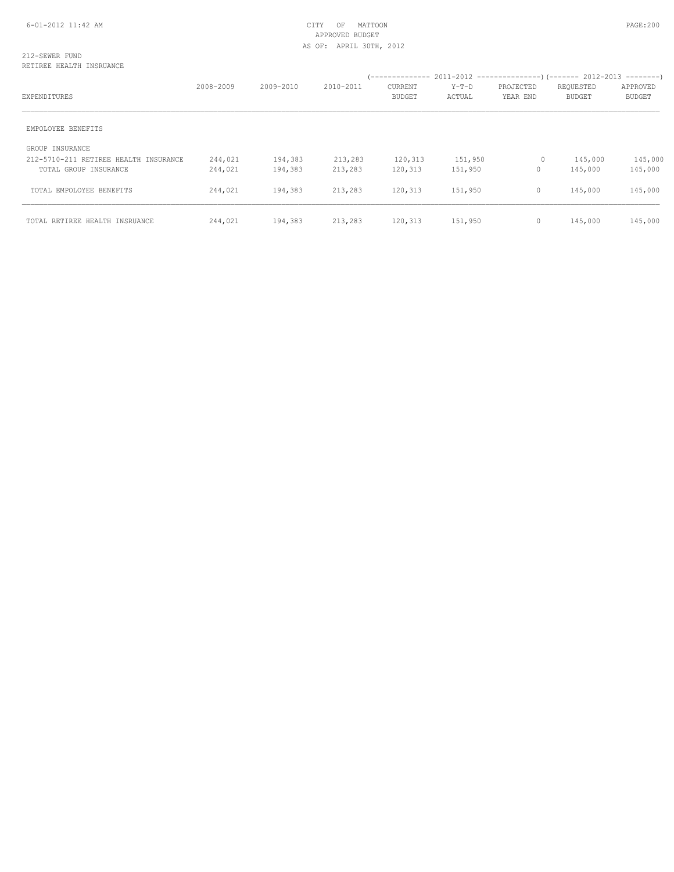#### 212-SEWER FUND RETIREE HEALTH INSRUANCE

|                                       | 2008-2009 | 2009-2010 | 2010-2011 | <b>CURRENT</b> | $Y-T-D$ | PROJECTED    | REQUESTED     | APPROVED      |
|---------------------------------------|-----------|-----------|-----------|----------------|---------|--------------|---------------|---------------|
| EXPENDITURES                          |           |           |           | <b>BUDGET</b>  | ACTUAL  | YEAR END     | <b>BUDGET</b> | <b>BUDGET</b> |
| EMPOLOYEE BENEFITS                    |           |           |           |                |         |              |               |               |
| GROUP INSURANCE                       |           |           |           |                |         |              |               |               |
| 212-5710-211 RETIREE HEALTH INSURANCE | 244,021   | 194,383   | 213,283   | 120,313        | 151,950 | 0            | 145,000       | 145,000       |
| TOTAL GROUP INSURANCE                 | 244,021   | 194,383   | 213,283   | 120,313        | 151,950 | 0            | 145,000       | 145,000       |
| TOTAL EMPOLOYEE BENEFITS              | 244,021   | 194,383   | 213,283   | 120,313        | 151,950 | $\circ$      | 145,000       | 145,000       |
| TOTAL RETIREE HEALTH INSRUANCE        | 244,021   | 194,383   | 213,283   | 120,313        | 151,950 | $\mathbf{0}$ | 145,000       | 145,000       |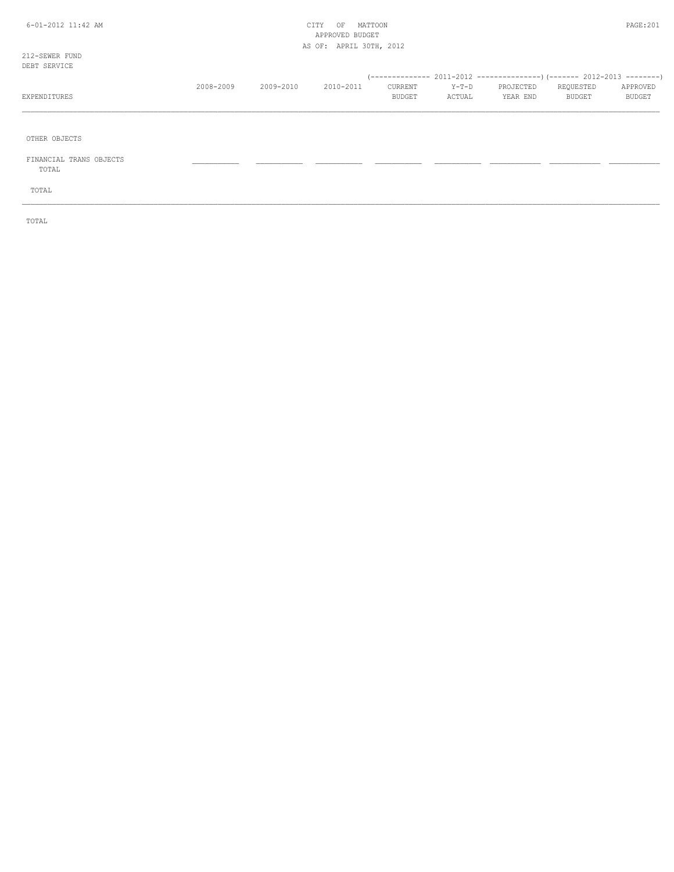## 6-01-2012 11:42 AM CITY OF MATTOON PAGE:201 APPROVED BUDGET AS OF: APRIL 30TH, 2012

212-SEWER FUND DEB<sub>T</sub>

| DEBT SERVICE |           |           |           |               |         |           |           |               |
|--------------|-----------|-----------|-----------|---------------|---------|-----------|-----------|---------------|
|              |           |           |           |               |         |           |           |               |
|              | 2008-2009 | 2009-2010 | 2010-2011 | CURRENT       | $Y-T-D$ | PROJECTED | REOUESTED | APPROVED      |
| EXPENDITURES |           |           |           | <b>BUDGET</b> | ACTUAL  | YEAR END  | BUDGET    | <b>BUDGET</b> |
|              |           |           |           |               |         |           |           |               |

\_\_\_\_\_\_\_\_\_\_\_\_\_\_\_\_\_\_\_\_\_\_\_\_\_\_\_\_\_\_\_\_\_\_\_\_\_\_\_\_\_\_\_\_\_\_\_\_\_\_\_\_\_\_\_\_\_\_\_\_\_\_\_\_\_\_\_\_\_\_\_\_\_\_\_\_\_\_\_\_\_\_\_\_\_\_\_\_\_\_\_\_\_\_\_\_\_\_\_\_\_\_\_\_\_\_\_\_\_\_\_\_\_\_\_\_\_\_\_\_\_\_\_\_\_\_\_\_\_\_\_\_\_\_\_\_\_\_\_\_\_\_\_\_\_\_\_\_\_\_

OTHER OBJECTS

 FINANCIAL TRANS OBJECTS \_\_\_\_\_\_\_\_\_\_\_ \_\_\_\_\_\_\_\_\_\_\_ \_\_\_\_\_\_\_\_\_\_\_ \_\_\_\_\_\_\_\_\_\_\_ \_\_\_\_\_\_\_\_\_\_\_ \_\_\_\_\_\_\_\_\_\_\_\_ \_\_\_\_\_\_\_\_\_\_\_\_ \_\_\_\_\_\_\_\_\_\_\_\_ TOTAL

TOTAL

TOTAL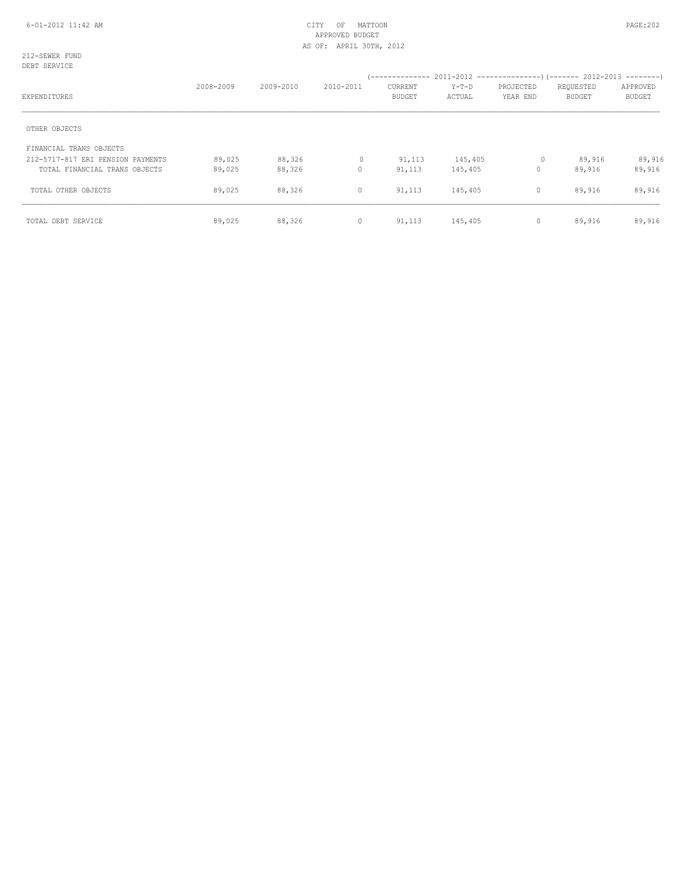212-SEWER FUND DEBT SERVICE

| EXPENDITURES                      | 2008-2009 | 2009-2010 | 2010-2011 | <b>CURRENT</b><br><b>BUDGET</b> | $Y-T-D$<br>ACTUAL | PROJECTED<br>YEAR END | REQUESTED<br><b>BUDGET</b> | APPROVED<br><b>BUDGET</b> |
|-----------------------------------|-----------|-----------|-----------|---------------------------------|-------------------|-----------------------|----------------------------|---------------------------|
| OTHER OBJECTS                     |           |           |           |                                 |                   |                       |                            |                           |
| FINANCIAL TRANS OBJECTS           |           |           |           |                                 |                   |                       |                            |                           |
| 212-5717-817 ERI PENSION PAYMENTS | 89,025    | 88,326    | $\circ$   | 91,113                          | 145,405           | $\circ$               | 89,916                     | 89,916                    |
| TOTAL FINANCIAL TRANS OBJECTS     | 89,025    | 88,326    | 0         | 91,113                          | 145,405           | 0                     | 89,916                     | 89,916                    |
| TOTAL OTHER OBJECTS               | 89,025    | 88,326    | $\circ$   | 91,113                          | 145,405           | $\mathbf{0}$          | 89,916                     | 89,916                    |
| TOTAL DEBT SERVICE                | 89,025    | 88,326    | $\circ$   | 91,113                          | 145,405           | 0                     | 89,916                     | 89,916                    |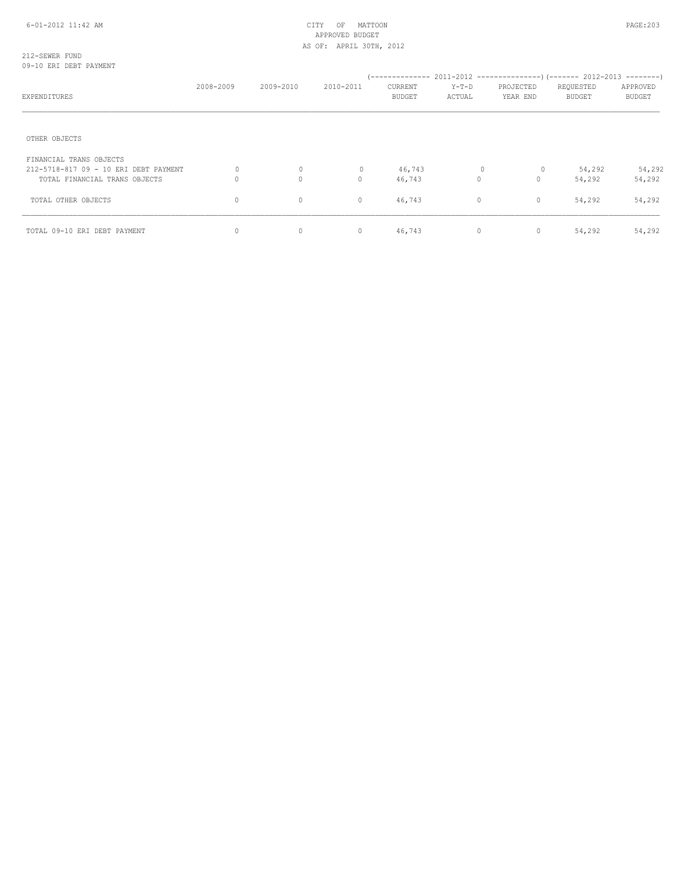## 6-01-2012 11:42 AM CITY OF MATTOON PAGE:203 APPROVED BUDGET AS OF: APRIL 30TH, 2012

#### 212-SEWER FUND 09-10 ERI DEBT PAYMENT

| EXPENDITURES                                                           | 2008-2009 | 2009-2010         | 2010-2011     | CURRENT<br><b>BUDGET</b> | $Y-T-D$<br>ACTUAL | PROJECTED<br>YEAR END | REQUESTED<br><b>BUDGET</b> | APPROVED<br><b>BUDGET</b> |
|------------------------------------------------------------------------|-----------|-------------------|---------------|--------------------------|-------------------|-----------------------|----------------------------|---------------------------|
| OTHER OBJECTS                                                          |           |                   |               |                          |                   |                       |                            |                           |
| FINANCIAL TRANS OBJECTS                                                |           |                   |               |                          |                   |                       |                            |                           |
| 212-5718-817 09 - 10 ERI DEBT PAYMENT<br>TOTAL FINANCIAL TRANS OBJECTS | 0         | 0<br>$\mathbf{0}$ | 0<br>$\Omega$ | 46,743<br>46,743         | 0<br>$\Omega$     | 0<br>$\mathbf{0}$     | 54,292<br>54,292           | 54,292<br>54,292          |
| TOTAL OTHER OBJECTS                                                    | 0         | 0                 | 0             | 46,743                   | $\circ$           | $\mathbb O$           | 54,292                     | 54,292                    |
| TOTAL 09-10 ERI DEBT PAYMENT                                           | $\circ$   | $\circ$           | $\circ$       | 46,743                   | $\circ$           | $\mathbf 0$           | 54,292                     | 54,292                    |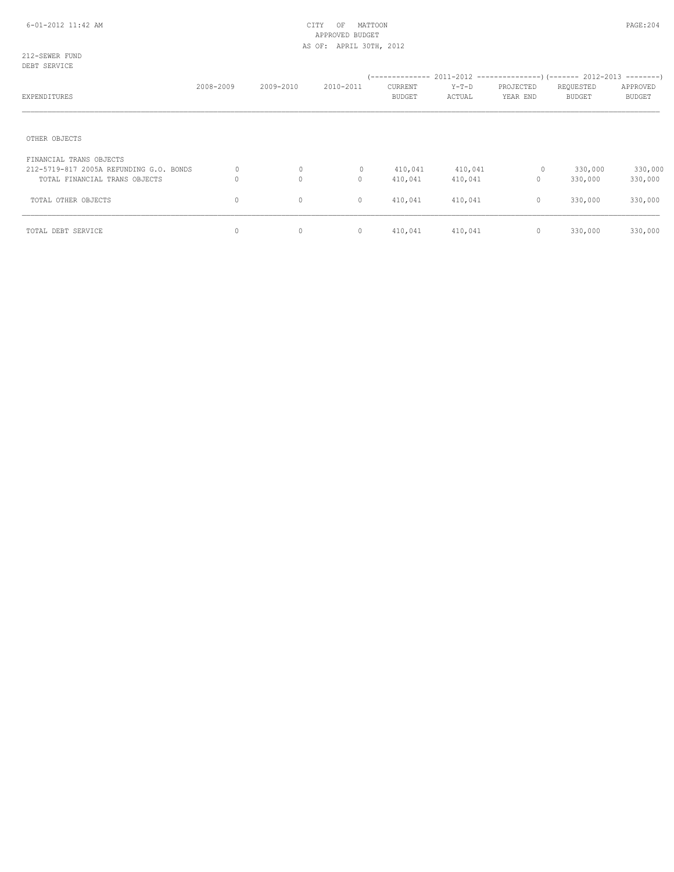212-SEWER FUND DEBT SERVICE

| EXPENDITURES                                                                                        | 2008-2009 | 2009-2010    | 2010-2011         | <b>CURRENT</b><br><b>BUDGET</b> | Y-T-D<br>ACTUAL    | PROJECTED<br>YEAR END | REQUESTED<br><b>BUDGET</b> | APPROVED<br><b>BUDGET</b> |
|-----------------------------------------------------------------------------------------------------|-----------|--------------|-------------------|---------------------------------|--------------------|-----------------------|----------------------------|---------------------------|
| OTHER OBJECTS                                                                                       |           |              |                   |                                 |                    |                       |                            |                           |
| FINANCIAL TRANS OBJECTS<br>212-5719-817 2005A REFUNDING G.O. BONDS<br>TOTAL FINANCIAL TRANS OBJECTS | 0<br>0    | 0<br>$\circ$ | $\mathbf{0}$<br>0 | 410,041<br>410,041              | 410,041<br>410,041 | $\circ$<br>$\circ$    | 330,000<br>330,000         | 330,000<br>330,000        |
| TOTAL OTHER OBJECTS                                                                                 | 0         | $\circ$      | $\circ$           | 410,041                         | 410,041            | $\mathbf{0}$          | 330,000                    | 330,000                   |
| TOTAL DEBT SERVICE                                                                                  | 0         | $\circ$      | $\circ$           | 410,041                         | 410,041            | $\circ$               | 330,000                    | 330,000                   |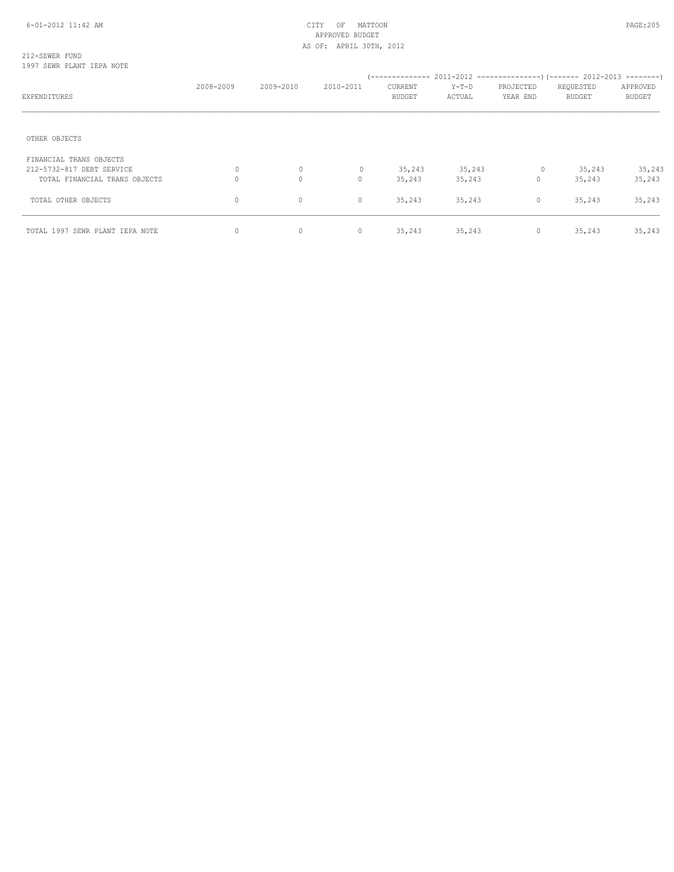## 212-SEWER FUND 1997 SEWR PLANT IEPA NOTE

|                                 | 2008-2009 | 2009-2010 | 2010-2011    | CURRENT | Y-T-D  | PROJECTED    | REQUESTED | APPROVED      |
|---------------------------------|-----------|-----------|--------------|---------|--------|--------------|-----------|---------------|
| EXPENDITURES                    |           |           |              | BUDGET  | ACTUAL | YEAR END     | BUDGET    | <b>BUDGET</b> |
|                                 |           |           |              |         |        |              |           |               |
| OTHER OBJECTS                   |           |           |              |         |        |              |           |               |
| FINANCIAL TRANS OBJECTS         |           |           |              |         |        |              |           |               |
| 212-5732-817 DEBT SERVICE       | 0         | $\circ$   | $\mathbf{0}$ | 35,243  | 35,243 | 0            | 35,243    | 35,243        |
| TOTAL FINANCIAL TRANS OBJECTS   | O         | $\circ$   | $\circ$      | 35,243  | 35,243 | $\circ$      | 35,243    | 35,243        |
| TOTAL OTHER OBJECTS             | $\circ$   | $\circ$   | $\circ$      | 35,243  | 35,243 | $\circ$      | 35,243    | 35,243        |
| TOTAL 1997 SEWR PLANT IEPA NOTE | 0         | $\circ$   | $\circ$      | 35,243  | 35,243 | $\mathbf{0}$ | 35,243    | 35,243        |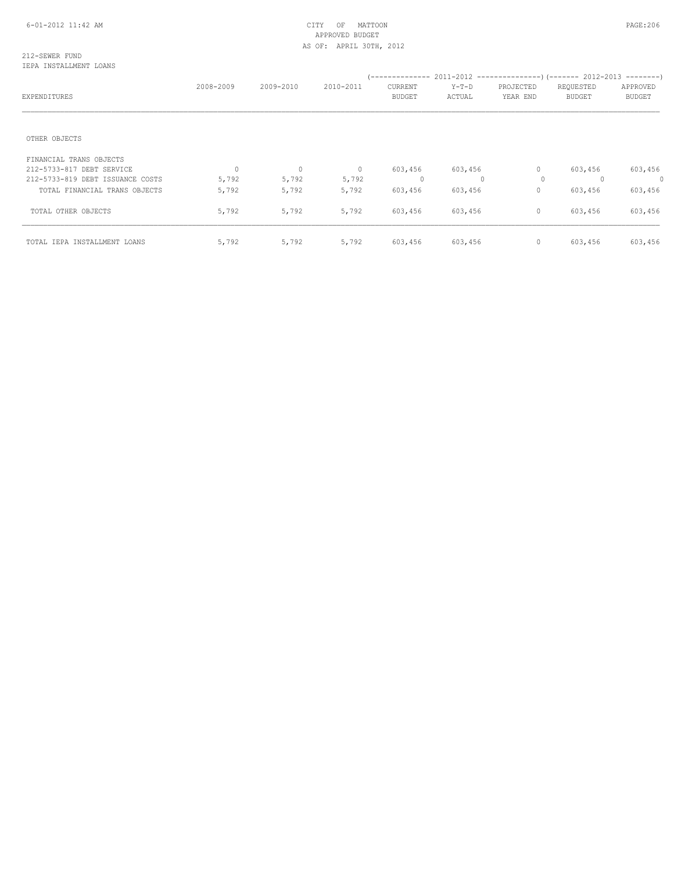#### 212-SEWER FUND IEPA INSTALLMENT LOANS

| EXPENDITURES                     | 2008-2009 | 2009-2010    | 2010-2011      | (--------------<br>CURRENT<br><b>BUDGET</b> | $Y-T-D$<br>ACTUAL | PROJECTED<br>YEAR END | $2011-2012$ ----------------) (------- 2012-2013 --------)<br>REQUESTED<br><b>BUDGET</b> | APPROVED<br><b>BUDGET</b> |
|----------------------------------|-----------|--------------|----------------|---------------------------------------------|-------------------|-----------------------|------------------------------------------------------------------------------------------|---------------------------|
| OTHER OBJECTS                    |           |              |                |                                             |                   |                       |                                                                                          |                           |
| FINANCIAL TRANS OBJECTS          |           |              |                |                                             |                   |                       |                                                                                          |                           |
| 212-5733-817 DEBT SERVICE        | $\Omega$  | $\mathbf{0}$ | $\overline{0}$ | 603,456                                     | 603,456           | $\circ$               | 603,456                                                                                  | 603,456                   |
| 212-5733-819 DEBT ISSUANCE COSTS | 5,792     | 5,792        | 5,792          | $\mathbf{0}$                                |                   | 0                     | $\Omega$                                                                                 | $\circ$                   |
| TOTAL FINANCIAL TRANS OBJECTS    | 5,792     | 5,792        | 5,792          | 603,456                                     | 603,456           | $\circ$               | 603,456                                                                                  | 603,456                   |
| TOTAL OTHER OBJECTS              | 5,792     | 5,792        | 5,792          | 603,456                                     | 603,456           | $\circ$               | 603,456                                                                                  | 603,456                   |
| TOTAL IEPA INSTALLMENT LOANS     | 5,792     | 5,792        | 5,792          | 603,456                                     | 603,456           | $\circ$               | 603,456                                                                                  | 603,456                   |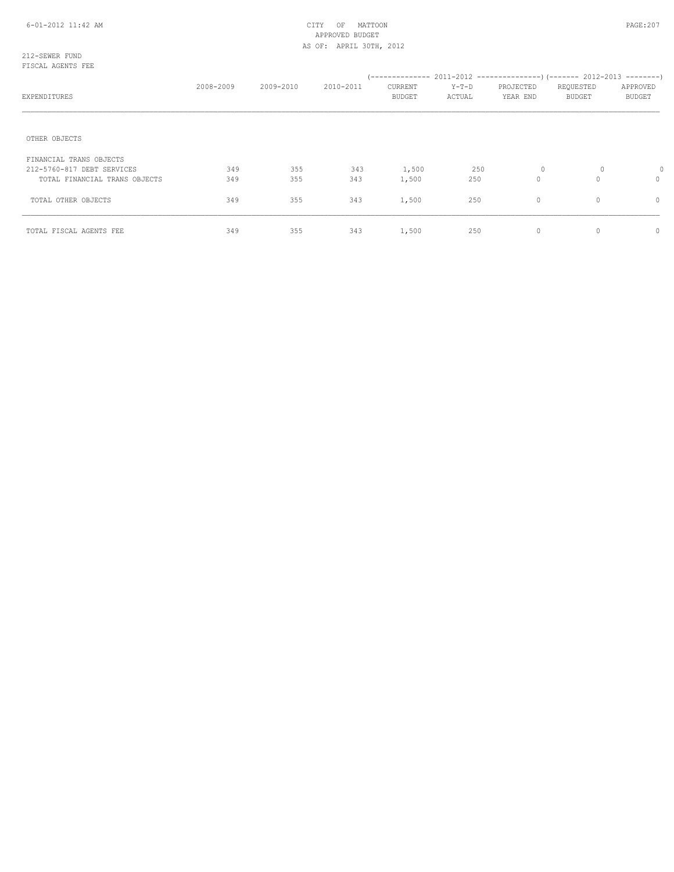#### 212-SEWER FUND FISCAL AGENTS FEE

|                               | 2008-2009 | 2009-2010 | 2010-2011 | CURRENT       | $Y-T-D$ | PROJECTED   | REQUESTED     | APPROVED      |
|-------------------------------|-----------|-----------|-----------|---------------|---------|-------------|---------------|---------------|
| EXPENDITURES                  |           |           |           | <b>BUDGET</b> | ACTUAL  | YEAR END    | <b>BUDGET</b> | <b>BUDGET</b> |
|                               |           |           |           |               |         |             |               |               |
| OTHER OBJECTS                 |           |           |           |               |         |             |               |               |
| FINANCIAL TRANS OBJECTS       |           |           |           |               |         |             |               |               |
| 212-5760-817 DEBT SERVICES    | 349       | 355       | 343       | 1,500         | 250     | 0           | 0             |               |
| TOTAL FINANCIAL TRANS OBJECTS | 349       | 355       | 343       | 1,500         | 250     | $\mathbf 0$ | $\Omega$      | $\Omega$      |
| TOTAL OTHER OBJECTS           | 349       | 355       | 343       | 1,500         | 250     | $\circ$     | $\circ$       | 0             |
| TOTAL FISCAL AGENTS FEE       | 349       | 355       | 343       | 1,500         | 250     | $\circ$     | $\Omega$      | 0             |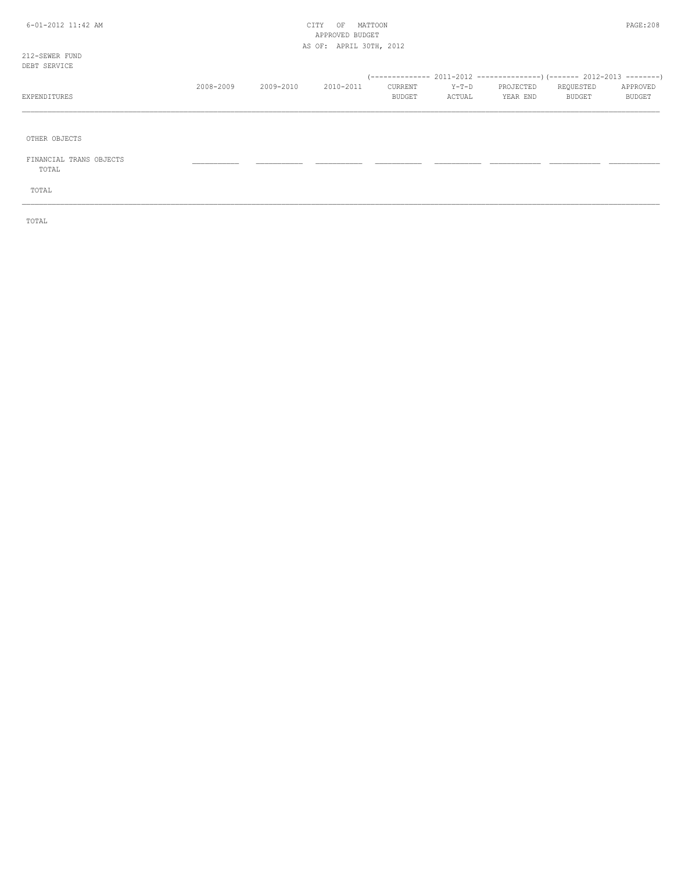## 6-01-2012 11:42 AM CITY OF MATTOON PAGE:208 APPROVED BUDGET AS OF: APRIL 30TH, 2012

\_\_\_\_\_\_\_\_\_\_\_\_\_\_\_\_\_\_\_\_\_\_\_\_\_\_\_\_\_\_\_\_\_\_\_\_\_\_\_\_\_\_\_\_\_\_\_\_\_\_\_\_\_\_\_\_\_\_\_\_\_\_\_\_\_\_\_\_\_\_\_\_\_\_\_\_\_\_\_\_\_\_\_\_\_\_\_\_\_\_\_\_\_\_\_\_\_\_\_\_\_\_\_\_\_\_\_\_\_\_\_\_\_\_\_\_\_\_\_\_\_\_\_\_\_\_\_\_\_\_\_\_\_\_\_\_\_\_\_\_\_\_\_\_\_\_\_\_\_\_

\_\_\_\_\_\_\_\_\_\_\_\_\_\_\_\_\_\_\_\_\_\_\_\_\_\_\_\_\_\_\_\_\_\_\_\_\_\_\_\_\_\_\_\_\_\_\_\_\_\_\_\_\_\_\_\_\_\_\_\_\_\_\_\_\_\_\_\_\_\_\_\_\_\_\_\_\_\_\_\_\_\_\_\_\_\_\_\_\_\_\_\_\_\_\_\_\_\_\_\_\_\_\_\_\_\_\_\_\_\_\_\_\_\_\_\_\_\_\_\_\_\_\_\_\_\_\_\_\_\_\_\_\_\_\_\_\_\_\_\_\_\_\_\_\_\_\_\_\_\_

212-SEWER FUND DEBT SERVICE

OTHER OBJECTS

 FINANCIAL TRANS OBJECTS \_\_\_\_\_\_\_\_\_\_\_ \_\_\_\_\_\_\_\_\_\_\_ \_\_\_\_\_\_\_\_\_\_\_ \_\_\_\_\_\_\_\_\_\_\_ \_\_\_\_\_\_\_\_\_\_\_ \_\_\_\_\_\_\_\_\_\_\_\_ \_\_\_\_\_\_\_\_\_\_\_\_ \_\_\_\_\_\_\_\_\_\_\_\_ TOTAL

TOTAL

TOTAL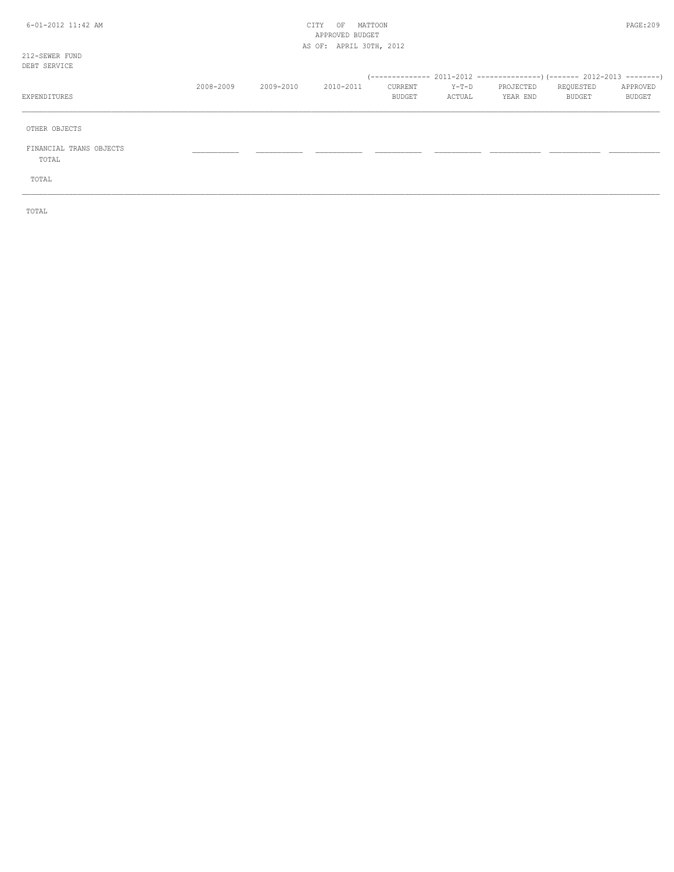## 6-01-2012 11:42 AM CITY OF MATTOON PAGE:209 APPROVED BUDGET AS OF: APRIL 30TH, 2012

212-SEWER FUND

| DEBT SERVICE                     |           |           |           |                   |                   |                       |                     |                    |
|----------------------------------|-----------|-----------|-----------|-------------------|-------------------|-----------------------|---------------------|--------------------|
| EXPENDITURES                     | 2008-2009 | 2009-2010 | 2010-2011 | CURRENT<br>BUDGET | $Y-T-D$<br>ACTUAL | PROJECTED<br>YEAR END | REQUESTED<br>BUDGET | APPROVED<br>BUDGET |
| OTHER OBJECTS                    |           |           |           |                   |                   |                       |                     |                    |
| FINANCIAL TRANS OBJECTS<br>TOTAL |           |           |           |                   |                   |                       |                     |                    |
| TOTAL                            |           |           |           |                   |                   |                       |                     |                    |

TOTAL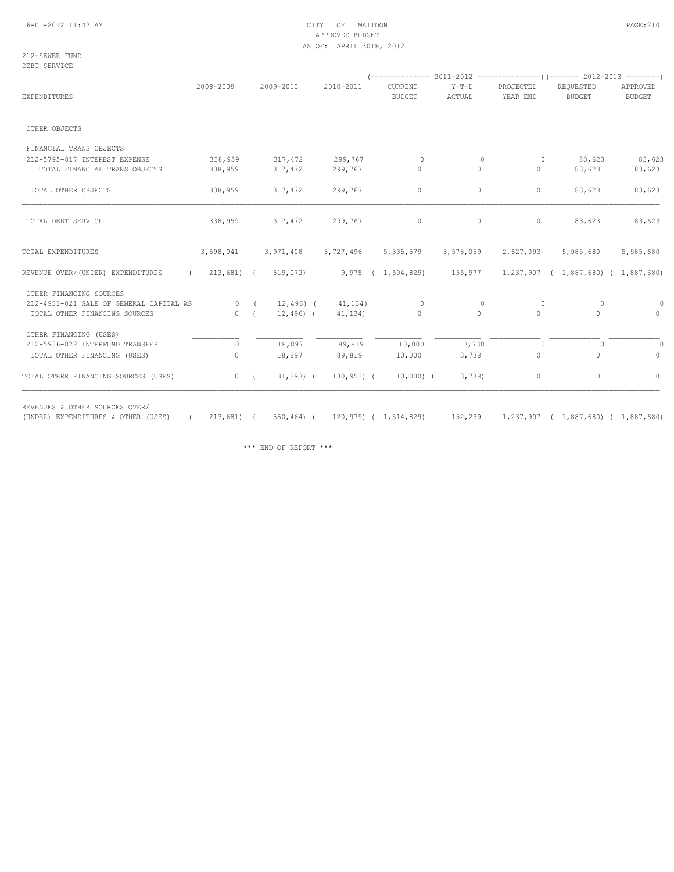## 6-01-2012 11:42 AM CITY OF MATTOON PAGE:210 APPROVED BUDGET AS OF: APRIL 30TH, 2012

212-SEWER FUND DEBT SERVICE

|                                         | 2008-2009 | 2009-2010                 | 2010-2011                 | CURRENT       | $Y-T-D$                    | PROJECTED | REQUESTED                                   | APPROVED      |
|-----------------------------------------|-----------|---------------------------|---------------------------|---------------|----------------------------|-----------|---------------------------------------------|---------------|
| EXPENDITURES                            |           |                           |                           | <b>BUDGET</b> | ACTUAL                     | YEAR END  | BUDGET                                      | <b>BUDGET</b> |
| OTHER OBJECTS                           |           |                           |                           |               |                            |           |                                             |               |
| FINANCIAL TRANS OBJECTS                 |           |                           |                           |               |                            |           |                                             |               |
| 212-5795-817 INTEREST EXPENSE           | 338,959   | 317,472                   | 299,767                   | $\circ$       | $\Omega$                   | $\circ$   | 83,623                                      | 83,623        |
| TOTAL FINANCIAL TRANS OBJECTS           | 338,959   | 317,472                   | 299,767                   | $\circ$       | $\circ$                    | $\circ$   | 83,623                                      | 83,623        |
| TOTAL OTHER OBJECTS                     | 338,959   | 317,472                   | 299,767                   | $\circ$       | $\circ$                    | $\circ$   | 83,623                                      | 83,623        |
| TOTAL DEBT SERVICE                      | 338,959   | 317,472                   | 299,767                   | $\circ$       | $\circ$                    | $\circ$   | 83,623                                      | 83,623        |
| TOTAL EXPENDITURES                      | 3,598,041 |                           | 3,971,408 3,727,496       | 5,335,579     | 3,578,059                  | 2,627,093 | 5,985,680                                   | 5,985,680     |
| REVENUE OVER/(UNDER) EXPENDITURES       |           | $(213,681)$ $(519,072)$   |                           |               | 9,975 ( 1,504,829) 155,977 |           | $1,237,907$ ( $1,887,680$ ) ( $1,887,680$ ) |               |
| OTHER FINANCING SOURCES                 |           |                           |                           |               |                            |           |                                             |               |
| 212-4931-021 SALE OF GENERAL CAPITAL AS |           |                           | 0 ( $12,496$ ( $41,134$ ) | $\circ$       | $\circ$                    | $\circ$   | 0                                           | 0             |
| TOTAL OTHER FINANCING SOURCES           |           | 0(                        | $12,496$ ( $41,134$ )     | $\circ$       | $\Omega$                   | $\Omega$  | $\Omega$                                    | $\bigcap$     |
| OTHER FINANCING (USES)                  |           |                           |                           |               |                            |           |                                             |               |
| 212-5936-822 INTERFUND TRANSFER         | $\Omega$  | 18,897                    | 89,819                    | 10,000        | 3,738                      | $\circ$   | $\Omega$                                    |               |
| TOTAL OTHER FINANCING (USES)            | $\Omega$  | 18,897                    | 89,819                    | 10,000        | 3,738                      | $\circ$   | $\Omega$                                    | $\Omega$      |
| TOTAL OTHER FINANCING SOURCES (USES)    | $\circ$   | $31,393)$ (<br>$\sqrt{2}$ | 130,953) (                | $10,000)$ (   | 3,738                      | $\circ$   | 0                                           | 0             |

REVENUES & OTHER SOURCES OVER/

(UNDER) EXPENDITURES & OTHER (USES) ( 213,681) ( 550,464) ( 120,979) ( 1,514,829) 152,239 1,237,907 ( 1,887,680) ( 1,887,680)

\*\*\* END OF REPORT \*\*\*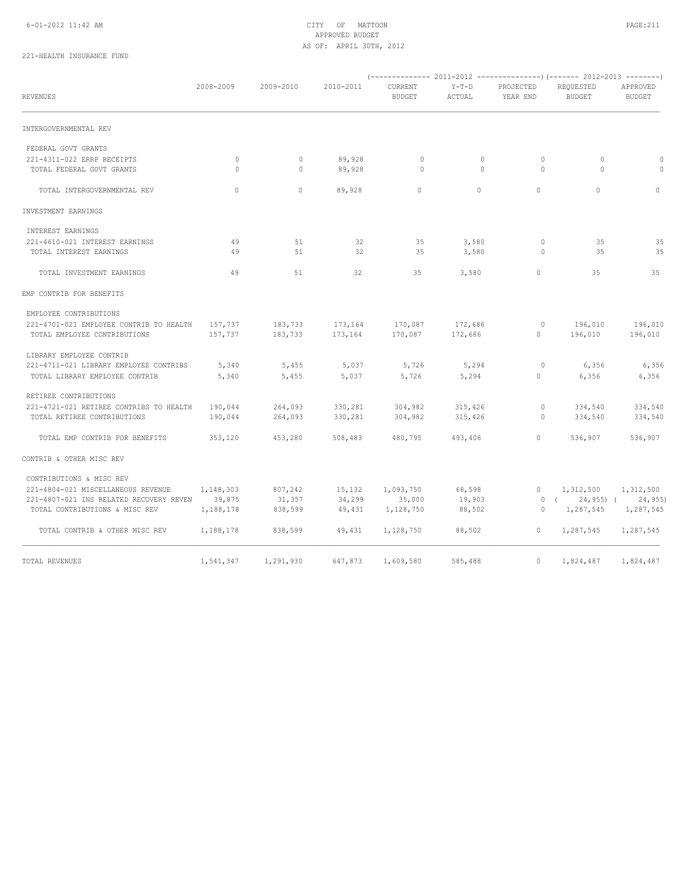## 6-01-2012 11:42 AM CITY OF MATTOON PAGE:211 APPROVED BUDGET AS OF: APRIL 30TH, 2012

## 221-HEALTH INSURANCE FUND

| <b>REVENUES</b>                         | 2008-2009   | 2009-2010 | 2010-2011 | CURRENT<br><b>BUDGET</b> | $Y-T-D$<br>ACTUAL | PROJECTED<br>YEAR END | REQUESTED<br><b>BUDGET</b> | APPROVED<br><b>BUDGET</b> |
|-----------------------------------------|-------------|-----------|-----------|--------------------------|-------------------|-----------------------|----------------------------|---------------------------|
| INTERGOVERNMENTAL REV                   |             |           |           |                          |                   |                       |                            |                           |
| FEDERAL GOVT GRANTS                     |             |           |           |                          |                   |                       |                            |                           |
| 221-4311-022 ERRP RECEIPTS              | $\mathbb O$ | $\circ$   | 89,928    | $\mathbb O$              | $\circ$           | $\circ$               | $\circ$                    | $\circ$                   |
| TOTAL FEDERAL GOVT GRANTS               | $\Omega$    | $\circ$   | 89,928    | $\circ$                  | $\circ$           | $\circ$               | $\Omega$                   | $\Omega$                  |
| TOTAL INTERGOVERNMENTAL REV             | $\circ$     | $\circ$   | 89,928    | $\circ$                  | $\circ$           | $\circ$               | $\circ$                    | $\mathbf 0$               |
| INVESTMENT EARNINGS                     |             |           |           |                          |                   |                       |                            |                           |
| INTEREST EARNINGS                       |             |           |           |                          |                   |                       |                            |                           |
| 221-4610-021 INTEREST EARNINGS          | 49          | 51        | 32        | 35                       | 3,580             | $\circ$               | 35                         | 35                        |
| TOTAL INTEREST EARNINGS                 | 49          | 51        | 32        | 35                       | 3,580             | $\circ$               | 35                         | 35                        |
| TOTAL INVESTMENT EARNINGS               | 49          | 51        | 32        | 35                       | 3,580             | $\circ$               | 35                         | 35                        |
| EMP CONTRIB FOR BENEFITS                |             |           |           |                          |                   |                       |                            |                           |
| EMPLOYEE CONTRIBUTIONS                  |             |           |           |                          |                   |                       |                            |                           |
| 221-4701-021 EMPLOYEE CONTRIB TO HEALTH | 157,737     | 183,733   | 173,164   | 170,087                  | 172,686           | $\circ$               | 196,010                    | 196,010                   |
| TOTAL EMPLOYEE CONTRIBUTIONS            | 157,737     | 183,733   | 173,164   | 170,087                  | 172,686           | $\circ$               | 196,010                    | 196,010                   |
| LIBRARY EMPLOYEE CONTRIB                |             |           |           |                          |                   |                       |                            |                           |
| 221-4711-021 LIBRARY EMPLOYEE CONTRIBS  | 5,340       | 5,455     | 5,037     | 5,726                    | 5,294             | $\circ$               | 6,356                      | 6,356                     |
| TOTAL LIBRARY EMPLOYEE CONTRIB          | 5,340       | 5,455     | 5,037     | 5,726                    | 5,294             | $\mathbf{0}$          | 6,356                      | 6,356                     |
| RETIREE CONTRIBUTIONS                   |             |           |           |                          |                   |                       |                            |                           |
| 221-4721-021 RETIREE CONTRIBS TO HEALTH | 190,044     | 264,093   | 330,281   | 304,982                  | 315,426           | $\circ$               | 334,540                    | 334,540                   |
| TOTAL RETIREE CONTRIBUTIONS             | 190,044     | 264,093   | 330,281   | 304,982                  | 315,426           | 0                     | 334,540                    | 334,540                   |
| TOTAL EMP CONTRIB FOR BENEFITS          | 353,120     | 453,280   | 508,483   | 480,795                  | 493,406           | $\circ$               | 536,907                    | 536,907                   |
| CONTRIB & OTHER MISC REV                |             |           |           |                          |                   |                       |                            |                           |
| CONTRIBUTIONS & MISC REV                |             |           |           |                          |                   |                       |                            |                           |
| 221-4804-021 MISCELLANEOUS REVENUE      | 1,148,303   | 807,242   | 15,132    | 1,093,750                | 68,598            | $\mathbf{0}$          | 1,312,500                  | 1,312,500                 |
| 221-4807-021 INS RELATED RECOVERY REVEN | 39,875      | 31,357    | 34,299    | 35,000                   | 19,903            |                       | 0(<br>$24,955$ ) (         | 24,955                    |
| TOTAL CONTRIBUTIONS & MISC REV          | 1,188,178   | 838,599   | 49,431    | 1,128,750                | 88,502            | 0                     | 1,287,545                  | 1,287,545                 |
| TOTAL CONTRIB & OTHER MISC REV          | 1,188,178   | 838,599   | 49,431    | 1,128,750                | 88,502            | $\circ$               | 1,287,545                  | 1,287,545                 |
| TOTAL REVENUES                          | 1,541,347   | 1,291,930 | 647,873   | 1,609,580                | 585,488           | $\circ$               | 1,824,487                  | 1,824,487                 |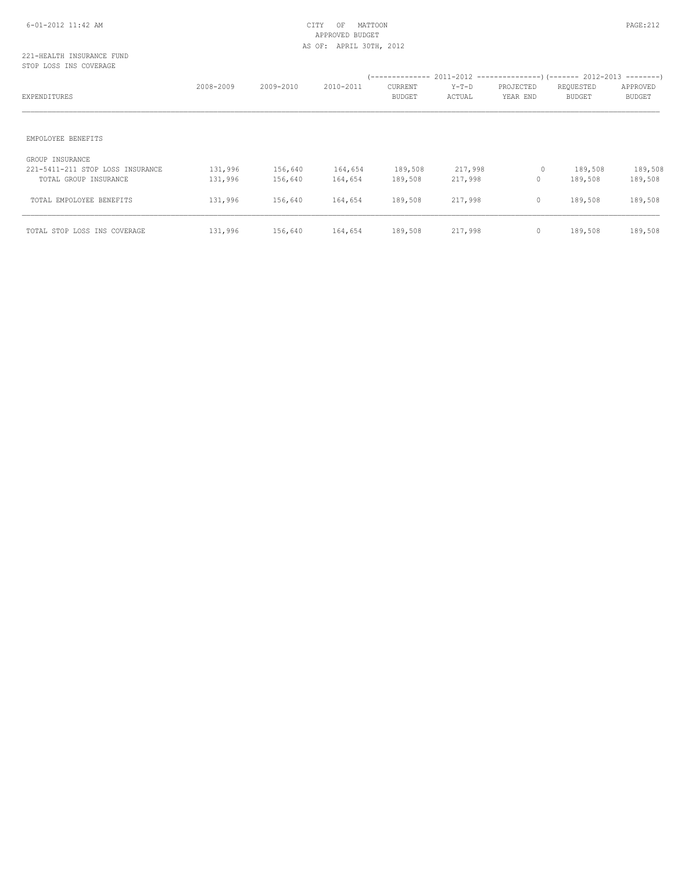## 6-01-2012 11:42 AM CITY OF MATTOON PAGE:212 APPROVED BUDGET AS OF: APRIL 30TH, 2012

### 221-HEALTH INSURANCE FUND STOP LOSS INS COVERAGE

| EXPENDITURES                                                                 | 2008-2009          | 2009-2010          | 2010-2011          | CURRENT<br><b>BUDGET</b> | $Y-T-D$<br>ACTUAL  | PROJECTED<br>YEAR END | REQUESTED<br><b>BUDGET</b> | APPROVED<br><b>BUDGET</b> |
|------------------------------------------------------------------------------|--------------------|--------------------|--------------------|--------------------------|--------------------|-----------------------|----------------------------|---------------------------|
| EMPOLOYEE BENEFITS                                                           |                    |                    |                    |                          |                    |                       |                            |                           |
| GROUP INSURANCE<br>221-5411-211 STOP LOSS INSURANCE<br>TOTAL GROUP INSURANCE | 131,996<br>131,996 | 156,640<br>156,640 | 164,654<br>164,654 | 189,508<br>189,508       | 217,998<br>217,998 | 0<br>$\circ$          | 189,508<br>189,508         | 189,508<br>189,508        |
| TOTAL EMPOLOYEE BENEFITS                                                     | 131,996            | 156,640            | 164,654            | 189,508                  | 217,998            | $\circ$               | 189,508                    | 189,508                   |
| TOTAL STOP LOSS INS COVERAGE                                                 | 131,996            | 156,640            | 164,654            | 189,508                  | 217,998            | $\mathbf 0$           | 189,508                    | 189,508                   |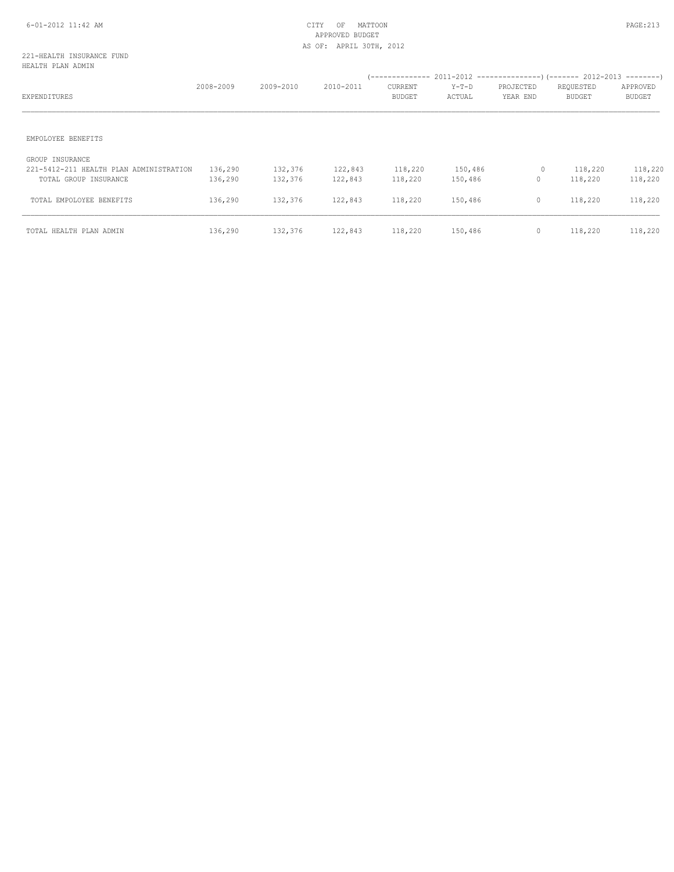## 6-01-2012 11:42 AM CITY OF MATTOON PAGE:213 APPROVED BUDGET AS OF: APRIL 30TH, 2012

## 221-HEALTH INSURANCE FUND HEALTH PLAN ADMIN

| EXPENDITURES                                                                        | 2008-2009          | 2009-2010          | 2010-2011          | CURRENT<br><b>BUDGET</b> | Y-T-D<br>ACTUAL    | PROJECTED<br>YEAR END | REQUESTED<br><b>BUDGET</b> | APPROVED<br><b>BUDGET</b> |
|-------------------------------------------------------------------------------------|--------------------|--------------------|--------------------|--------------------------|--------------------|-----------------------|----------------------------|---------------------------|
| EMPOLOYEE BENEFITS                                                                  |                    |                    |                    |                          |                    |                       |                            |                           |
| GROUP INSURANCE<br>221-5412-211 HEALTH PLAN ADMINISTRATION<br>TOTAL GROUP INSURANCE | 136,290<br>136,290 | 132,376<br>132,376 | 122,843<br>122,843 | 118,220<br>118,220       | 150,486<br>150,486 | 0<br>$\mathbf 0$      | 118,220<br>118,220         | 118,220<br>118,220        |
| TOTAL EMPOLOYEE BENEFITS                                                            | 136,290            | 132,376            | 122,843            | 118,220                  | 150,486            | $\mathbf{0}$          | 118,220                    | 118,220                   |
| TOTAL HEALTH PLAN ADMIN                                                             | 136,290            | 132,376            | 122,843            | 118,220                  | 150,486            | $\mathbf 0$           | 118,220                    | 118,220                   |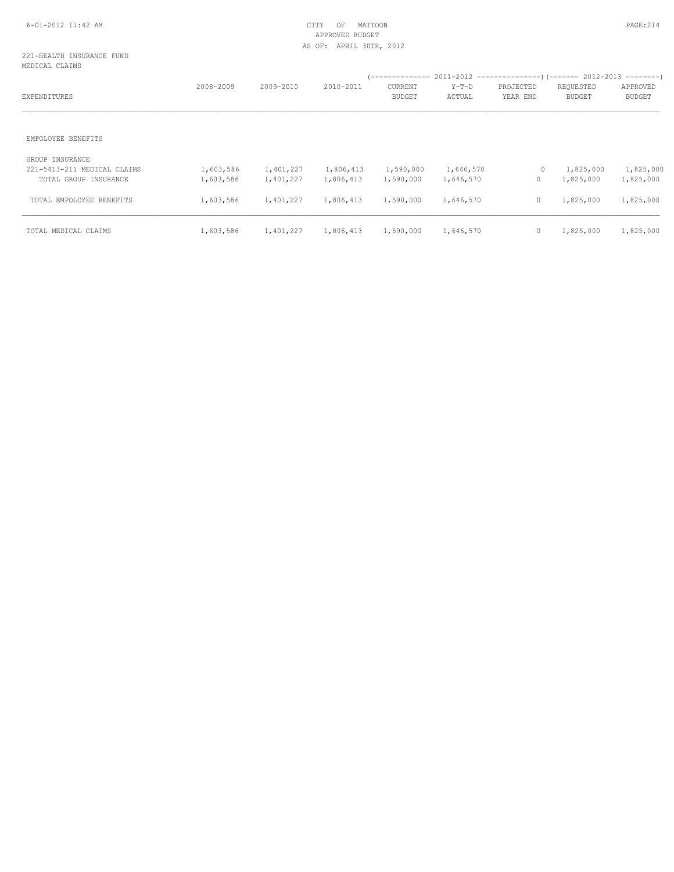## 6-01-2012 11:42 AM CITY OF MATTOON PAGE:214 APPROVED BUDGET AS OF: APRIL 30TH, 2012

## 221-HEALTH INSURANCE FUND MEDICAL CLAIMS

| EXPENDITURES                                                            | 2008-2009              | 2009-2010              | 2010-2011              | CURRENT<br><b>BUDGET</b> | $Y-T-D$<br>ACTUAL      | PROJECTED<br>YEAR END   | REQUESTED<br><b>BUDGET</b> | APPROVED<br><b>BUDGET</b> |
|-------------------------------------------------------------------------|------------------------|------------------------|------------------------|--------------------------|------------------------|-------------------------|----------------------------|---------------------------|
| EMPOLOYEE BENEFITS                                                      |                        |                        |                        |                          |                        |                         |                            |                           |
| GROUP INSURANCE<br>221-5413-211 MEDICAL CLAIMS<br>TOTAL GROUP INSURANCE | 1,603,586<br>1,603,586 | 1,401,227<br>1,401,227 | 1,806,413<br>1,806,413 | 1,590,000<br>1,590,000   | 1,646,570<br>1,646,570 | $\circ$<br>$\mathbf{0}$ | 1,825,000<br>1,825,000     | 1,825,000<br>1,825,000    |
| TOTAL EMPOLOYEE BENEFITS                                                | 1,603,586              | 1,401,227              | 1,806,413              | 1,590,000                | 1,646,570              | $\mathbf 0$             | 1,825,000                  | 1,825,000                 |
| TOTAL MEDICAL CLAIMS                                                    | 1,603,586              | 1,401,227              | 1,806,413              | 1,590,000                | 1,646,570              | $\mathbb O$             | 1,825,000                  | 1,825,000                 |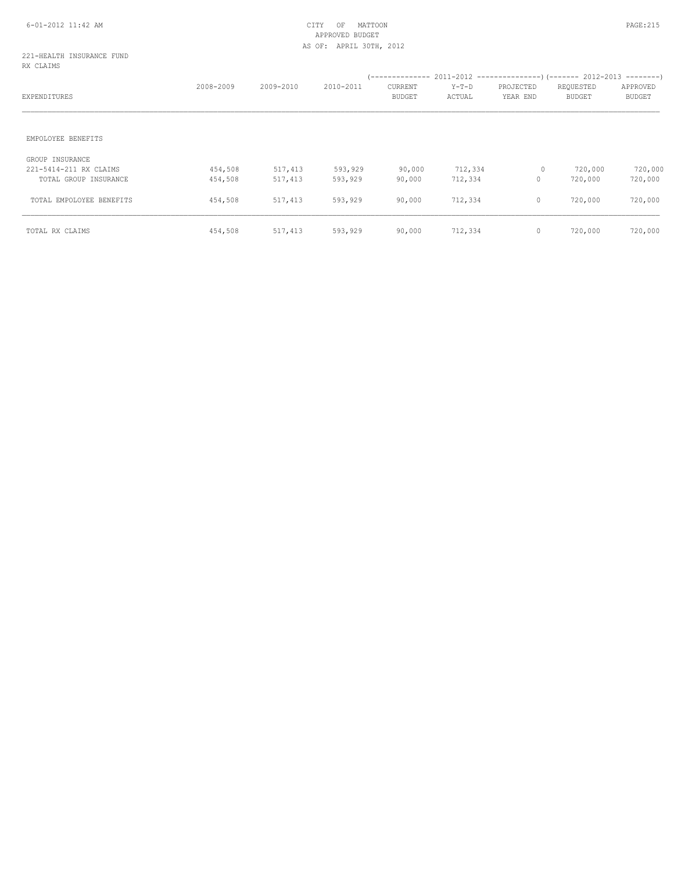#### 221-HEALTH INSURANCE FUND RX CLAIMS

| EXPENDITURES                                                       | 2008-2009          | 2009-2010          | 2010-2011          | CURRENT<br><b>BUDGET</b> | $Y-T-D$<br>ACTUAL  | PROJECTED<br>YEAR END  | REQUESTED<br><b>BUDGET</b> | APPROVED<br><b>BUDGET</b> |
|--------------------------------------------------------------------|--------------------|--------------------|--------------------|--------------------------|--------------------|------------------------|----------------------------|---------------------------|
| EMPOLOYEE BENEFITS                                                 |                    |                    |                    |                          |                    |                        |                            |                           |
| GROUP INSURANCE<br>221-5414-211 RX CLAIMS<br>TOTAL GROUP INSURANCE | 454,508<br>454,508 | 517,413<br>517,413 | 593,929<br>593,929 | 90,000<br>90,000         | 712,334<br>712,334 | $\circ$<br>$\mathbf 0$ | 720,000<br>720,000         | 720,000<br>720,000        |
| TOTAL EMPOLOYEE BENEFITS                                           | 454,508            | 517,413            | 593,929            | 90,000                   | 712,334            | $\circ$                | 720,000                    | 720,000                   |
| TOTAL RX CLAIMS                                                    | 454,508            | 517,413            | 593,929            | 90,000                   | 712,334            | $\mathbf 0$            | 720,000                    | 720,000                   |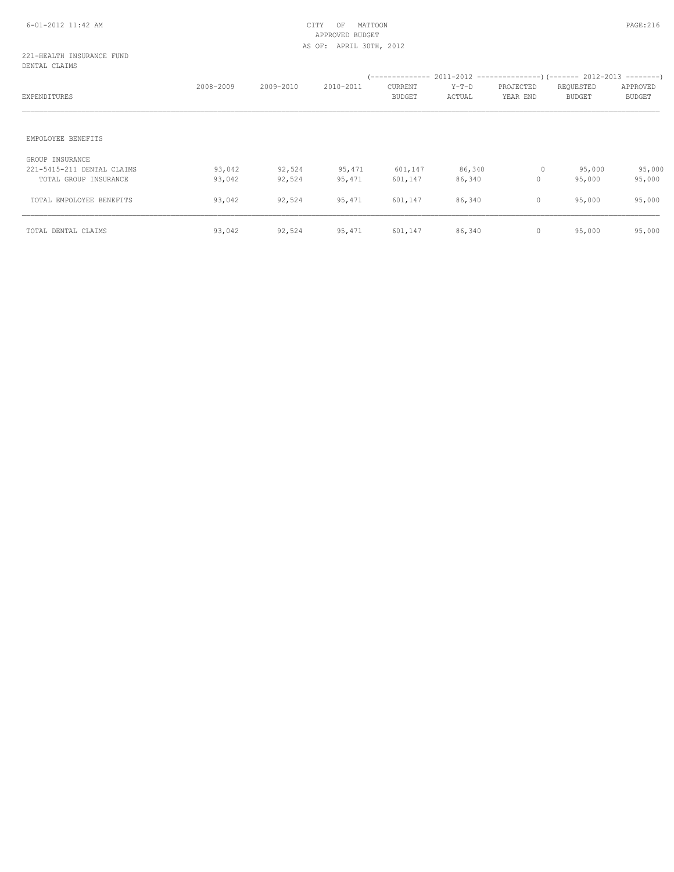### 221-HEALTH INSURANCE FUND DENTAL CLAIMS

| EXPENDITURES                                                           | 2008-2009        | 2009-2010        | 2010-2011        | --------------<br>CURRENT<br><b>BUDGET</b> | $Y-T-D$<br>ACTUAL | PROJECTED<br>YEAR END | $2011-2012$ ----------------) (------- 2012-2013 --------)<br>REQUESTED<br><b>BUDGET</b> | APPROVED<br><b>BUDGET</b> |
|------------------------------------------------------------------------|------------------|------------------|------------------|--------------------------------------------|-------------------|-----------------------|------------------------------------------------------------------------------------------|---------------------------|
| EMPOLOYEE BENEFITS                                                     |                  |                  |                  |                                            |                   |                       |                                                                                          |                           |
| GROUP INSURANCE<br>221-5415-211 DENTAL CLAIMS<br>TOTAL GROUP INSURANCE | 93,042<br>93,042 | 92,524<br>92,524 | 95,471<br>95,471 | 601,147<br>601,147                         | 86,340<br>86,340  | 0<br>$\mathbf 0$      | 95,000<br>95,000                                                                         | 95,000<br>95,000          |
| TOTAL EMPOLOYEE BENEFITS                                               | 93,042           | 92,524           | 95,471           | 601,147                                    | 86,340            | $\circ$               | 95,000                                                                                   | 95,000                    |
| TOTAL DENTAL CLAIMS                                                    | 93,042           | 92,524           | 95,471           | 601,147                                    | 86,340            | $\mathbf 0$           | 95,000                                                                                   | 95,000                    |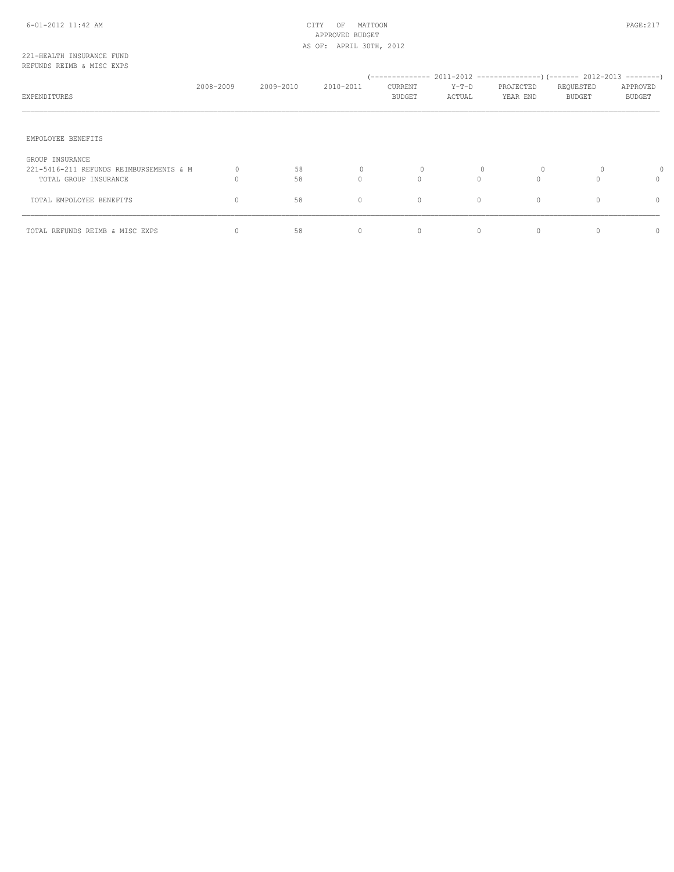# 6-01-2012 11:42 AM CITY OF MATTOON PAGE:217 APPROVED BUDGET AS OF: APRIL 30TH, 2012

### 221-HEALTH INSURANCE FUND REFUNDS REIMB & MISC EXPS

| EXPENDITURES                                                                        | 2008-2009 | 2009-2010 | 2010-2011     | (--------------<br><b>CURRENT</b><br>BUDGET | $Y-T-D$<br>ACTUAL | 2011-2012 ---------------------- 2012-2013 -----------<br>PROJECTED<br>YEAR END | REQUESTED<br><b>BUDGET</b> | APPROVED<br><b>BUDGET</b> |
|-------------------------------------------------------------------------------------|-----------|-----------|---------------|---------------------------------------------|-------------------|---------------------------------------------------------------------------------|----------------------------|---------------------------|
| EMPOLOYEE BENEFITS                                                                  |           |           |               |                                             |                   |                                                                                 |                            |                           |
| GROUP INSURANCE<br>221-5416-211 REFUNDS REIMBURSEMENTS & M<br>TOTAL GROUP INSURANCE |           | 58<br>58  | 0<br>$\Omega$ | 0<br>$\Omega$                               | $\Omega$          | $\Omega$                                                                        | 0                          | 0                         |
| TOTAL EMPOLOYEE BENEFITS                                                            | 0         | 58        | $\circ$       | $\circ$                                     | $\circ$           | $\mathbf{0}$                                                                    |                            | 0                         |
| TOTAL REFUNDS REIMB & MISC EXPS                                                     |           | 58        | 0             | 0                                           | $\mathbf{0}$      | $\mathbf{0}$                                                                    |                            |                           |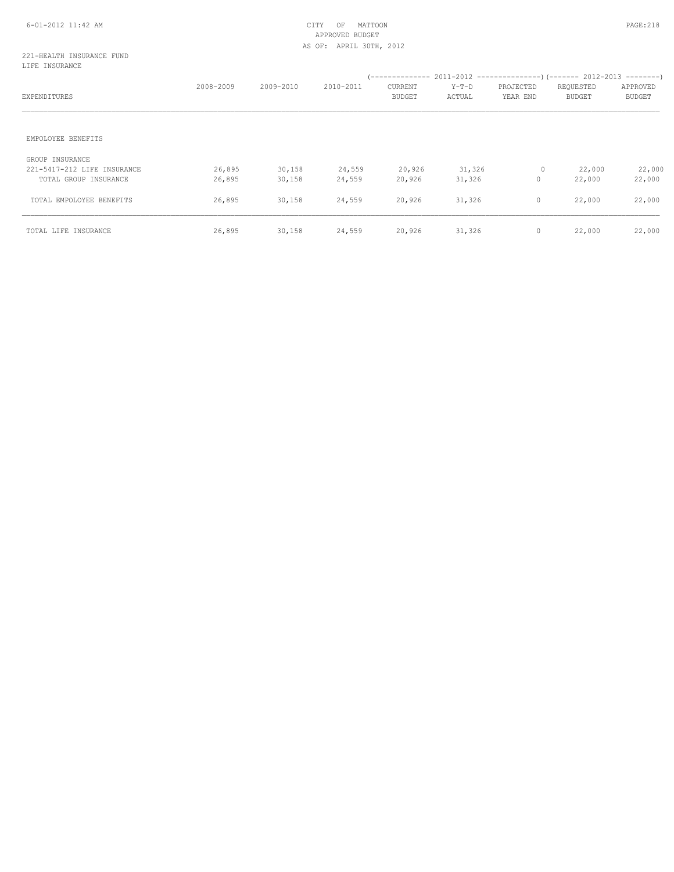# APPROVED BUDGET AS OF: APRIL 30TH, 2012

### 221-HEALTH INSURANCE FUND LIFE INSURANCE

| EXPENDITURES                                                            | 2008-2009        | 2009-2010        | 2010-2011        | <b>CURRENT</b><br><b>BUDGET</b> | $Y-T-D$<br>ACTUAL | PROJECTED<br>YEAR END | REQUESTED<br><b>BUDGET</b> | APPROVED<br><b>BUDGET</b> |
|-------------------------------------------------------------------------|------------------|------------------|------------------|---------------------------------|-------------------|-----------------------|----------------------------|---------------------------|
| EMPOLOYEE BENEFITS                                                      |                  |                  |                  |                                 |                   |                       |                            |                           |
| GROUP INSURANCE<br>221-5417-212 LIFE INSURANCE<br>TOTAL GROUP INSURANCE | 26,895<br>26,895 | 30,158<br>30,158 | 24,559<br>24,559 | 20,926<br>20,926                | 31,326<br>31,326  | 0<br>$\mathbf{0}$     | 22,000<br>22,000           | 22,000<br>22,000          |
| TOTAL EMPOLOYEE BENEFITS                                                | 26,895           | 30,158           | 24,559           | 20,926                          | 31,326            | $\circ$               | 22,000                     | 22,000                    |
| TOTAL LIFE INSURANCE                                                    | 26,895           | 30,158           | 24,559           | 20,926                          | 31,326            | $\circ$               | 22,000                     | 22,000                    |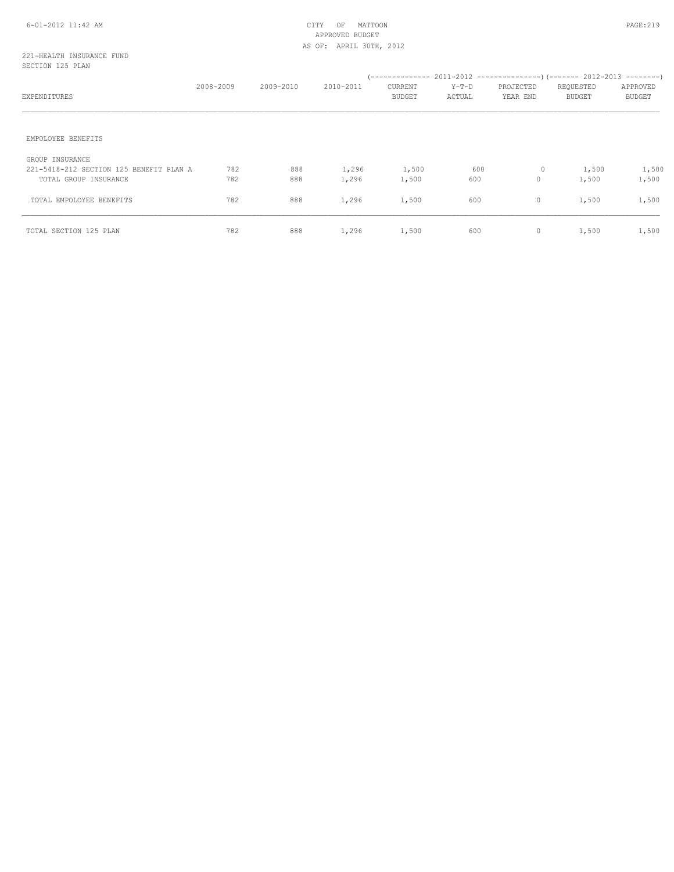# 6-01-2012 11:42 AM CITY OF MATTOON PAGE:219 APPROVED BUDGET AS OF: APRIL 30TH, 2012

### 221-HEALTH INSURANCE FUND SECTION 125 PLAN

| EXPENDITURES                                                                        | 2008-2009  | 2009-2010  | 2010-2011      | CURRENT<br>BUDGET | $Y-T-D$<br>ACTUAL | PROJECTED<br>YEAR END | REQUESTED<br>BUDGET | APPROVED<br><b>BUDGET</b> |
|-------------------------------------------------------------------------------------|------------|------------|----------------|-------------------|-------------------|-----------------------|---------------------|---------------------------|
| EMPOLOYEE BENEFITS                                                                  |            |            |                |                   |                   |                       |                     |                           |
| GROUP INSURANCE<br>221-5418-212 SECTION 125 BENEFIT PLAN A<br>TOTAL GROUP INSURANCE | 782<br>782 | 888<br>888 | 1,296<br>1,296 | 1,500<br>1,500    | 600<br>600        | $\circ$<br>$\circ$    | 1,500<br>1,500      | 1,500<br>1,500            |
| TOTAL EMPOLOYEE BENEFITS                                                            | 782        | 888        | 1,296          | 1,500             | 600               | $\circ$               | 1,500               | 1,500                     |
| TOTAL SECTION 125 PLAN                                                              | 782        | 888        | 1,296          | 1,500             | 600               | $\circ$               | 1,500               | 1,500                     |